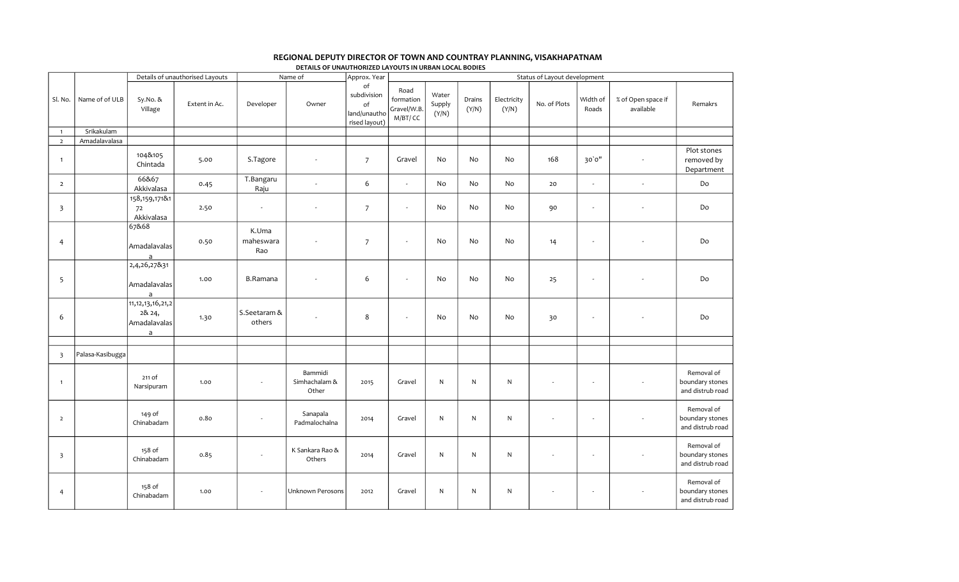|                         |                  |                                                                 |                                 |                           | DETAILS OF UNAUTHORIZED LAYOUTS IN URBAN LOCAL BODIES |                                                          |                                            |                          |                 |                      |                              |                          |                                 |                                                   |
|-------------------------|------------------|-----------------------------------------------------------------|---------------------------------|---------------------------|-------------------------------------------------------|----------------------------------------------------------|--------------------------------------------|--------------------------|-----------------|----------------------|------------------------------|--------------------------|---------------------------------|---------------------------------------------------|
|                         |                  |                                                                 | Details of unauthorised Layouts |                           | Name of                                               | Approx. Year                                             |                                            |                          |                 |                      | Status of Layout development |                          |                                 |                                                   |
| Sl. No.                 | Name of of ULB   | Sy.No.&<br>Village                                              | Extent in Ac.                   | Developer                 | Owner                                                 | of<br>subdivision<br>of<br>land/unautho<br>rised layout) | Road<br>formation<br>Gravel/W.B<br>M/BT/CC | Water<br>Supply<br>(Y/N) | Drains<br>(Y/N) | Electricity<br>(Y/N) | No. of Plots                 | Width of<br>Roads        | % of Open space if<br>available | Remakrs                                           |
| $\overline{1}$          | Srikakulam       |                                                                 |                                 |                           |                                                       |                                                          |                                            |                          |                 |                      |                              |                          |                                 |                                                   |
| $\overline{2}$          | Amadalavalasa    |                                                                 |                                 |                           |                                                       |                                                          |                                            |                          |                 |                      |                              |                          |                                 |                                                   |
| $\overline{1}$          |                  | 104&105<br>Chintada                                             | 5.00                            | S.Tagore                  |                                                       | $\overline{7}$                                           | Gravel                                     | No                       | No              | No                   | 168                          | 30'0''                   | $\overline{\phantom{a}}$        | Plot stones<br>removed by<br>Department           |
| $\overline{2}$          |                  | 66&67<br>Akkivalasa                                             | 0.45                            | T.Bangaru<br>Raju         | $\overline{a}$                                        | 6                                                        | $\omega$                                   | No                       | No              | No                   | 20                           | $\sim$                   | $\omega$                        | Do                                                |
| $\overline{\mathbf{3}}$ |                  | 158, 159, 1718 1<br>72<br>Akkivalasa                            | 2.50                            | ÷,                        | $\sim$                                                | $\overline{7}$                                           | $\sim$                                     | No                       | No              | No                   | 90                           |                          | $\overline{\phantom{a}}$        | Do                                                |
| $\overline{4}$          |                  | 67&68<br>Amadalavalas<br>a                                      | 0.50                            | K.Uma<br>maheswara<br>Rao | $\sim$                                                | $\overline{7}$                                           | $\sim$                                     | No                       | No              | No                   | 14                           | $\overline{\phantom{a}}$ |                                 | Do                                                |
| 5                       |                  | 2,4,26,27&31<br>Amadalavalas<br>$\mathsf{a}$                    | 1.00                            | <b>B.Ramana</b>           |                                                       | 6                                                        | ÷.                                         | No                       | No              | No                   | 25                           |                          |                                 | Do                                                |
| 6                       |                  | 11, 12, 13, 16, 21, 2<br>28 24,<br>Amadalavalas<br>$\mathsf{a}$ | 1.30                            | S.Seetaram &<br>others    |                                                       | 8                                                        | $\sim$                                     | No                       | No              | No                   | 30                           | $\overline{\phantom{a}}$ |                                 | Do                                                |
|                         |                  |                                                                 |                                 |                           |                                                       |                                                          |                                            |                          |                 |                      |                              |                          |                                 |                                                   |
| $\overline{\mathbf{3}}$ | Palasa-Kasibugga |                                                                 |                                 |                           |                                                       |                                                          |                                            |                          |                 |                      |                              |                          |                                 |                                                   |
| $\overline{1}$          |                  | 211 of<br>Narsipuram                                            | 1.00                            | $\overline{\phantom{a}}$  | Bammidi<br>Simhachalam &<br>Other                     | 2015                                                     | Gravel                                     | ${\sf N}$                | N               | $\mathsf{N}$         | $\sim$                       | $\sim$                   |                                 | Removal of<br>boundary stones<br>and distrub road |
| $\overline{2}$          |                  | 149 of<br>Chinabadam                                            | 0.80                            | $\overline{\phantom{a}}$  | Sanapala<br>Padmalochalna                             | 2014                                                     | Gravel                                     | N                        | N               | $\mathsf{N}$         | $\overline{\phantom{a}}$     | $\sim$                   |                                 | Removal of<br>boundary stones<br>and distrub road |
| $\overline{\mathbf{3}}$ |                  | 158 of<br>Chinabadam                                            | 0.85                            | $\sim$                    | K Sankara Rao &<br>Others                             | 2014                                                     | Gravel                                     | N                        | ${\sf N}$       | ${\sf N}$            | ä,                           | $\overline{\phantom{a}}$ |                                 | Removal of<br>boundary stones<br>and distrub road |
| $\overline{4}$          |                  | 158 of<br>Chinabadam                                            | 1.00                            | $\overline{\phantom{a}}$  | Unknown Perosons                                      | 2012                                                     | Gravel                                     | N                        | ${\sf N}$       | $\mathsf{N}$         | $\overline{\phantom{a}}$     | $\sim$                   |                                 | Removal of<br>boundary stones<br>and distrub road |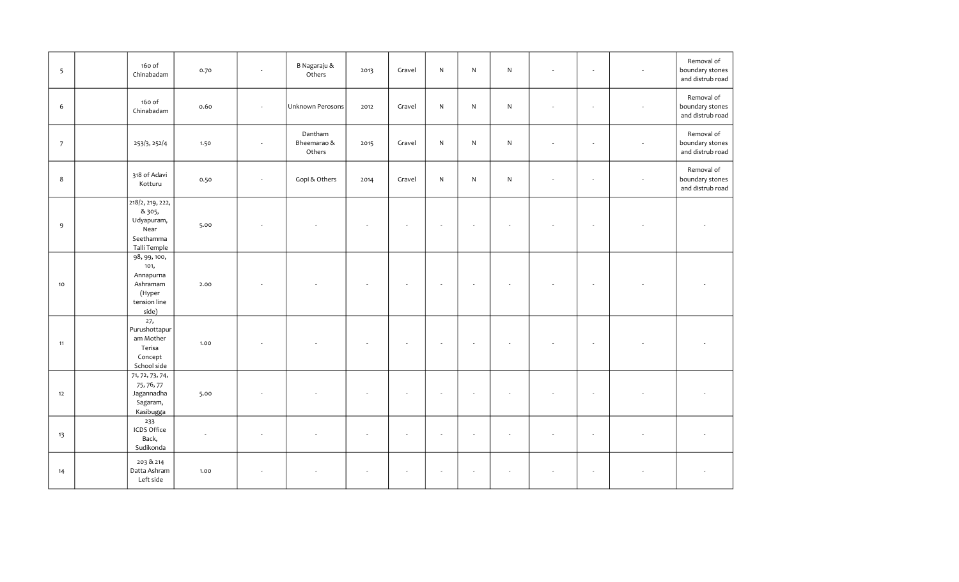| 5              | 160 of<br>Chinabadam                                                              | 0.70 | $\overline{\phantom{a}}$ | B Nagaraju &<br>Others           | 2013 | Gravel | ${\sf N}$    | $\mathsf{N}$             | $\mathsf{N}$             | ÷,                       | $\overline{\phantom{a}}$ | Removal of<br>boundary stones<br>and distrub road |
|----------------|-----------------------------------------------------------------------------------|------|--------------------------|----------------------------------|------|--------|--------------|--------------------------|--------------------------|--------------------------|--------------------------|---------------------------------------------------|
| 6              | 160 of<br>Chinabadam                                                              | 0.60 |                          | Unknown Perosons                 | 2012 | Gravel | $\mathsf{N}$ | ${\sf N}$                | N                        | $\overline{\phantom{a}}$ | $\sim$                   | Removal of<br>boundary stones<br>and distrub road |
| $\overline{7}$ | 253/3, 252/4                                                                      | 1.50 | $\overline{\phantom{a}}$ | Dantham<br>Bheemarao &<br>Others | 2015 | Gravel | ${\sf N}$    | ${\sf N}$                | $\mathsf{N}$             |                          |                          | Removal of<br>boundary stones<br>and distrub road |
| 8              | 318 of Adavi<br>Kotturu                                                           | 0.50 | $\overline{\phantom{a}}$ | Gopi & Others                    | 2014 | Gravel | N            | ${\sf N}$                | $\mathsf{N}$             |                          | $\overline{\phantom{a}}$ | Removal of<br>boundary stones<br>and distrub road |
| $\overline{9}$ | 218/2, 219, 222,<br>& 305,<br>Udyapuram,<br>Near<br>Seethamma<br>Talli Temple     | 5.00 |                          |                                  |      |        |              |                          |                          |                          |                          |                                                   |
| $10$           | 98, 99, 100,<br>101,<br>Annapurna<br>Ashramam<br>(Hyper<br>tension line<br>side)  | 2.00 |                          |                                  |      |        |              |                          | ÷.                       |                          |                          |                                                   |
| 11             | 27,<br>Purushottapur<br>am Mother<br>Terisa<br>Concept<br>School side             | 1.00 |                          |                                  |      |        |              |                          |                          |                          |                          |                                                   |
| 12             | $\overline{71, 72, 73, 74,}$<br>75, 76, 77<br>Jagannadha<br>Sagaram,<br>Kasibugga | 5.00 |                          |                                  |      |        |              |                          |                          |                          |                          |                                                   |
| 13             | 233<br>ICDS Office<br>Back,<br>Sudikonda                                          |      | ٠                        |                                  |      | ٠      |              | $\overline{\phantom{a}}$ | $\overline{\phantom{a}}$ |                          |                          |                                                   |
| 14             | 203 & 214<br>Datta Ashram<br>Left side                                            | 1.00 | ÷                        |                                  |      |        |              |                          | ÷.                       |                          |                          |                                                   |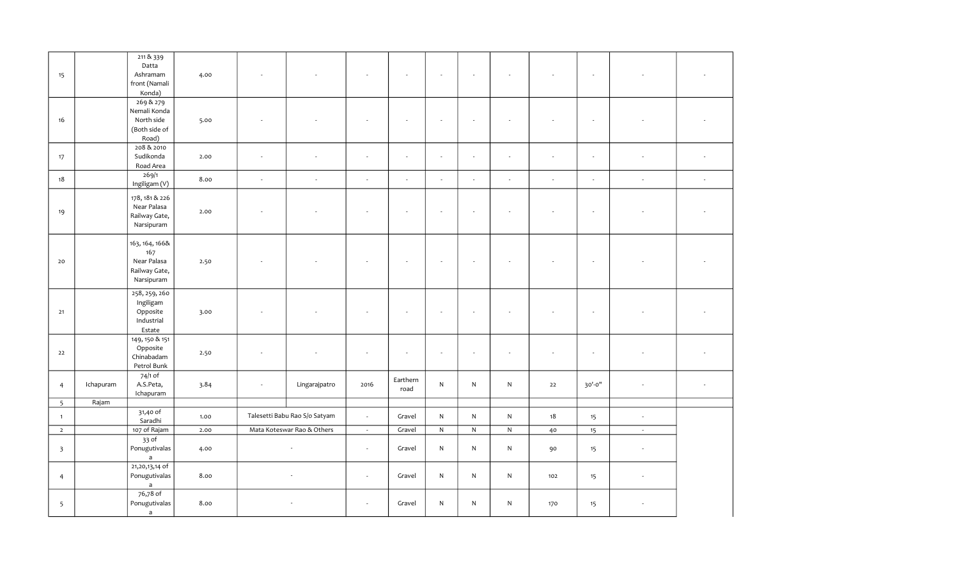| 15                      |           | 211 & 8339<br>Datta<br>Ashramam<br>front (Namali<br>Konda)          | 4.00 |                          |                               |                             |                             |              |                             |                          |        | $\overline{\phantom{a}}$ |                             |                             |
|-------------------------|-----------|---------------------------------------------------------------------|------|--------------------------|-------------------------------|-----------------------------|-----------------------------|--------------|-----------------------------|--------------------------|--------|--------------------------|-----------------------------|-----------------------------|
| 16                      |           | 269 & 279<br>Nemali Konda<br>North side<br>(Both side of<br>Road)   | 5.00 |                          |                               |                             |                             |              |                             |                          |        |                          |                             |                             |
| 17                      |           | 208 & 2010<br>Sudikonda<br>Road Area                                | 2.00 | ÷.                       | ÷                             | ÷.                          | $\sim$                      | $\sim$       | $\sim$                      | $\overline{\phantom{a}}$ | ÷.     | $\sim$                   | ÷.                          |                             |
| 18                      |           | 269/1<br>Ingiligam (V)                                              | 8.00 | $\sim$                   | $\sim$                        | $\mathcal{L}_{\mathcal{A}}$ | $\mathcal{L}_{\mathcal{A}}$ | $\sim$       | $\mathcal{L}_{\mathcal{A}}$ | $\overline{\phantom{a}}$ | $\sim$ | $\sim$                   | $\mathcal{L}_{\mathcal{A}}$ | $\mathcal{L}_{\mathcal{A}}$ |
| 19                      |           | 178, 181 & 226<br>Near Palasa<br>Railway Gate,<br>Narsipuram        | 2.00 |                          |                               |                             |                             |              |                             |                          |        | $\sim$                   |                             |                             |
| 20                      |           | 163, 164, 166&<br>167<br>Near Palasa<br>Railway Gate,<br>Narsipuram | 2.50 |                          |                               |                             |                             |              |                             |                          |        |                          |                             |                             |
| 21                      |           | 258, 259, 260<br>Ingiligam<br>Opposite<br>Industrial<br>Estate      | 3.00 |                          |                               |                             |                             |              |                             |                          |        |                          |                             |                             |
| 22                      |           | 149, 150 & 151<br>Opposite<br>Chinabadam<br>Petrol Bunk             | 2.50 | $\overline{\phantom{a}}$ |                               |                             |                             | $\epsilon$   | $\sim$                      |                          |        | $\overline{\phantom{a}}$ |                             |                             |
| $\overline{4}$          | Ichapuram | 74/1 of<br>A.S.Peta,<br>Ichapuram                                   | 3.84 | $\sim$                   | Lingarajpatro                 | 2016                        | Earthern<br>road            | ${\sf N}$    | ${\sf N}$                   | ${\sf N}$                | $22$   | 30'-0"                   |                             |                             |
| 5                       | Rajam     |                                                                     |      |                          |                               |                             |                             |              |                             |                          |        |                          |                             |                             |
| $\mathbf{1}$            |           | 31,40 of<br>Saradhi                                                 | 1.00 |                          | Talesetti Babu Rao S/o Satyam | $\sim$                      | Gravel                      | $\mathsf{N}$ | N                           | ${\sf N}$                | 18     | 15                       | $\mathcal{L}_{\mathcal{A}}$ |                             |
| $\overline{2}$          |           | 107 of Rajam                                                        | 2.00 |                          | Mata Koteswar Rao & Others    | $\sim$                      | Gravel                      | ${\sf N}$    | ${\sf N}$                   | ${\sf N}$                | 40     | 15                       | $\sim$                      |                             |
| $\overline{\mathbf{3}}$ |           | $33$ of<br>Ponugutivalas<br>$\mathsf{a}$                            | 4.00 |                          |                               | $\sim$                      | Gravel                      | ${\sf N}$    | ${\sf N}$                   | ${\sf N}$                | 90     | 15                       | $\overline{\phantom{a}}$    |                             |
| $\overline{4}$          |           | $21,20,13,14$ of<br>Ponugutivalas<br>$\mathsf{a}$                   | 8.00 |                          |                               | $\mathcal{L}_{\mathcal{A}}$ | Gravel                      | $\mathsf{N}$ | $\mathsf{N}$                | N                        | 102    | 15                       | $\overline{\phantom{a}}$    |                             |
| 5                       |           | 76,78 of<br>Ponugutivalas<br>$\mathsf{a}$                           | 8.00 |                          |                               | $\overline{\phantom{a}}$    | Gravel                      | ${\sf N}$    | ${\sf N}$                   | ${\sf N}$                | 170    | 15                       |                             |                             |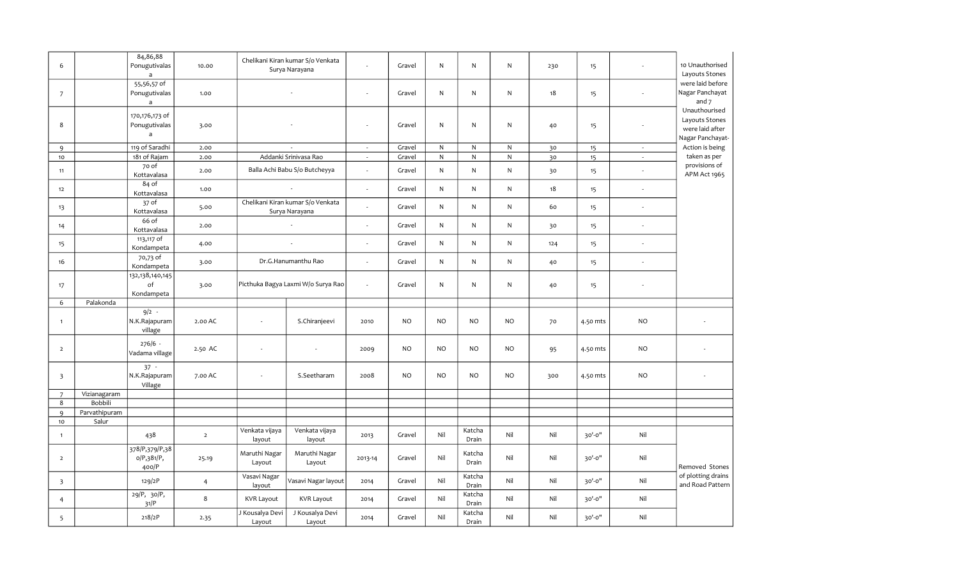| 6                       |               | 84,86,88<br>Ponugutivalas<br>$\overline{a}$       | 10.00          |                           | Chelikani Kiran kumar S/o Venkata<br>Surya Narayana | ÷                           | Gravel    | N         | ${\sf N}$       | ${\sf N}$    | 230 | 15       |                             | 10 Unauthorised<br>Layouts Stones                                      |
|-------------------------|---------------|---------------------------------------------------|----------------|---------------------------|-----------------------------------------------------|-----------------------------|-----------|-----------|-----------------|--------------|-----|----------|-----------------------------|------------------------------------------------------------------------|
| $\overline{7}$          |               | 55,56,57 of<br>Ponugutivalas<br>$\mathsf{a}$      | 1.00           |                           |                                                     | $\sim$                      | Gravel    | N         | ${\sf N}$       | ${\sf N}$    | 18  | 15       |                             | were laid before<br>Nagar Panchayat<br>and $7$                         |
| 8                       |               | 170,176,173 of<br>Ponugutivalas<br>$\overline{a}$ | 3.00           |                           |                                                     | $\overline{\phantom{a}}$    | Gravel    | N         | N               | ${\sf N}$    | 40  | 15       |                             | Unauthourised<br>Layouts Stones<br>were laid after<br>Nagar Panchayat- |
| $\mathsf{q}$            |               | 119 of Saradhi                                    | 2.00           |                           |                                                     | $\sim$                      | Gravel    | ${\sf N}$ | ${\sf N}$       | ${\sf N}$    | 30  | 15       | $\sim$                      | Action is being                                                        |
| 10                      |               | 181 of Rajam                                      | 2.00           |                           | Addanki Srinivasa Rao                               | $\sim$                      | Gravel    | N         | ${\sf N}$       | $\mathsf{N}$ | 30  | 15       | $\sim$                      | taken as per                                                           |
| 11                      |               | 70 of<br>Kottavalasa                              | 2.00           |                           | Balla Achi Babu S/o Butcheyya                       | $\sim$                      | Gravel    | N         | ${\sf N}$       | ${\sf N}$    | 30  | 15       | $\mathcal{L}_{\mathcal{A}}$ | provisions of<br>APM Act 1965                                          |
| 12                      |               | 84 of<br>Kottavalasa                              | 1.00           |                           |                                                     | $\sim$                      | Gravel    | ${\sf N}$ | ${\sf N}$       | ${\sf N}$    | 18  | 15       | $\sim$                      |                                                                        |
| 13                      |               | 37 of<br>Kottavalasa                              | 5.00           |                           | Chelikani Kiran kumar S/o Venkata<br>Surya Narayana | $\overline{\phantom{a}}$    | Gravel    | N         | ${\sf N}$       | ${\sf N}$    | 60  | 15       | $\sim$                      |                                                                        |
| 14                      |               | 66 of<br>Kottavalasa                              | 2.00           |                           |                                                     | $\epsilon$                  | Gravel    | N         | ${\sf N}$       | ${\sf N}$    | 30  | 15       | $\sim$                      |                                                                        |
| 15                      |               | 113,117 of<br>Kondampeta                          | 4.00           |                           | $\sim$                                              | $\mathcal{L}$               | Gravel    | N         | ${\sf N}$       | ${\sf N}$    | 124 | 15       | $\mathcal{L}_{\mathcal{A}}$ |                                                                        |
| 16                      |               | 70,73 of<br>Kondampeta                            | 3.00           |                           | Dr.G.Hanumanthu Rao                                 | $\epsilon$                  | Gravel    | N         | ${\sf N}$       | $\mathsf{N}$ | 40  | 15       | $\sim$                      |                                                                        |
| 17                      |               | 132,138,140,145<br>of<br>Kondampeta               | 3.00           |                           | Picthuka Bagya Laxmi W/o Surya Rao                  | $\mathcal{L}_{\mathcal{A}}$ | Gravel    | N         | ${\sf N}$       | ${\sf N}$    | 40  | 15       |                             |                                                                        |
| 6                       | Palakonda     |                                                   |                |                           |                                                     |                             |           |           |                 |              |     |          |                             |                                                                        |
| $\mathbf{1}$            |               | $9/2 -$<br>N.K.Rajapuram<br>village               | 2.00 AC        | $\sim$                    | S.Chiranjeevi                                       | 2010                        | <b>NO</b> | NO.       | <b>NO</b>       | <b>NO</b>    | 70  | 4.50 mts | <b>NO</b>                   |                                                                        |
| $\overline{2}$          |               | $276/6 -$<br>Vadama village                       | 2.50 AC        | $\overline{\phantom{a}}$  |                                                     | 2009                        | <b>NO</b> | NO.       | <b>NO</b>       | NO           | 95  | 4.50 mts | <b>NO</b>                   |                                                                        |
| $\overline{\mathbf{3}}$ |               | $37 -$<br>N.K.Rajapuram<br>Village                | 7.00 AC        | $\sim$                    | S.Seetharam                                         | 2008                        | <b>NO</b> | NO        | <b>NO</b>       | <b>NO</b>    | 300 | 4.50 mts | <b>NO</b>                   |                                                                        |
| $\overline{7}$          | Vizianagaram  |                                                   |                |                           |                                                     |                             |           |           |                 |              |     |          |                             |                                                                        |
| 8                       | Bobbili       |                                                   |                |                           |                                                     |                             |           |           |                 |              |     |          |                             |                                                                        |
| 9                       | Parvathipuram |                                                   |                |                           |                                                     |                             |           |           |                 |              |     |          |                             |                                                                        |
| 10 <sub>o</sub>         | Salur         |                                                   |                |                           |                                                     |                             |           |           |                 |              |     |          |                             |                                                                        |
| $\mathbf{1}$            |               | 438                                               | $\overline{2}$ | Venkata vijaya<br>layout  | Venkata vijaya<br>layout                            | 2013                        | Gravel    | Nil       | Katcha<br>Drain | Nil          | Nil | 30'-0"   | Nil                         |                                                                        |
| $\overline{2}$          |               | 378/P,379/P,38<br>o/P,381/P,<br>400/P             | 25.19          | Maruthi Nagar<br>Layout   | Maruthi Nagar<br>Layout                             | 2013-14                     | Gravel    | Nil       | Katcha<br>Drain | Nil          | Nil | 30'-0"   | Nil                         | Removed Stones                                                         |
| $\overline{\mathbf{3}}$ |               | 129/2P                                            | $\overline{4}$ | Vasavi Nagar<br>layout    | Vasavi Nagar layout                                 | 2014                        | Gravel    | Nil       | Katcha<br>Drain | Nil          | Nil | 30'-0"   | Nil                         | of plotting drains<br>and Road Pattern                                 |
| 4                       |               | $29/P$ , $30/P$ ,<br>31/P                         | 8              | <b>KVR Layout</b>         | <b>KVR Layout</b>                                   | 2014                        | Gravel    | Nil       | Katcha<br>Drain | Nil          | Nil | 30'-0"   | Nil                         |                                                                        |
| 5                       |               | 218/2P                                            | 2.35           | J Kousalya Devi<br>Layout | J Kousalya Devi<br>Layout                           | 2014                        | Gravel    | Nil       | Katcha<br>Drain | Nil          | Nil | 30'-0"   | Nil                         |                                                                        |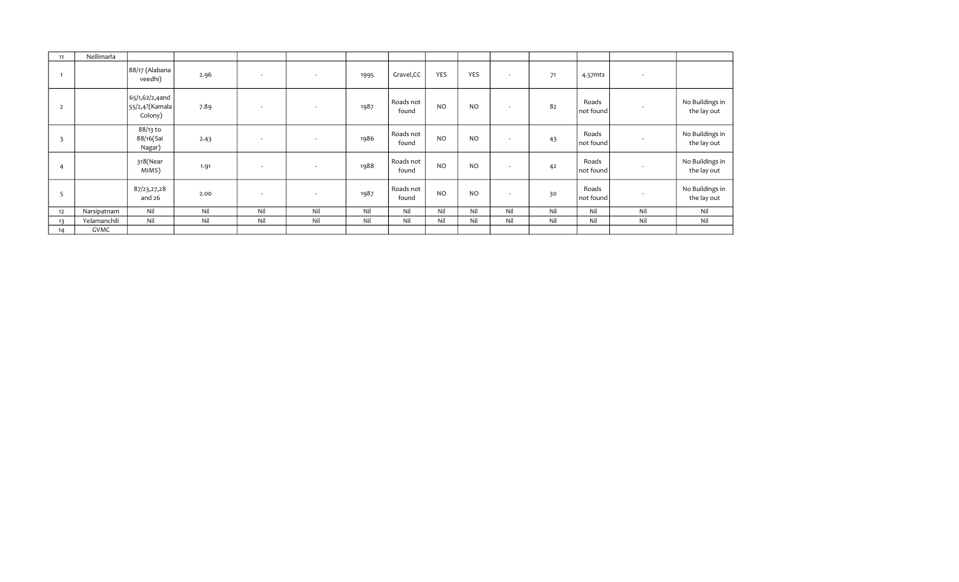| 11                      | Nellimarla   |                                                |      |                          |                          |      |                    |           |                |                          |     |                      |                          |                                |
|-------------------------|--------------|------------------------------------------------|------|--------------------------|--------------------------|------|--------------------|-----------|----------------|--------------------------|-----|----------------------|--------------------------|--------------------------------|
|                         |              | 88/17 (Alabana<br>veedhi)                      | 2.96 | $\sim$                   | $\overline{\phantom{a}}$ | 1995 | Gravel, CC         | YES       | YES            | $\sim$                   | 71  | 4.57mts              | $\overline{\phantom{a}}$ |                                |
| $\overline{2}$          |              | 65/1,62/2,4and<br>55/2,4? (Kamala  <br>Colony) | 7.89 | $\sim$                   | $\overline{\phantom{a}}$ | 1987 | Roads not<br>found | <b>NO</b> | N <sub>O</sub> | ٠                        | 82  | Roads<br>  not found | ۰                        | No Buildings in<br>the lay out |
| $\overline{\mathbf{3}}$ |              | 88/13 to<br>88/16(Sai<br>Nagar)                | 2.43 | $\overline{\phantom{a}}$ | $\overline{\phantom{a}}$ | 1986 | Roads not<br>found | <b>NO</b> | <b>NO</b>      | $\overline{\phantom{a}}$ | 43  | Roads<br>  not found | ۰                        | No Buildings in<br>the lay out |
| 4                       |              | 318(Near<br>MIMS)                              | 1.91 | $\sim$                   | $\overline{\phantom{a}}$ | 1988 | Roads not<br>found | <b>NO</b> | <b>NO</b>      | $\overline{\phantom{a}}$ | 42  | Roads<br>not found   |                          | No Buildings in<br>the lay out |
| 5                       |              | 87/23,27,28<br>and 26                          | 2.00 | $\sim$                   | ٠                        | 1987 | Roads not<br>found | <b>NO</b> | <b>NO</b>      | ٠                        | 30  | Roads<br>  not found | $\sim$                   | No Buildings in<br>the lay out |
| 12                      | Narsipatnam  | Nil                                            | Nil  | Nil                      | Nil                      | Nil  | Nil                | Nil       | Nil            | Nil                      | Nil | Nil                  | Nil                      | Nil                            |
| 13                      | Yelamanchili | Nil                                            | Nil  | Nil                      | Nil                      | Nil  | Nil                | Nil       | Nil            | Nil                      | Nil | Nil                  | Nil                      | Nil                            |
| 14                      | GVMC         |                                                |      |                          |                          |      |                    |           |                |                          |     |                      |                          |                                |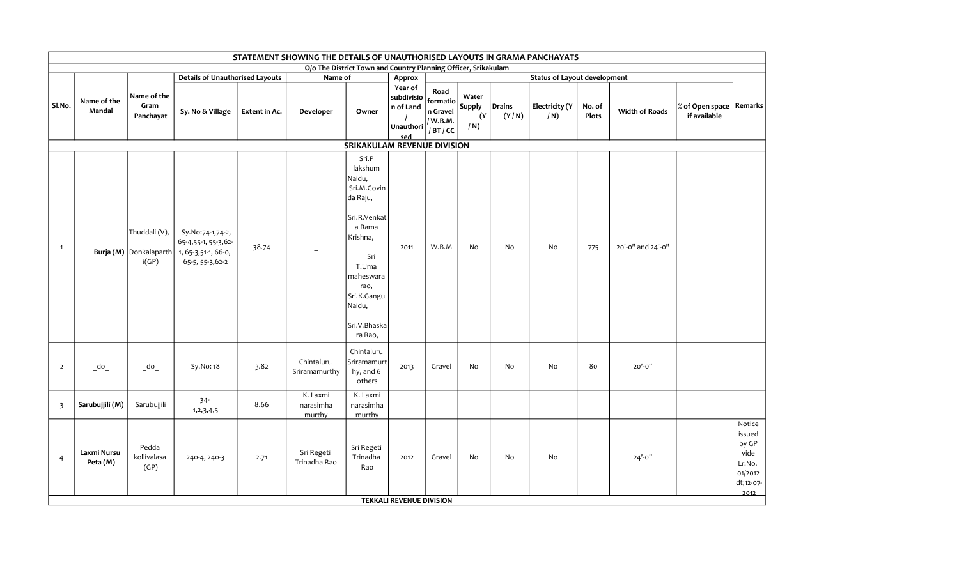|                         |                                      |                                                      |                                                                                    |               | STATEMENT SHOWING THE DETAILS OF UNAUTHORISED LAYOUTS IN GRAMA PANCHAYATS |                                                                                                                                                                                      |                                                        |                                                    |                                     |                 |                                     |                 |                       |                                           |                                                                             |
|-------------------------|--------------------------------------|------------------------------------------------------|------------------------------------------------------------------------------------|---------------|---------------------------------------------------------------------------|--------------------------------------------------------------------------------------------------------------------------------------------------------------------------------------|--------------------------------------------------------|----------------------------------------------------|-------------------------------------|-----------------|-------------------------------------|-----------------|-----------------------|-------------------------------------------|-----------------------------------------------------------------------------|
|                         |                                      |                                                      |                                                                                    |               |                                                                           | O/o The District Town and Country Planning Officer, Srikakulam                                                                                                                       |                                                        |                                                    |                                     |                 |                                     |                 |                       |                                           |                                                                             |
|                         |                                      |                                                      | <b>Details of Unauthorised Layouts</b>                                             |               | Name of                                                                   |                                                                                                                                                                                      | Approx                                                 |                                                    |                                     |                 | <b>Status of Layout development</b> |                 |                       |                                           |                                                                             |
| Sl.No.                  | Name of the<br>Mandal                | Name of the<br>Gram<br>Panchayat                     | Sy. No & Village                                                                   | Extent in Ac. | Developer                                                                 | Owner                                                                                                                                                                                | Year of<br>subdivisio<br>n of Land<br>Unauthori<br>sed | Road<br>formatio<br>n Gravel<br>/ W.B.M.<br>/BT/CC | Water<br><b>Supply</b><br>(Y)<br>/N | Drains<br>(Y/N) | <b>Electricity (Y</b><br>/N)        | No. of<br>Plots | <b>Width of Roads</b> | % of Open space   Remarks<br>if available |                                                                             |
|                         |                                      |                                                      |                                                                                    |               |                                                                           | SRIKAKULAM REVENUE DIVISION                                                                                                                                                          |                                                        |                                                    |                                     |                 |                                     |                 |                       |                                           |                                                                             |
| $\overline{1}$          |                                      | Thuddali (V),<br>Burja (M) Donkalaparth<br>i(GP)     | Sy.No:74-1,74-2,<br>65-4,55-1, 55-3,62-<br>1, 65-3,51-1, 66-0,<br>65-5, 55-3, 62-2 | 38.74         |                                                                           | Sri.P<br>lakshum<br>Naidu,<br>Sri.M.Govin<br>da Raju,<br>Sri.R.Venkat<br>a Rama<br>Krishna,<br>Sri<br>T.Uma<br>maheswara<br>rao,<br>Sri.K.Gangu<br>Naidu,<br>Sri.V.Bhaska<br>ra Rao, | 2011                                                   | W.B.M                                              | No                                  | No              | No                                  | 775             | 20'-0" and 24'-0"     |                                           |                                                                             |
| $\overline{2}$          | $\overline{\phantom{a}}^{\text{do}}$ | $\overline{\phantom{a}}$ do $\overline{\phantom{a}}$ | Sy.No: 18                                                                          | 3.82          | Chintaluru<br>Sriramamurthy                                               | Chintaluru<br>Sriramamurt<br>hy, and 6<br>others                                                                                                                                     | 2013                                                   | Gravel                                             | No                                  | No              | No                                  | 80              | $20' - 0''$           |                                           |                                                                             |
| $\overline{\mathbf{3}}$ | Sarubujjili (M)                      | Sarubujjili                                          | $34 -$<br>1,2,3,4,5                                                                | 8.66          | K. Laxmi<br>narasimha<br>murthy                                           | K. Laxmi<br>narasimha<br>murthy                                                                                                                                                      |                                                        |                                                    |                                     |                 |                                     |                 |                       |                                           |                                                                             |
| 4                       | Laxmi Nursu<br>Peta (M)              | Pedda<br>kollivalasa<br>(GP)                         | 240-4, 240-3                                                                       | 2.71          | Sri Regeti<br>Trinadha Rao                                                | Sri Regeti<br>Trinadha<br>Rao                                                                                                                                                        | 2012                                                   | Gravel                                             | No                                  | No              | No                                  | $-$             | $24' - 0''$           |                                           | Notice<br>issued<br>by GP<br>vide<br>Lr.No.<br>01/2012<br>dt;12-07-<br>2012 |
|                         |                                      |                                                      |                                                                                    |               |                                                                           |                                                                                                                                                                                      | <b>TEKKALI REVENUE DIVISION</b>                        |                                                    |                                     |                 |                                     |                 |                       |                                           |                                                                             |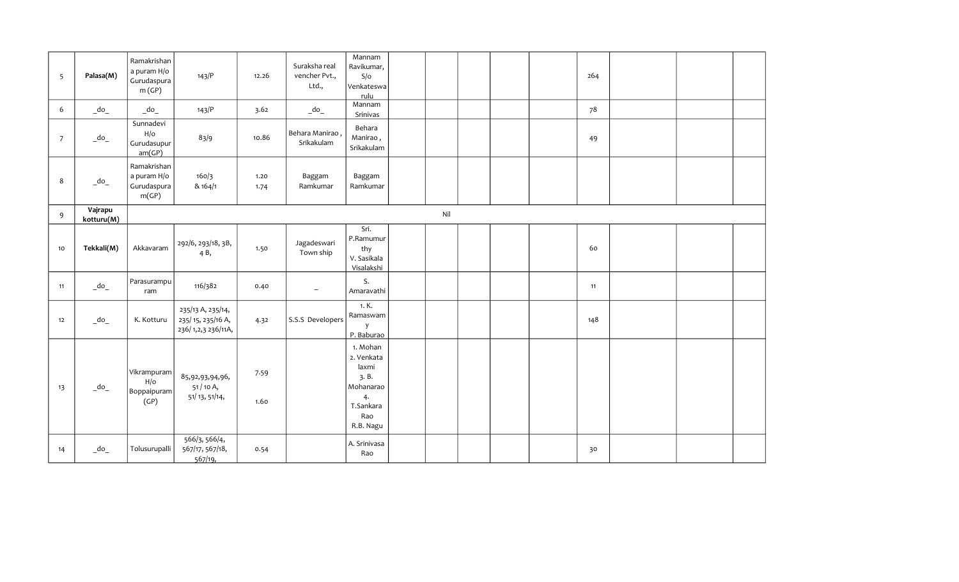| 5  | Palasa(M)                                            | Ramakrishan<br>a puram H/o<br>Gurudaspura<br>m(GP)   | 143/P                                                        | 12.26        | Suraksha real<br>vencher Pvt.,<br>Ltd., | Mannam<br>Ravikumar,<br>S/O<br>Venkateswa<br>rulu                                           |     |  | 264 |  |  |
|----|------------------------------------------------------|------------------------------------------------------|--------------------------------------------------------------|--------------|-----------------------------------------|---------------------------------------------------------------------------------------------|-----|--|-----|--|--|
| 6  | $\overline{\phantom{a}}$ do $\overline{\phantom{a}}$ | $\overline{\phantom{a}}$ do $\overline{\phantom{a}}$ | 143/P                                                        | 3.62         | $-do$                                   | Mannam<br>Srinivas                                                                          |     |  | 78  |  |  |
| 7  | $\overline{\phantom{a}}$ do $\overline{\phantom{a}}$ | Sunnadevi<br>H/O<br>Gurudasupur<br>am(GP)            | 83/9                                                         | 10.86        | , Behara Manirao (<br>Srikakulam        | Behara<br>Manirao,<br>Srikakulam                                                            |     |  | 49  |  |  |
| 8  | $\overline{\phantom{a}}$ do $\overline{\phantom{a}}$ | Ramakrishan<br>a puram H/o<br>Gurudaspura<br>m(GP)   | 160/3<br>& 164/1                                             | 1.20<br>1.74 | Baggam<br>Ramkumar                      | Baggam<br>Ramkumar                                                                          |     |  |     |  |  |
| 9  | Vajrapu<br>kotturu(M)                                |                                                      |                                                              |              |                                         |                                                                                             | Nil |  |     |  |  |
| 10 | Tekkali(M)                                           | Akkavaram                                            | 292/6, 293/18, 3B,<br>4B,                                    | 1.50         | Jagadeswari<br>Town ship                | Sri.<br>P.Ramumur<br>thy<br>V. Sasikala<br>Visalakshi                                       |     |  | 60  |  |  |
| 11 | $\overline{\phantom{a}}$ do $\overline{\phantom{a}}$ | Parasurampu<br>ram                                   | 116/382                                                      | 0.40         | $\overline{\phantom{a}}$                | S.<br>Amaravathi                                                                            |     |  | 11  |  |  |
| 12 | $\overline{\phantom{a}}$ do $\overline{\phantom{a}}$ | K. Kotturu                                           | 235/13 A, 235/14,<br>235/15, 235/16 A,<br>236/1,2,3 236/11A, | 4.32         | S.S.S Developers                        | 1. K.<br>Ramaswam<br>y<br>P. Baburao                                                        |     |  | 148 |  |  |
| 13 | $\overline{\phantom{a}}$ do $\overline{\phantom{a}}$ | Vikrampuram<br>H/O<br>Boppaipuram<br>(GP)            | 85,92,93,94,96,<br>51 / 10 A,<br>51/13, 51/14,               | 7.59<br>1.60 |                                         | 1. Mohan<br>2. Venkata<br>laxmi<br>3.B.<br>Mohanarao<br>4.<br>T.Sankara<br>Rao<br>R.B. Nagu |     |  |     |  |  |
| 14 | $\overline{\phantom{a}}$ do $\overline{\phantom{a}}$ | Tolusurupalli                                        | 566/3, 566/4,<br>567/17, 567/18,<br>567/19                   | 0.54         |                                         | A. Srinivasa<br>Rao                                                                         |     |  | 30  |  |  |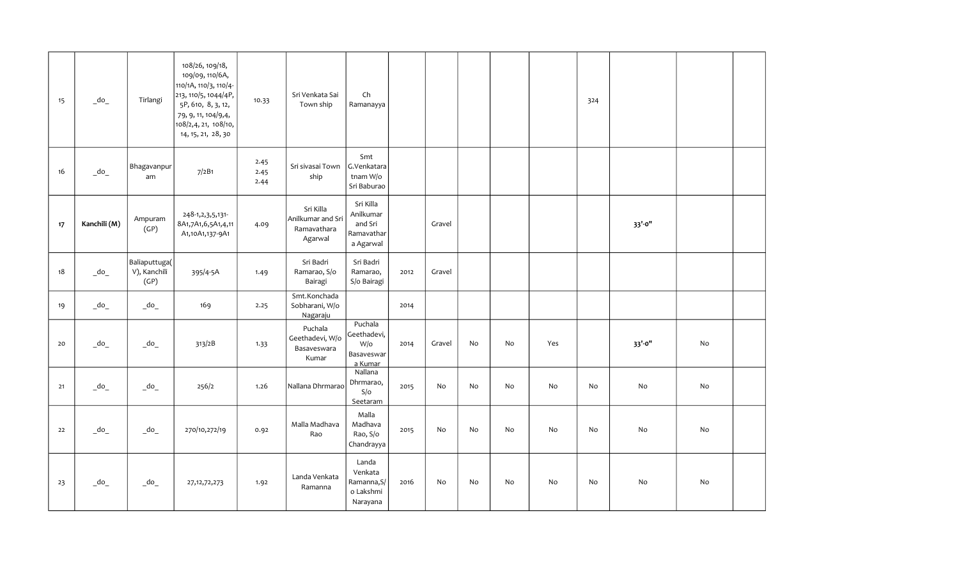| 15 | $\overline{\phantom{a}}$ do $\overline{\phantom{a}}$ | Tirlangi                                             | 108/26, 109/18,<br>109/09, 110/6A,<br>110/1A, 110/3, 110/4-<br>213, 110/5, 1044/4P,<br>5P, 610, 8, 3, 12,<br>79, 9, 11, 104/9,4,<br>108/2,4, 21, 108/10,<br>14, 15, 21, 28, 30 | 10.33                | Sri Venkata Sai<br>Town ship                             | Ch<br>Ramanayya                                              |      |        |    |    |     | 324 |        |    |  |
|----|------------------------------------------------------|------------------------------------------------------|--------------------------------------------------------------------------------------------------------------------------------------------------------------------------------|----------------------|----------------------------------------------------------|--------------------------------------------------------------|------|--------|----|----|-----|-----|--------|----|--|
| 16 | $\overline{\phantom{a}}$ do $\overline{\phantom{a}}$ | Bhagavanpur<br>am                                    | 7/2B1                                                                                                                                                                          | 2.45<br>2.45<br>2.44 | Sri sivasai Town<br>ship                                 | Smt<br>G.Venkatara<br>tnam W/o<br>Sri Baburao                |      |        |    |    |     |     |        |    |  |
| 17 | Kanchili (M)                                         | Ampuram<br>(GP)                                      | 248-1, 2, 3, 5, 131-<br>8A1,7A1,6,5A1,4,11<br>A1,10A1,137-9A1                                                                                                                  | 4.09                 | Sri Killa<br>Anilkumar and Sri<br>Ramavathara<br>Agarwal | Sri Killa<br>Anilkumar<br>and Sri<br>Ramavathar<br>a Agarwal |      | Gravel |    |    |     |     | 33'-0" |    |  |
| 18 | $\overline{\phantom{a}}$ do $\overline{\phantom{a}}$ | Baliaputtuga(<br>V), Kanchili<br>(GP)                | 395/4-5A                                                                                                                                                                       | 1.49                 | Sri Badri<br>Ramarao, S/o<br>Bairagi                     | Sri Badri<br>Ramarao,<br>S/o Bairagi                         | 2012 | Gravel |    |    |     |     |        |    |  |
| 19 | $\overline{\phantom{a}}$ do $\overline{\phantom{a}}$ | $\overline{\phantom{a}}$ do $\overline{\phantom{a}}$ | 169                                                                                                                                                                            | 2.25                 | Smt.Konchada<br>Sobharani, W/o<br>Nagaraju               |                                                              | 2014 |        |    |    |     |     |        |    |  |
| 20 | $\overline{\phantom{a}}$ do $\overline{\phantom{a}}$ | $\overline{\phantom{a}}$ do $\overline{\phantom{a}}$ | 313/2B                                                                                                                                                                         | 1.33                 | Puchala<br>Geethadevi, W/o<br>Basaveswara<br>Kumar       | Puchala<br>Geethadevi,<br>W/o<br>Basaveswar<br>a Kumar       | 2014 | Gravel | No | No | Yes |     | 33'-0" | No |  |
| 21 | $-do$                                                | $\overline{\phantom{a}}$ do $\overline{\phantom{a}}$ | 256/2                                                                                                                                                                          | 1.26                 | Nallana Dhrmarao                                         | Nallana<br>Dhrmarao,<br>S/O<br>Seetaram                      | 2015 | No     | No | No | No  | No  | No     | No |  |
| 22 | $\overline{\phantom{a}}$ do $\overline{\phantom{a}}$ | $\overline{\phantom{a}}$ do $\overline{\phantom{a}}$ | 270/10,272/19                                                                                                                                                                  | 0.92                 | Malla Madhava<br>Rao                                     | Malla<br>Madhava<br>Rao, S/o<br>Chandrayya                   | 2015 | No     | No | No | No  | No  | No     | No |  |
| 23 | $-do$                                                | $\overline{\phantom{a}}$ do                          | 27, 12, 72, 273                                                                                                                                                                | 1.92                 | Landa Venkata<br>Ramanna                                 | Landa<br>Venkata<br>Ramanna, S/<br>o Lakshmi<br>Narayana     | 2016 | No     | No | No | No  | No  | No     | No |  |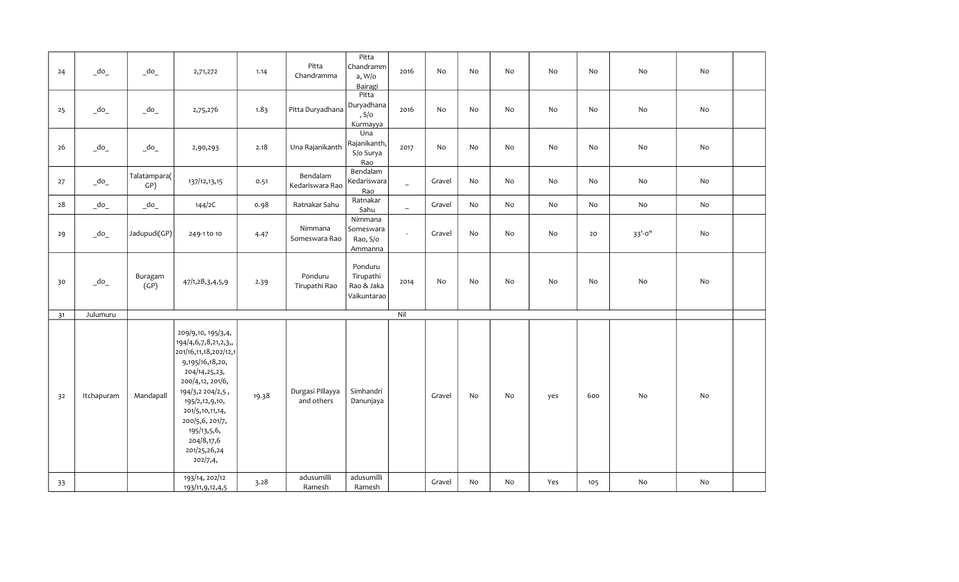| 24 | $\overline{\phantom{a}}$ do $\overline{\phantom{a}}$ | $\overline{\phantom{a}}$ do $\overline{\phantom{a}}$ | 2,71,272                                                                                                                                                                                                                                                         | 1.14  | Pitta<br>Chandramma            | Pitta<br>Chandramm<br>a, W/o<br>Bairagi             | 2016                     | No     | No | No | No  | No  | No          | $\operatorname{\mathsf{No}}$ |  |
|----|------------------------------------------------------|------------------------------------------------------|------------------------------------------------------------------------------------------------------------------------------------------------------------------------------------------------------------------------------------------------------------------|-------|--------------------------------|-----------------------------------------------------|--------------------------|--------|----|----|-----|-----|-------------|------------------------------|--|
| 25 | $\overline{\phantom{a}}$ do $\overline{\phantom{a}}$ | $\overline{\phantom{a}}$ do $\overline{\phantom{a}}$ | 2,75,276                                                                                                                                                                                                                                                         | 1.83  | Pitta Duryadhana               | $P$ itta<br>Duryadhana<br>, $S/O$<br>Kurmayya       | 2016                     | No     | No | No | No  | No  | No          | $\operatorname{\mathsf{No}}$ |  |
| 26 | $\overline{\phantom{a}}$ do $\overline{\phantom{a}}$ | $\sqrt{\frac{1}{2}}$                                 | 2,90,293                                                                                                                                                                                                                                                         | 2.18  | Una Rajanikanth                | U <sub>na</sub><br>Rajanikanth,<br>S/o Surya<br>Rao | 2017                     | No     | No | No | No  | No  | No          | No                           |  |
| 27 | $\_\text{do}\_\text{a}$                              | Talatampara(<br>GP)                                  | 137/12,13,15                                                                                                                                                                                                                                                     | 0.51  | Bendalam<br>Kedariswara Rao    | Bendalam<br>Kedariswara<br>Rao                      | $\equiv$                 | Gravel | No | No | No  | No  | No          | No                           |  |
| 28 | $\overline{\phantom{a}}$ do $\overline{\phantom{a}}$ | $\overline{\phantom{a}}$ do $\overline{\phantom{a}}$ | 144/2C                                                                                                                                                                                                                                                           | 0.98  | Ratnakar Sahu                  | Ratnakar<br>Sahu                                    | $\overline{\phantom{m}}$ | Gravel | No | No | No  | No  | No          | No                           |  |
| 29 | $\overline{\phantom{a}}$ do $\overline{\phantom{a}}$ | Jadupudi(GP)                                         | 249-1 to 10                                                                                                                                                                                                                                                      | 4.47  | Nimmana<br>Someswara Rao       | Nimmana<br>Someswara<br>Rao, S/o<br>Ammanna         | $\sim$                   | Gravel | No | No | No  | 20  | $33' - 0''$ | $\operatorname{\mathsf{No}}$ |  |
| 30 | $\overline{\phantom{a}}$ do $\overline{\phantom{a}}$ | Buragam<br>(GP)                                      | 47/1,2B,3,4,5,9                                                                                                                                                                                                                                                  | 2.39  | Ponduru<br>Tirupathi Rao       | Ponduru<br>Tirupathi<br>Rao & Jaka<br>Vaikuntarao   | 2014                     | No     | No | No | No  | No  | No          | No                           |  |
| 31 | Julumuru                                             |                                                      |                                                                                                                                                                                                                                                                  |       |                                |                                                     | Nil                      |        |    |    |     |     |             |                              |  |
| 32 | Itchapuram                                           | Mandapall                                            | 209/9,10, 195/3,4,<br>194/4,6,7,8,21,2,3,,<br>201/16,11,18,202/12,1<br>9,195/16,18,20,<br>204/14,25,23,<br>200/4,12, 201/6,<br>194/3,2 204/2,5,<br>195/2,12,9,10,<br>201/5,10,11,14,<br>200/5,6, 201/7,<br>195/13,5,6,<br>204/8,17,6<br>201/25,26,24<br>202/7,4, | 19.38 | Durgasi Pillayya<br>and others | Simhandri<br>Danunjaya                              |                          | Gravel | No | No | yes | 600 | No          | No                           |  |
| 33 |                                                      |                                                      | 193/14, 202/12<br>193/11, 9, 12, 4, 5                                                                                                                                                                                                                            | 3.28  | adusumilli<br>Ramesh           | adusumilli<br>Ramesh                                |                          | Gravel | No | No | Yes | 105 | No          | No                           |  |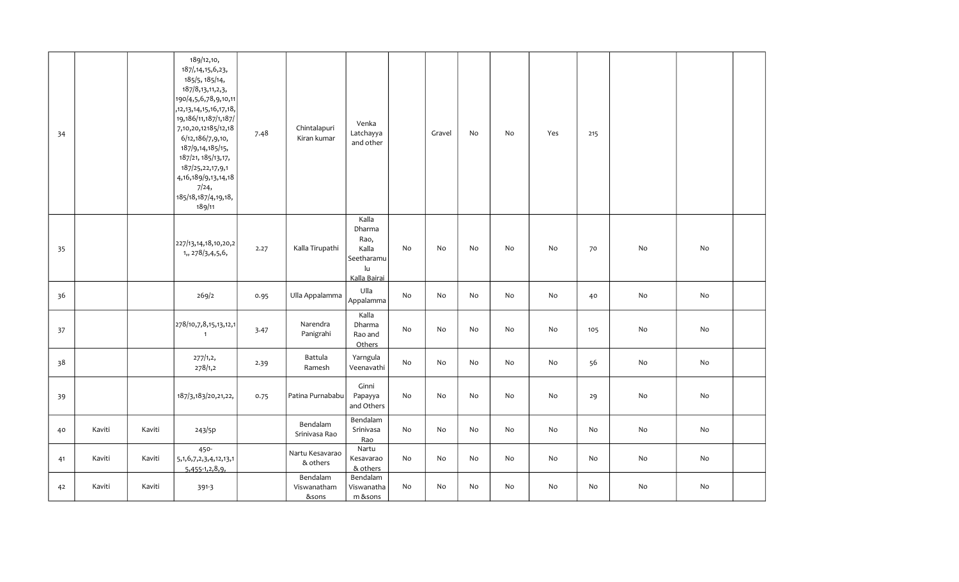| 34 |        |        | 189/12,10,<br>187/, 14, 15, 6, 23,<br>185/5, 185/14,<br>187/8, 13, 11, 2, 3,<br>190/4,5,6,78,9,10,11<br>,12,13,14,15,16,17,18,<br>19, 186/11, 187/1, 187/<br>7, 10, 20, 12185/12, 18<br>6/12,186/7,9,10,<br>187/9,14,185/15,<br>187/21, 185/13, 17,<br>187/25,22,17,9,1<br>4, 16, 189/9, 13, 14, 18<br>7/24,<br>185/18, 187/4, 19, 18,<br>189/11 | 7.48 | Chintalapuri<br>Kiran kumar      | Venka<br>Latchayya<br>and other                                                          |                              | Gravel | No | No | Yes | 215 |    |    |  |
|----|--------|--------|--------------------------------------------------------------------------------------------------------------------------------------------------------------------------------------------------------------------------------------------------------------------------------------------------------------------------------------------------|------|----------------------------------|------------------------------------------------------------------------------------------|------------------------------|--------|----|----|-----|-----|----|----|--|
| 35 |        |        | 227/13,14,18,10,20,2<br>1,, 278/3, 4, 5, 6,                                                                                                                                                                                                                                                                                                      | 2.27 | Kalla Tirupathi                  | Kalla<br>Dharma<br>Rao,<br>Kalla<br>Seetharamu<br>$\mathsf{I}\mathsf{u}$<br>Kalla Bairai | No                           | No     | No | No | No  | 70  | No | No |  |
| 36 |        |        | 269/2                                                                                                                                                                                                                                                                                                                                            | 0.95 | Ulla Appalamma                   | Ulla<br>Appalamma                                                                        | No                           | No     | No | No | No  | 40  | No | No |  |
| 37 |        |        | 278/10,7,8,15,13,12,1<br>$\overline{1}$                                                                                                                                                                                                                                                                                                          | 3.47 | Narendra<br>Panigrahi            | Kalla<br>Dharma<br>Rao and<br>Others                                                     | No                           | No     | No | No | No  | 105 | No | No |  |
| 38 |        |        | 277/1,2,<br>278/1,2                                                                                                                                                                                                                                                                                                                              | 2.39 | Battula<br>Ramesh                | Yarngula<br>Veenavathi                                                                   | No                           | No     | No | No | No  | 56  | No | No |  |
| 39 |        |        | 187/3,183/20,21,22,                                                                                                                                                                                                                                                                                                                              | 0.75 | Patina Purnababu                 | Ginni<br>Papayya<br>and Others                                                           | No                           | No     | No | No | No  | 29  | No | No |  |
| 40 | Kaviti | Kaviti | 243/5p                                                                                                                                                                                                                                                                                                                                           |      | Bendalam<br>Srinivasa Rao        | Bendalam<br>Srinivasa<br>Rao                                                             | No                           | No     | No | No | No  | No  | No | No |  |
| 41 | Kaviti | Kaviti | 450-<br>5, 1, 6, 7, 2, 3, 4, 12, 13, 1<br>$5,455-1,2,8,9,$                                                                                                                                                                                                                                                                                       |      | Nartu Kesavarao<br>& others      | Nartu<br>Kesavarao<br>& others                                                           | No                           | No     | No | No | No  | No  | No | No |  |
| 42 | Kaviti | Kaviti | 391-3                                                                                                                                                                                                                                                                                                                                            |      | Bendalam<br>Viswanatham<br>&sons | Bendalam<br>Viswanatha<br>$m$ & sons                                                     | $\operatorname{\mathsf{No}}$ | No     | No | No | No  | No  | No | No |  |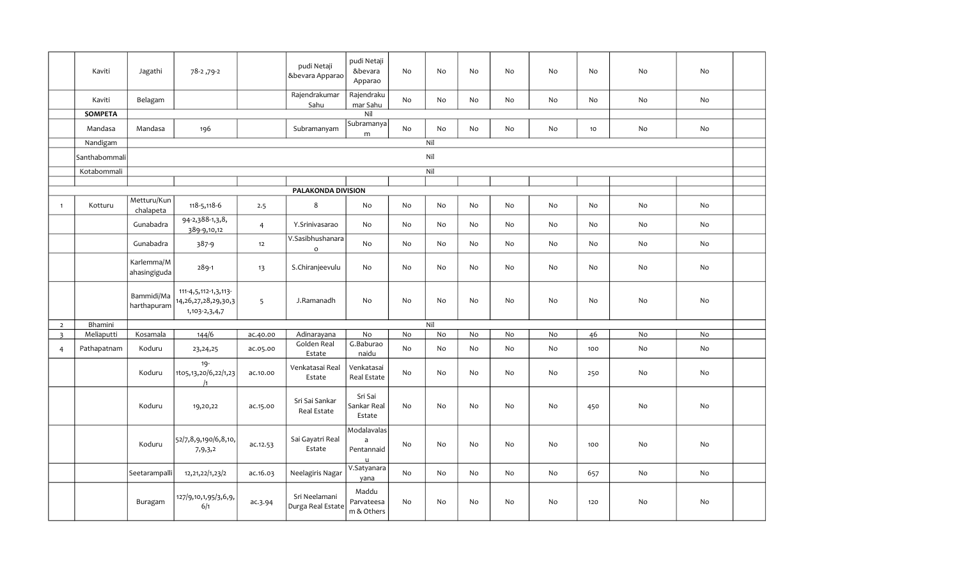|                | Kaviti         | Jagathi                    | 78-2, 79-2                                                               |                | pudi Netaji<br>&bevara Apparao          | pudi Netaji<br>&bevara<br>Apparao                         | <b>No</b>      | No        | No                           | No | No        | No  | No | No |  |
|----------------|----------------|----------------------------|--------------------------------------------------------------------------|----------------|-----------------------------------------|-----------------------------------------------------------|----------------|-----------|------------------------------|----|-----------|-----|----|----|--|
|                | Kaviti         | Belagam                    |                                                                          |                | Rajendrakumar<br>Sahu                   | Rajendraku<br>mar Sahu                                    | No             | No        | $\operatorname{\mathsf{No}}$ | No | No        | No  | No | No |  |
|                | <b>SOMPETA</b> |                            |                                                                          |                |                                         | $\mathsf{Nil}$                                            |                |           |                              |    |           |     |    |    |  |
|                | Mandasa        | Mandasa                    | 196                                                                      |                | Subramanyam                             | Subramanya<br>m                                           | No             | No        | No                           | No | No        | 10  | No | No |  |
|                | Nandigam       |                            |                                                                          |                |                                         |                                                           |                | Nil       |                              |    |           |     |    |    |  |
|                | Santhabommali  |                            |                                                                          |                |                                         |                                                           |                | Nil       |                              |    |           |     |    |    |  |
|                | Kotabommali    |                            |                                                                          |                |                                         |                                                           |                | Nil       |                              |    |           |     |    |    |  |
|                |                |                            |                                                                          |                |                                         |                                                           |                |           |                              |    |           |     |    |    |  |
|                |                |                            |                                                                          |                | PALAKONDA DIVISION                      |                                                           |                |           |                              |    |           |     |    |    |  |
| $\mathbf{1}$   | Kotturu        | Metturu/Kun<br>chalapeta   | 118-5,118-6                                                              | 2.5            | $\,8\,$                                 | No                                                        | No             | <b>No</b> | <b>No</b>                    | No | No        | No  | No | No |  |
|                |                | Gunabadra                  | $\overline{94}$ -2,388-1,3,8,<br>389-9,10,12                             | $\overline{4}$ | Y.Srinivasarao                          | <b>No</b>                                                 | No             | <b>No</b> | No                           | No | No        | No  | No | No |  |
|                |                | Gunabadra                  | 387-9                                                                    | 12             | V.Sasibhushanara<br>$\mathsf{o}\xspace$ | No                                                        | No             | No        | No                           | No | No        | No  | No | No |  |
|                |                | Karlemma/M<br>ahasingiguda | 289-1                                                                    | 13             | S.Chiranjeevulu                         | No                                                        | No             | No        | No                           | No | No        | No  | No | No |  |
|                |                | Bammidi/Ma<br>harthapuram  | 111-4,5,112-1,3,113-<br>14, 26, 27, 28, 29, 30, 3<br>1, 103 - 2, 3, 4, 7 | 5              | J.Ramanadh                              | No                                                        | No             | No        | No                           | No | No        | No  | No | No |  |
| $\overline{2}$ | Bhamini        |                            |                                                                          |                |                                         |                                                           |                | Nil       |                              |    |           |     |    |    |  |
| $\overline{3}$ | Meliaputti     | Kosamala                   | 144/6                                                                    | ac.40.00       | Adinarayana                             | No                                                        | No             | No        | No                           | No | No        | 46  | No | No |  |
| $\overline{4}$ | Pathapatnam    | Koduru                     | 23, 24, 25                                                               | ac.05.00       | Golden Real<br>Estate                   | G.Baburao<br>naidu                                        | No             | No        | No                           | No | No        | 100 | No | No |  |
|                |                | Koduru                     | $19 -$<br>1to5,13,20/6,22/1,23<br>$\sqrt{1}$                             | ac.10.00       | Venkatasai Real<br>Estate               | Venkatasai<br>Real Estate                                 | No             | No        | No                           | No | No        | 250 | No | No |  |
|                |                | Koduru                     | 19,20,22                                                                 | ac.15.00       | Sri Sai Sankar<br>Real Estate           | Sri Sai<br>Sankar Real<br>Estate                          | N <sub>o</sub> | <b>No</b> | No                           | No | No        | 450 | No | No |  |
|                |                | Koduru                     | 52/7,8,9,190/6,8,10,<br>7,9,3,2                                          | ac.12.53       | Sai Gayatri Real<br>Estate              | Modalavalas<br>$\mathsf{a}$<br>Pentannaid<br>$\mathsf{u}$ | No             | No        | No                           | No | No        | 100 | No | No |  |
|                |                | Seetarampalli              | 12, 21, 22/1, 23/2                                                       | ac.16.03       | Neelagiris Nagar                        | V.Satyanara<br>yana                                       | No             | No        | No                           | No | No        | 657 | No | No |  |
|                |                | Buragam                    | 127/9,10,1,95/3,6,9,<br>6/1                                              | ac.3.94        | Sri Neelamani<br>Durga Real Estate      | Maddu<br>Parvateesa<br>m & Others                         | <b>No</b>      | No        | No                           | No | <b>No</b> | 120 | No | No |  |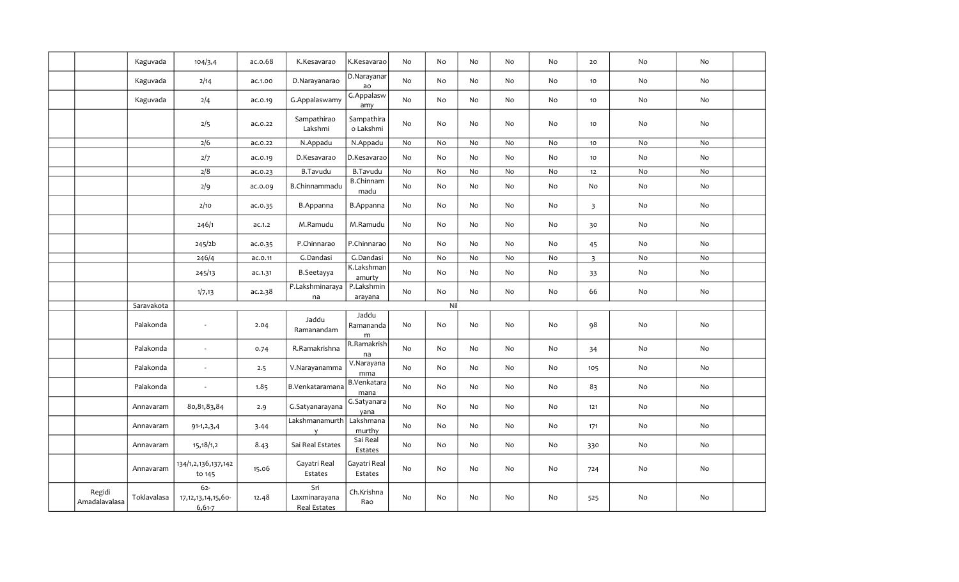|                         | Kaguvada    | 104/3,4                                       | ac.o.68 | K.Kesavarao                          | K.Kesavarao                      | No | No  | No | No                           | No                           | 20                      | No                           | No |  |
|-------------------------|-------------|-----------------------------------------------|---------|--------------------------------------|----------------------------------|----|-----|----|------------------------------|------------------------------|-------------------------|------------------------------|----|--|
|                         | Kaguvada    | 2/14                                          | ac.1.00 | D.Narayanarao                        | D.Narayanar<br>ao                | No | No  | No | No                           | No                           | 10                      | No                           | No |  |
|                         | Kaguvada    | 2/4                                           | ac.0.19 | G.Appalaswamy                        | G.Appalasw<br>amy                | No | No  | No | No                           | No                           | 10                      | No                           | No |  |
|                         |             | 2/5                                           | ac.0.22 | Sampathirao<br>Lakshmi               | Sampathira<br>o Lakshmi          | No | No  | No | No                           | No                           | 10                      | No                           | No |  |
|                         |             | 2/6                                           | ac.0.22 | N.Appadu                             | N.Appadu                         | No | No  | No | $\operatorname{\mathsf{No}}$ | $\operatorname{\mathsf{No}}$ | 10 <sub>1</sub>         | $\operatorname{\mathsf{No}}$ | No |  |
|                         |             | 2/7                                           | ac.0.19 | D.Kesavarao                          | D.Kesavarao                      | No | No  | No | No                           | No                           | 10                      | No                           | No |  |
|                         |             | 2/8                                           | ac.0.23 | <b>B.Tavudu</b>                      | <b>B.Tavudu</b>                  | No | No  | No | No                           | No                           | 12                      | No                           | No |  |
|                         |             | 2/9                                           | ac.o.o9 | B.Chinnammadu                        | <b>B.Chinnam</b><br>madu         | No | No  | No | No                           | No                           | No                      | No                           | No |  |
|                         |             | 2/10                                          | ac.0.35 | <b>B.Appanna</b>                     | B.Appanna                        | No | No  | No | No                           | No                           | $\overline{\mathbf{3}}$ | No                           | No |  |
|                         |             | 246/1                                         | ac.1.2  | M.Ramudu                             | M.Ramudu                         | No | No  | No | No                           | No                           | 30                      | No                           | No |  |
|                         |             | 245/2b                                        | ac.0.35 | P.Chinnarao                          | P.Chinnarao                      | No | No  | No | No                           | No                           | 45                      | No                           | No |  |
|                         |             | 246/4                                         | ac.o.11 | G.Dandasi                            | G.Dandasi                        | No | No  | No | No                           | No                           | $\overline{\mathbf{3}}$ | No                           | No |  |
|                         |             | 245/13                                        | ac.1.31 | B.Seetayya                           | K.Lakshman<br>amurty             | No | No  | No | No                           | No                           | 33                      | No                           | No |  |
|                         |             | 1/7,13                                        | ac.2.38 | P.Lakshminaraya<br>na                | P.Lakshmin<br>arayana            | No | No  | No | No                           | No                           | 66                      | No                           | No |  |
|                         | Saravakota  |                                               |         |                                      |                                  |    | Nil |    |                              |                              |                         |                              |    |  |
|                         | Palakonda   |                                               | 2.04    | Jaddu<br>Ramanandam                  | Jaddu<br>Ramananda<br>m          | No | No  | No | $\operatorname{\mathsf{No}}$ | No                           | 98                      | No                           | No |  |
|                         | Palakonda   | $\overline{\phantom{a}}$                      | 0.74    | R.Ramakrishna                        | R.Ramakrish<br>na                | No | No  | No | No                           | No                           | 34                      | No                           | No |  |
|                         | Palakonda   | $\sim$                                        | 2.5     | V.Narayanamma                        | $\overline{V}$ . Narayana<br>mma | No | No  | No | No                           | No                           | 105                     | No                           | No |  |
|                         | Palakonda   | $\overline{\phantom{a}}$                      | 1.85    | B.Venkataramana                      | B.Venkatara<br>mana              | No | No  | No | No                           | No                           | 83                      | No                           | No |  |
|                         | Annavaram   | 80, 81, 83, 84                                | 2.9     | G.Satyanarayana                      | G.Satyanara<br>yana              | No | No  | No | No                           | No                           | 121                     | $\operatorname{\mathsf{No}}$ | No |  |
|                         | Annavaram   | $91-1, 2, 3, 4$                               | 3.44    | Lakshmanamurth<br>y                  | Lakshmana<br>murthy              | No | No  | No | No                           | No                           | 171                     | No                           | No |  |
|                         | Annavaram   | 15,18/1,2                                     | 8.43    | Sai Real Estates                     | Sai Real<br>Estates              | No | No  | No | No                           | No                           | 330                     | No                           | No |  |
|                         | Annavaram   | 134/1,2,136,137,142<br>to 145                 | 15.06   | Gayatri Real<br>Estates              | Gayatri Real<br>Estates          | No | No  | No | No                           | No                           | 724                     | No                           | No |  |
| Regidi<br>Amadalavalasa | Toklavalasa | $62 -$<br>17, 12, 13, 14, 15, 60-<br>$6,61-7$ | 12.48   | Sri<br>Laxminarayana<br>Real Estates | Ch.Krishna<br>Rao                | No | No  | No | No                           | No                           | 525                     | No                           | No |  |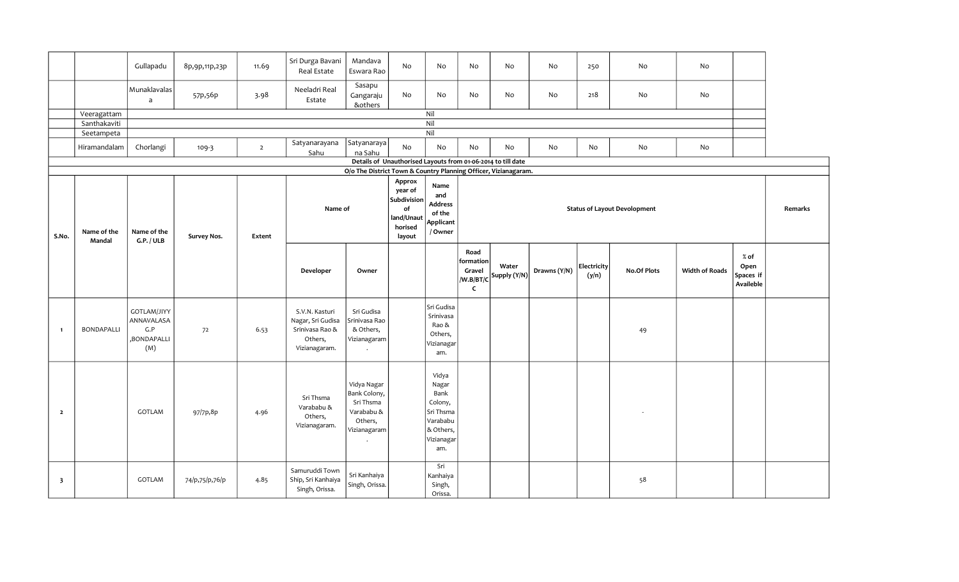|                         |                       | Gullapadu                                              | 8p,9p,11p,23p  | 11.69          | Sri Durga Bavani<br>Real Estate                                                    | Mandava<br>Eswara Rao                                                             | No                                                                        | No                                                                                           | No                                                       | No                                                           | No           | 250                         | No                                  | No                    |                                          |         |
|-------------------------|-----------------------|--------------------------------------------------------|----------------|----------------|------------------------------------------------------------------------------------|-----------------------------------------------------------------------------------|---------------------------------------------------------------------------|----------------------------------------------------------------------------------------------|----------------------------------------------------------|--------------------------------------------------------------|--------------|-----------------------------|-------------------------------------|-----------------------|------------------------------------------|---------|
|                         |                       | Munaklavalas<br>$\mathsf{a}$                           | 57p,56p        | 3.98           | Neeladri Real<br>Estate                                                            | Sasapu<br>Gangaraju<br>&others                                                    | No                                                                        | No                                                                                           | No                                                       | No                                                           | No           | 218                         | No                                  | No                    |                                          |         |
|                         | Veeragattam           |                                                        |                |                |                                                                                    |                                                                                   |                                                                           | Nil                                                                                          |                                                          |                                                              |              |                             |                                     |                       |                                          |         |
|                         | Santhakaviti          |                                                        |                |                |                                                                                    |                                                                                   |                                                                           | Nil                                                                                          |                                                          |                                                              |              |                             |                                     |                       |                                          |         |
|                         | Seetampeta            |                                                        |                |                | Satyanarayana                                                                      | Satyanaraya                                                                       |                                                                           | Nil                                                                                          |                                                          |                                                              |              |                             |                                     |                       |                                          |         |
|                         | Hiramandalam          | Chorlangi                                              | $109 - 3$      | $\overline{2}$ | Sahu                                                                               | na Sahu                                                                           | $\rm No$                                                                  | No                                                                                           | No                                                       | No                                                           | No           | No                          | No                                  | No                    |                                          |         |
|                         |                       |                                                        |                |                |                                                                                    |                                                                                   |                                                                           |                                                                                              |                                                          | Details of Unauthorised Layouts from 01-06-2014 to till date |              |                             |                                     |                       |                                          |         |
|                         |                       |                                                        |                |                |                                                                                    | O/o The District Town & Country Planning Officer, Vizianagaram.                   |                                                                           |                                                                                              |                                                          |                                                              |              |                             |                                     |                       |                                          |         |
| S.No.                   | Name of the<br>Mandal | Name of the<br>G.P. / ULB                              | Survey Nos.    | Extent         | Name of                                                                            |                                                                                   | Approx<br>year of<br>Subdivision<br>of<br>land/Unaut<br>horised<br>layout | Name<br>and<br><b>Address</b><br>of the<br>Applicant<br>/ Owner                              |                                                          |                                                              |              |                             | <b>Status of Layout Devolopment</b> |                       |                                          | Remarks |
|                         |                       |                                                        |                |                | Developer                                                                          | Owner                                                                             |                                                                           |                                                                                              | Road<br>formation<br>Gravel<br>/W.B/BT/C<br>$\mathsf{C}$ | Water<br>Supply (Y/N)                                        | Drawns (Y/N) | <b>Electricity</b><br>(y/n) | <b>No.Of Plots</b>                  | <b>Width of Roads</b> | $%$ of<br>Open<br>Spaces if<br>Availeble |         |
| $\blacksquare$          | BONDAPALLI            | GOTLAM/JIYY<br>ANNAVALASA<br>G.P<br>,BONDAPALLI<br>(M) | 72             | 6.53           | S.V.N. Kasturi<br>Nagar, Sri Gudisa<br>Srinivasa Rao &<br>Others,<br>Vizianagaram. | Sri Gudisa<br>Srinivasa Rao<br>& Others,<br>Vizianagaram                          |                                                                           | Sri Gudisa<br>Srinivasa<br>Rao &<br>Others,<br>Vizianagar<br>am.                             |                                                          |                                                              |              |                             | 49                                  |                       |                                          |         |
| $\overline{\mathbf{2}}$ |                       | GOTLAM                                                 | 97/7p,8p       | 4.96           | Sri Thsma<br>Varababu &<br>Others,<br>Vizianagaram.                                | Vidya Nagar<br>Bank Colony,<br>Sri Thsma<br>Varababu &<br>Others,<br>Vizianagaram |                                                                           | Vidya<br>Nagar<br>Bank<br>Colony,<br>Sri Thsma<br>Varababu<br>& Others,<br>Vizianagar<br>am. |                                                          |                                                              |              |                             |                                     |                       |                                          |         |
| $\overline{\mathbf{3}}$ |                       | GOTLAM                                                 | 74/p,75/p,76/p | 4.85           | Samuruddi Town<br>Ship, Sri Kanhaiya<br>Singh, Orissa.                             | Sri Kanhaiya<br>Singh, Orissa.                                                    |                                                                           | Sri<br>Kanhaiya<br>Singh,<br>Orissa.                                                         |                                                          |                                                              |              |                             | 58                                  |                       |                                          |         |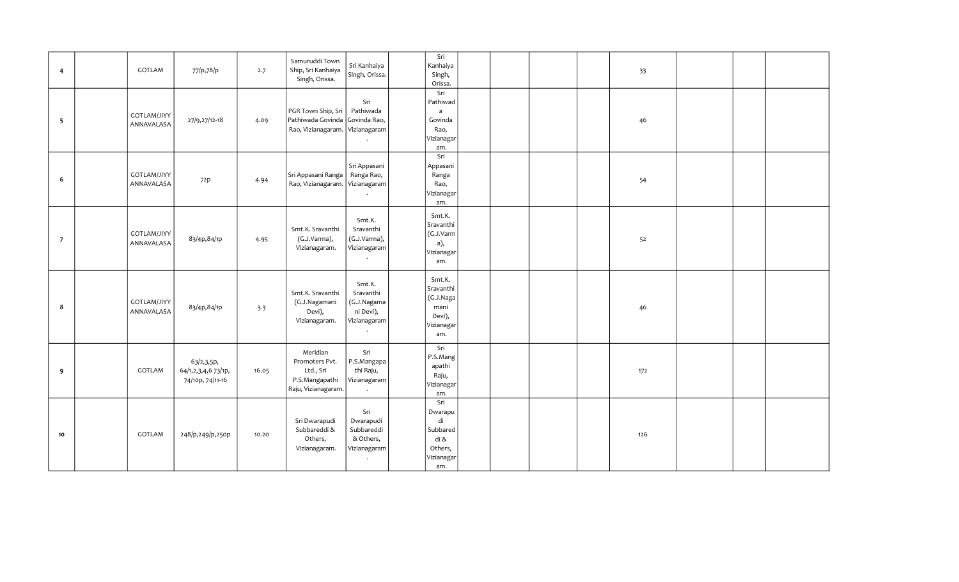|                          |                    |                     |       | Samuruddi Town                  | Sri Kanhaiya   | Sri          |  |  |     |  |  |
|--------------------------|--------------------|---------------------|-------|---------------------------------|----------------|--------------|--|--|-----|--|--|
| $\overline{4}$           | GOTLAM             | 77/p,78/p           | 2.7   | Ship, Sri Kanhaiya              |                | Kanhaiya     |  |  | 33  |  |  |
|                          |                    |                     |       | Singh, Orissa.                  | Singh, Orissa. | Singh,       |  |  |     |  |  |
|                          |                    |                     |       |                                 |                | Orissa.      |  |  |     |  |  |
|                          |                    |                     |       |                                 |                | Sri          |  |  |     |  |  |
|                          |                    |                     |       |                                 | Sri            | Pathiwad     |  |  |     |  |  |
|                          |                    |                     |       | PGR Town Ship, Sri              | Pathiwada      | $\mathsf{a}$ |  |  |     |  |  |
| $\overline{\phantom{0}}$ | <b>GOTLAM/JIYY</b> | 27/9,27/12-18       | 4.09  | Pathiwada Govinda Govinda Rao,  |                | Govinda      |  |  | 46  |  |  |
|                          | ANNAVALASA         |                     |       | Rao, Vizianagaram. Vizianagaram |                | Rao,         |  |  |     |  |  |
|                          |                    |                     |       |                                 |                | Vizianagar   |  |  |     |  |  |
|                          |                    |                     |       |                                 |                | am.          |  |  |     |  |  |
|                          |                    |                     |       |                                 |                | Sri          |  |  |     |  |  |
|                          |                    |                     |       |                                 | Sri Appasani   |              |  |  |     |  |  |
|                          |                    |                     |       |                                 |                | Appasani     |  |  |     |  |  |
| 6                        | <b>GOTLAM/JIYY</b> | 72 <sub>p</sub>     | 4.94  | Sri Appasani Ranga              | Ranga Rao,     | Ranga        |  |  | 54  |  |  |
|                          | ANNAVALASA         |                     |       | Rao, Vizianagaram. Vizianagaram |                | Rao,         |  |  |     |  |  |
|                          |                    |                     |       |                                 | $\bullet$      | Vizianagar   |  |  |     |  |  |
|                          |                    |                     |       |                                 |                | am.          |  |  |     |  |  |
|                          |                    |                     |       |                                 |                | Smt.K.       |  |  |     |  |  |
|                          |                    |                     |       |                                 | Smt.K.         | Sravanthi    |  |  |     |  |  |
|                          | <b>GOTLAM/JIYY</b> |                     |       | Smt.K. Sravanthi                | Sravanthi      | (G.J.Varm    |  |  |     |  |  |
| $\overline{7}$           |                    | 83/4p,84/1p         | 4.95  | (G.J.Varma),                    | (G.J.Varma),   |              |  |  | 52  |  |  |
|                          | ANNAVALASA         |                     |       | Vizianagaram.                   | Vizianagaram   | a),          |  |  |     |  |  |
|                          |                    |                     |       |                                 |                | Vizianagar   |  |  |     |  |  |
|                          |                    |                     |       |                                 |                | am.          |  |  |     |  |  |
|                          |                    |                     |       |                                 |                |              |  |  |     |  |  |
|                          |                    |                     |       |                                 | Smt.K.         | Smt.K.       |  |  |     |  |  |
|                          |                    |                     |       | Smt.K. Sravanthi                | Sravanthi      | Sravanthi    |  |  |     |  |  |
|                          | <b>GOTLAM/JIYY</b> |                     |       | (G.J.Nagamani                   | (G.J.Nagama    | (G.J.Naga    |  |  |     |  |  |
| 8                        | ANNAVALASA         | 83/4p,84/1p         | 3.3   | Devi),                          | ni Devi),      | mani         |  |  | 46  |  |  |
|                          |                    |                     |       | Vizianagaram.                   | Vizianagaram   | Devi),       |  |  |     |  |  |
|                          |                    |                     |       |                                 |                | Vizianagar   |  |  |     |  |  |
|                          |                    |                     |       |                                 | $\cdot$        | am.          |  |  |     |  |  |
|                          |                    |                     |       |                                 |                | Sri          |  |  |     |  |  |
|                          |                    |                     |       | Meridian                        | Sri            |              |  |  |     |  |  |
|                          |                    | 63/2,3,5p,          |       | Promoters Pvt.                  | P.S.Mangapa    | P.S.Mang     |  |  |     |  |  |
| 9                        | <b>GOTLAM</b>      | 64/1,2,3,4,6 73/1p, | 16.05 | Ltd., Sri                       | thi Raju,      | apathi       |  |  | 172 |  |  |
|                          |                    | 74/10p, 74/11-16    |       | P.S.Mangapathi                  | Vizianagaram   | Raju,        |  |  |     |  |  |
|                          |                    |                     |       | Raju, Vizianagaram.             |                | Vizianagar   |  |  |     |  |  |
|                          |                    |                     |       |                                 |                | am.          |  |  |     |  |  |
|                          |                    |                     |       |                                 |                | Sri          |  |  |     |  |  |
|                          |                    |                     |       |                                 | Sri            | Dwarapu      |  |  |     |  |  |
|                          |                    |                     |       | Sri Dwarapudi                   | Dwarapudi      | di           |  |  |     |  |  |
|                          |                    |                     |       | Subbareddi &                    | Subbareddi     | Subbared     |  |  |     |  |  |
| 10 <sub>10</sub>         | GOTLAM             | 248/p,249/p,250p    | 10.20 | Others,                         | & Others,      | di &         |  |  | 126 |  |  |
|                          |                    |                     |       | Vizianagaram.                   | Vizianagaram   | Others,      |  |  |     |  |  |
|                          |                    |                     |       |                                 |                | Vizianagar   |  |  |     |  |  |
|                          |                    |                     |       |                                 |                | am.          |  |  |     |  |  |
|                          |                    |                     |       |                                 |                |              |  |  |     |  |  |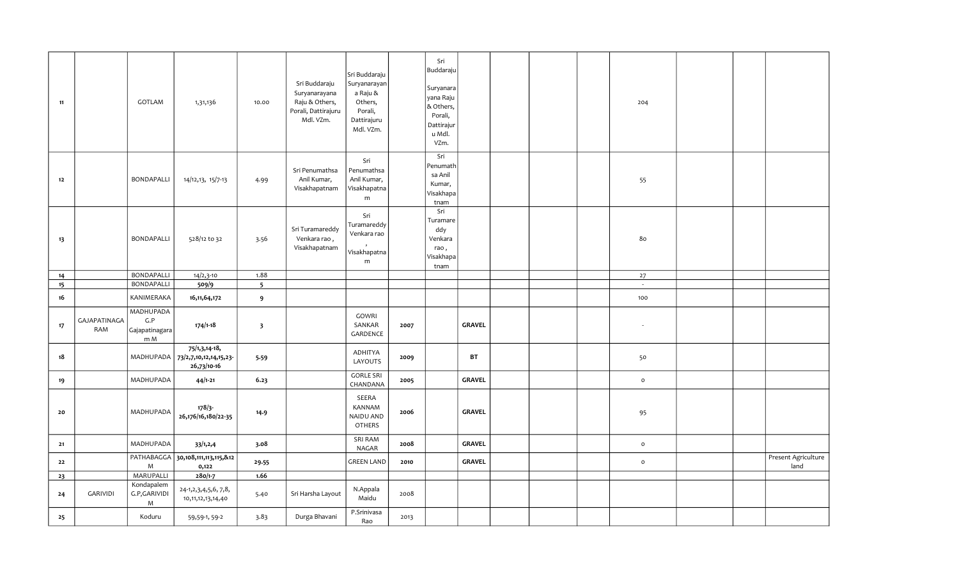| 11 |                     | GOTLAM                                    | 1,31,136                                                 | 10.00                    | Sri Buddaraju<br>Suryanarayana<br>Raju & Others,<br>Porali, Dattirajuru<br>Mdl. VZm. | Sri Buddaraju<br>Suryanarayan<br>a Raju &<br>Others,<br>Porali,<br>Dattirajuru<br>Mdl. VZm. |      | Sri<br>Buddaraju<br>Suryanara<br>yana Raju<br>& Others,<br>Porali,<br>Dattirajur<br>u Mdl.<br>VZm. |               |  | 204                 |  |                             |
|----|---------------------|-------------------------------------------|----------------------------------------------------------|--------------------------|--------------------------------------------------------------------------------------|---------------------------------------------------------------------------------------------|------|----------------------------------------------------------------------------------------------------|---------------|--|---------------------|--|-----------------------------|
| 12 |                     | BONDAPALLI                                | 14/12,13, 15/7-13                                        | 4.99                     | Sri Penumathsa<br>Anil Kumar,<br>Visakhapatnam                                       | Sri<br>Penumathsa<br>Anil Kumar,<br>Visakhapatna<br>m                                       |      | Sri<br>Penumath<br>sa Anil<br>Kumar,<br>Visakhapa<br>tnam                                          |               |  | 55                  |  |                             |
| 13 |                     | BONDAPALLI                                | 528/12 to 32                                             | 3.56                     | Sri Turamareddy<br>Venkara rao,<br>Visakhapatnam                                     | Sri<br>Turamareddy<br>Venkara rao<br>Visakhapatna<br>m                                      |      | Sri<br>Turamare<br>ddy<br>Venkara<br>rao,<br>Visakhapa<br>tnam                                     |               |  | 80                  |  |                             |
| 14 |                     | BONDAPALLI                                | $14/2,3-10$                                              | 1.88                     |                                                                                      |                                                                                             |      |                                                                                                    |               |  | 27                  |  |                             |
| 15 |                     | <b>BONDAPALLI</b>                         | 509/9                                                    | $\overline{\phantom{0}}$ |                                                                                      |                                                                                             |      |                                                                                                    |               |  | $\sim$              |  |                             |
| 16 |                     | KANIMERAKA                                | 16,11,64,172                                             | 9                        |                                                                                      |                                                                                             |      |                                                                                                    |               |  | 100                 |  |                             |
| 17 | GAJAPATINAGA<br>RAM | MADHUPADA<br>G.P<br>Gajapatinagara<br>m M | $174/1 - 18$                                             | $\overline{\mathbf{3}}$  |                                                                                      | GOWRI<br>SANKAR<br>GARDENCE                                                                 | 2007 |                                                                                                    | <b>GRAVEL</b> |  |                     |  |                             |
| 18 |                     | MADHUPADA                                 | 75/1,3,14-18,<br>73/2,7,10,12,14,15,23-<br>$26,73/10-16$ | 5.59                     |                                                                                      | ADHITYA<br>LAYOUTS                                                                          | 2009 |                                                                                                    | BT            |  | 50                  |  |                             |
| 19 |                     | MADHUPADA                                 | $44/1 - 21$                                              | 6.23                     |                                                                                      | <b>GORLE SRI</b><br>CHANDANA                                                                | 2005 |                                                                                                    | <b>GRAVEL</b> |  | $\mathsf{o}\xspace$ |  |                             |
| 20 |                     | MADHUPADA                                 | 178/3<br>26,176/16,180/22-35                             | 14.9                     |                                                                                      | SEERA<br>KANNAM<br>NAIDU AND<br>OTHERS                                                      | 2006 |                                                                                                    | <b>GRAVEL</b> |  | 95                  |  |                             |
| 21 |                     | MADHUPADA                                 | 33/1,2,4                                                 | 3.08                     |                                                                                      | SRI RAM<br>NAGAR                                                                            | 2008 |                                                                                                    | <b>GRAVEL</b> |  | $\mathsf{o}$        |  |                             |
| 22 |                     | PATHABAGGA<br>M                           | 30,108,111,113,115,&12<br>0,122                          | 29.55                    |                                                                                      | <b>GREEN LAND</b>                                                                           | 2010 |                                                                                                    | <b>GRAVEL</b> |  | $\mathsf{o}$        |  | Present Agriculture<br>land |
| 23 |                     | MARUPALLI                                 | 280/1-7                                                  | 1.66                     |                                                                                      |                                                                                             |      |                                                                                                    |               |  |                     |  |                             |
| 24 | GARIVIDI            | Kondapalem<br>G.P,GARIVIDI<br>M           | 24-1, 2, 3, 4, 5, 6, 7, 8,<br>10,11,12,13,14,40          | 5.40                     | Sri Harsha Layout                                                                    | N.Appala<br>Maidu                                                                           | 2008 |                                                                                                    |               |  |                     |  |                             |
| 25 |                     | Koduru                                    | 59,59-1,59-2                                             | 3.83                     | Durga Bhavani                                                                        | P.Srinivasa<br>Rao                                                                          | 2013 |                                                                                                    |               |  |                     |  |                             |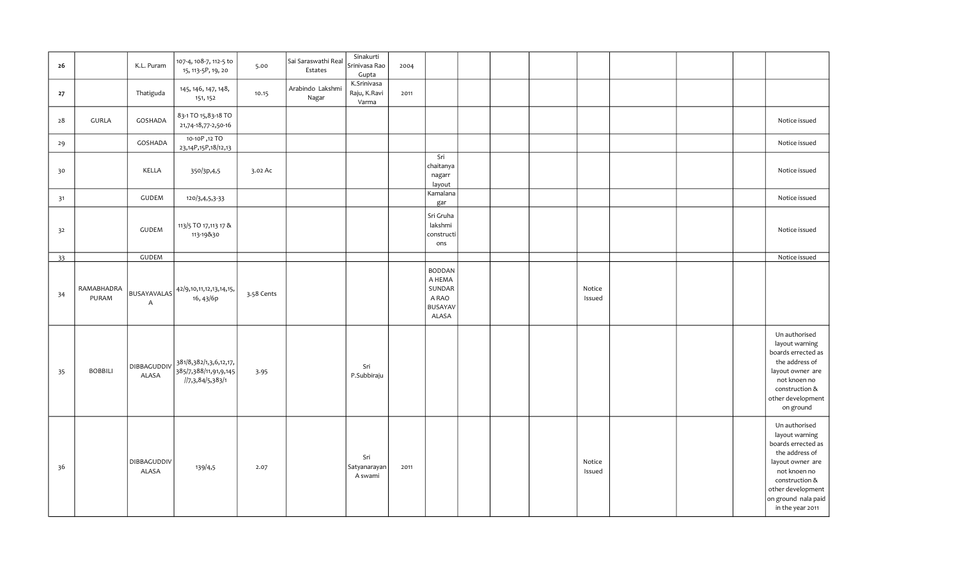| 26 |                     | K.L. Puram                           | 107-4, 108-7, 112-5 to<br>15, 113-5P, 19, 20                        | 5.00       | Sai Saraswathi Real<br>Estates | Sinakurti<br>Srinivasa Rao<br>Gupta  | 2004 |                                                                       |  |                  |  |                                                                                                                                                                                                       |
|----|---------------------|--------------------------------------|---------------------------------------------------------------------|------------|--------------------------------|--------------------------------------|------|-----------------------------------------------------------------------|--|------------------|--|-------------------------------------------------------------------------------------------------------------------------------------------------------------------------------------------------------|
| 27 |                     | Thatiguda                            | 145, 146, 147, 148,<br>151, 152                                     | 10.15      | Arabindo Lakshmi<br>Nagar      | K.Srinivasa<br>Raju, K.Ravi<br>Varma | 2011 |                                                                       |  |                  |  |                                                                                                                                                                                                       |
| 28 | <b>GURLA</b>        | GOSHADA                              | 83-1 TO 15,83-18 TO<br>21,74-18,77-2,50-16                          |            |                                |                                      |      |                                                                       |  |                  |  | Notice issued                                                                                                                                                                                         |
| 29 |                     | GOSHADA                              | 10-10P, 12 TO<br>23,14P,15P,18/12,13                                |            |                                |                                      |      |                                                                       |  |                  |  | Notice issued                                                                                                                                                                                         |
| 30 |                     | KELLA                                | 350/3p,4,5                                                          | 3.02 Ac    |                                |                                      |      | Sri<br>chaitanya<br>nagarr<br>layout                                  |  |                  |  | Notice issued                                                                                                                                                                                         |
| 31 |                     | <b>GUDEM</b>                         | 120/3,4,5,3-33                                                      |            |                                |                                      |      | Kamalana<br>gar                                                       |  |                  |  | Notice issued                                                                                                                                                                                         |
| 32 |                     | <b>GUDEM</b>                         | 113/5 TO 17,113 17 &<br>113-19&30                                   |            |                                |                                      |      | Sri Gruha<br>lakshmi<br>constructi<br>ons                             |  |                  |  | Notice issued                                                                                                                                                                                         |
| 33 |                     | <b>GUDEM</b>                         |                                                                     |            |                                |                                      |      |                                                                       |  |                  |  | Notice issued                                                                                                                                                                                         |
| 34 | RAMABHADRA<br>PURAM | <b>BUSAYAVALAS</b><br>$\overline{A}$ | 42/9,10,11,12,13,14,15,<br>16, 43/6p                                | 3.58 Cents |                                |                                      |      | <b>BODDAN</b><br>A HEMA<br>SUNDAR<br>A RAO<br><b>BUSAYAV</b><br>ALASA |  | Notice<br>Issued |  |                                                                                                                                                                                                       |
| 35 | <b>BOBBILI</b>      | DIBBAGUDDIV<br>ALASA                 | 381/8,382/1,3,6,12,17,<br>385/7,388/11,91,9,145<br>//7,3,84/5,383/1 | 3.95       |                                | Sri<br>P.Subbiraju                   |      |                                                                       |  |                  |  | Un authorised<br>layout warning<br>boards errected as<br>the address of<br>layout owner are<br>not knoen no<br>construction &<br>other development<br>on ground                                       |
| 36 |                     | DIBBAGUDDIV<br><b>ALASA</b>          | 139/4,5                                                             | 2.07       |                                | Sri<br>Satyanarayan<br>A swami       | 2011 |                                                                       |  | Notice<br>Issued |  | Un authorised<br>layout warning<br>boards errected as<br>the address of<br>layout owner are<br>not knoen no<br>$\,$ construction $\,$<br>other development<br>on ground nala paid<br>in the year 2011 |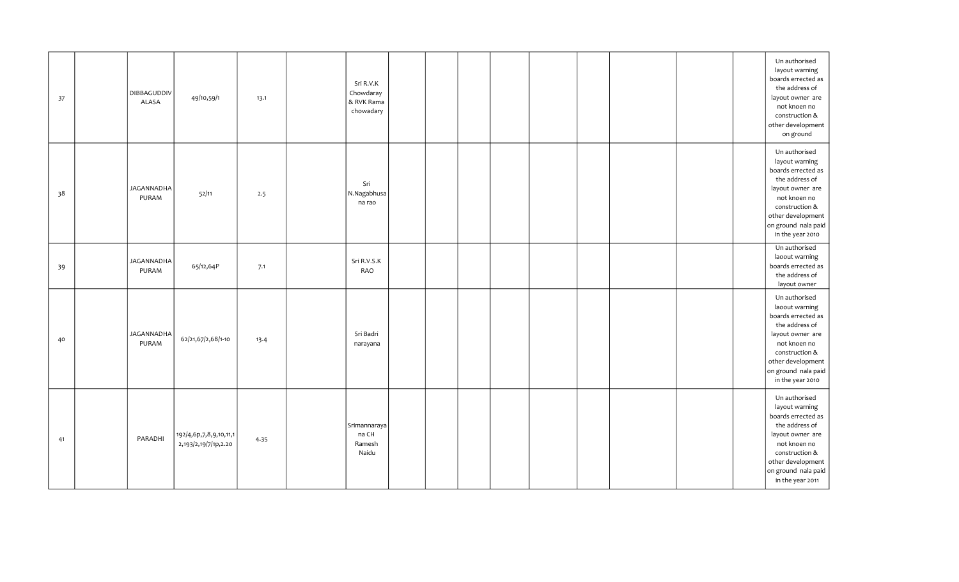| 37 | DIBBAGUDDIV<br>ALASA       | 49/10,59/1                                     | 13.1 | Sri R.V.K<br>Chowdaray<br>& RVK Rama<br>chowadary |  |  |  |  | Un authorised<br>layout warning<br>boards errected as<br>the address of<br>layout owner are<br>not knoen no<br>construction &<br>other development<br>on ground                               |
|----|----------------------------|------------------------------------------------|------|---------------------------------------------------|--|--|--|--|-----------------------------------------------------------------------------------------------------------------------------------------------------------------------------------------------|
| 38 | JAGANNADHA<br>PURAM        | 52/11                                          | 2.5  | Sri<br>N.Nagabhusa<br>na rao                      |  |  |  |  | Un authorised<br>layout warning<br>boards errected as<br>the address of<br>layout owner are<br>not knoen no<br>construction &<br>other development<br>on ground nala paid<br>in the year 2010 |
| 39 | <b>JAGANNADHA</b><br>PURAM | 65/12,64P                                      | 7.1  | Sri R.V.S.K<br>RAO                                |  |  |  |  | Un authorised<br>laoout warning<br>boards errected as<br>the address of<br>layout owner                                                                                                       |
| 40 | JAGANNADHA<br>PURAM        | 62/21,67/2,68/1-10                             | 13.4 | Sri Badri<br>narayana                             |  |  |  |  | Un authorised<br>laoout warning<br>boards errected as<br>the address of<br>layout owner are<br>not knoen no<br>construction &<br>other development<br>on ground nala paid<br>in the year 2010 |
| 41 | PARADHI                    | 192/4,6p,7,8,9,10,11,1<br>2,193/2,19/7/1p,2.20 | 4.35 | Srimannaraya<br>na CH<br>Ramesh<br>Naidu          |  |  |  |  | Un authorised<br>layout warning<br>boards errected as<br>the address of<br>layout owner are<br>not knoen no<br>construction &<br>other development<br>on ground nala paid<br>in the year 2011 |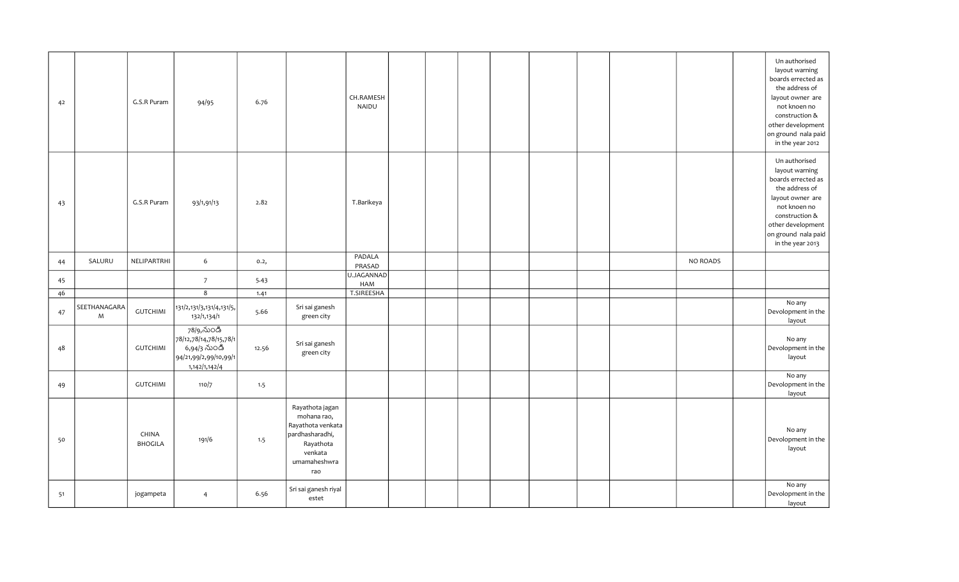| 42 |                   | G.S.R Puram             | 94/95                                                                                          | 6.76  |                                                                                                                       | CH.RAMESH<br>NAIDU |  |  |  |          | Un authorised<br>layout warning<br>boards errected as<br>the address of<br>layout owner are<br>not knoen no<br>construction &<br>other development<br>on ground nala paid<br>in the year 2012         |
|----|-------------------|-------------------------|------------------------------------------------------------------------------------------------|-------|-----------------------------------------------------------------------------------------------------------------------|--------------------|--|--|--|----------|-------------------------------------------------------------------------------------------------------------------------------------------------------------------------------------------------------|
| 43 |                   | G.S.R Puram             | 93/1,91/13                                                                                     | 2.82  |                                                                                                                       | T.Barikeya         |  |  |  |          | Un authorised<br>layout warning<br>boards errected as<br>the address of<br>layout owner are<br>not knoen no<br>$\,$ construction $\,$<br>other development<br>on ground nala paid<br>in the year 2013 |
| 44 | SALURU            | NELIPARTRHI             | $\sqrt{6}$                                                                                     | 0.2,  |                                                                                                                       | PADALA<br>PRASAD   |  |  |  | NO ROADS |                                                                                                                                                                                                       |
| 45 |                   |                         | $\overline{7}$                                                                                 | 5.43  |                                                                                                                       | U.JAGANNAD<br>HAM  |  |  |  |          |                                                                                                                                                                                                       |
| 46 |                   |                         | $\overline{8}$                                                                                 | 1.41  |                                                                                                                       | T.SIREESHA         |  |  |  |          |                                                                                                                                                                                                       |
| 47 | SEETHANAGARA<br>M | <b>GUTCHIMI</b>         | 131/2, 131/3, 131/4, 131/5,<br>132/1,134/1                                                     | 5.66  | Sri sai ganesh<br>green city                                                                                          |                    |  |  |  |          | No any<br>Devolopment in the<br>layout                                                                                                                                                                |
| 48 |                   | <b>GUTCHIMI</b>         | 78/9,నుండి<br>78/12,78/14,78/15,78/1<br>6,94/3 నుండి<br>94/21,99/2,99/10,99/1<br>1,142/1,142/4 | 12.56 | Sri sai ganesh<br>green city                                                                                          |                    |  |  |  |          | No any<br>Devolopment in the<br>layout                                                                                                                                                                |
| 49 |                   | <b>GUTCHIMI</b>         | 110/7                                                                                          | 1.5   |                                                                                                                       |                    |  |  |  |          | No any<br>Devolopment in the<br>layout                                                                                                                                                                |
| 50 |                   | CHINA<br><b>BHOGILA</b> | 191/6                                                                                          | 1.5   | Rayathota jagan<br>mohana rao,<br>Rayathota venkata<br>pardhasharadhi,<br>Rayathota<br>venkata<br>umamaheshwra<br>rao |                    |  |  |  |          | No any<br>Devolopment in the<br>layout                                                                                                                                                                |
| 51 |                   | jogampeta               | $\overline{4}$                                                                                 | 6.56  | Sri sai ganesh riyal<br>estet                                                                                         |                    |  |  |  |          | No any<br>Devolopment in the<br>layout                                                                                                                                                                |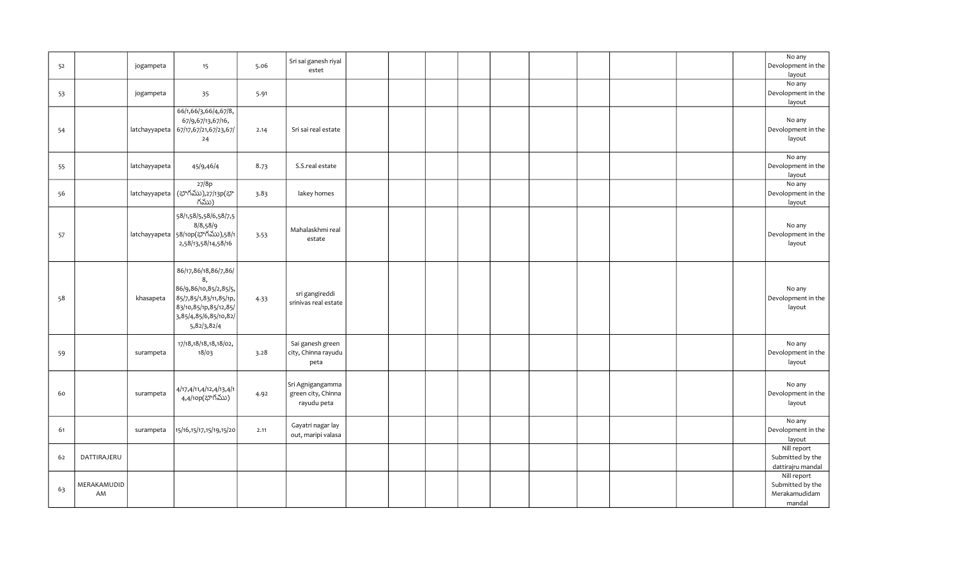| 52 |                   | jogampeta     | 15                                                                                                                                             | 5.06 | Sri sai ganesh riyal<br>estet                         |  |  |  |  |  | No any<br>Devolopment in the<br>layout                     |
|----|-------------------|---------------|------------------------------------------------------------------------------------------------------------------------------------------------|------|-------------------------------------------------------|--|--|--|--|--|------------------------------------------------------------|
| 53 |                   | jogampeta     | 35                                                                                                                                             | 5.91 |                                                       |  |  |  |  |  | No any<br>Devolopment in the<br>layout                     |
| 54 |                   |               | 66/1,66/3,66/4,67/8,<br>67/9,67/13,67/16,<br>latchayyapeta   67/17,67/21,67/23,67/<br>24                                                       | 2.14 | Sri sai real estate                                   |  |  |  |  |  | No any<br>Devolopment in the<br>layout                     |
| 55 |                   | latchayyapeta | 45/9,46/4                                                                                                                                      | 8.73 | S.S.real estate                                       |  |  |  |  |  | No any<br>Devolopment in the<br>layout                     |
| 56 |                   |               | 27/8p<br>latchayyapeta (భాగము),27/13p(భా<br>గము)                                                                                               | 3.83 | lakey homes                                           |  |  |  |  |  | No any<br>Devolopment in the<br>layout                     |
| 57 |                   |               | 58/1,58/5,58/6,58/7,5<br>8/8,58/9<br>latchayyapeta 58/10p(భాగము),58/1<br>2,58/13,58/14,58/16                                                   | 3.53 | Mahalaskhmi real<br>estate                            |  |  |  |  |  | No any<br>Devolopment in the<br>layout                     |
| 58 |                   | khasapeta     | 86/17,86/18,86/7,86/<br>8,<br>86/9,86/10,85/2,85/5,<br>85/7,85/1,83/11,85/1p,<br>83/10,85/1p,85/12,85/<br>3,85/4,85/6,85/10,82/<br>5,82/3,82/4 | 4.33 | sri gangireddi<br>srinivas real estate                |  |  |  |  |  | No any<br>Devolopment in the<br>layout                     |
| 59 |                   | surampeta     | 17/18,18/18,18,18/02,<br>18/03                                                                                                                 | 3.28 | Sai ganesh green<br>city, Chinna rayudu<br>peta       |  |  |  |  |  | No any<br>Devolopment in the<br>layout                     |
| 60 |                   | surampeta     | 4/17,4/11,4/12,4/13,4/1<br>4,4/10p(భాగము)                                                                                                      | 4.92 | Sri Agnigangamma<br>green city, Chinna<br>rayudu peta |  |  |  |  |  | No any<br>Devolopment in the<br>layout                     |
| 61 |                   | surampeta     | 15/16,15/17,15/19,15/20                                                                                                                        | 2.11 | Gayatri nagar lay<br>out, maripi valasa               |  |  |  |  |  | No any<br>Devolopment in the<br>layout                     |
| 62 | DATTIRAJERU       |               |                                                                                                                                                |      |                                                       |  |  |  |  |  | Nill report<br>Submitted by the<br>dattirajru mandal       |
| 63 | MERAKAMUDID<br>AM |               |                                                                                                                                                |      |                                                       |  |  |  |  |  | Nill report<br>Submitted by the<br>Merakamudidam<br>mandal |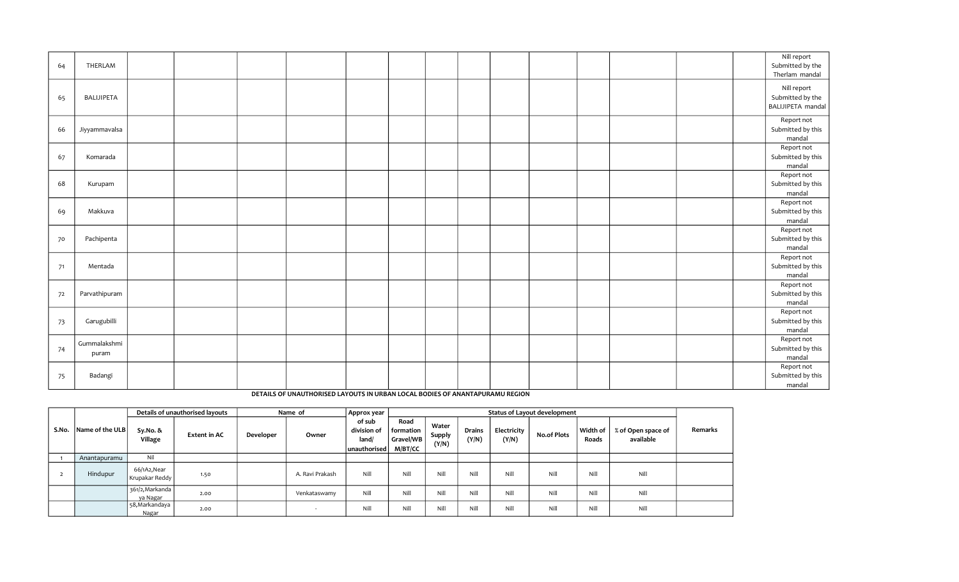| 64 | THERLAM               |  |  |  |  |  |  | Nill report<br>Submitted by the<br>Therlam mandal    |
|----|-----------------------|--|--|--|--|--|--|------------------------------------------------------|
| 65 | BALIJIPETA            |  |  |  |  |  |  | Nill report<br>Submitted by the<br>BALIJIPETA mandal |
| 66 | Jiyyammavalsa         |  |  |  |  |  |  | Report not<br>Submitted by this<br>mandal            |
| 67 | Komarada              |  |  |  |  |  |  | Report not<br>Submitted by this<br>mandal            |
| 68 | Kurupam               |  |  |  |  |  |  | Report not<br>Submitted by this<br>mandal            |
| 69 | Makkuva               |  |  |  |  |  |  | Report not<br>Submitted by this<br>mandal            |
| 70 | Pachipenta            |  |  |  |  |  |  | Report not<br>Submitted by this<br>mandal            |
| 71 | Mentada               |  |  |  |  |  |  | Report not<br>Submitted by this<br>mandal            |
| 72 | Parvathipuram         |  |  |  |  |  |  | Report not<br>Submitted by this<br>mandal            |
| 73 | Garugubilli           |  |  |  |  |  |  | Report not<br>Submitted by this<br>mandal            |
| 74 | Gummalakshmi<br>puram |  |  |  |  |  |  | Report not<br>Submitted by this<br>mandal            |
| 75 | Badangi               |  |  |  |  |  |  | Report not<br>Submitted by this<br>mandal            |

## DETAILS OF UNAUTHORISED LAYOUTS IN URBAN LOCAL BODIES OF ANANTAPURAMU REGION

|       |                 |                               | Details of unauthorised layouts |           | Name of         | Approx year                                     |                                                    |                          |                        |                      | <b>Status of Layout development</b> |                   |                                 |         |
|-------|-----------------|-------------------------------|---------------------------------|-----------|-----------------|-------------------------------------------------|----------------------------------------------------|--------------------------|------------------------|----------------------|-------------------------------------|-------------------|---------------------------------|---------|
| S.No. | Name of the ULB | Sy.No. &<br>Village           | <b>Extent in AC</b>             | Developer | Owner           | of sub<br>division of<br>land/<br> unauthorised | Road<br>  formation<br>Gravel/WB<br><b>M/BT/CC</b> | Water<br>Supply<br>(Y/N) | <b>Drains</b><br>(Y/N) | Electricity<br>(Y/N) | <b>No.of Plots</b>                  | Width of<br>Roads | % of Open space of<br>available | Remarks |
|       | Anantapuramu    | Nil                           |                                 |           |                 |                                                 |                                                    |                          |                        |                      |                                     |                   |                                 |         |
|       | Hindupur        | 66/1A2,Near<br>Krupakar Reddy | 1.50                            |           | A. Ravi Prakash | Nill                                            | Nill                                               | Nill                     | Nill                   | Nill                 | Nill                                | Nill              | Nill                            |         |
|       |                 | 361/2, Markanda<br>va Nagar   | 2.00                            |           | Venkataswamy    | Nill                                            | Nill                                               | Nill                     | Nill                   | Nill                 | Nill                                | Nill              | Nill                            |         |
|       |                 | 58, Markandaya<br>Nagar       | 2.00                            |           |                 | Nill                                            | Nill                                               | Nill                     | Nill                   | Nill                 | Nill                                | Nill              | Nill                            |         |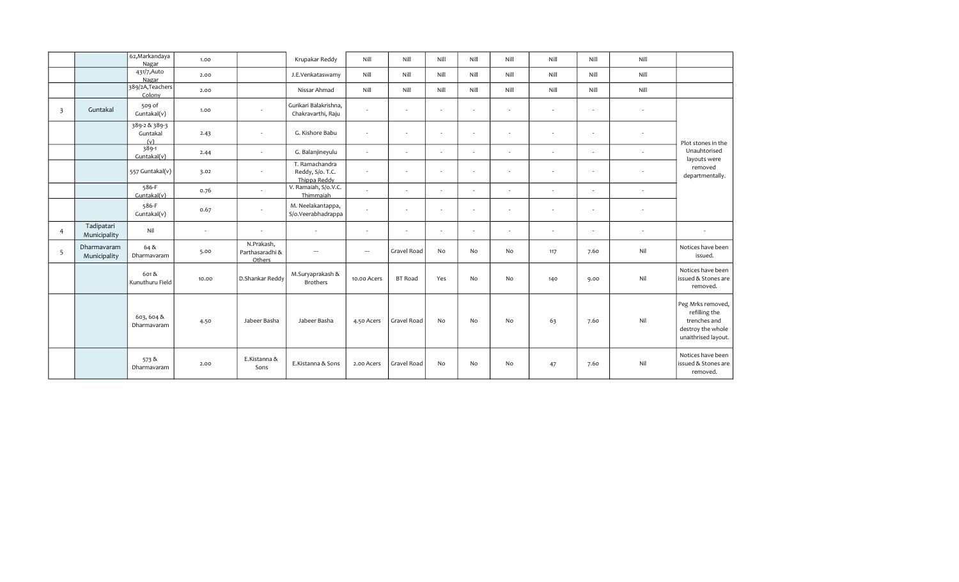|                         |                             | 62, Markandaya<br>Nagar          | 1.00   |                                         | Krupakar Reddy                                     | Nill                     | Nill           | Nill   | Nill           | Nill   | Nill                     | Nill   | Nill   |                                                                                                |
|-------------------------|-----------------------------|----------------------------------|--------|-----------------------------------------|----------------------------------------------------|--------------------------|----------------|--------|----------------|--------|--------------------------|--------|--------|------------------------------------------------------------------------------------------------|
|                         |                             | 431/7, Auto<br>Nagar             | 2.00   |                                         | J.E.Venkataswamy                                   | Nill                     | Nill           | Nill   | Nill           | Nill   | Nill                     | Nill   | Nill   |                                                                                                |
|                         |                             | 389/2A, Teachers<br>Colony       | 2.00   |                                         | Nissar Ahmad                                       | Nill                     | Nill           | Nill   | Nill           | Nill   | Nill                     | Nill   | Nill   |                                                                                                |
| $\overline{\mathbf{3}}$ | Guntakal                    | 509 of<br>Guntakal(v)            | 1.00   | $\sim$                                  | Gurikari Balakrishna,<br>Chakravarthi, Raju        | $\sim$                   | $\sim$         | $\sim$ | $\sim$         | $\sim$ | $\sim$                   | $\sim$ | $\sim$ |                                                                                                |
|                         |                             | 389-2 & 389-3<br>Guntakal<br>(v) | 2.43   |                                         | G. Kishore Babu                                    | $\sim$                   |                | $\sim$ | ٠              | $\sim$ |                          | $\sim$ |        | Plot stones in the                                                                             |
|                         |                             | 389-1<br>Guntakal(v)             | 2.44   | $\sim$                                  | G. Balanjineyulu                                   | $\sim$                   | $\sim$         | $\sim$ | $\sim$         | $\sim$ | $\sim$                   | $\sim$ | $\sim$ | Unauhtorised<br>layouts were                                                                   |
|                         |                             | 557 Guntakal(v)                  | 3.02   | $\sim$                                  | T. Ramachandra<br>Reddy, S/o. T.C.<br>Thippa Reddy | $\sim$                   | $\sim$         | $\sim$ | $\blacksquare$ | $\sim$ | $\sim$                   | $\sim$ |        | removed<br>departmentally.                                                                     |
|                         |                             | 586-F<br>Guntakal(v)             | 0.76   | $\sim$                                  | V. Ramaiah, S/o.V.C.<br>Thimmaiah                  | $\sim$                   | $\sim$         | $\sim$ | $\sim$         | $\sim$ | $\overline{\phantom{a}}$ | $\sim$ | $\sim$ |                                                                                                |
|                         |                             | 586-F<br>Guntakal(v)             | 0.67   | $\sim$                                  | M. Neelakantappa,<br>S/o.Veerabhadrappa            | $\sim$                   |                | $\sim$ | $\blacksquare$ | $\sim$ | $\overline{\phantom{a}}$ | $\sim$ |        |                                                                                                |
| $\overline{4}$          | Tadipatari<br>Municipality  | Nil                              | $\sim$ | $\sim$                                  | $\sim$                                             | $\sim$                   | $\sim$         | $\sim$ | $\sim$         | $\sim$ |                          | $\sim$ | $\sim$ | $\sim$                                                                                         |
| 5                       | Dharmavaram<br>Municipality | 64 &<br>Dharmavaram              | 5.00   | N.Prakash,<br>Parthasaradhi &<br>Others | $\overline{\phantom{a}}$                           | $\overline{\phantom{a}}$ | Gravel Road    | No     | <b>No</b>      | No     | 117                      | 7.60   | Nil    | Notices have been<br>issued.                                                                   |
|                         |                             | 601&<br>Kunuthuru Field          | 10.00  | D.Shankar Reddy                         | M.Suryaprakash &<br><b>Brothers</b>                | 10.00 Acers              | <b>BT Road</b> | Yes    | No             | No     | 140                      | 9.00   | Nil    | Notices have been<br>issued & Stones are<br>removed.                                           |
|                         |                             | 603, 604 &<br>Dharmavaram        | 4.50   | Jabeer Basha                            | Jabeer Basha                                       | 4.50 Acers               | Gravel Road    | No     | N <sub>o</sub> | No     | 63                       | 7.60   | Nil    | Peg Mrks removed,<br>refilling the<br>trenches and<br>destroy the whole<br>unaithrised layout. |
|                         |                             | 573 &<br>Dharmavaram             | 2.00   | E.Kistanna &<br>Sons                    | E.Kistanna & Sons                                  | 2.00 Acers               | Gravel Road    | No     | N <sub>o</sub> | No     | 47                       | 7.60   | Nil    | Notices have been<br>issued & Stones are<br>removed.                                           |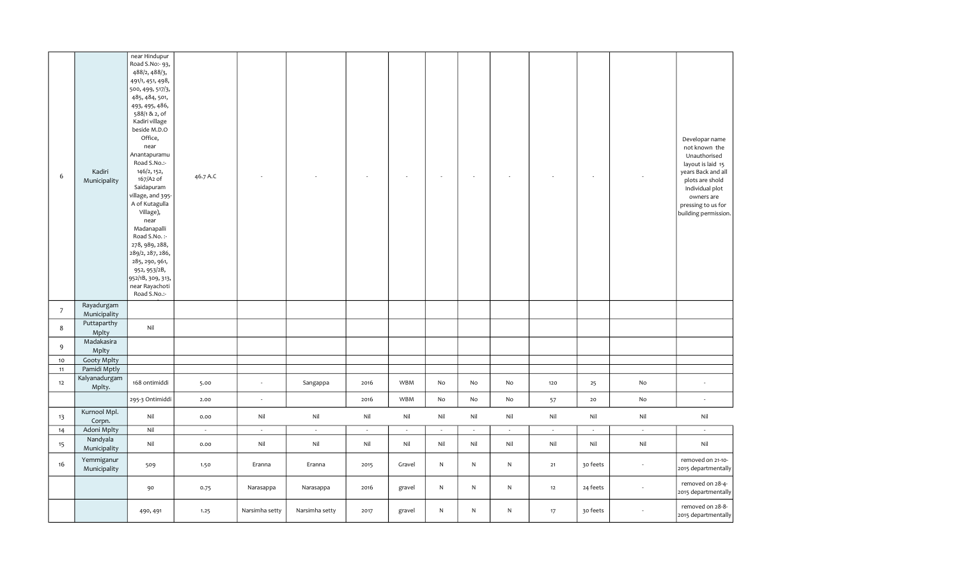| 6               | Kadiri<br>Municipality                    | near Hindupur<br>Road S.No:- 93,<br>488/2, 488/3,<br>491/1, 451, 498,<br>500, 499, 517/3,<br>485, 484, 501,<br>493, 495, 486,<br>588/1&2, of<br>Kadiri village<br>beside M.D.O<br>Office,<br>near<br>Anantapuramu<br>Road S.No.:-<br>146/2, 152,<br>167/A2 of<br>Saidapuram<br>village, and 395-<br>A of Kutagulla<br>Village),<br>near<br>Madanapalli<br>Road S.No.:-<br>278, 989, 288,<br>289/2, 287, 286,<br>285, 290, 961,<br>952, 953/2B,<br>952/1B, 309, 313,<br>near Rayachoti<br>Road S.No.:- | 46.7 A.C |                          |                |        |        |        | ÷,           |           |                | $\sim$        |        | Developar name<br>not known the<br>Unauthorised<br>layout is laid 15<br>years Back and all<br>plots are shold<br>Individual plot<br>owners are<br>pressing to us for<br>building permission. |
|-----------------|-------------------------------------------|-------------------------------------------------------------------------------------------------------------------------------------------------------------------------------------------------------------------------------------------------------------------------------------------------------------------------------------------------------------------------------------------------------------------------------------------------------------------------------------------------------|----------|--------------------------|----------------|--------|--------|--------|--------------|-----------|----------------|---------------|--------|----------------------------------------------------------------------------------------------------------------------------------------------------------------------------------------------|
| $\overline{7}$  | Rayadurgam<br>Municipality<br>Puttaparthy |                                                                                                                                                                                                                                                                                                                                                                                                                                                                                                       |          |                          |                |        |        |        |              |           |                |               |        |                                                                                                                                                                                              |
| 8               | Mplty<br>Madakasira                       | Nil                                                                                                                                                                                                                                                                                                                                                                                                                                                                                                   |          |                          |                |        |        |        |              |           |                |               |        |                                                                                                                                                                                              |
| 9               | Mplty                                     |                                                                                                                                                                                                                                                                                                                                                                                                                                                                                                       |          |                          |                |        |        |        |              |           |                |               |        |                                                                                                                                                                                              |
| 10 <sub>1</sub> | <b>Gooty Mplty</b>                        |                                                                                                                                                                                                                                                                                                                                                                                                                                                                                                       |          |                          |                |        |        |        |              |           |                |               |        |                                                                                                                                                                                              |
| 11<br>12        | Pamidi Mptly<br>Kalyanadurgam<br>Mplty.   | 168 ontimiddi                                                                                                                                                                                                                                                                                                                                                                                                                                                                                         | 5.00     | $\overline{\phantom{a}}$ | Sangappa       | 2016   | WBM    | No     | No           | No        | 120            | 25            | No     | $\sim$                                                                                                                                                                                       |
|                 |                                           | 295-3 Ontimiddi                                                                                                                                                                                                                                                                                                                                                                                                                                                                                       | 2.00     | $\sim$                   |                | 2016   | WBM    | No     | No           | No        | 57             | 20            | No     | $\sim$                                                                                                                                                                                       |
| 13              | Kurnool Mpl.<br>Corpn.                    | Nil                                                                                                                                                                                                                                                                                                                                                                                                                                                                                                   | 0.00     | Nil                      | Nil            | Nil    | Nil    | Nil    | Nil          | Nil       | $\mathsf{Nil}$ | Nil           | Nil    | Nil                                                                                                                                                                                          |
| 14              | Adoni Mplty                               | Nil                                                                                                                                                                                                                                                                                                                                                                                                                                                                                                   | $\sim$   | $\omega$                 | $\sim$         | $\sim$ | $\sim$ | $\sim$ | G.           | $\sim$    | $\sim$         | $\mathcal{A}$ | $\sim$ | $\sim$                                                                                                                                                                                       |
| 15              | Nandyala<br>Municipality                  | Nil                                                                                                                                                                                                                                                                                                                                                                                                                                                                                                   | 0.00     | Nil                      | Nil            | Nil    | Nil    | Nil    | Nil          | Nil       | Nil            | Nil           | Nil    | Nil                                                                                                                                                                                          |
| 16              | Yemmiganur<br>Municipality                | 509                                                                                                                                                                                                                                                                                                                                                                                                                                                                                                   | 1.50     | Eranna                   | Eranna         | 2015   | Gravel | N      | $\mathsf{N}$ | ${\sf N}$ | 21             | 30 feets      | $\sim$ | removed on 21-10-<br>2015 departmentally                                                                                                                                                     |
|                 |                                           | 90                                                                                                                                                                                                                                                                                                                                                                                                                                                                                                    | 0.75     | Narasappa                | Narasappa      | 2016   | gravel | N      | N            | N         | 12             | 24 feets      | $\sim$ | removed on 28-4-<br>2015 departmentally                                                                                                                                                      |
|                 |                                           | 490, 491                                                                                                                                                                                                                                                                                                                                                                                                                                                                                              | 1.25     | Narsimha setty           | Narsimha setty | 2017   | gravel | N      | N            | N         | 17             | 30 feets      |        | removed on 28-8-<br>2015 departmentally                                                                                                                                                      |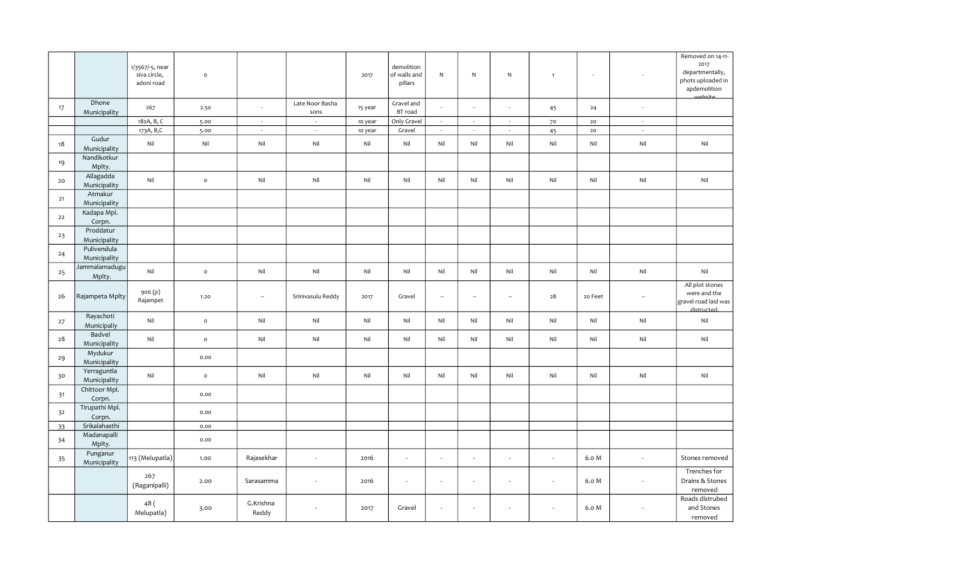|      |                             | 1/3567/-5, near<br>siva circle,<br>adoni road | $\mathsf{o}\xspace$ |                    |                          | 2017    | demolition<br>of walls and<br>pillars | $\mathsf{N}$ | $\mathsf{N}$             | ${\sf N}$                | $\mathbf{1}$             | $\overline{\phantom{a}}$ |                          | Removed on 14-11-<br>2017<br>departmentally,<br>phots uploaded in<br>apdemolition<br>website |
|------|-----------------------------|-----------------------------------------------|---------------------|--------------------|--------------------------|---------|---------------------------------------|--------------|--------------------------|--------------------------|--------------------------|--------------------------|--------------------------|----------------------------------------------------------------------------------------------|
| 17   | Dhone<br>Municipality       | 267                                           | 2.50                | $\sim$             | Late Noor Basha<br>sons  | 15 year | Gravel and<br>BT road                 | ä,           | ÷.                       | $\sim$                   | 45                       | 24                       | $\sim$                   |                                                                                              |
|      |                             | 182A, B, C                                    | 5.00                | $\sim$             | $\sim$                   | 10 year | Only Gravel                           | $\sim$       | $\sim$                   | $\sim$                   | 70                       | 20                       | $\sim$                   |                                                                                              |
|      |                             | 173A, B,C                                     | 5.00                | $\sim$             | $\sim$                   | 10 year | Gravel                                | $\sim$       | $\sim$                   | $\sim$                   | 45                       | 20                       | $\sim$                   |                                                                                              |
| 18   | Gudur<br>Municipality       | Nil                                           | Nil                 | Nil                | Nil                      | Nil     | Nil                                   | Nil          | Nil                      | Nil                      | Nil                      | Nil                      | Nil                      | Nil                                                                                          |
| 19   | Nandikotkur<br>Mplty.       |                                               |                     |                    |                          |         |                                       |              |                          |                          |                          |                          |                          |                                                                                              |
| 20   | Allagadda<br>Municipality   | Nil                                           | $\mathsf{o}$        | Nil                | Nil                      | Nil     | Nil                                   | Nil          | Nil                      | Nil                      | Nil                      | Nil                      | Nil                      | Nil                                                                                          |
| $21$ | Atmakur<br>Municipality     |                                               |                     |                    |                          |         |                                       |              |                          |                          |                          |                          |                          |                                                                                              |
| $22$ | Kadapa Mpl.<br>Corpn.       |                                               |                     |                    |                          |         |                                       |              |                          |                          |                          |                          |                          |                                                                                              |
| 23   | Proddatur<br>Municipality   |                                               |                     |                    |                          |         |                                       |              |                          |                          |                          |                          |                          |                                                                                              |
| 24   | Pulivendula<br>Municipality |                                               |                     |                    |                          |         |                                       |              |                          |                          |                          |                          |                          |                                                                                              |
| 25   | Jammalamadugu<br>Mplty.     | Nil                                           | $\mathsf{o}\,$      | Nil                | Nil                      | Nil     | Nil                                   | Nil          | Nil                      | Nil                      | Nil                      | Nil                      | Nil                      | Nil                                                                                          |
| 26   | Rajampeta Mplty             | 906(p)<br>Rajampet                            | 1.20                | ÷.                 | Srinivasulu Reddy        | 2017    | Gravel                                | ÷.           | ÷.                       | $\bar{a}$                | 28                       | 20 Feet                  | $\sim$                   | All plot stones<br>were and the<br>gravel road laid was<br>distructed.                       |
| 27   | Rayachoti<br>Municipaliy    | Nil                                           | $\mathsf{o}\,$      | Nil                | Nil                      | Nil     | Nil                                   | Nil          | Nil                      | Nil                      | Nil                      | Nil                      | Nil                      | Nil                                                                                          |
| 28   | Badvel<br>Municipality      | Nil                                           | $\circ$             | Nil                | Nil                      | Nil     | Nil                                   | Nil          | Nil                      | Nil                      | Nil                      | Nil                      | Nil                      | Nil                                                                                          |
| 29   | Mydukur<br>Municipality     |                                               | 0.00                |                    |                          |         |                                       |              |                          |                          |                          |                          |                          |                                                                                              |
| 30   | Yerraguntla<br>Municipality | Nil                                           | $\mathsf{o}$        | Nil                | Nil                      | Nil     | Nil                                   | Nil          | Nil                      | Nil                      | Nil                      | Nil                      | Nil                      | Nil                                                                                          |
| 31   | Chittoor Mpl.<br>Corpn.     |                                               | 0.00                |                    |                          |         |                                       |              |                          |                          |                          |                          |                          |                                                                                              |
| 32   | Tirupathi Mpl.<br>Corpn.    |                                               | 0.00                |                    |                          |         |                                       |              |                          |                          |                          |                          |                          |                                                                                              |
| 33   | Srikalahasthi               |                                               | 0.00                |                    |                          |         |                                       |              |                          |                          |                          |                          |                          |                                                                                              |
| 34   | Madanapalli<br>Mplty.       |                                               | 0.00                |                    |                          |         |                                       |              |                          |                          |                          |                          |                          |                                                                                              |
| 35   | Punganur<br>Municipality    | 113 (Melupatla)                               | 1.00                | Rajasekhar         | $\overline{\phantom{a}}$ | 2016    | $\sim$                                | $\sim$       | $\overline{\phantom{a}}$ | $\overline{\phantom{a}}$ | $\sim$                   | 6.0 M                    | $\overline{\phantom{a}}$ | Stones removed                                                                               |
|      |                             | 267<br>(Raganipalli)                          | 2.00                | Sarasamma          |                          | 2016    | $\overline{\phantom{a}}$              | $\sim$       | $\overline{\phantom{a}}$ | $\overline{\phantom{a}}$ | $\overline{\phantom{a}}$ | 6.0 M                    |                          | Trenches for<br>Drains & Stones<br>removed                                                   |
|      |                             | 48 (<br>Melupatla)                            | 3.00                | G.Krishna<br>Reddy |                          | 2017    | Gravel                                | ÷            | ÷                        |                          |                          | 6.0 M                    |                          | Roads distrubed<br>and Stones<br>removed                                                     |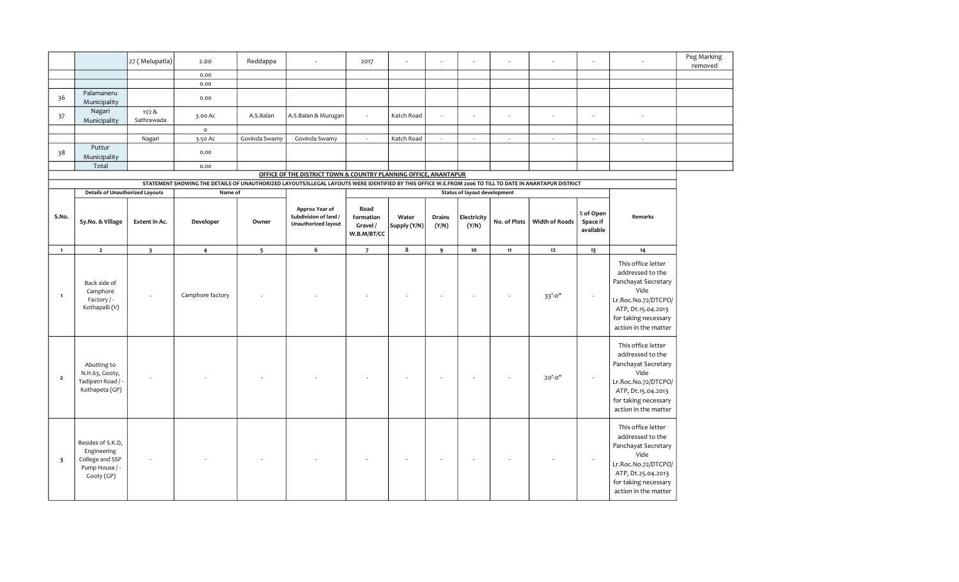|                         |                                                                                     | 27 (Melupatla)          | 2.00                                                                                                                                                     | Reddappa       |                                                                       | 2017                                         |                       |                          |                                     |                          |                       |                                    |                                                                                                                                                                    | Peg Marking<br>removed |
|-------------------------|-------------------------------------------------------------------------------------|-------------------------|----------------------------------------------------------------------------------------------------------------------------------------------------------|----------------|-----------------------------------------------------------------------|----------------------------------------------|-----------------------|--------------------------|-------------------------------------|--------------------------|-----------------------|------------------------------------|--------------------------------------------------------------------------------------------------------------------------------------------------------------------|------------------------|
|                         |                                                                                     |                         | 0.00                                                                                                                                                     |                |                                                                       |                                              |                       |                          |                                     |                          |                       |                                    |                                                                                                                                                                    |                        |
|                         |                                                                                     |                         | 0.00                                                                                                                                                     |                |                                                                       |                                              |                       |                          |                                     |                          |                       |                                    |                                                                                                                                                                    |                        |
| 36                      | Palamaneru<br>Municipality                                                          |                         | 0.00                                                                                                                                                     |                |                                                                       |                                              |                       |                          |                                     |                          |                       |                                    |                                                                                                                                                                    |                        |
| 37                      | Nagari<br>Municipality                                                              | $11/2$ &<br>Sathrawada  | 3.00 Ac                                                                                                                                                  | A.S.Balan      | A.S.Balan & Murugan                                                   | $\mathcal{L}$                                | Katch Road            |                          | $\sim$                              | $\sim$                   | ÷.                    | ä,                                 | ÷.                                                                                                                                                                 |                        |
|                         |                                                                                     |                         | $\mathsf{o}$                                                                                                                                             |                |                                                                       |                                              |                       |                          |                                     |                          |                       |                                    |                                                                                                                                                                    |                        |
|                         |                                                                                     | Nagari                  | 3.50 Ac                                                                                                                                                  | Govinda Swamy  | Govinda Swamy                                                         | $\sim$                                       | Katch Road            | $\sim$                   | $\sim$                              | $\sim$                   | $\omega$              | $\sim$                             | $\sim$                                                                                                                                                             |                        |
| 38                      | Puttur<br>Municipality                                                              |                         | 0.00                                                                                                                                                     |                |                                                                       |                                              |                       |                          |                                     |                          |                       |                                    |                                                                                                                                                                    |                        |
|                         | Total                                                                               |                         | 0.00                                                                                                                                                     |                |                                                                       |                                              |                       |                          |                                     |                          |                       |                                    |                                                                                                                                                                    |                        |
|                         |                                                                                     |                         |                                                                                                                                                          |                | OFFICE OF THE DISTRICT TOWN & COUNTRY PLANNING OFFICE, ANANTAPUR      |                                              |                       |                          |                                     |                          |                       |                                    |                                                                                                                                                                    |                        |
|                         |                                                                                     |                         | STATEMENT SHOWING THE DETAILS OF UNAUTHORIZED LAYOUTS/ILLEGAL LAYOUTS WERE IDENTIFIED BY THIS OFFICE W.E.FROM 2006 TO TILL TO DATE IN ANANTAPUR DISTRICT |                |                                                                       |                                              |                       |                          |                                     |                          |                       |                                    |                                                                                                                                                                    |                        |
|                         | <b>Details of Unauthorized Layouts</b>                                              |                         | Name of                                                                                                                                                  |                |                                                                       |                                              |                       |                          | <b>Status of layout development</b> |                          |                       |                                    |                                                                                                                                                                    |                        |
| S.No.                   | Sy.No. & Village                                                                    | Extent in Ac.           | Developer                                                                                                                                                | Owner          | Approx Year of<br>Subdivision of land /<br><b>Unauthorized layout</b> | Road<br>formation<br>Gravel /<br>W.B.M/BT/CC | Water<br>Supply (Y/N) | Drains<br>(Y/N)          | Electricity<br>(Y/N)                | No. of Plots             | <b>Width of Roads</b> | % of Open<br>Space if<br>available | Remarks                                                                                                                                                            |                        |
| $\mathbf{1}$            | $\overline{2}$                                                                      | $\overline{\mathbf{3}}$ | $\overline{4}$                                                                                                                                           | 5 <sup>5</sup> | 6                                                                     | $\overline{7}$                               | 8                     | $\mathbf{9}$             | 10                                  | 11                       | $12\,$                | 13                                 | 14                                                                                                                                                                 |                        |
| $\mathbf{1}$            | Back side of<br>Camphore<br>Factory / -<br>Kothapalli (V)                           |                         | Camphore factory                                                                                                                                         |                |                                                                       |                                              |                       | $\overline{\phantom{a}}$ |                                     | $\overline{\phantom{a}}$ | 33'-0"                | $\overline{\phantom{a}}$           | This office letter<br>addressed to the<br>Panchayat Secretary<br>Vide<br>Lr.Roc.No.72/DTCPO/<br>ATP, Dt.15.04.2013<br>for taking necessary<br>action in the matter |                        |
| $\overline{\mathbf{2}}$ | Abutting to<br>N.H.63, Gooty,<br>Tadipatri Road / -<br>Kothapeta (GP)               |                         |                                                                                                                                                          |                |                                                                       |                                              |                       |                          |                                     |                          | $20' - 0''$           | $\overline{\phantom{a}}$           | This office letter<br>addressed to the<br>Panchayat Secretary<br>Vide<br>Lr.Roc.No.72/DTCPO/<br>ATP, Dt.15.04.2013<br>for taking necessary<br>action in the matter |                        |
| $\overline{\mathbf{3}}$ | Besides of S.K.D,<br>Engineering<br>College and SSP<br>Pump House / -<br>Gooty (GP) |                         |                                                                                                                                                          |                |                                                                       |                                              |                       | $\overline{\phantom{a}}$ |                                     |                          |                       | $\overline{\phantom{a}}$           | This office letter<br>addressed to the<br>Panchayat Secretary<br>Vide<br>Lr.Roc.No.72/DTCPO/<br>ATP, Dt.25.04.2013<br>for taking necessary<br>action in the matter |                        |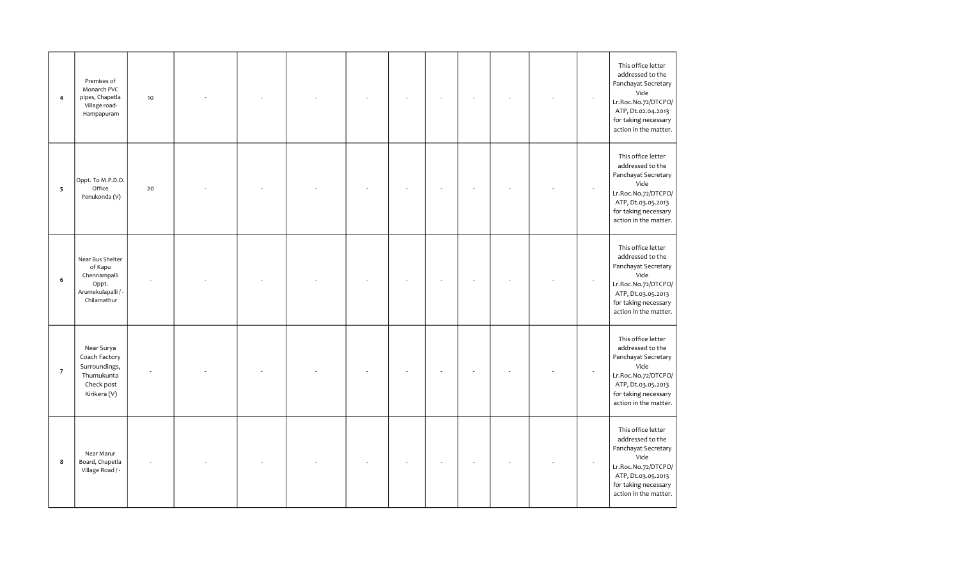| $\overline{4}$           | Premises of<br>Monarch PVC<br>pipes, Chapetla<br>Village road-<br>Hampapuram              | $10$ |  |  |  |  | $\sim$                   | This office letter<br>addressed to the<br>Panchayat Secretary<br>Vide<br>Lr.Roc.No.72/DTCPO/<br>ATP, Dt.02.04.2013<br>for taking necessary<br>action in the matter. |
|--------------------------|-------------------------------------------------------------------------------------------|------|--|--|--|--|--------------------------|---------------------------------------------------------------------------------------------------------------------------------------------------------------------|
| $\overline{\phantom{0}}$ | Oppt. To M.P.D.O.<br>Office<br>Penukonda (V)                                              | 20   |  |  |  |  | $\overline{\phantom{a}}$ | This office letter<br>addressed to the<br>Panchayat Secretary<br>Vide<br>Lr.Roc.No.72/DTCPO/<br>ATP, Dt.03.05.2013<br>for taking necessary<br>action in the matter. |
| 6                        | Near Bus Shelter<br>of Kapu<br>Chennampalli<br>Oppt.<br>Arumekulapalli / -<br>Chilamathur |      |  |  |  |  |                          | This office letter<br>addressed to the<br>Panchayat Secretary<br>Vide<br>Lr.Roc.No.72/DTCPO/<br>ATP, Dt.03.05.2013<br>for taking necessary<br>action in the matter. |
| $\overline{7}$           | Near Surya<br>Coach Factory<br>Surroundings,<br>Thumukunta<br>Check post<br>Kirikera (V)  |      |  |  |  |  |                          | This office letter<br>addressed to the<br>Panchayat Secretary<br>Vide<br>Lr.Roc.No.72/DTCPO/<br>ATP, Dt.03.05.2013<br>for taking necessary<br>action in the matter. |
| 8                        | Near Marur<br>Board, Chapetla<br>Village Road / -                                         |      |  |  |  |  |                          | This office letter<br>addressed to the<br>Panchayat Secretary<br>Vide<br>Lr.Roc.No.72/DTCPO/<br>ATP, Dt.03.05.2013<br>for taking necessary<br>action in the matter. |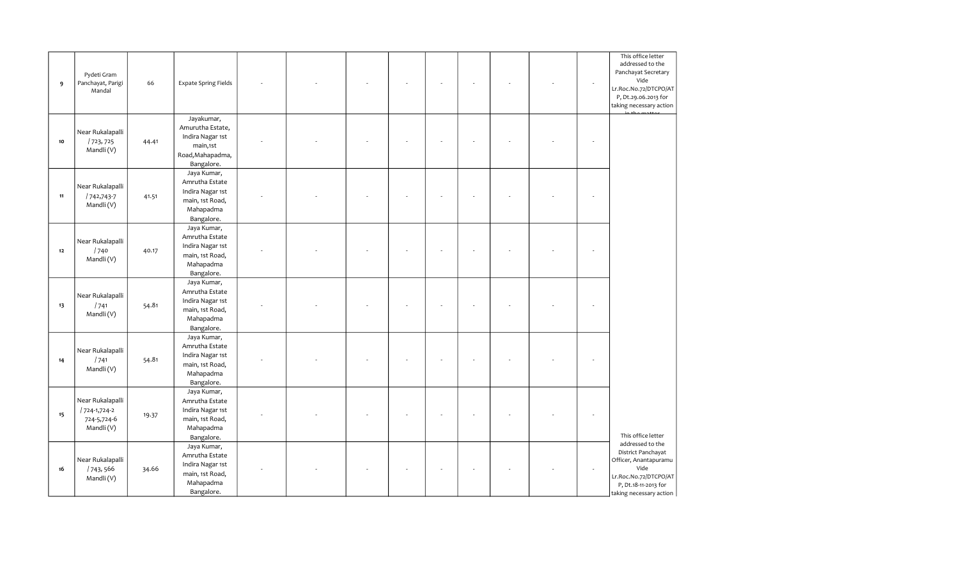| 9      | Pydeti Gram<br>Panchayat, Parigi<br>Mandal                   | 66    | Expate Spring Fields                                                                             |    |  |  |  | J. | This office letter<br>addressed to the<br>Panchayat Secretary<br>Vide<br>Lr.Roc.No.72/DTCPO/AT<br>P, Dt.29.06.2013 for<br>taking necessary action   |
|--------|--------------------------------------------------------------|-------|--------------------------------------------------------------------------------------------------|----|--|--|--|----|-----------------------------------------------------------------------------------------------------------------------------------------------------|
| $10\,$ | Near Rukalapalli<br>/723,725<br>Mandli(V)                    | 44.41 | Jayakumar,<br>Amurutha Estate,<br>Indira Nagar 1st<br>main,1st<br>Road, Mahapadma,<br>Bangalore. |    |  |  |  |    |                                                                                                                                                     |
| $11$   | Near Rukalapalli<br>/742,743-7<br>Mandli(V)                  | 41.51 | Jaya Kumar,<br>Amrutha Estate<br>Indira Nagar 1st<br>main, 1st Road,<br>Mahapadma<br>Bangalore.  | L, |  |  |  |    |                                                                                                                                                     |
| 12     | Near Rukalapalli<br>1740<br>Mandli(V)                        | 40.17 | Jaya Kumar,<br>Amrutha Estate<br>Indira Nagar 1st<br>main, 1st Road,<br>Mahapadma<br>Bangalore.  |    |  |  |  |    |                                                                                                                                                     |
| 13     | Near Rukalapalli<br>1741<br>Mandli (V)                       | 54.81 | Jaya Kumar,<br>Amrutha Estate<br>Indira Nagar 1st<br>main, 1st Road,<br>Mahapadma<br>Bangalore.  |    |  |  |  |    |                                                                                                                                                     |
| 14     | Near Rukalapalli<br>1741<br>Mandli(V)                        | 54.81 | Jaya Kumar,<br>Amrutha Estate<br>Indira Nagar 1st<br>main, 1st Road,<br>Mahapadma<br>Bangalore.  |    |  |  |  |    |                                                                                                                                                     |
| 15     | Near Rukalapalli<br>/724-1,724-2<br>724-5,724-6<br>Mandli(V) | 19.37 | Jaya Kumar,<br>Amrutha Estate<br>Indira Nagar 1st<br>main, 1st Road,<br>Mahapadma<br>Bangalore.  |    |  |  |  |    | This office letter                                                                                                                                  |
| 16     | Near Rukalapalli<br>/743,566<br>Mandli(V)                    | 34.66 | Jaya Kumar,<br>Amrutha Estate<br>Indira Nagar 1st<br>main, 1st Road,<br>Mahapadma<br>Bangalore.  |    |  |  |  |    | addressed to the<br>District Panchayat<br>Officer, Anantapuramu<br>Vide<br>Lr.Roc.No.72/DTCPO/AT<br>P, Dt.18-11-2013 for<br>taking necessary action |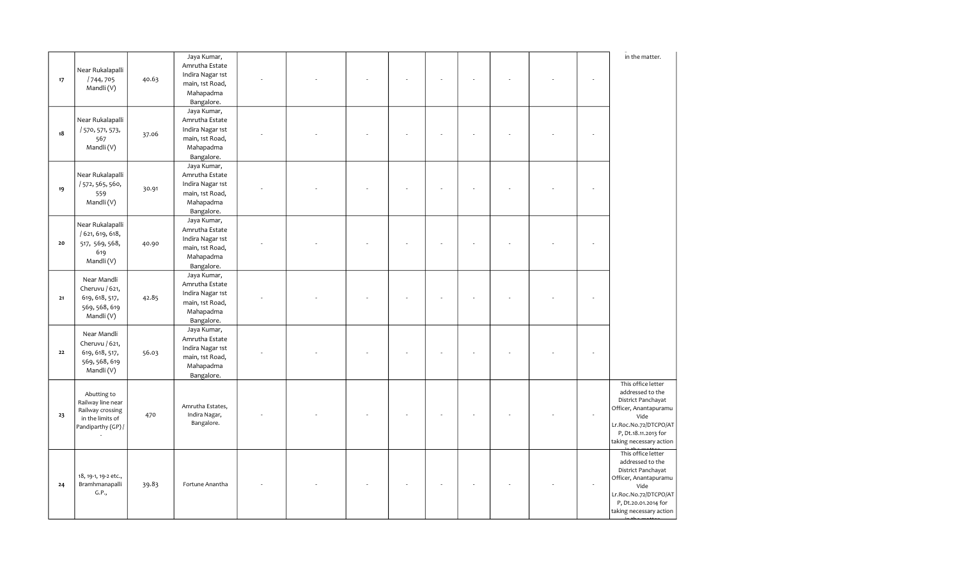|        |                                                                                               |       | Jaya Kumar,                                                                                     |  |  |  |  | in the matter.                                                                                                                                                            |
|--------|-----------------------------------------------------------------------------------------------|-------|-------------------------------------------------------------------------------------------------|--|--|--|--|---------------------------------------------------------------------------------------------------------------------------------------------------------------------------|
| $17\,$ | Near Rukalapalli<br>/744,705<br>Mandli(V)                                                     | 40.63 | Amrutha Estate<br>Indira Nagar 1st<br>main, 1st Road,<br>Mahapadma<br>Bangalore.                |  |  |  |  |                                                                                                                                                                           |
| 18     | Near Rukalapalli<br>/ 570, 571, 573,<br>567<br>Mandli (V)                                     | 37.06 | Jaya Kumar,<br>Amrutha Estate<br>Indira Nagar 1st<br>main, 1st Road,<br>Mahapadma<br>Bangalore. |  |  |  |  |                                                                                                                                                                           |
| 19     | Near Rukalapalli<br>/ 572, 565, 560,<br>559<br>Mandli (V)                                     | 30.91 | Jaya Kumar,<br>Amrutha Estate<br>Indira Nagar 1st<br>main, 1st Road,<br>Mahapadma<br>Bangalore. |  |  |  |  |                                                                                                                                                                           |
| 20     | Near Rukalapalli<br>/ 621, 619, 618,<br>517, 569, 568,<br>619<br>Mandli(V)                    | 40.90 | Jaya Kumar,<br>Amrutha Estate<br>Indira Nagar 1st<br>main, 1st Road,<br>Mahapadma<br>Bangalore. |  |  |  |  |                                                                                                                                                                           |
| $21$   | Near Mandli<br>Cheruvu / 621,<br>619, 618, 517,<br>569, 568, 619<br>Mandli (V)                | 42.85 | Jaya Kumar,<br>Amrutha Estate<br>Indira Nagar 1st<br>main, 1st Road,<br>Mahapadma<br>Bangalore. |  |  |  |  |                                                                                                                                                                           |
| 22     | Near Mandli<br>Cheruvu / 621,<br>619, 618, 517,<br>569, 568, 619<br>Mandli (V)                | 56.03 | Jaya Kumar,<br>Amrutha Estate<br>Indira Nagar 1st<br>main, 1st Road,<br>Mahapadma<br>Bangalore. |  |  |  |  |                                                                                                                                                                           |
| 23     | Abutting to<br>Railway line near<br>Railway crossing<br>in the limits of<br>Pandiparthy (GP)/ | 470   | Amrutha Estates,<br>Indira Nagar,<br>Bangalore.                                                 |  |  |  |  | This office letter<br>addressed to the<br>District Panchayat<br>Officer, Anantapuramu<br>Vide<br>Lr.Roc.No.72/DTCPO/AT<br>P, Dt.18.11.2013 for<br>taking necessary action |
| 24     | 18, 19-1, 19-2 etc.,<br>Bramhmanapalli<br>G.P.,                                               | 39.83 | Fortune Anantha                                                                                 |  |  |  |  | This office letter<br>addressed to the<br>District Panchayat<br>Officer, Anantapuramu<br>Vide<br>Lr.Roc.No.72/DTCPO/AT<br>P, Dt.20.01.2014 for<br>taking necessary action |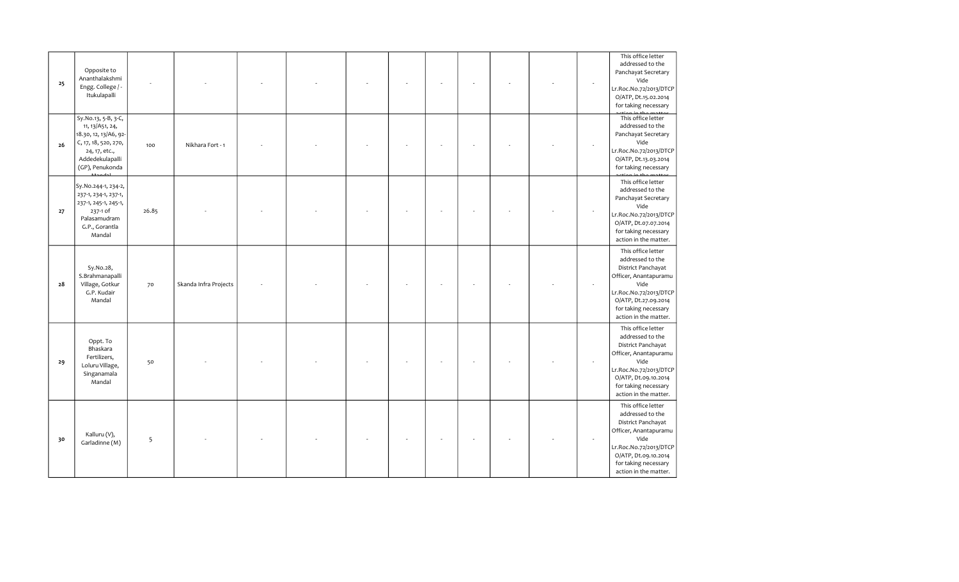| 25 | Opposite to<br>Ananthalakshmi<br>Engg. College / -<br>Itukulapalli                                                                             |       |                       |  |  |  |  | ÷. | This office letter<br>addressed to the<br>Panchayat Secretary<br>Vide<br>Lr.Roc.No.72/2013/DTCP<br>O/ATP, Dt.15.02.2014<br>for taking necessary                                                  |
|----|------------------------------------------------------------------------------------------------------------------------------------------------|-------|-----------------------|--|--|--|--|----|--------------------------------------------------------------------------------------------------------------------------------------------------------------------------------------------------|
| 26 | Sy.No.13, 5-B, 3-C,<br>11, 13/A51, 24,<br>18.30, 12, 13/A6, 92-<br>C, 17, 18, 520, 270,<br>24, 17, etc.,<br>Addedekulapalli<br>(GP), Penukonda | 100   | Nikhara Fort - 1      |  |  |  |  |    | This office letter<br>addressed to the<br>Panchayat Secretary<br>Vide<br>Lr.Roc.No.72/2013/DTCP<br>O/ATP, Dt.13.03.2014<br>for taking necessary                                                  |
| 27 | Sy.No.244-1, 234-2,<br>237-1, 234-1, 237-1,<br>237-1, 245-1, 245-1,<br>237-1 of<br>Palasamudram<br>G.P., Gorantla<br>Mandal                    | 26.85 |                       |  |  |  |  |    | This office letter<br>addressed to the<br>Panchayat Secretary<br>Vide<br>Lr.Roc.No.72/2013/DTCP<br>O/ATP, Dt.07.07.2014<br>for taking necessary<br>action in the matter.                         |
| 28 | Sy.No.28,<br>S.Brahmanapalli<br>Village, Gotkur<br>G.P. Kudair<br>Mandal                                                                       | 70    | Skanda Infra Projects |  |  |  |  |    | This office letter<br>addressed to the<br>District Panchayat<br>Officer, Anantapuramu<br>Vide<br>Lr.Roc.No.72/2013/DTCP<br>O/ATP, Dt.27.09.2014<br>for taking necessary<br>action in the matter. |
| 29 | Oppt. To<br>Bhaskara<br>Fertilizers,<br>Loluru Village,<br>Singanamala<br>Mandal                                                               | 50    |                       |  |  |  |  |    | This office letter<br>addressed to the<br>District Panchayat<br>Officer, Anantapuramu<br>Vide<br>Lr.Roc.No.72/2013/DTCP<br>O/ATP, Dt.09.10.2014<br>for taking necessary<br>action in the matter. |
| 30 | Kalluru (V),<br>Garladinne (M)                                                                                                                 | 5     |                       |  |  |  |  |    | This office letter<br>addressed to the<br>District Panchayat<br>Officer, Anantapuramu<br>Vide<br>Lr.Roc.No.72/2013/DTCP<br>O/ATP, Dt.09.10.2014<br>for taking necessary<br>action in the matter. |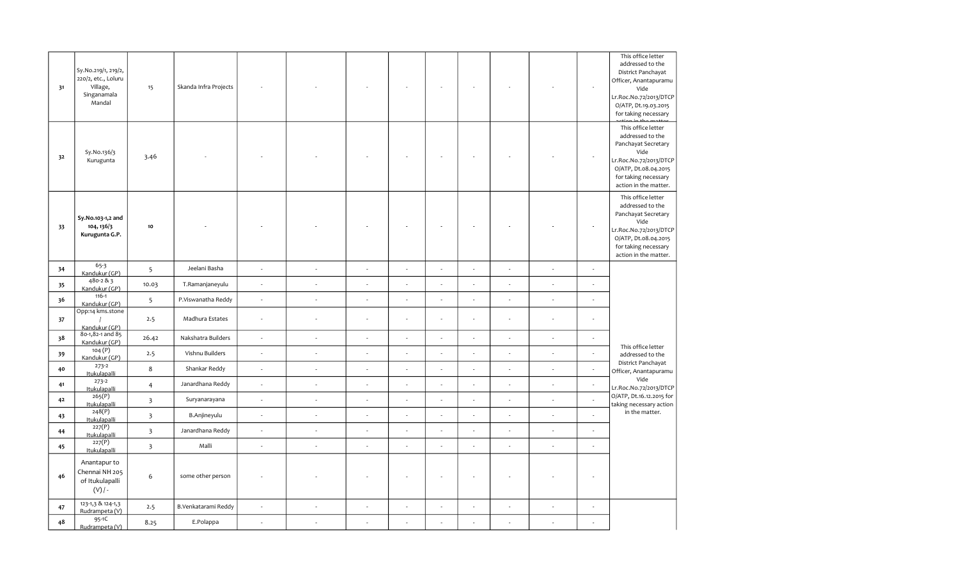| 31 | Sy.No.219/1, 219/2,<br>220/2, etc., Loluru<br>Village,<br>Singanamala<br>Mandal | 15                      | Skanda Infra Projects |                          |                             |                          |                          |                |                          |                          |                          | $\sim$                   | This office letter<br>addressed to the<br>District Panchayat<br>Officer, Anantapuramu<br>Vide<br>Lr.Roc.No.72/2013/DTCP<br>O/ATP, Dt.19.03.2015<br>for taking necessary  |
|----|---------------------------------------------------------------------------------|-------------------------|-----------------------|--------------------------|-----------------------------|--------------------------|--------------------------|----------------|--------------------------|--------------------------|--------------------------|--------------------------|--------------------------------------------------------------------------------------------------------------------------------------------------------------------------|
| 32 | Sy.No.136/3<br>Kurugunta                                                        | 3.46                    |                       |                          |                             |                          |                          |                |                          |                          |                          | $\overline{\phantom{a}}$ | This office letter<br>addressed to the<br>Panchayat Secretary<br>Vide<br>Lr.Roc.No.72/2013/DTCP<br>O/ATP, Dt.08.04.2015<br>for taking necessary<br>action in the matter. |
| 33 | Sy.No.103-1,2 and<br>104, 136/3<br>Kurugunta G.P.                               | 10                      |                       |                          |                             |                          |                          |                |                          |                          |                          | $\overline{\phantom{a}}$ | This office letter<br>addressed to the<br>Panchayat Secretary<br>Vide<br>Lr.Roc.No.72/2013/DTCP<br>O/ATP, Dt.08.04.2015<br>for taking necessary<br>action in the matter. |
| 34 | $65 - 3$<br>Kandukur (GP)                                                       | 5                       | Jeelani Basha         | ÷,                       | J.                          | L.                       | L.                       | J.             |                          |                          | ÷,                       | J.                       |                                                                                                                                                                          |
| 35 | $480 - 283$<br>Kandukur (GP)                                                    | 10.03                   | T.Ramanjaneyulu       | $\overline{\phantom{a}}$ | $\mathcal{L}_{\mathcal{A}}$ | $\overline{\phantom{a}}$ | $\overline{a}$           | L.             |                          |                          | ä,                       | i,                       |                                                                                                                                                                          |
| 36 | $116 - 1$<br>Kandukur (GP)                                                      | $5\overline{)}$         | P.Viswanatha Reddy    | $\overline{\phantom{a}}$ | $\overline{\phantom{a}}$    | ÷,                       | $\sim$                   | $\sim$         | $\overline{\phantom{a}}$ | $\sim$                   | $\overline{\phantom{a}}$ | $\overline{\phantom{a}}$ |                                                                                                                                                                          |
| 37 | Opp:14 kms.stone<br>Kandukur (GP)                                               | 2.5                     | Madhura Estates       | $\overline{\phantom{a}}$ | $\overline{a}$              | $\overline{\phantom{a}}$ | $\overline{\phantom{a}}$ | ÷,             |                          |                          | ÷,                       | $\overline{\phantom{a}}$ |                                                                                                                                                                          |
| 38 | 80-1,82-1 and 85<br>Kandukur (GP)                                               | 26.42                   | Nakshatra Builders    | ÷,                       | $\overline{\phantom{a}}$    | ä,                       | $\overline{a}$           | $\overline{a}$ | $\sim$                   | $\overline{\phantom{a}}$ | $\overline{\phantom{a}}$ | ÷,                       |                                                                                                                                                                          |
| 39 | 104(P)<br>Kandukur (GP)                                                         | 2.5                     | Vishnu Builders       | ÷,                       | $\overline{\phantom{a}}$    | L.                       | ÷.                       | ÷,             | L.                       |                          | J.                       | ÷,                       | This office letter<br>addressed to the                                                                                                                                   |
| 40 | $273 - 2$<br>Itukulapalli                                                       | 8                       | Shankar Reddy         | ÷,                       | ÷,                          | $\overline{\phantom{a}}$ | L,                       | L.             |                          |                          | ÷,                       |                          | District Panchayat<br>Officer, Anantapuramu                                                                                                                              |
| 41 | $273 - 2$<br>Itukulapalli                                                       | $\overline{4}$          | Janardhana Reddy      | ÷,                       | ÷.                          | L.                       |                          |                |                          |                          | J.                       |                          | Vide<br>Lr.Roc.No.72/2013/DTCP                                                                                                                                           |
| 42 | 265(P)<br><b>Itukulapalli</b>                                                   | $\overline{\mathbf{3}}$ | Suryanarayana         | ÷,                       | $\sim$                      | $\overline{\phantom{a}}$ | ä,                       | L.             | ÷                        |                          | $\sim$                   | $\overline{\phantom{a}}$ | O/ATP, Dt.16.12.2015 for<br>taking necessary action                                                                                                                      |
| 43 | 248(P)<br>Itukulapalli                                                          | $\overline{\mathbf{3}}$ | B.Anjineyulu          | ÷,                       | $\sim$                      | ä,                       | $\overline{\phantom{a}}$ | ÷,             | ÷,                       | $\epsilon$               | ÷,                       | $\overline{\phantom{a}}$ | in the matter.                                                                                                                                                           |
| 44 | 227(P)<br>Itukulapalli                                                          | $\overline{\mathbf{3}}$ | Janardhana Reddy      | ÷,                       | $\sim$                      | $\overline{\phantom{a}}$ | $\overline{\phantom{a}}$ | ÷,             | $\lambda$                |                          | $\overline{a}$           | ÷,                       |                                                                                                                                                                          |
| 45 | 227(P)<br>Itukulapalli                                                          | $\overline{\mathbf{3}}$ | Malli                 | ÷,                       | $\sim$                      | ÷,                       | $\overline{a}$           | ÷,             |                          | $\overline{\phantom{a}}$ | ÷,                       | ä,                       |                                                                                                                                                                          |
| 46 | Anantapur to<br>Chennai NH 205<br>of Itukulapalli<br>$(V)$ / -                  | 6                       | some other person     |                          |                             |                          |                          |                |                          |                          |                          |                          |                                                                                                                                                                          |
| 47 | 123-1,3 & 124-1,3<br>Rudrampeta (V)                                             | 2.5                     | B.Venkatarami Reddy   | ÷,                       | i,                          | ä,                       | $\overline{\phantom{a}}$ | Ĭ.             |                          |                          |                          | $\overline{\phantom{a}}$ |                                                                                                                                                                          |
| 48 | 95-1C<br>Rudrampeta (V)                                                         | 8.25                    | E.Polappa             | J.                       |                             |                          |                          |                |                          |                          |                          |                          |                                                                                                                                                                          |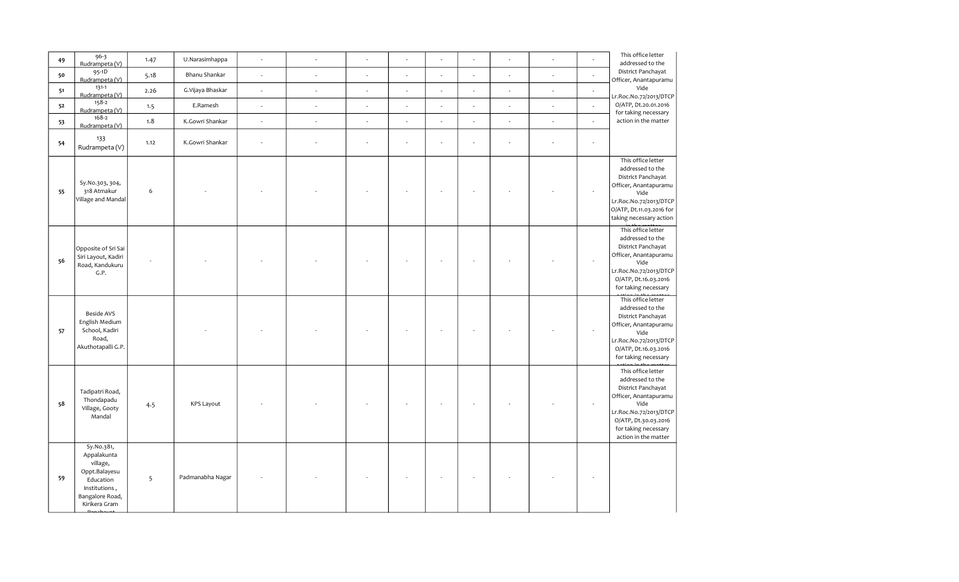| 49 | $96 - 3$<br>Rudrampeta (V)                                                                                               | 1.47             | U.Narasimhappa    |                          |                          | ÷,                       |    |    |        | ÷                           |                          | This office letter<br>addressed to the                                                                                                                                                          |
|----|--------------------------------------------------------------------------------------------------------------------------|------------------|-------------------|--------------------------|--------------------------|--------------------------|----|----|--------|-----------------------------|--------------------------|-------------------------------------------------------------------------------------------------------------------------------------------------------------------------------------------------|
| 50 | 95-1D<br>Rudrampeta (V)                                                                                                  | 5.18             | Bhanu Shankar     | ÷.                       | $\overline{\phantom{a}}$ | J.                       |    |    |        | ÷                           |                          | District Panchayat<br>Officer, Anantapuramu                                                                                                                                                     |
| 51 | $131 - 1$<br>Rudrampeta (V)                                                                                              | 2.26             | G.Vijaya Bhaskar  | ÷.                       | $\sim$                   | ÷.                       | ÷. | L, | $\sim$ | $\overline{\phantom{a}}$    | $\overline{\phantom{a}}$ | Vide<br>Lr.Roc.No.72/2013/DTCP                                                                                                                                                                  |
| 52 | $158-2$<br>Rudrampeta (V)                                                                                                | 1.5              | E.Ramesh          | $\overline{\phantom{a}}$ | $\epsilon$               | $\overline{\phantom{a}}$ | ÷  | J. |        | $\mathcal{L}_{\mathcal{A}}$ | $\epsilon$               | O/ATP, Dt.20.01.2016                                                                                                                                                                            |
| 53 | 168-2<br>Rudrampeta (V)                                                                                                  | 1.8              | K.Gowri Shankar   | ÷.                       | $\epsilon$               | $\overline{\phantom{a}}$ | ÷, | ÷, |        | $\overline{\phantom{a}}$    | $\epsilon$               | for taking necessary<br>action in the matter                                                                                                                                                    |
| 54 | 133<br>Rudrampeta (V)                                                                                                    | 1.12             | K.Gowri Shankar   |                          |                          |                          |    |    |        |                             |                          |                                                                                                                                                                                                 |
| 55 | Sy.No.303, 304,<br>318 Atmakur<br>Village and Mandal                                                                     | $\boldsymbol{6}$ |                   |                          |                          |                          |    |    |        |                             |                          | This office letter<br>addressed to the<br>District Panchayat<br>Officer, Anantapuramu<br>Vide<br>Lr.Roc.No.72/2013/DTCP<br>O/ATP, Dt.11.03.2016 for<br>taking necessary action                  |
| 56 | Opposite of Sri Sai<br>Siri Layout, Kadiri<br>Road, Kandukuru<br>G.P.                                                    |                  |                   |                          |                          |                          |    |    |        |                             |                          | This office letter<br>addressed to the<br>District Panchayat<br>Officer, Anantapuramu<br>Vide<br>Lr.Roc.No.72/2013/DTCP<br>O/ATP, Dt.16.03.2016<br>for taking necessary                         |
| 57 | <b>Beside AVS</b><br>English Medium<br>School, Kadiri<br>Road,<br>Akuthotapalli G.P.                                     |                  |                   |                          |                          |                          |    |    |        |                             |                          | This office letter<br>addressed to the<br>District Panchayat<br>Officer, Anantapuramu<br>Vide<br>Lr.Roc.No.72/2013/DTCP<br>O/ATP, Dt.16.03.2016<br>for taking necessary                         |
| 58 | Tadipatri Road,<br>Thondapadu<br>Village, Gooty<br>Mandal                                                                | 4.5              | <b>KPS Layout</b> |                          |                          |                          |    |    |        |                             |                          | This office letter<br>addressed to the<br>District Panchayat<br>Officer, Anantapuramu<br>Vide<br>Lr.Roc.No.72/2013/DTCP<br>O/ATP, Dt.30.03.2016<br>for taking necessary<br>action in the matter |
| 59 | Sy.No.381,<br>Appalakunta<br>village,<br>Oppt.Balayesu<br>Education<br>Institutions,<br>Bangalore Road,<br>Kirikera Gram | 5                | Padmanabha Nagar  |                          |                          |                          |    |    |        |                             |                          |                                                                                                                                                                                                 |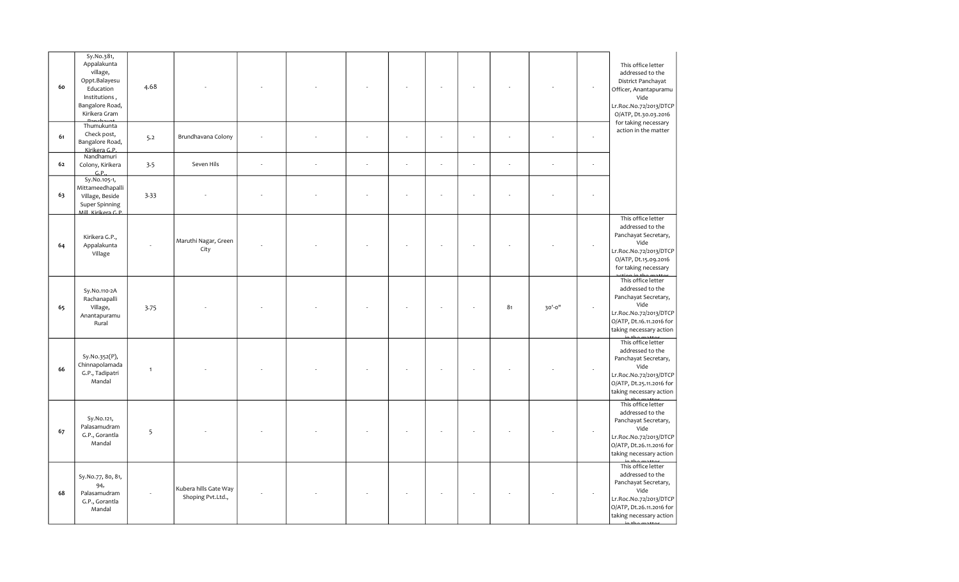| 60 | Sy.No.381,<br>Appalakunta<br>village,<br>Oppt.Balayesu<br>Education<br>Institutions,<br>Bangalore Road,<br>Kirikera Gram | 4.68         |                                            |        |    |    |        |        |        |        | This office letter<br>addressed to the<br>District Panchayat<br>Officer, Anantapuramu<br>Vide<br>Lr.Roc.No.72/2013/DTCP<br>O/ATP, Dt.30.03.2016         |
|----|--------------------------------------------------------------------------------------------------------------------------|--------------|--------------------------------------------|--------|----|----|--------|--------|--------|--------|---------------------------------------------------------------------------------------------------------------------------------------------------------|
| 61 | Thumukunta<br>Check post,<br>Bangalore Road,<br>Kirikera G.P.                                                            | 5.2          | Brundhavana Colony                         |        |    |    |        |        |        |        | for taking necessary<br>action in the matter                                                                                                            |
| 62 | Nandhamuri<br>Colony, Kirikera<br>G.P.                                                                                   | 3.5          | Seven Hils                                 | $\sim$ | ÷, | L. | $\sim$ | $\sim$ | ÷,     | $\sim$ |                                                                                                                                                         |
| 63 | Sy.No.105-1,<br>Mittameedhapalli<br>Village, Beside<br>Super Spinning<br>Mill Kirikera G.P                               | 3.33         |                                            |        |    |    |        |        |        |        |                                                                                                                                                         |
| 64 | Kirikera G.P.,<br>Appalakunta<br>Village                                                                                 |              | Maruthi Nagar, Green<br>City               |        |    |    |        |        |        |        | This office letter<br>addressed to the<br>Panchayat Secretary,<br>Vide<br>Lr.Roc.No.72/2013/DTCP<br>O/ATP, Dt.15.09.2016<br>for taking necessary        |
| 65 | Sy.No.110-2A<br>Rachanapalli<br>Village,<br>Anantapuramu<br>Rural                                                        | 3.75         |                                            |        |    |    |        | 81     | 30'-0" |        | This office letter<br>addressed to the<br>Panchayat Secretary,<br>Vide<br>Lr.Roc.No.72/2013/DTCP<br>O/ATP, Dt.16.11.2016 for<br>taking necessary action |
| 66 | Sy.No.352(P),<br>Chinnapolamada<br>G.P., Tadipatri<br>Mandal                                                             | $\mathbf{1}$ |                                            |        |    |    |        |        |        |        | This office letter<br>addressed to the<br>Panchayat Secretary,<br>Vide<br>Lr.Roc.No.72/2013/DTCP<br>O/ATP, Dt.25.11.2016 for<br>taking necessary action |
| 67 | Sy.No.121,<br>Palasamudram<br>G.P., Gorantla<br>Mandal                                                                   | 5            |                                            |        |    |    |        |        |        |        | This office letter<br>addressed to the<br>Panchayat Secretary,<br>Vide<br>Lr.Roc.No.72/2013/DTCP<br>O/ATP, Dt.26.11.2016 for<br>taking necessary action |
| 68 | Sy.No.77, 80, 81,<br>94,<br>Palasamudram<br>G.P., Gorantla<br>Mandal                                                     |              | Kubera hills Gate Way<br>Shoping Pvt.Ltd., |        |    |    |        |        |        |        | This office letter<br>addressed to the<br>Panchayat Secretary,<br>Vide<br>Lr.Roc.No.72/2013/DTCP<br>O/ATP, Dt.26.11.2016 for<br>taking necessary action |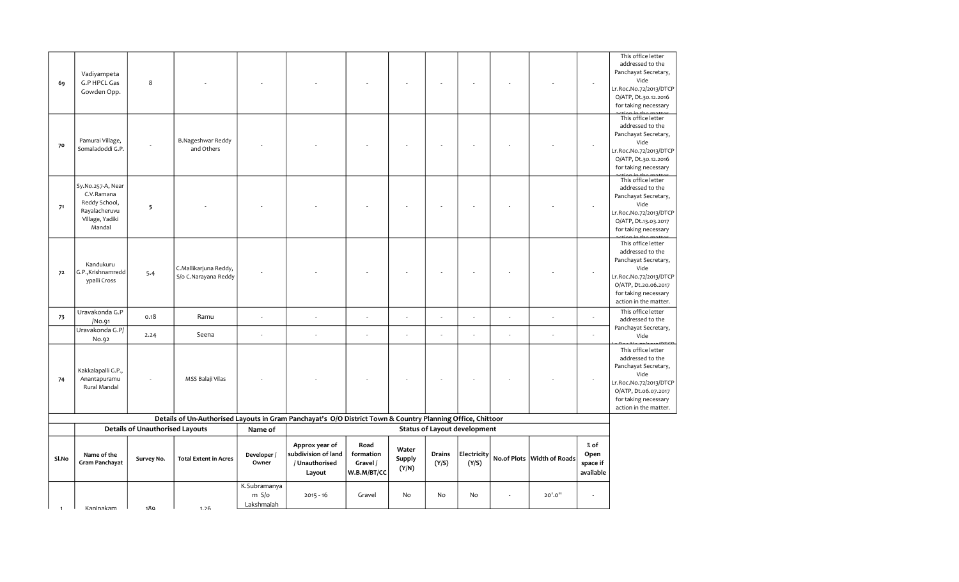| 69    | Vadiyampeta<br>G.P HPCL Gas<br>Gowden Opp.                                                     | 8                                      |                                                                                                            |                                     |                                                                   |                                              |                          |                        |                                     |                    |                       |                                         | addressed to the<br>Panchayat Secretary,<br>Vide<br>Lr.Roc.No.72/2013/DTCP<br>O/ATP, Dt.30.12.2016<br>for taking necessary<br>This office letter                          |
|-------|------------------------------------------------------------------------------------------------|----------------------------------------|------------------------------------------------------------------------------------------------------------|-------------------------------------|-------------------------------------------------------------------|----------------------------------------------|--------------------------|------------------------|-------------------------------------|--------------------|-----------------------|-----------------------------------------|---------------------------------------------------------------------------------------------------------------------------------------------------------------------------|
| 70    | Pamurai Village,<br>Somaladoddi G.P.                                                           |                                        | <b>B.Nageshwar Reddy</b><br>and Others                                                                     |                                     |                                                                   |                                              |                          |                        |                                     |                    |                       |                                         | addressed to the<br>Panchayat Secretary,<br>Vide<br>Lr.Roc.No.72/2013/DTCP<br>O/ATP, Dt.30.12.2016<br>for taking necessary                                                |
| 71    | Sy.No.257-A, Near<br>C.V.Ramana<br>Reddy School,<br>Rayalacheruvu<br>Village, Yadiki<br>Mandal | 5                                      |                                                                                                            |                                     |                                                                   |                                              |                          |                        |                                     |                    |                       |                                         | This office letter<br>addressed to the<br>Panchayat Secretary,<br>Vide<br>Lr.Roc.No.72/2013/DTCP<br>O/ATP, Dt.13.03.2017<br>for taking necessary                          |
| 72    | Kandukuru<br>G.P.,Krishnamredd<br>ypalli Cross                                                 | 5.4                                    | C.Mallikarjuna Reddy,<br>S/o C.Narayana Reddy                                                              |                                     |                                                                   |                                              |                          |                        |                                     |                    |                       |                                         | This office letter<br>addressed to the<br>Panchayat Secretary,<br>Vide<br>Lr.Roc.No.72/2013/DTCP<br>O/ATP, Dt.20.06.2017<br>for taking necessary<br>action in the matter. |
| 73    | Uravakonda G.P<br>/No.91                                                                       | 0.18                                   | Ramu                                                                                                       |                                     |                                                                   | ÷,                                           | ÷,                       |                        |                                     |                    |                       |                                         | This office letter<br>addressed to the                                                                                                                                    |
|       | Uravakonda G.P/<br>No.92                                                                       | 2.24                                   | Seena                                                                                                      |                                     | ÷,                                                                |                                              |                          |                        |                                     |                    |                       |                                         | Panchayat Secretary,<br>Vide                                                                                                                                              |
| 74    | Kakkalapalli G.P.,<br>Anantapuramu<br>Rural Mandal                                             |                                        | MSS Balaji Vilas                                                                                           |                                     |                                                                   |                                              |                          |                        |                                     |                    |                       |                                         | This office letter<br>addressed to the<br>Panchayat Secretary,<br>Vide<br>Lr.Roc.No.72/2013/DTCP<br>O/ATP, Dt.06.07.2017<br>for taking necessary<br>action in the matter. |
|       |                                                                                                |                                        | Details of Un-Authorised Layouts in Gram Panchayat's O/O District Town & Country Planning Office, Chittoor |                                     |                                                                   |                                              |                          |                        |                                     |                    |                       |                                         |                                                                                                                                                                           |
|       |                                                                                                | <b>Details of Unauthorised Layouts</b> |                                                                                                            | Name of                             |                                                                   |                                              |                          |                        | <b>Status of Layout development</b> |                    |                       |                                         |                                                                                                                                                                           |
| Sl.No | Name of the<br>Gram Panchayat                                                                  | Survey No.                             | <b>Total Extent in Acres</b>                                                                               | Developer /<br>Owner                | Approx year of<br>subdivision of land<br>/ Unauthorised<br>Layout | Road<br>formation<br>Gravel /<br>W.B.M/BT/CC | Water<br>Supply<br>(Y/N) | <b>Drains</b><br>(Y/S) | Electricity<br>(Y/S)                | <b>No.of Plots</b> | <b>Width of Roads</b> | $%$ of<br>Open<br>space if<br>available |                                                                                                                                                                           |
|       |                                                                                                |                                        |                                                                                                            | K.Subramanya<br>m S/o<br>Lakshmaiah | $2015 - 16$                                                       | Gravel                                       | No                       | No                     | No                                  |                    | 20'.0''               |                                         |                                                                                                                                                                           |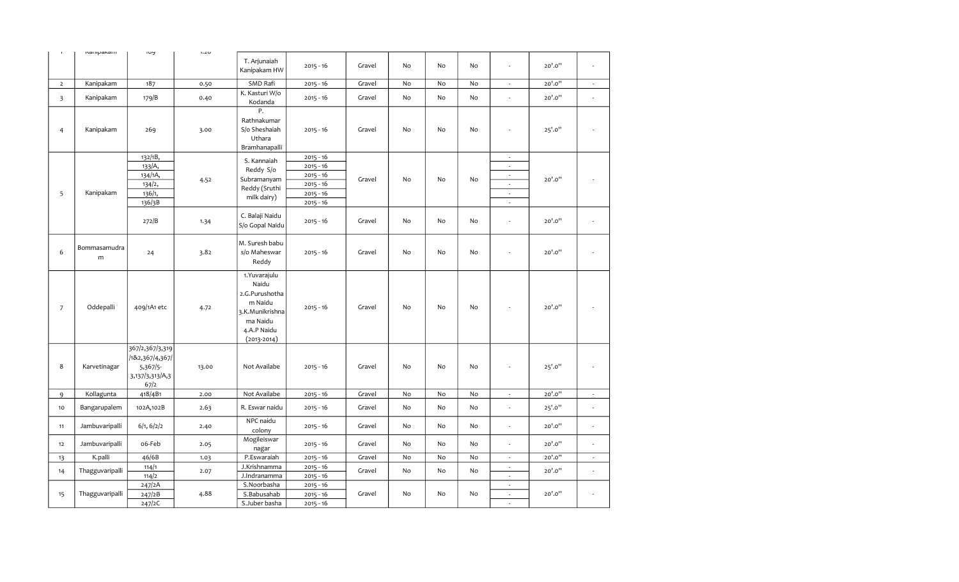| $\mathbf{I}$            | ivariipavarii     | פטו                                                                       | 1.20  |                                                                                                                      |                                                                                        |        |    |           |    |                                                                                                                                                    |         |                             |
|-------------------------|-------------------|---------------------------------------------------------------------------|-------|----------------------------------------------------------------------------------------------------------------------|----------------------------------------------------------------------------------------|--------|----|-----------|----|----------------------------------------------------------------------------------------------------------------------------------------------------|---------|-----------------------------|
|                         |                   |                                                                           |       | T. Arjunaiah<br>Kanipakam HW                                                                                         | $2015 - 16$                                                                            | Gravel | No | No        | No | ÷,                                                                                                                                                 | 20'.0"  | ÷.                          |
| $\overline{2}$          | Kanipakam         | 187                                                                       | 0.50  | SMD Rafi                                                                                                             | $2015 - 16$                                                                            | Gravel | No | No        | No | $\sim$                                                                                                                                             | 20'.0"  | $\mathcal{L}_{\mathcal{A}}$ |
| $\overline{\mathbf{3}}$ | Kanipakam         | 179/B                                                                     | 0.40  | K. Kasturi W/o<br>Kodanda                                                                                            | $2015 - 16$                                                                            | Gravel | No | No        | No | $\overline{\phantom{a}}$                                                                                                                           | 20'.0"  | $\overline{\phantom{a}}$    |
| $\overline{4}$          | Kanipakam         | 269                                                                       | 3.00  | Ρ.<br>Rathnakumar<br>S/o Sheshaiah<br>Uthara<br>Bramhanapalli                                                        | $2015 - 16$                                                                            | Gravel | No | <b>No</b> | No |                                                                                                                                                    | 25'.0"  |                             |
| 5                       | Kanipakam         | 132/1B,<br>133/A,<br>134/1A,<br>134/2,<br>136/1,<br>136/3B                | 4.52  | S. Kannaiah<br>Reddy S/o<br>Subramanyam<br>Reddy (Sruthi<br>milk dairy)                                              | $2015 - 16$<br>$2015 - 16$<br>$2015 - 16$<br>$2015 - 16$<br>$2015 - 16$<br>$2015 - 16$ | Gravel | No | No        | No | $\sim$<br>$\overline{\phantom{a}}$<br>$\overline{\phantom{a}}$<br>$\overline{\phantom{a}}$<br>$\overline{\phantom{a}}$<br>$\overline{\phantom{a}}$ | 20'.0"  |                             |
|                         |                   | 272/B                                                                     | 1.34  | C. Balaji Naidu<br>S/o Gopal Naidu                                                                                   | $2015 - 16$                                                                            | Gravel | No | No        | No | ÷,                                                                                                                                                 | 20'.0"  | $\overline{\phantom{a}}$    |
| 6                       | Bommasamudra<br>m | 24                                                                        | 3.82  | M. Suresh babu<br>s/o Maheswar<br>Reddy                                                                              | $2015 - 16$                                                                            | Gravel | No | No        | No | ÷,                                                                                                                                                 | 20'.0"  |                             |
| $\overline{7}$          | Oddepalli         | 409/1A1 etc                                                               | 4.72  | 1. Yuvarajulu<br>Naidu<br>2.G.Purushotha<br>m Naidu<br>3.K.Munikrishna<br>ma Naidu<br>4.A.P Naidu<br>$(2013 - 2014)$ | $2015 - 16$                                                                            | Gravel | No | No        | No |                                                                                                                                                    | 20'.0"  |                             |
| 8                       | Karvetinagar      | 367/2,367/3,319<br>/1&2,367/4,367/<br>5,367/5-<br>3,137/3,313/A,3<br>67/2 | 13.00 | Not Availabe                                                                                                         | $2015 - 16$                                                                            | Gravel | No | No        | No | ä,                                                                                                                                                 | 25'.0'' | $\overline{\phantom{a}}$    |
| 9                       | Kollagunta        | 418/4B1                                                                   | 2.00  | Not Availabe                                                                                                         | $2015 - 16$                                                                            | Gravel | No | No        | No | $\overline{\phantom{a}}$                                                                                                                           | 20'.0"  | $\overline{\phantom{a}}$    |
| 10                      | Bangarupalem      | 102A,102B                                                                 | 2.63  | R. Eswar naidu                                                                                                       | $2015 - 16$                                                                            | Gravel | No | No        | No | ÷,                                                                                                                                                 | 25'.0'' | $\overline{\phantom{a}}$    |
| 11                      | Jambuvaripalli    | 6/1, 6/2/2                                                                | 2.40  | NPC naidu<br>colony                                                                                                  | $2015 - 16$                                                                            | Gravel | No | No        | No | $\overline{\phantom{a}}$                                                                                                                           | 20'.0"  | $\overline{\phantom{a}}$    |
| 12                      | Jambuvaripalli    | o6-Feb                                                                    | 2.05  | Mogileiswar<br>nagar                                                                                                 | $2015 - 16$                                                                            | Gravel | No | No        | No | $\overline{\phantom{a}}$                                                                                                                           | 20'.0"  | $\overline{\phantom{a}}$    |
| 13                      | K.palli           | 46/6B                                                                     | 1.03  | P.Eswaraiah                                                                                                          | $2015 - 16$                                                                            | Gravel | No | No        | No | $\overline{\phantom{a}}$                                                                                                                           | 20'.0"  | $\sim$                      |
| 14                      | Thagguvaripalli   | 114/1<br>114/2                                                            | 2.07  | J.Krishnamma<br>J.Indranamma                                                                                         | $2015 - 16$<br>$2015 - 16$                                                             | Gravel | No | No        | No | $\overline{\phantom{a}}$<br>$\omega$                                                                                                               | 20'.0"  | $\overline{\phantom{a}}$    |
| 15                      | Thagguvaripalli   | 247/2A<br>247/2B<br>247/2C                                                | 4.88  | S.Noorbasha<br>S.Babusahab<br>S.Juber basha                                                                          | $2015 - 16$<br>$2015 - 16$<br>$2015 - 16$                                              | Gravel | No | No        | No | $\overline{\phantom{a}}$<br>$\mathcal{L}$<br>÷.                                                                                                    | 20'.0"  |                             |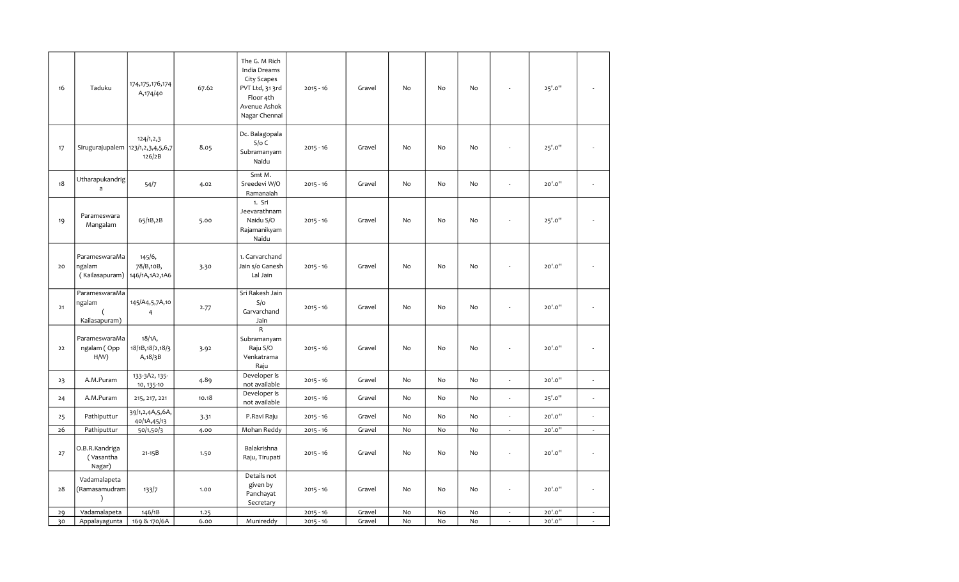| 16 | Taduku                                     | 174, 175, 176, 174<br>A,174/40          | 67.62 | The G. M Rich<br>India Dreams<br>City Scapes<br>PVT Ltd, 31 3rd<br>Floor 4th<br>Avenue Ashok<br>Nagar Chennai | $2015 - 16$ | Gravel | $\mathsf{No}$                | No | No |                          | 25'.0"  |                          |
|----|--------------------------------------------|-----------------------------------------|-------|---------------------------------------------------------------------------------------------------------------|-------------|--------|------------------------------|----|----|--------------------------|---------|--------------------------|
| 17 | Sirugurajupalem 123/1,2,3,4,5,6,7          | 124/1, 2, 3<br>126/2B                   | 8.05  | Dc. Balagopala<br>$S/O$ C<br>Subramanyam<br>Naidu                                                             | $2015 - 16$ | Gravel | No                           | No | No |                          | 25'.0"  |                          |
| 18 | Utharapukandrig<br>a                       | 54/7                                    | 4.02  | Smt M.<br>Sreedevi W/O<br>Ramanaiah                                                                           | $2015 - 16$ | Gravel | No                           | No | No | ÷,                       | 20'.0"  | $\overline{\phantom{a}}$ |
| 19 | Parameswara<br>Mangalam                    | 65/1B,2B                                | 5.00  | 1. Sri<br>Jeevarathnam<br>Naidu S/O<br>Rajamanikyam<br>Naidu                                                  | $2015 - 16$ | Gravel | No                           | No | No | $\overline{a}$           | 25'.0"  |                          |
| 20 | ParameswaraMa<br>ngalam<br>(Kailasapuram)  | 145/6,<br>78/B,10B,<br>146/1A, 1A2, 1A6 | 3.30  | 1. Garvarchand<br>Jain s/o Ganesh<br>Lal Jain                                                                 | $2015 - 16$ | Gravel | No                           | No | No | $\overline{a}$           | 20'.0"  |                          |
| 21 | ParameswaraMa<br>ngalam<br>Kailasapuram)   | 145/A4,5,7A,10<br>4                     | 2.77  | Sri Rakesh Jain<br>S/O<br>Garvarchand<br>Jain                                                                 | $2015 - 16$ | Gravel | No                           | No | No |                          | 20'.0"  |                          |
| 22 | ParameswaraMa<br>ngalam (Opp<br>$H/W$ )    | 18/1A,<br>18/1B, 18/2, 18/3<br>A, 18/3B | 3.92  | R<br>Subramanyam<br>Raju S/O<br>Venkatrama<br>Raju                                                            | $2015 - 16$ | Gravel | No                           | No | No | ÷,                       | 20'.0"  |                          |
| 23 | A.M.Puram                                  | 133-3A2, 135-<br>10, 135-10             | 4.89  | Developer is<br>not available                                                                                 | $2015 - 16$ | Gravel | No                           | No | No | ÷,                       | 20'.0"  | $\overline{\phantom{a}}$ |
| 24 | A.M.Puram                                  | 215, 217, 221                           | 10.18 | Developer is<br>not available                                                                                 | $2015 - 16$ | Gravel | No                           | No | No | ÷,                       | 25'.0'' | $\overline{\phantom{a}}$ |
| 25 | Pathiputtur                                | 39/1,2,4A,5,6A,<br>40/1A,45/13          | 3.31  | P.Ravi Raju                                                                                                   | $2015 - 16$ | Gravel | No                           | No | No | $\omega$                 | 20'.0"  | $\overline{\phantom{a}}$ |
| 26 | Pathiputtur                                | 50/1,50/3                               | 4.00  | Mohan Reddy                                                                                                   | $2015 - 16$ | Gravel | No                           | No | No | ÷.                       | 20'.0"  | $\sim$                   |
| 27 | O.B.R.Kandriga<br>(Vasantha<br>Nagar)      | $21 - 15B$                              | 1.50  | Balakrishna<br>Raju, Tirupati                                                                                 | $2015 - 16$ | Gravel | No                           | No | No | ä,                       | 20'.0"  | L,                       |
| 28 | Vadamalapeta<br>(Ramasamudram<br>$\lambda$ | 133/7                                   | 1.00  | Details not<br>given by<br>Panchayat<br>Secretary                                                             | $2015 - 16$ | Gravel | No                           | No | No | ÷,                       | 20'.0"  | $\overline{a}$           |
| 29 | Vadamalapeta                               | 146/1B                                  | 1.25  |                                                                                                               | $2015 - 16$ | Gravel | $\operatorname{\mathsf{No}}$ | No | No | $\overline{\phantom{a}}$ | 20'.0"  | $\overline{\phantom{a}}$ |
| 30 | Appalayagunta                              | 169 & 170/6A                            | 6.00  | Munireddy                                                                                                     | $2015 - 16$ | Gravel | $\operatorname{\mathsf{No}}$ | No | No | $\overline{\phantom{a}}$ | 20'.0"  | $\epsilon$               |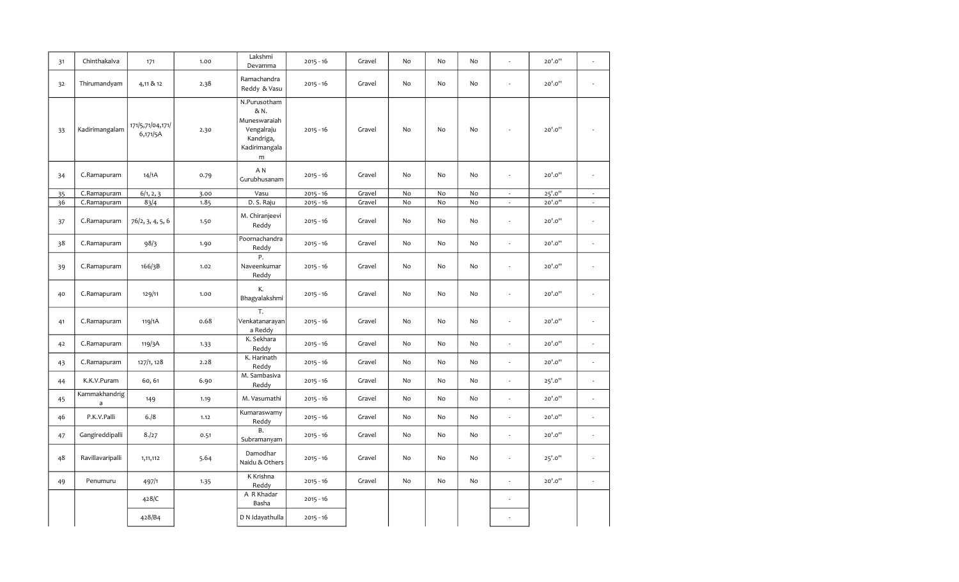| 31 | Chinthakalva                  | 171                          | 1.00 | Lakshmi<br>Devamma                                                                    | $2015 - 16$ | Gravel | No | No | No |                          | 20'.0"  |                          |
|----|-------------------------------|------------------------------|------|---------------------------------------------------------------------------------------|-------------|--------|----|----|----|--------------------------|---------|--------------------------|
| 32 | Thirumandyam                  | 4,11 & 12                    | 2.38 | Ramachandra<br>Reddy & Vasu                                                           | $2015 - 16$ | Gravel | No | No | No |                          | 20'.0"  | ä,                       |
| 33 | Kadirimangalam                | 171/5,71/04,171/<br>6,171/5A | 2.30 | N.Purusotham<br>& N.<br>Muneswaraiah<br>Vengalraju<br>Kandriga,<br>Kadirimangala<br>m | $2015 - 16$ | Gravel | No | No | No |                          | 20'.0"  |                          |
| 34 | C.Ramapuram                   | 14/1A                        | 0.79 | A N<br>Gurubhusanam                                                                   | $2015 - 16$ | Gravel | No | No | No | $\overline{\phantom{a}}$ | 20'.0"  | ÷,                       |
| 35 | C.Ramapuram                   | 6/1, 2, 3                    | 3.00 | Vasu                                                                                  | $2015 - 16$ | Gravel | No | No | No | $\overline{\phantom{a}}$ | 25'.0"  | $\sim$                   |
| 36 | C.Ramapuram                   | 83/4                         | 1.85 | D. S. Raju                                                                            | $2015 - 16$ | Gravel | No | No | No | $\mathcal{L}$            | 20'.0"  | $\sim$                   |
| 37 | C.Ramapuram                   | 76/2, 3, 4, 5, 6             | 1.50 | M. Chiranjeevi<br>Reddy                                                               | $2015 - 16$ | Gravel | No | No | No | $\overline{\phantom{a}}$ | 20'.0"  | ä,                       |
| 38 | C.Ramapuram                   | 98/3                         | 1.90 | Poornachandra<br>Reddy                                                                | $2015 - 16$ | Gravel | No | No | No | ÷.                       | 20'.0"  | ä,                       |
| 39 | C.Ramapuram                   | 166/3B                       | 1.02 | Ρ.<br>Naveenkumar<br>Reddy                                                            | $2015 - 16$ | Gravel | No | No | No | $\overline{\phantom{a}}$ | 20'.0"  | L.                       |
| 40 | C.Ramapuram                   | 129/11                       | 1.00 | К.<br>Bhagyalakshmi                                                                   | $2015 - 16$ | Gravel | No | No | No | ÷                        | 20'.0"  | ÷,                       |
| 41 | C.Ramapuram                   | 119/1A                       | 0.68 | T.<br>Venkatanarayan<br>a Reddy                                                       | $2015 - 16$ | Gravel | No | No | No | $\sim$                   | 20'.0"  | ÷,                       |
| 42 | C.Ramapuram                   | 119/3A                       | 1.33 | K. Sekhara<br>Reddy                                                                   | $2015 - 16$ | Gravel | No | No | No | ÷,                       | 20'.0"  | ä,                       |
| 43 | C.Ramapuram                   | 127/1, 128                   | 2.28 | K. Harinath<br>Reddy                                                                  | $2015 - 16$ | Gravel | No | No | No | $\overline{\phantom{a}}$ | 20'.0"  | $\overline{\phantom{a}}$ |
| 44 | K.K.V.Puram                   | 60,61                        | 6.90 | M. Sambasiva<br>Reddy                                                                 | $2015 - 16$ | Gravel | No | No | No | $\overline{\phantom{a}}$ | 25'.0"  | ä,                       |
| 45 | Kammakhandrig<br>$\mathsf{a}$ | 149                          | 1.19 | M. Vasumathi                                                                          | $2015 - 16$ | Gravel | No | No | No | $\overline{\phantom{a}}$ | 20'.0"  | L.                       |
| 46 | P.K.V.Palli                   | 6. / 8                       | 1.12 | Kumaraswamy<br>Reddy                                                                  | $2015 - 16$ | Gravel | No | No | No | $\overline{\phantom{a}}$ | 20'.0"  | ٠                        |
| 47 | Gangireddipalli               | 8./27                        | 0.51 | Β.<br>Subramanyam                                                                     | $2015 - 16$ | Gravel | No | No | No | $\sim$                   | 20'.0"  | ÷,                       |
| 48 | Ravillavaripalli              | 1,11,112                     | 5.64 | Damodhar<br>Naidu & Others                                                            | $2015 - 16$ | Gravel | No | No | No | $\overline{\phantom{a}}$ | 25'.0'' | ÷,                       |
| 49 | Penumuru                      | 497/1                        | 1.35 | K Krishna<br>Reddy                                                                    | $2015 - 16$ | Gravel | No | No | No | $\overline{\phantom{a}}$ | 20'.0"  | ÷,                       |
|    |                               | 428/C                        |      | A R Khadar<br>Basha                                                                   | $2015 - 16$ |        |    |    |    |                          |         |                          |
|    |                               | 428/B4                       |      | D N Idayathulla                                                                       | $2015 - 16$ |        |    |    |    |                          |         |                          |
|    |                               |                              |      |                                                                                       |             |        |    |    |    |                          |         |                          |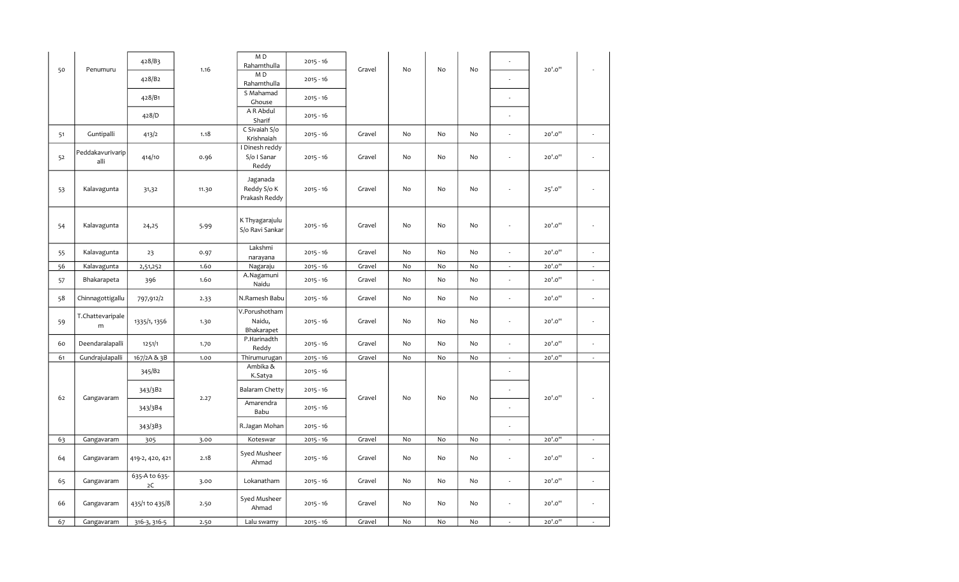|    |                               | 428/B3              |       | MD<br>Rahamthulla                        | $2015 - 16$ |        |    |    |    |                          |         |                             |
|----|-------------------------------|---------------------|-------|------------------------------------------|-------------|--------|----|----|----|--------------------------|---------|-----------------------------|
| 50 | Penumuru                      | 428/B <sub>2</sub>  | 1.16  | MD<br>Rahamthulla                        | $2015 - 16$ | Gravel | No | No | No |                          | 20'.0"  |                             |
|    |                               | 428/B1              |       | S Mahamad<br>Ghouse                      | $2015 - 16$ |        |    |    |    |                          |         |                             |
|    |                               | 428/D               |       | A R Abdul<br>Sharif                      | $2015 - 16$ |        |    |    |    |                          |         |                             |
| 51 | Guntipalli                    | 413/2               | 1.18  | C Sivaiah S/o<br>Krishnaiah              | $2015 - 16$ | Gravel | No | No | No |                          | 20'.0"  | L,                          |
| 52 | Peddakavurivarip<br>alli      | 414/10              | 0.96  | Dinesh reddy<br>S/o I Sanar<br>Reddy     | $2015 - 16$ | Gravel | No | No | No | ÷,                       | 20'.0"  | $\frac{1}{2}$               |
| 53 | Kalavagunta                   | 31,32               | 11.30 | Jaganada<br>Reddy S/o K<br>Prakash Reddy | $2015 - 16$ | Gravel | No | No | No |                          | 25'.0'' | $\frac{1}{2}$               |
| 54 | Kalavagunta                   | 24,25               | 5.99  | K Thyagarajulu<br>S/o Ravi Sankar        | $2015 - 16$ | Gravel | No | No | No |                          | 20'.0"  | L,                          |
| 55 | Kalavagunta                   | 23                  | 0.97  | Lakshmi<br>narayana                      | $2015 - 16$ | Gravel | No | No | No | $\overline{\phantom{a}}$ | 20'.0"  | L,                          |
| 56 | Kalavagunta                   | 2,51,252            | 1.60  | Nagaraju                                 | $2015 - 16$ | Gravel | No | No | No | $\overline{\phantom{a}}$ | 20'.0"  | $\overline{\phantom{a}}$    |
| 57 | Bhakarapeta                   | 396                 | 1.60  | A.Nagamuni<br>Naidu                      | $2015 - 16$ | Gravel | No | No | No | J.                       | 20'.0"  | ÷,                          |
| 58 | Chinnagottigallu              | 797,912/2           | 2.33  | N.Ramesh Babu                            | $2015 - 16$ | Gravel | No | No | No | ä,                       | 20'.0"  | Ĭ.                          |
| 59 | T.Chattevaripale<br>${\sf m}$ | 1335/1, 1356        | 1.30  | V.Porushotham<br>Naidu,<br>Bhakarapet    | $2015 - 16$ | Gravel | No | No | No | $\overline{a}$           | 20'.0"  | $\frac{1}{2}$               |
| 60 | Deendaralapalli               | 1251/1              | 1.70  | P.Harinadth<br>Reddy                     | $2015 - 16$ | Gravel | No | No | No | ÷,                       | 20'.0"  | ä,                          |
| 61 | Gundrajulapalli               | 167/2A & 3B         | 1.00  | Thirumurugan                             | $2015 - 16$ | Gravel | No | No | No | $\overline{\phantom{a}}$ | 20'.0"  | $\mathcal{L}_{\mathcal{A}}$ |
|    |                               | 345/B2              |       | Ambika &<br>K.Satya                      | $2015 - 16$ |        |    |    |    |                          |         |                             |
| 62 | Gangavaram                    | 343/3B2             | 2.27  | Balaram Chetty                           | $2015 - 16$ | Gravel | No | No | No |                          | 20'.0"  |                             |
|    |                               | 343/3B4             |       | Amarendra<br>Babu                        | $2015 - 16$ |        |    |    |    |                          |         |                             |
|    |                               | 343/3B3             |       | R.Jagan Mohan                            | $2015 - 16$ |        |    |    |    | $\overline{a}$           |         |                             |
| 63 | Gangavaram                    | 305                 | 3.00  | Koteswar                                 | $2015 - 16$ | Gravel | No | No | No | $\overline{\phantom{a}}$ | 20'.0"  | $\epsilon$                  |
| 64 | Gangavaram                    | 419-2, 420, 421     | 2.18  | Syed Musheer<br>Ahmad                    | $2015 - 16$ | Gravel | No | No | No | ÷,                       | 20'.0"  | ÷,                          |
| 65 | Gangavaram                    | 635-A to 635-<br>2C | 3.00  | Lokanatham                               | $2015 - 16$ | Gravel | No | No | No | ÷,                       | 20'.0"  | ÷,                          |
| 66 | Gangavaram                    | 435/1 to 435/8      | 2.50  | Syed Musheer<br>Ahmad                    | $2015 - 16$ | Gravel | No | No | No |                          | 20'.0"  | L,                          |
| 67 | Gangavaram                    | 316-3, 316-5        | 2.50  | Lalu swamy                               | $2015 - 16$ | Gravel | No | No | No | ÷,                       | 20'.0"  | ÷,                          |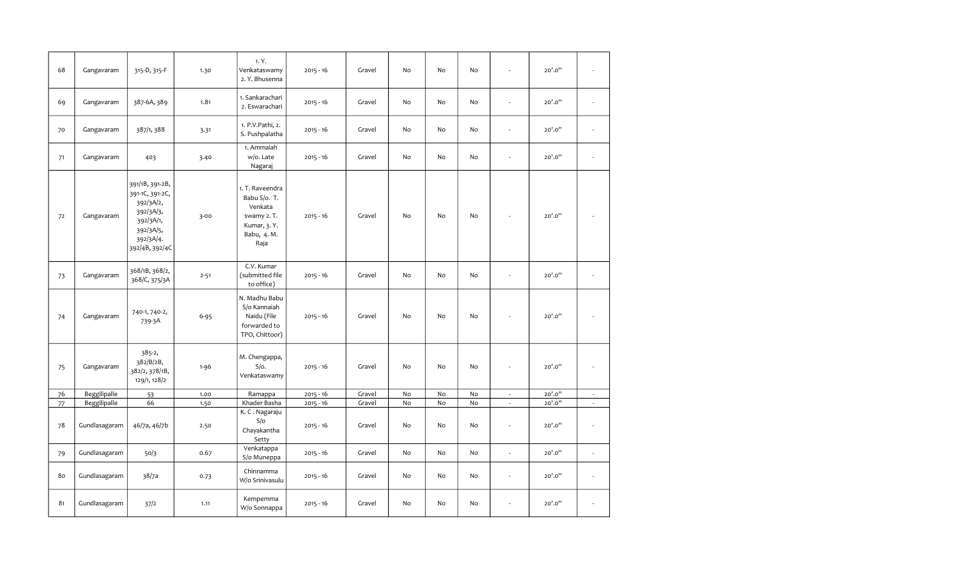| 68 | Gangavaram    | 315-D, 315-F                                                                                                          | 1.30     | 1. Y.<br>Venkataswamy<br>2. Y. Bhusenna                                                         | $2015 - 16$ | Gravel | No | No        | No | ÷,                       | 20'.0" |                          |
|----|---------------|-----------------------------------------------------------------------------------------------------------------------|----------|-------------------------------------------------------------------------------------------------|-------------|--------|----|-----------|----|--------------------------|--------|--------------------------|
| 69 | Gangavaram    | 387-6A, 389                                                                                                           | 1.81     | 1. Sankarachari<br>2. Eswarachari                                                               | $2015 - 16$ | Gravel | No | No        | No | ä,                       | 20'.0" |                          |
| 70 | Gangavaram    | 387/1, 388                                                                                                            | 3.31     | 1. P.V.Pathi, 2.<br>S. Pushpalatha                                                              | $2015 - 16$ | Gravel | No | No        | No | ÷,                       | 20'.0" | L,                       |
| 71 | Gangavaram    | 403                                                                                                                   | 3.40     | 1. Ammaiah<br>w/o. Late<br>Nagaraj                                                              | $2015 - 16$ | Gravel | No | No        | No | ÷,                       | 20'.0" | $\overline{\phantom{a}}$ |
| 72 | Gangavaram    | 391/1B, 391-2B,<br>391-1C, 391-2C,<br>392/3A/2,<br>392/3A/3,<br>392/3A/1,<br>392/3A/5,<br>392/3A/4.<br>392/4B, 392/4C | $3 - 00$ | 1. T. Raveendra<br>Babu S/o. T.<br>Venkata<br>swamy 2. T.<br>Kumar, 3.Y.<br>Babu, 4. M.<br>Raja | $2015 - 16$ | Gravel | No | No        | No | ÷,                       | 20'.0" |                          |
| 73 | Gangavaram    | 368/1B, 368/2,<br>368/C, 375/3A                                                                                       | $2 - 51$ | C.V. Kumar<br>(submitted file<br>to office)                                                     | $2015 - 16$ | Gravel | No | <b>No</b> | No | ÷.                       | 20'.0" | $\overline{\phantom{a}}$ |
| 74 | Gangavaram    | 740-1, 740-2,<br>739-3A                                                                                               | $6 - 95$ | N. Madhu Babu<br>S/o Kannaiah<br>Naidu (File<br>forwarded to<br>TPO, Chittoor)                  | $2015 - 16$ | Gravel | No | No        | No | ä,                       | 20'.0" |                          |
| 75 | Gangavaram    | $385 - 2,$<br>382/B/2B,<br>382/2, 378/1B,<br>129/1, 128/2                                                             | $1 - 96$ | M. Chengappa,<br>$S/O$ .<br>Venkataswamy                                                        | $2015 - 16$ | Gravel | No | No        | No | ä,                       | 20'.0" | $\overline{a}$           |
| 76 | Beggilipalle  | 53                                                                                                                    | 1.00     | Ramappa                                                                                         | $2015 - 16$ | Gravel | No | No        | No | $\overline{\phantom{a}}$ | 20'.0" | $\overline{\phantom{a}}$ |
| 77 | Beggilipalle  | 66                                                                                                                    | 1.50     | Khader Basha                                                                                    | $2015 - 16$ | Gravel | No | No        | No | $\overline{\phantom{a}}$ | 20'.0" | $\overline{\phantom{a}}$ |
| 78 | Gundlasagaram | 46/7a, 46/7b                                                                                                          | 2.50     | K. C. Nagaraju<br>S/O<br>Chayakantha<br>Setty                                                   | $2015 - 16$ | Gravel | No | No        | No | ÷,                       | 20'.0" | $\overline{\phantom{a}}$ |
| 79 | Gundlasagaram | 50/3                                                                                                                  | 0.67     | Venkatappa<br>S/o Muneppa                                                                       | $2015 - 16$ | Gravel | No | No        | No | ÷,                       | 20'.0" | $\overline{\phantom{a}}$ |
| 80 | Gundlasagaram | 38/7a                                                                                                                 | 0.73     | Chinnamma<br>W/o Srinivasulu                                                                    | $2015 - 16$ | Gravel | No | No        | No | ä,                       | 20'.0" | L,                       |
| 81 | Gundlasagaram | 37/2                                                                                                                  | 1.11     | Kempemma<br>W/o Sonnappa                                                                        | $2015 - 16$ | Gravel | No | No        | No | $\overline{\phantom{a}}$ | 20'.0" | $\overline{\phantom{a}}$ |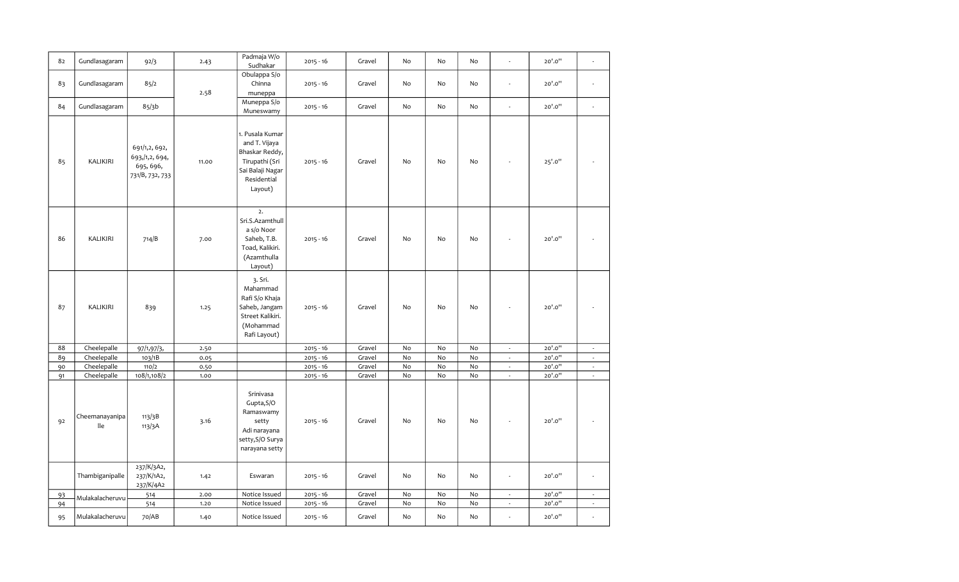| 82 |                       |                                                                   |       | Padmaja W/o                                                                                                        |             | Gravel | No                           | No | No | ÷,                       | 20'.0"  | J.                          |
|----|-----------------------|-------------------------------------------------------------------|-------|--------------------------------------------------------------------------------------------------------------------|-------------|--------|------------------------------|----|----|--------------------------|---------|-----------------------------|
|    | Gundlasagaram         | 92/3                                                              | 2.43  | Sudhakar                                                                                                           | $2015 - 16$ |        |                              |    |    |                          |         |                             |
| 83 | Gundlasagaram         | 85/2                                                              | 2.58  | Obulappa S/o<br>Chinna<br>muneppa                                                                                  | $2015 - 16$ | Gravel | No                           | No | No | J.                       | 20'.0"  | $\mathcal{L}_{\mathcal{A}}$ |
| 84 | Gundlasagaram         | 85/3b                                                             |       | Muneppa S/o<br>Muneswamy                                                                                           | $2015 - 16$ | Gravel | No                           | No | No | $\overline{\phantom{a}}$ | 20'.0"  | $\overline{\phantom{a}}$    |
| 85 | KALIKIRI              | 691/1,2, 692,<br>693, /1, 2, 694,<br>695, 696,<br>731/B, 732, 733 | 11.00 | 1. Pusala Kumar<br>and T. Vijaya<br>Bhaskar Reddy,<br>Tirupathi (Sri<br>Sai Balaji Nagar<br>Residential<br>Layout) | $2015 - 16$ | Gravel | No                           | No | No |                          | 25'.0'' |                             |
| 86 | <b>KALIKIRI</b>       | 714/B                                                             | 7.00  | 2.<br>Sri.S.Azamthull<br>a s/o Noor<br>Saheb, T.B.<br>Toad, Kalikiri.<br>(Azamthulla<br>Layout)                    | $2015 - 16$ | Gravel | No                           | No | No |                          | 20'.0"  |                             |
| 87 | KALIKIRI              | 839                                                               | 1.25  | 3. Sri.<br>Mahammad<br>Rafi S/o Khaja<br>Saheb, Jangam<br>Street Kalikiri.<br>(Mohammad<br>Rafi Layout)            | $2015 - 16$ | Gravel | No                           | No | No |                          | 20'.0"  |                             |
| 88 | Cheelepalle           | 97/1,97/3,                                                        | 2.50  |                                                                                                                    | $2015 - 16$ | Gravel | No                           | No | No | $\omega$                 | 20'.0'' | $\sim$                      |
| 89 | Cheelepalle           | 103/1B                                                            | 0.05  |                                                                                                                    | $2015 - 16$ | Gravel | No                           | No | No | ÷,                       | 20'.0'' | $\mathcal{L}_{\mathcal{A}}$ |
| 90 | Cheelepalle           | 110/2                                                             | 0.50  |                                                                                                                    | $2015 - 16$ | Gravel | $\mathsf{No}$                | No | No | $\overline{\phantom{a}}$ | 20'.0'' | $\sim$                      |
| 91 | Cheelepalle           | 108/1,108/2                                                       | 1.00  |                                                                                                                    | $2015 - 16$ | Gravel | No                           | No | No | ÷,                       | 20'.0"  | $\overline{\phantom{a}}$    |
| 92 | Cheemanayanipa<br>lle | 113/3B<br>113/3A                                                  | 3.16  | Srinivasa<br>Gupta, S/O<br>Ramaswamy<br>setty<br>Adi narayana<br>setty, S/O Surya<br>narayana setty                | $2015 - 16$ | Gravel | No                           | No | No |                          | 20'.0"  |                             |
|    | Thambiganipalle       | 237/K/3A2,<br>237/K/1A2,<br>237/K/4A2                             | 1.42  | Eswaran                                                                                                            | $2015 - 16$ | Gravel | No                           | No | No | $\overline{\phantom{a}}$ | 20'.0"  | $\overline{\phantom{a}}$    |
| 93 | Mulakalacheruvu       | 514                                                               | 2.00  | Notice Issued                                                                                                      | $2015 - 16$ | Gravel | $\operatorname{\mathsf{No}}$ | No | No | $\sim$                   | 20'.0'' | $\overline{\phantom{a}}$    |
| 94 |                       | 514                                                               | 1.20  | Notice Issued                                                                                                      | $2015 - 16$ | Gravel | No                           | No | No | $\overline{\phantom{a}}$ | 20'.0"  | $\mathcal{L}_{\mathcal{A}}$ |
| 95 | Mulakalacheruvu       | 70/AB                                                             | 1.40  | Notice Issued                                                                                                      | $2015 - 16$ | Gravel | No                           | No | No | l,                       | 20'.0"  | ÷,                          |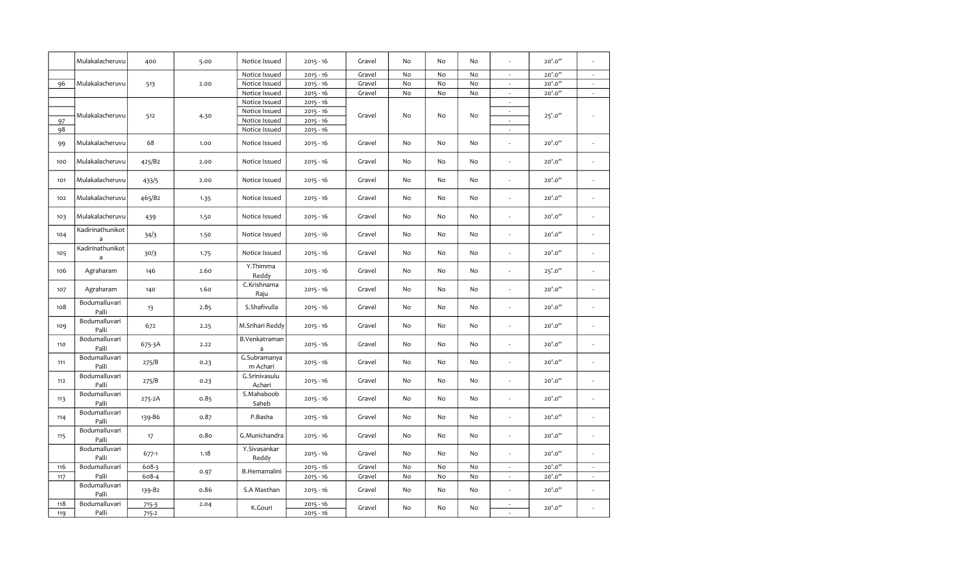| Notice Issued<br>$2015 - 16$<br>Gravel<br>No<br>No<br>Mulakalacheruvu<br>Notice Issued<br>$2015 - 16$<br>Gravel<br>No<br>No<br>96<br>2.00<br>513<br>Notice Issued<br>$2015 - 16$<br>Gravel<br>No<br>No<br>Notice Issued<br>$2015 - 16$<br>Notice Issued<br>$2015 - 16$<br>Mulakalacheruvu<br>Gravel<br>No<br>No<br>512<br>4.30<br>Notice Issued<br>$2015 - 16$<br>97<br>98<br>Notice Issued<br>$2015 - 16$<br>Mulakalacheruvu<br>68<br>Notice Issued<br>No<br>1.00<br>$2015 - 16$<br>Gravel<br>No<br>99 | No<br>No<br>No<br>No<br>No<br>No<br>No<br>No | $\overline{\phantom{a}}$<br>$\sim$<br>÷,<br>$\overline{\phantom{a}}$<br>$\overline{\phantom{a}}$<br>$\sim$<br>$\overline{\phantom{a}}$<br>÷.<br>$\overline{\phantom{a}}$<br>÷ | 20'.0"<br>20'.0"<br>20'.0"<br>25'.0''<br>20'.0"<br>20'.0"<br>20'.0" | $\overline{\phantom{a}}$<br>$\overline{\phantom{a}}$<br>$\overline{\phantom{a}}$<br>$\frac{1}{2}$<br>$\overline{\phantom{a}}$<br>$\overline{\phantom{a}}$ |
|---------------------------------------------------------------------------------------------------------------------------------------------------------------------------------------------------------------------------------------------------------------------------------------------------------------------------------------------------------------------------------------------------------------------------------------------------------------------------------------------------------|----------------------------------------------|-------------------------------------------------------------------------------------------------------------------------------------------------------------------------------|---------------------------------------------------------------------|-----------------------------------------------------------------------------------------------------------------------------------------------------------|
|                                                                                                                                                                                                                                                                                                                                                                                                                                                                                                         |                                              |                                                                                                                                                                               |                                                                     |                                                                                                                                                           |
|                                                                                                                                                                                                                                                                                                                                                                                                                                                                                                         |                                              |                                                                                                                                                                               |                                                                     |                                                                                                                                                           |
|                                                                                                                                                                                                                                                                                                                                                                                                                                                                                                         |                                              |                                                                                                                                                                               |                                                                     |                                                                                                                                                           |
|                                                                                                                                                                                                                                                                                                                                                                                                                                                                                                         |                                              |                                                                                                                                                                               |                                                                     |                                                                                                                                                           |
|                                                                                                                                                                                                                                                                                                                                                                                                                                                                                                         |                                              |                                                                                                                                                                               |                                                                     |                                                                                                                                                           |
|                                                                                                                                                                                                                                                                                                                                                                                                                                                                                                         |                                              |                                                                                                                                                                               |                                                                     |                                                                                                                                                           |
|                                                                                                                                                                                                                                                                                                                                                                                                                                                                                                         |                                              |                                                                                                                                                                               |                                                                     |                                                                                                                                                           |
|                                                                                                                                                                                                                                                                                                                                                                                                                                                                                                         |                                              |                                                                                                                                                                               |                                                                     |                                                                                                                                                           |
|                                                                                                                                                                                                                                                                                                                                                                                                                                                                                                         |                                              |                                                                                                                                                                               |                                                                     |                                                                                                                                                           |
| Mulakalacheruvu<br>425/B2<br>Notice Issued<br>$2015 - 16$<br>Gravel<br>No<br>100<br>2.00<br>No                                                                                                                                                                                                                                                                                                                                                                                                          |                                              |                                                                                                                                                                               |                                                                     |                                                                                                                                                           |
| Mulakalacheruvu<br>433/5<br>2.00<br>Notice Issued<br>$2015 - 16$<br>Gravel<br>No<br>No<br>101                                                                                                                                                                                                                                                                                                                                                                                                           |                                              |                                                                                                                                                                               |                                                                     | $\overline{\phantom{a}}$                                                                                                                                  |
| 465/B2<br>Notice Issued<br>Mulakalacheruvu<br>$2015 - 16$<br>Gravel<br>No<br>No<br>102<br>1.35                                                                                                                                                                                                                                                                                                                                                                                                          |                                              | $\overline{\phantom{a}}$                                                                                                                                                      | 20'.0"                                                              | $\overline{\phantom{a}}$                                                                                                                                  |
| Mulakalacheruvu<br>Notice Issued<br>Gravel<br>No<br>$2015 - 16$<br>No<br>103<br>439<br>1.50                                                                                                                                                                                                                                                                                                                                                                                                             | No                                           | L.                                                                                                                                                                            | 20'.0"                                                              | J.                                                                                                                                                        |
| Kadirinathunikot<br>Notice Issued<br>$2015 - 16$<br>104<br>34/3<br>1.50<br>Gravel<br>No<br>No<br>$\mathsf{a}$                                                                                                                                                                                                                                                                                                                                                                                           | No                                           | $\overline{\phantom{a}}$                                                                                                                                                      | 20'.0"                                                              | $\frac{1}{2}$                                                                                                                                             |
| Kadirinathunikot<br>30/3<br>Notice Issued<br>$2015 - 16$<br>Gravel<br>No<br>105<br>1.75<br>No<br>$\mathsf{a}$                                                                                                                                                                                                                                                                                                                                                                                           | No                                           | $\overline{\phantom{a}}$                                                                                                                                                      | 20'.0"                                                              | L,                                                                                                                                                        |
| Y.Thimma<br>Agraharam<br>2.60<br>$2015 - 16$<br>106<br>146<br>Gravel<br>No<br>No<br>Reddy                                                                                                                                                                                                                                                                                                                                                                                                               | No                                           |                                                                                                                                                                               | 25'.0''                                                             | ÷,                                                                                                                                                        |
| C.Krishnama<br>Agraharam<br>1.60<br>$2015 - 16$<br>Gravel<br>No<br>No<br>107<br>140<br>Raju                                                                                                                                                                                                                                                                                                                                                                                                             | No                                           |                                                                                                                                                                               | 20'.0"                                                              | ÷,                                                                                                                                                        |
| Bodumalluvari<br>S.Shafivulla<br>108<br>2.85<br>$2015 - 16$<br>Gravel<br>No<br>13<br>No<br>Palli                                                                                                                                                                                                                                                                                                                                                                                                        | No                                           |                                                                                                                                                                               | 20'.0"                                                              | ä,                                                                                                                                                        |
| Bodumalluvari<br>672<br>M.Srihari Reddy<br>$2015 - 16$<br>Gravel<br>No<br>109<br>2.25<br>No<br>Palli                                                                                                                                                                                                                                                                                                                                                                                                    | No                                           | L.                                                                                                                                                                            | 20'.0"                                                              | L,                                                                                                                                                        |
| Bodumalluvari<br>B.Venkatraman<br>675-3A<br>2.22<br>$2015 - 16$<br>Gravel<br>No<br>No<br>110<br>Palli<br>a                                                                                                                                                                                                                                                                                                                                                                                              | No                                           | ÷.                                                                                                                                                                            | 20'.0"                                                              | $\overline{a}$                                                                                                                                            |
| G.Subramanya<br>Bodumalluvari<br>275/B<br>$2015 - 16$<br>111<br>0.23<br>Gravel<br>No<br>No<br>m Achari<br>Palli                                                                                                                                                                                                                                                                                                                                                                                         | No                                           | ÷,                                                                                                                                                                            | 20'.0"                                                              |                                                                                                                                                           |
| G.Srinivasulu<br>Bodumalluvari<br>275/B<br>$2015 - 16$<br>Gravel<br>No<br>No<br>112<br>0.23<br>Palli<br>Achari                                                                                                                                                                                                                                                                                                                                                                                          | No                                           | L.                                                                                                                                                                            | 20'.0"                                                              | L,                                                                                                                                                        |
| Bodumalluvari<br>S.Mahaboob<br>0.85<br>$2015 - 16$<br>Gravel<br>No<br>113<br>275-2A<br>No<br>Palli<br>Saheb                                                                                                                                                                                                                                                                                                                                                                                             | No                                           | $\overline{\phantom{a}}$                                                                                                                                                      | 20'.0"                                                              | ÷,                                                                                                                                                        |
| Bodumalluvari<br>139-B6<br>0.87<br>P.Basha<br>$2015 - 16$<br>Gravel<br>No<br>No<br>114<br>Palli                                                                                                                                                                                                                                                                                                                                                                                                         | No                                           | ÷,                                                                                                                                                                            | 20'.0"                                                              | ÷,                                                                                                                                                        |
| Bodumalluvari<br>0.80<br>G.Munichandra<br>$2015 - 16$<br>Gravel<br>No<br>No<br>115<br>17<br>Palli                                                                                                                                                                                                                                                                                                                                                                                                       | No                                           | $\overline{\phantom{a}}$                                                                                                                                                      | 20'.0"                                                              | $\overline{\phantom{a}}$                                                                                                                                  |
| Bodumalluvari<br>Y.Sivasankar<br>677-1<br>1.18<br>$2015 - 16$<br>Gravel<br>No<br>No<br>Palli<br>Reddy                                                                                                                                                                                                                                                                                                                                                                                                   | No                                           | $\overline{a}$                                                                                                                                                                | 20'.0"                                                              | J.                                                                                                                                                        |
| 608-3<br>$2015 - 16$<br>Gravel<br>No<br>No<br>116<br>Bodumalluvari                                                                                                                                                                                                                                                                                                                                                                                                                                      | No                                           | $\overline{\phantom{a}}$                                                                                                                                                      | 20'.0"                                                              | $\overline{\phantom{a}}$                                                                                                                                  |
| B.Hemamalini<br>0.97<br>Gravel<br>No<br>No<br>117<br>Palli<br>608-4<br>$2015 - 16$                                                                                                                                                                                                                                                                                                                                                                                                                      | No                                           | $\overline{\phantom{a}}$                                                                                                                                                      | 20'.0"                                                              | $\overline{\phantom{a}}$                                                                                                                                  |
| Bodumalluvari<br>S.A Masthan<br>$2015 - 16$<br>139-B2<br>0.86<br>Gravel<br>No<br>No<br>Palli                                                                                                                                                                                                                                                                                                                                                                                                            | No                                           | $\sim$                                                                                                                                                                        | 20'.0"                                                              | ä,                                                                                                                                                        |
| 118<br>Bodumalluvari<br>$2015 - 16$<br>$715 - 3$<br>2.04                                                                                                                                                                                                                                                                                                                                                                                                                                                |                                              | $\overline{\phantom{a}}$                                                                                                                                                      |                                                                     |                                                                                                                                                           |
| K.Gouri<br>Gravel<br>No<br>No<br>Palli<br>$2015 - 16$<br>$715 - 2$<br>119                                                                                                                                                                                                                                                                                                                                                                                                                               | No                                           |                                                                                                                                                                               | 20'.0"                                                              |                                                                                                                                                           |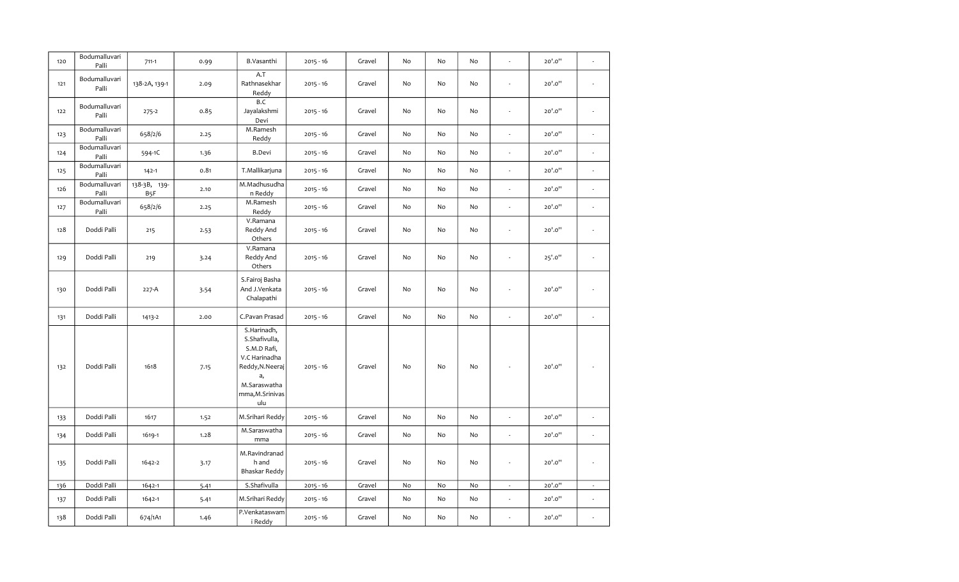| 120 | Bodumalluvari<br>Palli | $711-1$                          | 0.99 | B.Vasanthi                                                                                                                        | $2015 - 16$ | Gravel | No                           | No       | No       | $\overline{\phantom{a}}$ | 20'.0"  | ÷,                       |
|-----|------------------------|----------------------------------|------|-----------------------------------------------------------------------------------------------------------------------------------|-------------|--------|------------------------------|----------|----------|--------------------------|---------|--------------------------|
| 121 | Bodumalluvari<br>Palli | 138-2A, 139-1                    | 2.09 | A.T<br>Rathnasekhar<br>Reddy                                                                                                      | $2015 - 16$ | Gravel | No                           | No       | No       |                          | 20'.0"  |                          |
| 122 | Bodumalluvari<br>Palli | $275 - 2$                        | 0.85 | B.C<br>Jayalakshmi<br>Devi                                                                                                        | $2015 - 16$ | Gravel | No                           | No       | No       | $\overline{\phantom{a}}$ | 20'.0"  | $\overline{\phantom{a}}$ |
| 123 | Bodumalluvari<br>Palli | 658/2/6                          | 2.25 | M.Ramesh<br>Reddy                                                                                                                 | $2015 - 16$ | Gravel | No                           | No       | No       | ä,                       | 20'.0"  | ä,                       |
| 124 | Bodumalluvari<br>Palli | 594-1C                           | 1.36 | <b>B.Devi</b>                                                                                                                     | $2015 - 16$ | Gravel | No                           | No       | No       | ÷,                       | 20'.0"  | $\overline{\phantom{a}}$ |
| 125 | Bodumalluvari<br>Palli | $142 - 1$                        | 0.81 | T.Mallikarjuna                                                                                                                    | $2015 - 16$ | Gravel | No                           | No       | No       | ÷,                       | 20'.0"  | ä,                       |
| 126 | Bodumalluvari<br>Palli | 138-3B, 139-<br>B <sub>5</sub> F | 2.10 | M.Madhusudha<br>n Reddy                                                                                                           | $2015 - 16$ | Gravel | No                           | No       | No       | ÷.                       | 20'.0"  | ä,                       |
| 127 | Bodumalluvari<br>Palli | 658/2/6                          | 2.25 | M.Ramesh<br>Reddy                                                                                                                 | $2015 - 16$ | Gravel | No                           | No       | No       | $\overline{\phantom{a}}$ | 20'.0"  | $\overline{\phantom{a}}$ |
| 128 | Doddi Palli            | 215                              | 2.53 | V.Ramana<br>Reddy And<br>Others                                                                                                   | $2015 - 16$ | Gravel | No                           | No       | No       | ä,                       | 20'.0"  | ÷.                       |
| 129 | Doddi Palli            | 219                              | 3.24 | V.Ramana<br>Reddy And<br>Others                                                                                                   | $2015 - 16$ | Gravel | No                           | No       | No       | $\overline{\phantom{a}}$ | 25'.0'' | $\overline{\phantom{a}}$ |
| 130 | Doddi Palli            | $227-A$                          | 3.54 | S.Fairoj Basha<br>And J.Venkata<br>Chalapathi                                                                                     | $2015 - 16$ | Gravel | No                           | No       | No       | ä,                       | 20'.0"  | $\overline{\phantom{a}}$ |
| 131 | Doddi Palli            | 1413-2                           | 2.00 | C.Pavan Prasad                                                                                                                    | $2015 - 16$ | Gravel | No                           | No       | No       | $\overline{\phantom{a}}$ | 20'.0"  | $\overline{\phantom{a}}$ |
| 132 | Doddi Palli            | 1618                             | 7.15 | S.Harinadh,<br>S.Shafivulla,<br>S.M.D Rafi,<br>V.C Harinadha<br>Reddy, N. Neeraj<br>a,<br>M.Saraswatha<br>mma, M. Srinivas<br>ulu | $2015 - 16$ | Gravel | No                           | No       | No       |                          | 20'.0"  |                          |
| 133 | Doddi Palli            | 1617                             | 1.52 | M.Srihari Reddy                                                                                                                   | $2015 - 16$ | Gravel | No                           | No       | No       | $\frac{1}{2}$            | 20'.0"  | $\overline{\phantom{a}}$ |
| 134 | Doddi Palli            | 1619-1                           | 1.28 | M.Saraswatha<br>mma                                                                                                               | $2015 - 16$ | Gravel | No                           | No       | No       | $\overline{\phantom{a}}$ | 20'.0"  | $\overline{\phantom{a}}$ |
| 135 | Doddi Palli            | 1642-2                           | 3.17 | M.Ravindranad<br>h and<br><b>Bhaskar Reddy</b>                                                                                    | $2015 - 16$ | Gravel | No                           | No       | No       | $\overline{\phantom{a}}$ | 20'.0"  | $\overline{\phantom{a}}$ |
| 136 | Doddi Palli            | 1642-1                           | 5.41 | S.Shafivulla                                                                                                                      | $2015 - 16$ | Gravel | $\operatorname{\mathsf{No}}$ | $\rm No$ | $\rm No$ | $\overline{\phantom{a}}$ | 20'.0"  | $\overline{\phantom{a}}$ |
| 137 | Doddi Palli            | 1642-1                           | 5.41 | M.Srihari Reddy                                                                                                                   | $2015 - 16$ | Gravel | No                           | No       | No       | $\overline{\phantom{a}}$ | 20'.0"  | $\overline{\phantom{a}}$ |
| 138 | Doddi Palli            | 674/1A1                          | 1.46 | P.Venkataswam<br>i Reddy                                                                                                          | $2015 - 16$ | Gravel | No                           | No       | No       | ä,                       | 20'.0"  |                          |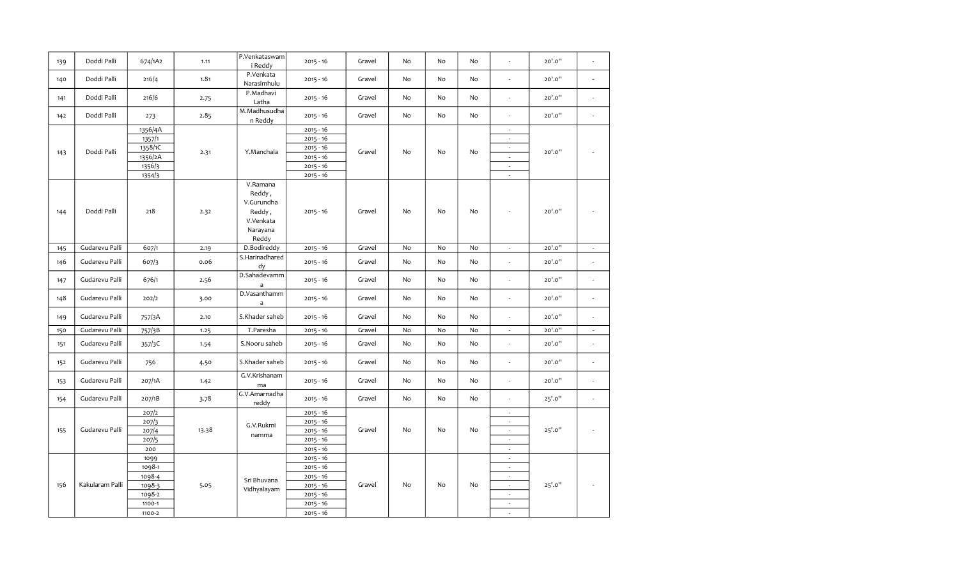| 139 | Doddi Palli     | 674/1A2          | 1.11  | P.Venkataswam<br>i Reddy                                                     | $2015 - 16$                | Gravel | No | No        | No | ÷,                                 | 20'.0"  |                             |
|-----|-----------------|------------------|-------|------------------------------------------------------------------------------|----------------------------|--------|----|-----------|----|------------------------------------|---------|-----------------------------|
| 140 | Doddi Palli     | 216/4            | 1.81  | P.Venkata<br>Narasimhulu                                                     | $2015 - 16$                | Gravel | No | No        | No | ÷.                                 | 20'.0"  | $\overline{\phantom{a}}$    |
| 141 | Doddi Palli     | 216/6            | 2.75  | P.Madhavi<br>Latha                                                           | $2015 - 16$                | Gravel | No | No        | No | $\overline{\phantom{a}}$           | 20'.0"  | $\overline{\phantom{a}}$    |
| 142 | Doddi Palli     | 273              | 2.85  | M.Madhusudha<br>n Reddy                                                      | $2015 - 16$                | Gravel | No | No        | No | ä,                                 | 20'.0"  | $\overline{\phantom{a}}$    |
|     |                 | 1356/4A          |       |                                                                              | $2015 - 16$                |        |    |           |    | $\sim$                             |         |                             |
|     |                 | 1357/1           |       |                                                                              | $2015 - 16$                |        |    |           |    | $\sim$                             |         |                             |
|     | Doddi Palli     | 1358/1C          |       | Y.Manchala                                                                   | $2015 - 16$                | Gravel | No | <b>No</b> | No | $\overline{\phantom{a}}$           | 20'.0"  |                             |
| 143 |                 | 1356/2A          | 2.31  |                                                                              | $2015 - 16$                |        |    |           |    | $\sim$                             |         |                             |
|     |                 | 1356/3           |       |                                                                              | $2015 - 16$                |        |    |           |    | $\overline{\phantom{a}}$           |         |                             |
|     |                 | 1354/3           |       |                                                                              | $2015 - 16$                |        |    |           |    | $\sim$                             |         |                             |
| 144 | Doddi Palli     | 218              | 2.32  | V.Ramana<br>Reddy,<br>V.Gurundha<br>Reddy,<br>V.Venkata<br>Narayana<br>Reddy | $2015 - 16$                | Gravel | No | No        | No | ٠                                  | 20'.0"  |                             |
| 145 | Gudarevu Palli  | 607/1            | 2.19  | D.Bodireddy                                                                  | $2015 - 16$                | Gravel | No | No        | No | $\omega$                           | 20'.0"  | $\mathcal{L}_{\mathcal{A}}$ |
| 146 | Gudarevu Palli  | 607/3            | 0.06  | S.Harinadhared<br>dy                                                         | $2015 - 16$                | Gravel | No | No        | No | ÷.                                 | 20'.0"  | $\epsilon$                  |
| 147 | Gudarevu Palli  | 676/1            | 2.56  | D.Sahadevamm<br>a                                                            | $2015 - 16$                | Gravel | No | No        | No | ÷,                                 | 20'.0"  |                             |
| 148 | Gudarevu Palli  | 202/2            | 3.00  | D.Vasanthamm<br>$\mathsf{a}$                                                 | $2015 - 16$                | Gravel | No | No        | No | ÷.                                 | 20'.0"  | $\overline{\phantom{a}}$    |
| 149 | Gudarevu Palli  | 757/3A           | 2.10  | S.Khader saheb                                                               | $2015 - 16$                | Gravel | No | No        | No | ÷.                                 | 20'.0"  | $\overline{a}$              |
| 150 | Gudarevu Palli  | 757/3B           | 1.25  | T.Paresha                                                                    | $2015 - 16$                | Gravel | No | No        | No | $\overline{\phantom{a}}$           | 20'.0"  | $\sim$                      |
| 151 | Gudarevu Palli  | 357/3C           | 1.54  | S.Nooru saheb                                                                | $2015 - 16$                | Gravel | No | No        | No | ä,                                 | 20'.0"  | ä,                          |
| 152 | Gudarevu Palli  | 756              | 4.50  | S.Khader saheb                                                               | $2015 - 16$                | Gravel | No | No        | No | ÷,                                 | 20'.0"  | ÷,                          |
| 153 | Gudarevu Palli  | 207/1A           | 1.42  | G.V.Krishanam<br>ma                                                          | $2015 - 16$                | Gravel | No | No        | No | ÷                                  | 20'.0"  | $\lambda$                   |
| 154 | Gudarevu Palli  | 207/1B           | 3.78  | G.V.Amarnadha<br>reddy                                                       | $2015 - 16$                | Gravel | No | No        | No | $\overline{\phantom{a}}$           | 25'.0'' | $\overline{\phantom{a}}$    |
|     |                 | 207/2            |       |                                                                              | $2015 - 16$                |        |    |           |    | $\overline{\phantom{a}}$           |         |                             |
|     |                 | 207/3            |       | G.V.Rukmi                                                                    | $2015 - 16$                |        |    |           |    | $\overline{\phantom{a}}$           |         |                             |
| 155 | Gudarevu Palli  | 207/4            | 13.38 | namma                                                                        | $2015 - 16$                | Gravel | No | No        | No | $\sim$                             | 25'.0'' |                             |
|     |                 | 207/5            |       |                                                                              | $2015 - 16$                |        |    |           |    | $\sim$                             |         |                             |
|     |                 | 200              |       |                                                                              | $2015 - 16$                |        |    |           |    | $\sim$                             |         |                             |
|     |                 | 1099             |       |                                                                              | $2015 - 16$                |        |    |           |    | $\sim$                             |         |                             |
|     |                 | 1098-1           |       |                                                                              | $2015 - 16$                |        |    |           |    | $\sim$                             |         |                             |
|     |                 | 1098-4           |       | Sri Bhuvana                                                                  | $2015 - 16$                |        |    |           |    | $\overline{\phantom{a}}$           |         |                             |
| 156 | Kakularam Palli | 1098-3           | 5.05  | Vidhyalayam                                                                  | $2015 - 16$                | Gravel | No | No        | No | $\overline{\phantom{a}}$           | 25'.0'' |                             |
|     |                 | 1098-2<br>1100-1 |       |                                                                              | $2015 - 16$<br>$2015 - 16$ |        |    |           |    | $\sim$<br>$\overline{\phantom{a}}$ |         |                             |
|     |                 | 1100-2           |       |                                                                              | $2015 - 16$                |        |    |           |    | ÷                                  |         |                             |
|     |                 |                  |       |                                                                              |                            |        |    |           |    |                                    |         |                             |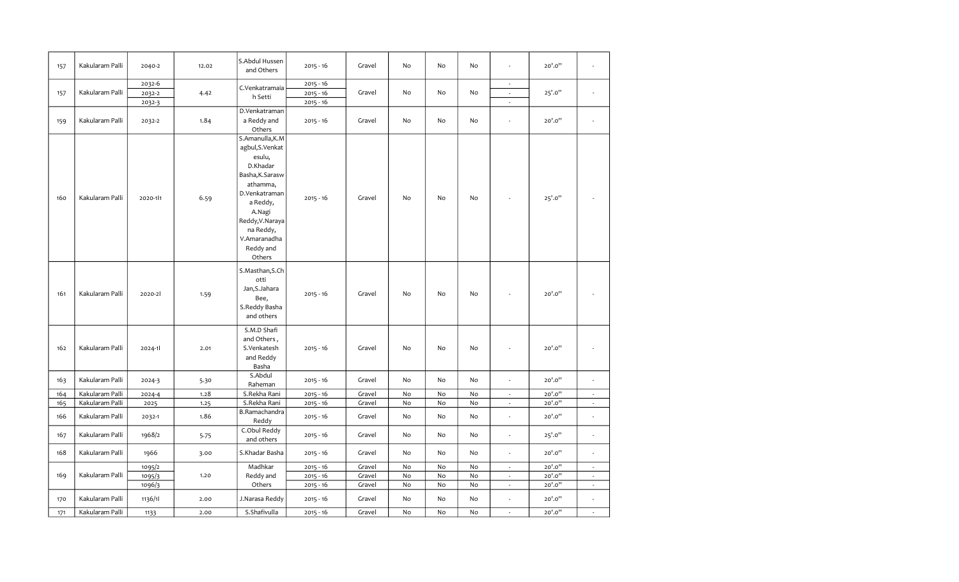| 157 | Kakularam Palli | 2040-2   | 12.02 | S.Abdul Hussen<br>and Others                                                                                                                                                                             | $2015 - 16$ | Gravel | No | No | No | ÷.                       | 20'.0"  |                             |
|-----|-----------------|----------|-------|----------------------------------------------------------------------------------------------------------------------------------------------------------------------------------------------------------|-------------|--------|----|----|----|--------------------------|---------|-----------------------------|
|     |                 | 2032-6   |       | C.Venkatramaia                                                                                                                                                                                           | $2015 - 16$ |        |    |    |    | $\overline{\phantom{a}}$ |         |                             |
| 157 | Kakularam Palli | 2032-2   | 4.42  | h Setti                                                                                                                                                                                                  | $2015 - 16$ | Gravel | No | No | No | $\overline{\phantom{a}}$ | 25'.0'' | $\overline{a}$              |
|     |                 | 2032-3   |       |                                                                                                                                                                                                          | $2015 - 16$ |        |    |    |    | ä,                       |         |                             |
| 159 | Kakularam Palli | 2032-2   | 1.84  | D.Venkatraman<br>a Reddy and<br>Others                                                                                                                                                                   | $2015 - 16$ | Gravel | No | No | No | ä,                       | 20'.0'' | $\overline{\phantom{a}}$    |
| 160 | Kakularam Palli | 2020-111 | 6.59  | S.Amanulla, K.M<br>agbul, S. Venkat<br>esulu,<br>D.Khadar<br>Basha, K. Sarasw<br>athamma,<br>D.Venkatraman<br>a Reddy,<br>A.Nagi<br>Reddy, V. Naraya<br>na Reddy,<br>V.Amaranadha<br>Reddy and<br>Others | $2015 - 16$ | Gravel | No | No | No |                          | 25'.0"  |                             |
| 161 | Kakularam Palli | 2020-21  | 1.59  | S.Masthan, S.Ch<br>otti<br>Jan, S. Jahara<br>Bee,<br>S.Reddy Basha<br>and others                                                                                                                         | $2015 - 16$ | Gravel | No | No | No | ÷,                       | 20'.0"  |                             |
| 162 | Kakularam Palli | 2024-1   | 2.01  | S.M.D Shafi<br>and Others,<br>S.Venkatesh<br>and Reddy<br>Basha                                                                                                                                          | $2015 - 16$ | Gravel | No | No | No | ÷,                       | 20'.0"  | $\overline{a}$              |
| 163 | Kakularam Palli | 2024-3   | 5.30  | S.Abdul<br>Raheman                                                                                                                                                                                       | $2015 - 16$ | Gravel | No | No | No | ÷,                       | 20'.0"  | $\overline{\phantom{a}}$    |
| 164 | Kakularam Palli | 2024-4   | 1.28  | S.Rekha Rani                                                                                                                                                                                             | $2015 - 16$ | Gravel | No | No | No | $\overline{\phantom{a}}$ | 20'.0"  | $\overline{\phantom{a}}$    |
| 165 | Kakularam Palli | 2025     | 1.25  | S.Rekha Rani                                                                                                                                                                                             | $2015 - 16$ | Gravel | No | No | No | $\overline{\phantom{a}}$ | 20'.0"  | $\mathcal{L}_{\mathcal{A}}$ |
| 166 | Kakularam Palli | 2032-1   | 1.86  | B.Ramachandra<br>Reddy                                                                                                                                                                                   | $2015 - 16$ | Gravel | No | No | No | $\overline{\phantom{a}}$ | 20'.0"  | $\overline{\phantom{a}}$    |
| 167 | Kakularam Palli | 1968/2   | 5.75  | C.Obul Reddy<br>and others                                                                                                                                                                               | $2015 - 16$ | Gravel | No | No | No | $\overline{\phantom{a}}$ | 25'.0"  | $\overline{\phantom{a}}$    |
| 168 | Kakularam Palli | 1966     | 3.00  | S.Khadar Basha                                                                                                                                                                                           | $2015 - 16$ | Gravel | No | No | No | ä,                       | 20'.0"  | $\overline{\phantom{a}}$    |
|     |                 | 1095/2   |       | Madhkar                                                                                                                                                                                                  | $2015 - 16$ | Gravel | No | No | No | $\sim$                   | 20'.0"  | $\sim$                      |
| 169 | Kakularam Palli | 1095/3   | 1.20  | Reddy and                                                                                                                                                                                                | $2015 - 16$ | Gravel | No | No | No | ÷                        | 20'.0"  | $\sim$                      |
|     |                 | 1096/3   |       | Others                                                                                                                                                                                                   | $2015 - 16$ | Gravel | No | No | No | $\overline{\phantom{a}}$ | 20'.0"  | $\epsilon$                  |
| 170 | Kakularam Palli | 1136/11  | 2.00  | J.Narasa Reddy                                                                                                                                                                                           | $2015 - 16$ | Gravel | No | No | No | ÷,                       | 20'.0"  | $\overline{\phantom{a}}$    |
| 171 | Kakularam Palli | 1133     | 2.00  | S.Shafivulla                                                                                                                                                                                             | $2015 - 16$ | Gravel | No | No | No | ä,                       | 20'.0"  | $\mathcal{L}$               |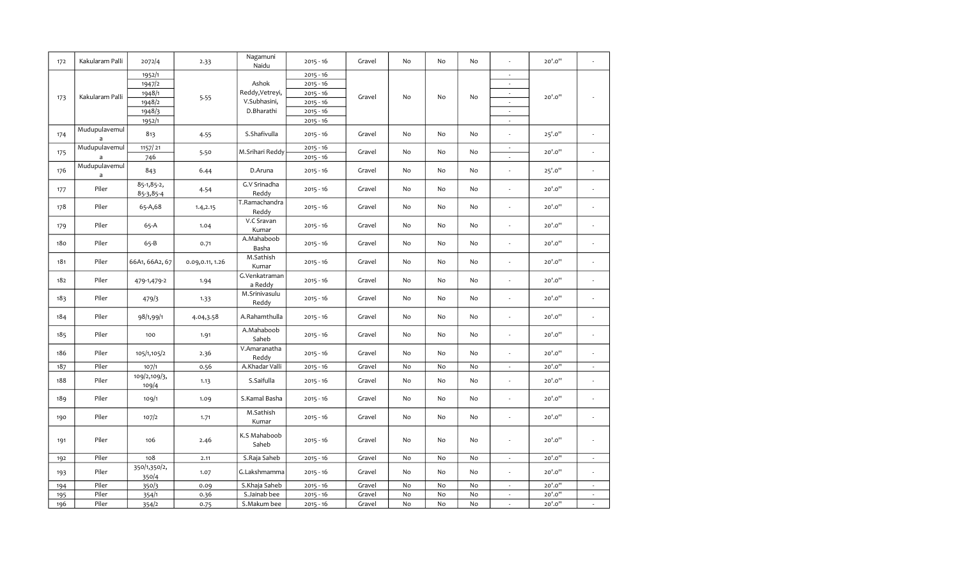| 172 | Kakularam Palli               | 2072/4                  | 2.33            | Nagamuni<br>Naidu        | $2015 - 16$                | Gravel | No | No            | No | ÷,                                                   | 20'.0"  | ä,                          |
|-----|-------------------------------|-------------------------|-----------------|--------------------------|----------------------------|--------|----|---------------|----|------------------------------------------------------|---------|-----------------------------|
|     |                               | 1952/1<br>1947/2        |                 | Ashok                    | $2015 - 16$<br>$2015 - 16$ |        |    |               |    | ä,<br>$\overline{\phantom{a}}$                       |         |                             |
|     |                               |                         |                 |                          |                            |        |    |               |    |                                                      |         |                             |
| 173 | Kakularam Palli               | 1948/1                  | 5.55            | Reddy, Vetreyi,          | $2015 - 16$                | Gravel | No | No            | No | $\overline{\phantom{a}}$                             | 20'.0"  | ٠                           |
|     |                               | 1948/2                  |                 | V.Subhasini,             | $2015 - 16$                |        |    |               |    |                                                      |         |                             |
|     |                               | 1948/3                  |                 | D.Bharathi               | $2015 - 16$                |        |    |               |    | ÷,                                                   |         |                             |
|     |                               | 1952/1                  |                 |                          | $2015 - 16$                |        |    |               |    | $\overline{\phantom{a}}$                             |         |                             |
| 174 | Mudupulavemul<br>$\mathsf{a}$ | 813                     | 4.55            | S.Shafivulla             | $2015 - 16$                | Gravel | No | No            | No | ÷,                                                   | 25'.0"  | $\overline{\phantom{a}}$    |
| 175 | Mudupulavemul<br>a            | 1157/21<br>746          | 5.50            | M.Srihari Reddy          | $2015 - 16$<br>$2015 - 16$ | Gravel | No | No            | No | $\overline{\phantom{a}}$<br>$\overline{\phantom{a}}$ | 20'.0"  | $\overline{\phantom{a}}$    |
| 176 | Mudupulavemul<br>$\mathsf{a}$ | 843                     | 6.44            | D.Aruna                  | $2015 - 16$                | Gravel | No | No            | No | $\frac{1}{2}$                                        | 25'.0'' | ä,                          |
| 177 | Piler                         | 85-1,85-2,<br>85-3,85-4 | 4.54            | G.V Srinadha<br>Reddy    | $2015 - 16$                | Gravel | No | No            | No | ÷,                                                   | 20'.0"  | $\overline{\phantom{a}}$    |
| 178 | Piler                         | 65-A,68                 | 1.4, 2.15       | T.Ramachandra<br>Reddy   | $2015 - 16$                | Gravel | No | No            | No | ÷,                                                   | 20'.0"  | $\overline{\phantom{a}}$    |
| 179 | Piler                         | 65-A                    | 1.04            | V.C Sravan<br>Kumar      | $2015 - 16$                | Gravel | No | No            | No | ÷,                                                   | 20'.0"  | $\overline{\phantom{a}}$    |
| 180 | Piler                         | $65-B$                  | 0.71            | A.Mahaboob<br>Basha      | $2015 - 16$                | Gravel | No | $\mathsf{No}$ | No | ä,                                                   | 20'.0"  | $\overline{\phantom{a}}$    |
| 181 | Piler                         | 66A1, 66A2, 67          | 0.09,0.11, 1.26 | M.Sathish<br>Kumar       | $2015 - 16$                | Gravel | No | No            | No | ÷,                                                   | 20'.0"  | $\overline{\phantom{a}}$    |
| 182 | Piler                         | 479-1,479-2             | 1.94            | G.Venkatraman<br>a Reddy | $2015 - 16$                | Gravel | No | No            | No | Ĭ.                                                   | 20'.0"  | $\overline{\phantom{a}}$    |
| 183 | Piler                         | 479/3                   | 1.33            | M.Srinivasulu<br>Reddy   | $2015 - 16$                | Gravel | No | No            | No | ä,                                                   | 20'.0"  | $\overline{\phantom{a}}$    |
| 184 | Piler                         | 98/1,99/1               | 4.04,3.58       | A.Rahamthulla            | $2015 - 16$                | Gravel | No | No            | No | ÷,                                                   | 20'.0"  | $\overline{\phantom{a}}$    |
| 185 | Piler                         | 100                     | 1.91            | A.Mahaboob<br>Saheb      | $2015 - 16$                | Gravel | No | No            | No | ÷,                                                   | 20'.0"  | $\overline{\phantom{a}}$    |
| 186 | Piler                         | 105/1,105/2             | 2.36            | V.Amaranatha<br>Reddy    | $2015 - 16$                | Gravel | No | No            | No | ÷,                                                   | 20'.0"  | $\overline{\phantom{a}}$    |
| 187 | Piler                         | 107/1                   | 0.56            | A.Khadar Valli           | $2015 - 16$                | Gravel | No | No            | No | $\overline{\phantom{a}}$                             | 20'.0"  | $\sim$                      |
| 188 | Piler                         | 109/2,109/3,<br>109/4   | 1.13            | S.Saifulla               | $2015 - 16$                | Gravel | No | No            | No | ÷,                                                   | 20'.0"  | $\overline{\phantom{a}}$    |
| 189 | Piler                         | 109/1                   | 1.09            | S.Kamal Basha            | $2015 - 16$                | Gravel | No | No            | No | ÷,                                                   | 20'.0"  | ÷,                          |
| 190 | Piler                         | 107/2                   | 1.71            | M.Sathish<br>Kumar       | $2015 - 16$                | Gravel | No | No            | No | $\overline{\phantom{a}}$                             | 20'.0"  | ä,                          |
| 191 | Piler                         | 106                     | 2.46            | K.S Mahaboob<br>Saheb    | $2015 - 16$                | Gravel | No | No            | No | $\overline{\phantom{a}}$                             | 20'.0"  | $\overline{\phantom{a}}$    |
| 192 | Piler                         | 108                     | 2.11            | S.Raja Saheb             | $2015 - 16$                | Gravel | No | No            | No | $\omega$                                             | 20'.0"  | $\mathcal{L}_{\mathcal{A}}$ |
| 193 | Piler                         | 350/1,350/2,<br>350/4   | 1.07            | G.Lakshmamma             | $2015 - 16$                | Gravel | No | No            | No | $\overline{\phantom{a}}$                             | 20'.0"  | ä,                          |
| 194 | Piler                         | 350/3                   | 0.09            | S.Khaja Saheb            | $2015 - 16$                | Gravel | No | No            | No | $\overline{\phantom{a}}$                             | 20'.0"  | $\overline{\phantom{a}}$    |
| 195 | Piler                         | 354/1                   | 0.36            | S.Jainab bee             | $2015 - 16$                | Gravel | No | No            | No | $\omega$                                             | 20'.0"  | $\omega$                    |
| 196 | Piler                         | 354/2                   | 0.75            | S.Makum bee              | $2015 - 16$                | Gravel | No | No            | No | $\overline{a}$                                       | 20'.0"  | à.                          |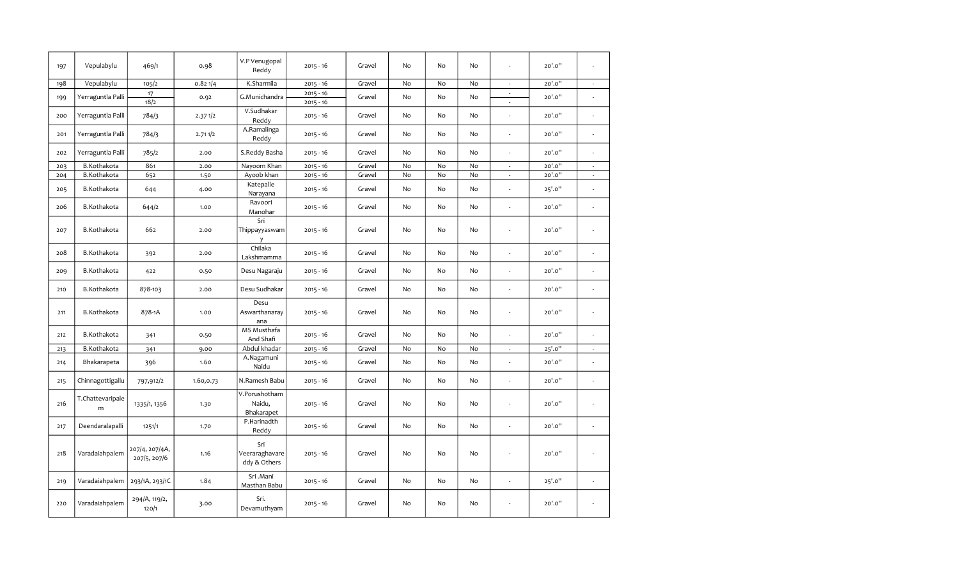| 197 | Vepulabylu            | 469/1                          | 0.98      | V.P Venugopal<br>Reddy                | $2015 - 16$                | Gravel | No | No        | No |                          | 20'.0"  |                             |
|-----|-----------------------|--------------------------------|-----------|---------------------------------------|----------------------------|--------|----|-----------|----|--------------------------|---------|-----------------------------|
| 198 | Vepulabylu            | 105/2                          | 0.821/4   | K.Sharmila                            | $2015 - 16$                | Gravel | No | No        | No | $\overline{\phantom{a}}$ | 20'.0"  | $\mathcal{L}_{\mathcal{A}}$ |
| 199 | Yerraguntla Palli     | 17<br>18/2                     | 0.92      | G.Munichandra                         | $2015 - 16$<br>$2015 - 16$ | Gravel | No | <b>No</b> | No | $\mathcal{L}$<br>÷,      | 20'.0"  | $\overline{\phantom{a}}$    |
| 200 | Yerraguntla Palli     | 784/3                          | 2.371/2   | V.Sudhakar<br>Reddy                   | $2015 - 16$                | Gravel | No | No        | No | ÷,                       | 20'.0"  | $\overline{\phantom{a}}$    |
| 201 | Yerraguntla Palli     | 784/3                          | 2.711/2   | A.Ramalinga<br>Reddy                  | $2015 - 16$                | Gravel | No | No        | No | ä,                       | 20'.0"  |                             |
| 202 | Yerraguntla Palli     | 785/2                          | 2.00      | S.Reddy Basha                         | $2015 - 16$                | Gravel | No | No        | No | ÷.                       | 20'.0"  | ÷.                          |
| 203 | B.Kothakota           | 861                            | 2.00      | Nayoom Khan                           | $2015 - 16$                | Gravel | No | No        | No | $\overline{\phantom{a}}$ | 20'.0"  | $\sim$                      |
| 204 | B.Kothakota           | 652                            | 1.50      | Ayoob khan                            | $2015 - 16$                | Gravel | No | No        | No | $\overline{\phantom{a}}$ | 20'.0"  | $\sim$                      |
| 205 | B.Kothakota           | 644                            | 4.00      | Katepalle<br>Narayana                 | $2015 - 16$                | Gravel | No | No        | No | Ĭ.                       | 25'.0"  | $\epsilon$                  |
| 206 | B.Kothakota           | 644/2                          | 1.00      | Ravoori<br>Manohar                    | $2015 - 16$                | Gravel | No | No        | No | J.                       | 20'.0"  | $\overline{\phantom{a}}$    |
| 207 | B.Kothakota           | 662                            | 2.00      | Sri<br>Thippayyaswam<br>y             | $2015 - 16$                | Gravel | No | No        | No | ÷,                       | 20'.0"  | $\overline{\phantom{a}}$    |
| 208 | B.Kothakota           | 392                            | 2.00      | Chilaka<br>Lakshmamma                 | $2015 - 16$                | Gravel | No | No        | No | ä,                       | 20'.0"  | $\overline{\phantom{a}}$    |
| 209 | B.Kothakota           | 422                            | 0.50      | Desu Nagaraju                         | $2015 - 16$                | Gravel | No | No        | No | ÷,                       | 20'.0"  | $\overline{a}$              |
| 210 | B.Kothakota           | 878-103                        | 2.00      | Desu Sudhakar                         | $2015 - 16$                | Gravel | No | No        | No | Ĭ.                       | 20'.0"  | $\overline{\phantom{a}}$    |
| 211 | B.Kothakota           | 878-1A                         | 1.00      | Desu<br>Aswarthanaray<br>ana          | $2015 - 16$                | Gravel | No | <b>No</b> | No | ä,                       | 20'.0"  | ä,                          |
| 212 | B.Kothakota           | 341                            | 0.50      | MS Musthafa<br>And Shafi              | $2015 - 16$                | Gravel | No | No        | No | ä,                       | 20'.0"  | $\epsilon$                  |
| 213 | B.Kothakota           | 341                            | 9.00      | Abdul khadar                          | $2015 - 16$                | Gravel | No | No        | No | $\omega$                 | 25'.0'' | $\mathcal{L}_{\mathcal{A}}$ |
| 214 | Bhakarapeta           | 396                            | 1.60      | A.Nagamuni<br>Naidu                   | $2015 - 16$                | Gravel | No | <b>No</b> | No | ÷,                       | 20'.0"  | ٠                           |
| 215 | Chinnagottigallu      | 797,912/2                      | 1.60,0.73 | N.Ramesh Babu                         | $2015 - 16$                | Gravel | No | No        | No | L,                       | 20'.0"  | $\overline{\phantom{a}}$    |
| 216 | T.Chattevaripale<br>m | 1335/1, 1356                   | 1.30      | V.Porushotham<br>Naidu,<br>Bhakarapet | $2015 - 16$                | Gravel | No | No        | No | ÷,                       | 20'.0"  | $\mathcal{L}_{\mathcal{A}}$ |
| 217 | Deendaralapalli       | 1251/1                         | 1.70      | P.Harinadth<br>Reddy                  | $2015 - 16$                | Gravel | No | No        | No | Ĭ.                       | 20'.0"  | L,                          |
| 218 | Varadaiahpalem        | 207/4, 207/4A,<br>207/5, 207/6 | 1.16      | Sri<br>Veeraraghavare<br>ddy & Others | $2015 - 16$                | Gravel | No | No        | No | ÷,                       | 20'.0"  | $\overline{\phantom{a}}$    |
| 219 | Varadaiahpalem        | 293/1A, 293/1C                 | 1.84      | Sri .Mani<br>Masthan Babu             | $2015 - 16$                | Gravel | No | No        | No | $\overline{\phantom{a}}$ | 25'.0"  |                             |
| 220 | Varadaiahpalem        | 294/A, 119/2,<br>120/1         | 3.00      | Sri.<br>Devamuthyam                   | $2015 - 16$                | Gravel | No | No        | No | ÷,                       | 20'.0"  | $\overline{\phantom{a}}$    |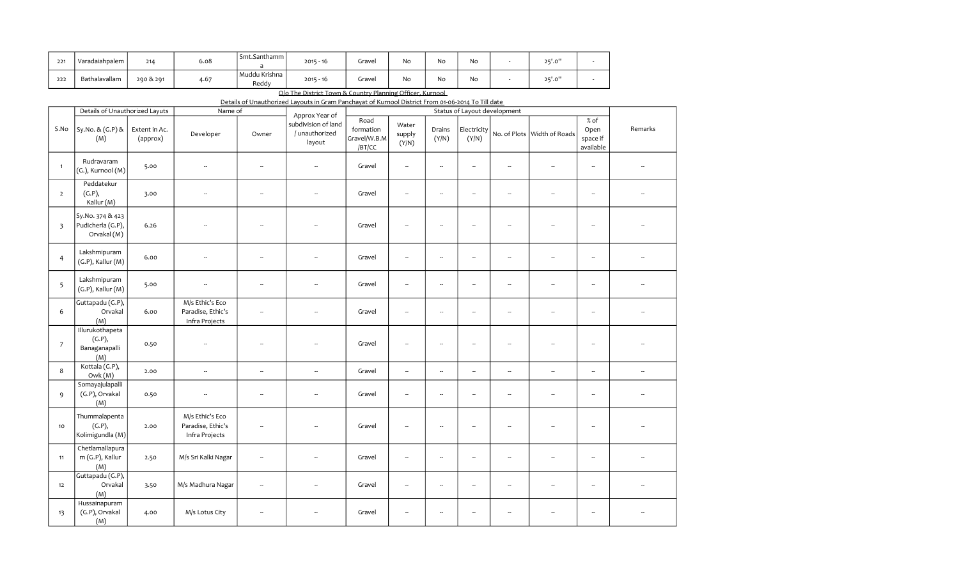| 221 | Varadaiahpalem | 214       | 6.08 | Smt.Santhamm           | $2015 - 16$ | Gravel | No | No | No | 25'.0'' |  |
|-----|----------------|-----------|------|------------------------|-------------|--------|----|----|----|---------|--|
| 222 | Bathalavallam  | 290 & 291 | 4.67 | Muddu Krishna<br>Reddy | $2015 - 16$ | Gravel | No | No | No | 25'.0'' |  |

O/o The District Town & Country Planning Officer, Kurnool

|  | Details of Unauthorized Lavouts in Gram Panchavat of Kurnool District From 01-06-2014 To Till date |  |
|--|----------------------------------------------------------------------------------------------------|--|
|  |                                                                                                    |  |

|                         | Details of Unauthorized Layuts                       |                           | Name of                                                |                          | Approx Year of                                  |                                             |                          |                          |                          | Status of Layout development |                             |                                       |                          |
|-------------------------|------------------------------------------------------|---------------------------|--------------------------------------------------------|--------------------------|-------------------------------------------------|---------------------------------------------|--------------------------|--------------------------|--------------------------|------------------------------|-----------------------------|---------------------------------------|--------------------------|
| S.No                    | Sy.No. & (G.P) &<br>(M)                              | Extent in Ac.<br>(approx) | Developer                                              | Owner                    | subdivision of land<br>/ unauthorized<br>layout | Road<br>formation<br>Gravel/W.B.M<br>/BT/CC | Water<br>supply<br>(Y/N) | Drains<br>(Y/N)          | Electricity<br>(Y/N)     |                              | No. of Plots Width of Roads | % of<br>Open<br>space if<br>available | Remarks                  |
| $\mathbf{1}$            | Rudravaram<br>(G.), Kurnool (M)                      | 5.00                      | Ξ.                                                     | ÷.                       | μ,                                              | Gravel                                      | $\overline{\phantom{a}}$ | --                       | $\overline{\phantom{a}}$ | $\overline{\phantom{a}}$     | $\overline{\phantom{a}}$    | $\overline{\phantom{a}}$              |                          |
| $\overline{2}$          | Peddatekur<br>(G.P),<br>Kallur (M)                   | 3.00                      | $\overline{\phantom{a}}$                               | $\overline{\phantom{a}}$ | --                                              | Gravel                                      | $\overline{\phantom{a}}$ | ÷.                       | $\overline{\phantom{a}}$ | $\overline{\phantom{a}}$     | $\overline{\phantom{a}}$    | $\overline{\phantom{a}}$              |                          |
| $\overline{\mathbf{3}}$ | Sy.No. 374 & 423<br>Pudicherla (G.P),<br>Orvakal (M) | 6.26                      |                                                        |                          |                                                 | Gravel                                      | Ξ.                       | $\overline{\phantom{a}}$ | ÷.                       |                              |                             | $\overline{\phantom{a}}$              |                          |
| $\overline{4}$          | Lakshmipuram<br>$(G.P)$ , Kallur $(M)$               | 6.00                      | $\overline{\phantom{a}}$                               | $\overline{\phantom{a}}$ |                                                 | Gravel                                      | --                       | $\overline{\phantom{a}}$ | $\overline{\phantom{a}}$ | $\overline{\phantom{a}}$     | $\overline{\phantom{a}}$    | $\overline{\phantom{a}}$              |                          |
| 5                       | Lakshmipuram<br>$(G.P)$ , Kallur $(M)$               | 5.00                      | $\overline{\phantom{a}}$                               | $\overline{\phantom{a}}$ | μ,                                              | Gravel                                      | $\overline{\phantom{a}}$ | ÷.                       | $\ldots$                 | $\overline{\phantom{a}}$     | $\overline{\phantom{a}}$    | $\overline{\phantom{a}}$              |                          |
| 6                       | Guttapadu (G.P),<br>Orvakal<br>(M)                   | 6.00                      | M/s Ethic's Eco<br>Paradise, Ethic's<br>Infra Projects | $\overline{\phantom{a}}$ |                                                 | Gravel                                      | $\overline{\phantom{a}}$ | --                       | $\overline{\phantom{a}}$ | $\overline{\phantom{a}}$     | --                          | $\overline{\phantom{a}}$              |                          |
| $\overline{7}$          | Illurukothapeta<br>(G.P),<br>Banaganapalli<br>(M)    | 0.50                      | Ξ.                                                     | ÷.                       | ÷                                               | Gravel                                      | --                       | $\overline{\phantom{a}}$ | $\overline{\phantom{a}}$ | $\overline{\phantom{a}}$     | $\overline{\phantom{a}}$    | $\overline{\phantom{a}}$              |                          |
| 8                       | Kottala (G.P),<br>Owk(M)                             | 2.00                      | $\overline{\phantom{a}}$                               | $\overline{\phantom{a}}$ | $\overline{\phantom{a}}$                        | Gravel                                      | $\overline{\phantom{a}}$ | $\overline{\phantom{a}}$ | $\overline{\phantom{a}}$ | $\overline{\phantom{a}}$     | $\overline{\phantom{a}}$    | $\overline{\phantom{a}}$              | $\overline{\phantom{a}}$ |
| 9                       | Somayajulapalli<br>(G.P), Orvakal<br>(M)             | 0.50                      | --                                                     | $\sim$                   | $\overline{a}$                                  | Gravel                                      | --                       | $\overline{\phantom{a}}$ | $\overline{\phantom{a}}$ | $\overline{\phantom{a}}$     | $\overline{\phantom{a}}$    | $\overline{\phantom{a}}$              |                          |
| 10                      | Thummalapenta<br>(G.P),<br>Kolimigundla (M)          | 2.00                      | M/s Ethic's Eco<br>Paradise, Ethic's<br>Infra Projects | 4                        | ۰.                                              | Gravel                                      | $\overline{\phantom{a}}$ | $\overline{\phantom{a}}$ | $\overline{\phantom{a}}$ | $\overline{\phantom{a}}$     | $\overline{\phantom{a}}$    | --                                    |                          |
| 11                      | Chetlamallapura<br>m (G.P), Kallur<br>(M)            | 2.50                      | M/s Sri Kalki Nagar                                    | $\overline{\phantom{a}}$ | $\ddot{\phantom{a}}$                            | Gravel                                      | $\overline{\phantom{a}}$ | $\overline{\phantom{a}}$ | $\overline{\phantom{a}}$ | $\overline{\phantom{a}}$     | $\overline{\phantom{a}}$    | $\overline{\phantom{a}}$              |                          |
| 12                      | Guttapadu (G.P),<br>Orvakal<br>(M)                   | 3.50                      | M/s Madhura Nagar                                      | -                        | --                                              | Gravel                                      | $\overline{\phantom{a}}$ | --                       | $\overline{\phantom{a}}$ | $\overline{\phantom{a}}$     | $\overline{\phantom{a}}$    | $\overline{\phantom{a}}$              |                          |
| 13                      | Hussainapuram<br>(G.P), Orvakal<br>(M)               | 4.00                      | M/s Lotus City                                         | $\overline{\phantom{a}}$ | $\ddot{\phantom{a}}$                            | Gravel                                      | --                       | $\overline{\phantom{a}}$ | $\overline{\phantom{a}}$ | $\overline{\phantom{a}}$     | $\overline{\phantom{a}}$    | $\overline{\phantom{a}}$              |                          |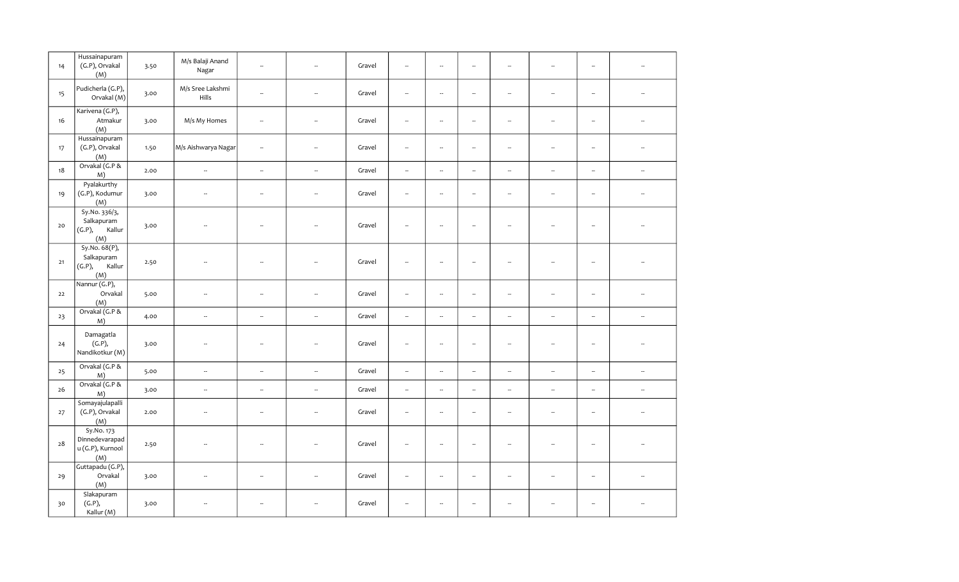| 14   | Hussainapuram<br>(G.P), Orvakal<br>(M)                  | 3.50 | M/s Balaji Anand<br>Nagar | $\overline{\phantom{a}}$ | ÷.                       | Gravel | $\overline{\phantom{a}}$ | $\overline{\phantom{a}}$ | $\overline{\phantom{a}}$ | $\ddot{\phantom{a}}$     | $\overline{\phantom{a}}$ | $\overline{\phantom{a}}$ | L.                       |
|------|---------------------------------------------------------|------|---------------------------|--------------------------|--------------------------|--------|--------------------------|--------------------------|--------------------------|--------------------------|--------------------------|--------------------------|--------------------------|
| 15   | Pudicherla (G.P),<br>Orvakal (M)                        | 3.00 | M/s Sree Lakshmi<br>Hills | $\overline{\phantom{a}}$ | $\sim$                   | Gravel | $\overline{\phantom{a}}$ | $\overline{\phantom{a}}$ | $\overline{\phantom{a}}$ | $\sim$                   | $\overline{\phantom{a}}$ | $\overline{\phantom{a}}$ | $\sim$                   |
| 16   | Karivena (G.P),<br>Atmakur<br>(M)                       | 3.00 | M/s My Homes              | --                       | ÷                        | Gravel | $\overline{\phantom{a}}$ | $\overline{\phantom{a}}$ | $\overline{\phantom{a}}$ | $\overline{\phantom{a}}$ | $\sim$                   | $\overline{\phantom{a}}$ | ÷.                       |
| 17   | Hussainapuram<br>(G.P), Orvakal<br>(M)                  | 1.50 | M/s Aishwarya Nagar       | --                       | $\overline{\phantom{a}}$ | Gravel | $\overline{\phantom{a}}$ | $\overline{\phantom{a}}$ | $\overline{\phantom{a}}$ | $\overline{\phantom{a}}$ | $\overline{\phantom{a}}$ | $\overline{\phantom{a}}$ | $\overline{\phantom{a}}$ |
| 18   | Orvakal (G.P &<br>M)                                    | 2.00 | $\bar{a}$                 | $\overline{\phantom{a}}$ | $\overline{\phantom{a}}$ | Gravel | $\overline{\phantom{a}}$ | $\overline{\phantom{a}}$ |                          | $\overline{\phantom{a}}$ | $\overline{\phantom{a}}$ | $\overline{\phantom{a}}$ | $\overline{\phantom{a}}$ |
| 19   | Pyalakurthy<br>(G.P), Kodumur<br>(M)                    | 3.00 | $\sim$                    | --                       | $\sim$                   | Gravel | $\overline{\phantom{a}}$ | $\overline{\phantom{a}}$ | $\overline{\phantom{a}}$ | $\overline{\phantom{a}}$ | $\overline{\phantom{a}}$ | $\overline{\phantom{a}}$ | ÷.                       |
| 20   | Sy.No. 336/3,<br>Salkapuram<br>(G.P),<br>Kallur<br>(M)  | 3.00 | $\overline{\phantom{a}}$  | $\overline{\phantom{a}}$ |                          | Gravel | $\overline{\phantom{a}}$ | $\overline{\phantom{a}}$ | $\overline{\phantom{a}}$ | $\overline{\phantom{a}}$ | --                       | $\overline{\phantom{a}}$ |                          |
| $21$ | Sy.No. 68(P),<br>Salkapuram<br>(G.P),<br>Kallur<br>(M)  | 2.50 |                           | $\ddot{\phantom{a}}$     |                          | Gravel | $\overline{\phantom{a}}$ | $\overline{\phantom{a}}$ | $\ddot{\phantom{a}}$     |                          | $\overline{\phantom{a}}$ | $\overline{\phantom{a}}$ |                          |
| 22   | Nannur (G.P),<br>Orvakal<br>(M)                         | 5.00 | $\ddot{\phantom{a}}$      | --                       | --                       | Gravel | $\overline{\phantom{a}}$ | $\overline{\phantom{a}}$ | --                       | $\overline{\phantom{a}}$ | $\overline{\phantom{a}}$ | $\overline{\phantom{a}}$ |                          |
| 23   | Orvakal (G.P &<br>M)                                    | 4.00 | $\overline{\phantom{a}}$  | $\overline{\phantom{a}}$ | $\overline{\phantom{a}}$ | Gravel | $\overline{\phantom{a}}$ | $\overline{\phantom{a}}$ | $\overline{\phantom{a}}$ | $\overline{\phantom{a}}$ | $\overline{\phantom{a}}$ | $\overline{\phantom{a}}$ | $\overline{\phantom{a}}$ |
| 24   | Damagatla<br>(G.P),<br>Nandikotkur (M)                  | 3.00 | $\ddot{\phantom{a}}$      | ۰.                       | ÷.                       | Gravel | $\overline{\phantom{a}}$ | $\overline{\phantom{a}}$ | $\overline{\phantom{a}}$ | $\overline{\phantom{a}}$ | $\sim$                   | $\overline{\phantom{a}}$ |                          |
| 25   | Orvakal (G.P &<br>M)                                    | 5.00 | $\overline{\phantom{a}}$  | --                       | $\sim$                   | Gravel | $\overline{\phantom{a}}$ | $\overline{\phantom{a}}$ | $\overline{\phantom{a}}$ | $\overline{\phantom{a}}$ | $\overline{\phantom{a}}$ | $\overline{\phantom{a}}$ | $\overline{\phantom{a}}$ |
| 26   | Orvakal (G.P &<br>M)                                    | 3.00 | $\overline{\phantom{a}}$  | $\overline{\phantom{a}}$ | $\overline{\phantom{a}}$ | Gravel | $\overline{\phantom{a}}$ | $\overline{\phantom{a}}$ | $\overline{\phantom{a}}$ | $\overline{\phantom{a}}$ | $\overline{\phantom{a}}$ | $\overline{\phantom{a}}$ | $\overline{\phantom{a}}$ |
| 27   | Somayajulapalli<br>(G.P), Orvakal<br>(M)                | 2.00 | $\overline{\phantom{a}}$  | --                       | $\overline{\phantom{a}}$ | Gravel | $\overline{\phantom{a}}$ | $\overline{\phantom{a}}$ | --                       | $\overline{\phantom{a}}$ | $\overline{\phantom{a}}$ | $\overline{\phantom{a}}$ | $\overline{\phantom{a}}$ |
| 28   | Sy.No. 173<br>Dinnedevarapad<br>u (G.P), Kurnool<br>(M) | 2.50 |                           | ÷.                       |                          | Gravel | $\overline{\phantom{a}}$ | $\overline{\phantom{a}}$ | μ.                       | $\sim$                   | ÷.                       | $\overline{\phantom{a}}$ |                          |
| 29   | Guttapadu (G.P),<br>Orvakal<br>(M)                      | 3.00 | $\overline{\phantom{a}}$  | $\overline{\phantom{a}}$ | $\overline{\phantom{a}}$ | Gravel | $\overline{\phantom{a}}$ | $\overline{\phantom{a}}$ | $\overline{\phantom{a}}$ | $\overline{\phantom{a}}$ | $\overline{\phantom{a}}$ | $\overline{\phantom{a}}$ |                          |
| 30   | Slakapuram<br>(G.P),<br>Kallur (M)                      | 3.00 |                           | --                       |                          | Gravel | $\overline{\phantom{a}}$ | $\overline{\phantom{a}}$ | $\overline{\phantom{a}}$ |                          | --                       | $\overline{\phantom{a}}$ |                          |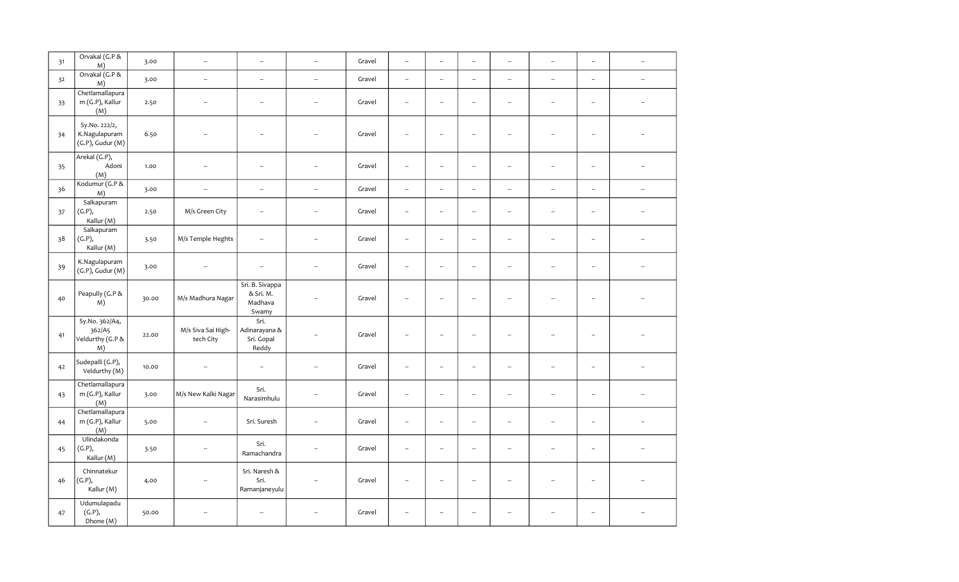| 31 | Orvakal (G.P &<br>M)                                    | 3.00  | $\overline{\phantom{a}}$        | $\overline{\phantom{a}}$                         |                          | Gravel | $\overline{\phantom{a}}$ | $\overline{\phantom{a}}$ | $\overline{\phantom{a}}$ | $\overline{\phantom{a}}$ | $\overline{\phantom{a}}$ | $\overline{\phantom{a}}$ | $\overline{\phantom{a}}$ |
|----|---------------------------------------------------------|-------|---------------------------------|--------------------------------------------------|--------------------------|--------|--------------------------|--------------------------|--------------------------|--------------------------|--------------------------|--------------------------|--------------------------|
| 32 | Orvakal (G.P &<br>M)                                    | 3.00  | $\overline{\phantom{a}}$        | $\overline{\phantom{a}}$                         | $\overline{\phantom{a}}$ | Gravel | $\overline{\phantom{a}}$ | $\sim$                   | $\overline{\phantom{a}}$ | $\overline{\phantom{a}}$ | $\overline{\phantom{a}}$ | $\overline{\phantom{a}}$ | $\overline{\phantom{a}}$ |
| 33 | Chetlamallapura<br>m (G.P), Kallur<br>(M)               | 2.50  | $\overline{\phantom{a}}$        | $\overline{\phantom{a}}$                         | --                       | Gravel | $\overline{\phantom{a}}$ | $\ldots$                 | $\overline{\phantom{a}}$ | $\overline{\phantom{a}}$ | $\overline{\phantom{a}}$ | $\overline{\phantom{a}}$ | $\overline{\phantom{a}}$ |
| 34 | Sy.No. 222/2,<br>K.Nagulapuram<br>$(G.P)$ , Gudur $(M)$ | 6.50  | ÷.                              | $\overline{\phantom{a}}$                         |                          | Gravel | $\overline{\phantom{a}}$ | $\sim$                   | $\overline{\phantom{a}}$ | $\sim$                   | $\overline{a}$           | $\overline{\phantom{a}}$ |                          |
| 35 | Arekal (G.P),<br>Adoni<br>(M)                           | 1.00  | $\overline{\phantom{a}}$        | $\overline{\phantom{a}}$                         | $\overline{\phantom{a}}$ | Gravel | $\overline{\phantom{a}}$ | $\overline{\phantom{a}}$ | $\overline{\phantom{a}}$ | $\overline{\phantom{a}}$ | $\sim$                   | $\overline{\phantom{a}}$ | ÷.                       |
| 36 | Kodumur (G.P &<br>M)                                    | 3.00  | $\bar{a}$                       | $\overline{\phantom{a}}$                         | $\sim$                   | Gravel | $\sim$                   | $\overline{\phantom{a}}$ | $\overline{\phantom{a}}$ | $\overline{\phantom{a}}$ | $\overline{\phantom{a}}$ | $\overline{\phantom{a}}$ | $\overline{\phantom{a}}$ |
| 37 | Salkapuram<br>(G.P),<br>Kallur (M)                      | 2.50  | M/s Green City                  | $\overline{\phantom{a}}$                         | $\overline{\phantom{a}}$ | Gravel | $\overline{\phantom{a}}$ | $\ddot{\phantom{a}}$     | Ξ.                       | $\ddot{\phantom{a}}$     | $\overline{\phantom{a}}$ | $\overline{\phantom{a}}$ |                          |
| 38 | Salkapuram<br>(G.P),<br>Kallur (M)                      | 3.50  | M/s Temple Heghts               | $\overline{\phantom{a}}$                         | $\overline{\phantom{a}}$ | Gravel | $\overline{\phantom{a}}$ | $\overline{\phantom{a}}$ | $\overline{\phantom{a}}$ | $\sim$                   | $\sim$                   | $\overline{\phantom{a}}$ | $\overline{a}$           |
| 39 | K.Nagulapuram<br>$(G.P)$ , Gudur $(M)$                  | 3.00  | $\overline{\phantom{a}}$        | $\overline{\phantom{a}}$                         | $\overline{\phantom{a}}$ | Gravel | $\overline{\phantom{a}}$ | $\overline{\phantom{a}}$ | $\overline{\phantom{a}}$ | $\overline{\phantom{a}}$ | $\overline{\phantom{a}}$ | $\overline{\phantom{a}}$ | $\overline{\phantom{a}}$ |
| 40 | Peapully (G.P &<br>M)                                   | 30.00 | M/s Madhura Nagar               | Sri. B. Sivappa<br>& Sri. M.<br>Madhava<br>Swamy |                          | Gravel | $\overline{\phantom{a}}$ | $\overline{\phantom{a}}$ | $\overline{\phantom{a}}$ | $\overline{\phantom{a}}$ |                          | Ξ,                       |                          |
| 41 | Sy.No. 362/A4,<br>362/A5<br>Veldurthy (G.P &<br>M)      | 22.00 | M/s Siva Sai High-<br>tech City | Sri.<br>Adinarayana &<br>Sri. Gopal<br>Reddy     | --                       | Gravel | $\overline{\phantom{a}}$ | $\overline{\phantom{a}}$ | $\overline{\phantom{a}}$ | $\overline{\phantom{a}}$ |                          | $\overline{\phantom{a}}$ |                          |
| 42 | Sudepalli (G.P),<br>Veldurthy (M)                       | 10.00 | $\overline{\phantom{a}}$        | $\overline{\phantom{a}}$                         | $\overline{\phantom{a}}$ | Gravel | $\overline{\phantom{a}}$ | $\overline{\phantom{a}}$ | $\overline{\phantom{a}}$ | $\overline{\phantom{a}}$ | $\overline{\phantom{a}}$ | $\overline{\phantom{a}}$ |                          |
| 43 | Chetlamallapura<br>m (G.P), Kallur<br>(M)               | 3.00  | M/s New Kalki Nagar             | Sri.<br>Narasimhulu                              | $\overline{\phantom{a}}$ | Gravel | $\overline{\phantom{a}}$ | $\overline{\phantom{a}}$ | $\overline{\phantom{a}}$ | $\overline{\phantom{a}}$ | $\overline{\phantom{a}}$ | $\overline{\phantom{a}}$ | $\overline{\phantom{a}}$ |
| 44 | Chetlamallapura<br>m (G.P), Kallur<br>(M)               | 5.00  | $\overline{\phantom{a}}$        | Sri. Suresh                                      | $\sim$                   | Gravel | $\overline{\phantom{a}}$ | $\overline{\phantom{a}}$ | $\overline{\phantom{a}}$ | $\overline{\phantom{a}}$ | $\overline{\phantom{a}}$ | $\overline{\phantom{a}}$ | $\overline{\phantom{a}}$ |
| 45 | Ulindakonda<br>(G.P),<br>Kallur (M)                     | 3.50  | $\overline{\phantom{a}}$        | Sri.<br>Ramachandra                              | Ξ.                       | Gravel | $\overline{\phantom{a}}$ | $\overline{\phantom{a}}$ | $\overline{\phantom{a}}$ | $\overline{\phantom{a}}$ | $\ddot{\phantom{a}}$     | $\overline{\phantom{a}}$ | L.                       |
| 46 | Chinnatekur<br>(G.P),<br>Kallur (M)                     | 4.00  | L.                              | Sri. Naresh &<br>Sri.<br>Ramanjaneyulu           | $\overline{\phantom{a}}$ | Gravel | $\overline{\phantom{a}}$ | $\overline{\phantom{a}}$ | $\overline{\phantom{a}}$ | $\overline{\phantom{a}}$ | $\ddot{\phantom{a}}$     | $\overline{\phantom{a}}$ |                          |
| 47 | Udumulapadu<br>(G.P),<br>Dhone (M)                      | 50.00 |                                 | $\overline{\phantom{a}}$                         | Ξ.                       | Gravel | $\overline{\phantom{a}}$ | $\overline{\phantom{a}}$ | $\overline{\phantom{a}}$ | $\overline{\phantom{a}}$ |                          | $\overline{\phantom{a}}$ |                          |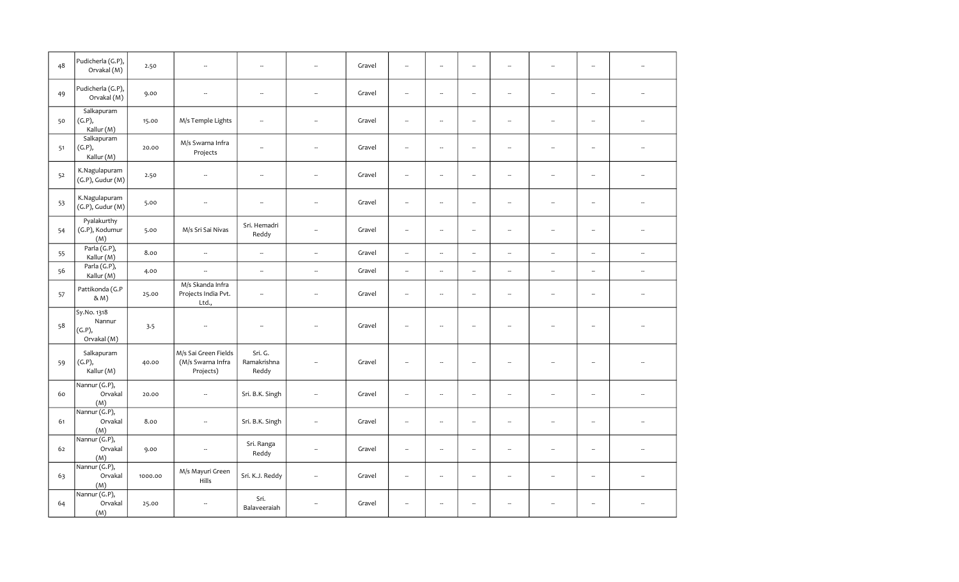| 48 | Pudicherla (G.P),<br>Orvakal (M)               | 2.50    | ÷.                                                     | $\overline{\phantom{a}}$        |                          | Gravel | $\overline{\phantom{a}}$ | --                       | $\overline{\phantom{a}}$ | $\ddot{\phantom{a}}$     |                          | $\overline{\phantom{a}}$ |                          |
|----|------------------------------------------------|---------|--------------------------------------------------------|---------------------------------|--------------------------|--------|--------------------------|--------------------------|--------------------------|--------------------------|--------------------------|--------------------------|--------------------------|
| 49 | Pudicherla (G.P),<br>Orvakal (M)               | 9.00    | $\overline{\phantom{a}}$                               | $\sim$                          | L.                       | Gravel | $\overline{\phantom{a}}$ | $\sim$                   | L.                       | $\overline{\phantom{a}}$ | $\overline{\phantom{a}}$ | $\overline{\phantom{a}}$ |                          |
| 50 | Salkapuram<br>(G.P),<br>Kallur (M)             | 15.00   | M/s Temple Lights                                      | $\ddot{\phantom{a}}$            |                          | Gravel | $\overline{a}$           | μ.                       | $\overline{\phantom{a}}$ | $\overline{\phantom{a}}$ |                          | $\ddot{\phantom{a}}$     |                          |
| 51 | Salkapuram<br>(G.P),<br>Kallur (M)             | 20.00   | M/s Swarna Infra<br>Projects                           | $\sim$                          | $\overline{\phantom{a}}$ | Gravel | $\overline{\phantom{a}}$ | $\sim$                   | $\sim$                   | $\sim$                   | $\overline{\phantom{a}}$ | ۰.                       |                          |
| 52 | K.Nagulapuram<br>$(G.P)$ , Gudur $(M)$         | 2.50    | $\overline{\phantom{a}}$                               | $\overline{\phantom{a}}$        | $\overline{\phantom{a}}$ | Gravel | $\overline{\phantom{a}}$ | $\overline{\phantom{a}}$ | $\overline{\phantom{a}}$ | $\overline{\phantom{a}}$ | --                       | $\overline{\phantom{a}}$ |                          |
| 53 | K.Nagulapuram<br>$(G.P)$ , Gudur $(M)$         | 5.00    | $\overline{\phantom{a}}$                               | $\overline{\phantom{a}}$        | --                       | Gravel | $\overline{\phantom{a}}$ | ۰.                       | $\overline{\phantom{a}}$ | $\overline{\phantom{a}}$ | ۰.                       | $\overline{\phantom{a}}$ | $\overline{\phantom{a}}$ |
| 54 | Pyalakurthy<br>(G.P), Kodumur<br>(M)           | 5.00    | M/s Sri Sai Nivas                                      | Sri. Hemadri<br>Reddy           | $\overline{\phantom{a}}$ | Gravel | $\sim$                   | L.                       | $\sim$                   | $\mathbb{Z}^2$           | L.                       | $\mathbb{Z}^2$           | $\overline{a}$           |
| 55 | Parla (G.P),<br>Kallur (M)                     | 8.00    | $\overline{\phantom{a}}$                               | $\overline{\phantom{a}}$        | $\overline{\phantom{a}}$ | Gravel | $\overline{\phantom{a}}$ | --                       | $\overline{\phantom{a}}$ | $\overline{\phantom{a}}$ | --                       | $\overline{\phantom{a}}$ | $\overline{\phantom{a}}$ |
| 56 | Parla (G.P),<br>Kallur (M)                     | 4.00    | $\overline{\phantom{a}}$                               | $\overline{\phantom{a}}$        |                          | Gravel | $\overline{\phantom{a}}$ | $\sim$                   | $\overline{\phantom{a}}$ | $\overline{\phantom{a}}$ | --                       | $\overline{\phantom{a}}$ | $\overline{\phantom{a}}$ |
| 57 | Pattikonda (G.P<br>& M)                        | 25.00   | M/s Skanda Infra<br>Projects India Pvt.<br>Ltd.,       | $\overline{\phantom{a}}$        | $\sim$                   | Gravel | $\overline{\phantom{a}}$ | $\overline{\phantom{a}}$ | $\overline{\phantom{a}}$ | $\sim$                   | $\overline{\phantom{a}}$ | $\overline{\phantom{a}}$ |                          |
| 58 | Sy.No. 1318<br>Nannur<br>(G.P),<br>Orvakal (M) | 3.5     | $\overline{\phantom{a}}$                               | $\overline{\phantom{a}}$        |                          | Gravel | $\overline{a}$           | $\overline{a}$           | $\overline{\phantom{a}}$ | $\overline{a}$           |                          | $\overline{\phantom{a}}$ |                          |
| 59 | Salkapuram<br>(G.P),<br>Kallur (M)             | 40.00   | M/s Sai Green Fields<br>(M/s Swarna Infra<br>Projects) | Sri. G.<br>Ramakrishna<br>Reddy |                          | Gravel | $\overline{\phantom{a}}$ | $\ddot{\phantom{a}}$     | $\overline{\phantom{a}}$ | $\overline{\phantom{a}}$ | L.                       | $\overline{\phantom{a}}$ |                          |
| 60 | Nannur (G.P),<br>Orvakal<br>(M)                | 20.00   | $\overline{\phantom{a}}$                               | Sri. B.K. Singh                 | $\overline{\phantom{a}}$ | Gravel | $\ddot{\phantom{a}}$     | $\overline{a}$           | $\ddot{\phantom{a}}$     | $\sim$                   | $\overline{\phantom{a}}$ | $\overline{\phantom{a}}$ |                          |
| 61 | Nannur (G.P),<br>Orvakal<br>(M)                | 8.00    | $\overline{\phantom{a}}$                               | Sri. B.K. Singh                 | --                       | Gravel | $\overline{\phantom{a}}$ | ۰.                       | $\overline{\phantom{a}}$ | $\overline{\phantom{a}}$ | $\overline{\phantom{a}}$ | $\overline{\phantom{a}}$ |                          |
| 62 | Nannur (G.P),<br>Orvakal<br>(M)                | 9.00    | $\overline{\phantom{a}}$                               | Sri. Ranga<br>Reddy             | L.                       | Gravel | L.                       | L.                       | $\sim$                   | $\overline{\phantom{a}}$ | L.                       | $\overline{\phantom{a}}$ | $\sim$                   |
| 63 | Nannur (G.P),<br>Orvakal<br>(M)                | 1000.00 | M/s Mayuri Green<br>Hills                              | Sri. K.J. Reddy                 | --                       | Gravel | $\overline{\phantom{a}}$ | --                       | $\overline{\phantom{a}}$ | $\overline{\phantom{a}}$ | Ξ.                       | $\overline{\phantom{a}}$ | $\overline{\phantom{a}}$ |
| 64 | Nannur (G.P),<br>Orvakal<br>(M)                | 25.00   | $\overline{\phantom{a}}$                               | Sri.<br>Balaveeraiah            | --                       | Gravel | $\overline{\phantom{a}}$ | $\overline{\phantom{a}}$ | $\overline{\phantom{a}}$ | $\sim$                   | ÷.                       | $\overline{\phantom{a}}$ |                          |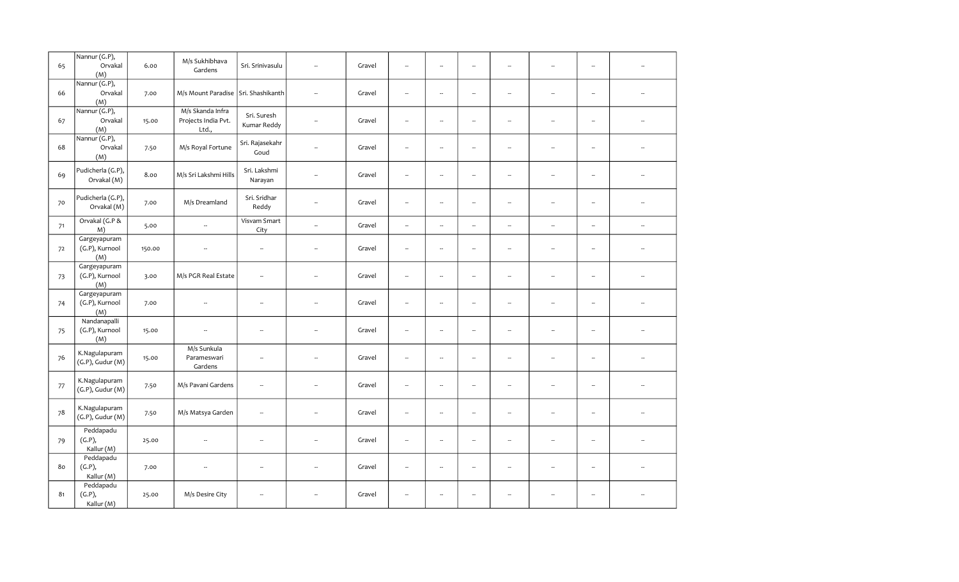| 65 | Nannur (G.P),<br>Orvakal               | 6.00   | M/s Sukhibhava<br>Gardens                        | Sri. Srinivasulu           | ÷.                       | Gravel | $\overline{\phantom{a}}$ | $\overline{\phantom{a}}$ | $\overline{\phantom{a}}$ | $\overline{\phantom{a}}$ | $\ddot{\phantom{a}}$     | $\overline{\phantom{a}}$ |                          |
|----|----------------------------------------|--------|--------------------------------------------------|----------------------------|--------------------------|--------|--------------------------|--------------------------|--------------------------|--------------------------|--------------------------|--------------------------|--------------------------|
| 66 | (M)<br>Nannur (G.P),<br>Orvakal<br>(M) | 7.00   | M/s Mount Paradise Sri. Shashikanth              |                            | ÷.                       | Gravel | $\overline{\phantom{a}}$ | ÷.                       | $\overline{\phantom{a}}$ | $\overline{\phantom{a}}$ | $\overline{\phantom{a}}$ | $\overline{\phantom{a}}$ |                          |
| 67 | Nannur (G.P),<br>Orvakal<br>(M)        | 15.00  | M/s Skanda Infra<br>Projects India Pvt.<br>Ltd., | Sri. Suresh<br>Kumar Reddy | $\overline{\phantom{a}}$ | Gravel | $\overline{\phantom{a}}$ | $\overline{\phantom{a}}$ | $\overline{\phantom{a}}$ | ۰.                       | $\overline{\phantom{a}}$ | $\overline{\phantom{a}}$ |                          |
| 68 | Nannur (G.P),<br>Orvakal<br>(M)        | 7.50   | M/s Royal Fortune                                | Sri. Rajasekahr<br>Goud    | $\overline{\phantom{a}}$ | Gravel | $\overline{\phantom{a}}$ | $\overline{\phantom{a}}$ | $\overline{\phantom{a}}$ | ۰.                       | $\overline{\phantom{a}}$ | $\overline{\phantom{a}}$ |                          |
| 69 | Pudicherla (G.P),<br>Orvakal (M)       | 8.00   | M/s Sri Lakshmi Hills                            | Sri. Lakshmi<br>Narayan    | --                       | Gravel | $\overline{\phantom{a}}$ | $\overline{\phantom{a}}$ | $\overline{\phantom{a}}$ | $\overline{\phantom{a}}$ | $\overline{\phantom{a}}$ | $\overline{\phantom{a}}$ |                          |
| 70 | Pudicherla (G.P),<br>Orvakal (M)       | 7.00   | M/s Dreamland                                    | Sri. Sridhar<br>Reddy      |                          | Gravel | $\overline{\phantom{a}}$ | $\overline{\phantom{a}}$ | $\overline{\phantom{a}}$ | $\overline{\phantom{a}}$ | $\overline{\phantom{a}}$ | $\overline{\phantom{a}}$ |                          |
| 71 | Orvakal (G.P &<br>M)                   | 5.00   | $\overline{\phantom{a}}$                         | Visvam Smart<br>City       | $\sim$                   | Gravel | $\overline{\phantom{a}}$ | $\overline{\phantom{a}}$ | $\overline{\phantom{a}}$ | $\overline{\phantom{a}}$ | $\overline{\phantom{a}}$ | $\overline{\phantom{a}}$ | н.                       |
| 72 | Gargeyapuram<br>(G.P), Kurnool<br>(M)  | 150.00 | $\overline{\phantom{a}}$                         | $\overline{\phantom{a}}$   | $\overline{\phantom{a}}$ | Gravel | $\overline{\phantom{a}}$ | $\overline{\phantom{a}}$ | $\overline{\phantom{a}}$ | $\overline{\phantom{a}}$ | $\overline{\phantom{a}}$ | $\overline{\phantom{a}}$ | Ξ.                       |
| 73 | Gargeyapuram<br>(G.P), Kurnool<br>(M)  | 3.00   | M/s PGR Real Estate                              | $\overline{a}$             |                          | Gravel | $\overline{\phantom{a}}$ | $\overline{\phantom{a}}$ | $\overline{\phantom{a}}$ | $\overline{\phantom{a}}$ | $\overline{\phantom{a}}$ | $\overline{\phantom{a}}$ |                          |
| 74 | Gargeyapuram<br>(G.P), Kurnool<br>(M)  | 7.00   | $\overline{\phantom{a}}$                         |                            | $\ddot{\phantom{a}}$     | Gravel | $\overline{\phantom{a}}$ | $\overline{\phantom{a}}$ | $\overline{\phantom{a}}$ | ۰.                       | $\overline{\phantom{a}}$ | $\overline{\phantom{a}}$ |                          |
| 75 | Nandanapalli<br>(G.P), Kurnool<br>(M)  | 15.00  | $\overline{\phantom{a}}$                         | $\overline{\phantom{a}}$   | ÷.                       | Gravel | $\overline{\phantom{a}}$ | $\overline{\phantom{a}}$ | $\overline{\phantom{a}}$ | $\overline{\phantom{a}}$ | $\overline{\phantom{a}}$ | $\overline{\phantom{a}}$ | $\overline{\phantom{a}}$ |
| 76 | K.Nagulapuram<br>$(G.P)$ , Gudur $(M)$ | 15.00  | M/s Sunkula<br>Parameswari<br>Gardens            | $\overline{\phantom{a}}$   | $\overline{\phantom{a}}$ | Gravel | $\overline{\phantom{a}}$ | $\overline{\phantom{a}}$ | $\overline{\phantom{a}}$ | ۰.                       | $\overline{\phantom{a}}$ | $\overline{\phantom{a}}$ |                          |
| 77 | K.Nagulapuram<br>$(G.P)$ , Gudur $(M)$ | 7.50   | M/s Pavani Gardens                               | $\overline{\phantom{a}}$   | ÷.                       | Gravel | $\overline{\phantom{a}}$ | $\sim$                   | $\overline{\phantom{a}}$ | ۰.                       | $\overline{\phantom{a}}$ | $\overline{\phantom{a}}$ |                          |
| 78 | K.Nagulapuram<br>$(G.P)$ , Gudur $(M)$ | 7.50   | M/s Matsya Garden                                | $\overline{\phantom{a}}$   | ÷.                       | Gravel | $\overline{\phantom{a}}$ | $\sim$                   | $\ddot{\phantom{a}}$     | $\sim$                   | $\overline{\phantom{a}}$ | $\overline{\phantom{a}}$ |                          |
| 79 | Peddapadu<br>(G.P),<br>Kallur (M)      | 25.00  | $\overline{\phantom{a}}$                         | $\overline{\phantom{a}}$   | $\sim$                   | Gravel | $\overline{\phantom{a}}$ | $\sim$                   | $\overline{\phantom{a}}$ | $\overline{\phantom{a}}$ | $\overline{\phantom{a}}$ | $\overline{\phantom{a}}$ | $\sim$                   |
| 80 | Peddapadu<br>(G.P),<br>Kallur (M)      | 7.00   | $\overline{\phantom{a}}$                         | $\overline{\phantom{a}}$   |                          | Gravel | $\overline{\phantom{a}}$ | $\overline{\phantom{a}}$ | $\sim$                   | $\sim$                   | $\overline{a}$           | $\sim$                   |                          |
| 81 | Peddapadu<br>(G.P),<br>Kallur (M)      | 25.00  | M/s Desire City                                  | $\overline{\phantom{a}}$   |                          | Gravel | $\overline{\phantom{a}}$ | $\sim$                   | $\overline{\phantom{a}}$ | $\sim$                   | $\overline{a}$           | $\sim$                   |                          |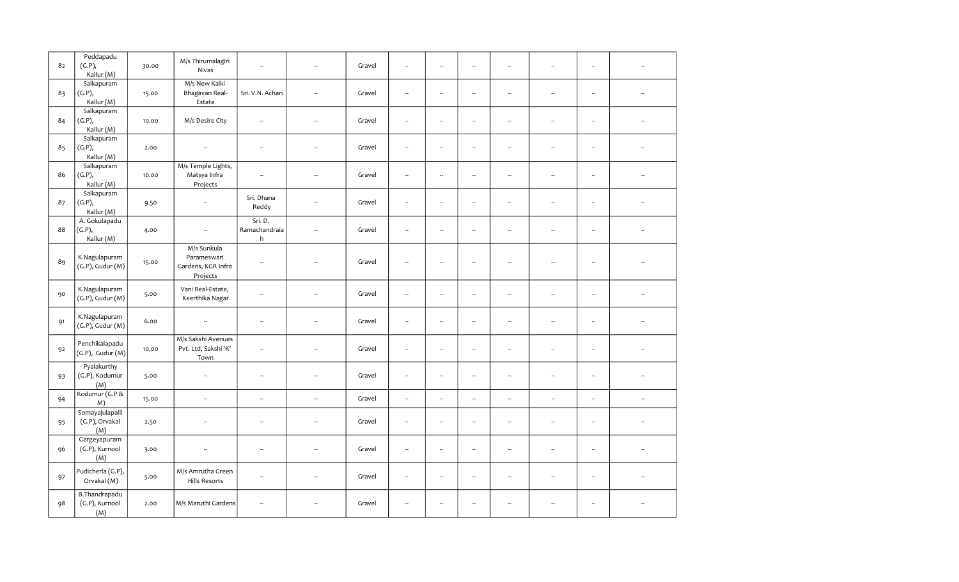| 82 | Peddapadu<br>(G.P),<br>Kallur (M)        | 30.00 | M/s Thirumalagiri<br>Nivas                                   | --                            |                          | Gravel | $\overline{\phantom{a}}$ | $\overline{\phantom{a}}$ | $\ddot{\phantom{a}}$     | $\ddot{\phantom{a}}$     |                          | --                       |                          |
|----|------------------------------------------|-------|--------------------------------------------------------------|-------------------------------|--------------------------|--------|--------------------------|--------------------------|--------------------------|--------------------------|--------------------------|--------------------------|--------------------------|
| 83 | Salkapuram<br>(G.P),<br>Kallur (M)       | 15.00 | M/s New Kalki<br>Bhagavan Real-<br>Estate                    | Sri. V.N. Achari              | $\sim$                   | Gravel | $\sim$                   | $\overline{\phantom{a}}$ | ÷.                       | $\sim$                   | ÷.                       | $\sim$                   |                          |
| 84 | Salkapuram<br>(G.P),<br>Kallur (M)       | 10.00 | M/s Desire City                                              | $\overline{\phantom{a}}$      |                          | Gravel | $\overline{\phantom{a}}$ | μ.                       | $\overline{\phantom{a}}$ | $\ddot{\phantom{a}}$     |                          | $\overline{\phantom{a}}$ |                          |
| 85 | Salkapuram<br>(G.P),<br>Kallur (M)       | 2.00  | $\overline{\phantom{a}}$                                     | --                            | $\sim$                   | Gravel | $\overline{\phantom{a}}$ | $\overline{\phantom{a}}$ | $\overline{\phantom{a}}$ | $\overline{\phantom{a}}$ | Ξ.                       | $\overline{\phantom{a}}$ |                          |
| 86 | Salkapuram<br>(G.P),<br>Kallur (M)       | 10.00 | M/s Temple Lights,<br>Matsya Infra<br>Projects               | $\overline{\phantom{a}}$      | ÷.                       | Gravel | $\overline{\phantom{a}}$ | $\overline{\phantom{a}}$ | $\overline{\phantom{a}}$ | $\overline{\phantom{a}}$ | ÷.                       | $\overline{\phantom{a}}$ |                          |
| 87 | Salkapuram<br>(G.P),<br>Kallur (M)       | 9.50  | $\overline{\phantom{a}}$                                     | Sri. Dhana<br>Reddy           | ÷.                       | Gravel | $\overline{\phantom{a}}$ | $\overline{\phantom{a}}$ | $\overline{\phantom{a}}$ | ۰.                       | $\overline{\phantom{a}}$ | ۰.                       | $\overline{\phantom{a}}$ |
| 88 | A. Gokulapadu<br>(G.P),<br>Kallur (M)    | 4.00  | $\overline{\phantom{a}}$                                     | Sri. D.<br>Ramachandraia<br>h | --                       | Gravel | $\sim$                   | $\overline{\phantom{a}}$ | $\overline{\phantom{a}}$ | $\sim$                   | $\overline{\phantom{a}}$ | --                       |                          |
| 89 | K.Nagulapuram<br>$(G.P)$ , Gudur $(M)$   | 15.00 | M/s Sunkula<br>Parameswari<br>Gardens, KGR Infra<br>Projects | --                            |                          | Gravel | $\overline{\phantom{a}}$ | $\overline{\phantom{a}}$ | $\overline{\phantom{a}}$ | $\ddot{\phantom{a}}$     | $\overline{\phantom{a}}$ | ۰.                       |                          |
| 90 | K.Nagulapuram<br>$(G.P)$ , Gudur $(M)$   | 5.00  | Vani Real-Estate,<br>Keerthika Nagar                         | --                            |                          | Gravel | $\overline{\phantom{a}}$ | $\overline{\phantom{a}}$ | $\overline{\phantom{a}}$ | ۰.                       | $\overline{\phantom{a}}$ | $\overline{\phantom{a}}$ |                          |
| 91 | K.Nagulapuram<br>$(G.P)$ , Gudur $(M)$   | 6.00  | $\overline{\phantom{a}}$                                     | $\overline{\phantom{a}}$      | $\sim$                   | Gravel | $\sim$                   | $\overline{\phantom{a}}$ | L.                       | $\sim$                   | L.                       | L.                       |                          |
| 92 | Penchikalapadu<br>(G.P), Gudur(M)        | 10.00 | M/s Sakshi Avenues<br>Pvt. Ltd, Sakshi 'K'<br>Town           | $\overline{\phantom{a}}$      | ä.                       | Gravel | $\overline{\phantom{a}}$ | $\overline{\phantom{a}}$ | $\overline{\phantom{a}}$ | $\overline{\phantom{a}}$ | $\overline{\phantom{a}}$ | --                       |                          |
| 93 | Pyalakurthy<br>(G.P), Kodumur<br>(M)     | 5.00  | $\overline{\phantom{a}}$                                     | --                            | $\sim$                   | Gravel | $\overline{\phantom{a}}$ | $\overline{\phantom{a}}$ | $\overline{\phantom{a}}$ | ۰.                       | Ξ.                       | $\overline{\phantom{a}}$ | $\overline{\phantom{a}}$ |
| 94 | Kodumur (G.P &<br>M)                     | 15.00 | $\bar{a}$                                                    | $\ddot{\phantom{a}}$          | $\sim$                   | Gravel | $\overline{\phantom{a}}$ | $\sim$                   | $\overline{\phantom{a}}$ | $\overline{\phantom{a}}$ | $\overline{\phantom{a}}$ | $\sim$                   | $\bar{\phantom{a}}$      |
| 95 | Somayajulapalli<br>(G.P), Orvakal<br>(M) | 2.50  | $\overline{\phantom{a}}$                                     | $\overline{\phantom{a}}$      |                          | Gravel | $\overline{\phantom{a}}$ | $\overline{\phantom{a}}$ | $\overline{\phantom{a}}$ | $\overline{\phantom{a}}$ | ۰.                       | $\overline{\phantom{a}}$ |                          |
| 96 | Gargeyapuram<br>(G.P), Kurnool<br>(M)    | 3.00  | $\sim$                                                       | μ.                            | $\overline{\phantom{a}}$ | Gravel | $\overline{\phantom{a}}$ | $\overline{\phantom{a}}$ | $\overline{\phantom{a}}$ | $\sim$                   | Ξ.                       | $\overline{\phantom{a}}$ |                          |
| 97 | Pudicherla (G.P),<br>Orvakal (M)         | 5.00  | M/s Amrutha Green<br><b>Hills Resorts</b>                    | μ.                            |                          | Gravel | $\overline{\phantom{a}}$ | $\overline{\phantom{a}}$ | $\overline{\phantom{a}}$ | ۰.                       |                          | ۰.                       | $\overline{\phantom{a}}$ |
| 98 | B.Thandrapadu<br>(G.P), Kurnool<br>(M)   | 2.00  | M/s Maruthi Gardens                                          | $\overline{\phantom{a}}$      |                          | Gravel | $\overline{\phantom{a}}$ | $\overline{\phantom{a}}$ | $\overline{\phantom{a}}$ | $\sim$                   | 4                        | $\overline{\phantom{a}}$ |                          |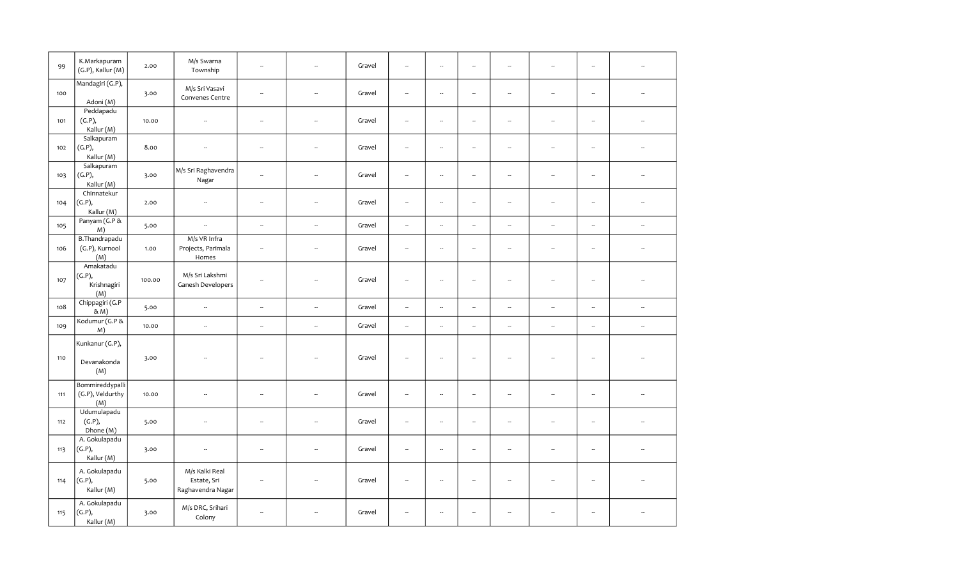| 99  | K.Markapuram<br>(G.P), Kallur (M)             | 2.00   | M/s Swarna<br>Township                             | $\ddot{\phantom{a}}$     |                          | Gravel | $\ddot{\phantom{a}}$     | $\overline{\phantom{a}}$ | $\overline{\phantom{a}}$ | $\overline{\phantom{a}}$ |                          | $\overline{\phantom{a}}$ |                          |
|-----|-----------------------------------------------|--------|----------------------------------------------------|--------------------------|--------------------------|--------|--------------------------|--------------------------|--------------------------|--------------------------|--------------------------|--------------------------|--------------------------|
| 100 | Mandagiri (G.P),<br>Adoni (M)                 | 3.00   | M/s Sri Vasavi<br>Convenes Centre                  | $\sim$                   |                          | Gravel | $\overline{\phantom{a}}$ | $\overline{\phantom{a}}$ | $\overline{\phantom{a}}$ | L.                       | ÷.                       | $\overline{\phantom{a}}$ |                          |
| 101 | Peddapadu<br>(G.P),<br>Kallur (M)             | 10.00  | $\overline{\phantom{a}}$                           | $\sim$                   |                          | Gravel | $\overline{\phantom{a}}$ | $\overline{\phantom{a}}$ | $\overline{\phantom{a}}$ | $\sim$                   | Ξ.                       | $\overline{\phantom{a}}$ |                          |
| 102 | Salkapuram<br>(G.P),<br>Kallur (M)            | 8.00   | $\sim$                                             | $\sim$                   | ÷.                       | Gravel | $\ddot{\phantom{a}}$     | $\sim$                   | $\sim$                   | $\sim$                   | ÷.                       | L.                       |                          |
| 103 | Salkapuram<br>(G.P),<br>Kallur (M)            | 3.00   | M/s Sri Raghavendra<br>Nagar                       | $\overline{\phantom{a}}$ | $\overline{\phantom{a}}$ | Gravel | $\overline{\phantom{a}}$ | $\overline{\phantom{a}}$ | $\overline{\phantom{a}}$ | $\overline{\phantom{a}}$ | $\overline{\phantom{a}}$ | $\overline{\phantom{a}}$ |                          |
| 104 | Chinnatekur<br>(G.P),<br>Kallur (M)           | 2.00   | $\sim$                                             | $\overline{\phantom{a}}$ | --                       | Gravel | $\overline{\phantom{a}}$ | $\overline{\phantom{a}}$ | $\overline{\phantom{a}}$ | $\overline{\phantom{a}}$ | $\overline{\phantom{a}}$ | $\overline{\phantom{a}}$ |                          |
| 105 | Panyam (G.P &<br>M)                           | 5.00   | $\overline{\phantom{a}}$                           | $\overline{\phantom{a}}$ | $\overline{\phantom{a}}$ | Gravel | $\overline{\phantom{a}}$ | $\overline{\phantom{a}}$ | $\overline{\phantom{a}}$ | $\overline{\phantom{a}}$ | $\overline{\phantom{a}}$ | $\overline{\phantom{a}}$ | $\overline{\phantom{a}}$ |
| 106 | <b>B.Thandrapadu</b><br>(G.P), Kurnool<br>(M) | 1.00   | M/s VR Infra<br>Projects, Parimala<br>Homes        | $\overline{\phantom{a}}$ | --                       | Gravel | ÷,                       | --                       | $\overline{\phantom{a}}$ | $\overline{\phantom{a}}$ | $\overline{\phantom{a}}$ | $\overline{\phantom{a}}$ |                          |
| 107 | Amakatadu<br>(G.P),<br>Krishnagiri<br>(M)     | 100.00 | M/s Sri Lakshmi<br>Ganesh Developers               | --                       |                          | Gravel | $\overline{\phantom{a}}$ | --                       | н,                       | $\overline{\phantom{a}}$ | Ξ.                       | $\overline{\phantom{a}}$ |                          |
| 108 | Chippagiri (G.P<br>& M)                       | 5.00   | $\overline{\phantom{a}}$                           | $\overline{\phantom{a}}$ | $\overline{\phantom{a}}$ | Gravel | $\overline{\phantom{a}}$ | $\overline{\phantom{a}}$ | $\overline{\phantom{a}}$ | $\overline{\phantom{a}}$ | --                       | $\overline{\phantom{a}}$ | $\overline{\phantom{a}}$ |
| 109 | Kodumur (G.P &<br>M)                          | 10.00  | $\overline{\phantom{a}}$                           | $\overline{\phantom{a}}$ | $\overline{\phantom{a}}$ | Gravel | $\overline{\phantom{a}}$ | $\overline{\phantom{a}}$ | $\sim$                   | $\overline{\phantom{a}}$ | --                       | $\overline{\phantom{a}}$ | $\overline{\phantom{a}}$ |
| 110 | Kunkanur (G.P),<br>Devanakonda<br>(M)         | 3.00   | Ξ.                                                 | Ξ.                       |                          | Gravel | Ξ.                       | Ξ.                       | ٠.                       | $\overline{a}$           |                          | $\overline{\phantom{a}}$ |                          |
| 111 | Bommireddypalli<br>(G.P), Veldurthy<br>(M)    | 10.00  | $\sim$                                             | $\sim$                   | $\sim$                   | Gravel | $\ddot{\phantom{a}}$     | $\sim$                   | $\sim$                   | $\sim$                   | ÷.                       | $\ddot{\phantom{a}}$     |                          |
| 112 | Udumulapadu<br>(G.P),<br>Dhone (M)            | 5.00   | $\overline{\phantom{a}}$                           | $\overline{\phantom{a}}$ | --                       | Gravel | $\overline{\phantom{a}}$ | $\overline{\phantom{a}}$ | $\overline{\phantom{a}}$ | $\overline{\phantom{a}}$ | $\overline{\phantom{a}}$ | ۰.                       |                          |
| 113 | A. Gokulapadu<br>(G.P),<br>Kallur (M)         | 3.00   | $\overline{\phantom{a}}$                           | $\overline{\phantom{a}}$ |                          | Gravel | $\overline{\phantom{a}}$ | $\overline{\phantom{a}}$ | $\overline{\phantom{a}}$ | $\sim$                   | $\overline{\phantom{a}}$ | ۰.                       |                          |
| 114 | A. Gokulapadu<br>(G.P),<br>Kallur (M)         | 5.00   | M/s Kalki Real<br>Estate, Sri<br>Raghavendra Nagar | $\sim$                   |                          | Gravel | $\overline{\phantom{a}}$ | $\overline{\phantom{a}}$ | ÷.                       |                          | L.                       | $\sim$                   |                          |
| 115 | A. Gokulapadu<br>(G.P),<br>Kallur (M)         | 3.00   | M/s DRC, Srihari<br>Colony                         | μ.                       |                          | Gravel | $\ddot{\phantom{a}}$     | μ.                       | ÷.                       |                          |                          | $\overline{\phantom{a}}$ |                          |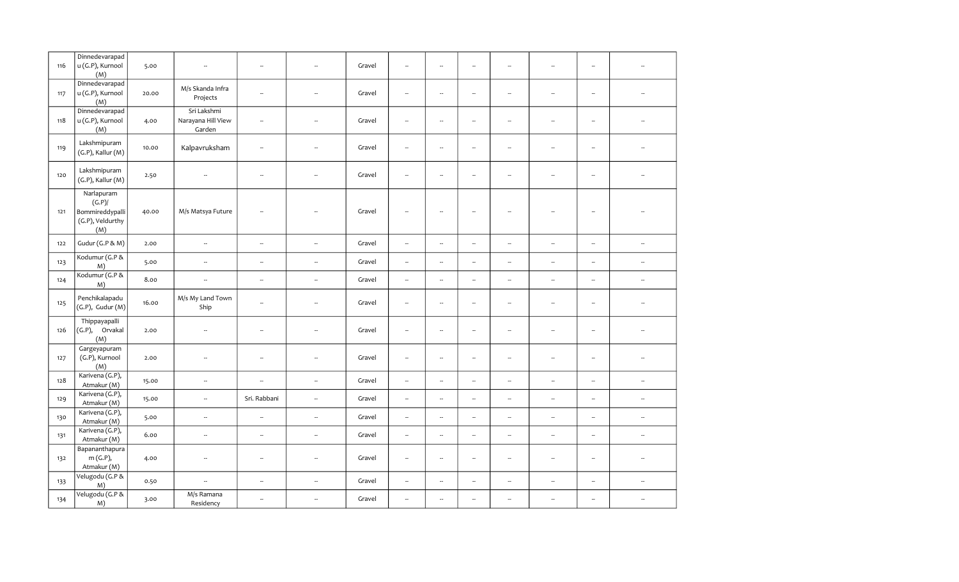| 116 | Dinnedevarapad<br>u (G.P), Kurnool<br>(M)                         | 5.00  | $\overline{\phantom{a}}$                    | $\overline{\phantom{a}}$ | μ,                       | Gravel | $\overline{\phantom{a}}$ | --                       | $\overline{\phantom{a}}$ | $\overline{\phantom{a}}$ | Ξ.                       | $\overline{\phantom{a}}$ |                          |
|-----|-------------------------------------------------------------------|-------|---------------------------------------------|--------------------------|--------------------------|--------|--------------------------|--------------------------|--------------------------|--------------------------|--------------------------|--------------------------|--------------------------|
| 117 | Dinnedevarapad<br>u (G.P), Kurnool<br>(M)                         | 20.00 | M/s Skanda Infra<br>Projects                | ÷.                       |                          | Gravel | $\sim$                   | μ.                       | $\overline{\phantom{a}}$ | Ξ.                       | L.                       | Ξ.                       |                          |
| 118 | Dinnedevarapad<br>u (G.P), Kurnool<br>(M)                         | 4.00  | Sri Lakshmi<br>Narayana Hill View<br>Garden | $\overline{\phantom{a}}$ | $\overline{\phantom{a}}$ | Gravel | $\overline{\phantom{a}}$ | $\overline{\phantom{a}}$ | $\overline{\phantom{a}}$ | $\sim$                   | L.                       | $\sim$                   |                          |
| 119 | Lakshmipuram<br>$(G.P)$ , Kallur $(M)$                            | 10.00 | Kalpavruksham                               | $\sim$                   | $\sim$                   | Gravel | $\sim$                   | $\overline{a}$           | $\sim$                   | $\sim$                   | ÷.                       | $\sim$                   |                          |
| 120 | Lakshmipuram<br>(G.P), Kallur (M)                                 | 2.50  | ÷.                                          | $\overline{\phantom{a}}$ | $\sim$                   | Gravel | $\overline{\phantom{a}}$ | $\overline{\phantom{a}}$ | ÷.                       | ÷.                       | ÷.                       | $\overline{\phantom{a}}$ |                          |
| 121 | Narlapuram<br>(G.P)<br>Bommireddypalli<br>(G.P), Veldurthy<br>(M) | 40.00 | M/s Matsya Future                           | ÷.                       |                          | Gravel | $\overline{\phantom{a}}$ | $\overline{\phantom{a}}$ | $\overline{\phantom{a}}$ | ۰.                       | J.                       | $\overline{\phantom{a}}$ |                          |
| 122 | Gudur (G.P & M)                                                   | 2.00  | $\bar{a}$                                   | $\bar{\phantom{a}}$      | $\overline{\phantom{a}}$ | Gravel | $\overline{\phantom{a}}$ | $\overline{\phantom{a}}$ | $\overline{\phantom{a}}$ | $\overline{\phantom{a}}$ | $\overline{a}$           | Ξ.                       | $\bar{\phantom{a}}$      |
| 123 | Kodumur (G.P &<br>M)                                              | 5.00  | $\overline{\phantom{a}}$                    | $\overline{\phantom{a}}$ | $\overline{\phantom{a}}$ | Gravel | $\overline{\phantom{a}}$ | --                       | $\overline{\phantom{a}}$ | --                       | --                       | $\overline{\phantom{a}}$ | $\overline{\phantom{a}}$ |
| 124 | Kodumur (G.P &<br>M)                                              | 8.00  | $\sim$                                      | $\overline{\phantom{a}}$ | $\overline{\phantom{a}}$ | Gravel | $\overline{\phantom{a}}$ | --                       | $\overline{\phantom{a}}$ | $\overline{\phantom{a}}$ | н.                       | $\overline{\phantom{a}}$ | $\overline{\phantom{a}}$ |
| 125 | Penchikalapadu<br>$(G.P)$ , Gudur $(M)$                           | 16.00 | M/s My Land Town<br>Ship                    |                          | $\sim$                   | Gravel | $\overline{\phantom{a}}$ | $\overline{a}$           | $\overline{\phantom{a}}$ | ۰.                       | ÷.                       | ۰.                       | $\sim$                   |
| 126 | Thippayapalli<br>(G.P), Orvakal<br>(M)                            | 2.00  | $\overline{\phantom{a}}$                    |                          | $\sim$                   | Gravel | $\overline{\phantom{a}}$ | --                       | $\overline{\phantom{a}}$ | ۰.                       | $\overline{\phantom{a}}$ | $\overline{\phantom{a}}$ | $\sim$                   |
| 127 | Gargeyapuram<br>(G.P), Kurnool<br>(M)                             | 2.00  | $\overline{\phantom{a}}$                    |                          | $\overline{\phantom{a}}$ | Gravel | $\overline{\phantom{a}}$ | --                       | $\overline{\phantom{a}}$ | ۰.                       | Ξ.                       | $\overline{\phantom{a}}$ | $\overline{\phantom{a}}$ |
| 128 | Karivena (G.P),<br>Atmakur (M)                                    | 15.00 | $\overline{\phantom{a}}$                    | ÷.                       | $\overline{\phantom{a}}$ | Gravel | $\overline{\phantom{a}}$ | ÷.                       | $\overline{\phantom{a}}$ | $\sim$                   | ÷.                       | $\overline{\phantom{a}}$ | $\overline{\phantom{a}}$ |
| 129 | Karivena (G.P),<br>Atmakur (M)                                    | 15.00 | $\overline{\phantom{a}}$                    | Sri. Rabbani             | $\overline{\phantom{a}}$ | Gravel | $\overline{\phantom{a}}$ | $\overline{\phantom{a}}$ | $\sim$                   | $\overline{\phantom{a}}$ | ÷.                       | $\overline{\phantom{a}}$ | $\overline{\phantom{a}}$ |
| 130 | Karivena (G.P),<br>Atmakur (M)                                    | 5.00  | $\overline{\phantom{a}}$                    | $\overline{\phantom{a}}$ | $\overline{\phantom{a}}$ | Gravel | $\sim$                   | $\overline{a}$           | $\overline{\phantom{a}}$ | L.                       | L.                       | $\sim$                   | $\overline{\phantom{a}}$ |
| 131 | Karivena (G.P),<br>Atmakur (M)                                    | 6.00  | $\overline{\phantom{a}}$                    | $\overline{\phantom{a}}$ | $\overline{\phantom{a}}$ | Gravel | $\sim$                   | L.                       | L.                       | L.                       | ш.                       | --                       | $\overline{\phantom{a}}$ |
| 132 | Bapananthapura<br>m(G.P),<br>Atmakur (M)                          | 4.00  | ÷.                                          | $\overline{\phantom{a}}$ | $\sim$                   | Gravel | $\sim$                   | $\overline{\phantom{a}}$ | ÷.                       | $\sim$                   | $\overline{\phantom{a}}$ | ÷.                       | $\sim$                   |
| 133 | Velugodu (G.P &<br>M)                                             | 0.50  | $\overline{\phantom{a}}$                    | $\overline{\phantom{a}}$ | $\overline{\phantom{a}}$ | Gravel | $\overline{\phantom{a}}$ |                          | $\overline{\phantom{a}}$ | $\overline{\phantom{a}}$ | Ξ.                       | $\overline{\phantom{a}}$ | $\overline{\phantom{a}}$ |
| 134 | Velugodu (G.P &<br>M)                                             | 3.00  | M/s Ramana<br>Residency                     |                          | ÷.                       | Gravel | $\overline{\phantom{a}}$ | $\overline{\phantom{a}}$ | $\overline{\phantom{a}}$ | --                       | ÷.                       | --                       | $\overline{\phantom{a}}$ |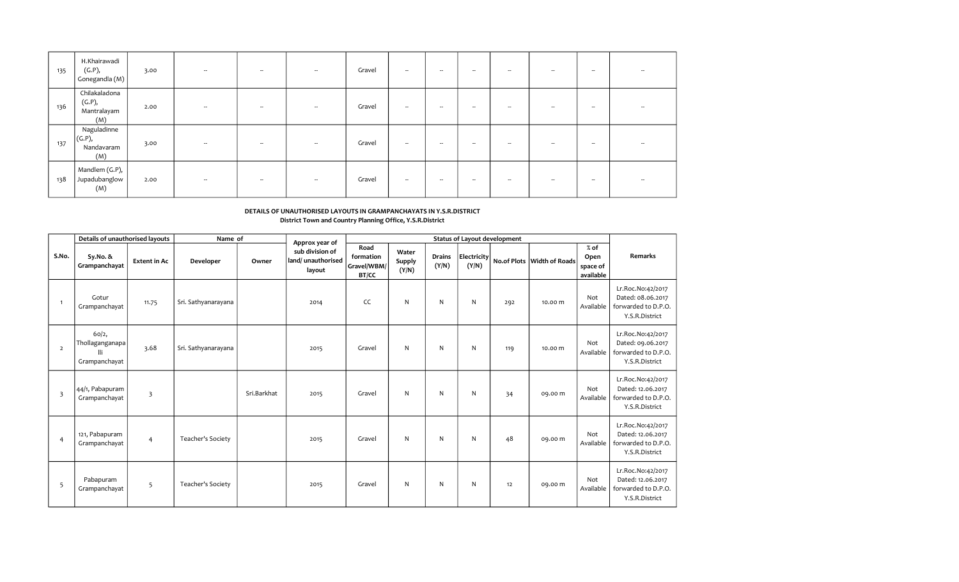| 135 | H.Khairawadi<br>(G.P),<br>Gonegandla $(M)$    | 3.00 | $\sim$                   | $\sim$                   | $\sim$ | Gravel | $\sim$                   | $\sim$                   | $\sim$ | $ -$                     | $\overline{\phantom{a}}$ | $\sim$                   |        |
|-----|-----------------------------------------------|------|--------------------------|--------------------------|--------|--------|--------------------------|--------------------------|--------|--------------------------|--------------------------|--------------------------|--------|
| 136 | Chilakaladona<br>(G.P),<br>Mantralayam<br>(M) | 2.00 | $\sim$                   | $\sim$                   | $\sim$ | Gravel | $\sim$                   | $\sim$                   | $\sim$ | $\sim$                   | $\sim$                   | $\sim$                   | -      |
| 137 | Naguladinne<br>(G.P),<br>Nandavaram<br>(M)    | 3.00 | $\sim$                   | $\sim$                   | --     | Gravel | $\sim$                   | $\sim$                   | $\sim$ | $\overline{\phantom{a}}$ | $\sim$                   | $\sim$                   |        |
| 138 | Mandlem (G.P),<br>Jupadubanglow<br>(M)        | 2.00 | $\overline{\phantom{a}}$ | $\overline{\phantom{a}}$ | $\sim$ | Gravel | $\overline{\phantom{a}}$ | $\overline{\phantom{a}}$ | $\sim$ | $\overline{\phantom{a}}$ | $\overline{\phantom{a}}$ | $\overline{\phantom{a}}$ | $\sim$ |

## DETAILS OF UNAUTHORISED LAYOUTS IN GRAMPANCHAYATS IN Y.S.R.DISTRICT District Town and Country Planning Office, Y.S.R.District

|                         | Details of unauthorised layouts                  |                     | Name of             |             | Approx year of                                 |                                           |                                 |                        |                      | <b>Status of Layout development</b> |                              |                                         |                                                                                 |
|-------------------------|--------------------------------------------------|---------------------|---------------------|-------------|------------------------------------------------|-------------------------------------------|---------------------------------|------------------------|----------------------|-------------------------------------|------------------------------|-----------------------------------------|---------------------------------------------------------------------------------|
| S.No.                   | Sy.No. &<br>Grampanchayat                        | <b>Extent in Ac</b> | Developer           | Owner       | sub division of<br>land/unauthorised<br>layout | Road<br>formation<br>Gravel/WBM/<br>BT/CC | Water<br><b>Supply</b><br>(Y/N) | <b>Drains</b><br>(Y/N) | Electricity<br>(Y/N) |                                     | No.of Plots   Width of Roads | $%$ of<br>Open<br>space of<br>available | <b>Remarks</b>                                                                  |
| $\overline{1}$          | Gotur<br>Grampanchayat                           | 11.75               | Sri. Sathyanarayana |             | 2014                                           | CC                                        | N                               | N                      | N                    | 292                                 | 10.00 m                      | Not<br>Available                        | Lr.Roc.No:42/2017<br>Dated: 08.06.2017<br>forwarded to D.P.O.<br>Y.S.R.District |
| $\overline{2}$          | 60/2,<br>Thollaganganapa<br>lli<br>Grampanchayat | 3.68                | Sri. Sathyanarayana |             | 2015                                           | Gravel                                    | N                               | N                      | N                    | 119                                 | 10.00 m                      | Not<br>Available                        | Lr.Roc.No:42/2017<br>Dated: 09.06.2017<br>forwarded to D.P.O.<br>Y.S.R.District |
| $\overline{\mathbf{3}}$ | 44/1, Pabapuram<br>Grampanchayat                 | 3                   |                     | Sri.Barkhat | 2015                                           | Gravel                                    | N                               | N                      | N                    | 34                                  | 09.00 m                      | Not<br>Available                        | Lr.Roc.No:42/2017<br>Dated: 12.06.2017<br>forwarded to D.P.O.<br>Y.S.R.District |
| $\overline{4}$          | 121, Pabapuram<br>Grampanchayat                  | 4                   | Teacher's Society   |             | 2015                                           | Gravel                                    | N                               | N                      | N                    | 48                                  | 09.00 m                      | Not<br>Available                        | Lr.Roc.No:42/2017<br>Dated: 12.06.2017<br>forwarded to D.P.O.<br>Y.S.R.District |
| 5                       | Pabapuram<br>Grampanchayat                       | 5                   | Teacher's Society   |             | 2015                                           | Gravel                                    | N                               | N                      | N                    | 12                                  | 09.00 m                      | Not<br>Available                        | Lr.Roc.No:42/2017<br>Dated: 12.06.2017<br>forwarded to D.P.O.<br>Y.S.R.District |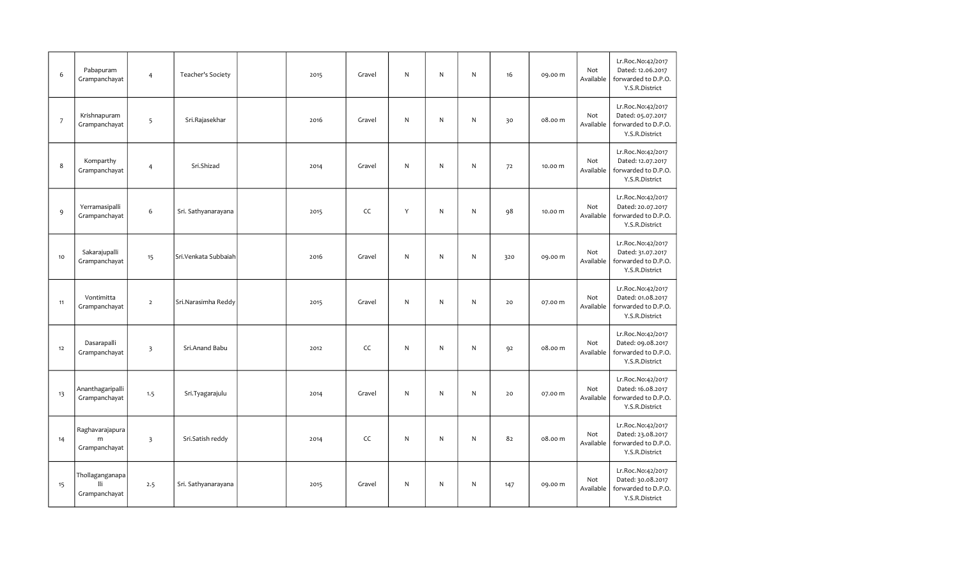| 6                | Pabapuram<br>Grampanchayat              | $\overline{4}$          | Teacher's Society     | 2015 | Gravel | N            | $\mathsf{N}$ | N         | 16  | 09.00 m | Not<br>Available | Lr.Roc.No:42/2017<br>Dated: 12.06.2017<br>forwarded to D.P.O.<br>Y.S.R.District |
|------------------|-----------------------------------------|-------------------------|-----------------------|------|--------|--------------|--------------|-----------|-----|---------|------------------|---------------------------------------------------------------------------------|
| $\boldsymbol{7}$ | Krishnapuram<br>Grampanchayat           | 5                       | Sri.Rajasekhar        | 2016 | Gravel | N            | ${\sf N}$    | ${\sf N}$ | 30  | 08.00 m | Not<br>Available | Lr.Roc.No:42/2017<br>Dated: 05.07.2017<br>forwarded to D.P.O.<br>Y.S.R.District |
| 8                | Komparthy<br>Grampanchayat              | $\overline{4}$          | Sri.Shizad            | 2014 | Gravel | ${\sf N}$    | ${\sf N}$    | N         | 72  | 10.00 m | Not<br>Available | Lr.Roc.No:42/2017<br>Dated: 12.07.2017<br>forwarded to D.P.O.<br>Y.S.R.District |
| 9                | Yerramasipalli<br>Grampanchayat         | 6                       | Sri. Sathyanarayana   | 2015 | CC     | Y            | $\mathsf{N}$ | ${\sf N}$ | 98  | 10.00 m | Not<br>Available | Lr.Roc.No:42/2017<br>Dated: 20.07.2017<br>forwarded to D.P.O.<br>Y.S.R.District |
| $10$             | Sakarajupalli<br>Grampanchayat          | 15                      | Sri. Venkata Subbaiah | 2016 | Gravel | ${\sf N}$    | ${\sf N}$    | ${\sf N}$ | 320 | 09.00 m | Not<br>Available | Lr.Roc.No:42/2017<br>Dated: 31.07.2017<br>forwarded to D.P.O.<br>Y.S.R.District |
| 11               | Vontimitta<br>Grampanchayat             | $\overline{2}$          | Sri.Narasimha Reddy   | 2015 | Gravel | N            | N            | N         | 20  | 07.00 m | Not<br>Available | Lr.Roc.No:42/2017<br>Dated: 01.08.2017<br>forwarded to D.P.O.<br>Y.S.R.District |
| $12\,$           | Dasarapalli<br>Grampanchayat            | $\overline{\mathbf{3}}$ | Sri.Anand Babu        | 2012 | CC     | $\mathsf{N}$ | $\mathsf{N}$ | N         | 92  | 08.00 m | Not<br>Available | Lr.Roc.No:42/2017<br>Dated: 09.08.2017<br>forwarded to D.P.O.<br>Y.S.R.District |
| 13               | Ananthagaripalli<br>Grampanchayat       | 1.5                     | Sri.Tyagarajulu       | 2014 | Gravel | N            | N            | N         | 20  | 07.00 m | Not<br>Available | Lr.Roc.No:42/2017<br>Dated: 16.08.2017<br>forwarded to D.P.O.<br>Y.S.R.District |
| 14               | Raghavarajapura<br>m<br>Grampanchayat   | $\overline{\mathbf{3}}$ | Sri.Satish reddy      | 2014 | CC     | N            | ${\sf N}$    | ${\sf N}$ | 82  | 08.00 m | Not<br>Available | Lr.Roc.No:42/2017<br>Dated: 23.08.2017<br>forwarded to D.P.O.<br>Y.S.R.District |
| 15               | Thollaganganapa<br>lli<br>Grampanchayat | 2.5                     | Sri. Sathyanarayana   | 2015 | Gravel | ${\sf N}$    | $\mathsf{N}$ | N         | 147 | 09.00 m | Not<br>Available | Lr.Roc.No:42/2017<br>Dated: 30.08.2017<br>forwarded to D.P.O.<br>Y.S.R.District |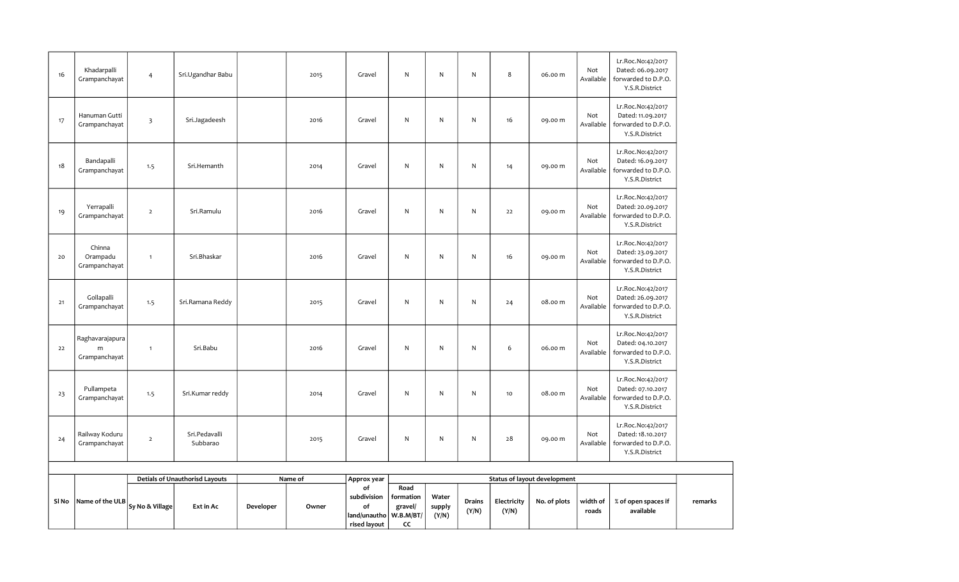| SI No | Name of the ULB                       | Sy No & Village         | Ext in Ac                             | Developer | Owner   | of<br>subdivision<br>of<br>land/unautho<br>rised layout | Road<br>formation<br>gravel/<br>W.B.M/BT/<br>CC | Water<br>supply<br>(Y/N) | Drains<br>(Y/N) | Electricity<br>(Y/N) | No. of plots                        | width of<br>roads | % of open spaces if<br>available                                                |
|-------|---------------------------------------|-------------------------|---------------------------------------|-----------|---------|---------------------------------------------------------|-------------------------------------------------|--------------------------|-----------------|----------------------|-------------------------------------|-------------------|---------------------------------------------------------------------------------|
|       |                                       |                         | <b>Detials of Unauthorisd Layouts</b> |           | Name of | Approx year                                             |                                                 |                          |                 |                      | <b>Status of layout development</b> |                   |                                                                                 |
| 24    | Railway Koduru<br>Grampanchayat       | $\overline{2}$          | Sri.Pedavalli<br>Subbarao             |           | 2015    | Gravel                                                  | N                                               | ${\sf N}$                | N               | 28                   | 09.00 m                             | Not<br>Available  | Lr.Roc.No:42/2017<br>Dated: 18.10.2017<br>forwarded to D.P.O.<br>Y.S.R.District |
| 23    | Pullampeta<br>Grampanchayat           | 1.5                     | Sri.Kumar reddy                       |           | 2014    | Gravel                                                  | $\mathsf{N}$                                    | N                        | N               | 10                   | 08.00 m                             | Not<br>Available  | Lr.Roc.No:42/2017<br>Dated: 07.10.2017<br>forwarded to D.P.O.<br>Y.S.R.District |
| 22    | Raghavarajapura<br>m<br>Grampanchayat | $\mathbf{1}$            | Sri.Babu                              |           | 2016    | Gravel                                                  | N                                               | ${\sf N}$                | N               | 6                    | 06.00 m                             | Not<br>Available  | Lr.Roc.No:42/2017<br>Dated: 04.10.2017<br>forwarded to D.P.O.<br>Y.S.R.District |
| $21$  | Gollapalli<br>Grampanchayat           | 1.5                     | Sri.Ramana Reddy                      |           | 2015    | Gravel                                                  | N                                               | ${\sf N}$                | N               | 24                   | 08.00 m                             | Not<br>Available  | Lr.Roc.No:42/2017<br>Dated: 26.09.2017<br>forwarded to D.P.O.<br>Y.S.R.District |
| 20    | Chinna<br>Orampadu<br>Grampanchayat   | $\mathbf{1}$            | Sri.Bhaskar                           |           | 2016    | Gravel                                                  | N                                               | N                        | N               | 16                   | 09.00 m                             | Not<br>Available  | Lr.Roc.No:42/2017<br>Dated: 23.09.2017<br>forwarded to D.P.O.<br>Y.S.R.District |
| 19    | Yerrapalli<br>Grampanchayat           | $\overline{2}$          | Sri.Ramulu                            |           | 2016    | Gravel                                                  | ${\sf N}$                                       | ${\sf N}$                | N               | 22                   | 09.00 m                             | Not<br>Available  | Lr.Roc.No:42/2017<br>Dated: 20.09.2017<br>forwarded to D.P.O.<br>Y.S.R.District |
| 18    | Bandapalli<br>Grampanchayat           | 1.5                     | Sri.Hemanth                           |           | 2014    | Gravel                                                  | $\mathsf{N}$                                    | N                        | N               | 14                   | 09.00 m                             | Not<br>Available  | Lr.Roc.No:42/2017<br>Dated: 16.09.2017<br>forwarded to D.P.O.<br>Y.S.R.District |
| 17    | Hanuman Gutti<br>Grampanchayat        | $\overline{\mathbf{3}}$ | Sri.Jagadeesh                         |           | 2016    | Gravel                                                  | $\mathsf{N}$                                    | N                        | N               | 16                   | 09.00 m                             | Not<br>Available  | Lr.Roc.No:42/2017<br>Dated: 11.09.2017<br>forwarded to D.P.O.<br>Y.S.R.District |
| 16    | Khadarpalli<br>Grampanchayat          | $\overline{4}$          | Sri.Ugandhar Babu                     |           | 2015    | Gravel                                                  | $\mathsf{N}$                                    | ${\sf N}$                | N               | 8                    | 06.00 m                             | Not<br>Available  | Lr.Roc.No:42/2017<br>Dated: 06.09.2017<br>forwarded to D.P.O.<br>Y.S.R.District |

remarks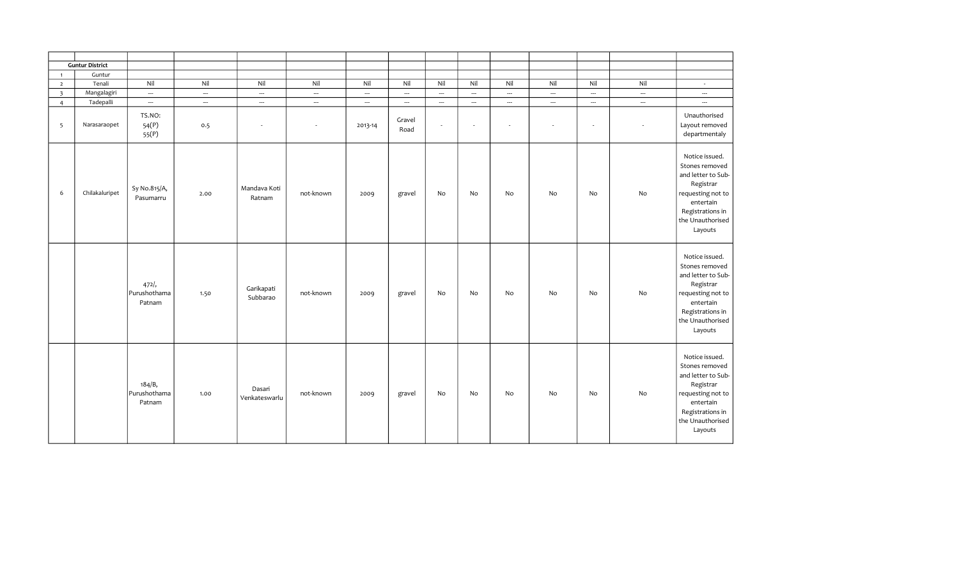|                         | <b>Guntur District</b> |                                  |                          |                          |                          |                          |                          |        |                          |                          |                          |                          |                          |                                                                                                                                                          |
|-------------------------|------------------------|----------------------------------|--------------------------|--------------------------|--------------------------|--------------------------|--------------------------|--------|--------------------------|--------------------------|--------------------------|--------------------------|--------------------------|----------------------------------------------------------------------------------------------------------------------------------------------------------|
| $\overline{1}$          | Guntur                 |                                  |                          |                          |                          |                          |                          |        |                          |                          |                          |                          |                          |                                                                                                                                                          |
| $\overline{2}$          | Tenali                 | Nil                              | Nil                      | Nil                      | Nil                      | Nil                      | Nil                      | Nil    | Nil                      | Nil                      | Nil                      | Nil                      | Nil                      | $\sim$                                                                                                                                                   |
| $\overline{\mathbf{3}}$ | Mangalagiri            | $\hspace{0.05cm} \cdots$         | $\hspace{0.05cm} \cdots$ | $\overline{\phantom{a}}$ | $\hspace{0.05cm} \cdots$ | $\hspace{0.05cm} \cdots$ | $\hspace{0.05cm} \ldots$ | ---    | ---                      | $\hspace{0.05cm} \cdots$ | $\hspace{0.05cm} \cdots$ | $\overline{\phantom{a}}$ | $\overline{\phantom{a}}$ | $\hspace{0.05cm} \cdots$                                                                                                                                 |
| $\overline{4}$          | Tadepalli              | $\overline{\phantom{a}}$         | $\overline{\phantom{a}}$ |                          | $\overline{\phantom{a}}$ | $\overline{\phantom{a}}$ | $\hspace{0.05cm} \ldots$ | ---    | ---                      | $\overline{\phantom{a}}$ | --                       | …                        | --                       | $\overline{\phantom{a}}$                                                                                                                                 |
| 5                       | Narasaraopet           | TS.NO:<br>54(P)<br>55(P)         | 0.5                      |                          | $\overline{\phantom{a}}$ | 2013-14                  | Gravel<br>Road           | $\sim$ | $\overline{\phantom{a}}$ | $\overline{\phantom{a}}$ | $\overline{\phantom{a}}$ | $\sim$                   | $\overline{\phantom{a}}$ | Unauthorised<br>Layout removed<br>departmentaly                                                                                                          |
| 6                       | Chilakaluripet         | Sy No.815/A,<br>Pasumarru        | 2.00                     | Mandava Koti<br>Ratnam   | not-known                | 2009                     | gravel                   | No     | No                       | No                       | No                       | No                       | No                       | Notice issued.<br>Stones removed<br>and letter to Sub-<br>Registrar<br>requesting not to<br>entertain<br>Registrations in<br>the Unauthorised<br>Layouts |
|                         |                        | 472/<br>Purushothama<br>Patnam   | 1.50                     | Garikapati<br>Subbarao   | not-known                | 2009                     | gravel                   | No     | No                       | No                       | No                       | No                       | No                       | Notice issued.<br>Stones removed<br>and letter to Sub-<br>Registrar<br>requesting not to<br>entertain<br>Registrations in<br>the Unauthorised<br>Layouts |
|                         |                        | 184/B,<br>Purushothama<br>Patnam | 1.00                     | Dasari<br>Venkateswarlu  | not-known                | 2009                     | gravel                   | No     | No                       | No                       | No                       | No                       | No                       | Notice issued.<br>Stones removed<br>and letter to Sub-<br>Registrar<br>requesting not to<br>entertain<br>Registrations in<br>the Unauthorised<br>Layouts |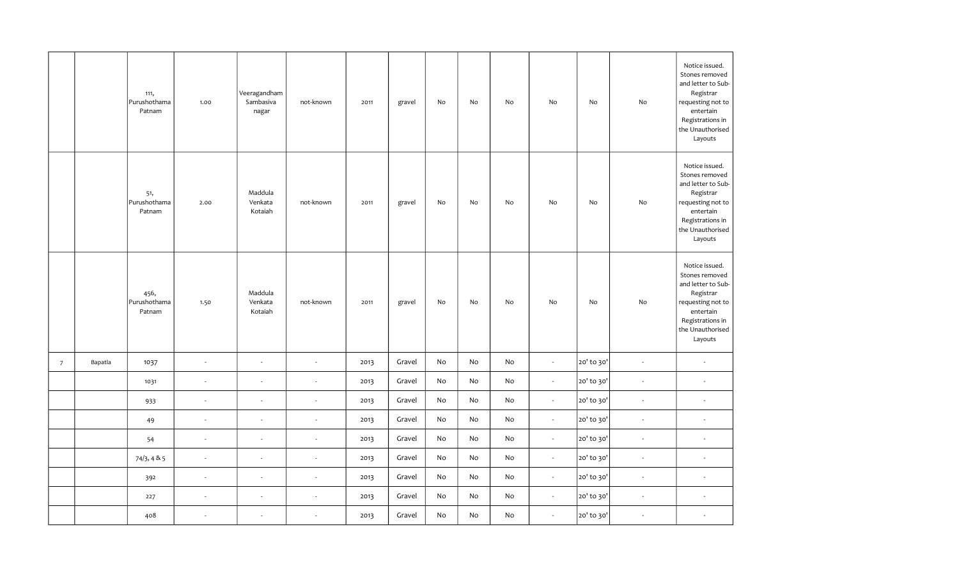|                |         | 111,<br>Purushothama<br>Patnam | 1.00                     | Veeragandham<br>Sambasiva<br>nagar | not-known                | 2011 | gravel | No | No | No | No                       | No         | No                       | Notice issued.<br>Stones removed<br>and letter to Sub-<br>Registrar<br>requesting not to<br>entertain<br>Registrations in<br>the Unauthorised<br>Layouts |
|----------------|---------|--------------------------------|--------------------------|------------------------------------|--------------------------|------|--------|----|----|----|--------------------------|------------|--------------------------|----------------------------------------------------------------------------------------------------------------------------------------------------------|
|                |         | 51,<br>Purushothama<br>Patnam  | 2.00                     | Maddula<br>Venkata<br>Kotaiah      | not-known                | 2011 | gravel | No | No | No | No                       | No         | No                       | Notice issued.<br>Stones removed<br>and letter to Sub-<br>Registrar<br>requesting not to<br>entertain<br>Registrations in<br>the Unauthorised<br>Layouts |
|                |         | 456,<br>Purushothama<br>Patnam | 1.50                     | Maddula<br>Venkata<br>Kotaiah      | not-known                | 2011 | gravel | No | No | No | No                       | No         | No                       | Notice issued.<br>Stones removed<br>and letter to Sub-<br>Registrar<br>requesting not to<br>entertain<br>Registrations in<br>the Unauthorised<br>Layouts |
| $\overline{7}$ | Bapatla | 1037                           | $\omega$                 | ÷,                                 | $\bar{\mathbf{z}}$       | 2013 | Gravel | No | No | No | $\overline{\phantom{a}}$ | 20' to 30' | $\overline{\phantom{a}}$ | $\omega$                                                                                                                                                 |
|                |         | 1031                           | $\overline{\phantom{a}}$ |                                    |                          | 2013 | Gravel | No | No | No | $\sim$                   | 20' to 30' | ÷,                       | $\sim$                                                                                                                                                   |
|                |         | 933                            | $\overline{\phantom{a}}$ | J.                                 | $\overline{\phantom{a}}$ | 2013 | Gravel | No | No | No | $\sim$                   | 20' to 30' | $\overline{\phantom{a}}$ | $\sim$                                                                                                                                                   |
|                |         | 49                             | $\overline{\phantom{a}}$ | ÷,                                 |                          | 2013 | Gravel | No | No | No | $\omega$                 | 20' to 30' | $\omega$                 | $\sim$                                                                                                                                                   |
|                |         | 54                             | $\sim$                   | ÷,                                 | $\overline{\phantom{a}}$ | 2013 | Gravel | No | No | No | $\omega$                 | 20' to 30' | $\omega$                 | $\sim$                                                                                                                                                   |
|                |         | 74/3, 485                      | $\overline{\phantom{a}}$ | $\overline{\phantom{a}}$           | $\overline{\phantom{a}}$ | 2013 | Gravel | No | No | No | $\omega$                 | 20' to 30' | $\overline{\phantom{a}}$ | $\overline{\phantom{a}}$                                                                                                                                 |
|                |         | 392                            | ÷.                       | $\overline{\phantom{a}}$           | ÷.                       | 2013 | Gravel | No | No | No | $\sim$                   | 20' to 30' | $\omega$                 | $\sim$                                                                                                                                                   |
|                |         | 227                            | $\overline{\phantom{a}}$ | $\overline{\phantom{a}}$           | $\overline{\phantom{a}}$ | 2013 | Gravel | No | No | No | $\sim$                   | 20' to 30' | $\omega$                 | $\sim$                                                                                                                                                   |
|                |         | 408                            | $\epsilon$               | $\overline{\phantom{a}}$           |                          | 2013 | Gravel | No | No | No | $\sim$                   | 20' to 30' | $\sim$                   | $\sim$                                                                                                                                                   |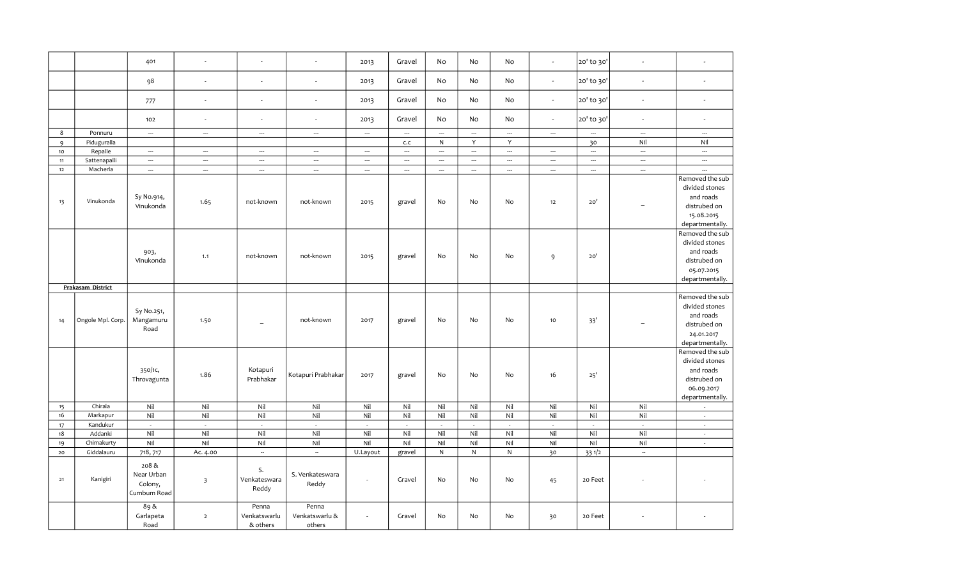|                |                        | 401                                                      |                                     | ä,                                                      |                                    | 2013                     | Gravel                   | No                       | No                          | No                          | $\sim$                      | 20' to 30'               | $\overline{\phantom{a}}$ | ÷,                                                                                              |
|----------------|------------------------|----------------------------------------------------------|-------------------------------------|---------------------------------------------------------|------------------------------------|--------------------------|--------------------------|--------------------------|-----------------------------|-----------------------------|-----------------------------|--------------------------|--------------------------|-------------------------------------------------------------------------------------------------|
|                |                        | 98                                                       | $\sim$                              | $\overline{\phantom{a}}$                                | $\sim$                             | 2013                     | Gravel                   | No                       | No                          | No                          | $\sim$                      | 20' to 30'               | $\blacksquare$           | $\sim$                                                                                          |
|                |                        | 777                                                      | $\sim$                              | ä,                                                      | $\sim$                             | 2013                     | Gravel                   | No                       | No                          | No                          | $\omega$                    | 20' to 30'               | $\blacksquare$           | $\sim$                                                                                          |
|                |                        | 102                                                      | $\sim$                              | $\sim$                                                  | $\sim$                             | 2013                     | Gravel                   | No                       | No                          | No                          | $\sim$                      | 20' to 30'               | $\blacksquare$           | $\overline{\phantom{a}}$                                                                        |
| 8              | Ponnuru                | $\overline{\phantom{a}}$                                 | $\overline{\phantom{a}}$            | $\overline{\phantom{a}}$                                | $\overline{\phantom{a}}$           | $\overline{\phantom{a}}$ | $\overline{\phantom{a}}$ | $\overline{\phantom{a}}$ | $\overline{\phantom{a}}$    | $\overline{\phantom{a}}$    | $\overline{\phantom{a}}$    | $\hspace{0.05cm} \ldots$ | $\overline{\phantom{a}}$ | $\overline{\phantom{a}}$                                                                        |
| $\overline{9}$ | Piduguralla            |                                                          |                                     |                                                         |                                    |                          | c.c                      | $\mathsf{N}$             | Y                           | Y                           |                             | 30                       | Nil                      | Nil                                                                                             |
| $10$           | Repalle                | $\overline{\phantom{a}}$                                 | $\overline{\phantom{a}}$            | $\overline{\phantom{a}}$                                | $\overline{\phantom{a}}$           | $\overline{\phantom{a}}$ | $\overline{\phantom{a}}$ | $\overline{\phantom{a}}$ | $\overline{\phantom{a}}$    | $\overline{\phantom{a}}$    | $\overline{\phantom{a}}$    | $\overline{\phantom{a}}$ | $\overline{\phantom{a}}$ | $\overline{\phantom{a}}$                                                                        |
| 11             | Sattenapalli           | $\hspace{0.05cm} \ldots$                                 | $\hspace{0.05cm} \cdots$            | $\hspace{0.05cm} \ldots$                                | $\hspace{0.05cm} \cdots$           | $\hspace{0.05cm} \cdots$ | $\hspace{0.05cm} \ldots$ | $\hspace{0.05cm} \ldots$ | $\hspace{0.05cm} \cdots$    | $\hspace{0.05cm} \cdots$    | $\overline{\phantom{a}}$    | $\hspace{0.05cm} \ldots$ | $\ldots$                 | $\overline{\phantom{a}}$                                                                        |
| 12             | Macherla               | $\overline{\phantom{a}}$                                 | $\sim$                              | $\overline{\phantom{a}}$                                | $\overline{\phantom{a}}$           | $\hspace{0.05cm} \ldots$ | $\overline{\phantom{a}}$ | $\overline{\phantom{a}}$ | $\hspace{0.05cm} \cdots$    | $\overline{\phantom{a}}$    | $\overline{\phantom{a}}$    | $\hspace{0.05cm} \cdots$ | $\overline{\phantom{a}}$ | $\overline{\phantom{a}}$                                                                        |
| 13             | Vinukonda              | Sy No.914,<br>Vinukonda                                  | 1.65                                | not-known                                               | not-known                          | 2015                     | gravel                   | No                       | No                          | No                          | 12                          | 20'                      | $\overline{\phantom{a}}$ | Removed the sub<br>divided stones<br>and roads<br>distrubed on<br>15.08.2015<br>departmentally. |
|                |                        | 903,<br>Vinukonda                                        | 1.1                                 | not-known                                               | not-known                          | 2015                     | gravel                   | No                       | No                          | No                          | 9                           | 20'                      |                          | Removed the sub<br>divided stones<br>and roads<br>distrubed on<br>05.07.2015<br>departmentally. |
|                | Prakasam District      |                                                          |                                     |                                                         |                                    |                          |                          |                          |                             |                             |                             |                          |                          |                                                                                                 |
| 14             | Ongole Mpl. Corp.      | Sy No.251,<br>Mangamuru<br>Road                          | 1.50                                | $\overline{\phantom{a}}$                                | not-known                          | 2017                     | gravel                   | No                       | No                          | No                          | 10                          | 33'                      | $\overline{\phantom{0}}$ | Removed the sub<br>divided stones<br>and roads<br>distrubed on<br>24.01.2017<br>departmentally. |
|                |                        | 350/1c,<br>Throvagunta                                   | 1.86                                | Kotapuri<br>Prabhakar                                   | Kotapuri Prabhakar                 | 2017                     | gravel                   | No                       | No                          | No                          | 16                          | 25'                      |                          | Removed the sub<br>divided stones<br>and roads<br>distrubed on<br>06.09.2017<br>departmentally. |
| 15             | Chirala                | Nil                                                      | Nil                                 | Nil                                                     | Nil                                | Nil                      | Nil                      | Nil                      | Nil                         | Nil                         | Nil                         | Nil                      | Nil                      | $\sim$                                                                                          |
| 16             | Markapur               | Nil                                                      | Nil                                 | Nil                                                     | Nil                                | Nil                      | Nil                      | Nil                      | Nil                         | Nil                         | Nil                         | Nil                      | Nil                      | $\overline{\phantom{a}}$                                                                        |
| $17$           | Kandukur               | $\sim$                                                   | $\mathcal{L}$                       | $\sim$                                                  | $\mathcal{L}$                      | $\sim$                   | $\sim$                   | $\sim$                   | $\mathcal{L}_{\mathcal{A}}$ | $\mathcal{L}_{\mathcal{A}}$ | $\mathcal{L}_{\mathcal{A}}$ | $\sim$                   | $\sim$                   | $\mathcal{L}_{\mathcal{A}}$                                                                     |
| 18             | Addanki                | Nil                                                      | Nil                                 | Nil                                                     | Nil                                | Nil                      | Nil                      | Nil                      | Nil                         | Nil                         | Nil                         | Nil                      | Nil                      | $\overline{\phantom{a}}$                                                                        |
| 19             | Chimakurty             | Nil                                                      | Nil                                 | Nil                                                     | Nil                                | Nil                      | Nil                      | Nil                      | Nil                         | Nil                         | Nil                         | Nil                      | Nil                      | $\overline{\phantom{a}}$                                                                        |
| $20$<br>21     | Giddalauru<br>Kanigiri | 718, 717<br>208&<br>Near Urban<br>Colony,<br>Cumbum Road | Ac. 4.00<br>$\overline{\mathbf{3}}$ | $\overline{\phantom{a}}$<br>S.<br>Venkateswara<br>Reddy | $\sim$<br>S. Venkateswara<br>Reddy | U.Layout<br>$\sim$       | gravel<br>Gravel         | ${\sf N}$<br>No          | ${\sf N}$<br>No             | ${\sf N}$<br>No             | 30<br>45                    | 331/2<br>20 Feet         | $\bar{a}$                |                                                                                                 |
|                |                        | 89&<br>Garlapeta<br>Road                                 | $\overline{2}$                      | Penna<br>Venkatswarlu<br>& others                       | Penna<br>Venkatswarlu &<br>others  | $\sim$                   | Gravel                   | No                       | No                          | No                          | 30                          | 20 Feet                  |                          |                                                                                                 |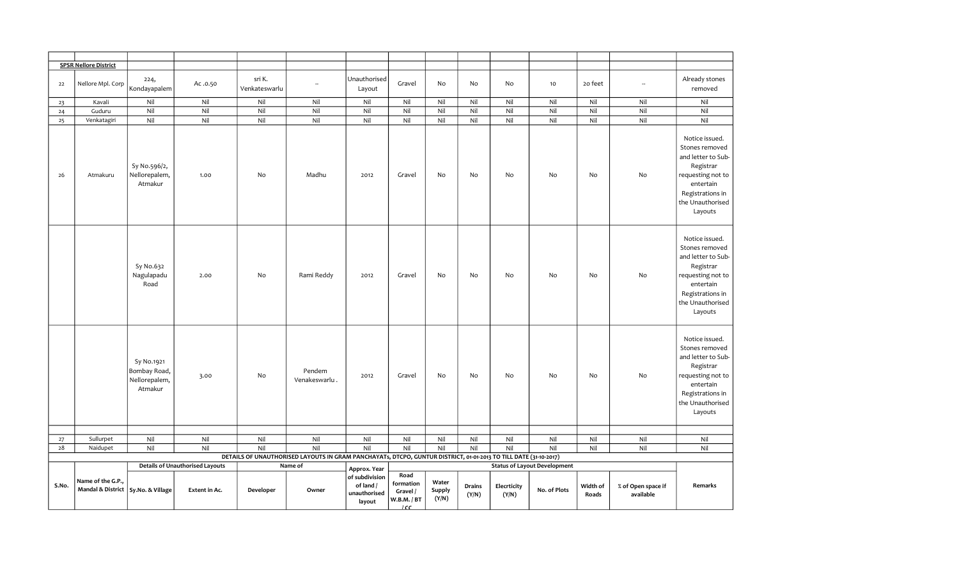|       | <b>SPSR Nellore District</b>                              |                                                        |                                                         |                         |                                                                                                                  |                                                                       |                                                                 |                          |                 |                      |                                                     |                   |                                 |                                                                                                                                                          |
|-------|-----------------------------------------------------------|--------------------------------------------------------|---------------------------------------------------------|-------------------------|------------------------------------------------------------------------------------------------------------------|-----------------------------------------------------------------------|-----------------------------------------------------------------|--------------------------|-----------------|----------------------|-----------------------------------------------------|-------------------|---------------------------------|----------------------------------------------------------------------------------------------------------------------------------------------------------|
| 22    | Nellore Mpl. Corp                                         | 224,<br>Kondayapalem                                   | Ac .0.50                                                | sri K.<br>Venkateswarlu | $\overline{\phantom{a}}$                                                                                         | Unauthorised<br>Layout                                                | Gravel                                                          | No                       | No              | No                   | 10                                                  | 20 feet           | $\overline{\phantom{a}}$        | Already stones<br>removed                                                                                                                                |
| 23    | Kavali                                                    | Nil                                                    | Nil                                                     | Nil                     | Nil                                                                                                              | Nil                                                                   | Nil                                                             | Nil                      | Nil             | Nil                  | Nil                                                 | Nil               | Nil                             | Nil                                                                                                                                                      |
| 24    | Guduru                                                    | Nil                                                    | Nil                                                     | Nil                     | Nil                                                                                                              | Nil                                                                   | Nil                                                             | Nil                      | Nil             | Nil                  | Nil                                                 | Nil               | Nil                             | Nil                                                                                                                                                      |
| 25    | Venkatagiri                                               | Nil                                                    | Nil                                                     | Nil                     | Nil                                                                                                              | Nil                                                                   | Nil                                                             | Nil                      | Nil             | Nil                  | Nil                                                 | Nil               | Nil                             | Nil                                                                                                                                                      |
| 26    | Atmakuru                                                  | Sy No.596/2,<br>Nellorepalem,<br>Atmakur               | 1.00                                                    | No                      | Madhu                                                                                                            | 2012                                                                  | Gravel                                                          | No                       | No              | No                   | No                                                  | No                | No                              | Notice issued.<br>Stones removed<br>and letter to Sub-<br>Registrar<br>requesting not to<br>entertain<br>Registrations in<br>the Unauthorised<br>Layouts |
|       |                                                           | Sy No.632<br>Nagulapadu<br>Road                        | 2.00                                                    | No                      | Rami Reddy                                                                                                       | 2012                                                                  | Gravel                                                          | No                       | No              | No                   | <b>No</b>                                           | No                | No                              | Notice issued.<br>Stones removed<br>and letter to Sub-<br>Registrar<br>requesting not to<br>entertain<br>Registrations in<br>the Unauthorised<br>Layouts |
|       |                                                           | Sy No.1921<br>Bombay Road,<br>Nellorepalem,<br>Atmakur | 3.00                                                    | No                      | Pendem<br>Venakeswarlu.                                                                                          | 2012                                                                  | Gravel                                                          | No                       | No              | No                   | No                                                  | No                | No                              | Notice issued.<br>Stones removed<br>and letter to Sub-<br>Registrar<br>requesting not to<br>entertain<br>Registrations in<br>the Unauthorised<br>Layouts |
|       |                                                           |                                                        |                                                         |                         |                                                                                                                  |                                                                       |                                                                 |                          |                 |                      |                                                     |                   |                                 |                                                                                                                                                          |
| 27    | Sullurpet                                                 | Nil                                                    | Nil                                                     | Nil                     | Nil                                                                                                              | Nil                                                                   | Nil                                                             | Nil                      | Nil             | Nil                  | Nil                                                 | Nil               | Nil                             | Nil                                                                                                                                                      |
| 28    | Naidupet                                                  | Nil                                                    | Nil                                                     | Nil                     | Nil                                                                                                              | Nil                                                                   | Nil                                                             | Nil                      | Nil             | Nil                  | Nil                                                 | Nil               | Nil                             | Nil                                                                                                                                                      |
|       |                                                           |                                                        |                                                         |                         | DETAILS OF UNAUTHORISED LAYOUTS IN GRAM PANCHAYATs, DTCPO, GUNTUR DISTRICT, 01-01-2013 TO TILL DATE (31-10-2017) |                                                                       |                                                                 |                          |                 |                      |                                                     |                   |                                 |                                                                                                                                                          |
| S.No. | Name of the G.P.,<br>Mandal & District   Sy.No. & Village |                                                        | <b>Details of Unauthorised Layouts</b><br>Extent in Ac. | Developer               | Name of<br>Owner                                                                                                 | Approx. Year<br>of subdivision<br>of land /<br>unauthorised<br>layout | Road<br>formation<br>Gravel /<br>W.B.M. / BT<br>10 <sup>2</sup> | Water<br>Supply<br>(Y/N) | Drains<br>(Y/N) | Elecrticity<br>(Y/N) | <b>Status of Layout Development</b><br>No. of Plots | Width of<br>Roads | % of Open space if<br>available | Remarks                                                                                                                                                  |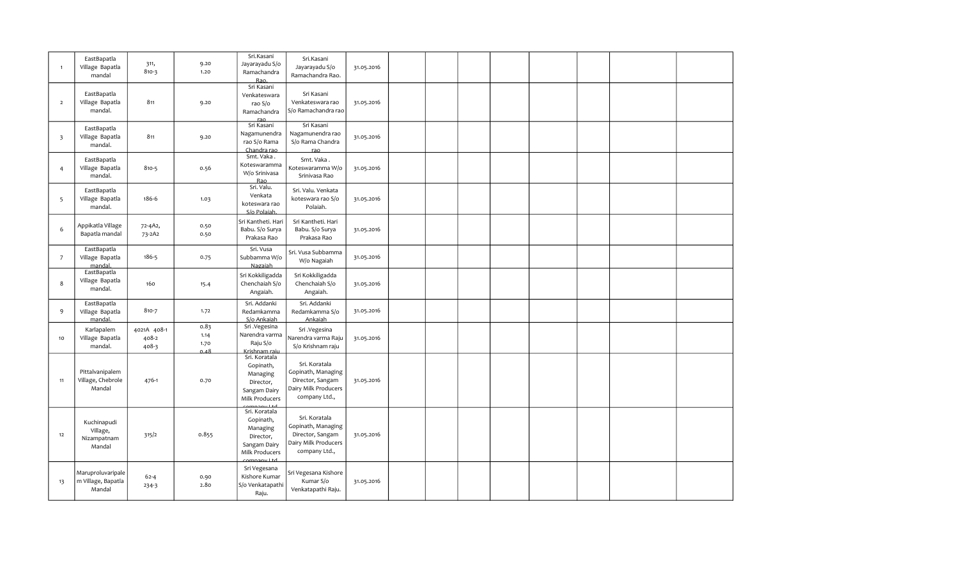| $\overline{1}$          | EastBapatla<br>Village Bapatla<br>mandal          | 311,<br>$810 - 3$             | 9.20<br>1.20                 | Sri.Kasani<br>Jayarayadu S/o<br>Ramachandra<br>Rao.                                   | Sri.Kasani<br>Jayarayadu S/o<br>Ramachandra Rao.                                                 | 31.05.2016 |  |  |  |  |  |
|-------------------------|---------------------------------------------------|-------------------------------|------------------------------|---------------------------------------------------------------------------------------|--------------------------------------------------------------------------------------------------|------------|--|--|--|--|--|
| $\overline{2}$          | EastBapatla<br>Village Bapatla<br>mandal.         | 811                           | 9.20                         | Sri Kasani<br>Venkateswara<br>rao S/o<br>Ramachandra                                  | Sri Kasani<br>Venkateswara rao<br>S/o Ramachandra rao                                            | 31.05.2016 |  |  |  |  |  |
| $\overline{\mathbf{3}}$ | EastBapatla<br>Village Bapatla<br>mandal.         | 811                           | 9.20                         | Sri Kasani<br>Nagamunendra<br>rao S/o Rama<br>Chandra rao                             | Sri Kasani<br>Nagamunendra rao<br>S/o Rama Chandra                                               | 31.05.2016 |  |  |  |  |  |
| $\overline{4}$          | EastBapatla<br>Village Bapatla<br>mandal.         | 810-5                         | 0.56                         | Smt. Vaka.<br>Koteswaramma<br>W/o Srinivasa<br>Rao                                    | Smt. Vaka.<br>Koteswaramma W/o<br>Srinivasa Rao                                                  | 31.05.2016 |  |  |  |  |  |
| 5                       | EastBapatla<br>Village Bapatla<br>mandal.         | 186-6                         | 1.03                         | Sri. Valu.<br>Venkata<br>koteswara rao<br>S/o Polaiah.                                | Sri. Valu. Venkata<br>koteswara rao S/o<br>Polaiah.                                              | 31.05.2016 |  |  |  |  |  |
| 6                       | Appikatla Village<br>Bapatla mandal               | 72-4A2,<br>73-2A2             | 0.50<br>0.50                 | Sri Kantheti. Hari<br>Babu. S/o Surya<br>Prakasa Rao                                  | Sri Kantheti. Hari<br>Babu. S/o Surya<br>Prakasa Rao                                             | 31.05.2016 |  |  |  |  |  |
| $\overline{7}$          | EastBapatla<br>Village Bapatla<br>mandal.         | 186-5                         | 0.75                         | Sri. Vusa<br>Subbamma W/o<br>Nagaiah                                                  | Sri. Vusa Subbamma<br>W/o Nagaiah                                                                | 31.05.2016 |  |  |  |  |  |
| 8                       | EastBapatla<br>Village Bapatla<br>mandal.         | 160                           | 15.4                         | Sri Kokkiligadda<br>Chenchaiah S/o<br>Angaiah.                                        | Sri Kokkiligadda<br>Chenchaiah S/o<br>Angaiah.                                                   | 31.05.2016 |  |  |  |  |  |
| 9                       | EastBapatla<br>Village Bapatla<br>mandal.         | 810-7                         | 1.72                         | Sri. Addanki<br>Redamkamma<br>S/o Ankaiah                                             | Sri. Addanki<br>Redamkamma S/o<br>Ankaiah                                                        | 31.05.2016 |  |  |  |  |  |
| 10                      | Karlapalem<br>Village Bapatla<br>mandal.          | 4021A 408-1<br>408-2<br>408-3 | 0.83<br>1.14<br>1.70<br>0.48 | Sri .Vegesina<br>Narendra varma<br>Raju S/o<br>Krishnam raju                          | Sri .Vegesina<br>Narendra varma Raju<br>S/o Krishnam raju                                        | 31.05.2016 |  |  |  |  |  |
| 11                      | Pittalvanipalem<br>Village, Chebrole<br>Mandal    | 476-1                         | 0.70                         | Sri. Koratala<br>Gopinath,<br>Managing<br>Director,<br>Sangam Dairy<br>Milk Producers | Sri. Koratala<br>Gopinath, Managing<br>Director, Sangam<br>Dairy Milk Producers<br>company Ltd., | 31.05.2016 |  |  |  |  |  |
| 12                      | Kuchinapudi<br>Village,<br>Nizampatnam<br>Mandal  | 315/2                         | 0.855                        | Sri. Koratala<br>Gopinath,<br>Managing<br>Director,<br>Sangam Dairy<br>Milk Producers | Sri. Koratala<br>Gopinath, Managing<br>Director, Sangam<br>Dairy Milk Producers<br>company Ltd., | 31.05.2016 |  |  |  |  |  |
| 13                      | Maruproluvaripale<br>m Village, Bapatla<br>Mandal | $62 - 4$<br>234-3             | 0.90<br>2.80                 | Sri Vegesana<br>Kishore Kumar<br>S/o Venkatapathi<br>Raju.                            | Sri Vegesana Kishore<br>Kumar S/o<br>Venkatapathi Raju.                                          | 31.05.2016 |  |  |  |  |  |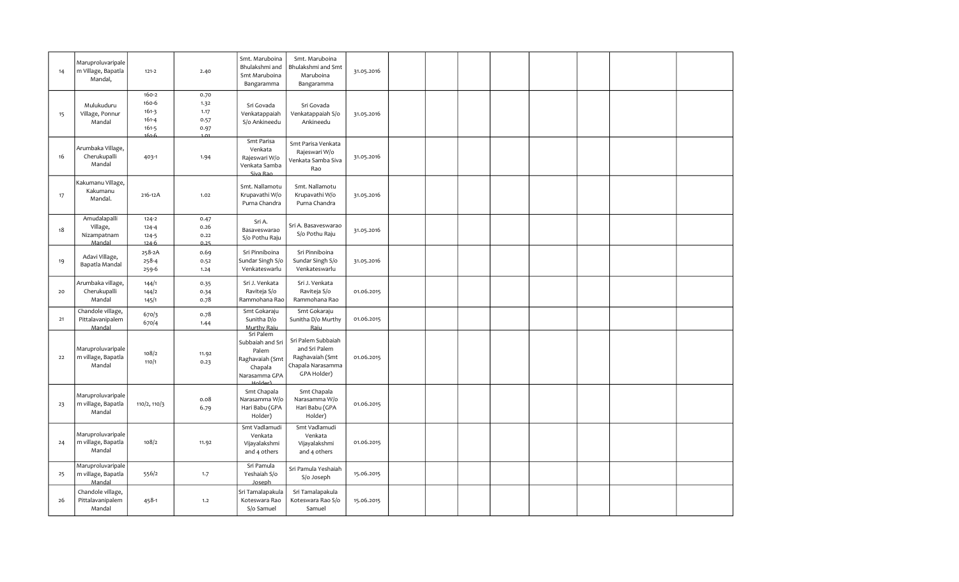| 14 | Maruproluvaripale<br>m Village, Bapatla<br>Mandal, | $121 - 2$                                                        | 2.40                                 | Smt. Maruboina<br>Bhulakshmi and<br>Smt Maruboina<br>Bangaramma                       | Smt. Maruboina<br>Bhulakshmi and Smt<br>Maruboina<br>Bangaramma                            | 31.05.2016 |  |  |  |  |
|----|----------------------------------------------------|------------------------------------------------------------------|--------------------------------------|---------------------------------------------------------------------------------------|--------------------------------------------------------------------------------------------|------------|--|--|--|--|
| 15 | Mulukuduru<br>Village, Ponnur<br>Mandal            | 160-2<br>160-6<br>$161-3$<br>$161 - 4$<br>$161 - 5$<br>$161 - 6$ | 0.70<br>1.32<br>1.17<br>0.57<br>0.97 | Sri Govada<br>Venkatappaiah<br>S/o Ankineedu                                          | Sri Govada<br>Venkatappaiah S/o<br>Ankineedu                                               | 31.05.2016 |  |  |  |  |
| 16 | Arumbaka Village,<br>Cherukupalli<br>Mandal        | 403-1                                                            | 1.94                                 | Smt Parisa<br>Venkata<br>Rajeswari W/o<br>Venkata Samba<br>Siva Rao                   | Smt Parisa Venkata<br>Rajeswari W/o<br>Venkata Samba Siva<br>Rao                           | 31.05.2016 |  |  |  |  |
| 17 | Kakumanu Village,<br>Kakumanu<br>Mandal.           | 216-12A                                                          | 1.02                                 | Smt. Nallamotu<br>Krupavathi W/o<br>Purna Chandra                                     | Smt. Nallamotu<br>Krupavathi W/o<br>Purna Chandra                                          | 31.05.2016 |  |  |  |  |
| 18 | Amudalapalli<br>Village,<br>Nizampatnam<br>Mandal  | $124 - 2$<br>$124 - 4$<br>$124 - 5$<br>$124 - 6$                 | 0.47<br>0.26<br>0.22<br>0.25         | Sri A.<br>Basaveswarao<br>S/o Pothu Raju                                              | Sri A. Basaveswarao<br>S/o Pothu Raju                                                      | 31.05.2016 |  |  |  |  |
| 19 | Adavi Village,<br>Bapatla Mandal                   | 258-2A<br>258-4<br>259-6                                         | 0.69<br>0.52<br>1.24                 | Sri Pinniboina<br>Sundar Singh S/o<br>Venkateswarlu                                   | Sri Pinniboina<br>Sundar Singh S/o<br>Venkateswarlu                                        | 31.05.2016 |  |  |  |  |
| 20 | Arumbaka village,<br>Cherukupalli<br>Mandal        | 144/1<br>144/2<br>145/1                                          | 0.35<br>0.34<br>0.78                 | Sri J. Venkata<br>Raviteja S/o<br>Rammohana Rao                                       | Sri J. Venkata<br>Raviteja S/o<br>Rammohana Rao                                            | 01.06.2015 |  |  |  |  |
| 21 | Chandole village,<br>Pittalavanipalem<br>Mandal    | 670/3<br>670/4                                                   | 0.78<br>1.44                         | Smt Gokaraju<br>Sunitha D/o<br>Murthy Raiu                                            | Smt Gokaraju<br>Sunitha D/o Murthy<br>Raiu                                                 | 01.06.2015 |  |  |  |  |
| 22 | Maruproluvaripale<br>m village, Bapatla<br>Mandal  | 108/2<br>110/1                                                   | 11.92<br>0.23                        | Sri Palem<br>Subbaiah and Sri<br>Palem<br>Raghavaiah (Smt<br>Chapala<br>Narasamma GPA | Sri Palem Subbaiah<br>and Sri Palem<br>Raghavaiah (Smt<br>Chapala Narasamma<br>GPA Holder) | 01.06.2015 |  |  |  |  |
| 23 | Maruproluvaripale<br>m village, Bapatla<br>Mandal  | 110/2, 110/3                                                     | 0.08<br>6.79                         | Smt Chapala<br>Narasamma W/o<br>Hari Babu (GPA<br>Holder)                             | Smt Chapala<br>Narasamma W/o<br>Hari Babu (GPA<br>Holder)                                  | 01.06.2015 |  |  |  |  |
| 24 | Maruproluvaripale<br>m village, Bapatla<br>Mandal  | 108/2                                                            | 11.92                                | Smt Vadlamudi<br>Venkata<br>Vijayalakshmi<br>and 4 others                             | Smt Vadlamudi<br>Venkata<br>Vijayalakshmi<br>and 4 others                                  | 01.06.2015 |  |  |  |  |
| 25 | Maruproluvaripale<br>m village, Bapatla<br>Mandal  | 556/2                                                            | 1.7                                  | Sri Pamula<br>Yeshaiah S/o<br>Joseph                                                  | Sri Pamula Yeshaiah<br>S/o Joseph                                                          | 15.06.2015 |  |  |  |  |
| 26 | Chandole village,<br>Pittalavanipalem<br>Mandal    | 458-1                                                            | 1.2                                  | Sri Tamalapakula<br>Koteswara Rao<br>S/o Samuel                                       | Sri Tamalapakula<br>Koteswara Rao S/o<br>Samuel                                            | 15.06.2015 |  |  |  |  |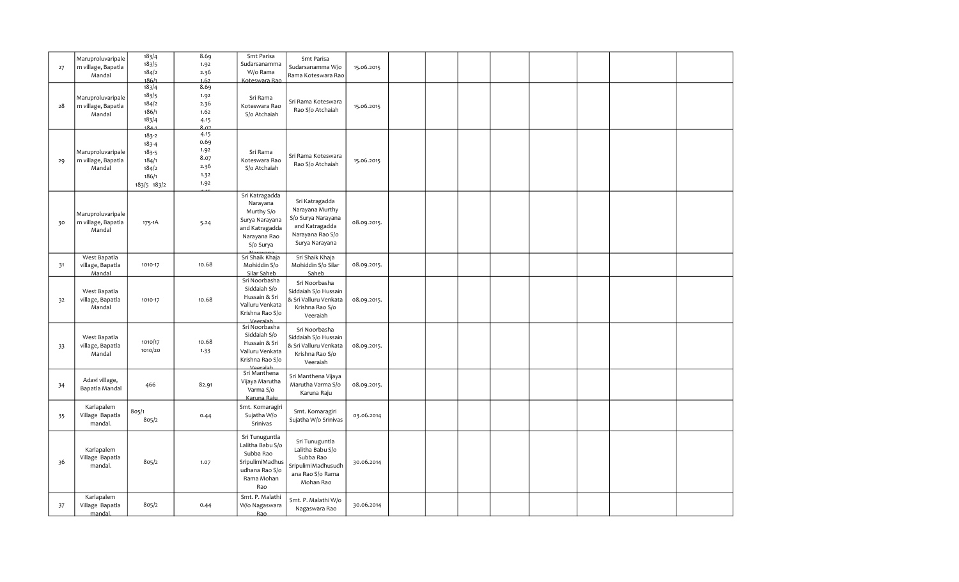| 27 | Maruproluvaripale<br>m village, Bapatla<br>Mandal | 183/4<br>183/5<br>184/2<br>186/1                                          | 8.69<br>1.92<br>2.36<br>1.62                         | Smt Parisa<br>Sudarsanamma<br>W/o Rama<br>Koteswara Rao                                                   | Smt Parisa<br>Sudarsanamma W/o<br>Rama Koteswara Rao                                                            | 15.06.2015  |  |  |  |  |
|----|---------------------------------------------------|---------------------------------------------------------------------------|------------------------------------------------------|-----------------------------------------------------------------------------------------------------------|-----------------------------------------------------------------------------------------------------------------|-------------|--|--|--|--|
| 28 | Maruproluvaripale<br>m village, Bapatla<br>Mandal | 183/4<br>183/5<br>184/2<br>186/1<br>183/4<br>، ٥،                         | 8.69<br>1.92<br>2.36<br>1.62<br>4.15<br>807          | Sri Rama<br>Koteswara Rao<br>S/o Atchaiah                                                                 | Sri Rama Koteswara<br>Rao S/o Atchaiah                                                                          | 15.06.2015  |  |  |  |  |
| 29 | Maruproluvaripale<br>m village, Bapatla<br>Mandal | $183 - 2$<br>$183 - 4$<br>183-5<br>184/1<br>184/2<br>186/1<br>183/5 183/2 | 4.15<br>0.69<br>1.92<br>8.07<br>2.36<br>1.32<br>1.92 | Sri Rama<br>Koteswara Rao<br>S/o Atchaiah                                                                 | Sri Rama Koteswara<br>Rao S/o Atchaiah                                                                          | 15.06.2015  |  |  |  |  |
| 30 | Maruproluvaripale<br>m village, Bapatla<br>Mandal | 175-1A                                                                    | 5.24                                                 | Sri Katragadda<br>Narayana<br>Murthy S/o<br>Surya Narayana<br>and Katragadda<br>Narayana Rao<br>S/o Surya | Sri Katragadda<br>Narayana Murthy<br>S/o Surya Narayana<br>and Katragadda<br>Narayana Rao S/o<br>Surya Narayana | 08.09.2015. |  |  |  |  |
| 31 | West Bapatla<br>village, Bapatla<br>Mandal        | 1010-17                                                                   | 10.68                                                | Sri Shaik Khaja<br>Mohiddin S/o<br>Silar Saheb                                                            | Sri Shaik Khaja<br>Mohiddin S/o Silar<br>Saheb                                                                  | 08.09.2015. |  |  |  |  |
| 32 | West Bapatla<br>village, Bapatla<br>Mandal        | 1010-17                                                                   | 10.68                                                | Sri Noorbasha<br>Siddaiah S/o<br>Hussain & Sri<br>Valluru Venkata<br>Krishna Rao S/o<br><u>Vooraiah</u>   | Sri Noorbasha<br>Siddaiah S/o Hussain<br>& Sri Valluru Venkata<br>Krishna Rao S/o<br>Veeraiah                   | 08.09.2015. |  |  |  |  |
| 33 | West Bapatla<br>village, Bapatla<br>Mandal        | 1010/17<br>1010/20                                                        | 10.68<br>1.33                                        | Sri Noorbasha<br>Siddaiah S/o<br>Hussain & Sri<br>Valluru Venkata<br>Krishna Rao S/o<br><b>Veersish</b>   | Sri Noorbasha<br>Siddaiah S/o Hussain<br>& Sri Valluru Venkata<br>Krishna Rao S/o<br>Veeraiah                   | 08.09.2015. |  |  |  |  |
| 34 | Adavi village,<br>Bapatla Mandal                  | 466                                                                       | 82.91                                                | Sri Manthena<br>Vijaya Marutha<br>Varma S/o<br>Karuna Raiu                                                | Sri Manthena Vijaya<br>Marutha Varma S/o<br>Karuna Raju                                                         | 08.09.2015. |  |  |  |  |
| 35 | Karlapalem<br>Village Bapatla<br>mandal.          | 805/1<br>805/2                                                            | 0.44                                                 | Smt. Komaragiri<br>Sujatha W/o<br>Srinivas                                                                | Smt. Komaragiri<br>Sujatha W/o Srinivas                                                                         | 03.06.2014  |  |  |  |  |
| 36 | Karlapalem<br>Village Bapatla<br>mandal.          | 805/2                                                                     | 1.07                                                 | Sri Tunuguntla<br>Lalitha Babu S/o<br>Subba Rao<br>SripulimiMadhus<br>udhana Rao S/o<br>Rama Mohan<br>Rao | Sri Tunuguntla<br>Lalitha Babu S/o<br>Subba Rao<br>SripulimiMadhusudh<br>ana Rao S/o Rama<br>Mohan Rao          | 30.06.2014  |  |  |  |  |
| 37 | Karlapalem<br>Village Bapatla<br>mandal.          | 805/2                                                                     | 0.44                                                 | Smt. P. Malathi<br>W/o Nagaswara<br>Rao                                                                   | Smt. P. Malathi W/o<br>Nagaswara Rao                                                                            | 30.06.2014  |  |  |  |  |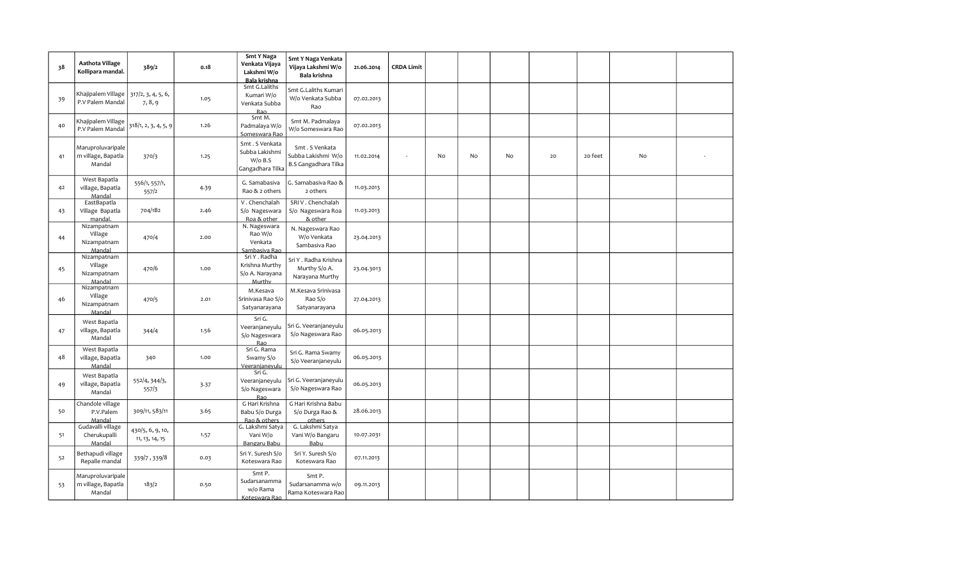| 38 | Aathota Village<br>Kollipara mandal.              | 389/2                              | 0.18 | <b>Smt Y Naga</b><br>Venkata Vijaya<br>Lakshmi W/o<br>Bala krishna | Smt Y Naga Venkata<br>Vijaya Lakshmi W/o<br>Bala krishna     | 21.06.2014 | <b>CRDA Limit</b> |    |    |    |    |         |    |  |
|----|---------------------------------------------------|------------------------------------|------|--------------------------------------------------------------------|--------------------------------------------------------------|------------|-------------------|----|----|----|----|---------|----|--|
| 39 | Khajipalem Village<br>P.V Palem Mandal            | 317/2, 3, 4, 5, 6,<br>7, 8, 9      | 1.05 | Smt G.Laliths<br>Kumari W/o<br>Venkata Subba<br><b>Rao</b>         | Smt G.Laliths Kumari<br>W/o Venkata Subba<br>Rao             | 07.02.2013 |                   |    |    |    |    |         |    |  |
| 40 | Khajipalem Village<br>P.V Palem Mandal            | 318/1, 2, 3, 4, 5, 9               | 1.26 | Smt M.<br>Padmalaya W/o<br>Someswara Rao                           | Smt M. Padmalaya<br>W/o Someswara Rao                        | 07.02.2013 |                   |    |    |    |    |         |    |  |
| 41 | Maruproluvaripale<br>m village, Bapatla<br>Mandal | 370/3                              | 1.25 | Smt. S Venkata<br>Subba Lakishmi<br>$W$ /o B.S<br>Gangadhara Tilka | Smt. S Venkata<br>Subba Lakishmi W/o<br>B.S Gangadhara Tilka | 11.02.2014 | $\sim$            | No | No | No | 20 | 20 feet | No |  |
| 42 | West Bapatla<br>village, Bapatla<br>Mandal        | 556/1, 557/1,<br>557/2             | 4.39 | G. Samabasiva<br>Rao & 2 others                                    | G. Samabasiva Rao &<br>2 others                              | 11.03.2013 |                   |    |    |    |    |         |    |  |
| 43 | EastBapatla<br>Village Bapatla<br>mandal.         | 704/1B2                            | 2.46 | V. Chenchalah<br>S/o Nageswara<br>Roa & other                      | SRIV. Chenchalah<br>S/o Nageswara Roa<br>& other             | 11.03.2013 |                   |    |    |    |    |         |    |  |
| 44 | Nizampatnam<br>Village<br>Nizampatnam<br>Mandal   | 470/4                              | 2.00 | N. Nageswara<br>Rao W/o<br>Venkata<br>Sambasiya Rao                | N. Nageswara Rao<br>W/o Venkata<br>Sambasiva Rao             | 23.04.2013 |                   |    |    |    |    |         |    |  |
| 45 | Nizampatnam<br>Village<br>Nizampatnam<br>Mandal   | 470/6                              | 1.00 | Sri Y . Radha<br>Krishna Murthy<br>S/o A. Narayana<br>Murthy       | Sri Y . Radha Krishna<br>Murthy S/o A.<br>Narayana Murthy    | 23.04.3013 |                   |    |    |    |    |         |    |  |
| 46 | Nizampatnam<br>Village<br>Nizampatnam<br>Mandal   | 470/5                              | 2.01 | M.Kesava<br>Srinivasa Rao S/o<br>Satyanarayana                     | M.Kesava Srinivasa<br>Rao S/o<br>Satyanarayana               | 27.04.2013 |                   |    |    |    |    |         |    |  |
| 47 | West Bapatla<br>village, Bapatla<br>Mandal        | 344/4                              | 1.56 | Sri G.<br>Veeranjaneyulu<br>S/o Nageswara<br><b>Rao</b>            | Sri G. Veeranjaneyulu<br>S/o Nageswara Rao                   | 06.05.2013 |                   |    |    |    |    |         |    |  |
| 48 | West Bapatla<br>village, Bapatla<br>Mandal        | 340                                | 1.00 | Sri G. Rama<br>Swamy S/o<br>Veeranianevulu                         | Sri G. Rama Swamy<br>S/o Veeranjaneyulu                      | 06.05.2013 |                   |    |    |    |    |         |    |  |
| 49 | West Bapatla<br>village, Bapatla<br>Mandal        | 552/4, 344/3,<br>557/3             | 3.37 | Sri G.<br>Veeranjaneyulu<br>S/o Nageswara<br><b>Rao</b>            | Sri G. Veeranjaneyulu<br>S/o Nageswara Rao                   | 06.05.2013 |                   |    |    |    |    |         |    |  |
| 50 | Chandole village<br>P.V.Palem<br>Mandal           | 309/11, 583/11                     | 3.65 | G Hari Krishna<br>Babu S/o Durga<br>Rao & others                   | G Hari Krishna Babu<br>S/o Durga Rao &<br>others             | 28.06.2013 |                   |    |    |    |    |         |    |  |
| 51 | Gudavalli village<br>Cherukupalli<br>Mandal       | 430/5, 6, 9, 10,<br>11, 13, 14, 15 | 1.57 | G. Lakshmi Satya<br>Vani W/o<br>Bangaru Babu                       | G. Lakshmi Satya<br>Vani W/o Bangaru<br>Babu                 | 10.07.2031 |                   |    |    |    |    |         |    |  |
| 52 | Bethapudi village<br>Repalle mandal               | 339/7,339/8                        | 0.03 | Sri Y. Suresh S/o<br>Koteswara Rao                                 | Sri Y. Suresh S/o<br>Koteswara Rao                           | 07.11.2013 |                   |    |    |    |    |         |    |  |
| 53 | Maruproluvaripale<br>m village, Bapatla<br>Mandal | 183/2                              | 0.50 | Smt P.<br>Sudarsanamma<br>w/o Rama<br>Koteswara Rao                | Smt P.<br>Sudarsanamma w/o<br>Rama Koteswara Rao             | 09.11.2013 |                   |    |    |    |    |         |    |  |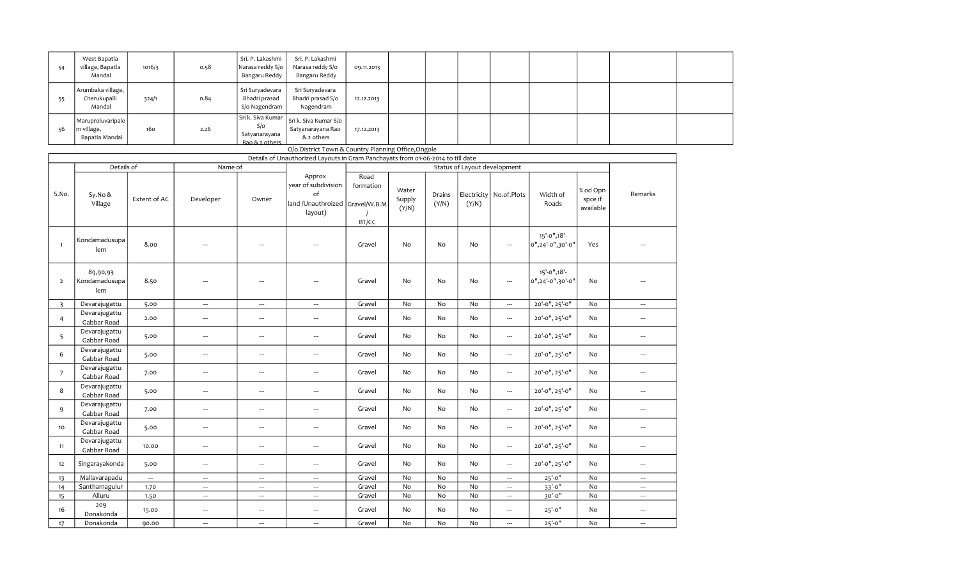| - 54 | West Bapatla<br>village, Bapatla<br>Mandal        | 1016/3 | 0.58 | Sri. P. Lakashmi<br>Narasa reddy S/o<br>Bangaru Reddy | Sri. P. Lakashmi<br>Narasa reddy S/o<br>Bangaru Reddy                                                         | 09.11.2013 |  |  |  |  |
|------|---------------------------------------------------|--------|------|-------------------------------------------------------|---------------------------------------------------------------------------------------------------------------|------------|--|--|--|--|
| 55   | Arumbaka village,<br>Cherukupalli<br>Mandal       | 324/1  | 0.84 | Sri Suryadevara<br>Bhadri prasad<br>S/o Nagendram     | Sri Suryadevara<br>Bhadri prasad S/o<br>Nagendram                                                             | 12.12.2013 |  |  |  |  |
| -56  | Maruproluvaripale<br>m village,<br>Bapatla Mandal | 160    | 2.26 | S/O<br>Satyanarayana<br>Rao & 2 others                | $\sqrt{\frac{1}{1}}$ Sri k. Siva Kumar $\int$ Sri k. Siva Kumar S/o $\int$<br>Satyanarayana Rao<br>& 2 others | 17.12.2013 |  |  |  |  |
|      |                                                   |        |      |                                                       | O/o.District Town & Country Planning Office, Ongole                                                           |            |  |  |  |  |

|                |                                  |              |                          |                          | Details of Unauthorized Layouts in Gram Panchayats from 01-06-2014 to till date |                                    |                          |                 |       |                              |                                           |                                  |                          |
|----------------|----------------------------------|--------------|--------------------------|--------------------------|---------------------------------------------------------------------------------|------------------------------------|--------------------------|-----------------|-------|------------------------------|-------------------------------------------|----------------------------------|--------------------------|
|                | Details of                       |              | Name of                  |                          |                                                                                 |                                    |                          |                 |       | Status of Layout development |                                           |                                  |                          |
|                |                                  |              |                          |                          | Approx                                                                          | Road                               |                          |                 |       |                              |                                           |                                  |                          |
| S.No.          | Sy.No &<br>Village               | Extent of AC | Developer                | Owner                    | year of subdivision<br>of<br>land /Unauthroized<br>layout)                      | formation<br>Gravel/W.B.M<br>BT/CC | Water<br>Supply<br>(Y/N) | Drains<br>(Y/N) | (Y/N) | Electricity   No.of.Plots    | Width of<br>Roads                         | % od Opn<br>spce if<br>available | Remarks                  |
| $\mathbf{1}$   | Kondamadusupa<br>lem             | 8.00         |                          | ---                      |                                                                                 | Gravel                             | No                       | No              | No    | ---                          | $15' - 0''$ , $18' -$<br>0",24'-0",30'-0" | Yes                              |                          |
| $\overline{2}$ | 89,90,93<br>Kondamadusupa<br>lem | 8.50         | $\overline{a}$           | ---                      | ---                                                                             | Gravel                             | No                       | No              | No    | ---                          | 15'-0", 18'-<br>0",24'-0",30'-0"          | No                               |                          |
| $\overline{3}$ | Devarajugattu                    | 5.00         | $\hspace{0.05cm} \ldots$ | $\hspace{0.05cm} \cdots$ | $\hspace{0.05cm} \cdots$                                                        | Gravel                             | No                       | No              | No    | --                           | 20'-0", 25'-0"                            | No                               | ---                      |
| $\overline{4}$ | Devarajugattu<br>Gabbar Road     | 2.00         | $\hspace{0.05cm} \ldots$ | $\hspace{0.05cm} \cdots$ | ---                                                                             | Gravel                             | No                       | No              | No    | $\cdots$                     | 20'-0", 25'-0"                            | No                               | $\overline{a}$           |
| 5              | Devarajugattu<br>Gabbar Road     | 5.00         | $\hspace{0.05cm} \ldots$ | ---                      | ---                                                                             | Gravel                             | No                       | No              | No    | ---                          | 20'-0", 25'-0"                            | No                               | ---                      |
| 6              | Devarajugattu<br>Gabbar Road     | 5.00         | ---                      | ---                      | $\hspace{0.05cm} \ldots$                                                        | Gravel                             | No                       | No              | No    | ---                          | 20'-0", 25'-0"                            | No                               | ---                      |
| $7^{\circ}$    | Devarajugattu<br>Gabbar Road     | 7.00         | $\hspace{0.05cm} \ldots$ | ---                      | ---                                                                             | Gravel                             | No                       | No              | No    | ---                          | 20'-0", 25'-0"                            | No                               | ---                      |
| 8              | Devarajugattu<br>Gabbar Road     | 5.00         | $\cdots$                 | ---                      | ---                                                                             | Gravel                             | No                       | No              | No    | ---                          | 20'-0", 25'-0"                            | No                               | ---                      |
| 9              | Devarajugattu<br>Gabbar Road     | 7.00         | ---                      | ---                      | $\hspace{0.05cm} \ldots$                                                        | Gravel                             | No                       | No              | No    | $\cdots$                     | 20'-0", 25'-0"                            | No                               | ---                      |
| 10             | Devarajugattu<br>Gabbar Road     | 5.00         | ---                      | ---                      | ---                                                                             | Gravel                             | No                       | No              | No    | $\overline{\phantom{a}}$     | 20'-0", 25'-0"                            | No                               | $\overline{a}$           |
| 11             | Devarajugattu<br>Gabbar Road     | 10.00        | $\cdots$                 | ---                      | ---                                                                             | Gravel                             | No                       | No              | No    | ---                          | 20'-0", 25'-0"                            | No                               | ---                      |
| 12             | Singarayakonda                   | 5.00         | $\hspace{0.05cm} \cdots$ | ---                      | ---                                                                             | Gravel                             | No                       | No              | No    | $\overline{\phantom{a}}$     | 20'-0", 25'-0"                            | No                               | ---                      |
| 13             | Mallavarapadu                    | ---          | ---                      | ---                      | $\overline{\phantom{a}}$                                                        | Gravel                             | No                       | No              | No    | $\overline{\phantom{a}}$     | $25' - 0''$                               | No                               | ---                      |
| 14             | Santhamagulur                    | 1.70         | ---                      | ---                      | ---                                                                             | Gravel                             | No                       | No              | No    | ---                          | $33' - 0''$                               | No                               | ---                      |
| 15             | Alluru                           | 1.50         | ---                      | ---                      | ---                                                                             | Gravel                             | No                       | No              | No    | ---                          | 30'-0"                                    | No                               | ---                      |
| 16             | 209<br>Donakonda                 | 15.00        | ---                      | ---                      | ---                                                                             | Gravel                             | No                       | No              | No    | ---                          | $25' - 0''$                               | No                               | ---                      |
| 17             | Donakonda                        | 90.00        | ---                      | $\hspace{0.05cm} \ldots$ | ---                                                                             | Gravel                             | No                       | No              | No    | ---                          | $25' - 0''$                               | No                               | $\overline{\phantom{a}}$ |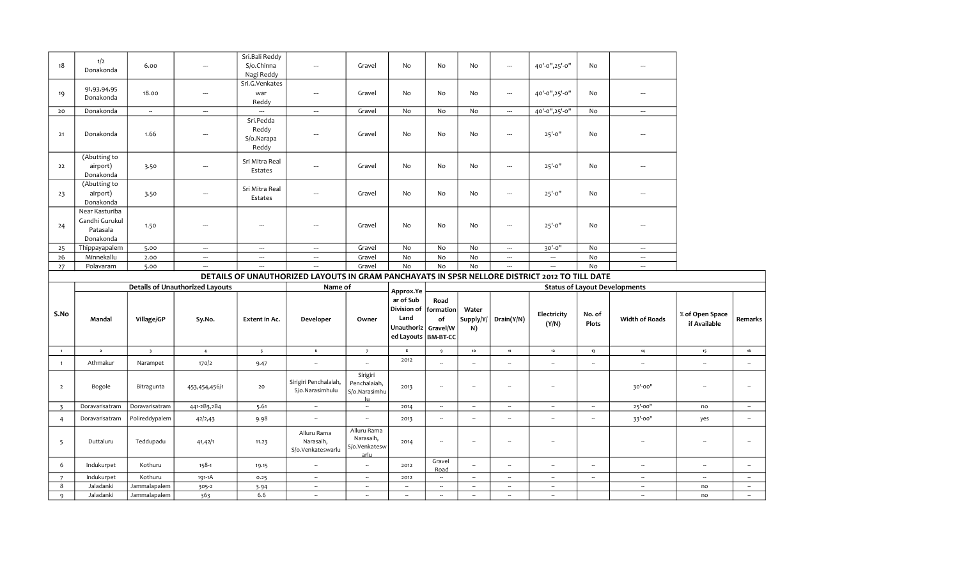| 18             | 1/2<br>Donakonda                                          | 6.00                     | $\hspace{0.05cm} \ldots$               | Sri.Bali Reddy<br>S/o.Chinna<br>Nagi Reddy | $\hspace{0.05cm} \ldots$                                                                      | Gravel                                                   | No                                                                                                          | No                   | No                       | $\overline{\phantom{a}}$    | 40'-0",25'-0"            | No                   | ---                                  |                                    |                  |
|----------------|-----------------------------------------------------------|--------------------------|----------------------------------------|--------------------------------------------|-----------------------------------------------------------------------------------------------|----------------------------------------------------------|-------------------------------------------------------------------------------------------------------------|----------------------|--------------------------|-----------------------------|--------------------------|----------------------|--------------------------------------|------------------------------------|------------------|
| 19             | 91,93,94,95<br>Donakonda                                  | 18.00                    | $\cdots$                               | Sri.G.Venkates<br>war<br>Reddy             | $\cdots$                                                                                      | Gravel                                                   | No                                                                                                          | No                   | No                       | $\overline{\phantom{a}}$    | 40'-0",25'-0"            | No                   | $\overline{a}$                       |                                    |                  |
| 20             | Donakonda                                                 | $\overline{\phantom{a}}$ | $\hspace{0.05cm} \ldots$               |                                            | $\hspace{0.05cm} \cdots$                                                                      | Gravel                                                   | No                                                                                                          | No                   | No                       | $\overline{\phantom{a}}$    | 40'-0",25'-0"            | No                   | $\overline{\phantom{a}}$             |                                    |                  |
| 21             | Donakonda                                                 | 1.66                     |                                        | Sri.Pedda<br>Reddy<br>S/o.Narapa<br>Reddy  | ---                                                                                           | Gravel                                                   | No                                                                                                          | No                   | No                       | $\overline{\phantom{a}}$    | $25' - 0''$              | No                   |                                      |                                    |                  |
| 22             | (Abutting to<br>airport)<br>Donakonda                     | 3.50                     | $\hspace{0.05cm} \cdots$               | Sri Mitra Real<br>Estates                  | $\overline{\phantom{a}}$                                                                      | Gravel                                                   | No                                                                                                          | No                   | No                       | ---                         | $25' - 0''$              | No                   | $\overline{\phantom{a}}$             |                                    |                  |
| 23             | (Abutting to<br>airport)<br>Donakonda                     | 3.50                     | $\overline{\phantom{a}}$               | Sri Mitra Real<br>Estates                  | $\overline{\phantom{a}}$                                                                      | Gravel                                                   | No                                                                                                          | No                   | No                       | $\overline{\phantom{a}}$    | $25' - 0''$              | No                   | ---                                  |                                    |                  |
| 24             | Near Kasturiba<br>Gandhi Gurukul<br>Patasala<br>Donakonda | 1.50                     | ---                                    | $\overline{\phantom{a}}$                   | $\overline{\phantom{a}}$                                                                      | Gravel                                                   | No                                                                                                          | No                   | No                       | $\overline{\phantom{a}}$    | $25' - 0''$              | No                   |                                      |                                    |                  |
| 25             | Thippayapalem                                             | 5.00                     | $\cdots$                               | $\sim$                                     | $\sim$                                                                                        | Gravel                                                   | No                                                                                                          | No                   | No                       | $\hspace{0.05cm} \cdots$    | 30'-0"                   | No                   | $\overline{\phantom{a}}$             |                                    |                  |
| 26             | Minnekallu                                                | 2.00                     | $\sim$                                 | $\hspace{0.05cm} \cdots$                   | $\cdots$                                                                                      | Gravel                                                   | No                                                                                                          | No                   | No                       | $\hspace{0.05cm} \cdots$    | $\overline{\phantom{a}}$ | No                   | $\overline{\phantom{a}}$             |                                    |                  |
| 27             | Polavaram                                                 | 5.00                     | $\sim$                                 | $\overline{\phantom{a}}$                   | $\overline{a}$                                                                                | Gravel                                                   | No                                                                                                          | No                   | No                       | $\overline{a}$              | ---                      | No                   | --                                   |                                    |                  |
|                |                                                           |                          |                                        |                                            |                                                                                               |                                                          |                                                                                                             |                      |                          |                             |                          |                      |                                      |                                    |                  |
|                |                                                           |                          |                                        |                                            | DETAILS OF UNAUTHORIZED LAYOUTS IN GRAM PANCHAYATS IN SPSR NELLORE DISTRICT 2012 TO TILL DATE |                                                          |                                                                                                             |                      |                          |                             |                          |                      |                                      |                                    |                  |
|                |                                                           |                          | <b>Details of Unauthorized Layouts</b> |                                            | Name of                                                                                       |                                                          |                                                                                                             |                      |                          |                             |                          |                      | <b>Status of Layout Developments</b> |                                    |                  |
| S.No           | Mandal                                                    | Village/GP               | Sy.No.                                 | Extent in Ac.                              | Developer                                                                                     | Owner                                                    | Approx.Ye<br>ar of Sub<br>Division of   formation<br>Land<br>Unauthoriz   Gravel/W<br>ed Layouts   BM-BT-CC | Road<br>of           | Water<br>Supply/Y/<br>N) | Drain(Y/N)                  | Electricity<br>(Y/N)     | No. of<br>Plots      | <b>Width of Roads</b>                | $\%$ of Open Space<br>if Available | Remar            |
| $\overline{1}$ | $\overline{\mathbf{2}}$                                   | $\overline{\mathbf{3}}$  | $\overline{4}$                         | 5 <sub>5</sub>                             | $6\overline{6}$                                                                               | $\overline{7}$                                           | $\bf 8$                                                                                                     | 9                    | ${\bf 10}$               | 11                          | $\bf 12$                 | 13                   | 14                                   | 15                                 | 16               |
| $\mathbf{1}$   | Athmakur                                                  | Narampet                 | 170/2                                  | 9.47                                       | ÷.                                                                                            |                                                          | 2012                                                                                                        | ÷.                   | $\sim$                   | $\sim$                      | ÷.                       | $\ddot{\phantom{a}}$ | $\sim$                               | $\overline{\phantom{a}}$           | $\sim$           |
| $\overline{2}$ | Bogole                                                    | Bitragunta               | 453,454,456/1                          | 20                                         | Sirigiri Penchalaiah,<br>S/o.Narasimhulu                                                      | Sirigiri<br>Penchalaiah,<br>S/o.Narasimhu<br>-lu         | 2013                                                                                                        | $\ddot{\phantom{a}}$ | $\sim$                   | $\sim$                      | $\ddot{\phantom{a}}$     |                      | 30'-00"                              | $\sim$                             | $\sim$           |
| $\overline{3}$ | Doravarisatram                                            | Doravarisatram           | 441-2B3,2B4                            | 5.61                                       | $\sim$                                                                                        | $\sim$                                                   | 2014                                                                                                        | $\sim$               | $\sim$                   | $\sim$                      | $\sim$                   | $\sim$               | 25'-00"                              | no                                 |                  |
| $\overline{4}$ | Doravarisatram                                            | Polireddypalem           | 42/2,43                                | 9.98                                       | $\ddot{\phantom{1}}$                                                                          | $\sim$                                                   | 2013                                                                                                        | $\sim$               | $\sim$                   | $\mathcal{L}_{\mathcal{A}}$ | $\sim$                   | $\sim$               | 33'-00"                              | yes                                | $\sim$<br>$\sim$ |
| 5              | Duttaluru                                                 | Teddupadu                | 41,42/1                                | 11.23                                      | Alluru Rama<br>Narasaih,<br>S/o.Venkateswarlu                                                 | Alluru Rama<br>Narasaih,<br>S/o.Venkatesw<br><u>arlu</u> | 2014                                                                                                        | $\sim$               | $\sim$                   |                             | ÷.                       |                      | ц.                                   | $\sim$                             | $\sim$           |
| 6              | Indukurpet                                                | Kothuru                  | $158 - 1$                              | 19.15                                      |                                                                                               | $\overline{\phantom{a}}$                                 | 2012                                                                                                        | Gravel<br>Road       | $\sim$                   | $\overline{\phantom{a}}$    | Ξ.                       | $\sim$               | $\sim$                               | $\sim$                             | $\sim$           |
| $\overline{7}$ | Indukurpet                                                | Kothuru                  | 191-1A                                 | 0.25                                       | $\sim$                                                                                        | $\mathcal{L}_{\mathcal{A}}$                              | 2012                                                                                                        | $\sim$               | $\sim$                   | $\mathcal{L}_{\mathcal{A}}$ | $\sim$                   | $\sim$               | $\sim$                               | $\sim$                             | $\sim$ .         |
| 8              | Jaladanki                                                 | Jammalapalem             | 305-2                                  | 3.94                                       | $\sim$                                                                                        | $\sim$                                                   | $\sim$                                                                                                      | $\sim$               | $\sim$                   | $\sim$                      | $\sim$                   |                      | $\sim$                               | no                                 | $\sim$           |

Remarks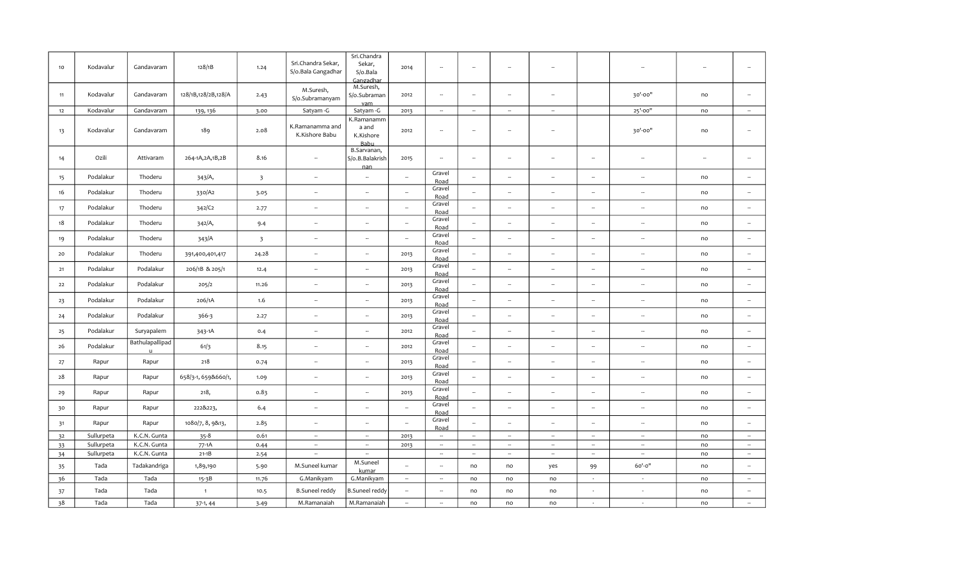|    |            |                 |                     |                         |                                          | Sri.Chandra                 |                          |                             |                          |                          |                          |                             |                          |                          |                          |
|----|------------|-----------------|---------------------|-------------------------|------------------------------------------|-----------------------------|--------------------------|-----------------------------|--------------------------|--------------------------|--------------------------|-----------------------------|--------------------------|--------------------------|--------------------------|
| 10 | Kodavalur  | Gandavaram      | 128/1B              | 1.24                    | Sri.Chandra Sekar,<br>S/o.Bala Gangadhar | Sekar,                      | 2014                     | $\sim$                      | $\overline{\phantom{a}}$ | $\ddot{\phantom{a}}$     | $\overline{\phantom{a}}$ |                             |                          |                          | $\overline{\phantom{a}}$ |
|    |            |                 |                     |                         |                                          | S/o.Bala<br>Gangadhar       |                          |                             |                          |                          |                          |                             |                          |                          |                          |
|    |            |                 |                     |                         | M.Suresh,                                | M.Suresh,                   |                          |                             |                          |                          |                          |                             |                          |                          |                          |
| 11 | Kodavalur  | Gandavaram      | 128/1B,128/2B,128/A | 2.43                    | S/o.Subramanyam                          | S/o.Subraman                | 2012                     | $\sim$                      | $\sim$                   | $\overline{\phantom{a}}$ | $\overline{\phantom{a}}$ |                             | 30'-00"                  | no                       | $\sim$                   |
| 12 | Kodavalur  | Gandavaram      | 139, 136            | 3.00                    | Satyam -G                                | vam<br>Satyam -G            | 2013                     | $\sim$                      | $\sim$                   | $\sim$                   | $\sim$                   |                             | 25'-00"                  | no                       | $\sim$                   |
|    |            |                 |                     |                         |                                          | K.Ramanamm                  |                          |                             |                          |                          |                          |                             |                          |                          |                          |
| 13 | Kodavalur  | Gandavaram      | 189                 | 2.08                    | K.Ramanamma and                          | a and                       | 2012                     | $\sim$                      | $\sim$                   | $\sim$                   | $\sim$                   |                             | 30'-00"                  | no                       | $\sim$                   |
|    |            |                 |                     |                         | K.Kishore Babu                           | K.Kishore<br><b>Babu</b>    |                          |                             |                          |                          |                          |                             |                          |                          |                          |
|    |            |                 |                     |                         |                                          | B.Sarvanan,                 |                          |                             |                          |                          |                          |                             |                          |                          |                          |
| 14 | Ozili      | Attivaram       | 264-1A, 2A, 1B, 2B  | 8.16                    | $\sim$                                   | S/o.B.Balakrish             | 2015                     | $\sim$                      | $\overline{\phantom{a}}$ | $\sim$                   | $\sim$                   | $\overline{\phantom{a}}$    | $\sim$                   | $\overline{\phantom{a}}$ | $\sim$                   |
|    |            |                 |                     |                         |                                          | nan                         |                          | Gravel                      |                          |                          |                          |                             |                          |                          |                          |
| 15 | Podalakur  | Thoderu         | 343/A,              | $\overline{\mathbf{3}}$ | ÷.                                       | $\sim$                      | $\overline{\phantom{a}}$ | Road                        | $\sim$                   | $\sim$                   | ÷.                       | ÷.                          | $\sim$                   | no                       | $\sim$                   |
| 16 | Podalakur  | Thoderu         | 330/A2              | 3.05                    | ÷.                                       | ÷.                          | $\sim$                   | Gravel<br>Road              | $\ddot{\phantom{a}}$     | $\overline{\phantom{a}}$ | $\ddot{\phantom{a}}$     | $\overline{\phantom{a}}$    | $\bar{a}$                | no                       | $\overline{\phantom{a}}$ |
|    | Podalakur  | Thoderu         |                     |                         | $\overline{\phantom{a}}$                 | $\overline{\phantom{a}}$    | $\bar{a}$                | Gravel                      | $\sim$                   | ÷.                       | ÷.                       | ÷.                          | $\overline{\phantom{a}}$ | no                       | $\sim$                   |
| 17 |            |                 | 342/C2              | 2.77                    |                                          |                             |                          | Road                        |                          |                          |                          |                             |                          |                          |                          |
| 18 | Podalakur  | Thoderu         | 342/A,              | 9.4                     | $\sim$                                   | $\sim$                      | $\sim$                   | Gravel<br>Road              | $\sim$                   | $\overline{\phantom{a}}$ | $\sim$                   | $\sim$                      | $\sim$                   | no                       | $\overline{\phantom{a}}$ |
|    | Podalakur  | Thoderu         |                     |                         | $\overline{\phantom{a}}$                 | $\sim$                      | $\sim$                   | Gravel                      | $\overline{\phantom{a}}$ | $\sim$                   | $\sim$                   | $\sim$                      | $\sim$                   | no                       | $\sim$                   |
| 19 |            |                 | 343/A               | $\overline{\mathbf{3}}$ |                                          |                             |                          | Road                        |                          |                          |                          |                             |                          |                          |                          |
| 20 | Podalakur  | Thoderu         | 391,400,401,417     | 24.28                   | u,                                       | $\mathcal{L}_{\mathcal{A}}$ | 2013                     | Gravel<br>Road              | $\sim$                   | $\overline{\phantom{a}}$ | $\sim$                   | $\sim$                      | $\sim$                   | no                       | $\sim$                   |
| 21 | Podalakur  | Podalakur       | 206/1B & 205/1      | 12.4                    | $\mathbb{Z}^2$                           | $\mathbb{Z}^2$              | 2013                     | Gravel                      | $\sim$                   | $\sim$                   | $\sim$                   | $\mathbb{Z}^2$              | $\sim$                   | no                       | $\omega$                 |
|    |            |                 |                     |                         |                                          |                             |                          | Road<br>Gravel              |                          |                          |                          |                             |                          |                          |                          |
| 22 | Podalakur  | Podalakur       | 205/2               | 11.26                   | $\sim$                                   | $\sim$                      | 2013                     | Road                        | $\sim$                   | $\sim$                   | $\sim$                   | $\mathcal{L}_{\mathcal{F}}$ | $\sim$                   | no                       | $\sim$                   |
| 23 | Podalakur  | Podalakur       | 206/1A              | 1.6                     | $\overline{\phantom{a}}$                 | $\sim$                      | 2013                     | Gravel                      | $\sim$                   | $\overline{\phantom{a}}$ | $\overline{\phantom{a}}$ | $\overline{\phantom{a}}$    | $\sim$                   | no                       | $\sim$                   |
|    |            |                 |                     |                         |                                          |                             |                          | Road<br>Gravel              |                          |                          |                          |                             |                          |                          |                          |
| 24 | Podalakur  | Podalakur       | 366-3               | 2.27                    | Ξ.                                       | $\sim$                      | 2013                     | Road                        | $\sim$                   | $\sim$                   | $\overline{\phantom{a}}$ | $\overline{\phantom{a}}$    | $\sim$                   | no                       | $\sim$                   |
| 25 | Podalakur  | Suryapalem      | 343-1A              | 0.4                     | $\sim$                                   | $\overline{\phantom{a}}$    | 2012                     | Gravel                      | $\sim$                   | $\overline{\phantom{a}}$ | $\overline{\phantom{a}}$ | $\sim$                      | $\sim$                   | no                       | $\sim$                   |
|    |            | Bathulapallipad |                     |                         |                                          |                             |                          | Road<br>Gravel              |                          |                          |                          |                             |                          |                          |                          |
| 26 | Podalakur  |                 | 61/3                | 8.15                    | ÷.                                       | $\overline{\phantom{a}}$    | 2012                     | Road                        | $\sim$                   | ÷.                       | ÷.                       | ÷.                          | $\overline{\phantom{a}}$ | no                       | $\sim$                   |
| 27 | Rapur      | Rapur           | 218                 | 0.74                    | $\overline{\phantom{a}}$                 | ÷.                          | 2013                     | Gravel                      | $\overline{\phantom{a}}$ | ÷.                       | ÷.                       | $\overline{\phantom{a}}$    | $\overline{\phantom{a}}$ | no                       | $\sim$                   |
|    |            |                 |                     |                         |                                          |                             |                          | Road<br>Gravel              |                          |                          |                          |                             |                          |                          |                          |
| 28 | Rapur      | Rapur           | 658/3-1, 659&660/1, | 1.09                    | $\overline{\phantom{a}}$                 | $\overline{\phantom{a}}$    | 2013                     | Road                        | $\overline{\phantom{a}}$ | $\sim$                   | $\sim$                   | $\overline{\phantom{a}}$    | $\sim$                   | no                       | $\sim$                   |
| 29 | Rapur      | Rapur           | 218,                | 0.83                    | $\overline{\phantom{a}}$                 | ÷.                          | 2013                     | Gravel<br>Road              | $\sim$                   | $\sim$                   | ÷.                       | $\overline{\phantom{a}}$    | $\sim$                   | no                       | $\overline{\phantom{a}}$ |
|    |            |                 |                     |                         |                                          | $\sim$                      | $\sim$                   | Gravel                      | $\sim$                   | $\sim$                   | $\sim$                   | $\sim$                      | $\overline{\phantom{a}}$ |                          | $\sim$                   |
| 30 | Rapur      | Rapur           | 222&223,            | 6.4                     | $\overline{\phantom{a}}$                 |                             |                          | Road                        |                          |                          |                          |                             |                          | no                       |                          |
| 31 | Rapur      | Rapur           | 1080/7, 8, 9&13,    | 2.85                    | $\sim$                                   | $\overline{\phantom{a}}$    | $\sim$                   | Gravel<br>Road              | $\sim$                   | $\overline{\phantom{a}}$ | $\sim$                   | $\sim$                      | $\sim$                   | no                       | $\sim$                   |
| 32 | Sullurpeta | K.C.N. Gunta    | $35 - 8$            | 0.61                    | $\sim$                                   | $\sim$                      | 2013                     | $\sim$                      | $\sim$                   | $\sim$                   | $\sim$                   | $\sim$                      | $\sim$                   | no                       | $\sim$                   |
| 33 | Sullurpeta | K.C.N. Gunta    | $77-1A$             | 0.44                    | $\sim$                                   | $\sim$                      | 2013                     | $\sim$                      | $\sim$                   | $\sim$                   | $\sim$                   | $\sim$                      | $\sim$                   | no                       | $\sim$                   |
| 34 | Sullurpeta | K.C.N. Gunta    | $21-1B$             | 2.54                    | $\sim$                                   | $\sim$                      |                          | $\mathcal{L}_{\mathcal{A}}$ | $\sim$                   | $\sim$                   | $\sim$                   | $\sim$                      | $\sim$                   | no                       | $\sim$                   |
| 35 | Tada       | Tadakandriga    | 1,89,190            | 5.90                    | M.Suneel kumar                           | M.Suneel<br>kumar           | ä.                       | $\sim$                      | no                       | no                       | yes                      | 99                          | 60'-0"                   | no                       | $\sim$                   |
| 36 | Tada       | Tada            | 15-3B               | 11.76                   | G.Manikyam                               | G.Manikyam                  | $\sim$                   | $\overline{\phantom{a}}$    | no                       | no                       | no                       | $\sim$                      | $\sim$                   | no                       | $\sim$                   |
| 37 | Tada       | Tada            | $\mathbf{1}$        | 10.5                    | <b>B.Suneel reddy</b>                    | <b>B.Suneel reddy</b>       | $\overline{\phantom{a}}$ | ä,                          | no                       | no                       | no                       | $\sim$                      |                          | no                       | $\sim$                   |
| 38 | Tada       | Tada            | $37-1, 44$          | 3.49                    | M.Ramanaiah                              | M.Ramanaiah                 | $\sim$                   | $\sim$                      | no                       | no                       | no                       | $\sim$                      | $\sim$                   | no                       | $\sim$                   |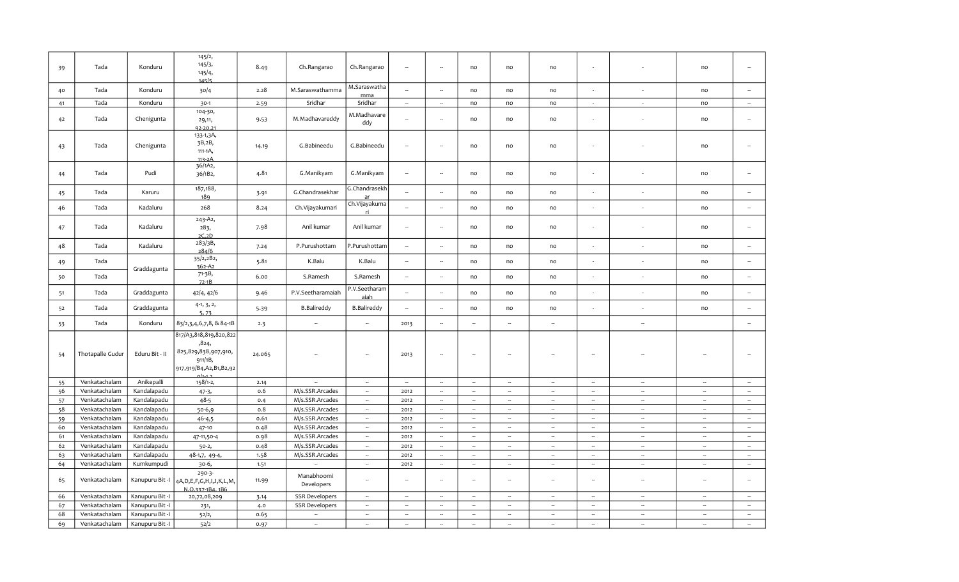| 39 | Tada             | Konduru         | 145/2,<br>145/3,<br>145/4,<br>145/5                                                                       | 8.49   | Ch.Rangarao              | Ch.Rangarao              | $\sim$                   | ÷.                       | no                       | no                       | no                       | $\sim$                   |                          | no                          | $\sim$                   |
|----|------------------|-----------------|-----------------------------------------------------------------------------------------------------------|--------|--------------------------|--------------------------|--------------------------|--------------------------|--------------------------|--------------------------|--------------------------|--------------------------|--------------------------|-----------------------------|--------------------------|
| 40 | Tada             | Konduru         | 30/4                                                                                                      | 2.28   | M.Saraswathamma          | M.Saraswatha<br>mma      | $\sim$                   | ÷.                       | no                       | no                       | no                       |                          |                          | no                          | $\sim$                   |
| 41 | Tada             | Konduru         | $30-1$                                                                                                    | 2.59   | Sridhar                  | Sridhar                  | $\overline{\phantom{a}}$ | ÷.                       | no                       | no                       | no                       | $\sim$                   | $\sim$                   | no                          | $\sim$                   |
| 42 | Tada             | Chenigunta      | 104-30,<br>29,11,<br>92-20.21                                                                             | 9.53   | M.Madhavareddy           | M.Madhavare<br>ddy       | $\sim$                   | ÷.                       | no                       | no                       | no                       |                          |                          | no                          | $\sim$                   |
| 43 | Tada             | Chenigunta      | 133-1,3A,<br>3B,2B,<br>111-1A,<br>113-2A                                                                  | 14.19  | G.Babineedu              | G.Babineedu              | $\sim$                   | Ξ.                       | no                       | no                       | no                       |                          |                          | no                          | $\sim$                   |
| 44 | Tada             | Pudi            | 36/1A2,<br>36/1B2,                                                                                        | 4.81   | G.Manikyam               | G.Manikyam               | $\sim$                   | ÷.                       | no                       | no                       | no                       |                          |                          | no                          | $\sim$                   |
| 45 | Tada             | Karuru          | 187,188,<br>189                                                                                           | 3.91   | G.Chandrasekhar          | G.Chandrasekh<br>ar      |                          |                          | no                       | no                       | no                       |                          |                          | no                          |                          |
| 46 | Tada             | Kadaluru        | 268                                                                                                       | 8.24   | Ch.Vijayakumari          | Ch.Vijayakuma<br>ri.     | $\sim$                   | u.                       | no                       | no                       | no                       |                          | ÷,                       | no                          | $\sim$                   |
| 47 | Tada             | Kadaluru        | 243-A2,<br>283,<br>2C.2D                                                                                  | 7.98   | Anil kumar               | Anil kumar               | $\sim$                   | ÷.                       | no                       | no                       | no                       | $\sim$                   |                          | no                          | $\sim$                   |
| 48 | Tada             | Kadaluru        | 283/3B,<br>284/6                                                                                          | 7.24   | P.Purushottam            | P.Purushottam            | $\overline{\phantom{a}}$ | ÷.                       | no                       | no                       | no                       |                          | ÷,                       | no                          | $\overline{\phantom{a}}$ |
| 49 | Tada             | Graddagunta     | 35/2,2B2,<br>$362 - A2$                                                                                   | 5.81   | K.Balu                   | K.Balu                   | $\sim$                   | ÷.                       | no                       | no                       | no                       |                          |                          | no                          | $\sim$                   |
| 50 | Tada             |                 | 71-3B,<br>$72-1B$                                                                                         | 6.00   | S.Ramesh                 | S.Ramesh                 | $\overline{\phantom{a}}$ | ÷.                       | no                       | no                       | no                       | $\sim$                   | $\sim$                   | no                          | $\overline{\phantom{a}}$ |
| 51 | Tada             | Graddagunta     | 42/4, 42/6                                                                                                | 9.46   | P.V.Seetharamaiah        | P.V.Seetharam<br>aiah    | $\bar{a}$                | $\sim$                   | no                       | no                       | no                       | $\sim$                   | $\sim$                   | no                          | $\overline{\phantom{a}}$ |
| 52 | Tada             | Graddagunta     | $4-1, 3, 2,$<br>5,73                                                                                      | 5.39   | <b>B.Balireddy</b>       | <b>B.Balireddy</b>       | $\sim$                   | ÷.                       | no                       | no                       | no                       |                          |                          | no                          |                          |
| 53 | Tada             | Konduru         | 83/2,3,4,6,7,8, & 84-1B                                                                                   | 2.3    | ÷.                       | $\sim$                   | 2013                     | ÷,                       | $\sim$                   | Ξ.                       | $\sim$                   |                          | $\overline{\phantom{a}}$ |                             | $\sim$                   |
| 54 | Thotapalle Gudur | Eduru Bit - II  | 817/A3,818,819,820,822<br>,824,<br>825,829,838,907,910,<br>911/1B,<br>917,919/B4,A2,B1,B2,92<br>$0/1 - 1$ | 24.065 | --                       | $\overline{\phantom{a}}$ | 2013                     | ÷,                       | $\overline{\phantom{a}}$ | Ξ,                       | 4                        | $\sim$                   |                          |                             | $\sim$                   |
| 55 | Venkatachalam    | Anikepalli      | 158/1-2,                                                                                                  | 2.14   | $\omega$                 | $\sim$                   | $\sim$                   | $\sim$                   | $\sim$                   | $\sim$                   | $\sim$                   | $\sim$                   | $\sim$                   | $\sim$                      | $\sim$                   |
| 56 | Venkatachalam    | Kandalapadu     | $47-3,$                                                                                                   | 0.6    | M/s.SSR.Arcades          | $\sim$                   | 2012                     | $\sim$                   | $\sim$                   | $\sim$                   | $\sim$                   | $\sim$                   | $\overline{\phantom{a}}$ | $\overline{\phantom{a}}$    | $\sim$                   |
| 57 | Venkatachalam    | Kandalapadu     | $48 - 5$                                                                                                  | 0.4    | M/s.SSR.Arcades          | $\sim$                   | 2012                     | $\sim$                   | $\sim$                   | $\omega$                 | $\sim$                   | $\overline{\phantom{a}}$ | $\sim$                   | $\overline{\phantom{a}}$    | $\sim$                   |
| 58 | Venkatachalam    | Kandalapadu     | $50-6,9$                                                                                                  | 0.8    | M/s.SSR.Arcades          | $\sim$                   | 2012                     | $\sim$                   | $\sim$                   | $\sim$                   | $\sim$                   | $\sim$                   | $\sim$                   | $\sim$                      | $\sim$                   |
| 59 | Venkatachalam    | Kandalapadu     | $46 - 4,5$                                                                                                | 0.61   | M/s.SSR.Arcades          | $\sim$                   | 2012                     | $\sim$                   | $\sim$                   | $\sim$                   | $\sim$                   | $\sim$                   | $\sim$                   | $\sim$                      | $\sim$                   |
| 60 | Venkatachalam    | Kandalapadu     | 47-10                                                                                                     | 0.48   | M/s.SSR.Arcades          | $\overline{\phantom{a}}$ | 2012                     | $\sim$                   | $\sim$                   | ÷.                       | ÷.                       | $\sim$                   | $\overline{\phantom{a}}$ | $\overline{\phantom{a}}$    | $\overline{\phantom{a}}$ |
| 61 | Venkatachalam    | Kandalapadu     | 47-11,50-4                                                                                                | 0.98   | M/s.SSR.Arcades          | $\bar{a}$                | 2012                     | $\sim$                   | $\bar{a}$                | $\overline{\phantom{a}}$ | $\overline{\phantom{a}}$ | $\sim$                   | $\overline{\phantom{a}}$ | $\bar{\phantom{a}}$         | $\sim$                   |
| 62 | Venkatachalam    | Kandalapadu     | $50-2,$                                                                                                   | 0.48   | M/s.SSR.Arcades          | $\sim$                   | 2012                     | $\sim$                   | $\sim$                   | $\sim$                   | $\sim$                   | $\sim$                   | $\sim$                   | $\mathcal{L}_{\mathcal{A}}$ | $\sim$                   |
| 63 | Venkatachalam    | Kandalapadu     | 48-1,7, 49-4,                                                                                             | 1.58   | M/s.SSR.Arcades          | $\sim$                   | 2012                     | $\sim$                   | $\overline{\phantom{a}}$ | $\sim$                   | $\sim$                   | $\sim$                   | $\sim$                   | $\overline{\phantom{a}}$    | $\sim$                   |
| 64 | Venkatachalam    | Kumkumpudi      | 30-6,                                                                                                     | 1.51   | ÷.                       | $\sim$                   | 2012                     | $\sim$                   | $\sim$                   | $\sim$                   | $\sim$                   | $\sim$                   | $\sim$                   | $\sim$                      | $\sim$                   |
| 65 | Venkatachalam    |                 | 290-3-<br>Kanupuru Bit -I   4A, D, E, F, G, H, I, J, K, L, M,<br>N.O.337-1B4.1B6                          | 11.99  | Manabhoomi<br>Developers | $\sim$                   | $\overline{\phantom{a}}$ | ÷.                       | ÷.                       | $\ddot{\phantom{a}}$     | $\bar{\phantom{a}}$      | $\sim$                   | $\overline{\phantom{a}}$ | $\sim$                      | $\sim$                   |
| 66 | Venkatachalam    | Kanupuru Bit -I | 20,72,08,209                                                                                              | 3.14   | <b>SSR Developers</b>    | $\sim$                   | $\sim$                   | $\sim$                   | $\sim$                   | $\sim$                   | $\sim$                   | $\sim$                   | $\sim$                   | $\overline{\phantom{a}}$    | $\sim$                   |
| 67 | Venkatachalam    | Kanupuru Bit -I | 231,                                                                                                      | 4.0    | <b>SSR Developers</b>    | $\sim$                   | $\overline{\phantom{a}}$ | $\overline{\phantom{a}}$ | $\sim$                   | $\sim$                   | $\sim$                   | $\overline{\phantom{a}}$ | $\sim$                   | $\overline{\phantom{a}}$    | $\sim$                   |
| 68 | Venkatachalam    | Kanupuru Bit -I | 52/2,                                                                                                     | 0.65   | $\sim$                   | $\sim$                   | $\sim$                   | $\sim$                   | $\sim$                   | $\sim$                   | $\sim$                   | $\sim$                   | $\sim$                   | $\sim$                      | $\sim$                   |
| 69 | Venkatachalam    | Kanupuru Bit -I | 52/2                                                                                                      | 0.97   | Ξ.                       | $\overline{\phantom{a}}$ | $\sim$                   | $\overline{\phantom{a}}$ | $\sim$                   | $\overline{\phantom{a}}$ | ٠.                       | $\sim$                   | $\overline{\phantom{a}}$ | $\overline{\phantom{a}}$    | $\overline{\phantom{a}}$ |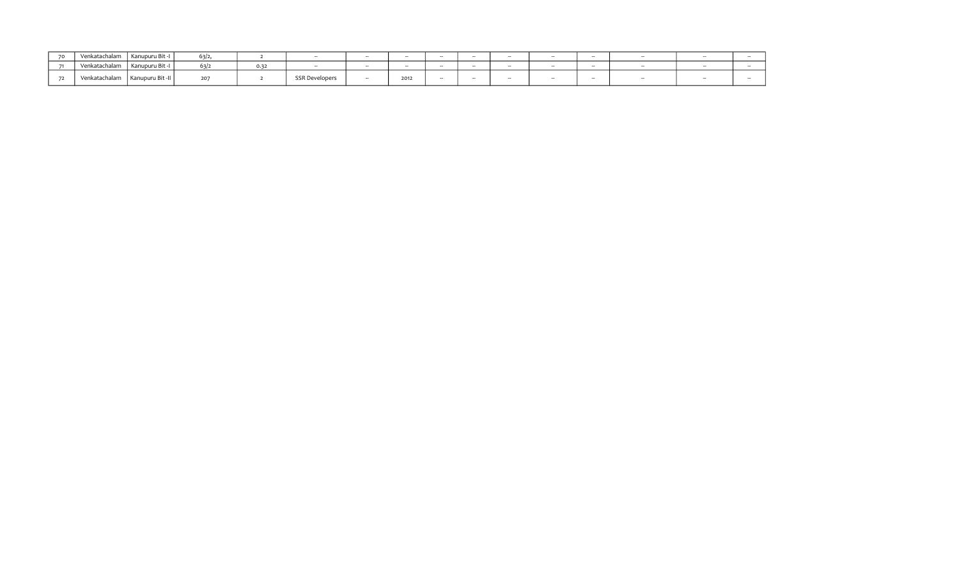| $\overline{\phantom{a}}$ | Venkatachalam | Kanupuru Bit -I  | 63/2. |      |                       | $-$ | $-$  | $\overline{\phantom{a}}$ | $-$ | -- |  |  |
|--------------------------|---------------|------------------|-------|------|-----------------------|-----|------|--------------------------|-----|----|--|--|
|                          | Venkatachalam | Kanupuru Bit -I  | 63/2  | 0.32 |                       |     |      | $-$                      | --  |    |  |  |
|                          | Venkatachalam | Kanupuru Bit -II | 207   |      | <b>SSR Developers</b> |     | 2012 |                          | --  |    |  |  |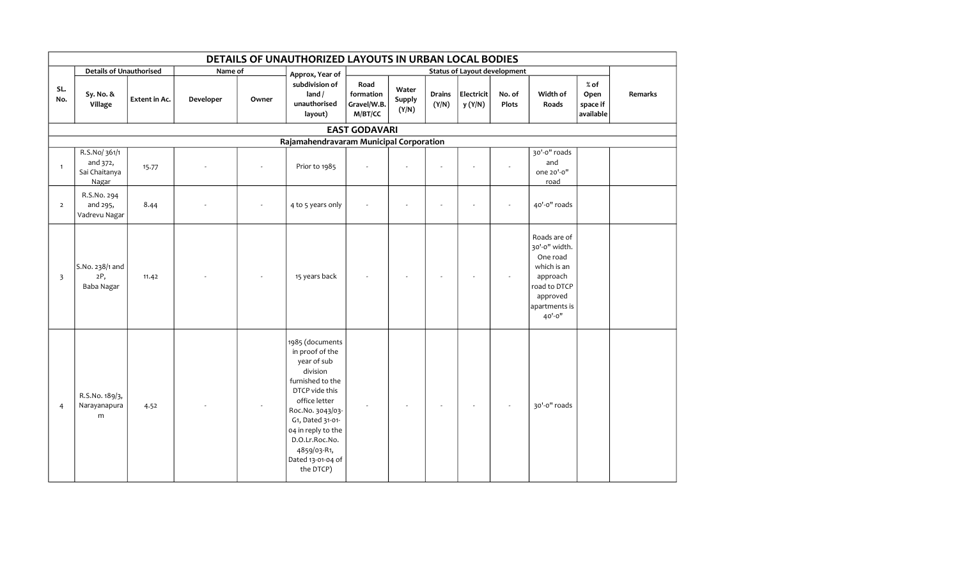|                | DETAILS OF UNAUTHORIZED LAYOUTS IN URBAN LOCAL BODIES |               |           |       |                                                                                                                                                                                                                                                       |                                             |                          |                        |                       |                                     |                                                                                                                             |                                         |         |
|----------------|-------------------------------------------------------|---------------|-----------|-------|-------------------------------------------------------------------------------------------------------------------------------------------------------------------------------------------------------------------------------------------------------|---------------------------------------------|--------------------------|------------------------|-----------------------|-------------------------------------|-----------------------------------------------------------------------------------------------------------------------------|-----------------------------------------|---------|
|                | <b>Details of Unauthorised</b>                        |               | Name of   |       | Approx, Year of                                                                                                                                                                                                                                       |                                             |                          |                        |                       | <b>Status of Layout development</b> |                                                                                                                             |                                         |         |
| SL.<br>No.     | Sy. No. &<br>Village                                  | Extent in Ac. | Developer | Owner | subdivision of<br>land /<br>unauthorised<br>layout)                                                                                                                                                                                                   | Road<br>formation<br>Gravel/W.B.<br>M/BT/CC | Water<br>Supply<br>(Y/N) | <b>Drains</b><br>(Y/N) | Electricit<br>y (Y/N) | No. of<br>Plots                     | Width of<br>Roads                                                                                                           | $%$ of<br>Open<br>space if<br>available | Remarks |
|                |                                                       |               |           |       |                                                                                                                                                                                                                                                       | <b>EAST GODAVARI</b>                        |                          |                        |                       |                                     |                                                                                                                             |                                         |         |
|                |                                                       |               |           |       | Rajamahendravaram Municipal Corporation                                                                                                                                                                                                               |                                             |                          |                        |                       |                                     |                                                                                                                             |                                         |         |
| $\overline{1}$ | R.S.No/361/1<br>and 372,<br>Sai Chaitanya<br>Nagar    | 15.77         |           |       | Prior to 1985                                                                                                                                                                                                                                         |                                             |                          |                        |                       |                                     | 30'-0" roads<br>and<br>one 20'-0"<br>road                                                                                   |                                         |         |
| $\overline{2}$ | R.S.No. 294<br>and 295,<br>Vadrevu Nagar              | 8.44          |           |       | 4 to 5 years only                                                                                                                                                                                                                                     |                                             |                          |                        |                       |                                     | 40'-0" roads                                                                                                                |                                         |         |
| $\overline{3}$ | S.No. 238/1 and<br>2P,<br>Baba Nagar                  | 11.42         |           |       | 15 years back                                                                                                                                                                                                                                         |                                             |                          |                        |                       |                                     | Roads are of<br>30'-0" width.<br>One road<br>which is an<br>approach<br>road to DTCP<br>approved<br>apartments is<br>40'-0" |                                         |         |
| $\overline{4}$ | R.S.No. 189/3,<br>Narayanapura<br>${\sf m}$           | 4.52          |           |       | 1985 (documents<br>in proof of the<br>year of sub<br>division<br>furnished to the<br>DTCP vide this<br>office letter<br>Roc.No. 3043/03-<br>G1, Dated 31-01-<br>04 in reply to the<br>D.O.Lr.Roc.No.<br>4859/03-R1,<br>Dated 13-01-04 of<br>the DTCP) |                                             |                          |                        |                       |                                     | 30'-0" roads                                                                                                                |                                         |         |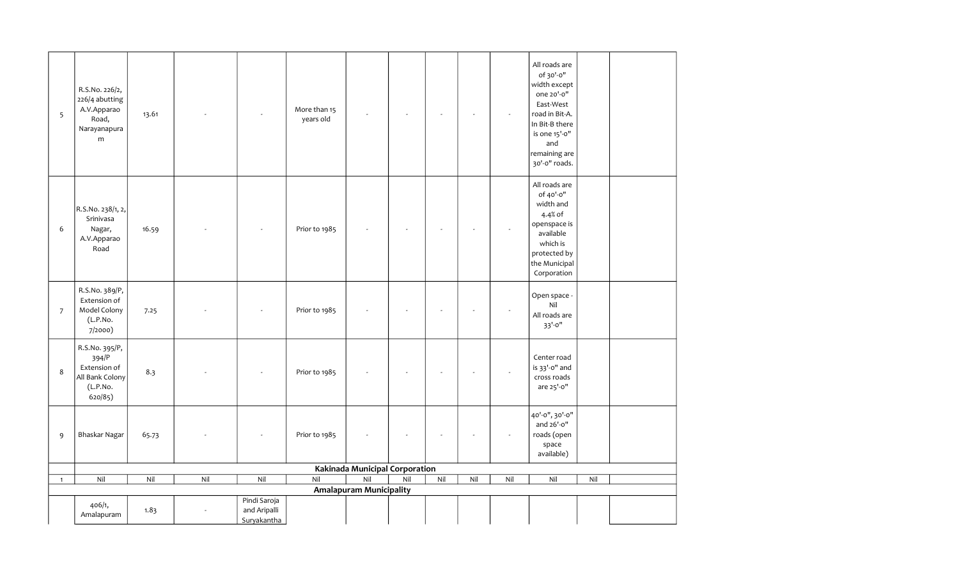| 5              | R.S.No. 226/2,<br>226/4 abutting<br>A.V.Apparao<br>Road,<br>Narayanapura<br>${\sf m}$ | 13.61 |     |                             | More than 15<br>years old |                                |     |     |                          |     | All roads are<br>of 30'-0"<br>width except<br>one 20'-0"<br>East-West<br>road in Bit-A.<br>In Bit-B there<br>is one 15'-0"<br>and<br>remaining are<br>30'-0" roads. |     |  |
|----------------|---------------------------------------------------------------------------------------|-------|-----|-----------------------------|---------------------------|--------------------------------|-----|-----|--------------------------|-----|---------------------------------------------------------------------------------------------------------------------------------------------------------------------|-----|--|
| 6              | R.S.No. 238/1, 2,<br>Srinivasa<br>Nagar,<br>A.V.Apparao<br>Road                       | 16.59 |     |                             | Prior to 1985             |                                |     |     |                          |     | All roads are<br>of 40'-0"<br>width and<br>4.4% of<br>openspace is<br>available<br>which is<br>protected by<br>the Municipal<br>Corporation                         |     |  |
| $\overline{7}$ | R.S.No. 389/P,<br>Extension of<br>Model Colony<br>(L.P.No.<br>7/2000)                 | 7.25  |     |                             | Prior to 1985             |                                |     |     |                          |     | Open space -<br>Nil<br>All roads are<br>$33' - 0''$                                                                                                                 |     |  |
| 8              | R.S.No. 395/P,<br>394/P<br>Extension of<br>All Bank Colony<br>(L.P.No.<br>620/85)     | 8.3   |     |                             | Prior to 1985             |                                |     |     | $\overline{\phantom{a}}$ |     | Center road<br>is 33'-0" and<br>cross roads<br>are 25'-0"                                                                                                           |     |  |
| 9              | Bhaskar Nagar                                                                         | 65.73 |     | $\overline{\phantom{a}}$    | Prior to 1985             |                                |     |     | Ĭ.                       |     | 40'-0", 30'-0"<br>and 26'-0"<br>roads (open<br>space<br>available)                                                                                                  |     |  |
|                |                                                                                       |       |     |                             |                           | Kakinada Municipal Corporation |     |     |                          |     |                                                                                                                                                                     |     |  |
| $\mathbf{1}$   | Nil                                                                                   | Nil   | Nil | Nil                         | Nil                       | Nil                            | Nil | Nil | Nil                      | Nil | Nil                                                                                                                                                                 | Nil |  |
|                |                                                                                       |       |     |                             |                           | <b>Amalapuram Municipality</b> |     |     |                          |     |                                                                                                                                                                     |     |  |
|                |                                                                                       |       |     | Pindi Saroja                |                           |                                |     |     |                          |     |                                                                                                                                                                     |     |  |
|                | 406/1,<br>Amalapuram                                                                  | 1.83  |     | and Aripalli<br>Suryakantha |                           |                                |     |     |                          |     |                                                                                                                                                                     |     |  |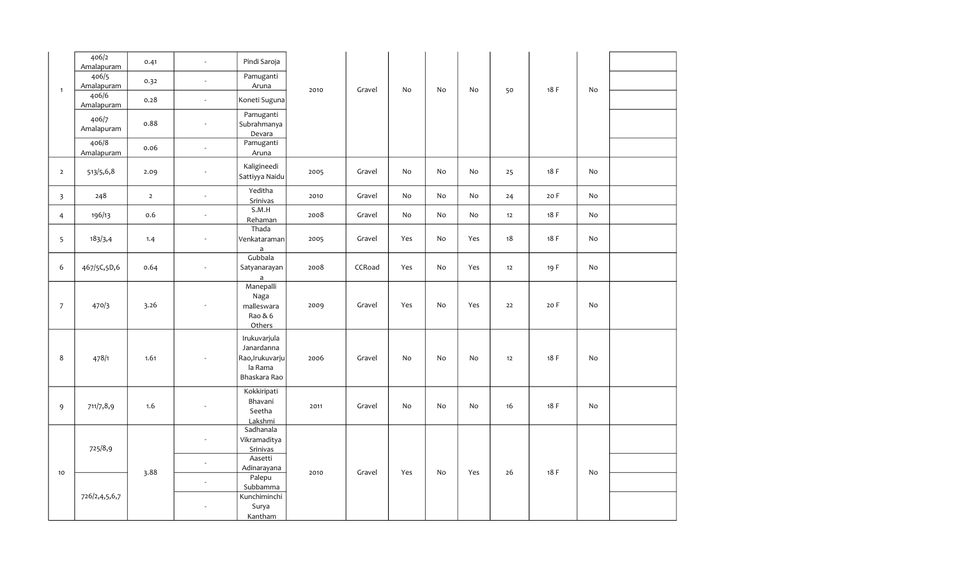|                | 406/2<br>Amalapuram | 0.41           | $\blacksquare$           | Pindi Saroja                                                             |      |        |                              |    |     |    |      |    |  |
|----------------|---------------------|----------------|--------------------------|--------------------------------------------------------------------------|------|--------|------------------------------|----|-----|----|------|----|--|
|                | 406/5<br>Amalapuram | 0.32           | $\blacksquare$           | Pamuganti<br>Aruna                                                       |      |        | No                           | No | No  | 50 | 18 F | No |  |
| $\mathbf{1}$   | 406/6<br>Amalapuram | 0.28           | $\omega$                 | Koneti Suguna                                                            | 2010 | Gravel |                              |    |     |    |      |    |  |
|                | 406/7<br>Amalapuram | 0.88           | $\sim$                   | Pamuganti<br>Subrahmanya<br>Devara                                       |      |        |                              |    |     |    |      |    |  |
|                | 406/8<br>Amalapuram | 0.06           | $\omega$                 | Pamuganti<br>Aruna                                                       |      |        |                              |    |     |    |      |    |  |
| $\overline{2}$ | 513/5,6,8           | 2.09           | $\sim$                   | Kaligineedi<br>Sattiyya Naidu                                            | 2005 | Gravel | No                           | No | No  | 25 | 18 F | No |  |
| 3              | 248                 | $\overline{2}$ | $\overline{\phantom{a}}$ | Yeditha<br>Srinivas                                                      | 2010 | Gravel | $\operatorname{\mathsf{No}}$ | No | No  | 24 | 20 F | No |  |
| 4              | 196/13              | 0.6            | $\sim$                   | S.M.H<br>Rehaman                                                         | 2008 | Gravel | No                           | No | No  | 12 | 18 F | No |  |
| 5              | 183/3,4             | 1.4            | $\overline{\phantom{a}}$ | Thada<br>Venkataraman<br>$\mathsf{a}$                                    | 2005 | Gravel | Yes                          | No | Yes | 18 | 18 F | No |  |
| 6              | 467/5C,5D,6         | 0.64           | $\overline{\phantom{a}}$ | Gubbala<br>Satyanarayan<br>$\mathsf{a}$                                  | 2008 | CCRoad | Yes                          | No | Yes | 12 | 19 F | No |  |
| $\overline{7}$ | 470/3               | 3.26           | $\overline{\phantom{a}}$ | Manepalli<br>Naga<br>malleswara<br>Rao & 6<br>Others                     | 2009 | Gravel | Yes                          | No | Yes | 22 | 20 F | No |  |
| 8              | 478/1               | 1.61           | $\sim$                   | Irukuvarjula<br>Janardanna<br>Rao, Irukuvarju<br>la Rama<br>Bhaskara Rao | 2006 | Gravel | No                           | No | No  | 12 | 18 F | No |  |
| 9              | 711/7,8,9           | 1.6            |                          | Kokkiripati<br>Bhavani<br>Seetha<br>Lakshmi                              | 2011 | Gravel | No                           | No | No  | 16 | 18 F | No |  |
|                | 725/8,9             |                | $\blacksquare$<br>$\sim$ | Sadhanala<br>Vikramaditya<br>Srinivas<br>Aasetti                         |      |        |                              |    |     |    |      |    |  |
| 10             | 726/2,4,5,6,7       | 3.88           | $\blacksquare$<br>$\sim$ | Adinarayana<br>Palepu<br>Subbamma<br>Kunchiminchi<br>Surya               | 2010 | Gravel | Yes                          | No | Yes | 26 | 18 F | No |  |
|                |                     |                |                          | Kantham                                                                  |      |        |                              |    |     |    |      |    |  |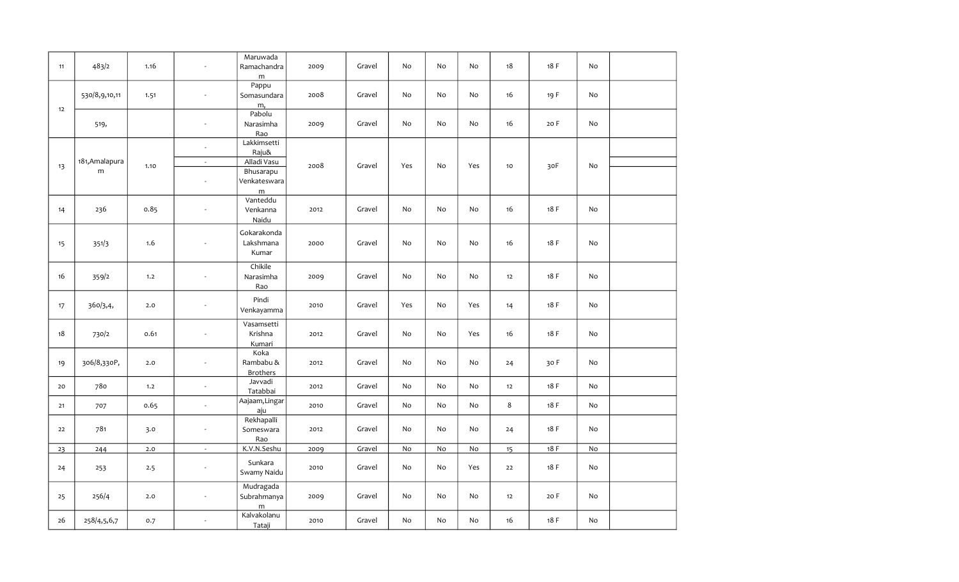| 11 | 483/2          | 1.16  | $\sim$                     | Maruwada<br>Ramachandra<br>m         | 2009 | Gravel | No  | No | No  | 18      | 18 F | No |  |
|----|----------------|-------|----------------------------|--------------------------------------|------|--------|-----|----|-----|---------|------|----|--|
| 12 | 530/8,9,10,11  | 1.51  | $\omega$                   | Pappu<br>Somasundara<br>m,           | 2008 | Gravel | No  | No | No  | 16      | 19 F | No |  |
|    | 519,           |       | $\omega$                   | Pabolu<br>Narasimha<br>Rao           | 2009 | Gravel | No  | No | No  | 16      | 20 F | No |  |
|    | 181, Amalapura |       | $\blacksquare$<br>$\omega$ | Lakkimsetti<br>Raju&<br>Alladi Vasu  | 2008 |        |     | No | Yes | 10      | 30F  |    |  |
| 13 | ${\sf m}$      | 1.10  | $\overline{\phantom{a}}$   | Bhusarapu<br>Venkateswara<br>m       |      | Gravel | Yes |    |     |         |      | No |  |
| 14 | 236            | 0.85  | $\sim$                     | Vanteddu<br>Venkanna<br>Naidu        | 2012 | Gravel | No  | No | No  | 16      | 18F  | No |  |
| 15 | 351/3          | 1.6   | $\overline{a}$             | Gokarakonda<br>Lakshmana<br>Kumar    | 2000 | Gravel | No  | No | No  | 16      | 18 F | No |  |
| 16 | 359/2          | 1.2   | $\overline{a}$             | Chikile<br>Narasimha<br>Rao          | 2009 | Gravel | No  | No | No  | 12      | 18 F | No |  |
| 17 | 360/3,4,       | 2.0   | $\sim$                     | Pindi<br>Venkayamma                  | 2010 | Gravel | Yes | No | Yes | 14      | 18 F | No |  |
| 18 | 730/2          | 0.61  | $\sim$                     | Vasamsetti<br>Krishna<br>Kumari      | 2012 | Gravel | No  | No | Yes | 16      | 18 F | No |  |
| 19 | 306/8,330P,    | 2.0   | $\sim$                     | Koka<br>Rambabu &<br><b>Brothers</b> | 2012 | Gravel | No  | No | No  | 24      | 30 F | No |  |
| 20 | 780            | 1.2   | $\omega$                   | Javvadi<br>Tatabbai                  | 2012 | Gravel | No  | No | No  | 12      | 18F  | No |  |
| 21 | 707            | 0.65  | $\sim$                     | Aajaam, Lingar<br>aju                | 2010 | Gravel | No  | No | No  | $\bf 8$ | 18 F | No |  |
| 22 | 781            | 3.0   | $\omega$                   | Rekhapalli<br>Someswara<br>Rao       | 2012 | Gravel | No  | No | No  | 24      | 18 F | No |  |
| 23 | 244            | $2.0$ | $\overline{\phantom{a}}$   | K.V.N.Seshu                          | 2009 | Gravel | No  | No | No  | 15      | 18F  | No |  |
| 24 | 253            | 2.5   | $\blacksquare$             | Sunkara<br>Swamy Naidu               | 2010 | Gravel | No  | No | Yes | 22      | 18 F | No |  |
| 25 | 256/4          | 2.0   | $\sim$                     | Mudragada<br>Subrahmanya<br>m        | 2009 | Gravel | No  | No | No  | 12      | 20 F | No |  |
| 26 | 258/4,5,6,7    | 0.7   | $\omega$                   | Kalvakolanu<br>Tataji                | 2010 | Gravel | No  | No | No  | 16      | 18 F | No |  |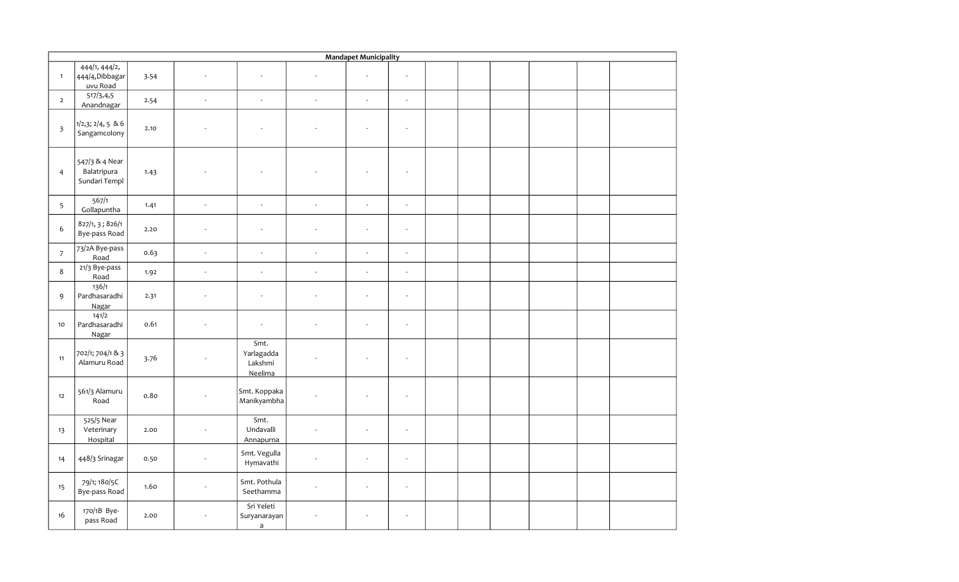|                         |                                                |      |                          |                                            |                          | <b>Mandapet Municipality</b> |                          |  |  |  |
|-------------------------|------------------------------------------------|------|--------------------------|--------------------------------------------|--------------------------|------------------------------|--------------------------|--|--|--|
| $\mathbf{1}$            | 444/1, 444/2,<br>444/4, Dibbagar<br>uvu Road   | 3.54 | $\sim$                   | $\sim$                                     |                          | ÷.                           | $\sim$                   |  |  |  |
| $\overline{2}$          | 517/3,4,5<br>Anandnagar                        | 2.54 | $\omega$                 | $\omega$                                   | $\omega$                 | $\overline{\phantom{a}}$     | $\omega$                 |  |  |  |
| $\overline{\mathbf{3}}$ | $1/2,3; 2/4, 5 \& 6$<br>Sangamcolony           | 2.10 |                          | $\overline{\phantom{a}}$                   |                          | ÷,                           | $\omega$                 |  |  |  |
| $\overline{4}$          | 547/3 & 4 Near<br>Balatripura<br>Sundari Templ | 1.43 |                          |                                            |                          |                              | $\sim$                   |  |  |  |
| 5                       | 567/1<br>Gollapuntha                           | 1.41 | $\omega$                 | $\omega$                                   | $\overline{\phantom{a}}$ | $\overline{a}$               | $\omega$                 |  |  |  |
| $\boldsymbol{6}$        | 827/1, 3; 826/1<br>Bye-pass Road               | 2.20 | $\overline{\phantom{a}}$ | $\sim$                                     | ÷,                       | ÷,                           | $\sim$                   |  |  |  |
| $\overline{7}$          | 73/2A Bye-pass<br>Road                         | 0.63 | $\omega$                 | $\omega$                                   | $\overline{a}$           | $\overline{\phantom{a}}$     | $\omega$                 |  |  |  |
| $\bf 8$                 | 21/3 Bye-pass<br>Road                          | 1.92 | $\omega$                 | $\omega$                                   | $\omega$                 | $\omega$                     | $\omega$                 |  |  |  |
| 9                       | 136/1<br>Pardhasaradhi<br><b>Nagar</b>         | 2.31 | $\overline{\phantom{a}}$ | $\mathcal{L}_{\mathcal{A}}$                | $\overline{\phantom{a}}$ | $\overline{a}$               | $\overline{\phantom{a}}$ |  |  |  |
| 10                      | 141/2<br>Pardhasaradhi<br>Nagar                | 0.61 | $\mathbf{r}$             | $\blacksquare$                             | $\blacksquare$           | ÷,                           | $\blacksquare$           |  |  |  |
| 11                      | 702/1; 704/1 & 3<br>Alamuru Road               | 3.76 |                          | Smt.<br>Yarlagadda<br>Lakshmi<br>Neelima   |                          | ÷,                           | $\sim$                   |  |  |  |
| 12                      | 561/3 Alamuru<br>Road                          | 0.80 |                          | Smt. Koppaka<br>Manikyambha                |                          |                              | $\sim$                   |  |  |  |
| 13                      | 525/5 Near<br>Veterinary<br>Hospital           | 2.00 | $\sim$                   | Smt.<br>Undavalli<br>Annapurna             | $\blacksquare$           | ÷,                           | $\sim$                   |  |  |  |
| 14                      | 448/3 Srinagar                                 | 0.50 | $\overline{\phantom{a}}$ | Smt. Vegulla<br>Hymavathi                  | $\overline{a}$           | $\overline{a}$               | $\omega$                 |  |  |  |
| 15                      | 79/1; 180/5C<br>Bye-pass Road                  | 1.60 |                          | Smt. Pothula<br>Seethamma                  |                          | ÷,                           | $\blacksquare$           |  |  |  |
| 16                      | 170/1B Bye-<br>pass Road                       | 2.00 |                          | Sri Yeleti<br>Suryanarayan<br>$\mathsf{a}$ |                          | $\overline{a}$               | $\omega$                 |  |  |  |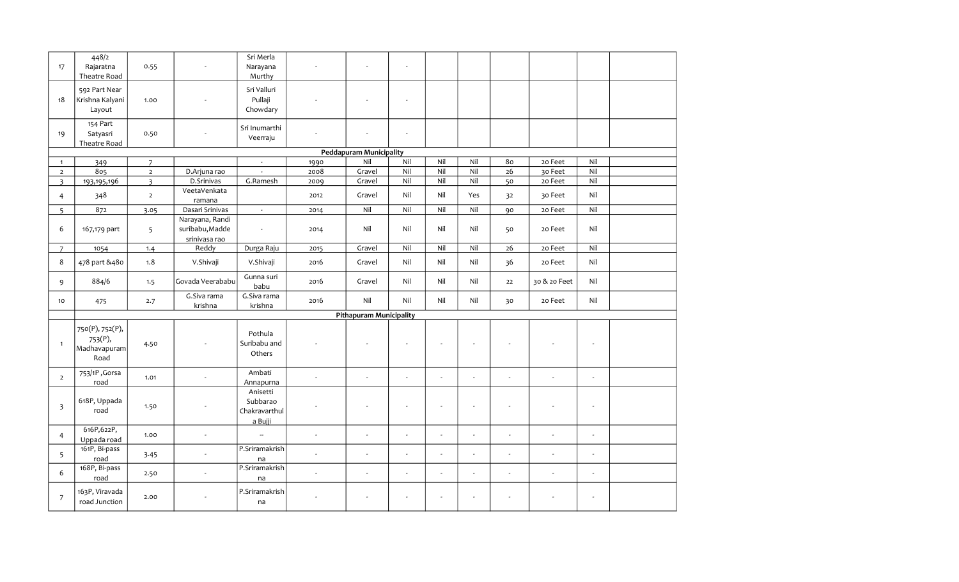| 17                      | 448/2<br>Rajaratna<br>Theatre Road                 | 0.55           |                                                     | Sri Merla<br>Narayana<br>Murthy                  |                          |                                | $\sim$         |                |                |                |                |        |  |
|-------------------------|----------------------------------------------------|----------------|-----------------------------------------------------|--------------------------------------------------|--------------------------|--------------------------------|----------------|----------------|----------------|----------------|----------------|--------|--|
| 18                      | 592 Part Near<br>Krishna Kalyani<br>Layout         | 1.00           |                                                     | Sri Valluri<br>Pullaji<br>Chowdary               |                          |                                | ÷.             |                |                |                |                |        |  |
| 19                      | 154 Part<br>Satyasri<br>Theatre Road               | 0.50           |                                                     | Sri Inumarthi<br>Veerraju                        |                          |                                | $\bar{a}$      |                |                |                |                |        |  |
|                         |                                                    |                |                                                     |                                                  |                          | <b>Peddapuram Municipality</b> |                |                |                |                |                |        |  |
| $\mathbf{1}$            | 349                                                | $\overline{7}$ |                                                     | $\sim$                                           | 1990                     | Nil                            | Nil            | Nil            | Nil            | 80             | 20 Feet        | Nil    |  |
| $\overline{2}$          | 805                                                | $\overline{2}$ | D.Arjuna rao                                        |                                                  | 2008                     | Gravel                         | Nil            | Nil            | Nil            | 26             | 30 Feet        | Nil    |  |
| $\overline{\mathbf{3}}$ | 193, 195, 196                                      | $\overline{3}$ | D.Srinivas                                          | G.Ramesh                                         | 2009                     | Gravel                         | Nil            | Nil            | Nil            | 50             | 20 Feet        | Nil    |  |
| $\overline{4}$          | 348                                                | $\overline{2}$ | VeetaVenkata<br>ramana                              |                                                  | 2012                     | Gravel                         | Nil            | Nil            | Yes            | 32             | 30 Feet        | Nil    |  |
| $5^{\circ}$             | 872                                                | 3.05           | Dasari Srinivas                                     | $\omega$                                         | 2014                     | Nil                            | Nil            | Nil            | Nil            | 90             | 20 Feet        | Nil    |  |
| 6                       | 167,179 part                                       | 5              | Narayana, Randi<br>suribabu, Madde<br>srinivasa rao | $\sim$                                           | 2014                     | Nil                            | Nil            | Nil            | Nil            | 50             | 20 Feet        | Nil    |  |
| $\overline{7}$          | 1054                                               | 1.4            | Reddy                                               | Durga Raju                                       | 2015                     | Gravel                         | Nil            | Nil            | Nil            | $26\,$         | 20 Feet        | Nil    |  |
| 8                       | 478 part &480                                      | 1.8            | V.Shivaji                                           | V.Shivaji                                        | 2016                     | Gravel                         | Nil            | Nil            | Nil            | 36             | 20 Feet        | Nil    |  |
| 9                       | 884/6                                              | 1.5            | Govada Veerababu                                    | Gunna suri<br>babu                               | 2016                     | Gravel                         | Nil            | Nil            | Nil            | 22             | 30 & 20 Feet   | Nil    |  |
| 10                      | 475                                                | 2.7            | G.Siva rama<br>krishna                              | G.Siva rama<br>krishna                           | 2016                     | Nil                            | Nil            | Nil            | Nil            | 30             | 20 Feet        | Nil    |  |
|                         |                                                    |                |                                                     |                                                  |                          | <b>Pithapuram Municipality</b> |                |                |                |                |                |        |  |
| $\mathbf{1}$            | 750(P), 752(P),<br>753(P),<br>Madhavapuram<br>Road | 4.50           |                                                     | Pothula<br>Suribabu and<br>Others                |                          |                                |                |                |                |                |                |        |  |
| $\overline{2}$          | 753/1P, Gorsa<br>road                              | 1.01           | $\overline{a}$                                      | Ambati<br>Annapurna                              | $\overline{a}$           | $\overline{a}$                 | $\overline{a}$ | $\overline{a}$ |                | $\overline{a}$ | $\sim$         | $\sim$ |  |
| $\overline{\mathbf{3}}$ | 618P, Uppada<br>road                               | 1.50           |                                                     | Anisetti<br>Subbarao<br>Chakravarthul<br>a Bujji |                          |                                |                |                |                |                |                |        |  |
| $\overline{4}$          | 616P,622P,<br>Uppada road                          | 1.00           | $\omega$                                            | $\mathbb{Z}^2$                                   | $\sim$                   | $\sim$                         | $\sim$         | $\omega$       | $\overline{a}$ | $\omega$       | $\sim$         | $\sim$ |  |
| 5                       | 161P, Bi-pass<br>road                              | 3.45           | $\blacksquare$                                      | P.Sriramakrish<br>na                             | $\overline{\phantom{a}}$ | ÷,                             | ÷,             | ÷,             |                | ÷,             | $\blacksquare$ | $\sim$ |  |
| 6                       | 168P, Bi-pass<br>road                              | 2.50           | $\blacksquare$                                      | P.Sriramakrish<br>na                             | $\sim$                   | $\sim$                         | $\sim$         | ÷.             |                | $\sim$         | ÷.             | $\sim$ |  |
| $\overline{7}$          | 163P, Viravada<br>road Junction                    | 2.00           |                                                     | P.Sriramakrish<br>na                             |                          |                                |                |                |                |                |                |        |  |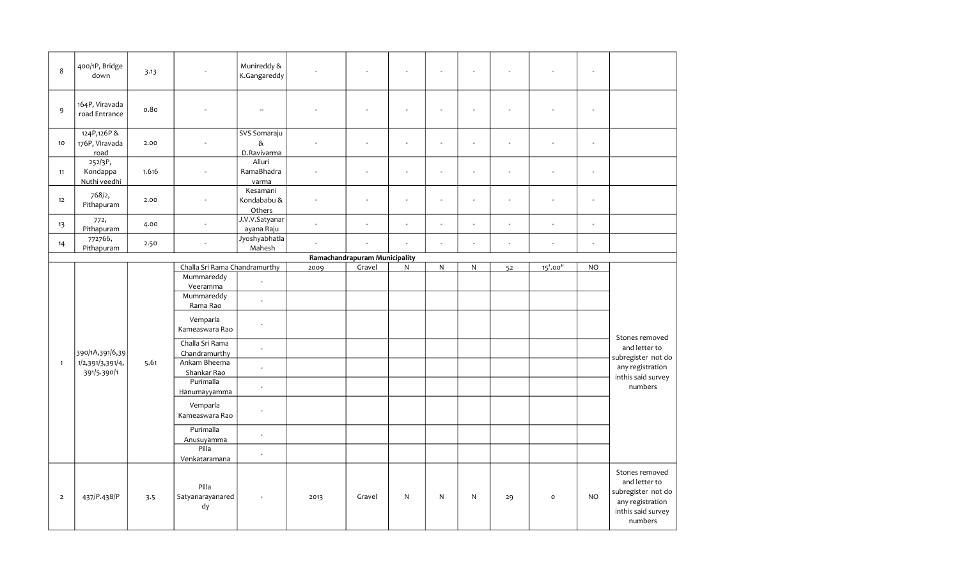| 8              | 400/1P, Bridge<br>down               | 3.13  |                                                  | Munireddy &<br>K.Gangareddy         |                |                               | ÷,                       |                          |              | $\sim$                   |              | $\sim$                   |                                                                                                            |
|----------------|--------------------------------------|-------|--------------------------------------------------|-------------------------------------|----------------|-------------------------------|--------------------------|--------------------------|--------------|--------------------------|--------------|--------------------------|------------------------------------------------------------------------------------------------------------|
| 9              | 164P, Viravada<br>road Entrance      | 0.80  |                                                  | $\overline{\phantom{a}}$            |                |                               | ÷,                       | L.                       |              | $\overline{\phantom{a}}$ |              | $\overline{\phantom{a}}$ |                                                                                                            |
| 10             | 124P,126P&<br>176P, Viravada<br>road | 2.00  |                                                  | SVS Somaraju<br>$\&$<br>D.Ravivarma |                |                               | $\overline{\phantom{a}}$ | $\overline{\phantom{a}}$ |              |                          |              | $\overline{\phantom{a}}$ |                                                                                                            |
| 11             | 252/3P,<br>Kondappa<br>Nuthi veedhi  | 1.616 |                                                  | Alluri<br>RamaBhadra<br>varma       | ä,             | ÷,                            | ÷,                       |                          |              | $\sim$                   | L,           | $\overline{\phantom{a}}$ |                                                                                                            |
| 12             | 768/2,<br>Pithapuram                 | 2.00  |                                                  | Kesamani<br>Kondababu &<br>Others   | ÷,             | ÷,                            | L.                       | $\sim$                   |              | $\sim$                   | ÷,           | L.                       |                                                                                                            |
| 13             | 772,<br>Pithapuram                   | 4.00  | $\sim$                                           | J.V.V.Satyanar<br>ayana Raju        | $\overline{a}$ | ÷,                            | L.                       | ÷,                       |              | $\omega$                 | ÷,           | $\overline{\phantom{a}}$ |                                                                                                            |
| 14             | 772766,<br>Pithapuram                | 2.50  | $\overline{a}$                                   | Jyoshyabhatla<br>Mahesh             | $\overline{a}$ | l,                            |                          | $\sim$                   |              | $\overline{\phantom{a}}$ | ÷,           | $\overline{\phantom{a}}$ |                                                                                                            |
|                |                                      |       |                                                  |                                     |                | Ramachandrapuram Municipality |                          |                          |              |                          |              |                          |                                                                                                            |
|                |                                      |       | Challa Sri Rama Chandramurthy                    |                                     | 2009           | Gravel                        | ${\sf N}$                | ${\sf N}$                | $\mathsf{N}$ | 52                       | 15'.00"      | <b>NO</b>                |                                                                                                            |
|                |                                      |       | Mummareddy<br>Veeramma<br>Mummareddy<br>Rama Rao | $\overline{\phantom{a}}$<br>$\sim$  |                |                               |                          |                          |              |                          |              |                          |                                                                                                            |
|                |                                      |       | Vemparla<br>Kameaswara Rao                       | ÷.                                  |                |                               |                          |                          |              |                          |              |                          | Stones removed                                                                                             |
|                | 390/1A,391/6,39                      |       | Challa Sri Rama<br>Chandramurthy                 | $\sim$                              |                |                               |                          |                          |              |                          |              |                          | and letter to<br>subregister not do                                                                        |
| $\mathbf{1}$   | 1/2,391/3,391/4,<br>391/5.390/1      | 5.61  | Ankam Bheema<br>Shankar Rao                      | $\sim$                              |                |                               |                          |                          |              |                          |              |                          | any registration                                                                                           |
|                |                                      |       | Purimalla<br>Hanumayyamma                        | $\sim$                              |                |                               |                          |                          |              |                          |              |                          | inthis said survey<br>numbers                                                                              |
|                |                                      |       | Vemparla<br>Kameaswara Rao                       | $\overline{\phantom{a}}$            |                |                               |                          |                          |              |                          |              |                          |                                                                                                            |
|                |                                      |       | Purimalla<br>Anusuyamma                          | $\overline{\phantom{a}}$            |                |                               |                          |                          |              |                          |              |                          |                                                                                                            |
|                |                                      |       | Pilla<br>Venkataramana                           | $\sim$                              |                |                               |                          |                          |              |                          |              |                          |                                                                                                            |
| $\overline{2}$ | 437/P.438/P                          | 3.5   | Pilla<br>Satyanarayanared<br>dy                  |                                     | 2013           | Gravel                        | N                        | N                        | N            | 29                       | $\mathsf{o}$ | <b>NO</b>                | Stones removed<br>and letter to<br>subregister not do<br>any registration<br>inthis said survey<br>numbers |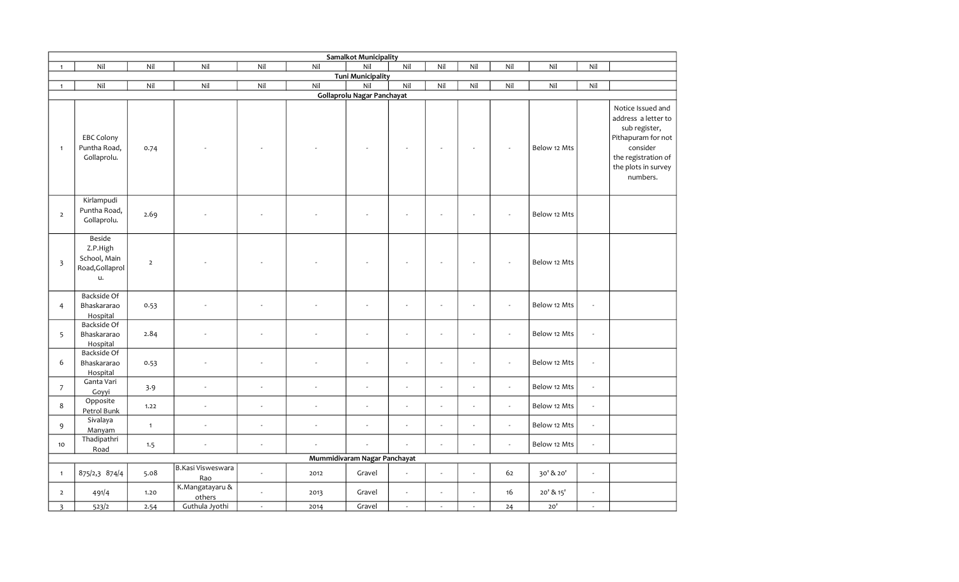|                         |                                                             |                |                           |          |                  | <b>Samalkot Municipality</b> |                |                          |        |        |              |                          |                                                                                                                                                       |
|-------------------------|-------------------------------------------------------------|----------------|---------------------------|----------|------------------|------------------------------|----------------|--------------------------|--------|--------|--------------|--------------------------|-------------------------------------------------------------------------------------------------------------------------------------------------------|
| $\mathbf{1}$            | Nil                                                         | Nil            | Nil                       | Nil      | Nil              | Nil                          | Nil            | Nil                      | Nil    | Nil    | Nil          | Nil                      |                                                                                                                                                       |
|                         |                                                             |                |                           |          |                  | <b>Tuni Municipality</b>     |                |                          |        |        |              |                          |                                                                                                                                                       |
| $\mathbf{1}$            | Nil                                                         | Nil            | Nil                       | Nil      | $\overline{Nil}$ | Nil                          | Nil            | Nil                      | Nil    | Nil    | Nil          | Nil                      |                                                                                                                                                       |
|                         |                                                             |                |                           |          |                  | Gollaprolu Nagar Panchayat   |                |                          |        |        |              |                          |                                                                                                                                                       |
| $\mathbf{1}$            | <b>EBC Colony</b><br>Puntha Road,<br>Gollaprolu.            | 0.74           |                           |          |                  |                              |                |                          |        |        | Below 12 Mts |                          | Notice Issued and<br>address a letter to<br>sub register,<br>Pithapuram for not<br>consider<br>the registration of<br>the plots in survey<br>numbers. |
| $\overline{2}$          | Kirlampudi<br>Puntha Road,<br>Gollaprolu.                   | 2.69           |                           |          |                  |                              |                |                          |        |        | Below 12 Mts |                          |                                                                                                                                                       |
| $\overline{\mathbf{3}}$ | Beside<br>Z.P.High<br>School, Main<br>Road, Gollaprol<br>u. | $\overline{2}$ |                           |          |                  |                              |                |                          |        |        | Below 12 Mts |                          |                                                                                                                                                       |
| $\overline{4}$          | Backside Of<br>Bhaskararao<br>Hospital                      | 0.53           | $\overline{a}$            |          |                  |                              |                |                          |        |        | Below 12 Mts | $\omega$                 |                                                                                                                                                       |
| 5                       | <b>Backside Of</b><br>Bhaskararao<br>Hospital               | 2.84           |                           |          |                  |                              |                |                          |        |        | Below 12 Mts | $\overline{\phantom{a}}$ |                                                                                                                                                       |
| 6                       | Backside Of<br>Bhaskararao<br>Hospital                      | 0.53           | ä,                        |          |                  | $\overline{a}$               |                | ÷.                       |        | $\sim$ | Below 12 Mts | $\omega$                 |                                                                                                                                                       |
| $\overline{7}$          | Ganta Vari<br>Goyyi                                         | 3.9            | $\sim$                    | $\sim$   | $\sim$           | $\sim$                       | $\overline{a}$ | ÷.                       | $\sim$ | $\sim$ | Below 12 Mts | $\omega$                 |                                                                                                                                                       |
| 8                       | Opposite<br>Petrol Bunk                                     | 1.22           | $\omega$                  | $\sim$   | $\sim$           | $\omega$                     |                | $\overline{a}$           |        | $\sim$ | Below 12 Mts | $\overline{\phantom{a}}$ |                                                                                                                                                       |
| 9                       | Sivalaya<br>Manyam                                          | $\mathbf{1}$   | $\overline{\phantom{a}}$  | $\sim$   | $\sim$           | $\omega$                     | $\sim$         | ÷,                       |        | $\sim$ | Below 12 Mts | $\overline{\phantom{a}}$ |                                                                                                                                                       |
| 10                      | Thadipathri<br>Road                                         | 1.5            | ÷,                        |          |                  | $\overline{a}$               |                | L.                       |        | $\sim$ | Below 12 Mts | $\overline{a}$           |                                                                                                                                                       |
|                         |                                                             |                |                           |          |                  | Mummidivaram Nagar Panchayat |                |                          |        |        |              |                          |                                                                                                                                                       |
| $\mathbf{1}$            | 875/2,3 874/4                                               | 5.08           | B.Kasi Visweswara<br>Rao  |          | 2012             | Gravel                       |                | $\overline{\phantom{a}}$ |        | 62     | 30' & 20'    | $\mathbf{r}$             |                                                                                                                                                       |
| $\overline{2}$          | 491/4                                                       | 1.20           | K.Mangatayaru &<br>others |          | 2013             | Gravel                       |                | L.                       |        | 16     | 20' & 15'    | $\omega$                 |                                                                                                                                                       |
| $\overline{\mathbf{3}}$ | 523/2                                                       | 2.54           | Guthula Jyothi            | $\omega$ | 2014             | Gravel                       | $\omega$       | $\omega$                 | $\sim$ | 24     | 20'          | $\omega$                 |                                                                                                                                                       |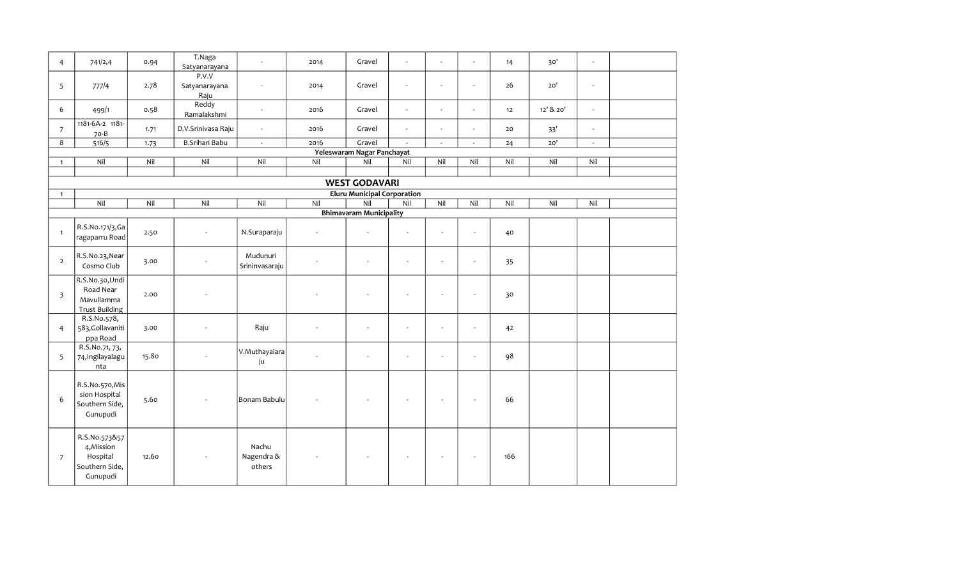| $\overline{4}$ | 741/2,4                                                               | 0.94  | T.Naga<br>Satyanarayana        |                               | 2014                     | Gravel                             | ÷.                       |                          | ÷,                       | 14  | 30'       | $\mathbf{r}$             |  |
|----------------|-----------------------------------------------------------------------|-------|--------------------------------|-------------------------------|--------------------------|------------------------------------|--------------------------|--------------------------|--------------------------|-----|-----------|--------------------------|--|
| 5              | 777/4                                                                 | 2.78  | P.V.V<br>Satyanarayana<br>Raju | $\sim$                        | 2014                     | Gravel                             | $\overline{\phantom{a}}$ | $\sim$                   | $\overline{\phantom{a}}$ | 26  | 20'       | $\sim$                   |  |
| 6              | 499/1                                                                 | 0.58  | Reddy<br>Ramalakshmi           | $\sim$                        | 2016                     | Gravel                             | L.                       | $\sim$                   | $\overline{\phantom{a}}$ | 12  | 12' & 20' | $\blacksquare$           |  |
| $\overline{7}$ | 1181-6A-2 1181-<br>70-B                                               | 1.71  | D.V.Srinivasa Raju             | $\sim$                        | 2016                     | Gravel                             | $\omega$                 | $\sim$                   | ÷.                       | 20  | 33'       | $\omega$                 |  |
| 8              | 516/5                                                                 | 1.73  | B.Srihari Babu                 | $\omega$                      | 2016                     | Gravel                             | $\bar{\phantom{a}}$      | $\overline{\phantom{a}}$ | $\overline{\phantom{a}}$ | 24  | $20'$     | $\overline{\phantom{a}}$ |  |
|                |                                                                       |       |                                |                               |                          | Yeleswaram Nagar Panchayat         |                          |                          |                          |     |           |                          |  |
| $\overline{1}$ | Nil                                                                   | Nil   | Nil                            | Nil                           | Nil                      | Nil                                | Nil                      | Nil                      | Nil                      | Nil | Nil       | Nil                      |  |
|                |                                                                       |       |                                |                               |                          |                                    |                          |                          |                          |     |           |                          |  |
|                |                                                                       |       |                                |                               |                          | <b>WEST GODAVARI</b>               |                          |                          |                          |     |           |                          |  |
| $\overline{1}$ |                                                                       |       |                                |                               |                          | <b>Eluru Municipal Corporation</b> |                          |                          |                          |     |           |                          |  |
|                | Nil                                                                   | Nil   | Nil                            | Nil                           | Nil                      | Nil                                | Nil                      | Nil                      | Nil                      | Nil | Nil       | Nil                      |  |
|                |                                                                       |       |                                |                               |                          | <b>Bhimavaram Municipality</b>     |                          |                          |                          |     |           |                          |  |
| $\overline{1}$ | R.S.No.171/3,Ga<br>$\vert$ ragaparru Road $\vert$                     | 2.50  | $\sim$                         | N.Suraparaju                  | $\overline{\phantom{a}}$ | $\overline{\phantom{a}}$           | $\omega$                 | ÷.                       | ÷.                       | 40  |           |                          |  |
| $\overline{2}$ | R.S.No.23, Near<br>Cosmo Club                                         | 3.00  |                                | Mudunuri<br>Srininvasaraju    |                          | ÷,                                 | $\sim$                   | ÷,                       | $\overline{\phantom{a}}$ | 35  |           |                          |  |
| $\overline{3}$ | R.S.No.30, Undi<br>Road Near<br>Mavullamma<br><b>Trust Building</b>   | 2.00  |                                |                               |                          | ÷,                                 |                          | ÷,                       | ÷,                       | 30  |           |                          |  |
| $\overline{4}$ | R.S.No.578,<br>583, Gollavaniti<br>ppa Road                           | 3.00  | $\sim$                         | Raju                          |                          | $\blacksquare$                     | $\sim$                   | $\overline{\phantom{a}}$ | $\overline{\phantom{a}}$ | 42  |           |                          |  |
| 5              | R.S.No.71, 73,<br>74, Ingilayalagu<br>nta                             | 15.80 |                                | V.Muthayalara<br>ju           |                          | ÷,                                 | $\sim$                   | ÷,                       | $\overline{\phantom{a}}$ | 98  |           |                          |  |
| 6              | R.S.No.570, Mis<br>sion Hospital<br>Southern Side,<br>Gunupudi        | 5.60  |                                | Bonam Babulu                  |                          |                                    |                          | $\sim$                   | ÷,                       | 66  |           |                          |  |
| $\overline{7}$ | R.S.No.573&57<br>4, Mission<br>Hospital<br>Southern Side,<br>Gunupudi | 12.60 |                                | Nachu<br>Nagendra &<br>others |                          |                                    |                          | $\sim$                   | $\overline{\phantom{a}}$ | 166 |           |                          |  |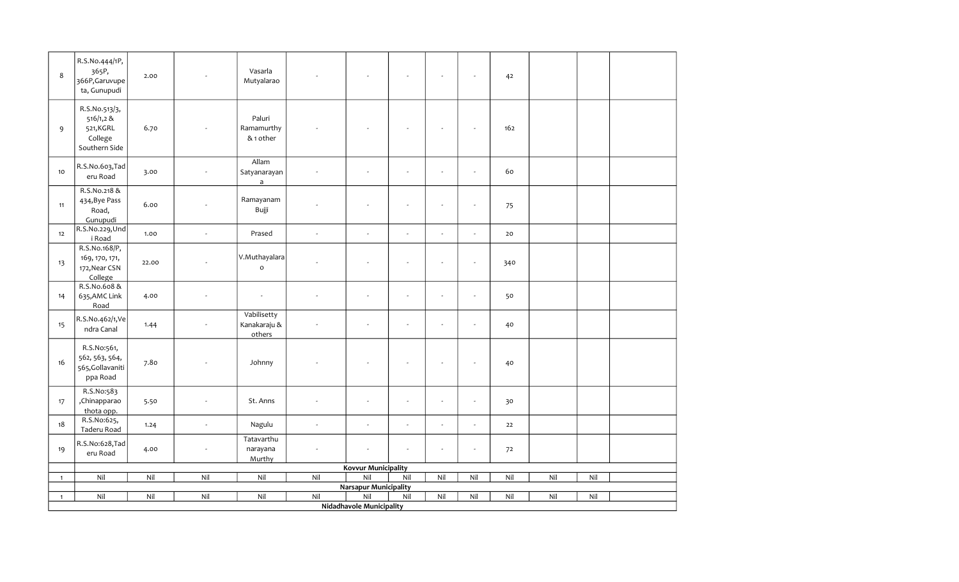| 8            | R.S.No.444/1P,<br>365P,<br>366P, Garuvupe<br>ta, Gunupudi           | 2.00  |                          | Vasarla<br>Mutyalarao                 |          |                                     |                |                          |                          | 42  |     |     |  |
|--------------|---------------------------------------------------------------------|-------|--------------------------|---------------------------------------|----------|-------------------------------------|----------------|--------------------------|--------------------------|-----|-----|-----|--|
| 9            | R.S.No.513/3,<br>516/1,2 &<br>521, KGRL<br>College<br>Southern Side | 6.70  |                          | Paluri<br>Ramamurthy<br>& 1 other     |          |                                     |                |                          | $\overline{\phantom{a}}$ | 162 |     |     |  |
| 10           | R.S.No.603,Tad<br>eru Road                                          | 3.00  |                          | Allam<br>Satyanarayan<br>$\mathsf{a}$ |          | $\overline{\phantom{a}}$            | ÷,             | $\sim$                   | $\sim$                   | 60  |     |     |  |
| 11           | R.S.No.218 &<br>434, Bye Pass<br>Road,<br>Gunupudi                  | 6.00  |                          | Ramayanam<br>Bujji                    |          |                                     |                |                          |                          | 75  |     |     |  |
| 12           | R.S.No.229, Und<br>i Road                                           | 1.00  | L.                       | Prased                                | $\omega$ | $\sim$                              | $\overline{a}$ | $\sim$                   | $\omega$                 | 20  |     |     |  |
| 13           | R.S.No.168/P,<br>169, 170, 171,<br>172, Near CSN<br>College         | 22.00 | $\overline{a}$           | V.Muthayalara<br>$\circ$              |          |                                     | $\sim$         | $\sim$                   | $\overline{\phantom{a}}$ | 340 |     |     |  |
| 14           | R.S.No.608 &<br>635, AMC Link<br>Road                               | 4.00  |                          | $\overline{\phantom{a}}$              |          | $\sim$                              | ÷,             | $\sim$                   | $\overline{\phantom{a}}$ | 50  |     |     |  |
| 15           | R.S.No.462/1,Ve<br>ndra Canal                                       | 1.44  |                          | Vabilisetty<br>Kanakaraju &<br>others |          | $\mathbf{r}$                        | ÷,             | $\overline{\phantom{a}}$ | $\sim$                   | 40  |     |     |  |
| 16           | R.S.No:561,<br>562, 563, 564,<br>565, Gollavaniti<br>ppa Road       | 7.80  | $\overline{\phantom{a}}$ | Johnny                                |          |                                     | $\sim$         |                          | $\sim$                   | 40  |     |     |  |
| 17           | R.S.No:583<br>,Chinapparao<br>thota opp.                            | 5.50  | ÷.                       | St. Anns                              |          | ÷.                                  | ÷.             | $\sim$                   | ÷.                       | 30  |     |     |  |
| 18           | R.S.No:625,<br>Taderu Road                                          | 1.24  | $\bar{\phantom{a}}$      | Nagulu                                | $\omega$ | $\omega$                            | ÷,             | $\sim$                   | $\sim$                   | 22  |     |     |  |
| 19           | R.S.No:628,Tad<br>eru Road                                          | 4.00  | ÷,                       | Tatavarthu<br>narayana<br>Murthy      |          | $\sim$                              | ÷.             |                          | $\sim$                   | 72  |     |     |  |
|              |                                                                     |       |                          |                                       |          | <b>Kovvur Municipality</b>          |                |                          |                          |     |     |     |  |
| $\mathbf{1}$ | Nil                                                                 | Nil   | $\overline{Nil}$         | Nil                                   | Nil      | Nil                                 | Nil            | Nil                      | Nil                      | Nil | Nil | Nil |  |
| $\mathbf{1}$ | Nil                                                                 | Nil   | Nil                      | Nil                                   | Nil      | <b>Narsapur Municipality</b><br>Nil | Nil            | Nil                      | Nil                      | Nil | Nil | Nil |  |
|              |                                                                     |       |                          |                                       |          | <b>Nidadhavole Municipality</b>     |                |                          |                          |     |     |     |  |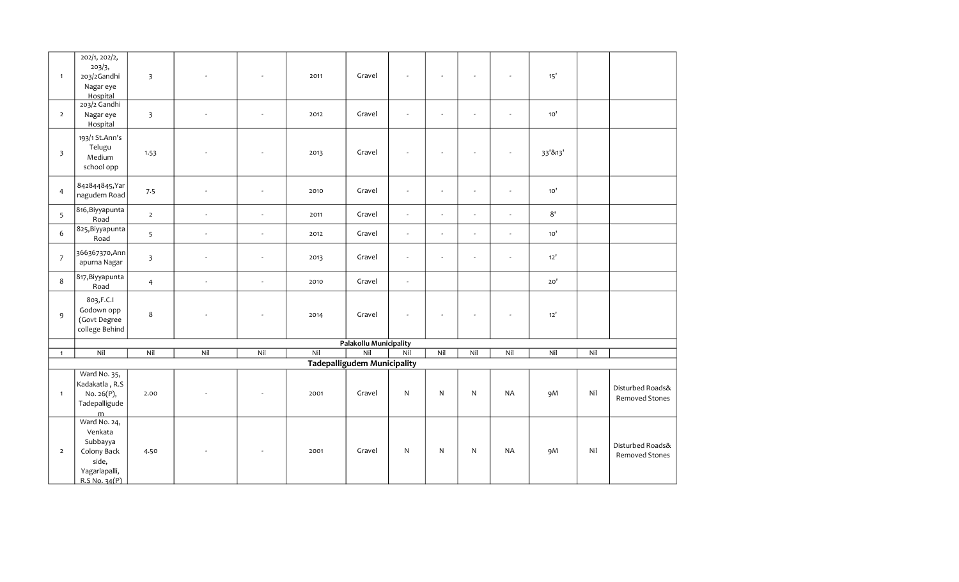| $\overline{1}$          | 202/1, 202/2,<br>203/3,<br>203/2Gandhi<br>Nagar eye<br>Hospital                               | $\overline{\mathbf{3}}$ |          | $\sim$                   | 2011 | Gravel                                    |                | $\overline{a}$ | $\overline{\phantom{a}}$ | $\overline{a}$           | 15'          |     |                                           |
|-------------------------|-----------------------------------------------------------------------------------------------|-------------------------|----------|--------------------------|------|-------------------------------------------|----------------|----------------|--------------------------|--------------------------|--------------|-----|-------------------------------------------|
| $\overline{2}$          | 203/2 Gandhi<br>Nagar eye<br>Hospital                                                         | $\overline{\mathbf{3}}$ |          | $\sim$                   | 2012 | Gravel                                    |                | $\overline{a}$ | ÷,                       | ÷.                       | 10'          |     |                                           |
| $\overline{\mathbf{3}}$ | 193/1 St.Ann's<br>Telugu<br>Medium<br>school opp                                              | 1.53                    |          |                          | 2013 | Gravel                                    |                |                |                          |                          | 33'&13'      |     |                                           |
| $\overline{4}$          | 842844845, Yar<br>nagudem Road                                                                | 7.5                     | $\sim$   | $\overline{\phantom{a}}$ | 2010 | Gravel                                    |                | ÷.             | ÷,                       | ÷.                       | 10'          |     |                                           |
| 5                       | 816, Biyyapunta<br>Road                                                                       | $\overline{2}$          | $\omega$ | ÷,                       | 2011 | Gravel                                    | $\omega$       | $\omega$       | $\omega$                 | $\omega$                 | $8^{\prime}$ |     |                                           |
| 6                       | 825, Biyyapunta<br>Road                                                                       | 5                       | $\omega$ | $\overline{\phantom{a}}$ | 2012 | Gravel                                    | $\omega$       | ÷.             | $\sim$                   | $\overline{\phantom{a}}$ | 10'          |     |                                           |
| $\boldsymbol{7}$        | 366367370,Ann<br>apurna Nagar                                                                 | $\overline{\mathbf{3}}$ | $\sim$   | $\overline{\phantom{a}}$ | 2013 | Gravel                                    | $\omega$       | ÷.             | $\overline{a}$           | ÷.                       | $12'$        |     |                                           |
| 8                       | 817, Biyyapunta<br>Road                                                                       | $\overline{4}$          | $\sim$   | $\mathbb{Z}$             | 2010 | Gravel                                    | $\blacksquare$ |                |                          |                          | 20'          |     |                                           |
| $\mathsf 9$             | 803, F.C.I<br>Godown opp<br>(Govt Degree<br>college Behind                                    | $\bf 8$                 |          | $\overline{\phantom{a}}$ | 2014 | Gravel                                    |                | ÷,             | $\overline{\phantom{a}}$ | ÷,                       | $12'$        |     |                                           |
|                         |                                                                                               |                         |          |                          |      | <b>Palakollu Municipality</b>             |                |                |                          |                          |              |     |                                           |
| $\mathbf{1}$            | Nil                                                                                           | Nil                     | Nil      | Nil                      | Nil  | Nil<br><b>Tadepalligudem Municipality</b> | Nil            | Nil            | Nil                      | Nil                      | Nil          | Nil |                                           |
|                         | Ward No. 35,                                                                                  |                         |          |                          |      |                                           |                |                |                          |                          |              |     |                                           |
| $\mathbf{1}$            | Kadakatla, R.S<br>No. 26(P),<br>Tadepalligude<br>m                                            | 2.00                    |          | $\sim$                   | 2001 | Gravel                                    | $\mathsf{N}$   | $\mathsf{N}$   | $\mathsf{N}$             | <b>NA</b>                | 9M           | Nil | Disturbed Roads&<br>Removed Stones        |
| $\overline{2}$          | Ward No. 24,<br>Venkata<br>Subbayya<br>Colony Back<br>side,<br>Yagarlapalli,<br>R.S No. 34(P) | 4.50                    |          |                          | 2001 | Gravel                                    | ${\sf N}$      | N              | N                        | NA                       | 9M           | Nil | Disturbed Roads&<br><b>Removed Stones</b> |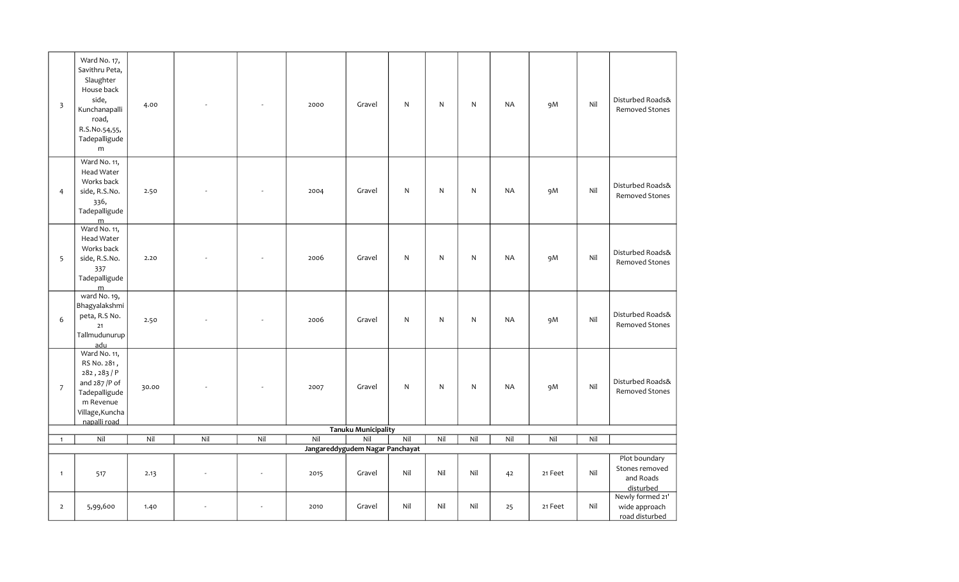| $\overline{\mathbf{3}}$  | Ward No. 17,<br>Savithru Peta,<br>Slaughter<br>House back<br>side,<br>Kunchanapalli<br>road,<br>R.S.No.54,55,<br>Tadepalligude<br>m | 4.00  |     |     | 2000 | Gravel                                    | N   | $\mathsf{N}$ | $\mathsf{N}$ | <b>NA</b> | 9M      | Nil | Disturbed Roads&<br><b>Removed Stones</b>                 |
|--------------------------|-------------------------------------------------------------------------------------------------------------------------------------|-------|-----|-----|------|-------------------------------------------|-----|--------------|--------------|-----------|---------|-----|-----------------------------------------------------------|
| $\overline{4}$           | Ward No. 11,<br>Head Water<br>Works back<br>side, R.S.No.<br>336,<br>Tadepalligude                                                  | 2.50  |     |     | 2004 | Gravel                                    | N   | $\mathsf{N}$ | N            | <b>NA</b> | 9M      | Nil | Disturbed Roads&<br>Removed Stones                        |
| 5                        | $\frac{m}{m}$ Ward No. 11,<br>Head Water<br>Works back<br>side, R.S.No.<br>337<br>Tadepalligude                                     | 2.20  |     |     | 2006 | Gravel                                    | N   | $\mathsf{N}$ | ${\sf N}$    | <b>NA</b> | 9M      | Nil | Disturbed Roads&<br>Removed Stones                        |
| 6                        | $\frac{m}{m}$ ward No. 19,<br>Bhagyalakshmi<br>peta, R.S No.<br>$21$<br>Tallmudunurup<br>adu                                        | 2.50  |     |     | 2006 | Gravel                                    | N   | ${\sf N}$    | ${\sf N}$    | <b>NA</b> | 9M      | Nil | Disturbed Roads&<br><b>Removed Stones</b>                 |
| $\overline{\phantom{a}}$ | Ward No. 11,<br>RS No. 281,<br>282, 283/P<br>and 287 /P of<br>Tadepalligude<br>m Revenue<br>Village, Kuncha<br>napalli road         | 30.00 |     |     | 2007 | Gravel                                    | N   | $\mathsf{N}$ | $\mathsf{N}$ | <b>NA</b> | 9M      | Nil | Disturbed Roads&<br><b>Removed Stones</b>                 |
|                          |                                                                                                                                     |       |     |     |      | <b>Tanuku Municipality</b>                |     |              |              |           |         |     |                                                           |
| $\mathbf{1}$             | Nil                                                                                                                                 | Nil   | Nil | Nil | Nil  | Nil                                       | Nil | Nil          | Nil          | Nil       | Nil     | Nil |                                                           |
| $\mathbf{1}$             | 517                                                                                                                                 | 2.13  |     |     | 2015 | Jangareddygudem Nagar Panchayat<br>Gravel | Nil | Nil          | Nil          | 42        | 21 Feet | Nil | Plot boundary<br>Stones removed<br>and Roads<br>disturbed |
| $\overline{2}$           | 5,99,600                                                                                                                            | 1.40  |     |     | 2010 | Gravel                                    | Nil | Nil          | Nil          | 25        | 21 Feet | Nil | Newly formed 21'<br>wide approach<br>road disturbed       |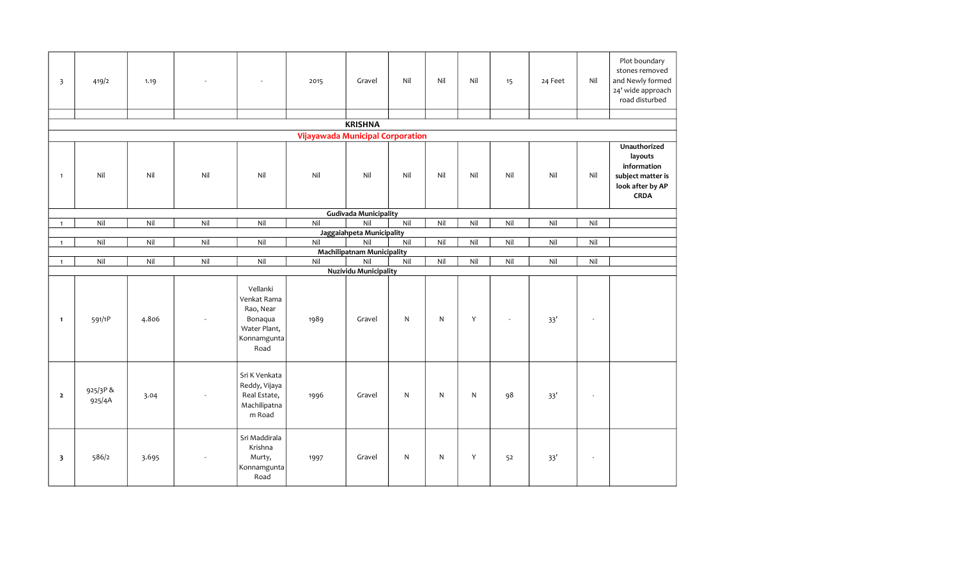| $\overline{\mathbf{3}}$ | 419/2             | 1.19  |     |                                                                                        | 2015                                    | Gravel                            | Nil          | Nil          | Nil | 15       | 24 Feet | Nil                      | Plot boundary<br>stones removed<br>and Newly formed<br>24' wide approach<br>road disturbed     |
|-------------------------|-------------------|-------|-----|----------------------------------------------------------------------------------------|-----------------------------------------|-----------------------------------|--------------|--------------|-----|----------|---------|--------------------------|------------------------------------------------------------------------------------------------|
|                         |                   |       |     |                                                                                        |                                         | <b>KRISHNA</b>                    |              |              |     |          |         |                          |                                                                                                |
|                         |                   |       |     |                                                                                        | <b>Vijayawada Municipal Corporation</b> |                                   |              |              |     |          |         |                          |                                                                                                |
| $\mathbf{1}$            | Nil               | Nil   | Nil | Nil                                                                                    | Nil                                     | Nil                               | Nil          | Nil          | Nil | Nil      | Nil     | Nil                      | Unauthorized<br>layouts<br>information<br>subject matter is<br>look after by AP<br><b>CRDA</b> |
|                         |                   |       |     |                                                                                        |                                         | <b>Gudivada Municipality</b>      |              |              |     |          |         |                          |                                                                                                |
| $\mathbf{1}$            | Nil               | Nil   | Nil | Nil                                                                                    | Nil                                     | Nil                               | Nil          | Nil          | Nil | Nil      | Nil     | Nil                      |                                                                                                |
|                         | Nil               | Nil   |     | Nil                                                                                    | Nil                                     | Jaggaiahpeta Municipality<br>Nil  | Nil          | Nil          | Nil | Nil      | Nil     | Nil                      |                                                                                                |
| $\mathbf{1}$            |                   |       | Nil |                                                                                        |                                         | <b>Machilipatnam Municipality</b> |              |              |     |          |         |                          |                                                                                                |
| $\mathbf{1}$            | Nil               | Nil   | Nil | Nil                                                                                    | Nil                                     | Nil                               | Nil          | Nil          | Nil | Nil      | Nil     | Nil                      |                                                                                                |
|                         |                   |       |     |                                                                                        |                                         | <b>Nuzividu Municipality</b>      |              |              |     |          |         |                          |                                                                                                |
| $\mathbf{1}$            | 591/1P            | 4.806 |     | Vellanki<br>Venkat Rama<br>Rao, Near<br>Bonaqua<br>Water Plant,<br>Konnamgunta<br>Road | 1989                                    | Gravel                            | $\mathsf{N}$ | $\mathsf{N}$ | Y   | $\omega$ | 33'     | ÷.                       |                                                                                                |
| $\overline{2}$          | 925/3P&<br>925/4A | 3.04  |     | Sri K Venkata<br>Reddy, Vijaya<br>Real Estate,<br>Machilipatna<br>m Road               | 1996                                    | Gravel                            | N            | $\mathsf{N}$ | N   | 98       | 33'     | $\overline{\phantom{a}}$ |                                                                                                |
| $\overline{\mathbf{3}}$ | 586/2             | 3.695 |     | Sri Maddirala<br>Krishna<br>Murty,<br>Konnamgunta<br>Road                              | 1997                                    | Gravel                            | N            | $\mathsf{N}$ | Y   | 52       | 33'     | $\overline{\phantom{a}}$ |                                                                                                |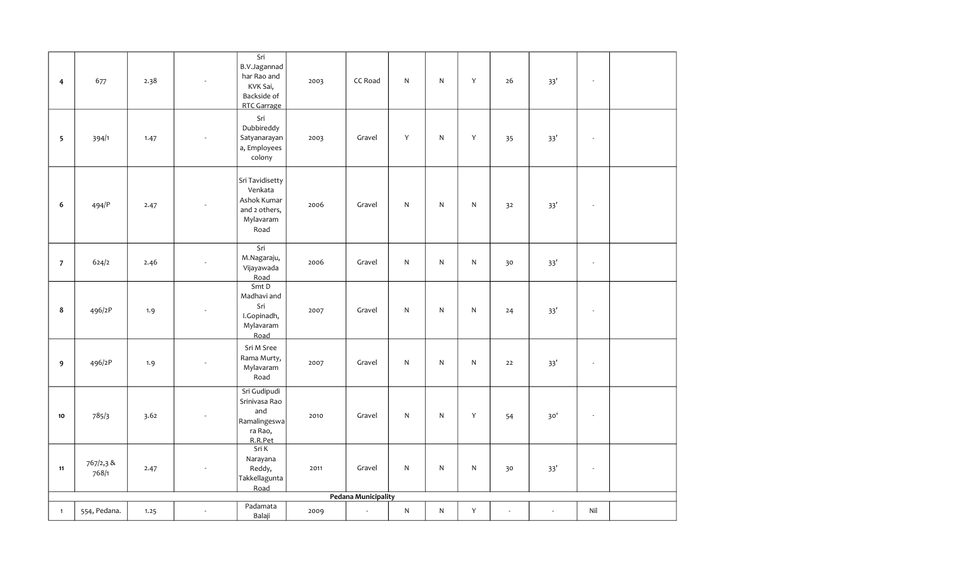| 4              | 677                | 2.38 |                          | $\overline{\text{Sri}}$<br>B.V.Jagannad<br>har Rao and<br>KVK Sai,<br>Backside of<br>RTC Garrage | 2003 | CC Road                    | N         | N            | $\mathsf{Y}$ | 26 | 33'   | $\overline{\phantom{a}}$    |  |
|----------------|--------------------|------|--------------------------|--------------------------------------------------------------------------------------------------|------|----------------------------|-----------|--------------|--------------|----|-------|-----------------------------|--|
| $\sqrt{5}$     | 394/1              | 1.47 |                          | Sri<br>Dubbireddy<br>Satyanarayan<br>a, Employees<br>colony                                      | 2003 | Gravel                     | Y         | $\mathsf{N}$ | Y            | 35 | 33'   | $\overline{\phantom{a}}$    |  |
| 6              | 494/P              | 2.47 |                          | Sri Tavidisetty<br>Venkata<br>Ashok Kumar<br>and 2 others,<br>Mylavaram<br>Road                  | 2006 | Gravel                     | ${\sf N}$ | $\mathsf{N}$ | ${\sf N}$    | 32 | 33'   | $\sim$                      |  |
| $\overline{7}$ | 624/2              | 2.46 | ÷,                       | $\overline{\text{Sri}}$<br>M.Nagaraju,<br>Vijayawada<br>Road                                     | 2006 | Gravel                     | N         | $\mathsf{N}$ | ${\sf N}$    | 30 | 33'   | $\sim$                      |  |
| $\bf8$         | 496/2P             | 1.9  | ÷,                       | Smt D<br>Madhavi and<br>Sri<br>I.Gopinadh,<br>Mylavaram<br>Road                                  | 2007 | Gravel                     | ${\sf N}$ | $\mathsf{N}$ | ${\sf N}$    | 24 | 33'   | $\sim$                      |  |
| 9              | 496/2P             | 1.9  |                          | Sri M Sree<br>Rama Murty,<br>Mylavaram<br>Road                                                   | 2007 | Gravel                     | N         | $\mathsf{N}$ | ${\sf N}$    | 22 | 33'   | $\overline{\phantom{a}}$    |  |
| 10             | 785/3              | 3.62 |                          | Sri Gudipudi<br>Srinivasa Rao<br>and<br>Ramalingeswa<br>ra Rao,<br>R.R.Pet                       | 2010 | Gravel                     | N         | $\mathsf{N}$ | $\mathsf{Y}$ | 54 | $30'$ | $\sim$                      |  |
| $11$           | 767/2,3 &<br>768/1 | 2.47 | $\overline{\phantom{a}}$ | Sri K<br>Narayana<br>Reddy,<br>Takkellagunta<br>Road                                             | 2011 | Gravel                     | ${\sf N}$ | $\mathsf{N}$ | $\mathsf{N}$ | 30 | 33'   | $\mathcal{L}_{\mathcal{A}}$ |  |
|                |                    |      |                          |                                                                                                  |      | <b>Pedana Municipality</b> |           |              |              |    |       |                             |  |
| $\mathbf{1}$   | 554, Pedana.       | 1.25 | $\blacksquare$           | Padamata<br>Balaji                                                                               | 2009 | $\overline{\phantom{a}}$   | ${\sf N}$ | ${\sf N}$    | Υ            |    |       | $\mathsf{Nil}$              |  |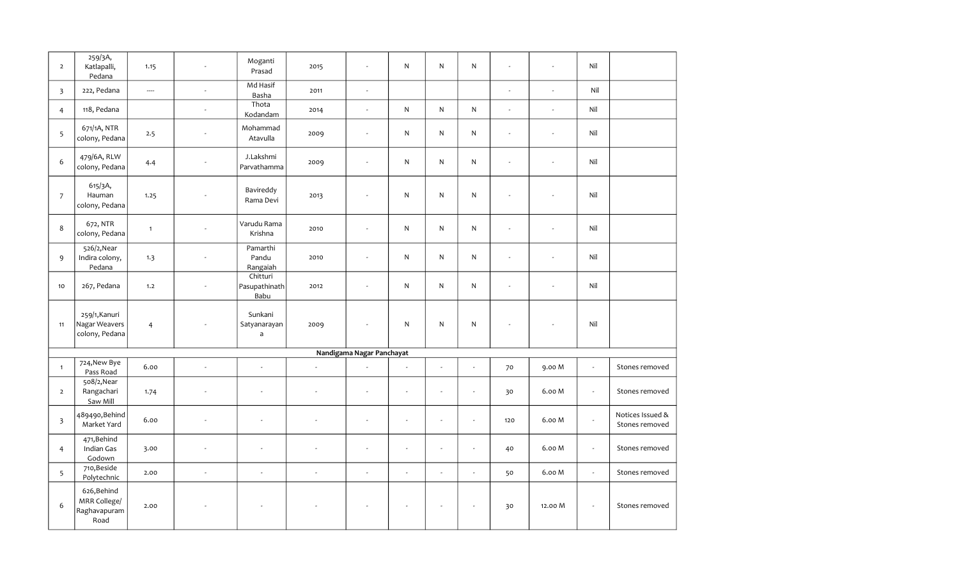| $\overline{2}$          | 259/3A,<br>Katlapalli,<br>Pedana                    | 1.15           |                | Moganti<br>Prasad                 | 2015 | $\sim$                    | N              | $\mathsf{N}$   | N                        | $\overline{a}$           | ÷                        | Nil            |                                    |
|-------------------------|-----------------------------------------------------|----------------|----------------|-----------------------------------|------|---------------------------|----------------|----------------|--------------------------|--------------------------|--------------------------|----------------|------------------------------------|
| $\overline{3}$          | 222, Pedana                                         | ----           | $\mathbf{r}$   | Md Hasif<br>Basha                 | 2011 | $\sim$                    |                |                |                          | $\overline{a}$           | $\overline{a}$           | Nil            |                                    |
| $\overline{4}$          | 118, Pedana                                         |                | ÷.             | Thota<br>Kodandam                 | 2014 | $\sim$                    | N              | $\mathsf{N}$   | $\mathsf{N}$             | ÷.                       | $\overline{a}$           | Nil            |                                    |
| 5                       | 671/1A, NTR<br>colony, Pedana                       | 2.5            |                | Mohammad<br>Atavulla              | 2009 | $\sim$                    | N              | $\mathsf{N}$   | ${\sf N}$                | $\overline{a}$           | $\sim$                   | Nil            |                                    |
| 6                       | 479/6A, RLW<br>colony, Pedana                       | 4.4            | ÷,             | J.Lakshmi<br>Parvathamma          | 2009 | $\sim$                    | N              | $\mathsf{N}$   | ${\sf N}$                | ÷.                       |                          | Nil            |                                    |
| $\overline{7}$          | 615/3A,<br>Hauman<br>colony, Pedana                 | 1.25           |                | Bavireddy<br>Rama Devi            | 2013 |                           | N              | $\mathsf{N}$   | $\mathsf{N}$             | ÷,                       |                          | Nil            |                                    |
| 8                       | 672, NTR<br>colony, Pedana                          | $\mathbf{1}$   | ÷,             | Varudu Rama<br>Krishna            | 2010 | $\sim$                    | N              | $\mathsf{N}$   | $\mathsf{N}$             | $\overline{\phantom{a}}$ | $\overline{\phantom{a}}$ | Nil            |                                    |
| 9                       | 526/2, Near<br>Indira colony,<br>Pedana             | 1.3            | $\overline{a}$ | Pamarthi<br>Pandu<br>Rangaiah     | 2010 |                           | N              | $\mathsf{N}$   | $\mathsf{N}$             | $\overline{\phantom{a}}$ |                          | Nil            |                                    |
| 10                      | 267, Pedana                                         | 1.2            | ÷,             | Chitturi<br>Pasupathinath<br>Babu | 2012 | $\sim$                    | ${\sf N}$      | N              | N                        | ÷.                       | ÷.                       | Nil            |                                    |
| 11                      | 259/1, Kanuri<br>Nagar Weavers<br>colony, Pedana    | $\overline{4}$ |                | Sunkani<br>Satyanarayan<br>a      | 2009 | $\sim$                    | N              | N              | ${\sf N}$                | ÷,                       |                          | Nil            |                                    |
|                         |                                                     |                |                |                                   |      | Nandigama Nagar Panchayat |                |                |                          |                          |                          |                |                                    |
| $\mathbf{1}$            | 724, New Bye<br>Pass Road                           | 6.00           | $\mathbf{r}$   | $\sim$                            |      |                           | $\overline{a}$ | $\sim$         | ÷,                       | 70                       | 9.00 M                   | $\mathbb{Z}^2$ | Stones removed                     |
| $\overline{2}$          | 508/2, Near<br>Rangachari<br>Saw Mill               | 1.74           |                |                                   |      |                           |                | ÷,             |                          | 30                       | 6.00 M                   | $\blacksquare$ | Stones removed                     |
| $\overline{\mathbf{3}}$ | 489490, Behind<br>Market Yard                       | 6.00           | ÷,             | $\sim$                            |      |                           | $\sim$         | $\sim$         | ÷,                       | 120                      | 6.00 M                   | $\omega$       | Notices Issued &<br>Stones removed |
| $\overline{4}$          | 471, Behind<br>Indian Gas<br>Godown                 | 3.00           | ÷,             | $\overline{\phantom{a}}$          |      |                           | $\sim$         | $\sim$         | ÷,                       | 40                       | 6.00 M                   | $\omega$       | Stones removed                     |
| 5                       | 710, Beside<br>Polytechnic                          | 2.00           | L.             | $\sim$                            |      |                           | $\sim$         | ÷,             | $\overline{\phantom{a}}$ | 50                       | 6.00 M                   | $\omega$       | Stones removed                     |
| 6                       | 626, Behind<br>MRR College/<br>Raghavapuram<br>Road | 2.00           |                |                                   |      |                           |                | $\blacksquare$ |                          | 30                       | 12.00 M                  | $\sim$         | Stones removed                     |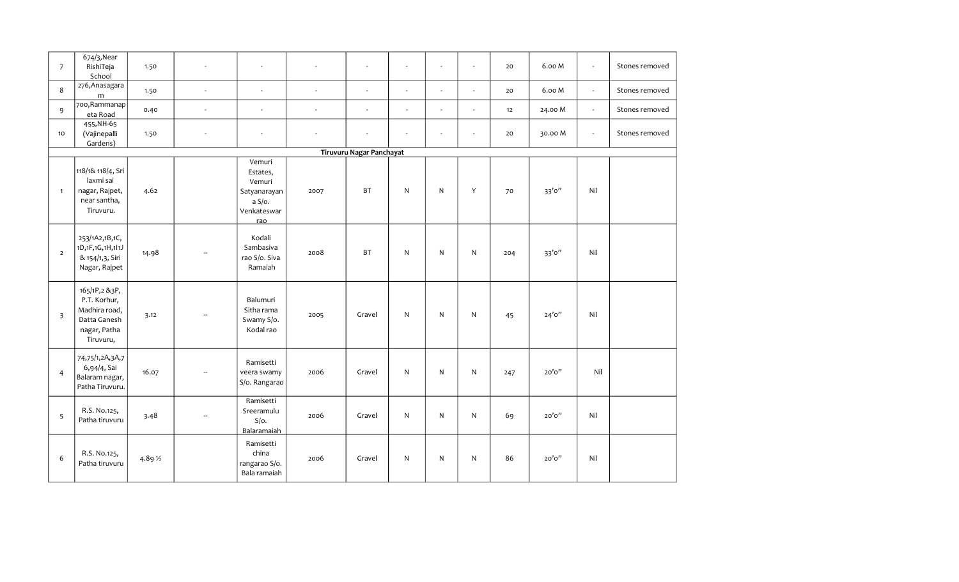| $\overline{7}$          | 674/3, Near<br>RishiTeja<br>School                                                          | 1.50     | $\overline{\phantom{a}}$ | $\sim$                                                                       |          | $\sim$                   | $\sim$         | $\sim$ | $\sim$                   | 20  | 6.00 M  | $\blacksquare$ | Stones removed |
|-------------------------|---------------------------------------------------------------------------------------------|----------|--------------------------|------------------------------------------------------------------------------|----------|--------------------------|----------------|--------|--------------------------|-----|---------|----------------|----------------|
| 8                       | 276, Anasagara<br>m                                                                         | 1.50     | $\mathbf{r}$             | $\sim$                                                                       | $\sim$   | $\sim$                   | $\sim$         | $\sim$ | ÷.                       | 20  | 6.00 M  | $\omega$       | Stones removed |
| 9                       | 700, Rammanap<br>eta Road                                                                   | 0.40     | $\overline{\phantom{a}}$ | $\sim$                                                                       | $\omega$ | $\sim$                   | $\blacksquare$ | $\sim$ | $\overline{\phantom{a}}$ | 12  | 24.00 M | $\omega$       | Stones removed |
| 10                      | 455, NH-65<br>(Vajinepalli<br>Gardens)                                                      | 1.50     | $\mathbf{r}$             | $\omega$                                                                     | $\omega$ | $\sim$                   | $\blacksquare$ | $\sim$ | $\overline{\phantom{a}}$ | 20  | 30.00 M | $\omega$       | Stones removed |
|                         |                                                                                             |          |                          |                                                                              |          | Tiruvuru Nagar Panchayat |                |        |                          |     |         |                |                |
| $\mathbf{1}$            | 118/1& 118/4, Sri<br>laxmi sai<br>nagar, Rajpet,<br>near santha,<br>Tiruvuru.               | 4.62     |                          | Vemuri<br>Estates,<br>Vemuri<br>Satyanarayan<br>a S/O.<br>Venkateswar<br>rao | 2007     | <b>BT</b>                | $\mathsf{N}$   | N      | Y                        | 70  | 33'0"   | Nil            |                |
| $\overline{2}$          | 253/1A2,1B,1C,<br>1D,1F,1G,1H,1l1J<br>& 154/1,3, Siri<br>Nagar, Rajpet                      | 14.98    |                          | Kodali<br>Sambasiva<br>rao S/o. Siva<br>Ramaiah                              | 2008     | <b>BT</b>                | ${\sf N}$      | N      | $\mathsf{N}$             | 204 | 33'0"   | Nil            |                |
| $\overline{\mathbf{3}}$ | 165/1P,2 &3P,<br>P.T. Korhur,<br>Madhira road,<br>Datta Ganesh<br>nagar, Patha<br>Tiruvuru, | 3.12     |                          | Balumuri<br>Sitha rama<br>Swamy S/o.<br>Kodal rao                            | 2005     | Gravel                   | N              | N      | ${\sf N}$                | 45  | 24'0''  | Nil            |                |
| $\overline{4}$          | 74,75/1,2A,3A,7<br>6,94/4, Sai<br>Balaram nagar,<br>Patha Tiruvuru.                         | 16.07    | u.                       | Ramisetti<br>veera swamy<br>S/o. Rangarao                                    | 2006     | Gravel                   | ${\sf N}$      | N      | $\mathsf{N}$             | 247 | 20'0''  | Nil            |                |
| 5                       | R.S. No.125,<br>Patha tiruvuru                                                              | 3.48     | $\sim$                   | Ramisetti<br>Sreeramulu<br>$S/O$ .<br>Balaramaiah                            | 2006     | Gravel                   | $\mathsf{N}$   | N      | $\mathsf{N}$             | 69  | 20'0''  | Nil            |                |
| 6                       | R.S. No.125,<br>Patha tiruvuru                                                              | 4.89 1/2 |                          | Ramisetti<br>china<br>rangarao S/o.<br>Bala ramaiah                          | 2006     | Gravel                   | ${\sf N}$      | N      | $\mathsf{N}$             | 86  | 20'0''  | Nil            |                |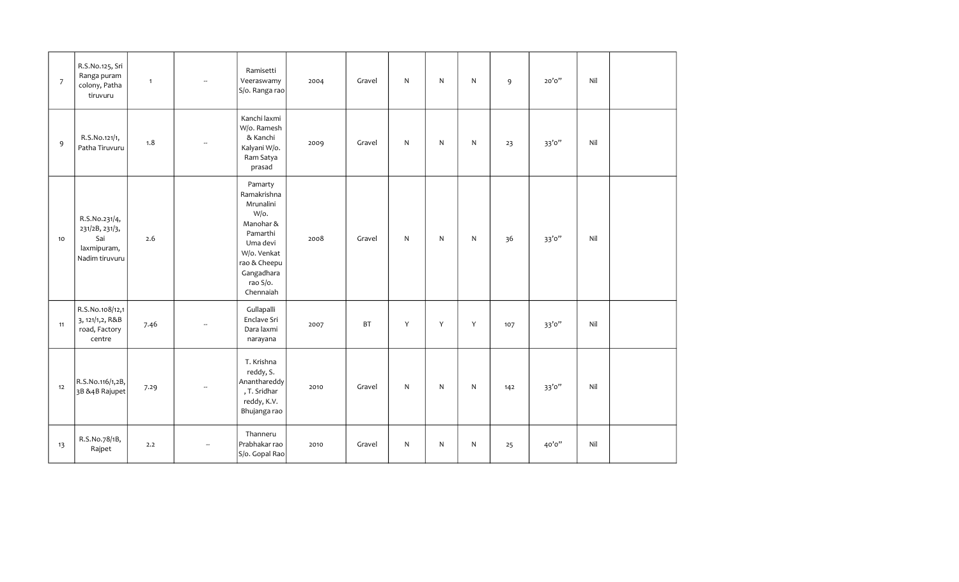| $\overline{7}$ | R.S.No.125, Sri<br>Ranga puram<br>colony, Patha<br>tiruvuru             | $\mathbf{1}$ | $\overline{\phantom{a}}$ | Ramisetti<br>Veeraswamy<br>S/o. Ranga rao                                                                                                              | 2004 | Gravel    | $\mathsf{N}$ | $\mathsf{N}$ | $\mathsf{N}$ | 9   | 20'0'' | Nil |  |
|----------------|-------------------------------------------------------------------------|--------------|--------------------------|--------------------------------------------------------------------------------------------------------------------------------------------------------|------|-----------|--------------|--------------|--------------|-----|--------|-----|--|
| 9              | R.S.No.121/1,<br>Patha Tiruvuru                                         | 1.8          | $\overline{\phantom{a}}$ | Kanchi laxmi<br>W/o. Ramesh<br>& Kanchi<br>Kalyani W/o.<br>Ram Satya<br>prasad                                                                         | 2009 | Gravel    | N            | $\mathsf{N}$ | $\mathsf{N}$ | 23  | 33'0'' | Nil |  |
| 10             | R.S.No.231/4,<br>231/2B, 231/3,<br>Sai<br>laxmipuram,<br>Nadim tiruvuru | 2.6          |                          | Pamarty<br>Ramakrishna<br>Mrunalini<br>W/o.<br>Manohar &<br>Pamarthi<br>Uma devi<br>W/o. Venkat<br>rao & Cheepu<br>Gangadhara<br>rao S/o.<br>Chennaiah | 2008 | Gravel    | N            | N            | $\mathsf{N}$ | 36  | 33'0'' | Nil |  |
| 11             | R.S.No.108/12,1<br>3, 121/1,2, R&B<br>road, Factory<br>centre           | 7.46         | ÷.                       | Gullapalli<br>Enclave Sri<br>Dara laxmi<br>narayana                                                                                                    | 2007 | <b>BT</b> | Y            | Y            | Y            | 107 | 33'0'' | Nil |  |
| 12             | R.S.No.116/1,2B,<br>3B & 4B Rajupet                                     | 7.29         | $\overline{\phantom{a}}$ | T. Krishna<br>reddy, S.<br>Ananthareddy<br>, T. Sridhar<br>reddy, K.V.<br>Bhujanga rao                                                                 | 2010 | Gravel    | N            | $\mathsf{N}$ | N            | 142 | 33'0'' | Nil |  |
| 13             | R.S.No.78/1B,<br>Rajpet                                                 | 2.2          |                          | Thanneru<br>Prabhakar rao<br>S/o. Gopal Rao                                                                                                            | 2010 | Gravel    | N            | $\mathsf{N}$ | N            | 25  | 40'0'' | Nil |  |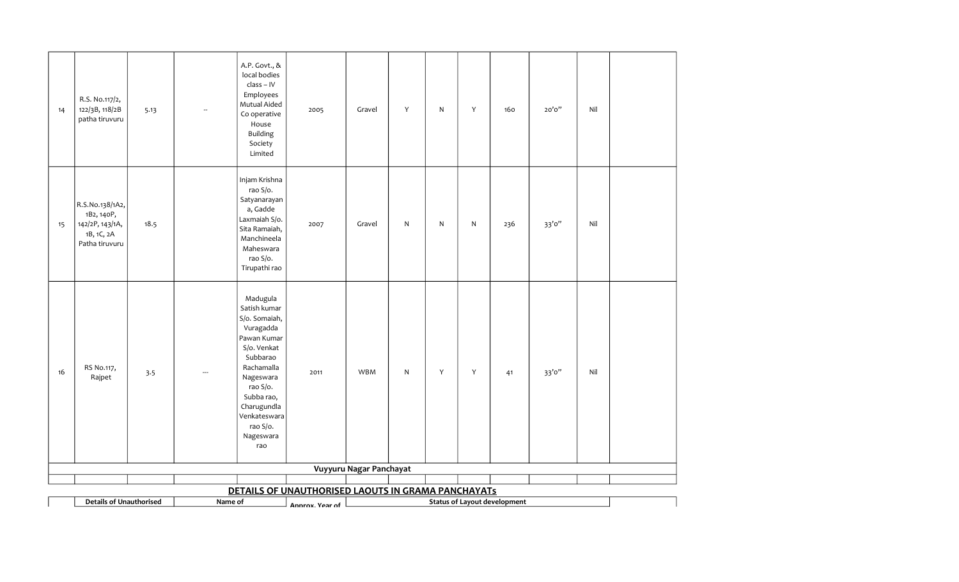| 14 | R.S. No.117/2,<br>122/3B, 118/2B<br>patha tiruvuru                               | 5.13 | $\overline{\phantom{a}}$ | A.P. Govt., &<br>local bodies<br>class - IV<br>Employees<br>Mutual Aided<br>Co operative<br>House<br><b>Building</b><br>Society<br>Limited                                                                           | 2005                                               | Gravel                  | Υ         | $\mathsf{N}$ | Y         | 160                                 | 20'0'' | Nil |  |
|----|----------------------------------------------------------------------------------|------|--------------------------|----------------------------------------------------------------------------------------------------------------------------------------------------------------------------------------------------------------------|----------------------------------------------------|-------------------------|-----------|--------------|-----------|-------------------------------------|--------|-----|--|
| 15 | R.S.No.138/1A2,<br>1B2, 140P,<br>142/2P, 143/1A,<br>1B, 1C, 2A<br>Patha tiruvuru | 18.5 |                          | Injam Krishna<br>rao S/o.<br>Satyanarayan<br>a, Gadde<br>Laxmaiah S/o.<br>Sita Ramaiah,<br>Manchineela<br>Maheswara<br>rao S/o.<br>Tirupathi rao                                                                     | 2007                                               | Gravel                  | ${\sf N}$ | $\mathsf{N}$ | ${\sf N}$ | 236                                 | 33'0"  | Nil |  |
| 16 | RS No.117,<br>Rajpet                                                             | 3.5  | $\overline{\phantom{a}}$ | Madugula<br>Satish kumar<br>S/o. Somaiah,<br>Vuragadda<br>Pawan Kumar<br>S/o. Venkat<br>Subbarao<br>Rachamalla<br>Nageswara<br>rao S/o.<br>Subba rao,<br>Charugundla<br>Venkateswara<br>rao S/o.<br>Nageswara<br>rao | 2011                                               | <b>WBM</b>              | ${\sf N}$ | Y            | Y         | 41                                  | 33'0"  | Nil |  |
|    |                                                                                  |      |                          |                                                                                                                                                                                                                      |                                                    | Vuyyuru Nagar Panchayat |           |              |           |                                     |        |     |  |
|    |                                                                                  |      |                          |                                                                                                                                                                                                                      | DETAILS OF UNAUTHORISED LAOUTS IN GRAMA PANCHAYATS |                         |           |              |           |                                     |        |     |  |
|    | <b>Details of Unauthorised</b>                                                   |      | Name of                  |                                                                                                                                                                                                                      | Annrox. Year of                                    |                         |           |              |           | <b>Status of Layout development</b> |        |     |  |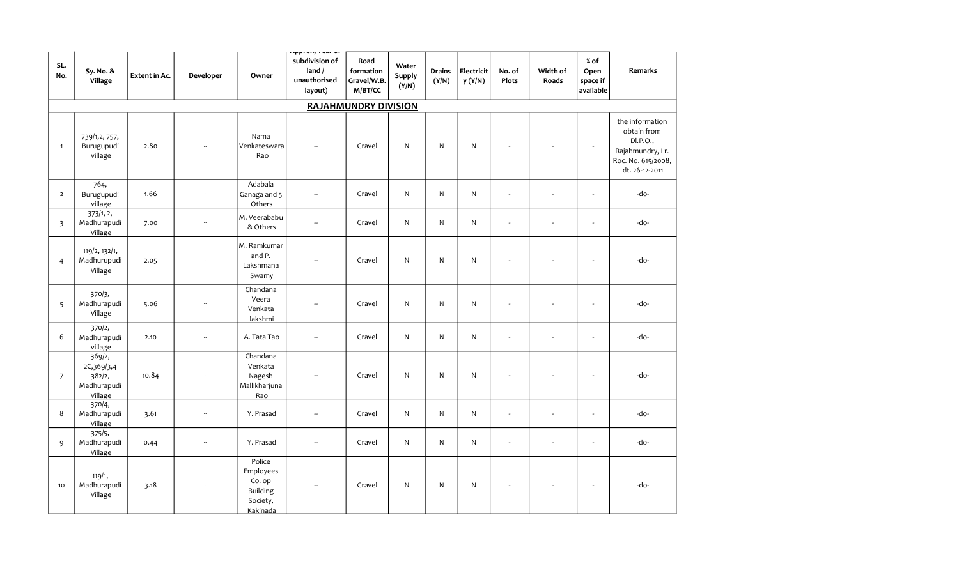| SL.<br>No.     | Sy. No. &<br>Village                                     | <b>Extent in Ac.</b> | Developer                | Owner                                                                    | nippi vay i sur vi<br>subdivision of<br>land /<br>unauthorised<br>layout) | Road<br>formation<br>Gravel/W.B.<br>M/BT/CC | Water<br>Supply<br>(Y/N) | <b>Drains</b><br>(Y/N) | Electricit<br>y (Y/N) | No. of<br><b>Plots</b>   | Width of<br>Roads | $%$ of<br>Open<br>space if<br>available | Remarks                                                                                                |
|----------------|----------------------------------------------------------|----------------------|--------------------------|--------------------------------------------------------------------------|---------------------------------------------------------------------------|---------------------------------------------|--------------------------|------------------------|-----------------------|--------------------------|-------------------|-----------------------------------------|--------------------------------------------------------------------------------------------------------|
|                |                                                          |                      |                          |                                                                          |                                                                           | <b>RAJAHMUNDRY DIVISION</b>                 |                          |                        |                       |                          |                   |                                         |                                                                                                        |
| $\mathbf{1}$   | 739/1,2, 757,<br>Burugupudi<br>village                   | 2.80                 |                          | Nama<br>Venkateswara<br>Rao                                              | ÷.                                                                        | Gravel                                      | $\mathsf{N}$             | ${\sf N}$              | $\mathsf{N}$          |                          |                   | $\omega$                                | the information<br>obtain from<br>DI.P.O.,<br>Rajahmundry, Lr.<br>Roc. No. 615/2008,<br>dt. 26-12-2011 |
| $\overline{2}$ | 764,<br>Burugupudi<br>village                            | 1.66                 | $\overline{\phantom{a}}$ | Adabala<br>Ganaga and 5<br>Others                                        | $\overline{\phantom{a}}$                                                  | Gravel                                      | $\mathsf{N}$             | N.                     | N                     | $\overline{\phantom{a}}$ | ÷,                | $\blacksquare$                          | -do-                                                                                                   |
| $\overline{3}$ | 373/1, 2,<br>Madhurapudi<br>Village                      | 7.00                 | Ξ.                       | M. Veerababu<br>& Others                                                 | $\overline{\phantom{a}}$                                                  | Gravel                                      | N                        | N                      | N                     | $\sim$                   | $\overline{a}$    | $\blacksquare$                          | -do-                                                                                                   |
| $\overline{4}$ | 119/2, 132/1,<br>Madhurupudi<br>Village                  | 2.05                 |                          | M. Ramkumar<br>and P.<br>Lakshmana<br>Swamy                              | $\overline{\phantom{a}}$                                                  | Gravel                                      | N                        | N                      | N                     | ÷,                       |                   | $\blacksquare$                          | -do-                                                                                                   |
| 5              | 370/3,<br>Madhurapudi<br>Village                         | 5.06                 | Ξ.                       | Chandana<br>Veera<br>Venkata<br>lakshmi                                  | $\sim$                                                                    | Gravel                                      | N                        | N.                     | N                     | ÷,                       |                   | $\tilde{\phantom{a}}$                   | -do-                                                                                                   |
| 6              | 370/2,<br>Madhurapudi<br>village                         | 2.10                 | $\overline{\phantom{a}}$ | A. Tata Tao                                                              | $\overline{\phantom{a}}$                                                  | Gravel                                      | $\mathsf{N}$             | N                      | $\mathsf{N}$          | $\sim$                   | ÷,                | $\blacksquare$                          | -do-                                                                                                   |
| $\overline{7}$ | 369/2,<br>2C,369/3,4<br>382/2,<br>Madhurapudi<br>Village | 10.84                | $\overline{\phantom{a}}$ | Chandana<br>Venkata<br>Nagesh<br>Mallikharjuna<br>Rao                    | $\overline{\phantom{a}}$                                                  | Gravel                                      | $\mathsf{N}$             | N                      | $\mathsf{N}$          | ÷,                       |                   | $\overline{\phantom{a}}$                | -do-                                                                                                   |
| 8              | 370/4,<br>Madhurapudi<br>Village                         | 3.61                 | $\overline{\phantom{a}}$ | Y. Prasad                                                                | $\overline{\phantom{a}}$                                                  | Gravel                                      | $\mathsf{N}$             | $\mathsf{N}$           | $\mathsf{N}$          | $\sim$                   | ÷.                | $\sim$                                  | -do-                                                                                                   |
| 9              | 375/5,<br>Madhurapudi<br>Village                         | 0.44                 | $\overline{\phantom{a}}$ | Y. Prasad                                                                | $\overline{\phantom{a}}$                                                  | Gravel                                      | $\mathsf{N}$             | $\mathsf{N}$           | $\mathsf{N}$          | $\overline{a}$           | ÷,                | $\overline{\phantom{a}}$                | -do-                                                                                                   |
| 10             | 119/1,<br>Madhurapudi<br>Village                         | 3.18                 |                          | Police<br>Employees<br>Co. op<br><b>Building</b><br>Society,<br>Kakinada | $\sim$                                                                    | Gravel                                      | $\mathsf{N}$             | N                      | N                     | $\overline{\phantom{a}}$ |                   | $\blacksquare$                          | -do-                                                                                                   |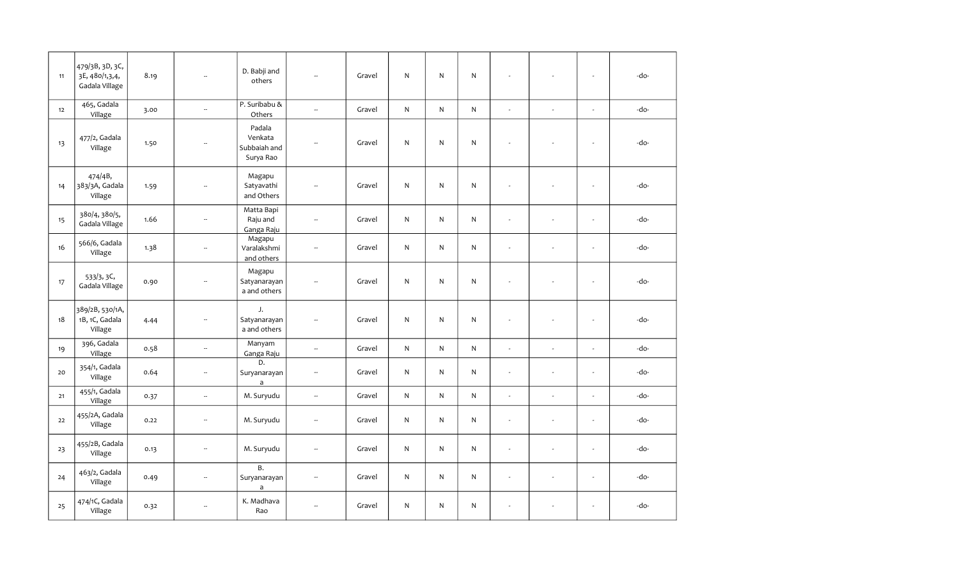| 11   | 479/3B, 3D, 3C,<br>3E, 480/1,3,4,<br>Gadala Village | 8.19 | L.                       | D. Babji and<br>others                         | $\sim$                   | Gravel | N | N            | N            |                |                | $\sim$                   | -do- |
|------|-----------------------------------------------------|------|--------------------------|------------------------------------------------|--------------------------|--------|---|--------------|--------------|----------------|----------------|--------------------------|------|
| 12   | 465, Gadala<br>Village                              | 3.00 | $\sim$                   | P. Suribabu &<br>Others                        | Ξ.                       | Gravel | N | N            | N            | $\sim$         | $\sim$         | $\blacksquare$           | -do- |
| 13   | 477/2, Gadala<br>Village                            | 1.50 | ÷.                       | Padala<br>Venkata<br>Subbaiah and<br>Surya Rao | $\sim$                   | Gravel | N | N            | ${\sf N}$    | L.             |                | $\omega$                 | -do- |
| 14   | 474/4B,<br>383/3A, Gadala<br>Village                | 1.59 | $\sim$                   | Magapu<br>Satyavathi<br>and Others             | $\overline{\phantom{a}}$ | Gravel | N | $\mathsf{N}$ | $\mathsf{N}$ | ÷.             |                | $\sim$                   | -do- |
| 15   | 380/4, 380/5,<br>Gadala Village                     | 1.66 | $\overline{\phantom{a}}$ | Matta Bapi<br>Raju and<br>Ganga Raju           | Ξ.                       | Gravel | N | $\mathsf{N}$ | $\mathsf{N}$ | ÷,             | ÷,             | $\mathbf{r}$             | -do- |
| 16   | 566/6, Gadala<br>Village                            | 1.38 | $\overline{\phantom{a}}$ | Magapu<br>Varalakshmi<br>and others            | --                       | Gravel | N | N            | N            | u,             | ÷,             | $\overline{\phantom{a}}$ | -do- |
| 17   | 533/3, 3C,<br>Gadala Village                        | 0.90 | $\overline{\phantom{a}}$ | Magapu<br>Satyanarayan<br>a and others         | $\overline{a}$           | Gravel | N | N            | ${\sf N}$    | $\overline{a}$ |                | $\sim$                   | -do- |
| 18   | 389/2B, 530/1A,<br>1B, 1C, Gadala<br>Village        | 4.44 | ÷.                       | J.<br>Satyanarayan<br>a and others             | Ξ.                       | Gravel | N | N.           | $\mathsf{N}$ | ÷,             |                | $\mathbf{r}$             | -do- |
| 19   | 396, Gadala<br>Village                              | 0.58 | $\overline{\phantom{a}}$ | Manyam<br>Ganga Raju                           | u,                       | Gravel | N | $\mathsf{N}$ | $\mathsf{N}$ | $\omega$       | $\sim$         | $\mathbf{r}$             | -do- |
| 20   | 354/1, Gadala<br>Village                            | 0.64 | $\overline{\phantom{a}}$ | D.<br>Suryanarayan<br>$\mathsf{a}$             | --                       | Gravel | N | N            | N            | $\overline{a}$ | $\overline{a}$ | $\mathbf{r}$             | -do- |
| $21$ | 455/1, Gadala<br>Village                            | 0.37 | $\overline{\phantom{a}}$ | M. Suryudu                                     | $\overline{\phantom{a}}$ | Gravel | N | $\mathsf{N}$ | $\mathsf{N}$ | $\sim$         | ÷              | $\mathbf{r}$             | -do- |
| 22   | 455/2A, Gadala<br>Village                           | 0.22 | $\overline{\phantom{a}}$ | M. Suryudu                                     | $\overline{\phantom{a}}$ | Gravel | N | $\mathsf{N}$ | $\mathsf{N}$ | ÷,             | $\overline{a}$ | $\mathbf{r}$             | -do- |
| 23   | 455/2B, Gadala<br>Village                           | 0.13 | $\overline{\phantom{a}}$ | M. Suryudu                                     | $\overline{\phantom{a}}$ | Gravel | N | $\mathsf{N}$ | $\mathsf{N}$ | ÷,             | ÷,             | $\overline{\phantom{a}}$ | -do- |
| 24   | 463/2, Gadala<br>Village                            | 0.49 | $\overline{\phantom{a}}$ | B.<br>Suryanarayan<br>$\mathsf{a}$             | $\overline{\phantom{a}}$ | Gravel | N | N            | N            | $\blacksquare$ | ÷.             | $\overline{\phantom{a}}$ | -do- |
| 25   | 474/1C, Gadala<br>Village                           | 0.32 | $\sim$                   | K. Madhava<br>Rao                              | ш,                       | Gravel | N | N            | $\mathsf{N}$ | ÷,             |                | $\sim$                   | -do- |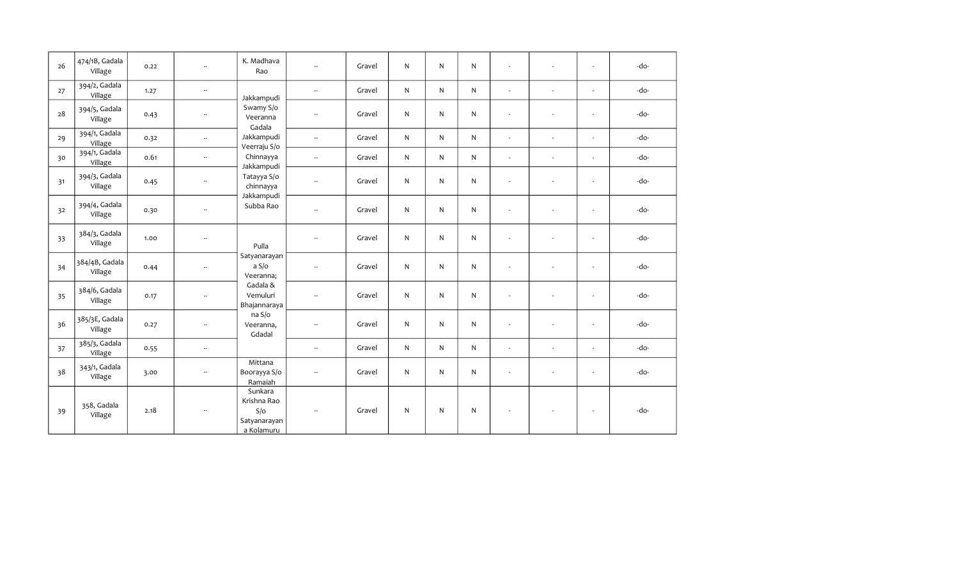| 26 | 474/1B, Gadala<br>Village | 0.22 | $\overline{\phantom{a}}$ | K. Madhava<br>Rao                                           |                          | Gravel | N  | $\mathsf{N}$ | N  | ÷.                       | ä,                       | ÷.                       | -do- |
|----|---------------------------|------|--------------------------|-------------------------------------------------------------|--------------------------|--------|----|--------------|----|--------------------------|--------------------------|--------------------------|------|
| 27 | 394/2, Gadala<br>Village  | 1.27 | $\overline{\phantom{a}}$ | Jakkampudi                                                  | $\overline{\phantom{a}}$ | Gravel | N. | $\mathsf{N}$ | N  | $\blacksquare$           | $\sim$                   | $\blacksquare$           | -do- |
| 28 | 394/5, Gadala<br>Village  | 0.43 | $\overline{\phantom{a}}$ | Swamy S/o<br>Veeranna<br>Gadala                             | $\overline{\phantom{a}}$ | Gravel | N  | $\mathsf{N}$ | N  | $\omega$                 | $\sim$                   | $\blacksquare$           | -do- |
| 29 | 394/1, Gadala<br>Village  | 0.32 | $\overline{\phantom{a}}$ | Jakkampudi<br>Veerraju S/o                                  | $\overline{\phantom{a}}$ | Gravel | N. | $\mathsf{N}$ | N. | $\omega$                 | $\sim$                   | $\omega$                 | -do- |
| 30 | 394/1, Gadala<br>Village  | 0.61 | $\overline{\phantom{a}}$ | Chinnayya<br>Jakkampudi                                     | ÷.                       | Gravel | N  | $\mathsf{N}$ | N  | $\blacksquare$           | $\sim$                   | $\blacksquare$           | -do- |
| 31 | 394/3, Gadala<br>Village  | 0.45 | $\overline{\phantom{a}}$ | Tatayya S/o<br>chinnayya                                    | $\overline{\phantom{a}}$ | Gravel | N  | $\mathsf{N}$ | N  | $\sim$                   | $\sim$                   | $\blacksquare$           | -do- |
| 32 | 394/4, Gadala<br>Village  | 0.30 | $\overline{\phantom{a}}$ | Jakkampudi<br>Subba Rao                                     | $\overline{\phantom{a}}$ | Gravel | N  | $\mathsf{N}$ | N  | $\sim$                   |                          | ÷,                       | -do- |
| 33 | 384/3, Gadala<br>Village  | 1.00 | $\overline{\phantom{a}}$ | Pulla                                                       | $\overline{a}$           | Gravel | N  | $\mathsf{N}$ | N  | $\sim$                   | $\sim$                   | $\omega$                 | -do- |
| 34 | 384/4B, Gadala<br>Village | 0.44 | $\overline{\phantom{a}}$ | Satyanarayan<br>a S/o<br>Veeranna;                          | $\overline{a}$           | Gravel | N. | $\mathsf{N}$ | N  | $\sim$                   | $\sim$                   | $\omega$                 | -do- |
| 35 | 384/6, Gadala<br>Village  | 0.17 | $\overline{\phantom{a}}$ | Gadala &<br>Vemuluri<br>Bhajannaraya                        | $\overline{\phantom{a}}$ | Gravel | N  | $\mathsf{N}$ | N  | $\overline{\phantom{a}}$ | $\sim$                   | $\omega$                 | -do- |
| 36 | 385/3E, Gadala<br>Village | 0.27 | $\overline{\phantom{a}}$ | na S/o<br>Veeranna,<br>Gdadal                               | $\overline{\phantom{a}}$ | Gravel | N  | $\mathsf{N}$ | N. | $\sim$                   | $\sim$                   | ÷,                       | -do- |
| 37 | 385/3, Gadala<br>Village  | 0.55 | $\overline{\phantom{a}}$ |                                                             | $\overline{\phantom{a}}$ | Gravel | N  | $\mathsf{N}$ | N  | $\omega$                 | $\bar{a}$                | $\blacksquare$           | -do- |
| 38 | 343/1, Gadala<br>Village  | 3.00 | $\overline{\phantom{a}}$ | Mittana<br>Boorayya S/o<br>Ramaiah                          | --                       | Gravel | N. | $\mathsf{N}$ | N  | $\blacksquare$           | $\overline{\phantom{a}}$ | $\overline{\phantom{a}}$ | -do- |
| 39 | 358, Gadala<br>Village    | 2.18 | $\overline{\phantom{a}}$ | Sunkara<br>Krishna Rao<br>S/O<br>Satyanarayan<br>a Kolamuru | $\overline{a}$           | Gravel | N  | $\mathsf{N}$ | N  | $\sim$                   | $\overline{\phantom{a}}$ | $\overline{\phantom{a}}$ | -do- |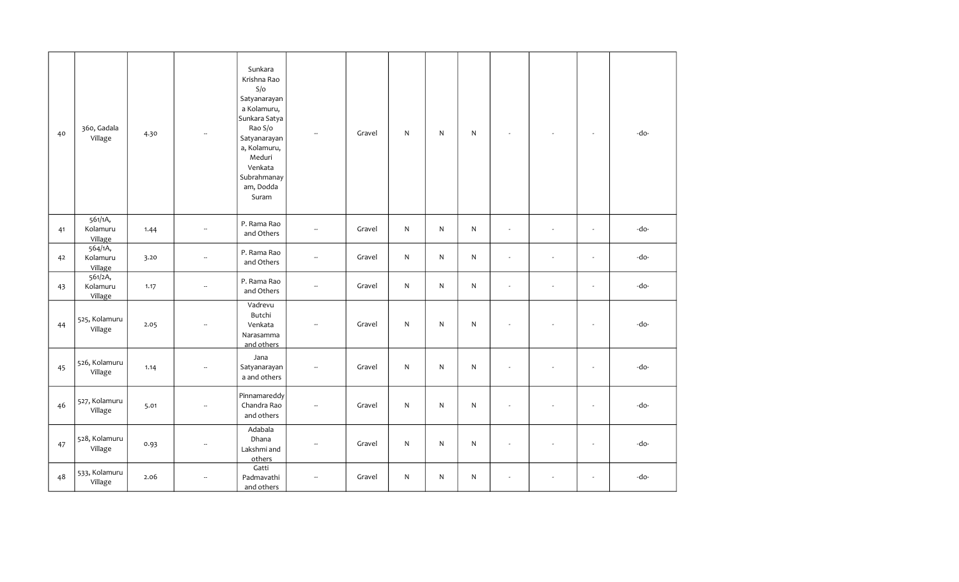| 40 | 360, Gadala<br>Village         | 4.30 |                          | Sunkara<br>Krishna Rao<br>S/O<br>Satyanarayan<br>a Kolamuru,<br>Sunkara Satya<br>Rao S/o<br>Satyanarayan<br>a, Kolamuru,<br>Meduri<br>Venkata<br>Subrahmanay<br>am, Dodda<br>Suram | $\overline{\phantom{a}}$ | Gravel | ${\sf N}$ | N | ${\sf N}$    |                          |        | $\sim$                   | -do- |
|----|--------------------------------|------|--------------------------|------------------------------------------------------------------------------------------------------------------------------------------------------------------------------------|--------------------------|--------|-----------|---|--------------|--------------------------|--------|--------------------------|------|
| 41 | 561/1A,<br>Kolamuru<br>Village | 1.44 | --                       | P. Rama Rao<br>and Others                                                                                                                                                          | --                       | Gravel | ${\sf N}$ | N | $\mathsf{N}$ | $\omega$                 | $\sim$ | $\sim$                   | -do- |
| 42 | 564/1A,<br>Kolamuru<br>Village | 3.20 | $\overline{\phantom{a}}$ | P. Rama Rao<br>and Others                                                                                                                                                          | Ξ.                       | Gravel | ${\sf N}$ | N | ${\sf N}$    | ÷.                       |        | L.                       | -do- |
| 43 | 561/2A,<br>Kolamuru<br>Village | 1.17 | $\overline{\phantom{a}}$ | P. Rama Rao<br>and Others                                                                                                                                                          | --                       | Gravel | ${\sf N}$ | N | $\mathsf{N}$ | $\overline{\phantom{a}}$ |        | $\sim$                   | -do- |
| 44 | 525, Kolamuru<br>Village       | 2.05 | $\overline{\phantom{a}}$ | Vadrevu<br>Butchi<br>Venkata<br>Narasamma<br>and others                                                                                                                            | --                       | Gravel | ${\sf N}$ | N | ${\sf N}$    | ÷,                       |        | $\overline{\phantom{a}}$ | -do- |
| 45 | 526, Kolamuru<br>Village       | 1.14 | $\overline{\phantom{a}}$ | Jana<br>Satyanarayan<br>a and others                                                                                                                                               | --                       | Gravel | ${\sf N}$ | N | ${\sf N}$    | $\blacksquare$           |        | $\sim$                   | -do- |
| 46 | 527, Kolamuru<br>Village       | 5.01 | $\overline{\phantom{a}}$ | Pinnamareddy<br>Chandra Rao<br>and others                                                                                                                                          | --                       | Gravel | ${\sf N}$ | N | ${\sf N}$    | $\blacksquare$           |        | $\overline{\phantom{a}}$ | -do- |
| 47 | 528, Kolamuru<br>Village       | 0.93 | $\overline{\phantom{a}}$ | Adabala<br>Dhana<br>Lakshmi and<br>others                                                                                                                                          | --                       | Gravel | ${\sf N}$ | N | $\mathsf{N}$ | $\sim$                   |        | $\sim$                   | -do- |
| 48 | 533, Kolamuru<br>Village       | 2.06 | $\overline{a}$           | Gatti<br>Padmavathi<br>and others                                                                                                                                                  | $\overline{\phantom{a}}$ | Gravel | ${\sf N}$ | N | ${\sf N}$    | ÷,                       |        | $\blacksquare$           | -do- |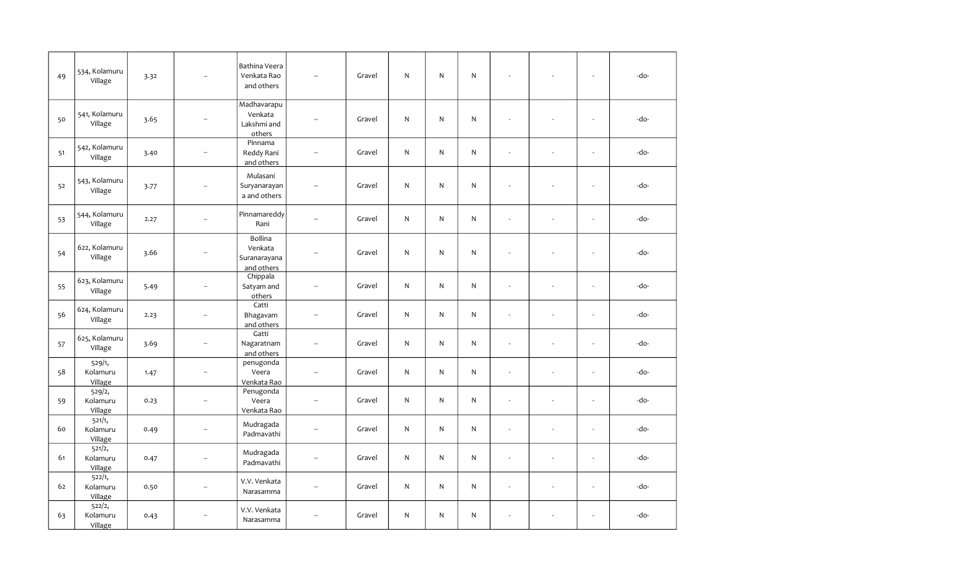| 49 | 534, Kolamuru<br>Village      | 3.32 |                          | Bathina Veera<br>Venkata Rao<br>and others       | $\overline{\phantom{a}}$ | Gravel | ${\sf N}$    | N            | ${\sf N}$ |                          |                | $\overline{\phantom{a}}$ | -do- |
|----|-------------------------------|------|--------------------------|--------------------------------------------------|--------------------------|--------|--------------|--------------|-----------|--------------------------|----------------|--------------------------|------|
| 50 | 541, Kolamuru<br>Village      | 3.65 | $\overline{\phantom{a}}$ | Madhavarapu<br>Venkata<br>Lakshmi and<br>others  | $\overline{\phantom{a}}$ | Gravel | ${\sf N}$    | $\mathsf{N}$ | ${\sf N}$ | $\sim$                   | ÷              | $\overline{\phantom{a}}$ | -do- |
| 51 | 542, Kolamuru<br>Village      | 3.40 | $\overline{\phantom{a}}$ | Pinnama<br>Reddy Rani<br>and others              | $\sim$                   | Gravel | $\mathsf{N}$ | N            | ${\sf N}$ | $\sim$                   | $\sim$         | $\overline{\phantom{a}}$ | -do- |
| 52 | 543, Kolamuru<br>Village      | 3.77 | $\overline{\phantom{a}}$ | Mulasani<br>Suryanarayan<br>a and others         | $\overline{a}$           | Gravel | ${\sf N}$    | $\mathsf{N}$ | ${\sf N}$ | $\overline{\phantom{a}}$ |                | $\blacksquare$           | -do- |
| 53 | 544, Kolamuru<br>Village      | 2.27 | $\overline{\phantom{a}}$ | Pinnamareddy<br>Rani                             | ÷.                       | Gravel | N            | N            | ${\sf N}$ | $\overline{\phantom{a}}$ | ÷,             | $\overline{\phantom{a}}$ | -do- |
| 54 | 622, Kolamuru<br>Village      | 3.66 | $\overline{\phantom{a}}$ | Bollina<br>Venkata<br>Suranarayana<br>and others | $\sim$                   | Gravel | ${\sf N}$    | $\mathsf{N}$ | ${\sf N}$ | ÷.                       | ÷,             | $\mathbf{r}$             | -do- |
| 55 | 623, Kolamuru<br>Village      | 5.49 | $\overline{\phantom{a}}$ | Chippala<br>Satyam and<br>others                 | $\overline{\phantom{a}}$ | Gravel | N            | $\mathsf{N}$ | ${\sf N}$ | ÷.                       | ÷,             | $\mathbf{r}$             | -do- |
| 56 | 624, Kolamuru<br>Village      | 2.23 | $\overline{\phantom{a}}$ | Catti<br>Bhagavam<br>and others                  | $\sim$                   | Gravel | $\mathsf{N}$ | $\mathsf{N}$ | ${\sf N}$ | ÷.                       | ÷,             | $\overline{\phantom{a}}$ | -do- |
| 57 | 625, Kolamuru<br>Village      | 3.69 | $\overline{\phantom{a}}$ | Gatti<br>Nagaratnam<br>and others                | $\overline{\phantom{a}}$ | Gravel | $\mathsf{N}$ | $\mathsf{N}$ | ${\sf N}$ | $\omega$                 | ÷,             | $\overline{\phantom{a}}$ | -do- |
| 58 | 529/1,<br>Kolamuru<br>Village | 1.47 | $\overline{\phantom{a}}$ | penugonda<br>Veera<br>Venkata Rao                | $\overline{\phantom{a}}$ | Gravel | $\mathsf{N}$ | $\mathsf{N}$ | ${\sf N}$ | $\blacksquare$           | ÷,             | $\mathbf{r}$             | -do- |
| 59 | 529/2,<br>Kolamuru<br>Village | 0.23 | $\overline{\phantom{a}}$ | Penugonda<br>Veera<br>Venkata Rao                | $\overline{\phantom{a}}$ | Gravel | $\mathsf{N}$ | N            | ${\sf N}$ | $\blacksquare$           | ÷,             | $\mathbf{r}$             | -do- |
| 60 | 521/1,<br>Kolamuru<br>Village | 0.49 | $\overline{\phantom{a}}$ | Mudragada<br>Padmavathi                          | μ.                       | Gravel | $\mathsf{N}$ | $\mathsf{N}$ | ${\sf N}$ | $\overline{\phantom{a}}$ | ÷,             | $\overline{\phantom{a}}$ | -do- |
| 61 | 521/2,<br>Kolamuru<br>Village | 0.47 | Ξ.                       | Mudragada<br>Padmavathi                          | $\overline{\phantom{a}}$ | Gravel | N            | $\mathsf{N}$ | ${\sf N}$ | $\overline{\phantom{a}}$ | ÷,             | ÷,                       | -do- |
| 62 | 522/1,<br>Kolamuru<br>Village | 0.50 | $\overline{\phantom{a}}$ | V.V. Venkata<br>Narasamma                        | $\overline{\phantom{a}}$ | Gravel | $\mathsf{N}$ | $\mathsf{N}$ | ${\sf N}$ | $\blacksquare$           | $\overline{a}$ | $\mathbf{r}$             | -do- |
| 63 | 522/2,<br>Kolamuru<br>Village | 0.43 | --                       | V.V. Venkata<br>Narasamma                        | $\overline{\phantom{a}}$ | Gravel | N            | $\mathsf{N}$ | ${\sf N}$ |                          | $\overline{a}$ | ÷,                       | -do- |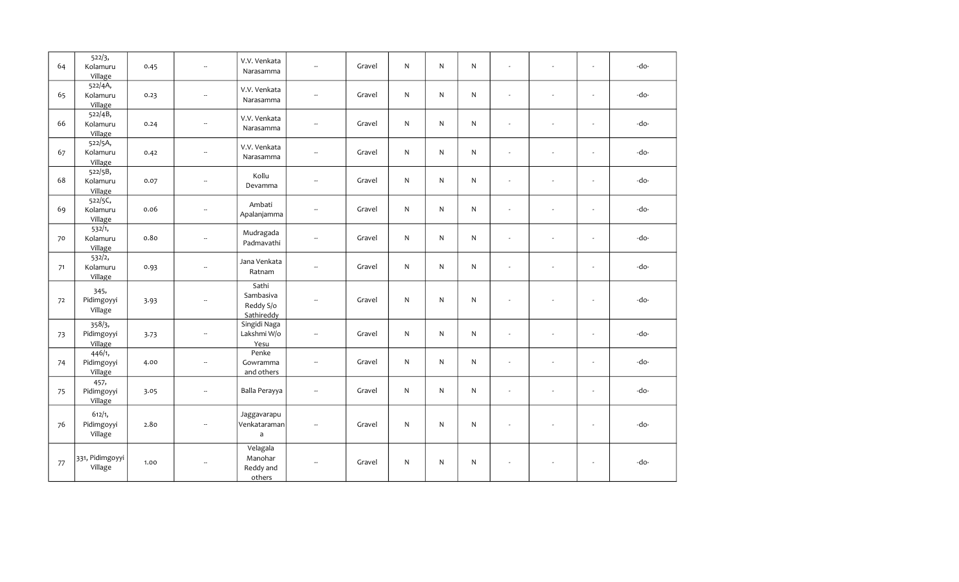| 64 | 522/3,<br>Kolamuru<br>Village   | 0.45 | $\sim$                   | V.V. Venkata<br>Narasamma                     | $\overline{\phantom{a}}$ | Gravel | N            | N            | $\mathsf{N}$ | $\sim$                   | $\sim$        | $\omega$                 | -do- |
|----|---------------------------------|------|--------------------------|-----------------------------------------------|--------------------------|--------|--------------|--------------|--------------|--------------------------|---------------|--------------------------|------|
| 65 | 522/4A,<br>Kolamuru<br>Village  | 0.23 | $\sim$                   | V.V. Venkata<br>Narasamma                     | $\overline{\phantom{m}}$ | Gravel | ${\sf N}$    | N            | N            | $\omega$                 | $\sim$        | $\blacksquare$           | -do- |
| 66 | 522/4B,<br>Kolamuru<br>Village  | 0.24 | $\overline{\phantom{a}}$ | V.V. Venkata<br>Narasamma                     | $\overline{\phantom{a}}$ | Gravel | $\mathsf{N}$ | N            | $\mathsf{N}$ | $\omega$                 | ÷.            | L.                       | -do- |
| 67 | 522/5A,<br>Kolamuru<br>Village  | 0.42 | $\overline{\phantom{a}}$ | V.V. Venkata<br>Narasamma                     | $\overline{\phantom{a}}$ | Gravel | $\mathsf{N}$ | N            | $\mathsf{N}$ | $\sim$                   | $\sim$        | $\blacksquare$           | -do- |
| 68 | 522/5B,<br>Kolamuru<br>Village  | 0.07 | $\overline{\phantom{a}}$ | Kollu<br>Devamma                              | $\overline{\phantom{m}}$ | Gravel | $\mathsf{N}$ | N            | N            | $\mathbf{r}$             | $\frac{1}{2}$ | $\blacksquare$           | -do- |
| 69 | 522/5C,<br>Kolamuru<br>Village  | 0.06 | $\overline{\phantom{a}}$ | Ambati<br>Apalanjamma                         | $\overline{\phantom{m}}$ | Gravel | ${\sf N}$    | $\mathsf{N}$ | $\mathsf{N}$ | $\omega$                 | $\sim$        | $\blacksquare$           | -do- |
| 70 | 532/1,<br>Kolamuru<br>Village   | 0.80 | $\overline{\phantom{a}}$ | Mudragada<br>Padmavathi                       | $\overline{\phantom{m}}$ | Gravel | $\mathsf{N}$ | N            | $\mathsf{N}$ | $\sim$                   | $\sim$        | $\overline{\phantom{a}}$ | -do- |
| 71 | 532/2,<br>Kolamuru<br>Village   | 0.93 | $\sim$                   | Jana Venkata<br>Ratnam                        | $\overline{\phantom{m}}$ | Gravel | $\mathsf{N}$ | N            | $\mathsf{N}$ | $\overline{\phantom{a}}$ | $\sim$        | $\overline{\phantom{a}}$ | -do- |
| 72 | 345,<br>Pidimgoyyi<br>Village   | 3.93 | $\overline{\phantom{a}}$ | Sathi<br>Sambasiva<br>Reddy S/o<br>Sathireddy | $\overline{\phantom{a}}$ | Gravel | ${\sf N}$    | N            | N            | $\overline{\phantom{a}}$ |               | $\sim$                   | -do- |
| 73 | 358/3,<br>Pidimgoyyi<br>Village | 3.73 | $\overline{\phantom{a}}$ | Singidi Naga<br>Lakshmi W/o<br>Yesu           | $\overline{\phantom{a}}$ | Gravel | $\mathsf{N}$ | N            | $\mathsf{N}$ | ÷,                       |               | $\overline{\phantom{a}}$ | -do- |
| 74 | 446/1,<br>Pidimgoyyi<br>Village | 4.00 | $\overline{\phantom{a}}$ | Penke<br>Gowramma<br>and others               | $\overline{\phantom{a}}$ | Gravel | ${\sf N}$    | $\mathsf{N}$ | ${\sf N}$    | ÷,                       |               | $\overline{\phantom{a}}$ | -do- |
| 75 | 457,<br>Pidimgoyyi<br>Village   | 3.05 | $\overline{\phantom{a}}$ | Balla Perayya                                 | $\overline{\phantom{a}}$ | Gravel | $\mathsf{N}$ | N            | $\mathsf{N}$ | ÷                        |               | $\overline{a}$           | -do- |
| 76 | 612/1,<br>Pidimgoyyi<br>Village | 2.80 | $\overline{\phantom{a}}$ | Jaggavarapu<br>Venkataraman<br>$\overline{a}$ | $\overline{\phantom{a}}$ | Gravel | N            | N            | $\mathsf{N}$ | ÷,                       |               | $\overline{\phantom{a}}$ | -do- |
| 77 | 331, Pidimgoyyi<br>Village      | 1.00 | $\overline{\phantom{a}}$ | Velagala<br>Manohar<br>Reddy and<br>others    | $\overline{\phantom{a}}$ | Gravel | N            | N            | ${\sf N}$    | $\overline{a}$           |               | $\sim$                   | -do- |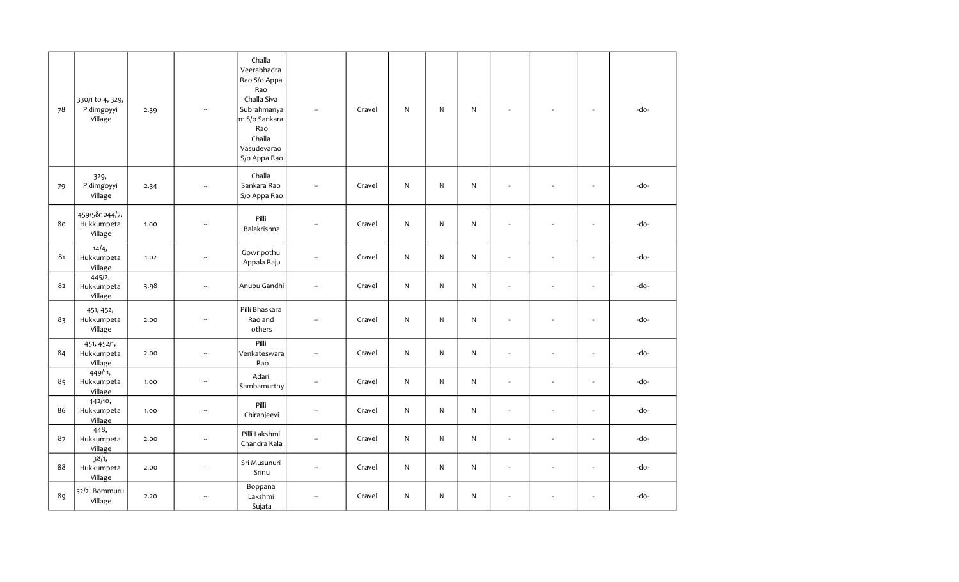| 78 | 330/1 to 4, 329,<br>Pidimgoyyi<br>Village | 2.39 | ÷.                       | Challa<br>Veerabhadra<br>Rao S/o Appa<br>Rao<br>Challa Siva<br>Subrahmanya<br>m S/o Sankara<br>Rao<br>Challa<br>Vasudevarao<br>S/o Appa Rao | Ξ.                       | Gravel | $\mathsf{N}$ | N            | $\mathsf{N}$ |                          |                          | $\mathbf{r}$             | -do- |
|----|-------------------------------------------|------|--------------------------|---------------------------------------------------------------------------------------------------------------------------------------------|--------------------------|--------|--------------|--------------|--------------|--------------------------|--------------------------|--------------------------|------|
| 79 | 329,<br>Pidimgoyyi<br>Village             | 2.34 | ÷.                       | Challa<br>Sankara Rao<br>S/o Appa Rao                                                                                                       | $\sim$                   | Gravel | N            | N            | N            | ÷.                       | $\overline{\phantom{a}}$ | $\blacksquare$           | -do- |
| 80 | 459/5&1044/7,<br>Hukkumpeta<br>Village    | 1.00 | $\overline{\phantom{a}}$ | Pilli<br>Balakrishna                                                                                                                        | --                       | Gravel | N            | N            | ${\sf N}$    | $\blacksquare$           | $\overline{a}$           | $\blacksquare$           | -do- |
| 81 | 14/4,<br>Hukkumpeta<br>Village            | 1.02 | $\overline{\phantom{a}}$ | Gowripothu<br>Appala Raju                                                                                                                   | ш,                       | Gravel | N            | $\mathsf{N}$ | $\mathsf{N}$ | $\omega$                 | ÷,                       | $\overline{\phantom{a}}$ | -do- |
| 82 | 445/2,<br>Hukkumpeta<br>Village           | 3.98 | $\overline{\phantom{a}}$ | Anupu Gandhi                                                                                                                                | --                       | Gravel | N            | N            | N            | $\blacksquare$           | $\overline{a}$           | $\blacksquare$           | -do- |
| 83 | 451, 452,<br>Hukkumpeta<br>Village        | 2.00 | $\sim$                   | Pilli Bhaskara<br>Rao and<br>others                                                                                                         | --                       | Gravel | N            | $\mathsf{N}$ | ${\sf N}$    | $\sim$                   | $\overline{\phantom{a}}$ | $\overline{\phantom{a}}$ | -do- |
| 84 | 451, 452/1,<br>Hukkumpeta<br>Village      | 2.00 | $\overline{\phantom{a}}$ | Pilli<br>Venkateswara<br>Rao                                                                                                                | u.                       | Gravel | N            | $\mathsf{N}$ | ${\sf N}$    | $\overline{a}$           | L.                       | ÷.                       | -do- |
| 85 | 449/11,<br>Hukkumpeta<br>Village          | 1.00 | $\overline{\phantom{a}}$ | Adari<br>Sambamurthy                                                                                                                        | ш,                       | Gravel | $\mathsf{N}$ | $\mathsf{N}$ | $\mathsf{N}$ | $\omega$                 | $\bar{a}$                | $\overline{\phantom{a}}$ | -do- |
| 86 | 442/10,<br>Hukkumpeta<br>Village          | 1.00 | $\overline{\phantom{a}}$ | Pilli<br>Chiranjeevi                                                                                                                        | $\overline{\phantom{a}}$ | Gravel | N            | N            | $\mathsf{N}$ | ÷.                       | ÷,                       | $\overline{\phantom{a}}$ | -do- |
| 87 | 448,<br>Hukkumpeta<br>Village             | 2.00 | $\overline{\phantom{a}}$ | Pilli Lakshmi<br>Chandra Kala                                                                                                               | Ξ.                       | Gravel | N            | $\mathsf{N}$ | $\mathsf{N}$ | ÷.                       | ÷,                       | $\overline{\phantom{a}}$ | -do- |
| 88 | 38/1,<br>Hukkumpeta<br>Village            | 2.00 | $\sim$                   | Sri Musunuri<br>Srinu                                                                                                                       | --                       | Gravel | N            | N            | N            | $\sim$                   | $\blacksquare$           | $\blacksquare$           | -do- |
| 89 | 52/2, Bommuru<br>Village                  | 2.20 | $\ddot{\phantom{a}}$     | Boppana<br>Lakshmi<br>Sujata                                                                                                                | $\overline{\phantom{a}}$ | Gravel | N            | N            | N            | $\overline{\phantom{a}}$ | $\overline{\phantom{a}}$ | $\blacksquare$           | -do- |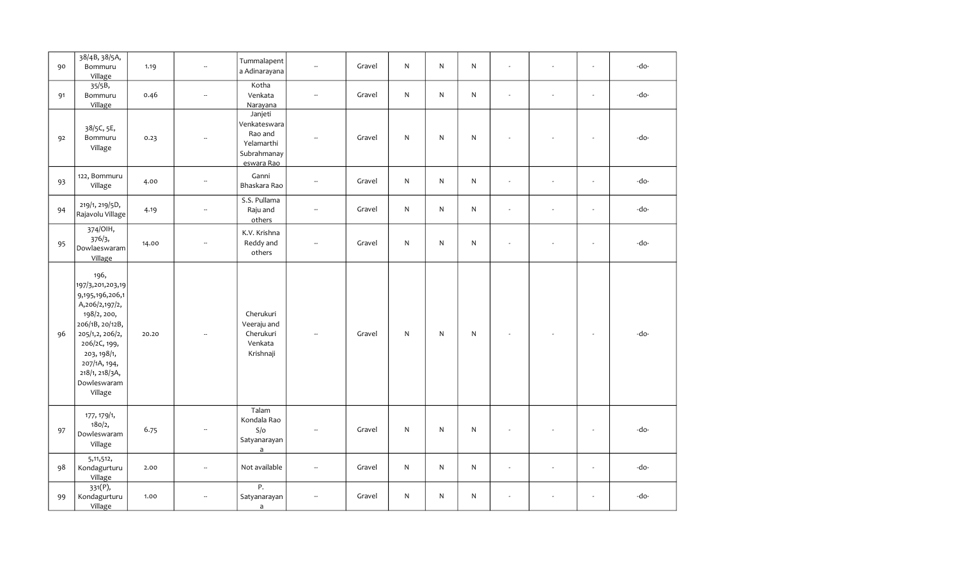| 90 | 38/4B, 38/5A,<br>Bommuru<br>Village                                                                                                                                                                           | 1.19  | $\overline{\phantom{a}}$ | Tummalapent<br>a Adinarayana                                                  | $\mathbf{r}$             | Gravel | ${\sf N}$ | N            | N            | ÷,                       | $\sim$         | -do- |
|----|---------------------------------------------------------------------------------------------------------------------------------------------------------------------------------------------------------------|-------|--------------------------|-------------------------------------------------------------------------------|--------------------------|--------|-----------|--------------|--------------|--------------------------|----------------|------|
| 91 | 35/5B,<br>Bommuru<br>Village                                                                                                                                                                                  | 0.46  | $\overline{\phantom{a}}$ | Kotha<br>Venkata<br>Narayana                                                  | Ξ.                       | Gravel | ${\sf N}$ | $\mathsf{N}$ | $\mathsf{N}$ | ÷,                       | $\sim$         | -do- |
| 92 | 38/5C, 5E,<br>Bommuru<br>Village                                                                                                                                                                              | 0.23  |                          | Janjeti<br>Venkateswara<br>Rao and<br>Yelamarthi<br>Subrahmanay<br>eswara Rao |                          | Gravel | ${\sf N}$ | $\mathsf{N}$ | ${\sf N}$    |                          |                | -do- |
| 93 | 122, Bommuru<br>Village                                                                                                                                                                                       | 4.00  | $\overline{\phantom{a}}$ | Ganni<br>Bhaskara Rao                                                         | u.                       | Gravel | ${\sf N}$ | $\mathsf{N}$ | ${\sf N}$    | $\overline{a}$           | $\overline{a}$ | -do- |
| 94 | 219/1, 219/5D,<br>Rajavolu Village                                                                                                                                                                            | 4.19  | $\overline{\phantom{a}}$ | S.S. Pullama<br>Raju and<br>others                                            | $\overline{\phantom{a}}$ | Gravel | ${\sf N}$ | $\mathsf{N}$ | $\mathsf{N}$ | $\overline{\phantom{a}}$ | $\blacksquare$ | -do- |
| 95 | 374/OIH,<br>376/3,<br>Dowlaeswaram<br>Village                                                                                                                                                                 | 14.00 | $\overline{\phantom{a}}$ | K.V. Krishna<br>Reddy and<br>others                                           | $\overline{\phantom{a}}$ | Gravel | ${\sf N}$ | $\mathsf{N}$ | N            | ÷.                       | $\sim$         | -do- |
| 96 | 196,<br>197/3,201,203,19<br>9,195,196,206,1<br>A,206/2,197/2,<br>198/2, 200,<br>206/1B, 20/12B,<br>205/1,2, 206/2,<br>206/2C, 199,<br>203, 198/1,<br>207/1A, 194,<br>218/1, 218/3A,<br>Dowleswaram<br>Village | 20.20 |                          | Cherukuri<br>Veeraju and<br>Cherukuri<br>Venkata<br>Krishnaji                 | $\sim$                   | Gravel | ${\sf N}$ | $\mathsf{N}$ | ${\sf N}$    |                          |                | -do- |
| 97 | 177, 179/1,<br>180/2,<br>Dowleswaram<br>Village                                                                                                                                                               | 6.75  | $\overline{a}$           | Talam<br>Kondala Rao<br>S/O<br>Satyanarayan<br>$\mathsf{a}$                   | --                       | Gravel | ${\sf N}$ | ${\sf N}$    | ${\sf N}$    |                          |                | -do- |
| 98 | 5, 11, 512,<br>Kondagurturu<br>Village                                                                                                                                                                        | 2.00  | $\overline{\phantom{a}}$ | Not available                                                                 | ш,                       | Gravel | ${\sf N}$ | $\mathsf{N}$ | $\mathsf{N}$ | $\overline{\phantom{a}}$ | $\blacksquare$ | -do- |
| 99 | 331(P),<br>Kondagurturu<br>Village                                                                                                                                                                            | 1.00  |                          | Ρ.<br>Satyanarayan<br>$\mathsf a$                                             | -−                       | Gravel | ${\sf N}$ | N            | N            | ÷,                       | $\blacksquare$ | -do- |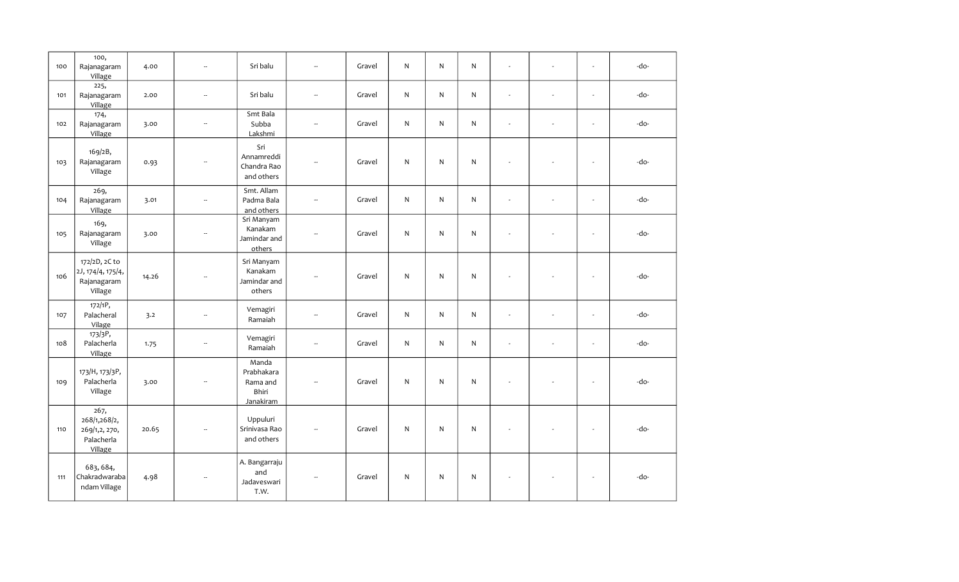| 100 | 100,<br>Rajanagaram<br>Village                                 | 4.00  | $\overline{\phantom{a}}$ | Sri balu                                                     | $\overline{\phantom{a}}$    | Gravel | $\mathsf{N}$ | $\mathsf{N}$ | $\mathsf{N}$ | $\sim$                   | $\sim$ | $\sim$                   | -do- |
|-----|----------------------------------------------------------------|-------|--------------------------|--------------------------------------------------------------|-----------------------------|--------|--------------|--------------|--------------|--------------------------|--------|--------------------------|------|
| 101 | 225,<br>Rajanagaram<br>Village                                 | 2.00  | $\overline{\phantom{a}}$ | Sri balu                                                     | $\overline{\phantom{a}}$    | Gravel | $\mathsf{N}$ | N            | $\mathsf{N}$ | $\sim$                   | ÷.     | $\sim$                   | -do- |
| 102 | 174,<br>Rajanagaram<br>Village                                 | 3.00  | $\overline{\phantom{a}}$ | Smt Bala<br>Subba<br>Lakshmi                                 | $\overline{\phantom{a}}$    | Gravel | $\mathsf{N}$ | N            | $\mathsf{N}$ | $\omega$                 |        | $\sim$                   | -do- |
| 103 | 169/2B,<br>Rajanagaram<br>Village                              | 0.93  | $\overline{\phantom{a}}$ | Sri<br>Annamreddi<br>Chandra Rao<br>and others               | $\mathcal{L}_{\mathcal{A}}$ | Gravel | ${\sf N}$    | $\mathsf{N}$ | ${\sf N}$    | $\sim$                   |        | $\sim$                   | -do- |
| 104 | 269,<br>Rajanagaram<br>Village                                 | 3.01  | $\overline{\phantom{a}}$ | Smt. Allam<br>Padma Bala<br>and others                       | $\overline{\phantom{a}}$    | Gravel | ${\sf N}$    | N            | $\mathsf{N}$ | $\overline{\phantom{a}}$ | $\sim$ | $\sim$                   | -do- |
| 105 | 169,<br>Rajanagaram<br>Village                                 | 3.00  | $\overline{\phantom{a}}$ | Sri Manyam<br>Kanakam<br>Jamindar and<br>others              | $\overline{\phantom{a}}$    | Gravel | $\mathsf{N}$ | $\mathsf{N}$ | $\mathsf{N}$ | $\sim$                   |        | $\sim$                   | -do- |
| 106 | 172/2D, 2C to<br>2J, 174/4, 175/4,<br>Rajanagaram<br>Village   | 14.26 | $\overline{\phantom{a}}$ | Sri Manyam<br>Kanakam<br>Jamindar and<br>others              | $\overline{\phantom{a}}$    | Gravel | N            | N            | N            | $\sim$                   |        | $\sim$                   | -do- |
| 107 | 172/1P,<br>Palacheral<br>Vilage                                | 3.2   | $\overline{\phantom{a}}$ | Vemagiri<br>Ramaiah                                          | $\overline{\phantom{a}}$    | Gravel | ${\sf N}$    | $\mathsf{N}$ | $\mathsf{N}$ | $\sim$                   | $\sim$ | $\sim$                   | -do- |
| 108 | 173/3P,<br>Palacherla<br>Village                               | 1.75  | $\overline{\phantom{a}}$ | Vemagiri<br>Ramaiah                                          | $\overline{\phantom{a}}$    | Gravel | $\mathsf{N}$ | $\mathsf{N}$ | $\mathsf{N}$ | $\sim$                   | $\sim$ | $\sim$                   | -do- |
| 109 | 173/H, 173/3P,<br>Palacherla<br>Village                        | 3.00  | $\overline{\phantom{a}}$ | Manda<br>Prabhakara<br>Rama and<br>Bhiri<br><b>Janakiram</b> | $\sim$                      | Gravel | ${\sf N}$    | $\mathsf{N}$ | ${\sf N}$    | $\sim$                   |        | $\overline{\phantom{a}}$ | -do- |
| 110 | 267,<br>268/1,268/2,<br>269/1,2, 270,<br>Palacherla<br>Village | 20.65 | $\sim$                   | Uppuluri<br>Srinivasa Rao<br>and others                      | $\sim$                      | Gravel | ${\sf N}$    | $\mathsf{N}$ | ${\sf N}$    | $\overline{\phantom{a}}$ |        | $\sim$                   | -do- |
| 111 | 683, 684,<br>Chakradwaraba<br>ndam Village                     | 4.98  |                          | A. Bangarraju<br>and<br>Jadaveswari<br>T.W.                  |                             | Gravel | N            | N            | N            | $\sim$                   |        | $\overline{\phantom{a}}$ | -do- |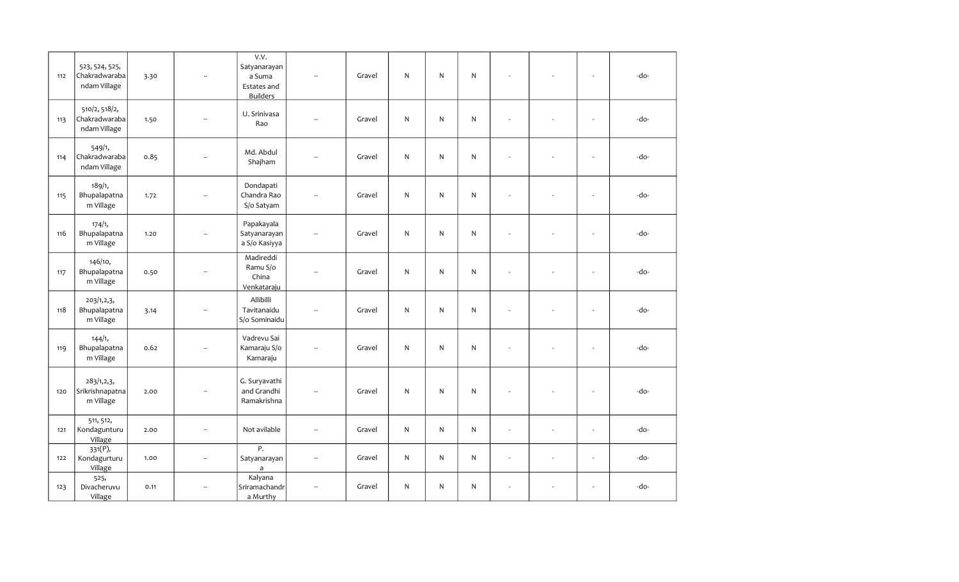|     |                                                 |      |                          | V.V.                                                     |                          |        |              |              |              |                          |                          |                          |      |
|-----|-------------------------------------------------|------|--------------------------|----------------------------------------------------------|--------------------------|--------|--------------|--------------|--------------|--------------------------|--------------------------|--------------------------|------|
| 112 | 523, 524, 525,<br>Chakradwaraba<br>ndam Village | 3.30 |                          | Satyanarayan<br>a Suma<br>Estates and<br><b>Builders</b> |                          | Gravel | N            | N            | ${\sf N}$    |                          |                          | $\mathbf{r}$             | -do- |
| 113 | 510/2, 518/2,<br>Chakradwaraba<br>ndam Village  | 1.50 | ۰.                       | U. Srinivasa<br>Rao                                      | $\sim$                   | Gravel | $\mathsf{N}$ | $\mathsf{N}$ | $\mathsf{N}$ | ÷,                       |                          | $\sim$                   | -do- |
| 114 | 549/1,<br>Chakradwaraba<br>ndam Village         | 0.85 | Ξ.                       | Md. Abdul<br>Shajham                                     | $\sim$                   | Gravel | N            | $\mathsf{N}$ | $\mathsf{N}$ | ÷,                       |                          | $\mathbf{r}$             | -do- |
| 115 | 189/1,<br>Bhupalapatna<br>m Village             | 1.72 | Ξ.                       | Dondapati<br>Chandra Rao<br>S/o Satyam                   | Ξ.                       | Gravel | N            | $\mathsf{N}$ | $\mathsf{N}$ | ÷,                       |                          | $\overline{\phantom{a}}$ | -do- |
| 116 | 174/1,<br>Bhupalapatna<br>m Village             | 1.20 |                          | Papakayala<br>Satyanarayan<br>a S/o Kasiyya              | $\frac{1}{2}$            | Gravel | N            | N            | ${\sf N}$    | ÷,                       |                          | $\sim$                   | -do- |
| 117 | 146/10,<br>Bhupalapatna<br>m Village            | 0.50 | Ξ.                       | Madireddi<br>Ramu S/o<br>China<br>Venkataraju            |                          | Gravel | N            | N            | $\mathsf{N}$ | $\overline{\phantom{a}}$ |                          | $\sim$                   | -do- |
| 118 | 203/1,2,3,<br>Bhupalapatna<br>m Village         | 3.14 | $\overline{\phantom{a}}$ | Allibilli<br>Tavitanaidu<br>S/o Sominaidu                | $\sim$                   | Gravel | $\mathsf{N}$ | N            | $\mathsf{N}$ | ÷,                       |                          | $\overline{\phantom{a}}$ | -do- |
| 119 | 144/1,<br>Bhupalapatna<br>m Village             | 0.62 | --                       | Vadrevu Sai<br>Kamaraju S/o<br>Kamaraju                  | $\overline{\phantom{a}}$ | Gravel | N            | $\mathsf{N}$ | $\mathsf{N}$ | ÷,                       |                          | $\overline{\phantom{a}}$ | -do- |
| 120 | 283/1, 2, 3,<br>Srikrishnapatna<br>m Village    | 2.00 | ÷.                       | G. Suryavathi<br>and Grandhi<br>Ramakrishna              | $\overline{a}$           | Gravel | $\mathsf{N}$ | N            | ${\sf N}$    |                          |                          | $\overline{\phantom{a}}$ | -do- |
| 121 | 511, 512,<br>Kondagunturu<br>Village            | 2.00 | --                       | Not avilable                                             | $\overline{\phantom{a}}$ | Gravel | N            | $\mathsf{N}$ | $\mathsf{N}$ | L.                       | ÷,                       | $\mathbf{r}$             | -do- |
| 122 | 331(P),<br>Kondagurturu<br>Village              | 1.00 | $\overline{\phantom{a}}$ | Ρ.<br>Satyanarayan<br>$\overline{a}$                     | $\overline{\phantom{a}}$ | Gravel | $\mathsf{N}$ | $\mathsf{N}$ | ${\sf N}$    | $\omega$                 | $\overline{\phantom{a}}$ | $\blacksquare$           | -do- |
| 123 | 525,<br>Divacheruvu<br>Village                  | 0.11 |                          | Kalyana<br>Sriramachandr<br>a Murthy                     | --                       | Gravel | N            | N            | $\mathsf{N}$ | ÷,                       |                          | $\overline{\phantom{a}}$ | -do- |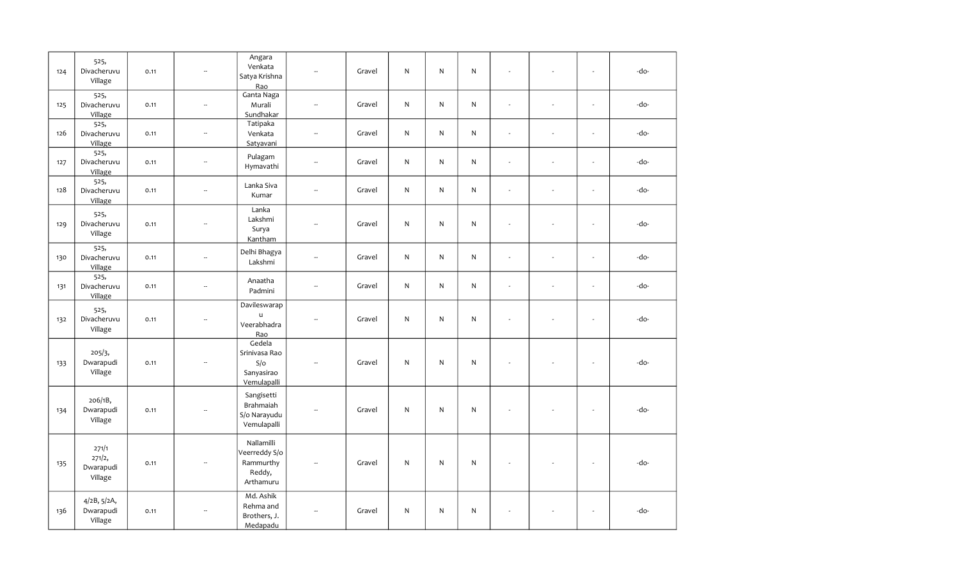| 124 | 525,<br>Divacheruvu<br>Village          | 0.11 | ÷.                       | Angara<br>Venkata<br>Satya Krishna<br>Rao                       |                          | Gravel | $\mathsf{N}$ | N            | ${\sf N}$ | $\bar{a}$                |                          | $\sim$                   | -do- |
|-----|-----------------------------------------|------|--------------------------|-----------------------------------------------------------------|--------------------------|--------|--------------|--------------|-----------|--------------------------|--------------------------|--------------------------|------|
| 125 | 525,<br>Divacheruvu<br>Village          | 0.11 | $\overline{\phantom{a}}$ | Ganta Naga<br>Murali<br>Sundhakar                               | $\overline{\phantom{a}}$ | Gravel | $\mathsf{N}$ | N            | ${\sf N}$ | $\omega$                 | $\overline{\phantom{a}}$ | $\overline{\phantom{a}}$ | -do- |
| 126 | 525,<br>Divacheruvu<br>Village          | 0.11 | $\overline{\phantom{a}}$ | Tatipaka<br>Venkata<br>Satyavani                                | $\overline{\phantom{a}}$ | Gravel | N            | N            | ${\sf N}$ | $\overline{\phantom{a}}$ | ÷,                       | ÷,                       | -do- |
| 127 | 525,<br>Divacheruvu<br>Village          | 0.11 | $\overline{\phantom{a}}$ | Pulagam<br>Hymavathi                                            | $\overline{\phantom{a}}$ | Gravel | $\mathsf{N}$ | N            | ${\sf N}$ | $\sim$                   | ÷,                       | $\mathbf{r}$             | -do- |
| 128 | 525,<br>Divacheruvu<br>Village          | 0.11 | $\overline{\phantom{a}}$ | Lanka Siva<br>Kumar                                             | $\overline{\phantom{a}}$ | Gravel | $\mathsf{N}$ | $\mathsf{N}$ | ${\sf N}$ | $\omega$                 | $\overline{\phantom{a}}$ | $\overline{\phantom{a}}$ | -do- |
| 129 | 525,<br>Divacheruvu<br>Village          | 0.11 | $\overline{\phantom{a}}$ | Lanka<br>Lakshmi<br>Surya<br>Kantham                            | $\overline{a}$           | Gravel | $\mathsf{N}$ | $\mathsf{N}$ | ${\sf N}$ | ÷.                       |                          | ä,                       | -do- |
| 130 | 525,<br>Divacheruvu<br>Village          | 0.11 | $\overline{\phantom{a}}$ | Delhi Bhagya<br>Lakshmi                                         | $\sim$                   | Gravel | N            | $\mathsf{N}$ | ${\sf N}$ | ÷.                       | ÷,                       | $\omega$                 | -do- |
| 131 | 525,<br>Divacheruvu<br>Village          | 0.11 | $\overline{\phantom{a}}$ | Anaatha<br>Padmini                                              | $\sim$                   | Gravel | $\mathsf{N}$ | $\mathsf{N}$ | ${\sf N}$ | $\bar{a}$                | ÷,                       | $\sim$                   | -do- |
| 132 | 525,<br>Divacheruvu<br>Village          | 0.11 | $\overline{\phantom{a}}$ | Davileswarap<br>$\mathbf u$<br>Veerabhadra<br>Rao               | $\sim$                   | Gravel | ${\sf N}$    | N            | ${\sf N}$ |                          | $\overline{\phantom{a}}$ | ÷,                       | -do- |
| 133 | 205/3,<br>Dwarapudi<br>Village          | 0.11 | $\overline{\phantom{a}}$ | Gedela<br>Srinivasa Rao<br>S/O<br>Sanyasirao<br>Vemulapalli     | ÷.                       | Gravel | ${\sf N}$    | N            | ${\sf N}$ |                          |                          | $\sim$                   | -do- |
| 134 | 206/1B,<br>Dwarapudi<br>Village         | 0.11 | $\overline{\phantom{a}}$ | Sangisetti<br>Brahmaiah<br>S/o Narayudu<br>Vemulapalli          |                          | Gravel | ${\sf N}$    | N            | ${\sf N}$ |                          |                          | L,                       | -do- |
| 135 | 271/1<br>271/2,<br>Dwarapudi<br>Village | 0.11 |                          | Nallamilli<br>Veerreddy S/o<br>Rammurthy<br>Reddy,<br>Arthamuru |                          | Gravel | ${\sf N}$    | N            | ${\sf N}$ |                          |                          | $\mathbf{r}$             | -do- |
| 136 | 4/2B, 5/2A,<br>Dwarapudi<br>Village     | 0.11 |                          | Md. Ashik<br>Rehma and<br>Brothers, J.<br>Medapadu              | $\overline{\phantom{a}}$ | Gravel | ${\sf N}$    | N            | ${\sf N}$ |                          |                          | $\mathbf{r}$             | -do- |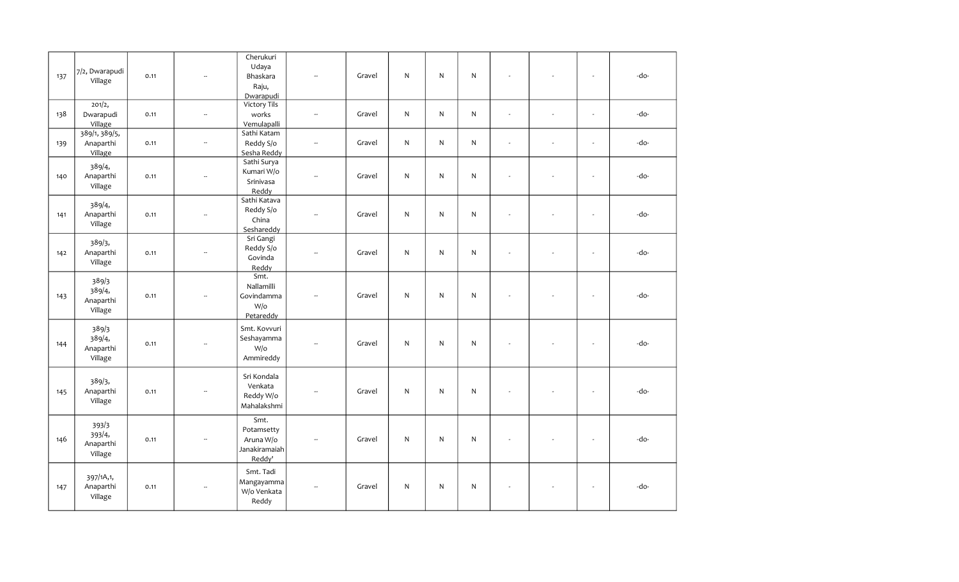| 137 | 7/2, Dwarapudi<br>Village                          | 0.11 | Ξ.                       | Cherukuri<br>Udaya<br>Bhaskara<br>Raju,<br>Dwarapudi       |                          | Gravel | $\mathsf{N}$ | N            | ${\sf N}$    |                          |                          | $\bar{\mathbf{z}}$       | -do- |
|-----|----------------------------------------------------|------|--------------------------|------------------------------------------------------------|--------------------------|--------|--------------|--------------|--------------|--------------------------|--------------------------|--------------------------|------|
| 138 | 201/2,<br>Dwarapudi<br>Village                     | 0.11 | $\overline{\phantom{a}}$ | Victory Tils<br>works<br>Vemulapalli                       | Ξ.                       | Gravel | $\mathsf{N}$ | $\mathsf{N}$ | $\mathsf{N}$ | $\omega$                 | ÷,                       | $\omega$                 | -do- |
| 139 | $\frac{1}{389}$ /1, 389/5,<br>Anaparthi<br>Village | 0.11 | $\mathbb{Z}^2$           | Sathi Katam<br>Reddy S/o<br>Sesha Reddy                    | $\overline{\phantom{a}}$ | Gravel | $\mathsf{N}$ | N            | $\mathsf{N}$ | ÷,                       | $\overline{\phantom{a}}$ | $\mathbf{r}$             | -do- |
| 140 | 389/4,<br>Anaparthi<br>Village                     | 0.11 | $\overline{\phantom{a}}$ | Sathi Surya<br>Kumari W/o<br>Srinivasa<br>Reddy            | Ξ.                       | Gravel | N            | N            | $\mathsf{N}$ | ÷.                       | ÷,                       | $\blacksquare$           | -do- |
| 141 | 389/4,<br>Anaparthi<br>Village                     | 0.11 | $\overline{\phantom{a}}$ | Sathi Katava<br>Reddy S/o<br>China<br>Seshareddy           | ă.                       | Gravel | N            | $\mathsf{N}$ | $\mathsf{N}$ | $\overline{\phantom{a}}$ | ÷,                       | $\mathbf{r}$             | -do- |
| 142 | 389/3,<br>Anaparthi<br>Village                     | 0.11 | $\sim$                   | Sri Gangi<br>Reddy S/o<br>Govinda<br>Reddy                 |                          | Gravel | $\mathsf{N}$ | N            | $\mathsf{N}$ | $\bar{a}$                |                          | $\mathbf{r}$             | -do- |
| 143 | 389/3<br>389/4,<br>Anaparthi<br>Village            | 0.11 | Ξ.                       | Smt.<br>Nallamilli<br>Govindamma<br>W/o<br>Petareddy       | Ξ.                       | Gravel | N            | N            | ${\sf N}$    | ÷.                       |                          | $\sim$                   | -do- |
| 144 | 389/3<br>389/4,<br>Anaparthi<br>Village            | 0.11 | $\sim$                   | Smt. Kovvuri<br>Seshayamma<br>$W$ / $\circ$<br>Ammireddy   | $\overline{\phantom{a}}$ | Gravel | N            | $\mathsf{N}$ | ${\sf N}$    |                          |                          | $\sim$                   | -do- |
| 145 | 389/3,<br>Anaparthi<br>Village                     | 0.11 | ۰.                       | Sri Kondala<br>Venkata<br>Reddy W/o<br>Mahalakshmi         | Ξ.                       | Gravel | N            | N            | ${\sf N}$    | ÷,                       |                          | $\overline{\phantom{a}}$ | -do- |
| 146 | 393/3<br>393/4,<br>Anaparthi<br>Village            | 0.11 | $\ddot{\phantom{a}}$     | Smt.<br>Potamsetty<br>Aruna W/o<br>Janakiramaiah<br>Reddy' | ă.                       | Gravel | N            | $\mathsf{N}$ | N            |                          |                          | $\sim$                   | -do- |
| 147 | 397/1A,1,<br>Anaparthi<br>Village                  | 0.11 |                          | Smt. Tadi<br>Mangayamma<br>W/o Venkata<br>Reddy            | ă.                       | Gravel | N            | N            | ${\sf N}$    | $\overline{\phantom{a}}$ |                          | $\sim$                   | -do- |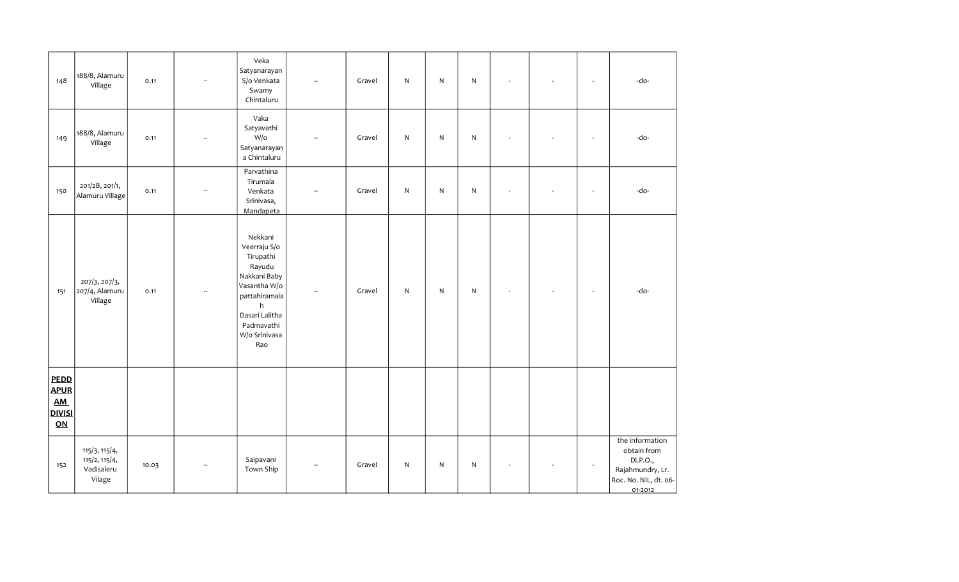| 148                                                        | 188/8, Alamuru<br>Village                              | 0.11  | $\overline{\phantom{a}}$ | Veka<br>Satyanarayan<br>S/o Venkata<br>Swamy<br>Chintaluru                                                                                                   | Ξ.                       | Gravel | ${\sf N}$ | $\mathsf{N}$ | ${\sf N}$    |                | $\overline{\phantom{a}}$ | -do-                                                                                               |
|------------------------------------------------------------|--------------------------------------------------------|-------|--------------------------|--------------------------------------------------------------------------------------------------------------------------------------------------------------|--------------------------|--------|-----------|--------------|--------------|----------------|--------------------------|----------------------------------------------------------------------------------------------------|
| 149                                                        | 188/8, Alamuru<br>Village                              | 0.11  | $\ddot{\phantom{a}}$     | Vaka<br>Satyavathi<br>W/o<br>Satyanarayan<br>a Chintaluru                                                                                                    | $\sim$                   | Gravel | ${\sf N}$ | $\mathsf{N}$ | ${\sf N}$    | $\blacksquare$ | $\sim$                   | -do-                                                                                               |
| 150                                                        | 201/2B, 201/1,<br>Alamuru Village                      | 0.11  | $\overline{\phantom{a}}$ | Parvathina<br>Tirumala<br>Venkata<br>Srinivasa,<br>Mandapeta                                                                                                 | $\overline{\phantom{a}}$ | Gravel | ${\sf N}$ | N            | $\mathsf{N}$ | ÷,             | $\overline{\phantom{a}}$ | -do-                                                                                               |
| 151                                                        | 207/3, 207/3,<br>207/4, Alamuru<br>Village             | 0.11  | $\overline{\phantom{a}}$ | Nekkani<br>Veerraju S/o<br>Tirupathi<br>Rayudu<br>Nakkani Baby<br>Vasantha W/o<br>pattahiramaia<br>h<br>Dasari Lalitha<br>Padmavathi<br>W/o Srinivasa<br>Rao | Ξ.                       | Gravel | ${\sf N}$ | $\mathsf{N}$ | ${\sf N}$    |                | $\sim$                   | -do-                                                                                               |
| <b>PEDD</b><br><b>APUR</b><br>AM.<br><b>DIVISI</b><br>$ON$ |                                                        |       |                          |                                                                                                                                                              |                          |        |           |              |              |                |                          |                                                                                                    |
| 152                                                        | 115/3, 115/4,<br>115/2, 115/4,<br>Vadisaleru<br>Vilage | 10.03 | $\overline{\phantom{a}}$ | Saipavani<br>Town Ship                                                                                                                                       | --                       | Gravel | ${\sf N}$ | N            | ${\sf N}$    | ÷,             | $\sim$                   | the information<br>obtain from<br>DI.P.O.,<br>Rajahmundry, Lr.<br>Roc. No. NIL, dt. 06-<br>01-2012 |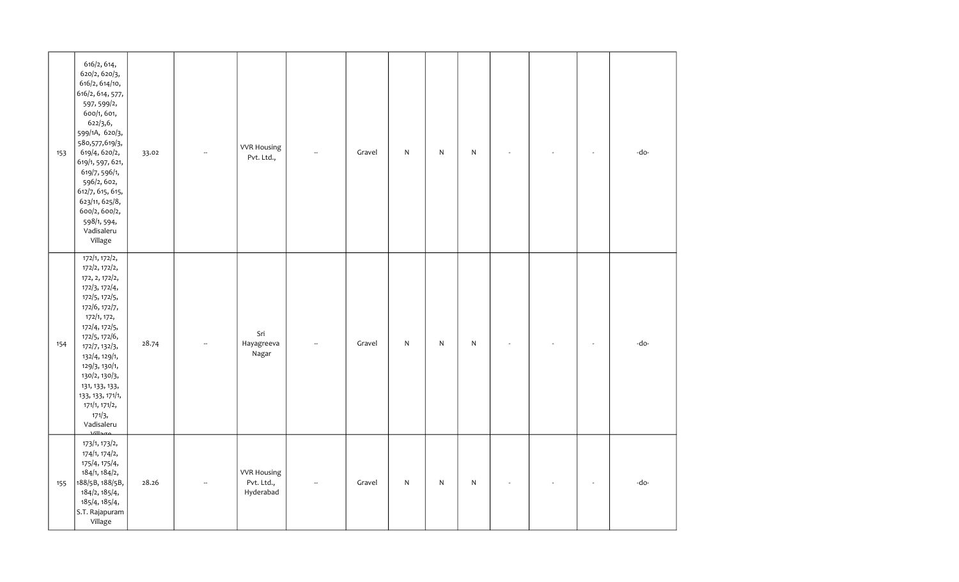| 153 | 616/2, 614,<br>620/2, 620/3,<br>616/2, 614/10,<br>616/2, 614, 577,<br>597, 599/2,<br>600/1, 601,<br>622/3,6,<br>599/1A, 620/3,<br>580,577,619/3,<br>619/4, 620/2,<br>619/1, 597, 621,<br>619/7, 596/1,<br>596/2, 602,<br>612/7, 615, 615,<br>623/11, 625/8,<br>600/2, 600/2,<br>598/1, 594,<br>Vadisaleru<br>Village                   | 33.02 | $\sim$                   | <b>VVR Housing</b><br>Pvt. Ltd.,              | $\sim$                   | Gravel | ${\sf N}$ | N            | $\mathsf{N}$ |  | ÷,                       | -do- |
|-----|----------------------------------------------------------------------------------------------------------------------------------------------------------------------------------------------------------------------------------------------------------------------------------------------------------------------------------------|-------|--------------------------|-----------------------------------------------|--------------------------|--------|-----------|--------------|--------------|--|--------------------------|------|
| 154 | $\overline{172/1, 172/2,}$<br>172/2, 172/2,<br>172, 2, 172/2,<br>172/3, 172/4,<br>172/5, 172/5,<br>172/6, 172/7,<br>172/1, 172,<br>172/4, 172/5,<br>172/5, 172/6,<br>172/7, 132/3,<br>132/4, 129/1,<br>129/3, 130/1,<br>130/2, 130/3,<br>131, 133, 133,<br>133, 133, 171/1,<br>171/1, 171/2,<br>171/3,<br>Vadisaleru<br>$\overline{1}$ | 28.74 | $\overline{\phantom{a}}$ | Sri<br>Hayagreeva<br>Nagar                    |                          | Gravel | ${\sf N}$ | $\mathsf{N}$ | $\mathsf{N}$ |  | ÷,                       | -do- |
| 155 | 173/1, 173/2,<br>174/1, 174/2,<br>175/4, 175/4,<br>184/1, 184/2,<br>188/5B, 188/5B,<br>184/2, 185/4,<br>185/4, 185/4,<br>S.T. Rajapuram<br>Village                                                                                                                                                                                     | 28.26 |                          | <b>VVR Housing</b><br>Pvt. Ltd.,<br>Hyderabad | $\overline{\phantom{a}}$ | Gravel | ${\sf N}$ | $\mathsf{N}$ | $\mathsf{N}$ |  | $\overline{\phantom{a}}$ | -do- |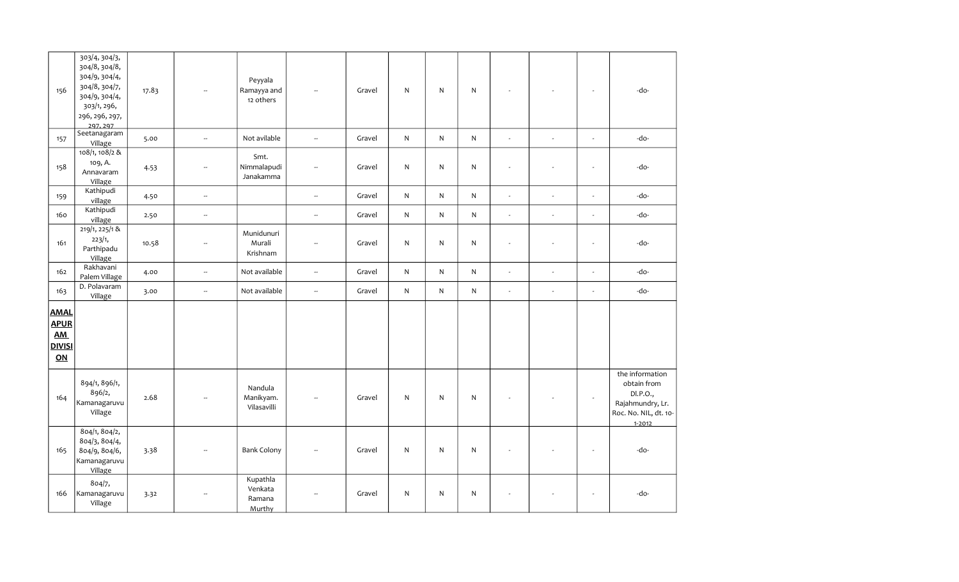| 156                                                                  | 303/4, 304/3,<br>304/8, 304/8,<br>304/9, 304/4,<br>304/8, 304/7,<br>304/9, 304/4,<br>303/1, 296,<br>296, 296, 297,<br>297.297 | 17.83 |                          | Peyyala<br>Ramayya and<br>12 others     | $\overline{a}$           | Gravel | N            | $\mathsf{N}$ | ${\sf N}$    | $\sim$         |        | ÷,                       | -do-                                                                                                  |
|----------------------------------------------------------------------|-------------------------------------------------------------------------------------------------------------------------------|-------|--------------------------|-----------------------------------------|--------------------------|--------|--------------|--------------|--------------|----------------|--------|--------------------------|-------------------------------------------------------------------------------------------------------|
| 157                                                                  | Seetanagaram<br>Village                                                                                                       | 5.00  | $\sim$                   | Not avilable                            | $\overline{\phantom{a}}$ | Gravel | $\mathsf{N}$ | ${\sf N}$    | $\mathsf{N}$ | $\omega$       | ÷,     | $\omega$                 | -do-                                                                                                  |
| 158                                                                  | 108/1, 108/2 &<br>109, A.<br>Annavaram<br>Village                                                                             | 4.53  | Ξ.                       | Smt.<br>Nimmalapudi<br>Janakamma        | $\overline{\phantom{a}}$ | Gravel | N            | $\mathsf{N}$ | ${\sf N}$    | $\blacksquare$ |        | ÷,                       | -do-                                                                                                  |
| 159                                                                  | Kathipudi<br>village                                                                                                          | 4.50  | $\overline{\phantom{a}}$ |                                         | $\overline{\phantom{a}}$ | Gravel | ${\sf N}$    | ${\sf N}$    | ${\sf N}$    | $\omega$       | $\sim$ | $\overline{a}$           | -do-                                                                                                  |
| 160                                                                  | Kathipudi<br>village                                                                                                          | 2.50  | $\overline{\phantom{a}}$ |                                         | $\overline{\phantom{a}}$ | Gravel | ${\sf N}$    | ${\sf N}$    | $\mathsf{N}$ | $\omega$       | $\sim$ | ÷,                       | -do-                                                                                                  |
| 161                                                                  | 219/1, 225/1 &<br>223/1,<br>Parthipadu<br>Village                                                                             | 10.58 | $\overline{\phantom{a}}$ | Munidunuri<br>Murali<br>Krishnam        | $\sim$                   | Gravel | N            | $\mathsf{N}$ | N            | $\omega$       | L,     | $\overline{a}$           | -do-                                                                                                  |
| 162                                                                  | Rakhavani<br>Palem Village                                                                                                    | 4.00  | u.                       | Not available                           | $\overline{\phantom{a}}$ | Gravel | ${\sf N}$    | ${\sf N}$    | N            | $\omega$       | ÷,     | $\overline{\phantom{a}}$ | -do-                                                                                                  |
| 163                                                                  | D. Polavaram<br>Village                                                                                                       | 3.00  | $\overline{\phantom{a}}$ | Not available                           | $\overline{\phantom{a}}$ | Gravel | $\mathsf{N}$ | $\mathsf{N}$ | N            | $\omega$       | $\sim$ | $\blacksquare$           | -do-                                                                                                  |
| <b>AMAL</b><br><b>APUR</b><br><b>AM</b><br><b>DIVISI</b><br>$\Omega$ |                                                                                                                               |       |                          |                                         |                          |        |              |              |              |                |        |                          |                                                                                                       |
| 164                                                                  | 894/1, 896/1,<br>896/2,<br>Kamanagaruvu<br>Village                                                                            | 2.68  |                          | Nandula<br>Manikyam.<br>Vilasavilli     |                          | Gravel | N            | $\mathsf{N}$ | ${\sf N}$    |                |        |                          | the information<br>obtain from<br>DI.P.O.,<br>Rajahmundry, Lr.<br>Roc. No. NIL, dt. 10-<br>$1 - 2012$ |
| 165                                                                  | 804/1, 804/2,<br>804/3, 804/4,<br>804/9, 804/6,<br>Kamanagaruvu<br>Village                                                    | 3.38  | $\overline{\phantom{a}}$ | <b>Bank Colony</b>                      |                          | Gravel | ${\sf N}$    | $\mathsf{N}$ | $\mathsf{N}$ | $\blacksquare$ |        | $\overline{\phantom{a}}$ | -do-                                                                                                  |
| 166                                                                  | 804/7,<br>Kamanagaruvu<br>Village                                                                                             | 3.32  | --                       | Kupathla<br>Venkata<br>Ramana<br>Murthy | $\overline{\phantom{a}}$ | Gravel | ${\sf N}$    | $\mathsf{N}$ | ${\sf N}$    | $\blacksquare$ |        | $\blacksquare$           | -do-                                                                                                  |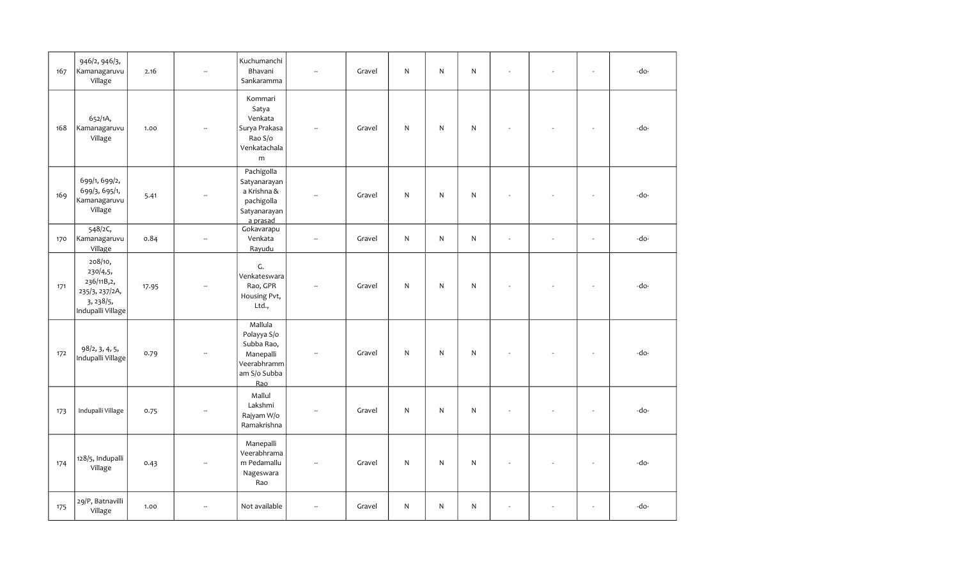| 167 | 946/2, 946/3,<br>Kamanagaruvu<br>Village                                              | 2.16  | $\mathbb{L}$             | Kuchumanchi<br>Bhavani<br>Sankaramma                                                    | $\overline{\phantom{a}}$ | Gravel | $\mathsf{N}$ | N. | N            | $\omega$                 | $\sim$ | -do- |
|-----|---------------------------------------------------------------------------------------|-------|--------------------------|-----------------------------------------------------------------------------------------|--------------------------|--------|--------------|----|--------------|--------------------------|--------|------|
| 168 | 652/1A,<br>Kamanagaruvu<br>Village                                                    | 1.00  |                          | Kommari<br>Satya<br>Venkata<br>Surya Prakasa<br>Rao S/o<br>Venkatachala<br>m            |                          | Gravel | ${\sf N}$    | N  | $\mathsf{N}$ | ÷,                       | $\sim$ | -do- |
| 169 | 699/1, 699/2,<br>699/3, 695/1,<br>Kamanagaruvu<br>Village                             | 5.41  | $\overline{\phantom{a}}$ | Pachigolla<br>Satyanarayan<br>a Krishna &<br>pachigolla<br>Satyanarayan<br>a prasad     | Ξ.                       | Gravel | $\mathsf{N}$ | N  | $\mathsf{N}$ | ÷,                       | $\sim$ | -do- |
| 170 | 548/2C,<br>Kamanagaruvu<br>Village                                                    | 0.84  | $\sim$                   | Gokavarapu<br>Venkata<br>Rayudu                                                         | $\overline{\phantom{a}}$ | Gravel | $\mathsf{N}$ | N  | $\mathsf{N}$ | ÷,                       | $\sim$ | -do- |
| 171 | 208/10,<br>230/4,5,<br>236/11B,2,<br>235/3, 237/2A,<br>3, 238/5,<br>Indupalli Village | 17.95 |                          | G.<br>Venkateswara<br>Rao, GPR<br>Housing Pvt,<br>Ltd.,                                 | $\overline{a}$           | Gravel | ${\sf N}$    | N  | ${\sf N}$    |                          |        | -do- |
| 172 | 98/2, 3, 4, 5,<br>Indupalli Village                                                   | 0.79  |                          | Mallula<br>Polayya S/o<br>Subba Rao,<br>Manepalli<br>Veerabhramm<br>am S/o Subba<br>Rao |                          | Gravel | N            | N  | $\mathsf{N}$ | ÷,                       | $\sim$ | -do- |
| 173 | Indupalli Village                                                                     | 0.75  | $\overline{\phantom{a}}$ | Mallul<br>Lakshmi<br>Rajyam W/o<br>Ramakrishna                                          | $\overline{\phantom{a}}$ | Gravel | N            | N  | N            | ÷,                       | $\sim$ | -do- |
| 174 | 128/5, Indupalli<br>Village                                                           | 0.43  |                          | Manepalli<br>Veerabhrama<br>m Pedamallu<br>Nageswara<br>Rao                             |                          | Gravel | N            | N  | N            |                          | $\sim$ | -do- |
| 175 | 29/P, Batnavilli<br>Village                                                           | 1.00  | $\sim$                   | Not available                                                                           | -−                       | Gravel | $\mathsf{N}$ | N  | $\mathsf{N}$ | $\overline{\phantom{a}}$ | $\sim$ | -do- |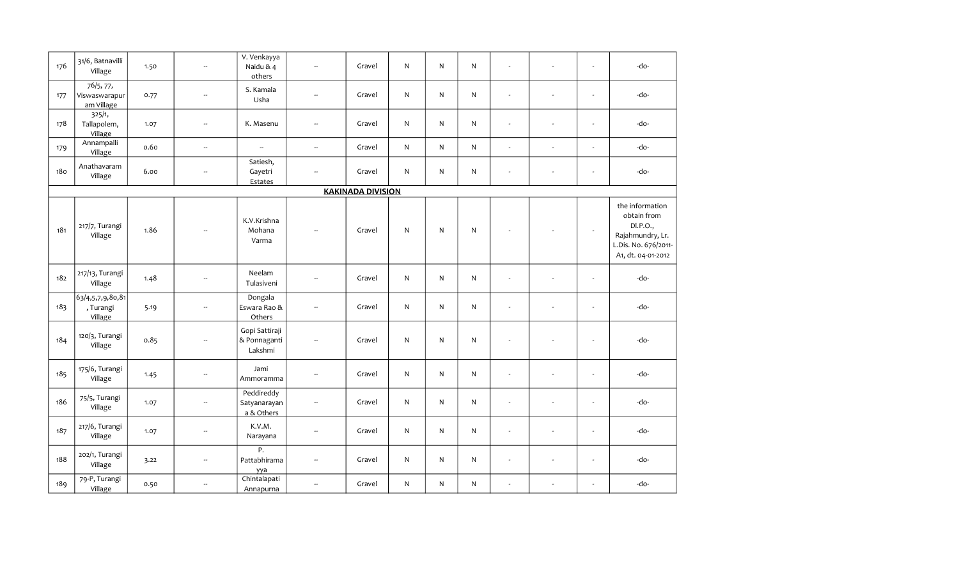| 176 | 31/6, Batnavilli<br>Village                   | 1.50 | $\overline{\phantom{a}}$ | V. Venkayya<br>Naidu & 4<br>others        | ÷.                       | Gravel                   | N | $\mathsf{N}$ | ${\sf N}$    | $\sim$ | ÷,                       | $\blacksquare$           | -do-                                                                                                         |
|-----|-----------------------------------------------|------|--------------------------|-------------------------------------------|--------------------------|--------------------------|---|--------------|--------------|--------|--------------------------|--------------------------|--------------------------------------------------------------------------------------------------------------|
| 177 | 76/5, 77,<br>Viswaswarapur<br>am Village      | 0.77 | $\overline{\phantom{a}}$ | S. Kamala<br>Usha                         | $\overline{\phantom{a}}$ | Gravel                   | N | N            | $\mathsf{N}$ | $\sim$ | $\sim$                   | $\blacksquare$           | -do-                                                                                                         |
| 178 | 325/1,<br>Tallapolem,<br>Village              | 1.07 | --                       | K. Masenu                                 | $\overline{\phantom{a}}$ | Gravel                   | N | $\mathsf{N}$ | ${\sf N}$    |        | ÷,                       | $\overline{\phantom{a}}$ | -do-                                                                                                         |
| 179 | Annampalli<br>Village                         | 0.60 | $\overline{\phantom{a}}$ | $\overline{\phantom{a}}$                  | $\overline{\phantom{a}}$ | Gravel                   | N | N            | $\mathsf{N}$ | $\sim$ | $\sim$                   | $\blacksquare$           | -do-                                                                                                         |
| 180 | Anathavaram<br>Village                        | 6.00 | $\overline{\phantom{a}}$ | Satiesh,<br>Gayetri<br>Estates            | $\overline{\phantom{a}}$ | Gravel                   | N | $\mathsf{N}$ | ${\sf N}$    | $\sim$ | ÷,                       | $\blacksquare$           | -do-                                                                                                         |
|     |                                               |      |                          |                                           |                          | <b>KAKINADA DIVISION</b> |   |              |              |        |                          |                          |                                                                                                              |
| 181 | 217/7, Turangi<br>Village                     | 1.86 | $\sim$                   | K.V.Krishna<br>Mohana<br>Varma            |                          | Gravel                   | N | $\mathsf{N}$ | $\mathsf{N}$ |        |                          | $\blacksquare$           | the information<br>obtain from<br>DI.P.O.,<br>Rajahmundry, Lr.<br>L.Dis. No. 676/2011-<br>A1, dt. 04-01-2012 |
| 182 | 217/13, Turangi<br>Village                    | 1.48 | $\overline{\phantom{m}}$ | Neelam<br>Tulasiveni                      | $\overline{\phantom{a}}$ | Gravel                   | N | $\mathsf{N}$ | ${\sf N}$    | $\sim$ | ÷,                       | $\overline{\phantom{a}}$ | -do-                                                                                                         |
| 183 | 63/4, 5, 7, 9, 80, 81<br>, Turangi<br>Village | 5.19 | $\overline{\phantom{a}}$ | Dongala<br>Eswara Rao &<br>Others         | $\frac{1}{2}$            | Gravel                   | N | $\mathsf{N}$ | $\mathsf{N}$ |        | ÷,                       | $\overline{\phantom{a}}$ | -do-                                                                                                         |
| 184 | 120/3, Turangi<br>Village                     | 0.85 | $\overline{\phantom{m}}$ | Gopi Sattiraji<br>& Ponnaganti<br>Lakshmi | $\sim$                   | Gravel                   | N | $\mathsf{N}$ | ${\sf N}$    | $\sim$ | $\overline{a}$           | $\omega$                 | -do-                                                                                                         |
| 185 | 175/6, Turangi<br>Village                     | 1.45 | Ξ.                       | Jami<br>Ammoramma                         | $\sim$                   | Gravel                   | N | $\mathsf{N}$ | $\mathsf{N}$ | $\sim$ | $\overline{a}$           | $\blacksquare$           | -do-                                                                                                         |
| 186 | 75/5, Turangi<br>Village                      | 1.07 | $\overline{\phantom{a}}$ | Peddireddy<br>Satyanarayan<br>a & Others  | $\qquad \qquad \cdots$   | Gravel                   | N | $\mathsf{N}$ | $\mathsf{N}$ | $\sim$ | $\overline{\phantom{a}}$ | $\overline{\phantom{a}}$ | -do-                                                                                                         |
| 187 | 217/6, Turangi<br>Village                     | 1.07 | Ξ.                       | K.V.M.<br>Narayana                        | $\overline{\phantom{a}}$ | Gravel                   | N | $\mathsf{N}$ | ${\sf N}$    |        | $\blacksquare$           | $\blacksquare$           | -do-                                                                                                         |
| 188 | 202/1, Turangi<br>Village                     | 3.22 | --                       | P.<br>Pattabhirama<br>yya                 | $\ddot{\phantom{a}}$     | Gravel                   | N | $\mathsf{N}$ | $\mathsf{N}$ | $\sim$ | ÷,                       | $\blacksquare$           | -do-                                                                                                         |
| 189 | 79-P, Turangi<br>Village                      | 0.50 | ш,                       | Chintalapati<br>Annapurna                 | $\overline{\phantom{a}}$ | Gravel                   | N | $\mathsf{N}$ | ${\sf N}$    |        | ÷,                       | ÷,                       | -do-                                                                                                         |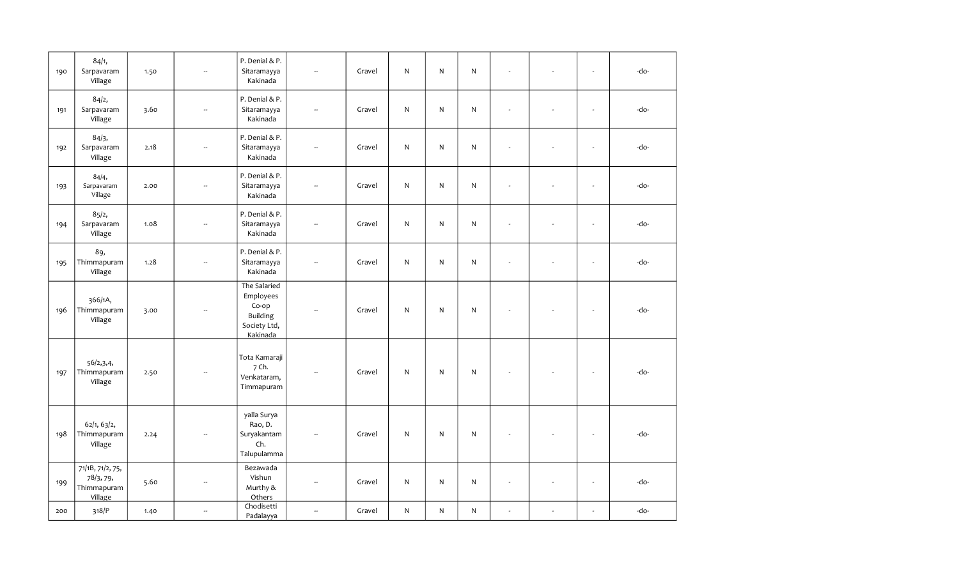| 190 | 84/1,<br>Sarpavaram<br>Village                          | 1.50 | Ξ.                       | P. Denial & P.<br>Sitaramayya<br>Kakinada                                         | ÷.                       | Gravel | ${\sf N}$    | N            | ${\sf N}$    | ÷.                       | ÷,                       | $\blacksquare$           | -do- |
|-----|---------------------------------------------------------|------|--------------------------|-----------------------------------------------------------------------------------|--------------------------|--------|--------------|--------------|--------------|--------------------------|--------------------------|--------------------------|------|
| 191 | 84/2,<br>Sarpavaram<br>Village                          | 3.60 | --                       | P. Denial & P.<br>Sitaramayya<br>Kakinada                                         | μ.                       | Gravel | ${\sf N}$    | N            | ${\sf N}$    | $\overline{\phantom{a}}$ | ÷,                       | $\sim$                   | -do- |
| 192 | 84/3,<br>Sarpavaram<br>Village                          | 2.18 | --                       | P. Denial & P.<br>Sitaramayya<br>Kakinada                                         | $\sim$                   | Gravel | ${\sf N}$    | N            | $\mathsf{N}$ | ÷,                       | $\overline{a}$           | $\overline{\phantom{a}}$ | -do- |
| 193 | 84/4,<br>Sarpavaram<br>Village                          | 2.00 | Ξ.                       | P. Denial & P.<br>Sitaramayya<br>Kakinada                                         | $\sim$                   | Gravel | $\mathsf{N}$ | ${\sf N}$    | ${\sf N}$    | ÷.                       | ÷,                       | $\mathbf{r}$             | -do- |
| 194 | 85/2,<br>Sarpavaram<br>Village                          | 1.08 | Ξ.                       | P. Denial & P.<br>Sitaramayya<br>Kakinada                                         | $\overline{\phantom{a}}$ | Gravel | ${\sf N}$    | $\mathsf{N}$ | ${\sf N}$    | ÷.                       | ÷,                       | $\mathbf{r}$             | -do- |
| 195 | 89,<br>Thimmapuram<br>Village                           | 1.28 | Ξ.                       | P. Denial & P.<br>Sitaramayya<br>Kakinada                                         | $\sim$                   | Gravel | ${\sf N}$    | N            | $\mathsf{N}$ |                          | ÷,                       | $\overline{\phantom{a}}$ | -do- |
| 196 | 366/1A,<br>Thimmapuram<br>Village                       | 3.00 | --                       | The Salaried<br>Employees<br>Co-op<br><b>Building</b><br>Society Ltd,<br>Kakinada | $\overline{\phantom{a}}$ | Gravel | ${\sf N}$    | N            | ${\sf N}$    |                          |                          | $\overline{\phantom{a}}$ | -do- |
| 197 | 56/2, 3, 4,<br>Thimmapuram<br>Village                   | 2.50 | $\overline{\phantom{a}}$ | Tota Kamaraji<br>7 Ch.<br>Venkataram,<br>Timmapuram                               | $\sim$                   | Gravel | ${\sf N}$    | N            | $\mathsf{N}$ |                          |                          | $\ddot{\phantom{1}}$     | -do- |
| 198 | 62/1, 63/2,<br>Thimmapuram<br>Village                   | 2.24 |                          | yalla Surya<br>Rao, D.<br>Suryakantam<br>Ch.<br>Talupulamma                       |                          | Gravel | N            | N            | $\mathsf{N}$ |                          |                          | $\sim$                   | -do- |
| 199 | 71/1B, 71/2, 75,<br>78/3, 79,<br>Thimmapuram<br>Village | 5.60 | $\sim$                   | Bezawada<br>Vishun<br>Murthy &<br>Others                                          | $\sim$                   | Gravel | N            | N            | ${\sf N}$    | $\sim$                   | ÷,                       | $\blacksquare$           | -do- |
| 200 | 318/P                                                   | 1.40 | --                       | Chodisetti<br>Padalayya                                                           | $\frac{1}{2}$            | Gravel | ${\sf N}$    | N            | ${\sf N}$    | $\blacksquare$           | $\overline{\phantom{a}}$ | ÷,                       | -do- |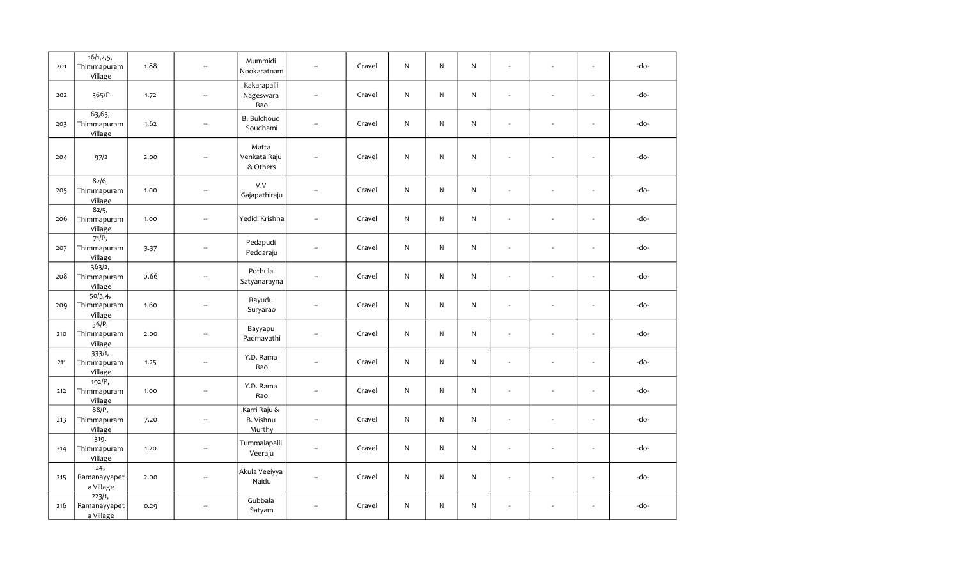| 201 | 16/1, 2, 5,<br>Thimmapuram<br>Village | 1.88 | $\overline{\phantom{a}}$    | Mummidi<br>Nookaratnam              | $\sim$                   | Gravel | N            | N            | N            | L.             | ÷,                       | $\mathbf{r}$             | -do- |
|-----|---------------------------------------|------|-----------------------------|-------------------------------------|--------------------------|--------|--------------|--------------|--------------|----------------|--------------------------|--------------------------|------|
| 202 | 365/P                                 | 1.72 | $\sim$                      | Kakarapalli<br>Nageswara<br>Rao     | $\sim$                   | Gravel | N            | N            | $\mathsf{N}$ | ÷.             |                          | $\sim$                   | -do- |
| 203 | 63,65,<br>Thimmapuram<br>Village      | 1.62 | $\overline{\phantom{a}}$    | <b>B.</b> Bulchoud<br>Soudhami      | $\overline{\phantom{a}}$ | Gravel | $\mathsf{N}$ | $\mathsf{N}$ | ${\sf N}$    | L.             |                          | ÷,                       | -do- |
| 204 | 97/2                                  | 2.00 | $\sim$                      | Matta<br>Venkata Raju<br>& Others   | $\frac{1}{2}$            | Gravel | N            | N            | $\mathsf{N}$ | L.             |                          | $\overline{\phantom{a}}$ | -do- |
| 205 | 82/6,<br>Thimmapuram<br>Village       | 1.00 | $\overline{\phantom{a}}$    | V.V<br>Gajapathiraju                | Ξ.                       | Gravel | N            | N            | N            | ÷,             |                          | $\mathbf{r}$             | -do- |
| 206 | 82/5,<br>Thimmapuram<br>Village       | 1.00 | Ξ.                          | Yedidi Krishna                      | Ξ.                       | Gravel | N            | N            | $\mathsf{N}$ | ÷,             | ÷,                       | $\mathbf{r}$             | -do- |
| 207 | 71/P,<br>Thimmapuram<br>Village       | 3.37 | $\mathcal{L}_{\mathcal{A}}$ | Pedapudi<br>Peddaraju               | $\mathbb{Z}^2$           | Gravel | N            | $\mathsf{N}$ | N            | $\omega$       | ÷,                       | $\mathbf{r}$             | -do- |
| 208 | 363/2,<br>Thimmapuram<br>Village      | 0.66 | $\sim$                      | Pothula<br>Satyanarayna             | $\sim$                   | Gravel | N            | $\mathsf{N}$ | ${\sf N}$    | $\overline{a}$ | ÷.                       | $\sim$                   | -do- |
| 209 | 50/3,4,<br>Thimmapuram<br>Village     | 1.60 | $\overline{\phantom{a}}$    | Rayudu<br>Suryarao                  | --                       | Gravel | $\mathsf{N}$ | $\mathsf{N}$ | $\mathsf{N}$ | $\sim$         | $\overline{\phantom{a}}$ | $\sim$                   | -do- |
| 210 | 36/P,<br>Thimmapuram<br>Village       | 2.00 | $\overline{\phantom{a}}$    | Bayyapu<br>Padmavathi               | Ξ.                       | Gravel | N            | $\mathsf{N}$ | ${\sf N}$    | ÷.             |                          | ÷.                       | -do- |
| 211 | 333/1,<br>Thimmapuram<br>Village      | 1.25 | $\mathcal{L}_{\mathcal{A}}$ | Y.D. Rama<br>Rao                    | $\sim$                   | Gravel | $\mathsf{N}$ | $\mathsf{N}$ | $\mathsf{N}$ | L.             | ÷,                       | $\sim$                   | -do- |
| 212 | 192/P,<br>Thimmapuram<br>Village      | 1.00 | $\overline{\phantom{a}}$    | Y.D. Rama<br>Rao                    | $\overline{\phantom{a}}$ | Gravel | N            | N            | N            | $\blacksquare$ |                          | $\mathbf{r}$             | -do- |
| 213 | 88/P<br>Thimmapuram<br>Village        | 7.20 | $\overline{\phantom{a}}$    | Karri Raju &<br>B. Vishnu<br>Murthy | $\overline{\phantom{a}}$ | Gravel | N            | N            | $\mathsf{N}$ | L.             | ÷,                       | ÷,                       | -do- |
| 214 | 319,<br>Thimmapuram<br>Village        | 1.20 | $\overline{\phantom{a}}$    | Tummalapalli<br>Veeraju             | $\mathbb{Z}^2$           | Gravel | N            | N            | N            | L.             | ÷,                       | $\mathbf{r}$             | -do- |
| 215 | 24,<br>Ramanayyapet<br>a Village      | 2.00 | $\sim$                      | Akula Veeiyya<br>Naidu              | $\sim$                   | Gravel | N            | $\mathsf{N}$ | $\mathsf{N}$ | ÷.             | ÷.                       | $\sim$                   | -do- |
| 216 | 223/1,<br>Ramanayyapet<br>a Village   | 0.29 | --                          | Gubbala<br>Satyam                   | Ξ.                       | Gravel | N            | N            | ${\sf N}$    |                |                          | $\sim$                   | -do- |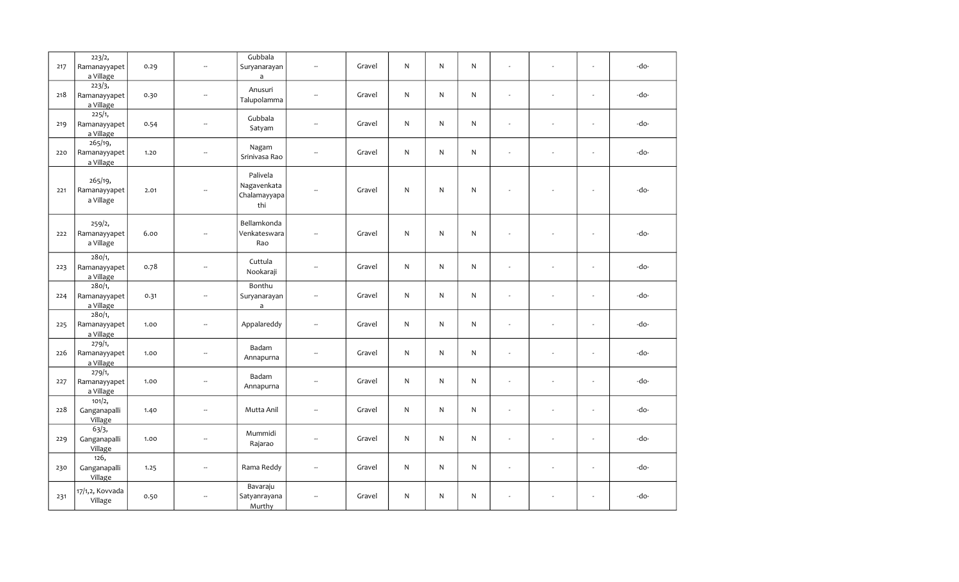| 217 | 223/2,<br>Ramanayyapet<br>a Village  | 0.29 | $\overline{\phantom{a}}$    | Gubbala<br>Suryanarayan<br>$\mathsf{a}$        | $\overline{\phantom{a}}$ | Gravel | ${\sf N}$    | N.           | ${\sf N}$    | ÷.                       | $\sim$ | $\overline{\phantom{a}}$ | -do- |
|-----|--------------------------------------|------|-----------------------------|------------------------------------------------|--------------------------|--------|--------------|--------------|--------------|--------------------------|--------|--------------------------|------|
| 218 | 223/3,<br>Ramanayyapet<br>a Village  | 0.30 | $\sim$                      | Anusuri<br>Talupolamma                         | $\overline{\phantom{a}}$ | Gravel | ${\sf N}$    | $\mathsf{N}$ | ${\sf N}$    | ÷.                       |        | L.                       | -do- |
| 219 | 225/1,<br>Ramanayyapet<br>a Village  | 0.54 | $\overline{\phantom{a}}$    | Gubbala<br>Satyam                              | Щ.                       | Gravel | ${\sf N}$    | N            | ${\sf N}$    | ÷.                       |        | $\overline{\phantom{a}}$ | -do- |
| 220 | 265/19,<br>Ramanayyapet<br>a Village | 1.20 | $\overline{\phantom{a}}$    | Nagam<br>Srinivasa Rao                         | $\overline{\phantom{a}}$ | Gravel | ${\sf N}$    | $\mathsf{N}$ | $\mathsf{N}$ | ÷.                       |        | $\overline{\phantom{a}}$ | -do- |
| 221 | 265/19,<br>Ramanayyapet<br>a Village | 2.01 | $\overline{\phantom{a}}$    | Palivela<br>Nagavenkata<br>Chalamayyapa<br>thi | $\overline{\phantom{a}}$ | Gravel | ${\sf N}$    | N.           | ${\sf N}$    | ÷,                       |        | $\sim$                   | -do- |
| 222 | 259/2,<br>Ramanayyapet<br>a Village  | 6.00 | $\sim$                      | Bellamkonda<br>Venkateswara<br>Rao             | $\overline{\phantom{a}}$ | Gravel | ${\sf N}$    | N            | ${\sf N}$    | $\overline{\phantom{a}}$ |        | $\overline{\phantom{a}}$ | -do- |
| 223 | 280/1,<br>Ramanayyapet<br>a Village  | 0.78 | $\mathcal{L}_{\mathcal{P}}$ | Cuttula<br>Nookaraji                           | u.                       | Gravel | ${\sf N}$    | N            | ${\sf N}$    | ÷.                       |        | L.                       | -do- |
| 224 | 280/1,<br>Ramanayyapet<br>a Village  | 0.31 | $\overline{\phantom{a}}$    | Bonthu<br>Suryanarayan<br>$\mathsf{a}$         | ÷.                       | Gravel | ${\sf N}$    | $\mathsf{N}$ | ${\sf N}$    | $\overline{\phantom{a}}$ | ÷.     | $\overline{\phantom{a}}$ | -do- |
| 225 | 280/1,<br>Ramanayyapet<br>a Village  | 1.00 | $\overline{\phantom{a}}$    | Appalareddy                                    | $\overline{\phantom{a}}$ | Gravel | ${\sf N}$    | N            | ${\sf N}$    | ÷.                       |        | L.                       | -do- |
| 226 | 279/1,<br>Ramanayyapet<br>a Village  | 1.00 | $\overline{\phantom{a}}$    | Badam<br>Annapurna                             | $\overline{\phantom{a}}$ | Gravel | ${\sf N}$    | N.           | $\mathsf{N}$ | $\overline{a}$           |        | ÷,                       | -do- |
| 227 | 279/1,<br>Ramanayyapet<br>a Village  | 1.00 | $\overline{\phantom{a}}$    | Badam<br>Annapurna                             | Ξ.                       | Gravel | ${\sf N}$    | N            | ${\sf N}$    | $\blacksquare$           | $\sim$ | $\overline{\phantom{a}}$ | -do- |
| 228 | 101/2,<br>Ganganapalli<br>Village    | 1.40 | $\overline{\phantom{a}}$    | Mutta Anil                                     | $\overline{\phantom{a}}$ | Gravel | ${\sf N}$    | $\mathsf{N}$ | ${\sf N}$    | $\overline{a}$           |        | $\overline{\phantom{a}}$ | -do- |
| 229 | 63/3,<br>Ganganapalli<br>Village     | 1.00 | $\overline{\phantom{a}}$    | Mummidi<br>Rajarao                             | u.                       | Gravel | $\mathsf{N}$ | N.           | $\mathsf{N}$ | ÷.                       |        | L.                       | -do- |
| 230 | 126,<br>Ganganapalli<br>Village      | 1.25 | $\overline{\phantom{a}}$    | Rama Reddy                                     | Ξ.                       | Gravel | ${\sf N}$    | N            | ${\sf N}$    | $\overline{\phantom{a}}$ | $\sim$ | $\sim$                   | -do- |
| 231 | 17/1,2, Kovvada<br>Village           | 0.50 | $\sim$                      | Bavaraju<br>Satyanrayana<br>Murthy             | $\overline{\phantom{a}}$ | Gravel | ${\sf N}$    | N            | ${\sf N}$    | $\bar{\phantom{a}}$      |        | $\overline{\phantom{a}}$ | -do- |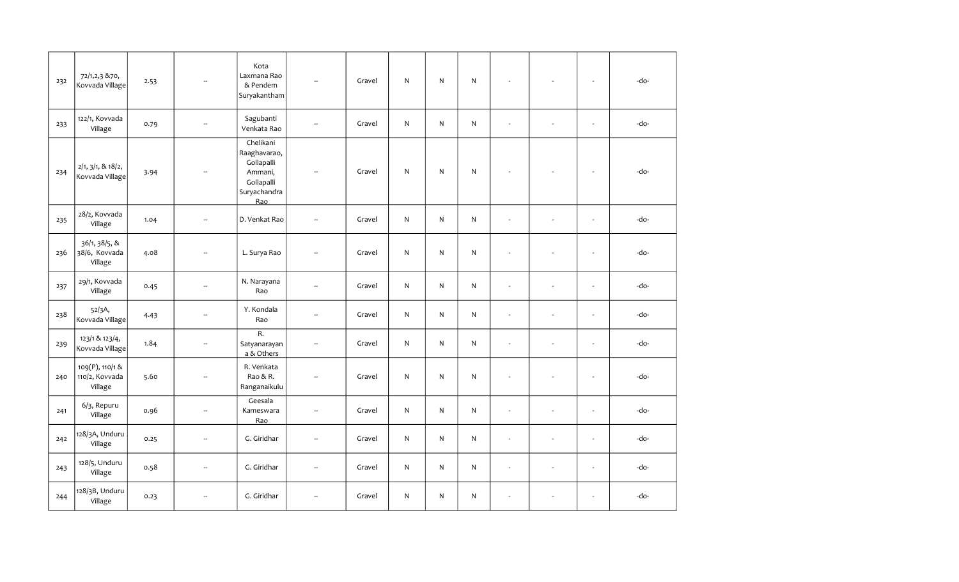| 232 | 72/1,2,3 & 70,<br>Kovvada Village            | 2.53 | $\overline{\phantom{a}}$ | Kota<br>Laxmana Rao<br>& Pendem<br>Suryakantham                                         | -−                       | Gravel | N            | $\mathsf{N}$ | $\mathsf{N}$ | $\overline{\phantom{a}}$ |                          | $\sim$                   | -do- |
|-----|----------------------------------------------|------|--------------------------|-----------------------------------------------------------------------------------------|--------------------------|--------|--------------|--------------|--------------|--------------------------|--------------------------|--------------------------|------|
| 233 | 122/1, Kovvada<br>Village                    | 0.79 | $\overline{\phantom{a}}$ | Sagubanti<br>Venkata Rao                                                                | $\overline{\phantom{a}}$ | Gravel | N            | N            | ${\sf N}$    | $\omega$                 | $\overline{\phantom{a}}$ | $\overline{\phantom{a}}$ | -do- |
| 234 | 2/1, 3/1, 8.18/2,<br>Kovvada Village         | 3.94 | $\overline{\phantom{a}}$ | Chelikani<br>Raaghavarao,<br>Gollapalli<br>Ammani,<br>Gollapalli<br>Suryachandra<br>Rao | $\overline{\phantom{a}}$ | Gravel | ${\sf N}$    | $\mathsf{N}$ | ${\sf N}$    | $\sim$                   |                          | $\sim$                   | -do- |
| 235 | 28/2, Kovvada<br>Village                     | 1.04 | $\overline{\phantom{a}}$ | D. Venkat Rao                                                                           | Ξ.                       | Gravel | $\mathsf{N}$ | $\mathsf{N}$ | $\mathsf{N}$ | $\sim$                   | $\overline{\phantom{a}}$ | $\overline{\phantom{a}}$ | -do- |
| 236 | 36/1, 38/5, &<br>38/6, Kovvada<br>Village    | 4.08 | $\overline{\phantom{a}}$ | L. Surya Rao                                                                            | $\overline{\phantom{a}}$ | Gravel | N            | $\mathsf{N}$ | ${\sf N}$    | ÷,                       |                          | $\overline{\phantom{a}}$ | -do- |
| 237 | 29/1, Kovvada<br>Village                     | 0.45 | --                       | N. Narayana<br>Rao                                                                      | --                       | Gravel | ${\sf N}$    | N            | ${\sf N}$    | $\omega$                 |                          | $\blacksquare$           | -do- |
| 238 | 52/3A,<br>Kovvada Village                    | 4.43 | $\overline{\phantom{a}}$ | Y. Kondala<br>Rao                                                                       | $\overline{\phantom{a}}$ | Gravel | ${\sf N}$    | $\mathsf{N}$ | ${\sf N}$    | $\sim$                   | $\sim$                   | $\overline{\phantom{a}}$ | -do- |
| 239 | 123/1 & 123/4,<br>Kovvada Village            | 1.84 | $\overline{\phantom{a}}$ | R.<br>Satyanarayan<br>a & Others                                                        | Ξ.                       | Gravel | ${\sf N}$    | $\mathsf{N}$ | ${\sf N}$    | $\omega$                 | $\overline{\phantom{a}}$ | $\bar{\mathbf{z}}$       | -do- |
| 240 | 109(P), 110/1 &<br>110/2, Kovvada<br>Village | 5.60 | $\overline{\phantom{a}}$ | R. Venkata<br>Rao & R.<br>Ranganaikulu                                                  | $\overline{\phantom{a}}$ | Gravel | ${\sf N}$    | N            | $\mathsf{N}$ | $\overline{\phantom{a}}$ |                          | $\sim$                   | -do- |
| 241 | 6/3, Repuru<br>Village                       | 0.96 | $\overline{\phantom{a}}$ | Geesala<br>Kameswara<br>Rao                                                             | $\overline{\phantom{a}}$ | Gravel | $\mathsf{N}$ | N            | N            | $\omega$                 | $\sim$                   | $\sim$                   | -do- |
| 242 | 128/3A, Unduru<br>Village                    | 0.25 | $\overline{\phantom{a}}$ | G. Giridhar                                                                             | $\overline{\phantom{a}}$ | Gravel | ${\sf N}$    | $\mathsf{N}$ | ${\sf N}$    | $\overline{a}$           |                          | $\overline{\phantom{a}}$ | -do- |
| 243 | 128/5, Unduru<br>Village                     | 0.58 | $\overline{\phantom{a}}$ | G. Giridhar                                                                             | $\overline{\phantom{a}}$ | Gravel | ${\sf N}$    | N            | ${\sf N}$    | $\omega$                 | $\sim$                   | $\sim$                   | -do- |
| 244 | 128/3B, Unduru<br>Village                    | 0.23 | $\overline{\phantom{a}}$ | G. Giridhar                                                                             | $\sim$                   | Gravel | ${\sf N}$    | N            | N            | $\overline{\phantom{a}}$ |                          | $\blacksquare$           | -do- |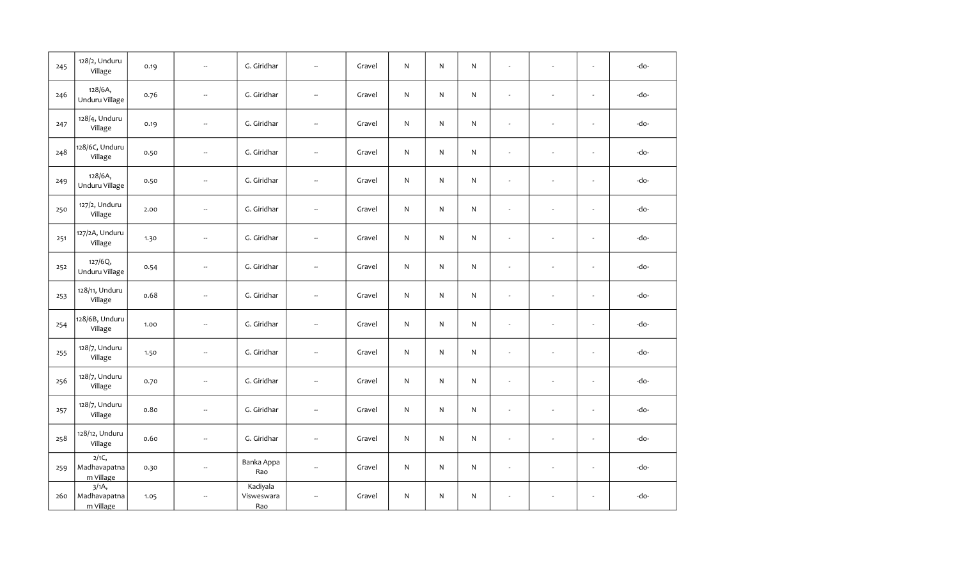| 245 | 128/2, Unduru<br>Village                           | 0.19 | Ξ.                       | G. Giridhar                   | $\overline{\phantom{a}}$ | Gravel | N            | N            | $\mathsf{N}$ | $\overline{\phantom{a}}$ | $\overline{\phantom{a}}$ | $\blacksquare$           | -do- |
|-----|----------------------------------------------------|------|--------------------------|-------------------------------|--------------------------|--------|--------------|--------------|--------------|--------------------------|--------------------------|--------------------------|------|
| 246 | 128/6A,<br>Unduru Village                          | 0.76 | $\overline{\phantom{a}}$ | G. Giridhar                   | Ξ.                       | Gravel | N            | N            | ${\sf N}$    | ÷,                       |                          | $\sim$                   | -do- |
| 247 | 128/4, Unduru<br>Village                           | 0.19 | $\overline{\phantom{a}}$ | G. Giridhar                   | --                       | Gravel | N            | $\mathsf{N}$ | ${\sf N}$    | $\blacksquare$           | ÷.                       | $\overline{\phantom{a}}$ | -do- |
| 248 | 128/6C, Unduru<br>Village                          | 0.50 | Ξ.                       | G. Giridhar                   | --                       | Gravel | N            | N            | ${\sf N}$    | $\overline{\phantom{a}}$ | $\overline{\phantom{a}}$ | $\mathbf{r}$             | -do- |
| 249 | 128/6A,<br>Unduru Village                          | 0.50 | $\overline{\phantom{a}}$ | G. Giridhar                   | Ξ.                       | Gravel | N            | $\mathsf{N}$ | ${\sf N}$    | ÷,                       |                          | $\sim$                   | -do- |
| 250 | 127/2, Unduru<br>Village                           | 2.00 | $\overline{\phantom{a}}$ | G. Giridhar                   | --                       | Gravel | N            | $\mathsf{N}$ | ${\sf N}$    | $\blacksquare$           | $\sim$                   | $\sim$                   | -do- |
| 251 | 127/2A, Unduru<br>Village                          | 1.30 | $\overline{\phantom{a}}$ | G. Giridhar                   | $\overline{\phantom{a}}$ | Gravel | N            | $\mathsf{N}$ | ${\sf N}$    | $\overline{a}$           | $\sim$                   | $\sim$                   | -do- |
| 252 | 127/6Q,<br>Unduru Village                          | 0.54 | Ξ.                       | G. Giridhar                   | $\overline{\phantom{a}}$ | Gravel | N            | $\mathsf{N}$ | ${\sf N}$    | $\overline{\phantom{a}}$ | ÷                        | $\sim$                   | -do- |
| 253 | 128/11, Unduru<br>Village                          | 0.68 | Ξ.                       | G. Giridhar                   | --                       | Gravel | N            | $\mathsf{N}$ | ${\sf N}$    | $\blacksquare$           | $\sim$                   | $\sim$                   | -do- |
| 254 | 128/6B, Unduru<br>Village                          | 1.00 | $\overline{\phantom{a}}$ | G. Giridhar                   | $\overline{\phantom{a}}$ | Gravel | N            | $\mathsf{N}$ | ${\sf N}$    | $\overline{\phantom{a}}$ | $\sim$                   | $\sim$                   | -do- |
| 255 | 128/7, Unduru<br>Village                           | 1.50 | $\overline{\phantom{a}}$ | G. Giridhar                   | Ξ.                       | Gravel | N            | $\mathsf{N}$ | ${\sf N}$    | ÷,                       |                          | $\sim$                   | -do- |
| 256 | 128/7, Unduru<br>Village                           | 0.70 | ٠.                       | G. Giridhar                   | $\overline{\phantom{a}}$ | Gravel | N            | $\mathsf{N}$ | ${\sf N}$    | $\blacksquare$           | $\sim$                   | $\omega$                 | -do- |
| 257 | 128/7, Unduru<br>Village                           | 0.80 | Ξ.                       | G. Giridhar                   | $\overline{\phantom{a}}$ | Gravel | N            | $\mathsf{N}$ | N            | $\overline{\phantom{a}}$ | $\sim$                   | $\omega$                 | -do- |
| 258 | 128/12, Unduru<br>Village                          | 0.60 | $\overline{\phantom{a}}$ | G. Giridhar                   | $\overline{\phantom{a}}$ | Gravel | $\mathsf{N}$ | $\mathsf{N}$ | ${\sf N}$    | $\overline{\phantom{a}}$ | $\sim$                   | $\overline{\phantom{a}}$ | -do- |
| 259 | $\overline{2/1C_{1}}$<br>Madhavapatna<br>m Village | 0.30 | Ξ.                       | Banka Appa<br>Rao             | u.                       | Gravel | N            | $\mathsf{N}$ | ${\sf N}$    | $\omega$                 | $\sim$                   | $\blacksquare$           | -do- |
| 260 | 3/1A<br>Madhavapatna<br>m Village                  | 1.05 | ш,                       | Kadiyala<br>Visweswara<br>Rao | $\overline{\phantom{a}}$ | Gravel | N            | $\mathsf{N}$ | ${\sf N}$    | $\omega$                 | $\sim$                   | $\sim$                   | -do- |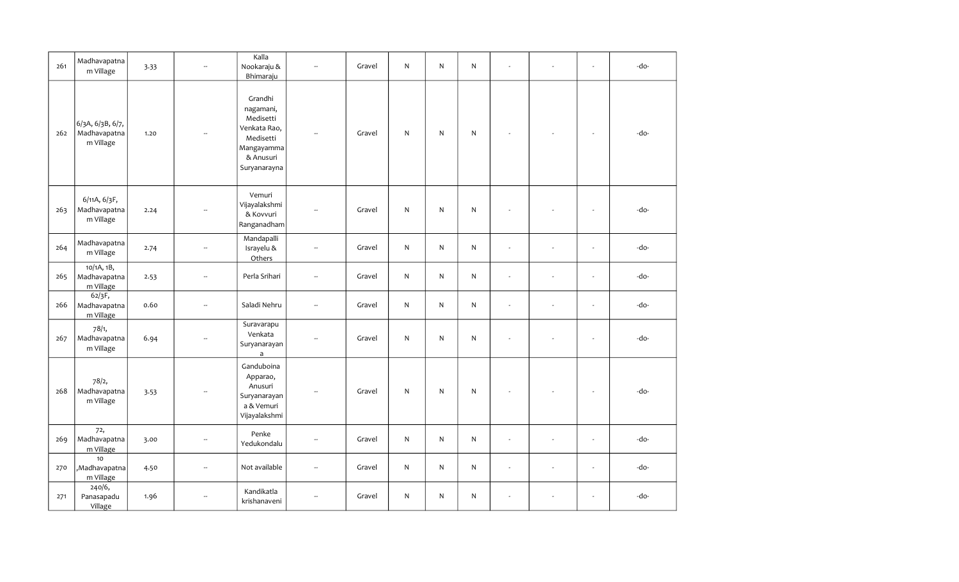| 261 | Madhavapatna<br>m Village                     | 3.33 | $\overline{\phantom{a}}$ | Kalla<br>Nookaraju &<br>Bhimaraju                                                                         | ă.                       | Gravel | N            | N            | $\mathsf{N}$ | ÷.                       | $\blacksquare$           | $\overline{\phantom{a}}$ | -do- |
|-----|-----------------------------------------------|------|--------------------------|-----------------------------------------------------------------------------------------------------------|--------------------------|--------|--------------|--------------|--------------|--------------------------|--------------------------|--------------------------|------|
| 262 | 6/3A, 6/3B, 6/7,<br>Madhavapatna<br>m Village | 1.20 | ÷.                       | Grandhi<br>nagamani,<br>Medisetti<br>Venkata Rao,<br>Medisetti<br>Mangayamma<br>& Anusuri<br>Suryanarayna | --                       | Gravel | $\mathsf{N}$ | N            | ${\sf N}$    |                          |                          | $\overline{\phantom{a}}$ | -do- |
| 263 | 6/11A, 6/3F,<br>Madhavapatna<br>m Village     | 2.24 |                          | Vemuri<br>Vijayalakshmi<br>& Kovvuri<br>Ranganadham                                                       |                          | Gravel | N            | N            | $\mathsf{N}$ |                          |                          | $\overline{\phantom{a}}$ | -do- |
| 264 | Madhavapatna<br>m Village                     | 2.74 | $\overline{\phantom{a}}$ | Mandapalli<br>Israyelu &<br>Others                                                                        | $\overline{\phantom{a}}$ | Gravel | $\mathsf{N}$ | $\mathsf{N}$ | ${\sf N}$    | ÷.                       | $\overline{a}$           | $\overline{\phantom{a}}$ | -do- |
| 265 | 10/1A, 1B,<br>Madhavapatna<br>m Village       | 2.53 | Ξ.                       | Perla Srihari                                                                                             | Ξ.                       | Gravel | $\mathsf{N}$ | $\mathsf{N}$ | $\mathsf{N}$ | ÷.                       | ÷,                       | $\overline{\phantom{a}}$ | -do- |
| 266 | 62/3F,<br>Madhavapatna<br>m Village           | 0.60 | ш,                       | Saladi Nehru                                                                                              | --                       | Gravel | N            | N            | $\mathsf{N}$ | $\sim$                   | $\overline{\phantom{a}}$ | $\mathbf{r}$             | -do- |
| 267 | 78/1,<br>Madhavapatna<br>m Village            | 6.94 | $\overline{\phantom{a}}$ | Suravarapu<br>Venkata<br>Suryanarayan<br>$\mathsf{a}$                                                     | ă.                       | Gravel | $\mathsf{N}$ | N            | ${\sf N}$    | $\sim$                   | $\overline{a}$           | $\overline{\phantom{a}}$ | -do- |
| 268 | 78/2,<br>Madhavapatna<br>m Village            | 3.53 |                          | Ganduboina<br>Apparao,<br>Anusuri<br>Suryanarayan<br>a & Vemuri<br>Vijayalakshmi                          | $\overline{\phantom{a}}$ | Gravel | $\mathsf{N}$ | $\mathsf{N}$ | $\mathsf{N}$ |                          |                          | $\sim$                   | -do- |
| 269 | 72,<br>Madhavapatna<br>m Village              | 3.00 | ÷.                       | Penke<br>Yedukondalu                                                                                      | $\overline{\phantom{a}}$ | Gravel | $\mathsf{N}$ | $\mathsf{N}$ | ${\sf N}$    | $\overline{\phantom{a}}$ |                          | $\mathbf{r}$             | -do- |
| 270 | 10<br>,Madhavapatna<br>m Village              | 4.50 | $\overline{\phantom{a}}$ | Not available                                                                                             | $\overline{\phantom{a}}$ | Gravel | $\mathsf{N}$ | N            | $\mathsf{N}$ | $\omega$                 | $\blacksquare$           | $\overline{\phantom{a}}$ | -do- |
| 271 | 240/6,<br>Panasapadu<br>Village               | 1.96 | $\overline{\phantom{a}}$ | Kandikatla<br>krishanaveni                                                                                | $\overline{\phantom{a}}$ | Gravel | N            | N            | N            |                          |                          | $\frac{1}{2}$            | -do- |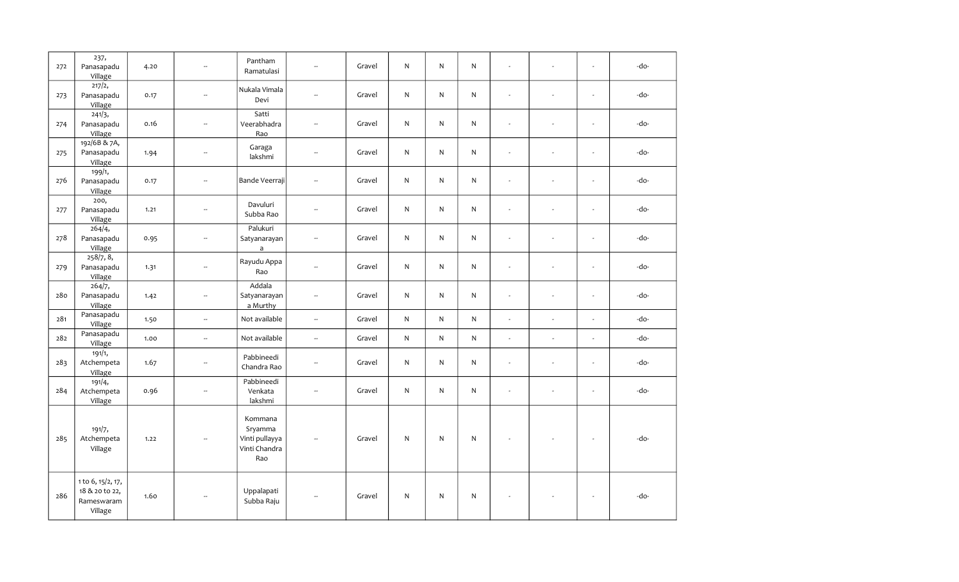| 272 | 237,<br>Panasapadu<br>Village                                | 4.20 | $\sim$                      | Pantham<br>Ramatulasi                                        | u.                       | Gravel | N            | N            | N            | $\sim$         | $\sim$ | L.                       | -do- |
|-----|--------------------------------------------------------------|------|-----------------------------|--------------------------------------------------------------|--------------------------|--------|--------------|--------------|--------------|----------------|--------|--------------------------|------|
| 273 | 217/2,<br>Panasapadu<br>Village                              | 0.17 | $\sim$                      | Nukala Vimala<br>Devi                                        | $\sim$                   | Gravel | N            | N            | N            | ÷.             |        | $\overline{\phantom{a}}$ | -do- |
| 274 | 241/3,<br>Panasapadu<br>Village                              | 0.16 | $\overline{\phantom{a}}$    | Satti<br>Veerabhadra<br>Rao                                  | Ξ.                       | Gravel | N            | N            | $\mathsf{N}$ | $\omega$       |        | $\overline{\phantom{a}}$ | -do- |
| 275 | 192/6B & 7A,<br>Panasapadu<br>Village                        | 1.94 | $\mathcal{L}_{\mathcal{F}}$ | Garaga<br>lakshmi                                            | $\mathbb{Z}^2$           | Gravel | ${\sf N}$    | $\mathsf{N}$ | ${\sf N}$    | $\overline{a}$ |        | $\sim$                   | -do- |
| 276 | 199/1,<br>Panasapadu<br>Village                              | 0.17 | $\sim$                      | Bande Veerraji                                               | $\sim$                   | Gravel | ${\sf N}$    | N            | ${\sf N}$    | $\sim$         |        | $\overline{\phantom{a}}$ | -do- |
| 277 | 200,<br>Panasapadu<br>Village                                | 1.21 | $\overline{\phantom{a}}$    | Davuluri<br>Subba Rao                                        | --                       | Gravel | ${\sf N}$    | $\mathsf{N}$ | $\mathsf{N}$ | $\omega$       |        | L.                       | -do- |
| 278 | 264/4,<br>Panasapadu<br>Village                              | 0.95 | $\mathcal{L}_{\mathcal{F}}$ | Palukuri<br>Satyanarayan<br>a                                | $\mathbb{Z}^2$           | Gravel | N            | N            | $\mathsf{N}$ | $\sim$         |        | L.                       | -do- |
| 279 | 258/7, 8,<br>Panasapadu<br>Village                           | 1.31 | $\sim$                      | Rayudu Appa<br>Rao                                           | $\overline{\phantom{a}}$ | Gravel | N            | N            | $\mathsf{N}$ | $\overline{a}$ | ÷.     | L.                       | -do- |
| 280 | 264/7,<br>Panasapadu<br>Village                              | 1.42 | $\overline{\phantom{a}}$    | Addala<br>Satyanarayan<br>a Murthy                           | --                       | Gravel | $\mathsf{N}$ | $\mathsf{N}$ | $\mathsf{N}$ | $\sim$         |        | $\overline{\phantom{a}}$ | -do- |
| 281 | Panasapadu<br>Village                                        | 1.50 | $\bar{\phantom{a}}$         | Not available                                                | u.                       | Gravel | $\mathsf{N}$ | $\mathsf{N}$ | $\mathsf{N}$ | $\overline{a}$ | $\sim$ | $\overline{\phantom{a}}$ | -do- |
| 282 | Panasapadu<br>Village                                        | 1.00 | $\sim$                      | Not available                                                | ă.                       | Gravel | ${\sf N}$    | $\mathsf{N}$ | ${\sf N}$    | $\overline{a}$ | ÷.     | L.                       | -do- |
| 283 | 191/1,<br>Atchempeta<br>Village                              | 1.67 | $\overline{\phantom{a}}$    | Pabbineedi<br>Chandra Rao                                    | $\overline{\phantom{a}}$ | Gravel | N            | N            | N            | $\omega$       | $\sim$ | $\overline{\phantom{a}}$ | -do- |
| 284 | 191/4,<br>Atchempeta<br>Village                              | 0.96 | $\overline{\phantom{a}}$    | Pabbineedi<br>Venkata<br>lakshmi                             | $\overline{\phantom{a}}$ | Gravel | ${\sf N}$    | N            | N            | L.             |        | $\overline{\phantom{a}}$ | -do- |
| 285 | 191/7,<br>Atchempeta<br>Village                              | 1.22 | $\sim$                      | Kommana<br>Sryamma<br>Vinti pullayya<br>Vinti Chandra<br>Rao | $\sim$                   | Gravel | ${\sf N}$    | N            | ${\sf N}$    |                |        | $\sim$                   | -do- |
| 286 | 1 to 6, 15/2, 17,<br>18 & 20 to 22,<br>Rameswaram<br>Village | 1.60 | $\sim$                      | Uppalapati<br>Subba Raju                                     | $\overline{\phantom{a}}$ | Gravel | ${\sf N}$    | N            | ${\sf N}$    |                |        | $\sim$                   | -do- |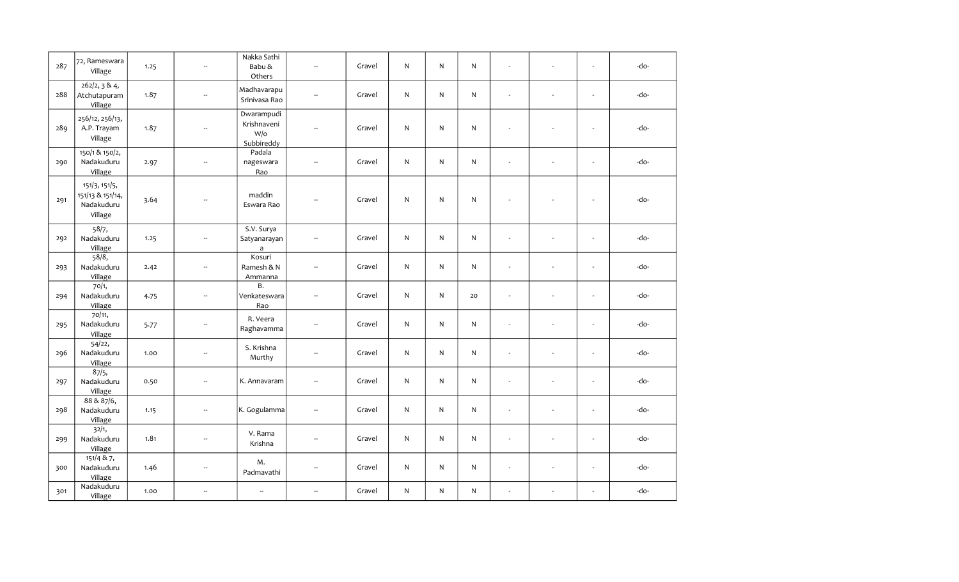| 287 | 72, Rameswara<br>Village                                   | 1.25 | $\sim$                      | Nakka Sathi<br>Babu &<br>Others                | $\overline{\phantom{a}}$ | Gravel | N            | N            | $\mathsf{N}$ | $\overline{\phantom{a}}$ | $\sim$ | $\blacksquare$           | -do- |
|-----|------------------------------------------------------------|------|-----------------------------|------------------------------------------------|--------------------------|--------|--------------|--------------|--------------|--------------------------|--------|--------------------------|------|
| 288 | 262/2, 3 & 4,<br>Atchutapuram<br>Village                   | 1.87 | $\overline{\phantom{a}}$    | Madhavarapu<br>Srinivasa Rao                   | $\overline{\phantom{a}}$ | Gravel | $\mathsf{N}$ | $\mathsf{N}$ | ${\sf N}$    | $\overline{\phantom{a}}$ |        | $\sim$                   | -do- |
| 289 | 256/12, 256/13,<br>A.P. Trayam<br>Village                  | 1.87 | $\overline{\phantom{a}}$    | Dwarampudi<br>Krishnaveni<br>W/o<br>Subbireddy | $\overline{a}$           | Gravel | N            | $\mathsf{N}$ | $\mathsf{N}$ |                          |        | $\overline{\phantom{a}}$ | -do- |
| 290 | 150/1 & 150/2,<br>Nadakuduru<br>Village                    | 2.97 | $\overline{\phantom{a}}$    | Padala<br>nageswara<br>Rao                     | $\overline{\phantom{a}}$ | Gravel | ${\sf N}$    | N            | ${\sf N}$    | $\overline{\phantom{a}}$ | ÷,     | $\overline{\phantom{a}}$ | -do- |
| 291 | 151/3, 151/5,<br>151/13 & 151/14,<br>Nadakuduru<br>Village | 3.64 | $\overline{\phantom{m}}$    | maddin<br>Eswara Rao                           | $\overline{a}$           | Gravel | N            | N            | N            | $\sim$                   |        | $\sim$                   | -do- |
| 292 | 58/7,<br>Nadakuduru<br>Village                             | 1.25 | $\overline{\phantom{a}}$    | S.V. Surya<br>Satyanarayan<br>$\mathsf{a}$     | $\overline{\phantom{a}}$ | Gravel | ${\sf N}$    | $\mathsf{N}$ | ${\sf N}$    | $\overline{a}$           |        | $\overline{\phantom{a}}$ | -do- |
| 293 | 58/8,<br>Nadakuduru<br>Village                             | 2.42 | $\mathcal{L}_{\mathcal{F}}$ | Kosuri<br>Ramesh & N<br>Ammanna                | $\mathbb{Z}^2$           | Gravel | ${\sf N}$    | $\mathsf{N}$ | ${\sf N}$    | $\sim$                   | $\sim$ | L.                       | -do- |
| 294 | 70/1,<br>Nadakuduru<br>Village                             | 4.75 | $\overline{\phantom{a}}$    | Β.<br>Venkateswara<br>Rao                      | $\overline{\phantom{a}}$ | Gravel | ${\sf N}$    | N            | 20           | $\bar{a}$                | $\sim$ | $\omega$                 | -do- |
| 295 | 70/11,<br>Nadakuduru<br>Village                            | 5.77 | $\overline{\phantom{a}}$    | R. Veera<br>Raghavamma                         | $\overline{\phantom{a}}$ | Gravel | $\mathsf{N}$ | N            | N            | ÷,                       | $\sim$ | $\overline{\phantom{a}}$ | -do- |
| 296 | 54/22,<br>Nadakuduru<br>Village                            | 1.00 | $\overline{\phantom{a}}$    | S. Krishna<br>Murthy                           | $\overline{\phantom{a}}$ | Gravel | ${\sf N}$    | $\mathsf{N}$ | ${\sf N}$    | L.                       |        | $\overline{\phantom{a}}$ | -do- |
| 297 | 87/5,<br>Nadakuduru<br>Village                             | 0.50 | $\sim$                      | K. Annavaram                                   | $\sim$                   | Gravel | ${\sf N}$    | N            | ${\sf N}$    | L.                       |        | $\sim$                   | -do- |
| 298 | 88 & 87/6,<br>Nadakuduru<br>Village                        | 1.15 | $\overline{\phantom{a}}$    | K. Gogulamma                                   | $\overline{\phantom{a}}$ | Gravel | ${\sf N}$    | N            | ${\sf N}$    | $\overline{\phantom{a}}$ | $\sim$ | $\overline{\phantom{a}}$ | -do- |
| 299 | 32/1,<br>Nadakuduru<br>Village                             | 1.81 | $\overline{\phantom{a}}$    | V. Rama<br>Krishna                             | $\overline{\phantom{a}}$ | Gravel | $\mathsf{N}$ | N            | ${\sf N}$    | L.                       | $\sim$ | $\overline{\phantom{a}}$ | -do- |
| 300 | 151/4 & 7,<br>Nadakuduru<br>Village                        | 1.46 | $\overline{\phantom{a}}$    | M.<br>Padmavathi                               | --                       | Gravel | ${\sf N}$    | N            | ${\sf N}$    | $\omega$                 |        | $\overline{\phantom{a}}$ | -do- |
| 301 | Nadakuduru<br>Village                                      | 1.00 | $\overline{\phantom{a}}$    | ÷.                                             | $\overline{\phantom{a}}$ | Gravel | N            | N            | ${\sf N}$    | ÷,                       |        | $\sim$                   | -do- |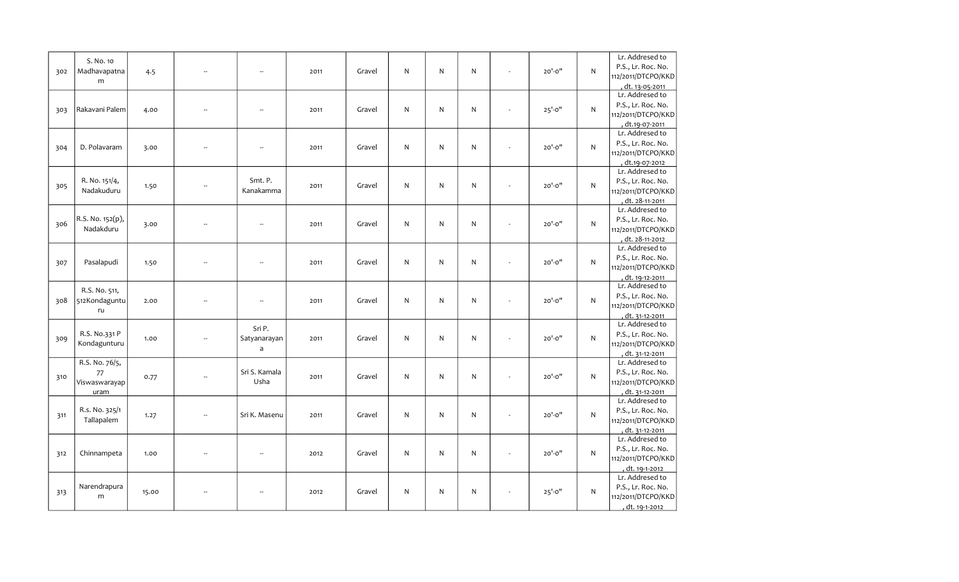| 302 | S. No. 10<br>Madhavapatna<br>m                | 4.5   | ÷.                       | $\sim$                      | 2011 | Gravel | N         | $\mathsf{N}$ | N            | $20' - 0''$ | $\mathsf{N}$ | Lr. Addresed to<br>P.S., Lr. Roc. No.<br>112/2011/DTCPO/KKD<br>, d <u>t. 13-05-2011</u> |
|-----|-----------------------------------------------|-------|--------------------------|-----------------------------|------|--------|-----------|--------------|--------------|-------------|--------------|-----------------------------------------------------------------------------------------|
| 303 | Rakavani Palem                                | 4.00  | ä,                       | Ξ.                          | 2011 | Gravel | N         | $\mathsf{N}$ | N            | $25' - 0''$ | N            | Lr. Addresed to<br>P.S., Lr. Roc. No.<br>112/2011/DTCPO/KKD<br>dt.19-07-2011            |
| 304 | D. Polavaram                                  | 3.00  | $\overline{\phantom{a}}$ | $\sim$                      | 2011 | Gravel | N         | N            | N            | $20' - 0''$ | N            | Lr. Addresed to<br>P.S., Lr. Roc. No.<br>112/2011/DTCPO/KKD<br>dt.19-07-2012            |
| 305 | R. No. 151/4,<br>Nadakuduru                   | 1.50  | $\overline{\phantom{a}}$ | Smt. P.<br>Kanakamma        | 2011 | Gravel | ${\sf N}$ | ${\sf N}$    | $\mathsf{N}$ | $20' - 0''$ | N            | Lr. Addresed to<br>P.S., Lr. Roc. No.<br>112/2011/DTCPO/KKD<br>dt. 28-11-2011           |
| 306 | R.S. No. 152(p),<br>Nadakduru                 | 3.00  | Ξ.                       | ÷.                          | 2011 | Gravel | N         | ${\sf N}$    | N            | $20' - 0''$ | ${\sf N}$    | Lr. Addresed to<br>P.S., Lr. Roc. No.<br>112/2011/DTCPO/KKD<br>dt. 28-11-2012           |
| 307 | Pasalapudi                                    | 1.50  | --                       | $\overline{\phantom{a}}$    | 2011 | Gravel | ${\sf N}$ | ${\sf N}$    | N            | $20' - 0''$ | ${\sf N}$    | Lr. Addresed to<br>P.S., Lr. Roc. No.<br>112/2011/DTCPO/KKD<br>, dt. 19-12-2011         |
| 308 | R.S. No. 511,<br>512Kondaguntu<br>ru          | 2.00  | ÷.                       | $\sim$                      | 2011 | Gravel | N         | ${\sf N}$    | ${\sf N}$    | $20' - 0''$ | ${\sf N}$    | Lr. Addresed to<br>P.S., Lr. Roc. No.<br>112/2011/DTCPO/KKD<br>, dt. 31-12-2011         |
| 309 | R.S. No.331 P<br>Kondagunturu                 | 1.00  |                          | Sri P.<br>Satyanarayan<br>a | 2011 | Gravel | N         | N            | $\mathsf{N}$ | $20' - 0''$ | N            | Lr. Addresed to<br>P.S., Lr. Roc. No.<br>112/2011/DTCPO/KKD<br>dt. 31-12-2011           |
| 310 | R.S. No. 76/5,<br>77<br>Viswaswarayap<br>uram | 0.77  | Ξ.                       | Sri S. Kamala<br>Usha       | 2011 | Gravel | N         | N            | $\mathsf{N}$ | $20' - 0''$ | $\mathsf{N}$ | Lr. Addresed to<br>P.S., Lr. Roc. No.<br>112/2011/DTCPO/KKD<br>dt. 31-12-2011           |
| 311 | R.s. No. 325/1<br>Tallapalem                  | 1.27  | Ξ.                       | Sri K. Masenu               | 2011 | Gravel | N         | ${\sf N}$    | N            | $20' - 0''$ | N            | Lr. Addresed to<br>P.S., Lr. Roc. No.<br>112/2011/DTCPO/KKD<br>dt. 31-12-2011           |
| 312 | Chinnampeta                                   | 1.00  | $\overline{\phantom{a}}$ | $\overline{\phantom{a}}$    | 2012 | Gravel | N         | ${\sf N}$    | N            | $20' - 0''$ | N            | Lr. Addresed to<br>P.S., Lr. Roc. No.<br>112/2011/DTCPO/KKD<br>, dt. 19-1-2012          |
| 313 | Narendrapura<br>m                             | 15.00 |                          | $\overline{\phantom{a}}$    | 2012 | Gravel | N         | ${\sf N}$    | N            | $25' - 0''$ | N            | Lr. Addresed to<br>P.S., Lr. Roc. No.<br>112/2011/DTCPO/KKD<br>, dt. 19-1-2012          |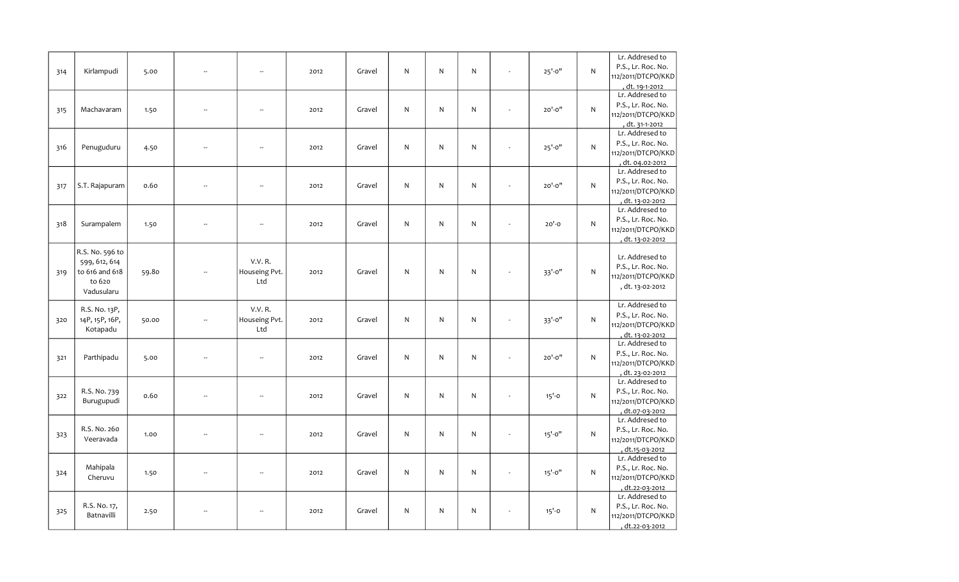| 314 | Kirlampudi                                                                 | 5.00  | Ξ.                       | ÷.                                     | 2012 | Gravel | N  | ${\sf N}$    | N            |              | $25' - 0''$ | N            | Lr. Addresed to<br>P.S., Lr. Roc. No.<br>112/2011/DTCPO/KKD<br>dt. 19-1-2012    |
|-----|----------------------------------------------------------------------------|-------|--------------------------|----------------------------------------|------|--------|----|--------------|--------------|--------------|-------------|--------------|---------------------------------------------------------------------------------|
| 315 | Machavaram                                                                 | 1.50  | $\overline{\phantom{a}}$ | $\overline{\phantom{a}}$               | 2012 | Gravel | N. | $\mathsf{N}$ | N.           |              | $20' - 0''$ | $\mathsf{N}$ | Lr. Addresed to<br>P.S., Lr. Roc. No.<br>112/2011/DTCPO/KKD<br>dt. 31-1-2012    |
| 316 | Penuguduru                                                                 | 4.50  |                          | $\sim$                                 | 2012 | Gravel | N  | ${\sf N}$    | N            | $\sim$       | $25' - 0''$ | N            | Lr. Addresed to<br>P.S., Lr. Roc. No.<br>112/2011/DTCPO/KKD<br>dt. 04.02-2012   |
| 317 | S.T. Rajapuram                                                             | 0.60  | ÷.                       | ÷.                                     | 2012 | Gravel | N  | ${\sf N}$    | N            |              | $20' - 0''$ | N            | Lr. Addresed to<br>P.S., Lr. Roc. No.<br>112/2011/DTCPO/KKD<br>, dt. 13-02-2012 |
| 318 | Surampalem                                                                 | 1.50  | Ξ.                       | $\overline{\phantom{a}}$               | 2012 | Gravel | N  | ${\sf N}$    | N            |              | $20' - 0$   | N            | Lr. Addresed to<br>P.S., Lr. Roc. No.<br>112/2011/DTCPO/KKD<br>, dt. 13-02-2012 |
| 319 | R.S. No. 596 to<br>599, 612, 614<br>to 616 and 618<br>to 620<br>Vadusularu | 59.80 |                          | <b>V.V. R.</b><br>Houseing Pvt.<br>Ltd | 2012 | Gravel | N  | $\mathsf{N}$ | $\mathsf{N}$ |              | 33'-0"      | $\mathsf{N}$ | Lr. Addresed to<br>P.S., Lr. Roc. No.<br>112/2011/DTCPO/KKD<br>, dt. 13-02-2012 |
| 320 | R.S. No. 13P,<br>14P, 15P, 16P,<br>Kotapadu                                | 50.00 | Ξ.                       | <b>V.V. R.</b><br>Houseing Pvt.<br>Ltd | 2012 | Gravel | N  | ${\sf N}$    | N            |              | 33'-0"      | ${\sf N}$    | Lr. Addresed to<br>P.S., Lr. Roc. No.<br>112/2011/DTCPO/KKD<br>dt. 13-02-2012   |
| 321 | Parthipadu                                                                 | 5.00  | $\overline{\phantom{a}}$ | $\overline{\phantom{a}}$               | 2012 | Gravel | N  | ${\sf N}$    | N            |              | $20' - 0''$ | N            | Lr. Addresed to<br>P.S., Lr. Roc. No.<br>112/2011/DTCPO/KKD<br>dt. 23-02-2012   |
| 322 | R.S. No. 739<br>Burugupudi                                                 | 0.60  | L.                       | $\mathcal{L}_{\mathcal{P}}$            | 2012 | Gravel | N  | ${\sf N}$    | N            |              | $15' - 0$   | N            | Lr. Addresed to<br>P.S., Lr. Roc. No.<br>112/2011/DTCPO/KKD<br>dt.07-03-2012    |
| 323 | R.S. No. 260<br>Veeravada                                                  | 1.00  | Ξ.                       | $\overline{\phantom{a}}$               | 2012 | Gravel | N. | ${\sf N}$    | N            |              | $15' - 0''$ | N            | Lr. Addresed to<br>P.S., Lr. Roc. No.<br>112/2011/DTCPO/KKD<br>dt.15-03-2012    |
| 324 | Mahipala<br>Cheruvu                                                        | 1.50  | Ξ.                       | $\overline{\phantom{a}}$               | 2012 | Gravel | N  | N            | N            |              | $15' - 0''$ | N            | Lr. Addresed to<br>P.S., Lr. Roc. No.<br>112/2011/DTCPO/KKD<br>dt.22-03-2012    |
| 325 | R.S. No. 17,<br>Batnavilli                                                 | 2.50  |                          | $\overline{\phantom{a}}$               | 2012 | Gravel | N  | ${\sf N}$    | N            | $\mathbf{r}$ | $15' - 0$   | ${\sf N}$    | Lr. Addresed to<br>P.S., Lr. Roc. No.<br>112/2011/DTCPO/KKD<br>, dt.22-03-2012  |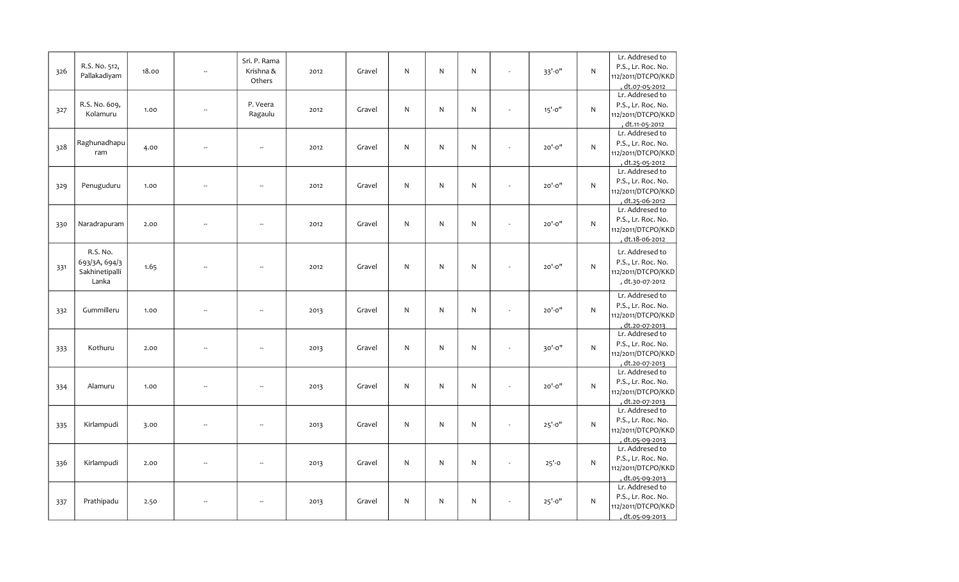| 326 | R.S. No. 512,<br>Pallakadiyam                        | 18.00 | Ξ.                       | Sri. P. Rama<br>Krishna &<br>Others | 2012 | Gravel | N            | ${\sf N}$    | N            | 33'-0"      | N            | Lr. Addresed to<br>P.S., Lr. Roc. No.<br>112/2011/DTCPO/KKD<br>, dt.07-05-2012        |
|-----|------------------------------------------------------|-------|--------------------------|-------------------------------------|------|--------|--------------|--------------|--------------|-------------|--------------|---------------------------------------------------------------------------------------|
| 327 | R.S. No. 609,<br>Kolamuru                            | 1.00  | ÷.                       | P. Veera<br>Ragaulu                 | 2012 | Gravel | $\mathsf{N}$ | N            | N            | $15' - 0''$ | $\mathsf{N}$ | Lr. Addresed to<br>P.S., Lr. Roc. No.<br>112/2011/DTCPO/KKD<br>dt.11-05-2012          |
| 328 | Raghunadhapu<br>ram                                  | 4.00  | Ξ.                       | $\overline{\phantom{a}}$            | 2012 | Gravel | N            | ${\sf N}$    | N            | $20' - 0''$ | $\mathsf{N}$ | Lr. Addresed to<br>P.S., Lr. Roc. No.<br>112/2011/DTCPO/KKD<br><u>, dt.25-05-2012</u> |
| 329 | Penuguduru                                           | 1.00  | $\overline{\phantom{a}}$ | $\overline{\phantom{a}}$            | 2012 | Gravel | N            | $\mathsf{N}$ | N            | $20' - 0''$ | N            | Lr. Addresed to<br>P.S., Lr. Roc. No.<br>112/2011/DTCPO/KKD<br>, dt.25-06-2012        |
| 330 | Naradrapuram                                         | 2.00  | --                       | ÷.                                  | 2012 | Gravel | $\mathsf{N}$ | ${\sf N}$    | $\mathsf{N}$ | $20' - 0''$ | $\mathsf{N}$ | Lr. Addresed to<br>P.S., Lr. Roc. No.<br>112/2011/DTCPO/KKD<br>dt.18-06-2012          |
| 331 | R.S. No.<br>693/3A, 694/3<br>Sakhinetipalli<br>Lanka | 1.65  |                          | $\sim$                              | 2012 | Gravel | $\mathsf{N}$ | ${\sf N}$    | N            | $20' - 0''$ | $\mathsf{N}$ | Lr. Addresed to<br>P.S., Lr. Roc. No.<br>112/2011/DTCPO/KKD<br>, dt.30-07-2012        |
| 332 | Gummilleru                                           | 1.00  | $\overline{\phantom{a}}$ | $\sim$                              | 2013 | Gravel | N            | N            | N            | 20'-0"      | $\mathsf{N}$ | Lr. Addresed to<br>P.S., Lr. Roc. No.<br>112/2011/DTCPO/KKD<br>dt.20-07-2013          |
| 333 | Kothuru                                              | 2.00  | Ξ.                       | $\overline{\phantom{a}}$            | 2013 | Gravel | $\mathsf{N}$ | N            | N            | 30'-0"      | $\mathsf{N}$ | Lr. Addresed to<br>P.S., Lr. Roc. No.<br>112/2011/DTCPO/KKD<br>, dt.20-07-2013        |
| 334 | Alamuru                                              | 1.00  | ÷.                       | $\overline{\phantom{a}}$            | 2013 | Gravel | N            | ${\sf N}$    | $\mathsf{N}$ | 20'-0"      | $\mathsf{N}$ | Lr. Addresed to<br>P.S., Lr. Roc. No.<br>112/2011/DTCPO/KKD<br>, dt.20-07-2013        |
| 335 | Kirlampudi                                           | 3.00  | $\overline{\phantom{a}}$ | $\overline{\phantom{a}}$            | 2013 | Gravel | N            | $\mathsf{N}$ | $\mathsf{N}$ | $25' - 0''$ | $\mathsf{N}$ | Lr. Addresed to<br>P.S., Lr. Roc. No.<br>112/2011/DTCPO/KKD<br>dt.05-09-2013          |
| 336 | Kirlampudi                                           | 2.00  | $\overline{\phantom{a}}$ | $\sim$                              | 2013 | Gravel | $\mathsf{N}$ | ${\sf N}$    | N            | $25' - 0$   | $\mathsf{N}$ | Lr. Addresed to<br>P.S., Lr. Roc. No.<br>112/2011/DTCPO/KKD<br>dt.05-09-2013          |
| 337 | Prathipadu                                           | 2.50  |                          |                                     | 2013 | Gravel | N            | N            | N            | $25' - 0''$ | N            | Lr. Addresed to<br>P.S., Lr. Roc. No.<br>112/2011/DTCPO/KKD<br>, dt.05-09-2013        |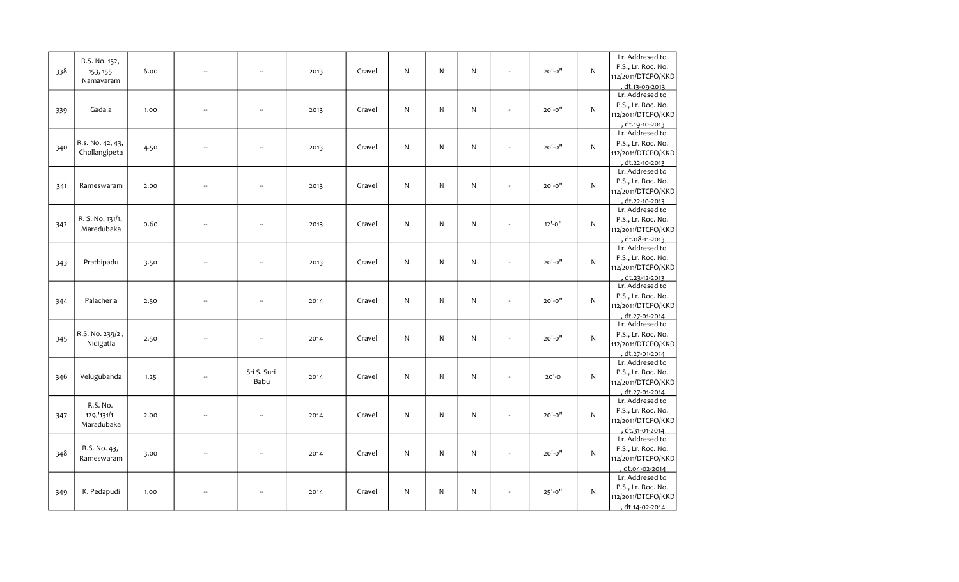| 338 | R.S. No. 152,<br>153, 155<br>Namavaram | 6.00 | u. | $\sim$                   | 2013 | Gravel | N            | $\mathsf{N}$ | N         | $20' - 0''$ | $\mathsf{N}$ | Lr. Addresed to<br>P.S., Lr. Roc. No.<br>112/2011/DTCPO/KKD<br>, d <u>t.13-09-2013</u> |
|-----|----------------------------------------|------|----|--------------------------|------|--------|--------------|--------------|-----------|-------------|--------------|----------------------------------------------------------------------------------------|
| 339 | Gadala                                 | 1.00 | Ξ. | ÷.                       | 2013 | Gravel | N            | $\mathsf{N}$ | ${\sf N}$ | $20' - 0''$ | N            | Lr. Addresed to<br>P.S., Lr. Roc. No.<br>112/2011/DTCPO/KKD<br>dt.19-10-2013           |
| 340 | R.s. No. 42, 43,<br>Chollangipeta      | 4.50 | -- | $\overline{a}$           | 2013 | Gravel | $\mathsf{N}$ | $\mathsf{N}$ | ${\sf N}$ | $20' - 0''$ | $\mathsf{N}$ | Lr. Addresed to<br>P.S., Lr. Roc. No.<br>112/2011/DTCPO/KKD<br>dt.22-10-2013           |
| 341 | Rameswaram                             | 2.00 | ÷. | $\sim$                   | 2013 | Gravel | N            | $\mathsf{N}$ | ${\sf N}$ | $20' - 0''$ | ${\sf N}$    | Lr. Addresed to<br>P.S., Lr. Roc. No.<br>112/2011/DTCPO/KKD<br>dt.22-10-2013           |
| 342 | R. S. No. 131/1,<br>Maredubaka         | 0.60 | Ξ. | $\ddot{\phantom{a}}$     | 2013 | Gravel | $\mathsf{N}$ | $\mathsf{N}$ | ${\sf N}$ | $12'-0''$   | $\mathsf{N}$ | Lr. Addresed to<br>P.S., Lr. Roc. No.<br>112/2011/DTCPO/KKD<br>dt.08-11-2013           |
| 343 | Prathipadu                             | 3.50 | Ξ. | $\ddot{\phantom{a}}$     | 2013 | Gravel | $\mathsf{N}$ | $\mathsf{N}$ | ${\sf N}$ | $20' - 0''$ | ${\sf N}$    | Lr. Addresed to<br>P.S., Lr. Roc. No.<br>112/2011/DTCPO/KKD<br>, dt.23-12-2013         |
| 344 | Palacherla                             | 2.50 | Ξ. | $\overline{\phantom{a}}$ | 2014 | Gravel | $\mathsf{N}$ | $\mathsf{N}$ | ${\sf N}$ | $20' - 0''$ | $\mathsf{N}$ | Lr. Addresed to<br>P.S., Lr. Roc. No.<br>112/2011/DTCPO/KKD<br>dt.27-01-2014           |
| 345 | R.S. No. 239/2,<br>Nidigatla           | 2.50 | u. | $\sim$                   | 2014 | Gravel | N            | $\mathsf{N}$ | ${\sf N}$ | $20' - 0''$ | ${\sf N}$    | Lr. Addresed to<br>P.S., Lr. Roc. No.<br>112/2011/DTCPO/KKD<br>dt.27-01-2014           |
| 346 | Velugubanda                            | 1.25 | Ξ. | Sri S. Suri<br>Babu      | 2014 | Gravel | N            | $\mathsf{N}$ | ${\sf N}$ | $20'-0$     | ${\sf N}$    | Lr. Addresed to<br>P.S., Lr. Roc. No.<br>112/2011/DTCPO/KKD<br>dt.27-01-2014           |
| 347 | R.S. No.<br>129, 131/1<br>Maradubaka   | 2.00 | Ξ. | $\overline{\phantom{a}}$ | 2014 | Gravel | $\mathsf{N}$ | $\mathsf{N}$ | ${\sf N}$ | $20' - 0''$ | ${\sf N}$    | Lr. Addresed to<br>P.S., Lr. Roc. No.<br>112/2011/DTCPO/KKD<br>, dt.31-01-2014         |
| 348 | R.S. No. 43,<br>Rameswaram             | 3.00 |    | $\overline{\phantom{a}}$ | 2014 | Gravel | N            | $\mathsf{N}$ | ${\sf N}$ | $20' - 0''$ | N            | Lr. Addresed to<br>P.S., Lr. Roc. No.<br>112/2011/DTCPO/KKD<br>, dt.04-02-2014         |
| 349 | K. Pedapudi                            | 1.00 |    |                          | 2014 | Gravel | ${\sf N}$    | $\mathsf{N}$ | ${\sf N}$ | $25' - 0''$ | N            | Lr. Addresed to<br>P.S., Lr. Roc. No.<br>112/2011/DTCPO/KKD<br>dt.14-02-2014           |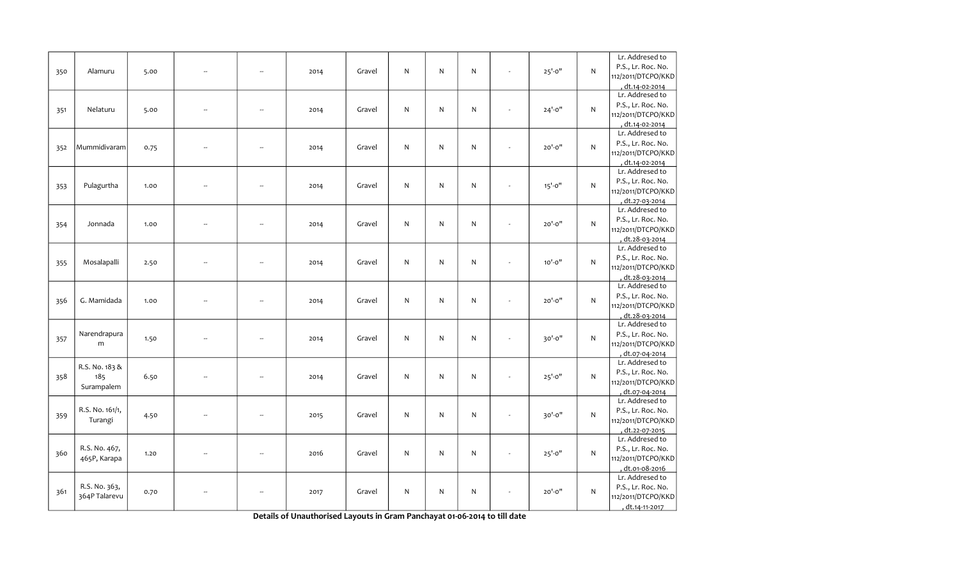| 350 | Alamuru                             | 5.00 | Ξ.                       | $\sim$                   | 2014 | Gravel | $\mathsf{N}$ | N         | ${\sf N}$ |                          | $25' - 0''$ | N            | Lr. Addresed to<br>P.S., Lr. Roc. No.<br>112/2011/DTCPO/KKD<br>dt.14-02-2014          |
|-----|-------------------------------------|------|--------------------------|--------------------------|------|--------|--------------|-----------|-----------|--------------------------|-------------|--------------|---------------------------------------------------------------------------------------|
| 351 | Nelaturu                            | 5.00 | --                       | $\sim$                   | 2014 | Gravel | $\mathsf{N}$ | N         | ${\sf N}$ |                          | $24' - 0''$ | N            | Lr. Addresed to<br>P.S., Lr. Roc. No.<br>112/2011/DTCPO/KKD<br>dt.14-02-2014          |
| 352 | Mummidivaram                        | 0.75 | μ.                       | ÷.                       | 2014 | Gravel | ${\sf N}$    | N         | ${\sf N}$ |                          | $20' - 0''$ | N            | Lr. Addresed to<br>P.S., Lr. Roc. No.<br>112/2011/DTCPO/KKD<br>dt.14-02-2014          |
| 353 | Pulagurtha                          | 1.00 | Ξ.                       | $\sim$                   | 2014 | Gravel | $\mathsf{N}$ | N         | ${\sf N}$ |                          | $15' - 0''$ | ${\sf N}$    | Lr. Addresed to<br>P.S., Lr. Roc. No.<br>112/2011/DTCPO/KKD<br>dt.27-03-2014          |
| 354 | Jonnada                             | 1.00 | Ξ.                       | $\overline{\phantom{a}}$ | 2014 | Gravel | $\mathsf{N}$ | N         | ${\sf N}$ |                          | 20'-0"      | N            | Lr. Addresed to<br>P.S., Lr. Roc. No.<br>112/2011/DTCPO/KKD<br><u>, dt.28-03-2014</u> |
| 355 | Mosalapalli                         | 2.50 | Ξ.                       | $\overline{\phantom{a}}$ | 2014 | Gravel | ${\sf N}$    | N         | ${\sf N}$ | $\overline{\phantom{a}}$ | $10' - 0''$ | N            | Lr. Addresed to<br>P.S., Lr. Roc. No.<br>112/2011/DTCPO/KKD<br>, dt.28-03-2014        |
| 356 | G. Mamidada                         | 1.00 | Ξ.                       | $\overline{\phantom{a}}$ | 2014 | Gravel | ${\sf N}$    | N         | ${\sf N}$ | $\blacksquare$           | $20' - 0''$ | N            | Lr. Addresed to<br>P.S., Lr. Roc. No.<br>112/2011/DTCPO/KKD<br>, dt.28-03-2014        |
| 357 | Narendrapura<br>m                   | 1.50 | ÷.                       | $\overline{\phantom{a}}$ | 2014 | Gravel | $\mathsf{N}$ | N         | ${\sf N}$ |                          | 30'-0"      | $\mathsf{N}$ | Lr. Addresed to<br>P.S., Lr. Roc. No.<br>112/2011/DTCPO/KKD<br>dt.07-04-2014          |
| 358 | R.S. No. 183 &<br>185<br>Surampalem | 6.50 |                          | $\sim$                   | 2014 | Gravel | $\mathsf{N}$ | N         | ${\sf N}$ |                          | $25' - 0''$ | N            | Lr. Addresed to<br>P.S., Lr. Roc. No.<br>112/2011/DTCPO/KKD<br>dt.07-04-2014          |
| 359 | R.S. No. 161/1,<br>Turangi          | 4.50 | --                       | $\overline{\phantom{a}}$ | 2015 | Gravel | $\mathsf{N}$ | N         | ${\sf N}$ |                          | 30'-0"      | N            | Lr. Addresed to<br>P.S., Lr. Roc. No.<br>112/2011/DTCPO/KKD<br>dt.22-07-2015          |
| 360 | R.S. No. 467,<br>465P, Karapa       | 1.20 | $\overline{\phantom{a}}$ | $\overline{\phantom{a}}$ | 2016 | Gravel | $\mathsf{N}$ | ${\sf N}$ | ${\sf N}$ |                          | $25' - 0''$ | N            | Lr. Addresed to<br>P.S., Lr. Roc. No.<br>112/2011/DTCPO/KKD<br>, dt.01-08-2016        |
| 361 | R.S. No. 363,<br>364P Talarevu      | 0.70 |                          | --                       | 2017 | Gravel | N            | N         | ${\sf N}$ |                          | $20' - 0''$ | N            | Lr. Addresed to<br>P.S., Lr. Roc. No.<br>112/2011/DTCPO/KKD<br>, dt.14-11-2017        |

Details of Unauthorised Layouts in Gram Panchayat 01-06-2014 to till date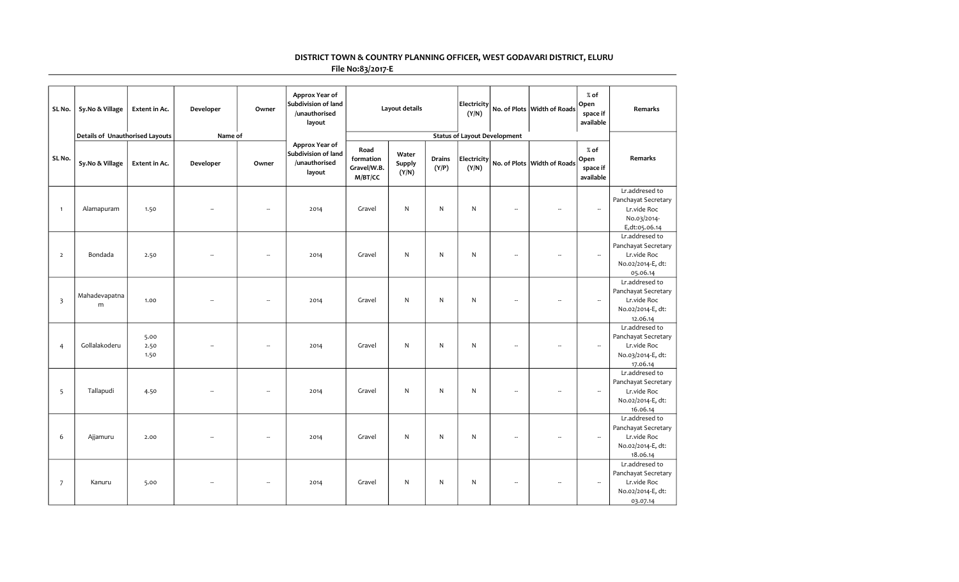## DISTRICT TOWN & COUNTRY PLANNING OFFICER, WEST GODAVARI DISTRICT, ELURU

File No:83/2017-E

| SL No.                  | Sy.No & Village                 | Extent in Ac.        | Developer | Owner | Approx Year of<br>Subdivision of land<br>/unauthorised<br>layout |                                             | Layout details           |                 | Electricity<br>(Y/N) |                                     | No. of Plots Width of Roads | $%$ of<br>Open<br>space if<br>available | Remarks                                                                               |
|-------------------------|---------------------------------|----------------------|-----------|-------|------------------------------------------------------------------|---------------------------------------------|--------------------------|-----------------|----------------------|-------------------------------------|-----------------------------|-----------------------------------------|---------------------------------------------------------------------------------------|
|                         | Details of Unauthorised Layouts |                      | Name of   |       |                                                                  |                                             |                          |                 |                      | <b>Status of Layout Development</b> |                             |                                         |                                                                                       |
| SL No.                  | Sy.No & Village                 | Extent in Ac.        | Developer | Owner | Approx Year of<br>Subdivision of land<br>/unauthorised<br>layout | Road<br>formation<br>Gravel/W.B.<br>M/BT/CC | Water<br>Supply<br>(Y/N) | Drains<br>(Y/P) | Electricity<br>(Y/N) |                                     | No. of Plots Width of Roads | $%$ of<br>Open<br>space if<br>available | Remarks                                                                               |
| $\mathbf{1}$            | Alamapuram                      | 1.50                 |           |       | 2014                                                             | Gravel                                      | ${\sf N}$                | ${\sf N}$       | ${\sf N}$            | ÷.                                  | ÷.                          | $\overline{\phantom{a}}$                | Lr.addresed to<br>Panchayat Secretary<br>Lr.vide Roc<br>No.03/2014-<br>E,dt:05.06.14  |
| $\overline{2}$          | Bondada                         | 2.50                 |           |       | 2014                                                             | Gravel                                      | ${\sf N}$                | $\mathsf{N}$    | N                    | $\overline{\phantom{a}}$            | Ξ.                          | $\overline{\phantom{a}}$                | Lr.addresed to<br>Panchayat Secretary<br>Lr.vide Roc<br>No.02/2014-E, dt:<br>05.06.14 |
| $\overline{\mathbf{3}}$ | Mahadevapatna<br>m              | 1.00                 |           | 4     | 2014                                                             | Gravel                                      | ${\sf N}$                | $\mathsf{N}$    | ${\sf N}$            | $\overline{\phantom{a}}$            | $\overline{\phantom{a}}$    | $\overline{\phantom{a}}$                | Lr.addresed to<br>Panchayat Secretary<br>Lr.vide Roc<br>No.02/2014-E, dt:<br>12.06.14 |
| $\overline{4}$          | Gollalakoderu                   | 5.00<br>2.50<br>1.50 |           |       | 2014                                                             | Gravel                                      | N                        | N               | ${\sf N}$            | $\overline{\phantom{a}}$            | $\sim$                      | $\overline{\phantom{a}}$                | Lr.addresed to<br>Panchayat Secretary<br>Lr.vide Roc<br>No.03/2014-E, dt:<br>17.06.14 |
| 5                       | Tallapudi                       | 4.50                 |           |       | 2014                                                             | Gravel                                      | ${\sf N}$                | ${\sf N}$       | ${\sf N}$            | ÷.                                  | $\overline{\phantom{a}}$    | $\overline{\phantom{a}}$                | Lr.addresed to<br>Panchayat Secretary<br>Lr.vide Roc<br>No.02/2014-E, dt:<br>16.06.14 |
| 6                       | Ajjamuru                        | 2.00                 |           |       | 2014                                                             | Gravel                                      | $\mathsf{N}$             | $\mathsf{N}$    | ${\sf N}$            | $\overline{\phantom{a}}$            | $\overline{\phantom{a}}$    | $\ldots$                                | Lr.addresed to<br>Panchayat Secretary<br>Lr.vide Roc<br>No.02/2014-E, dt:<br>18.06.14 |
| $\overline{7}$          | Kanuru                          | 5.00                 |           |       | 2014                                                             | Gravel                                      | N                        | N               | N                    | $\overline{\phantom{a}}$            | $\overline{\phantom{a}}$    | $\overline{\phantom{a}}$                | Lr.addresed to<br>Panchayat Secretary<br>Lr.vide Roc<br>No.02/2014-E, dt:<br>03.07.14 |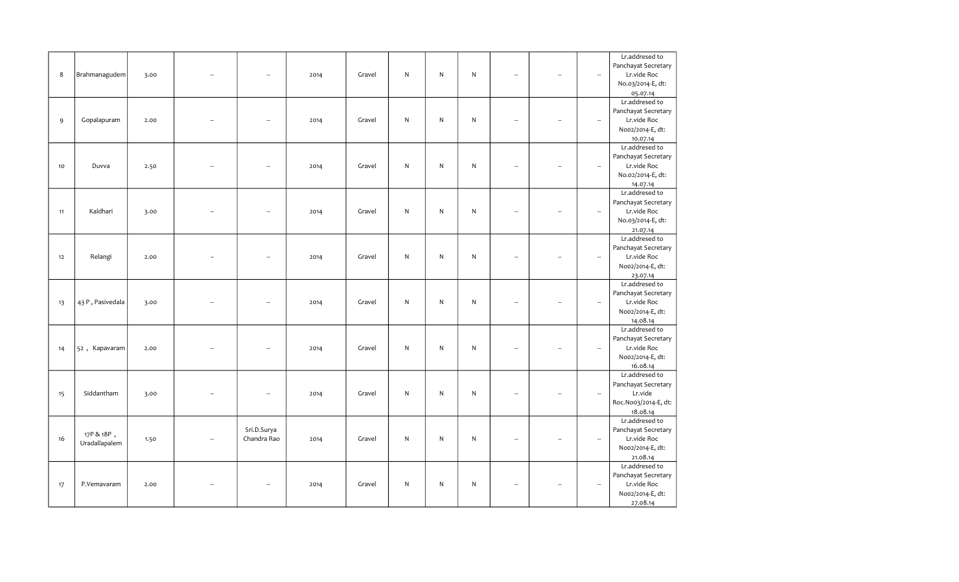|    |                  |      |        |                          |      |        |              |   |              |                          |                          |                          | Lr.addresed to       |
|----|------------------|------|--------|--------------------------|------|--------|--------------|---|--------------|--------------------------|--------------------------|--------------------------|----------------------|
|    |                  |      |        |                          |      |        |              |   |              |                          |                          |                          | Panchayat Secretary  |
|    |                  |      |        |                          |      |        |              |   |              |                          |                          |                          |                      |
| 8  | Brahmanagudem    | 3.00 |        | Ξ.                       | 2014 | Gravel | N.           | N | $\mathsf{N}$ |                          |                          | $\sim$                   | Lr.vide Roc          |
|    |                  |      |        |                          |      |        |              |   |              |                          |                          |                          | No.03/2014-E, dt:    |
|    |                  |      |        |                          |      |        |              |   |              |                          |                          |                          | 05.07.14             |
|    |                  |      |        |                          |      |        |              |   |              |                          |                          |                          | Lr.addresed to       |
|    |                  |      |        |                          |      |        |              |   |              |                          |                          |                          | Panchayat Secretary  |
| 9  | Gopalapuram      | 2.00 |        | --                       | 2014 | Gravel | $\mathsf{N}$ | N | $\mathsf{N}$ | $\overline{\phantom{a}}$ | $\overline{\phantom{a}}$ | $\sim$                   | Lr.vide Roc          |
|    |                  |      |        |                          |      |        |              |   |              |                          |                          |                          | Noo2/2014-E, dt:     |
|    |                  |      |        |                          |      |        |              |   |              |                          |                          |                          | 10.07.14             |
|    |                  |      |        |                          |      |        |              |   |              |                          |                          |                          | Lr.addresed to       |
|    |                  |      |        |                          |      |        |              |   |              |                          |                          |                          | Panchayat Secretary  |
|    |                  |      |        |                          |      |        | $\mathsf{N}$ | N | $\mathsf{N}$ | $\overline{\phantom{a}}$ |                          |                          |                      |
| 10 | Duvva            | 2.50 |        | $\overline{\phantom{a}}$ | 2014 | Gravel |              |   |              |                          | $\overline{\phantom{a}}$ | $\overline{\phantom{a}}$ | Lr.vide Roc          |
|    |                  |      |        |                          |      |        |              |   |              |                          |                          |                          | No.02/2014-E, dt:    |
|    |                  |      |        |                          |      |        |              |   |              |                          |                          |                          | 14.07.14             |
|    |                  |      |        |                          |      |        |              |   |              |                          |                          |                          | Lr.addresed to       |
|    |                  |      |        |                          |      |        |              |   |              |                          |                          |                          | Panchayat Secretary  |
| 11 | Kaldhari         | 3.00 |        | --                       | 2014 | Gravel | ${\sf N}$    | N | $\mathsf{N}$ |                          | $\overline{\phantom{a}}$ | $\overline{\phantom{a}}$ | Lr.vide Roc          |
|    |                  |      |        |                          |      |        |              |   |              |                          |                          |                          | No.03/2014-E, dt:    |
|    |                  |      |        |                          |      |        |              |   |              |                          |                          |                          | 21.07.14             |
|    |                  |      |        |                          |      |        |              |   |              |                          |                          |                          | Lr.addresed to       |
|    |                  |      |        |                          |      |        |              |   |              |                          |                          |                          | Panchayat Secretary  |
| 12 | Relangi          | 2.00 |        | $\overline{\phantom{a}}$ | 2014 | Gravel | N            | N | $\mathsf{N}$ | ÷.                       | L.                       | $\sim$                   | Lr.vide Roc          |
|    |                  |      |        |                          |      |        |              |   |              |                          |                          |                          |                      |
|    |                  |      |        |                          |      |        |              |   |              |                          |                          |                          | Noo2/2014-E, dt:     |
|    |                  |      |        |                          |      |        |              |   |              |                          |                          |                          | 23.07.14             |
|    |                  |      |        |                          |      |        |              |   |              |                          |                          |                          | Lr.addresed to       |
|    |                  |      |        |                          |      |        |              |   |              |                          |                          |                          | Panchayat Secretary  |
| 13 | 43 P, Pasivedala | 3.00 |        | L.                       | 2014 | Gravel | $\mathsf{N}$ | N | $\mathsf{N}$ |                          | ÷.                       | $\sim$                   | Lr.vide Roc          |
|    |                  |      |        |                          |      |        |              |   |              |                          |                          |                          | Noo2/2014-E, dt:     |
|    |                  |      |        |                          |      |        |              |   |              |                          |                          |                          | 14.08.14             |
|    |                  |      |        |                          |      |        |              |   |              |                          |                          |                          | Lr.addresed to       |
|    |                  |      |        |                          |      |        |              |   |              |                          |                          |                          | Panchayat Secretary  |
| 14 | 52, Kapavaram    | 2.00 |        | $\overline{\phantom{a}}$ | 2014 | Gravel | $\mathsf{N}$ | N | $\mathsf{N}$ | ÷.                       | ÷.                       | $\sim$                   | Lr.vide Roc          |
|    |                  |      |        |                          |      |        |              |   |              |                          |                          |                          | Noo2/2014-E, dt:     |
|    |                  |      |        |                          |      |        |              |   |              |                          |                          |                          | 16.08.14             |
|    |                  |      |        |                          |      |        |              |   |              |                          |                          |                          | Lr.addresed to       |
|    |                  |      |        |                          |      |        |              |   |              |                          |                          |                          | Panchayat Secretary  |
|    | Siddantham       |      |        | --                       |      | Gravel | $\mathsf{N}$ | N | $\mathsf{N}$ |                          |                          | $\overline{\phantom{a}}$ | Lr.vide              |
| 15 |                  | 3.00 |        |                          | 2014 |        |              |   |              |                          |                          |                          |                      |
|    |                  |      |        |                          |      |        |              |   |              |                          |                          |                          | Roc.Noo3/2014-E, dt: |
|    |                  |      |        |                          |      |        |              |   |              |                          |                          |                          | 18.08.14             |
|    |                  |      |        |                          |      |        |              |   |              |                          |                          |                          | Lr.addresed to       |
|    | 17P & 18P,       |      |        | Sri.D.Surya              |      |        |              |   |              |                          |                          |                          | Panchayat Secretary  |
| 16 | Uradallapalem    | 1.50 | $\sim$ | Chandra Rao              | 2014 | Gravel | $\mathsf{N}$ | N | $\mathsf{N}$ |                          | L.                       | $\sim$                   | Lr.vide Roc          |
|    |                  |      |        |                          |      |        |              |   |              |                          |                          |                          | Noo2/2014-E, dt:     |
|    |                  |      |        |                          |      |        |              |   |              |                          |                          |                          | 21.08.14             |
|    |                  |      |        |                          |      |        |              |   |              |                          |                          |                          | Lr.addresed to       |
|    |                  |      |        |                          |      |        |              |   |              |                          |                          |                          | Panchayat Secretary  |
| 17 | P.Vemavaram      | 2.00 |        | ۰.                       | 2014 | Gravel | N            | N | N            | $\sim$                   | $\sim$                   | $\overline{\phantom{a}}$ | Lr.vide Roc          |
|    |                  |      |        |                          |      |        |              |   |              |                          |                          |                          | Noo2/2014-E, dt:     |
|    |                  |      |        |                          |      |        |              |   |              |                          |                          |                          |                      |
|    |                  |      |        |                          |      |        |              |   |              |                          |                          |                          | 27.08.14             |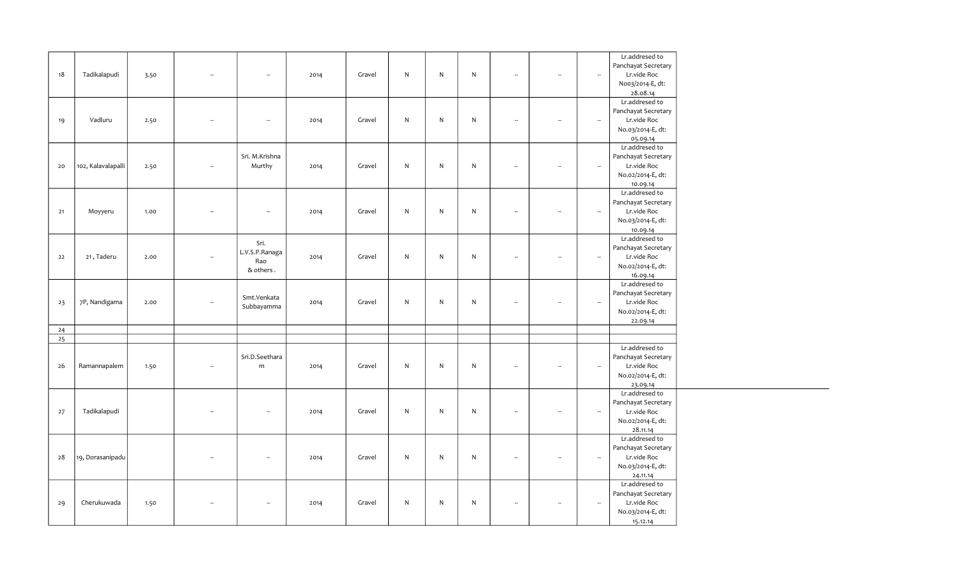|    |                    |      |                          |                          |      |        |           |           |           |                          |                          |                          | Lr.addresed to      |
|----|--------------------|------|--------------------------|--------------------------|------|--------|-----------|-----------|-----------|--------------------------|--------------------------|--------------------------|---------------------|
|    |                    |      |                          |                          |      |        |           |           |           |                          |                          |                          |                     |
|    |                    |      |                          |                          |      |        |           |           |           |                          |                          |                          | Panchayat Secretary |
| 18 | Tadikalapudi       | 3.50 | ш.                       | $\sim$                   | 2014 | Gravel | ${\sf N}$ | ${\sf N}$ | ${\sf N}$ | $\overline{\phantom{a}}$ | $\overline{\phantom{a}}$ | $\overline{\phantom{a}}$ | Lr.vide Roc         |
|    |                    |      |                          |                          |      |        |           |           |           |                          |                          |                          | Noo3/2014-E, dt:    |
|    |                    |      |                          |                          |      |        |           |           |           |                          |                          |                          | 28.08.14            |
|    |                    |      |                          |                          |      |        |           |           |           |                          |                          |                          | Lr.addresed to      |
|    |                    |      |                          |                          |      |        |           |           |           |                          |                          |                          | Panchayat Secretary |
| 19 | Vadluru            | 2.50 | $\sim$                   | $\sim$                   | 2014 | Gravel | ${\sf N}$ | ${\sf N}$ | ${\sf N}$ | $\overline{\phantom{a}}$ | $\overline{\phantom{a}}$ | $\overline{\phantom{a}}$ | Lr.vide Roc         |
|    |                    |      |                          |                          |      |        |           |           |           |                          |                          |                          | No.03/2014-E, dt:   |
|    |                    |      |                          |                          |      |        |           |           |           |                          |                          |                          | 05.09.14            |
|    |                    |      |                          |                          |      |        |           |           |           |                          |                          |                          | Lr.addresed to      |
|    |                    |      |                          | Sri. M.Krishna           |      |        |           |           |           |                          |                          |                          | Panchayat Secretary |
| 20 | 102, Kalavalapalli | 2.50 | $\overline{\phantom{a}}$ | Murthy                   | 2014 | Gravel | ${\sf N}$ | ${\sf N}$ | ${\sf N}$ | $\overline{\phantom{a}}$ | $\overline{\phantom{a}}$ | $\overline{\phantom{a}}$ | Lr.vide Roc         |
|    |                    |      |                          |                          |      |        |           |           |           |                          |                          |                          | No.02/2014-E, dt:   |
|    |                    |      |                          |                          |      |        |           |           |           |                          |                          |                          | 10.09.14            |
|    |                    |      |                          |                          |      |        |           |           |           |                          |                          |                          | Lr.addresed to      |
|    |                    |      |                          |                          |      |        |           |           |           |                          |                          |                          | Panchayat Secretary |
| 21 | Moyyeru            | 1.00 | $\overline{\phantom{a}}$ | $\overline{\phantom{a}}$ | 2014 | Gravel | ${\sf N}$ | ${\sf N}$ | ${\sf N}$ | $\overline{\phantom{a}}$ | $\overline{\phantom{a}}$ | $\overline{\phantom{a}}$ | Lr.vide Roc         |
|    |                    |      |                          |                          |      |        |           |           |           |                          |                          |                          | No.03/2014-E, dt:   |
|    |                    |      |                          |                          |      |        |           |           |           |                          |                          |                          | 10.09.14            |
|    |                    |      |                          |                          |      |        |           |           |           |                          |                          |                          | Lr.addresed to      |
|    |                    |      |                          | Sri.                     |      |        |           |           |           |                          |                          |                          | Panchayat Secretary |
| 22 | 21, Taderu         | 2.00 | $\overline{\phantom{a}}$ | L.V.S.P.Ranaga           | 2014 | Gravel | ${\sf N}$ | ${\sf N}$ | ${\sf N}$ | $\overline{\phantom{a}}$ | $\overline{\phantom{a}}$ | $\overline{\phantom{a}}$ | Lr.vide Roc         |
|    |                    |      |                          | Rao                      |      |        |           |           |           |                          |                          |                          | No.02/2014-E, dt:   |
|    |                    |      |                          | & others.                |      |        |           |           |           |                          |                          |                          | 16.09.14            |
|    |                    |      |                          |                          |      |        |           |           |           |                          |                          |                          | Lr.addresed to      |
|    |                    |      |                          |                          |      |        |           |           |           |                          |                          |                          | Panchayat Secretary |
| 23 | 7P, Nandigama      | 2.00 | $\overline{\phantom{a}}$ | Smt.Venkata              | 2014 | Gravel | ${\sf N}$ | ${\sf N}$ | ${\sf N}$ | $\overline{\phantom{a}}$ | $\overline{\phantom{a}}$ | $\sim$                   | Lr.vide Roc         |
|    |                    |      |                          | Subbayamma               |      |        |           |           |           |                          |                          |                          | No.02/2014-E, dt:   |
|    |                    |      |                          |                          |      |        |           |           |           |                          |                          |                          | 22.09.14            |
| 24 |                    |      |                          |                          |      |        |           |           |           |                          |                          |                          |                     |
| 25 |                    |      |                          |                          |      |        |           |           |           |                          |                          |                          |                     |
|    |                    |      |                          |                          |      |        |           |           |           |                          |                          |                          | Lr.addresed to      |
|    |                    |      |                          | Sri.D.Seethara           |      |        |           |           |           |                          |                          |                          | Panchayat Secretary |
| 26 | Ramannapalem       | 1.50 | $\overline{\phantom{a}}$ | m                        | 2014 | Gravel | ${\sf N}$ | ${\sf N}$ | ${\sf N}$ | $\overline{\phantom{a}}$ | $\overline{\phantom{a}}$ | $\sim$                   | Lr.vide Roc         |
|    |                    |      |                          |                          |      |        |           |           |           |                          |                          |                          | No.02/2014-E, dt:   |
|    |                    |      |                          |                          |      |        |           |           |           |                          |                          |                          | 23.09.14            |
|    |                    |      |                          |                          |      |        |           |           |           |                          |                          |                          | Lr.addresed to      |
|    |                    |      |                          |                          |      |        |           |           |           |                          |                          |                          | Panchayat Secretary |
| 27 | Tadikalapudi       |      | $\overline{\phantom{a}}$ | $\overline{\phantom{a}}$ | 2014 | Gravel | ${\sf N}$ | ${\sf N}$ | ${\sf N}$ | $\overline{\phantom{a}}$ | $\sim$                   | $\overline{\phantom{a}}$ | Lr.vide Roc         |
|    |                    |      |                          |                          |      |        |           |           |           |                          |                          |                          | No.02/2014-E, dt:   |
|    |                    |      |                          |                          |      |        |           |           |           |                          |                          |                          | 28.11.14            |
|    |                    |      |                          |                          |      |        |           |           |           |                          |                          |                          | Lr.addresed to      |
|    |                    |      |                          |                          |      |        |           |           |           |                          |                          |                          | Panchayat Secretary |
| 28 | 19, Dorasanipadu   |      | $\ddot{\phantom{a}}$     | $\sim$                   | 2014 | Gravel | ${\sf N}$ | ${\sf N}$ | ${\sf N}$ | $\overline{\phantom{a}}$ | $\overline{\phantom{a}}$ | $\sim$                   | Lr.vide Roc         |
|    |                    |      |                          |                          |      |        |           |           |           |                          |                          |                          | No.03/2014-E, dt:   |
|    |                    |      |                          |                          |      |        |           |           |           |                          |                          |                          | 24.11.14            |
|    |                    |      |                          |                          |      |        |           |           |           |                          |                          |                          | Lr.addresed to      |
|    |                    |      |                          |                          |      |        |           |           |           |                          |                          |                          | Panchayat Secretary |
|    | Cherukuwada        |      | $\overline{\phantom{a}}$ | $\sim$                   |      | Gravel | ${\sf N}$ | ${\sf N}$ | ${\sf N}$ | $\overline{\phantom{a}}$ | $\overline{\phantom{a}}$ | $\overline{\phantom{a}}$ |                     |
| 29 |                    | 1.50 |                          |                          | 2014 |        |           |           |           |                          |                          |                          | Lr.vide Roc         |
|    |                    |      |                          |                          |      |        |           |           |           |                          |                          |                          | No.03/2014-E, dt:   |
|    |                    |      |                          |                          |      |        |           |           |           |                          |                          |                          | 15.12.14            |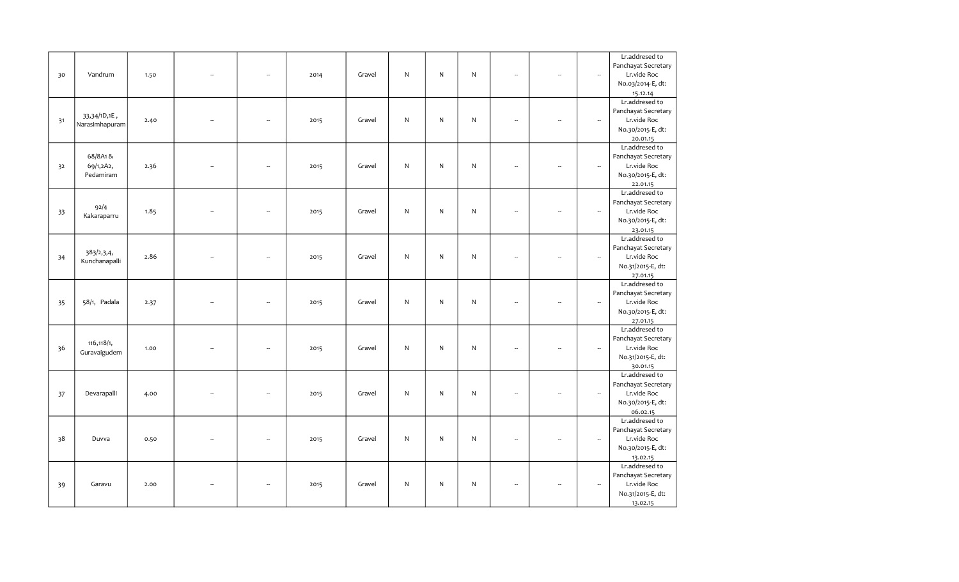|    |                |      |                |                          |      |        |              |              |              |                          |                          |                          | Lr.addresed to      |
|----|----------------|------|----------------|--------------------------|------|--------|--------------|--------------|--------------|--------------------------|--------------------------|--------------------------|---------------------|
|    |                |      |                |                          |      |        |              |              |              |                          |                          |                          | Panchayat Secretary |
| 30 | Vandrum        | 1.50 | $\sim$         | ÷.                       | 2014 | Gravel | $\mathsf{N}$ | ${\sf N}$    | $\mathsf{N}$ | $\overline{\phantom{a}}$ | $\overline{\phantom{a}}$ | $\sim$                   | Lr.vide Roc         |
|    |                |      |                |                          |      |        |              |              |              |                          |                          |                          | No.03/2014-E, dt:   |
|    |                |      |                |                          |      |        |              |              |              |                          |                          |                          | 15.12.14            |
|    |                |      |                |                          |      |        |              |              |              |                          |                          |                          | Lr.addresed to      |
|    |                |      |                |                          |      |        |              |              |              |                          |                          |                          | Panchayat Secretary |
| 31 | 33,34/1D,1E,   | 2.40 |                | ÷.                       | 2015 | Gravel | N            | $\mathsf{N}$ | N            | $\overline{\phantom{a}}$ | --                       | $\overline{\phantom{a}}$ | Lr.vide Roc         |
|    | Narasimhapuram |      |                |                          |      |        |              |              |              |                          |                          |                          | No.30/2015-E, dt:   |
|    |                |      |                |                          |      |        |              |              |              |                          |                          |                          | 20.01.15            |
|    |                |      |                |                          |      |        |              |              |              |                          |                          |                          | Lr.addresed to      |
|    | 68/8A1&        |      |                |                          |      |        |              |              |              |                          |                          |                          | Panchayat Secretary |
| 32 | 69/1,2A2,      | 2.36 |                | $\overline{\phantom{a}}$ | 2015 | Gravel | $\mathsf{N}$ | ${\sf N}$    | $\mathsf{N}$ | $\overline{\phantom{a}}$ | $\overline{\phantom{a}}$ | $\overline{\phantom{a}}$ | Lr.vide Roc         |
|    | Pedamiram      |      |                |                          |      |        |              |              |              |                          |                          |                          | No.30/2015-E, dt:   |
|    |                |      |                |                          |      |        |              |              |              |                          |                          |                          |                     |
|    |                |      |                |                          |      |        |              |              |              |                          |                          |                          | 22.01.15            |
|    |                |      |                |                          |      |        |              |              |              |                          |                          |                          | Lr.addresed to      |
|    | 92/4           |      |                |                          |      |        |              |              |              |                          |                          |                          | Panchayat Secretary |
| 33 | Kakaraparru    | 1.85 |                |                          | 2015 | Gravel | $\mathsf{N}$ | ${\sf N}$    | ${\sf N}$    | L.                       | ÷.                       | $\overline{\phantom{a}}$ | Lr.vide Roc         |
|    |                |      |                |                          |      |        |              |              |              |                          |                          |                          | No.30/2015-E, dt:   |
|    |                |      |                |                          |      |        |              |              |              |                          |                          |                          | 23.01.15            |
|    |                |      |                |                          |      |        |              |              |              |                          |                          |                          | Lr.addresed to      |
|    | 383/2,3,4,     |      |                |                          |      |        |              |              |              |                          |                          |                          | Panchayat Secretary |
| 34 | Kunchanapalli  | 2.86 |                | ÷.                       | 2015 | Gravel | $\mathsf{N}$ | ${\sf N}$    | $\mathsf{N}$ | $\overline{\phantom{a}}$ | $\overline{\phantom{a}}$ | $\mathbb{Z}^2$           | Lr.vide Roc         |
|    |                |      |                |                          |      |        |              |              |              |                          |                          |                          | No.31/2015-E, dt:   |
|    |                |      |                |                          |      |        |              |              |              |                          |                          |                          | 27.01.15            |
|    |                |      |                |                          |      |        |              |              |              |                          |                          |                          | Lr.addresed to      |
|    |                |      |                |                          |      |        |              |              |              |                          |                          |                          | Panchayat Secretary |
| 35 | 58/1, Padala   | 2.37 |                |                          | 2015 | Gravel | $\mathsf{N}$ | ${\sf N}$    | $\mathsf{N}$ | $\overline{\phantom{a}}$ | $\overline{\phantom{a}}$ | $\overline{\phantom{a}}$ | Lr.vide Roc         |
|    |                |      |                |                          |      |        |              |              |              |                          |                          |                          | No.30/2015-E, dt:   |
|    |                |      |                |                          |      |        |              |              |              |                          |                          |                          | 27.01.15            |
|    |                |      |                |                          |      |        |              |              |              |                          |                          |                          | Lr.addresed to      |
|    | 116, 118/1,    |      |                |                          |      |        |              |              |              |                          |                          |                          | Panchayat Secretary |
| 36 | Guravaigudem   | 1.00 | ц,             | $\overline{\phantom{a}}$ | 2015 | Gravel | $\mathsf{N}$ | ${\sf N}$    | $\mathsf{N}$ | $\overline{\phantom{a}}$ | $\overline{\phantom{a}}$ | $\overline{\phantom{a}}$ | Lr.vide Roc         |
|    |                |      |                |                          |      |        |              |              |              |                          |                          |                          | No.31/2015-E, dt:   |
|    |                |      |                |                          |      |        |              |              |              |                          |                          |                          | 30.01.15            |
|    |                |      |                |                          |      |        |              |              |              |                          |                          |                          | Lr.addresed to      |
|    |                |      |                |                          |      |        |              |              |              |                          |                          |                          | Panchayat Secretary |
| 37 | Devarapalli    | 4.00 |                |                          | 2015 | Gravel | $\mathsf{N}$ | ${\sf N}$    | ${\sf N}$    | $\overline{\phantom{a}}$ | $\overline{\phantom{a}}$ | $\overline{\phantom{a}}$ | Lr.vide Roc         |
|    |                |      |                |                          |      |        |              |              |              |                          |                          |                          | No.30/2015-E, dt:   |
|    |                |      |                |                          |      |        |              |              |              |                          |                          |                          | 06.02.15            |
|    |                |      |                |                          |      |        |              |              |              |                          |                          |                          | Lr.addresed to      |
|    |                |      |                |                          |      |        |              |              |              |                          |                          |                          | Panchayat Secretary |
| 38 | Duvva          | 0.50 | $\overline{a}$ | $\overline{\phantom{a}}$ | 2015 | Gravel | $\mathsf{N}$ | ${\sf N}$    | $\mathsf{N}$ | $\overline{\phantom{a}}$ |                          | $\overline{\phantom{a}}$ | Lr.vide Roc         |
|    |                |      |                |                          |      |        |              |              |              |                          |                          |                          | No.30/2015-E, dt:   |
|    |                |      |                |                          |      |        |              |              |              |                          |                          |                          | 13.02.15            |
|    |                |      |                |                          |      |        |              |              |              |                          |                          |                          | Lr.addresed to      |
|    |                |      |                |                          |      |        |              |              |              |                          |                          |                          | Panchayat Secretary |
| 39 | Garavu         | 2.00 |                |                          | 2015 | Gravel | N            | ${\sf N}$    | $\mathsf{N}$ | $\sim$                   | $\overline{\phantom{a}}$ | $\overline{\phantom{a}}$ | Lr.vide Roc         |
|    |                |      |                |                          |      |        |              |              |              |                          |                          |                          | No.31/2015-E, dt:   |
|    |                |      |                |                          |      |        |              |              |              |                          |                          |                          | 13.02.15            |
|    |                |      |                |                          |      |        |              |              |              |                          |                          |                          |                     |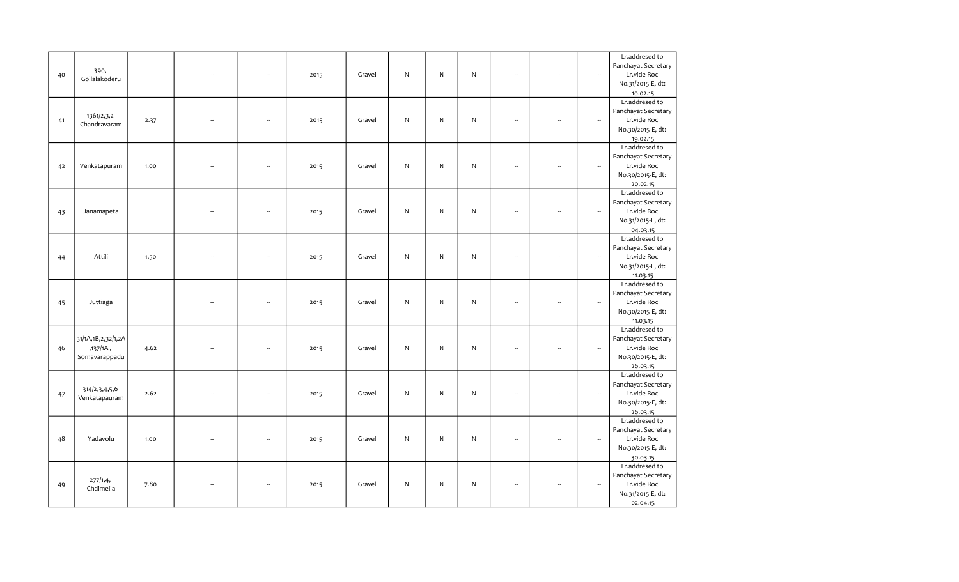|    |                        |      |                          |                          |      |        |              |              |              |    |                          |                          | Lr.addresed to             |
|----|------------------------|------|--------------------------|--------------------------|------|--------|--------------|--------------|--------------|----|--------------------------|--------------------------|----------------------------|
|    |                        |      |                          |                          |      |        |              |              |              |    |                          |                          | Panchayat Secretary        |
| 40 | 390,                   |      |                          | --                       | 2015 | Gravel | $\mathsf{N}$ | N            | N            |    | ÷.                       | $\overline{\phantom{a}}$ | Lr.vide Roc                |
|    | Gollalakoderu          |      |                          |                          |      |        |              |              |              |    |                          |                          | No.31/2015-E, dt:          |
|    |                        |      |                          |                          |      |        |              |              |              |    |                          |                          | 10.02.15                   |
|    |                        |      |                          |                          |      |        |              |              |              |    |                          |                          | Lr.addresed to             |
|    |                        |      |                          |                          |      |        |              |              |              |    |                          |                          | Panchayat Secretary        |
|    | 1361/2,3,2             |      |                          |                          |      | Gravel | N            | N            | N            |    | $\overline{\phantom{a}}$ | $\overline{\phantom{a}}$ | Lr.vide Roc                |
| 41 | Chandravaram           | 2.37 |                          | --                       | 2015 |        |              |              |              |    |                          |                          |                            |
|    |                        |      |                          |                          |      |        |              |              |              |    |                          |                          | No.30/2015-E, dt:          |
|    |                        |      |                          |                          |      |        |              |              |              |    |                          |                          | 19.02.15                   |
|    |                        |      |                          |                          |      |        |              |              |              |    |                          |                          | Lr.addresed to             |
|    |                        |      |                          |                          |      |        |              |              |              |    |                          |                          | Panchayat Secretary        |
| 42 | Venkatapuram           | 1.00 |                          | ÷.                       | 2015 | Gravel | $\mathsf{N}$ | N            | $\mathsf{N}$ | ÷. | $\overline{\phantom{a}}$ | $\sim$                   | Lr.vide Roc                |
|    |                        |      |                          |                          |      |        |              |              |              |    |                          |                          | No.30/2015-E, dt:          |
|    |                        |      |                          |                          |      |        |              |              |              |    |                          |                          | 20.02.15                   |
|    |                        |      |                          |                          |      |        |              |              |              |    |                          |                          | Lr.addresed to             |
|    |                        |      |                          |                          |      |        |              |              |              |    |                          |                          | Panchayat Secretary        |
| 43 | Janamapeta             |      |                          | ÷.                       | 2015 | Gravel | $\mathsf{N}$ | N            | $\mathsf{N}$ |    | L.                       | $\overline{\phantom{a}}$ | Lr.vide Roc                |
|    |                        |      |                          |                          |      |        |              |              |              |    |                          |                          | No.31/2015-E, dt:          |
|    |                        |      |                          |                          |      |        |              |              |              |    |                          |                          | 04.03.15                   |
|    |                        |      |                          |                          |      |        |              |              |              |    |                          |                          | Lr.addresed to             |
|    |                        |      |                          |                          |      |        |              |              |              |    |                          |                          | Panchayat Secretary        |
| 44 | Attili                 | 1.50 | $\overline{\phantom{a}}$ | ÷.                       | 2015 | Gravel | $\mathsf{N}$ | N            | $\mathsf{N}$ | ÷. | $\overline{\phantom{a}}$ | $\bar{a}$                | Lr.vide Roc                |
|    |                        |      |                          |                          |      |        |              |              |              |    |                          |                          | No.31/2015-E, dt:          |
|    |                        |      |                          |                          |      |        |              |              |              |    |                          |                          | 11.03.15                   |
|    |                        |      |                          |                          |      |        |              |              |              |    |                          |                          | Lr.addresed to             |
|    |                        |      |                          |                          |      |        |              |              |              |    |                          |                          | Panchayat Secretary        |
| 45 | Juttiaga               |      |                          | $\overline{\phantom{a}}$ | 2015 | Gravel | $\mathsf{N}$ | N            | $\mathsf{N}$ |    | $\overline{\phantom{a}}$ | $\overline{\phantom{a}}$ | Lr.vide Roc                |
|    |                        |      |                          |                          |      |        |              |              |              |    |                          |                          | No.30/2015-E, dt:          |
|    |                        |      |                          |                          |      |        |              |              |              |    |                          |                          | 11.03.15                   |
|    |                        |      |                          |                          |      |        |              |              |              |    |                          |                          | Lr.addresed to             |
|    | 31/1A, 1B, 2, 32/1, 2A |      |                          |                          |      |        |              |              |              |    |                          |                          | Panchayat Secretary        |
| 46 | ,137/1A,               | 4.62 |                          |                          | 2015 | Gravel | $\mathsf{N}$ | $\mathsf{N}$ | $\mathsf{N}$ |    | $\overline{\phantom{a}}$ | $\overline{\phantom{a}}$ | Lr.vide Roc                |
|    | Somavarappadu          |      |                          |                          |      |        |              |              |              |    |                          |                          | No.30/2015-E, dt:          |
|    |                        |      |                          |                          |      |        |              |              |              |    |                          |                          | 26.03.15                   |
|    |                        |      |                          |                          |      |        |              |              |              |    |                          |                          | Lr.addresed to             |
|    |                        |      |                          |                          |      |        |              |              |              |    |                          |                          | Panchayat Secretary        |
| 47 | 314/2,3,4,5,6          | 2.62 |                          |                          | 2015 | Gravel | $\mathsf{N}$ | N            | $\mathsf{N}$ |    | $\sim$                   | $\overline{\phantom{a}}$ | Lr.vide Roc                |
|    | Venkatapauram          |      |                          |                          |      |        |              |              |              |    |                          |                          | No.30/2015-E, dt:          |
|    |                        |      |                          |                          |      |        |              |              |              |    |                          |                          | 26.03.15                   |
|    |                        |      |                          |                          |      |        |              |              |              |    |                          |                          | Lr.addresed to             |
|    |                        |      |                          |                          |      |        |              |              |              |    |                          |                          | Panchayat Secretary        |
| 48 | Yadavolu               | 1.00 |                          | ÷.                       | 2015 | Gravel | $\mathsf{N}$ | $\mathsf{N}$ | $\mathsf{N}$ |    | $\overline{\phantom{a}}$ | $\sim$                   | Lr.vide Roc                |
|    |                        |      |                          |                          |      |        |              |              |              |    |                          |                          | No.30/2015-E, dt:          |
|    |                        |      |                          |                          |      |        |              |              |              |    |                          |                          |                            |
|    |                        |      |                          |                          |      |        |              |              |              |    |                          |                          | 30.03.15<br>Lr.addresed to |
|    |                        |      |                          |                          |      |        |              |              |              |    |                          |                          |                            |
|    | 277/1,4,               |      |                          | $\sim$                   |      |        |              |              |              |    |                          |                          | Panchayat Secretary        |
| 49 | Chdimella              | 7.80 |                          |                          | 2015 | Gravel | $\mathsf{N}$ | $\mathsf{N}$ | N            |    | $\sim$                   | $\overline{\phantom{a}}$ | Lr.vide Roc                |
|    |                        |      |                          |                          |      |        |              |              |              |    |                          |                          | No.31/2015-E, dt:          |
|    |                        |      |                          |                          |      |        |              |              |              |    |                          |                          | 02.04.15                   |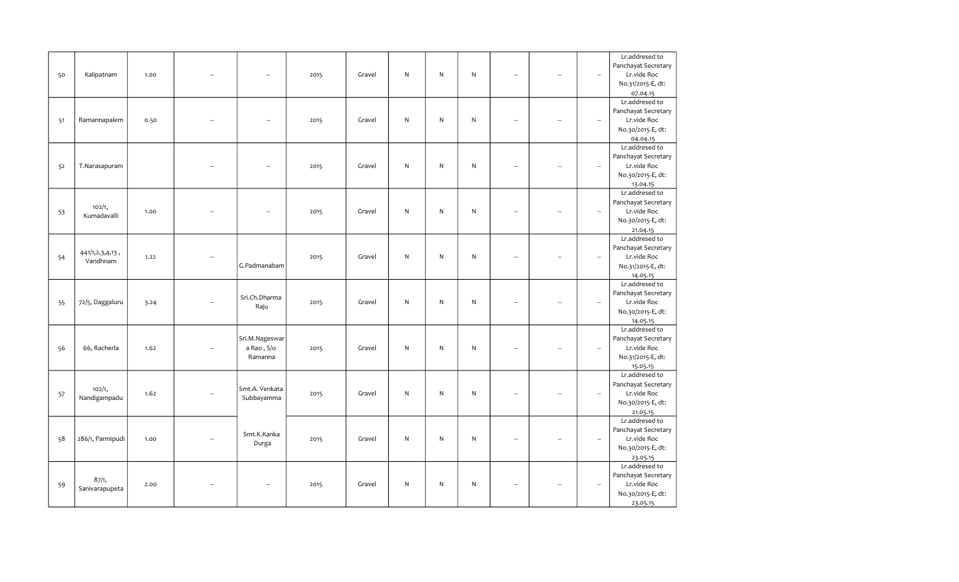|    |                  |      |        |                |      |        |              |              |              |    |                          |                          | Lr.addresed to      |
|----|------------------|------|--------|----------------|------|--------|--------------|--------------|--------------|----|--------------------------|--------------------------|---------------------|
|    |                  |      |        |                |      |        |              |              |              |    |                          |                          | Panchayat Secretary |
| 50 | Kalipatnam       | 1.00 |        | --             | 2015 | Gravel | $\mathsf{N}$ | N            | N            |    | $\overline{\phantom{a}}$ | $\sim$                   | Lr.vide Roc         |
|    |                  |      |        |                |      |        |              |              |              |    |                          |                          | No.31/2015-E, dt:   |
|    |                  |      |        |                |      |        |              |              |              |    |                          |                          | 07.04.15            |
|    |                  |      |        |                |      |        |              |              |              |    |                          |                          | Lr.addresed to      |
|    |                  |      |        |                |      |        |              |              |              |    |                          |                          |                     |
|    |                  |      |        |                |      |        |              |              |              |    |                          |                          | Panchayat Secretary |
| 51 | Ramannapalem     | 0.50 |        | --             | 2015 | Gravel | N            | N            | N            |    |                          | $\overline{\phantom{a}}$ | Lr.vide Roc         |
|    |                  |      |        |                |      |        |              |              |              |    |                          |                          | No.30/2015-E, dt:   |
|    |                  |      |        |                |      |        |              |              |              |    |                          |                          | 04.04.15            |
|    |                  |      |        |                |      |        |              |              |              |    |                          |                          | Lr.addresed to      |
|    |                  |      |        |                |      |        |              |              |              |    |                          |                          | Panchayat Secretary |
| 52 | T.Narasapuram    |      |        | ÷.             | 2015 | Gravel | $\mathsf{N}$ | N            | N            | ÷. | $\ddot{\phantom{a}}$     | $\overline{\phantom{a}}$ | Lr.vide Roc         |
|    |                  |      |        |                |      |        |              |              |              |    |                          |                          | No.30/2015-E, dt:   |
|    |                  |      |        |                |      |        |              |              |              |    |                          |                          | 13.04.15            |
|    |                  |      |        |                |      |        |              |              |              |    |                          |                          | Lr.addresed to      |
|    | 102/1,           |      |        |                |      |        |              |              |              |    |                          |                          | Panchayat Secretary |
| 53 | Kumadavalli      | 1.00 |        | ÷.             | 2015 | Gravel | $\mathsf{N}$ | N            | N            |    | $\sim$                   | $\overline{\phantom{a}}$ | Lr.vide Roc         |
|    |                  |      |        |                |      |        |              |              |              |    |                          |                          | No.30/2015-E, dt:   |
|    |                  |      |        |                |      |        |              |              |              |    |                          |                          | 21.04.15            |
|    |                  |      |        |                |      |        |              |              |              |    |                          |                          | Lr.addresed to      |
|    | 441/1,2,3,4,13,  |      |        |                |      |        |              |              |              |    |                          |                          | Panchayat Secretary |
| 54 | Varidhnam        | 1.22 |        |                | 2015 | Gravel | $\mathsf{N}$ | N            | $\mathsf{N}$ | ÷. | $\ddot{\phantom{a}}$     | $\overline{\phantom{a}}$ | Lr.vide Roc         |
|    |                  |      |        | G.Padmanabam   |      |        |              |              |              |    |                          |                          | No.31/2015-E, dt:   |
|    |                  |      |        |                |      |        |              |              |              |    |                          |                          | 14.05.15            |
|    |                  |      |        |                |      |        |              |              |              |    |                          |                          | Lr.addresed to      |
|    |                  |      |        |                |      |        |              |              |              |    |                          |                          | Panchayat Secretary |
| 55 | 72/5, Daggaluru  | 3.24 |        | Sri.Ch.Dharma  | 2015 | Gravel | N            | N            | N            |    | $\ddot{\phantom{a}}$     | $\overline{\phantom{a}}$ | Lr.vide Roc         |
|    |                  |      |        | Raju           |      |        |              |              |              |    |                          |                          | No.30/2015-E, dt:   |
|    |                  |      |        |                |      |        |              |              |              |    |                          |                          | 14.05.15            |
|    |                  |      |        |                |      |        |              |              |              |    |                          |                          | Lr.addresed to      |
|    |                  |      |        | Sri.M.Nageswar |      |        |              |              |              |    |                          |                          | Panchayat Secretary |
| 56 | 66, Racherla     | 1.62 |        | a Rao, S/o     | 2015 | Gravel | $\mathsf{N}$ | $\mathsf{N}$ | $\mathsf{N}$ |    | $\overline{\phantom{a}}$ | $\overline{\phantom{a}}$ | Lr.vide Roc         |
|    |                  |      |        | Ramanna        |      |        |              |              |              |    |                          |                          | No.31/2015-E, dt:   |
|    |                  |      |        |                |      |        |              |              |              |    |                          |                          | 15.05.15            |
|    |                  |      |        |                |      |        |              |              |              |    |                          |                          | Lr.addresed to      |
|    |                  |      |        |                |      |        |              |              |              |    |                          |                          | Panchayat Secretary |
| 57 | 102/1,           | 1.62 |        | Smt.A. Venkata | 2015 | Gravel | $\mathsf{N}$ | N            | $\mathsf{N}$ |    |                          | $\overline{\phantom{a}}$ | Lr.vide Roc         |
|    | Nandigampadu     |      |        | Subbayamma     |      |        |              |              |              |    |                          |                          | No.30/2015-E, dt:   |
|    |                  |      |        |                |      |        |              |              |              |    |                          |                          | 21.05.15            |
|    |                  |      |        |                |      |        |              |              |              |    |                          |                          | Lr.addresed to      |
|    |                  |      |        |                |      |        |              |              |              |    |                          |                          | Panchayat Secretary |
| 58 | 286/1, Parmipudi | 1.00 | $\sim$ | Smt.K.Kanka    | 2015 | Gravel | $\mathsf{N}$ | $\mathsf{N}$ | $\mathsf{N}$ |    | $\overline{\phantom{a}}$ | $\overline{\phantom{a}}$ | Lr.vide Roc         |
|    |                  |      |        | Durga          |      |        |              |              |              |    |                          |                          | No.30/2015-E, dt:   |
|    |                  |      |        |                |      |        |              |              |              |    |                          |                          | 23.05.15            |
|    |                  |      |        |                |      |        |              |              |              |    |                          |                          | Lr.addresed to      |
|    |                  |      |        |                |      |        |              |              |              |    |                          |                          | Panchayat Secretary |
|    | 87/1,            | 2.00 |        | ÷.             | 2015 | Gravel | N            | $\mathsf{N}$ | N            |    | $\sim$                   | $\overline{\phantom{a}}$ | Lr.vide Roc         |
| 59 | Sanivarapupeta   |      |        |                |      |        |              |              |              |    |                          |                          | No.30/2015-E, dt:   |
|    |                  |      |        |                |      |        |              |              |              |    |                          |                          |                     |
|    |                  |      |        |                |      |        |              |              |              |    |                          |                          | 23.05.15            |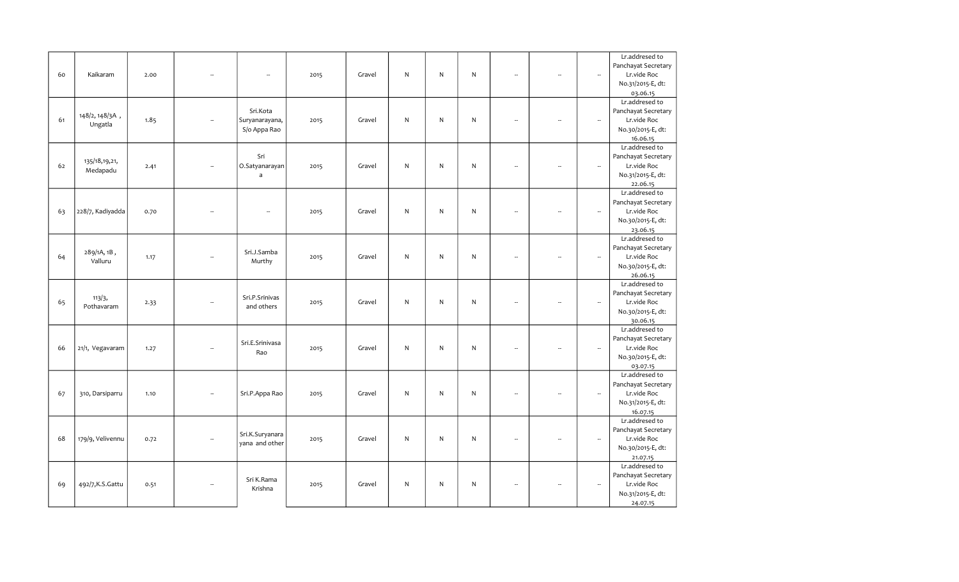|    |                   |      |                          |                          |      |        |              |              |              |                          |                          |                          | Lr.addresed to      |
|----|-------------------|------|--------------------------|--------------------------|------|--------|--------------|--------------|--------------|--------------------------|--------------------------|--------------------------|---------------------|
|    |                   |      |                          |                          |      |        |              |              |              |                          |                          |                          | Panchayat Secretary |
| 60 | Kaikaram          | 2.00 |                          | -                        | 2015 | Gravel | N            | N            | N            |                          | $\overline{\phantom{a}}$ | $\sim$                   | Lr.vide Roc         |
|    |                   |      |                          |                          |      |        |              |              |              |                          |                          |                          | No.31/2015-E, dt:   |
|    |                   |      |                          |                          |      |        |              |              |              |                          |                          |                          | 03.06.15            |
|    |                   |      |                          |                          |      |        |              |              |              |                          |                          |                          | Lr.addresed to      |
|    |                   |      |                          | Sri.Kota                 |      |        |              |              |              |                          |                          |                          | Panchayat Secretary |
| 61 | 148/2, 148/3A,    | 1.85 |                          |                          |      |        | N            | N            | N            |                          | $\overline{\phantom{a}}$ | $\overline{\phantom{a}}$ | Lr.vide Roc         |
|    | Ungatla           |      |                          | Suryanarayana,           | 2015 | Gravel |              |              |              |                          |                          |                          |                     |
|    |                   |      |                          | S/o Appa Rao             |      |        |              |              |              |                          |                          |                          | No.30/2015-E, dt:   |
|    |                   |      |                          |                          |      |        |              |              |              |                          |                          |                          | 16.06.15            |
|    |                   |      |                          |                          |      |        |              |              |              |                          |                          |                          | Lr.addresed to      |
|    | 135/18, 19, 21,   |      |                          | Sri                      |      |        |              |              |              |                          |                          |                          | Panchayat Secretary |
| 62 | Medapadu          | 2.41 |                          | O.Satyanarayan           | 2015 | Gravel | N            | N            | $\mathsf{N}$ | ÷.                       | L.                       | $\overline{\phantom{a}}$ | Lr.vide Roc         |
|    |                   |      |                          | $\mathsf{a}$             |      |        |              |              |              |                          |                          |                          | No.31/2015-E, dt:   |
|    |                   |      |                          |                          |      |        |              |              |              |                          |                          |                          | 22.06.15            |
|    |                   |      |                          |                          |      |        |              |              |              |                          |                          |                          | Lr.addresed to      |
|    |                   |      |                          |                          |      |        |              |              |              |                          |                          |                          | Panchayat Secretary |
| 63 | 228/7, Kadiyadda  | 0.70 |                          | $\overline{\phantom{a}}$ | 2015 | Gravel | ${\sf N}$    | N            | ${\sf N}$    |                          | $\sim$                   | $\overline{\phantom{a}}$ | Lr.vide Roc         |
|    |                   |      |                          |                          |      |        |              |              |              |                          |                          |                          | No.30/2015-E, dt:   |
|    |                   |      |                          |                          |      |        |              |              |              |                          |                          |                          | 23.06.15            |
|    |                   |      |                          |                          |      |        |              |              |              |                          |                          |                          | Lr.addresed to      |
|    | 289/1A, 1B,       |      |                          | Sri.J.Samba              |      |        |              |              |              |                          |                          |                          | Panchayat Secretary |
| 64 | Valluru           | 1.17 |                          | Murthy                   | 2015 | Gravel | N            | $\mathsf{N}$ | N            | $\overline{\phantom{a}}$ | $\ddot{\phantom{a}}$     | $\overline{\phantom{a}}$ | Lr.vide Roc         |
|    |                   |      |                          |                          |      |        |              |              |              |                          |                          |                          | No.30/2015-E, dt:   |
|    |                   |      |                          |                          |      |        |              |              |              |                          |                          |                          | 26.06.15            |
|    |                   |      |                          |                          |      |        |              |              |              |                          |                          |                          | Lr.addresed to      |
|    | 113/3,            |      |                          | Sri.P.Srinivas           |      |        |              |              |              |                          |                          |                          | Panchayat Secretary |
| 65 | Pothavaram        | 2.33 |                          | and others               | 2015 | Gravel | $\mathsf{N}$ | $\mathsf{N}$ | $\mathsf{N}$ | L.                       | $\ddot{\phantom{a}}$     | $\overline{\phantom{a}}$ | Lr.vide Roc         |
|    |                   |      |                          |                          |      |        |              |              |              |                          |                          |                          | No.30/2015-E, dt:   |
|    |                   |      |                          |                          |      |        |              |              |              |                          |                          |                          | 30.06.15            |
|    |                   |      |                          |                          |      |        |              |              |              |                          |                          |                          | Lr.addresed to      |
|    |                   |      |                          | Sri.E.Srinivasa          |      |        |              |              |              |                          |                          |                          | Panchayat Secretary |
| 66 | 21/1, Vegavaram   | 1.27 | $\overline{\phantom{a}}$ | Rao                      | 2015 | Gravel | $\mathsf{N}$ | ${\sf N}$    | $\mathsf{N}$ | $\overline{\phantom{a}}$ | $\overline{\phantom{a}}$ | $\overline{\phantom{a}}$ | Lr.vide Roc         |
|    |                   |      |                          |                          |      |        |              |              |              |                          |                          |                          | No.30/2015-E, dt:   |
|    |                   |      |                          |                          |      |        |              |              |              |                          |                          |                          | 03.07.15            |
|    |                   |      |                          |                          |      |        |              |              |              |                          |                          |                          | Lr.addresed to      |
|    |                   |      |                          |                          |      |        |              |              |              |                          |                          |                          | Panchayat Secretary |
| 67 | 310, Darsiparru   | 1.10 | $\overline{\phantom{a}}$ | Sri.P.Appa Rao           | 2015 | Gravel | $\mathsf{N}$ | N            | $\mathsf{N}$ |                          | $\overline{\phantom{a}}$ | $\overline{\phantom{a}}$ | Lr.vide Roc         |
|    |                   |      |                          |                          |      |        |              |              |              |                          |                          |                          | No.31/2015-E, dt:   |
|    |                   |      |                          |                          |      |        |              |              |              |                          |                          |                          | 16.07.15            |
|    |                   |      |                          |                          |      |        |              |              |              |                          |                          |                          | Lr.addresed to      |
|    |                   |      |                          |                          |      |        |              |              |              |                          |                          |                          | Panchayat Secretary |
| 68 | 179/9, Velivennu  | 0.72 | $\sim$                   | Sri.K.Suryanara          | 2015 | Gravel | N            | N            | $\mathsf{N}$ | ÷.                       | $\overline{\phantom{a}}$ | $\overline{\phantom{a}}$ | Lr.vide Roc         |
|    |                   |      |                          | yana and other           |      |        |              |              |              |                          |                          |                          | No.30/2015-E, dt:   |
|    |                   |      |                          |                          |      |        |              |              |              |                          |                          |                          | 21.07.15            |
|    |                   |      |                          |                          |      |        |              |              |              |                          |                          |                          | Lr.addresed to      |
|    |                   |      |                          |                          |      |        |              |              |              |                          |                          |                          | Panchayat Secretary |
| 69 | 492/7, K.S. Gattu | 0.51 | $\overline{\phantom{a}}$ | Sri K.Rama               | 2015 | Gravel | N            | N            | $\mathsf{N}$ | $\overline{\phantom{a}}$ | $\overline{\phantom{a}}$ | $\overline{\phantom{a}}$ | Lr.vide Roc         |
|    |                   |      |                          | Krishna                  |      |        |              |              |              |                          |                          |                          | No.31/2015-E, dt:   |
|    |                   |      |                          |                          |      |        |              |              |              |                          |                          |                          | 24.07.15            |
|    |                   |      |                          |                          |      |        |              |              |              |                          |                          |                          |                     |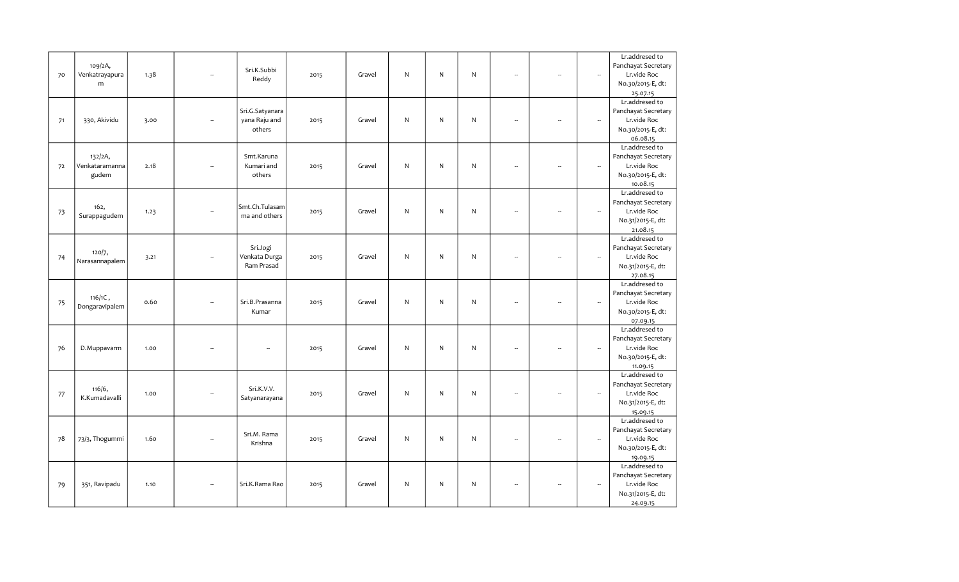|    |                |      |                          |                 |      |        |              |           |           |                          |                          |                          | Lr.addresed to      |
|----|----------------|------|--------------------------|-----------------|------|--------|--------------|-----------|-----------|--------------------------|--------------------------|--------------------------|---------------------|
|    | 109/2A,        |      |                          |                 |      |        |              |           |           |                          |                          |                          | Panchayat Secretary |
| 70 | Venkatrayapura | 1.38 |                          | Sri.K.Subbi     | 2015 | Gravel | N            | ${\sf N}$ | N         | $\overline{\phantom{a}}$ |                          | $\overline{\phantom{a}}$ | Lr.vide Roc         |
|    | m              |      |                          | Reddy           |      |        |              |           |           |                          |                          |                          | No.30/2015-E, dt:   |
|    |                |      |                          |                 |      |        |              |           |           |                          |                          |                          | 25.07.15            |
|    |                |      |                          |                 |      |        |              |           |           |                          |                          |                          | Lr.addresed to      |
|    |                |      |                          | Sri.G.Satyanara |      |        |              |           |           |                          |                          |                          | Panchayat Secretary |
| 71 | 330, Akividu   | 3.00 |                          | yana Raju and   | 2015 | Gravel | $\mathsf{N}$ | ${\sf N}$ | ${\sf N}$ | $\ddot{\phantom{a}}$     |                          | $\overline{\phantom{a}}$ | Lr.vide Roc         |
|    |                |      |                          | others          |      |        |              |           |           |                          |                          |                          | No.30/2015-E, dt:   |
|    |                |      |                          |                 |      |        |              |           |           |                          |                          |                          | 06.08.15            |
|    |                |      |                          |                 |      |        |              |           |           |                          |                          |                          | Lr.addresed to      |
|    | 132/2A,        |      |                          | Smt.Karuna      |      |        |              |           |           |                          |                          |                          | Panchayat Secretary |
|    | Venkataramanna |      |                          | Kumari and      |      |        | $\mathsf{N}$ | ${\sf N}$ | ${\sf N}$ | $\overline{\phantom{a}}$ | $\overline{\phantom{a}}$ | $\overline{\phantom{a}}$ |                     |
| 72 |                | 2.18 |                          |                 | 2015 | Gravel |              |           |           |                          |                          |                          | Lr.vide Roc         |
|    | gudem          |      |                          | others          |      |        |              |           |           |                          |                          |                          | No.30/2015-E, dt:   |
|    |                |      |                          |                 |      |        |              |           |           |                          |                          |                          | 10.08.15            |
|    |                |      |                          |                 |      |        |              |           |           |                          |                          |                          | Lr.addresed to      |
|    | 162,           |      |                          | Smt.Ch.Tulasam  |      |        |              |           |           |                          |                          |                          | Panchayat Secretary |
| 73 | Surappagudem   | 1.23 |                          | ma and others   | 2015 | Gravel | $\mathsf{N}$ | ${\sf N}$ | ${\sf N}$ | L,                       |                          | $\overline{\phantom{a}}$ | Lr.vide Roc         |
|    |                |      |                          |                 |      |        |              |           |           |                          |                          |                          | No.31/2015-E, dt:   |
|    |                |      |                          |                 |      |        |              |           |           |                          |                          |                          | 21.08.15            |
|    |                |      |                          |                 |      |        |              |           |           |                          |                          |                          | Lr.addresed to      |
|    | 120/7,         |      |                          | Sri.Jogi        |      |        |              |           |           |                          |                          |                          | Panchayat Secretary |
| 74 | Narasannapalem | 3.21 |                          | Venkata Durga   | 2015 | Gravel | $\mathsf{N}$ | ${\sf N}$ | ${\sf N}$ | Ξ.                       |                          | $\overline{\phantom{a}}$ | Lr.vide Roc         |
|    |                |      |                          | Ram Prasad      |      |        |              |           |           |                          |                          |                          | No.31/2015-E, dt:   |
|    |                |      |                          |                 |      |        |              |           |           |                          |                          |                          | 27.08.15            |
|    |                |      |                          |                 |      |        |              |           |           |                          |                          |                          | Lr.addresed to      |
|    | $116/1C$ ,     |      |                          |                 |      |        |              |           |           |                          |                          |                          | Panchayat Secretary |
| 75 | Dongaravipalem | 0.60 |                          | Sri.B.Prasanna  | 2015 | Gravel | $\mathsf{N}$ | ${\sf N}$ | ${\sf N}$ | L.                       |                          | $\overline{\phantom{a}}$ | Lr.vide Roc         |
|    |                |      |                          | Kumar           |      |        |              |           |           |                          |                          |                          | No.30/2015-E, dt:   |
|    |                |      |                          |                 |      |        |              |           |           |                          |                          |                          | 07.09.15            |
|    |                |      |                          |                 |      |        |              |           |           |                          |                          |                          | Lr.addresed to      |
|    |                |      |                          |                 |      |        |              |           |           |                          |                          |                          | Panchayat Secretary |
| 76 | D.Muppavarm    | 1.00 |                          | --              | 2015 | Gravel | $\mathsf{N}$ | ${\sf N}$ | N         | $\overline{\phantom{a}}$ | --                       | $\overline{\phantom{a}}$ | Lr.vide Roc         |
|    |                |      |                          |                 |      |        |              |           |           |                          |                          |                          | No.30/2015-E, dt:   |
|    |                |      |                          |                 |      |        |              |           |           |                          |                          |                          | 11.09.15            |
|    |                |      |                          |                 |      |        |              |           |           |                          |                          |                          | Lr.addresed to      |
|    |                |      |                          |                 |      |        |              |           |           |                          |                          |                          | Panchayat Secretary |
| 77 | 116/6,         | 1.00 |                          | Sri.K.V.V.      | 2015 | Gravel | N            | ${\sf N}$ | N         | L,                       |                          | $\overline{\phantom{a}}$ | Lr.vide Roc         |
|    | K.Kumadavalli  |      |                          | Satyanarayana   |      |        |              |           |           |                          |                          |                          | No.31/2015-E, dt:   |
|    |                |      |                          |                 |      |        |              |           |           |                          |                          |                          | 15.09.15            |
|    |                |      |                          |                 |      |        |              |           |           |                          |                          |                          | Lr.addresed to      |
|    |                |      |                          |                 |      |        |              |           |           |                          |                          |                          | Panchayat Secretary |
| 78 | 73/3, Thogummi | 1.60 | $\overline{\phantom{a}}$ | Sri.M. Rama     | 2015 | Gravel | $\mathsf{N}$ | ${\sf N}$ | ${\sf N}$ | L.                       | ÷.                       | $\overline{\phantom{a}}$ | Lr.vide Roc         |
|    |                |      |                          | Krishna         |      |        |              |           |           |                          |                          |                          | No.30/2015-E, dt:   |
|    |                |      |                          |                 |      |        |              |           |           |                          |                          |                          | 19.09.15            |
|    |                |      |                          |                 |      |        |              |           |           |                          |                          |                          | Lr.addresed to      |
|    |                |      |                          |                 |      |        |              |           |           |                          |                          |                          | Panchayat Secretary |
| 79 | 351, Ravipadu  | 1.10 |                          | Sri.K.Rama Rao  | 2015 | Gravel | N            | N         | N         | $\overline{\phantom{a}}$ |                          | $\overline{\phantom{a}}$ | Lr.vide Roc         |
|    |                |      |                          |                 |      |        |              |           |           |                          |                          |                          | No.31/2015-E, dt:   |
|    |                |      |                          |                 |      |        |              |           |           |                          |                          |                          | 24.09.15            |
|    |                |      |                          |                 |      |        |              |           |           |                          |                          |                          |                     |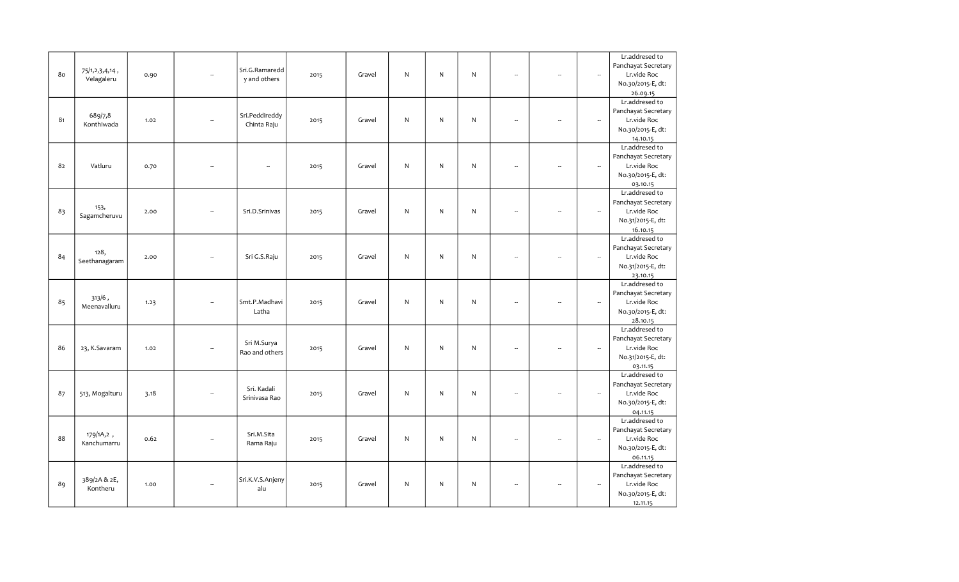|    |                |      |                          |                  |      |        |              |   |              |                          |                          |                          | Lr.addresed to             |
|----|----------------|------|--------------------------|------------------|------|--------|--------------|---|--------------|--------------------------|--------------------------|--------------------------|----------------------------|
|    |                |      |                          | Sri.G.Ramaredd   |      |        |              |   |              |                          |                          |                          | Panchayat Secretary        |
| 80 | 75/1,2,3,4,14, | 0.90 | L.                       |                  | 2015 | Gravel | N            | N | N            | Ξ.                       | L.                       | $\overline{\phantom{a}}$ | Lr.vide Roc                |
|    | Velagaleru     |      |                          | y and others     |      |        |              |   |              |                          |                          |                          | No.30/2015-E, dt:          |
|    |                |      |                          |                  |      |        |              |   |              |                          |                          |                          | 26.09.15                   |
|    |                |      |                          |                  |      |        |              |   |              |                          |                          |                          | Lr.addresed to             |
|    |                |      |                          |                  |      |        |              |   |              |                          |                          |                          | Panchayat Secretary        |
| 81 | 689/7,8        | 1.02 | $\overline{a}$           | Sri.Peddireddy   | 2015 | Gravel | N            | N | N            | $\overline{a}$           | ÷.                       | $\overline{\phantom{a}}$ | Lr.vide Roc                |
|    | Konthiwada     |      |                          | Chinta Raju      |      |        |              |   |              |                          |                          |                          | No.30/2015-E, dt:          |
|    |                |      |                          |                  |      |        |              |   |              |                          |                          |                          | 14.10.15                   |
|    |                |      |                          |                  |      |        |              |   |              |                          |                          |                          | Lr.addresed to             |
|    |                |      |                          |                  |      |        |              |   |              |                          |                          |                          | Panchayat Secretary        |
| 82 | Vatluru        | 0.70 |                          | --               | 2015 | Gravel | ${\sf N}$    | N | N            | $\overline{\phantom{a}}$ | ÷.                       | $\overline{\phantom{a}}$ | Lr.vide Roc                |
|    |                |      |                          |                  |      |        |              |   |              |                          |                          |                          | No.30/2015-E, dt:          |
|    |                |      |                          |                  |      |        |              |   |              |                          |                          |                          |                            |
|    |                |      |                          |                  |      |        |              |   |              |                          |                          |                          | 03.10.15<br>Lr.addresed to |
|    |                |      |                          |                  |      |        |              |   |              |                          |                          |                          | Panchayat Secretary        |
|    | 153,           |      |                          |                  |      |        |              |   |              |                          |                          |                          |                            |
| 83 | Sagamcheruvu   | 2.00 |                          | Sri.D.Srinivas   | 2015 | Gravel | N            | N | N            | -                        |                          | $\overline{\phantom{a}}$ | Lr.vide Roc                |
|    |                |      |                          |                  |      |        |              |   |              |                          |                          |                          | No.31/2015-E, dt:          |
|    |                |      |                          |                  |      |        |              |   |              |                          |                          |                          | 16.10.15                   |
|    |                |      |                          |                  |      |        |              |   |              |                          |                          |                          | Lr.addresed to             |
|    | 128,           |      |                          |                  |      |        |              |   |              |                          |                          |                          | Panchayat Secretary        |
| 84 | Seethanagaram  | 2.00 | $\overline{\phantom{a}}$ | Sri G.S.Raju     | 2015 | Gravel | N            | N | $\mathsf{N}$ | $\overline{\phantom{a}}$ | ÷                        | $\overline{\phantom{a}}$ | Lr.vide Roc                |
|    |                |      |                          |                  |      |        |              |   |              |                          |                          |                          | No.31/2015-E, dt:          |
|    |                |      |                          |                  |      |        |              |   |              |                          |                          |                          | 23.10.15                   |
|    |                |      |                          |                  |      |        |              |   |              |                          |                          |                          | Lr.addresed to             |
|    | $313/6$ ,      |      |                          |                  |      |        |              |   |              |                          |                          |                          | Panchayat Secretary        |
| 85 | Meenavalluru   | 1.23 |                          | Smt.P.Madhavi    | 2015 | Gravel | N            | N | ${\sf N}$    | $\overline{\phantom{a}}$ | $\overline{\phantom{a}}$ | $\overline{\phantom{a}}$ | Lr.vide Roc                |
|    |                |      |                          | Latha            |      |        |              |   |              |                          |                          |                          | No.30/2015-E, dt:          |
|    |                |      |                          |                  |      |        |              |   |              |                          |                          |                          | 28.10.15                   |
|    |                |      |                          |                  |      |        |              |   |              |                          |                          |                          | Lr.addresed to             |
|    |                |      |                          | Sri M.Surya      |      |        |              |   |              |                          |                          |                          | Panchayat Secretary        |
| 86 | 23, K.Savaram  | 1.02 | $\ddot{\phantom{a}}$     | Rao and others   | 2015 | Gravel | N            | N | ${\sf N}$    | $\overline{\phantom{a}}$ | $\overline{\phantom{a}}$ | $\overline{\phantom{a}}$ | Lr.vide Roc                |
|    |                |      |                          |                  |      |        |              |   |              |                          |                          |                          | No.31/2015-E, dt:          |
|    |                |      |                          |                  |      |        |              |   |              |                          |                          |                          | 03.11.15                   |
|    |                |      |                          |                  |      |        |              |   |              |                          |                          |                          | Lr.addresed to             |
|    |                |      |                          | Sri. Kadali      |      |        |              |   |              |                          |                          |                          | Panchayat Secretary        |
| 87 | 513, Mogalturu | 3.18 |                          | Srinivasa Rao    | 2015 | Gravel | $\mathsf{N}$ | N | ${\sf N}$    | ÷.                       |                          | $\overline{\phantom{a}}$ | Lr.vide Roc                |
|    |                |      |                          |                  |      |        |              |   |              |                          |                          |                          | No.30/2015-E, dt:          |
|    |                |      |                          |                  |      |        |              |   |              |                          |                          |                          | 04.11.15                   |
|    |                |      |                          |                  |      |        |              |   |              |                          |                          |                          | Lr.addresed to             |
|    |                |      |                          |                  |      |        |              |   |              |                          |                          |                          | Panchayat Secretary        |
| 88 | 179/1A,2,      | 0.62 | $\overline{\phantom{a}}$ | Sri.M.Sita       | 2015 | Gravel | ${\sf N}$    | N | $\mathsf{N}$ | $\overline{\phantom{a}}$ | $\sim$                   | $\overline{\phantom{a}}$ | Lr.vide Roc                |
|    | Kanchumarru    |      |                          | Rama Raju        |      |        |              |   |              |                          |                          |                          | No.30/2015-E, dt:          |
|    |                |      |                          |                  |      |        |              |   |              |                          |                          |                          | 06.11.15                   |
|    |                |      |                          |                  |      |        |              |   |              |                          |                          |                          | Lr.addresed to             |
|    |                |      |                          |                  |      |        |              |   |              |                          |                          |                          | Panchayat Secretary        |
| 89 | 389/2A & 2E,   | 1.00 | $\overline{\phantom{a}}$ | Sri.K.V.S.Anjeny | 2015 | Gravel | N            | N | $\mathsf{N}$ | $\overline{\phantom{a}}$ |                          | $\overline{\phantom{a}}$ | Lr.vide Roc                |
|    | Kontheru       |      |                          | alu              |      |        |              |   |              |                          |                          |                          | No.30/2015-E, dt:          |
|    |                |      |                          |                  |      |        |              |   |              |                          |                          |                          | 12.11.15                   |
|    |                |      |                          |                  |      |        |              |   |              |                          |                          |                          |                            |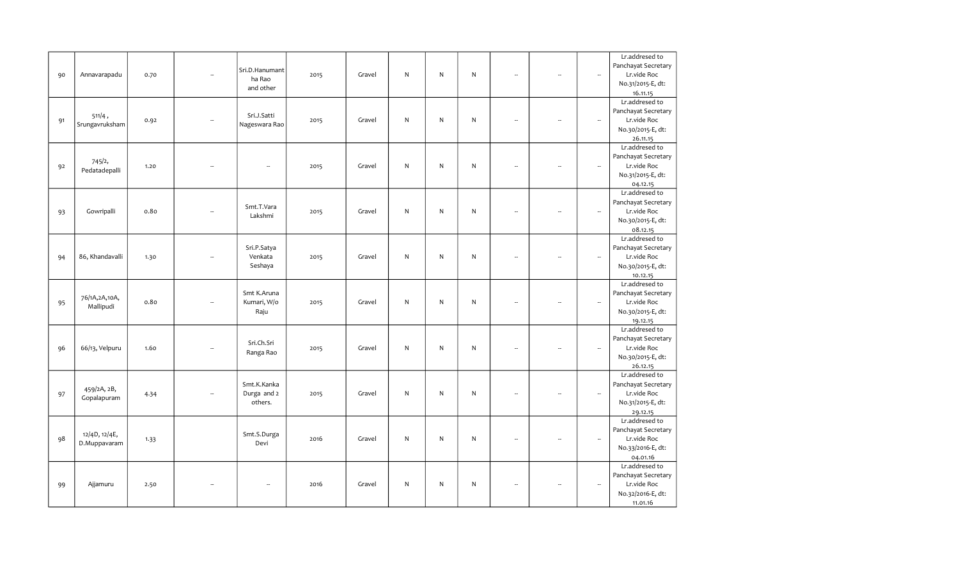|    |                 |      |                          |                          |      |        |              |   |              |                          |                          |                          | Lr.addresed to      |
|----|-----------------|------|--------------------------|--------------------------|------|--------|--------------|---|--------------|--------------------------|--------------------------|--------------------------|---------------------|
|    |                 |      |                          | Sri.D.Hanumant           |      |        |              |   |              |                          |                          |                          | Panchayat Secretary |
| 90 | Annavarapadu    | 0.70 |                          |                          | 2015 | Gravel | N            | N | N            | $\overline{\phantom{a}}$ | L.                       | $\overline{\phantom{a}}$ | Lr.vide Roc         |
|    |                 |      |                          | ha Rao                   |      |        |              |   |              |                          |                          |                          | No.31/2015-E, dt:   |
|    |                 |      |                          | and other                |      |        |              |   |              |                          |                          |                          | 16.11.15            |
|    |                 |      |                          |                          |      |        |              |   |              |                          |                          |                          | Lr.addresed to      |
|    |                 |      |                          |                          |      |        |              |   |              |                          |                          |                          | Panchayat Secretary |
| 91 | 511/4,          | 0.92 | $\overline{\phantom{a}}$ | Sri.J.Satti              | 2015 | Gravel | N            | N | N            | $\overline{\phantom{a}}$ | L.                       | $\overline{\phantom{a}}$ | Lr.vide Roc         |
|    | Srungavruksham  |      |                          | Nageswara Rao            |      |        |              |   |              |                          |                          |                          | No.30/2015-E, dt:   |
|    |                 |      |                          |                          |      |        |              |   |              |                          |                          |                          | 26.11.15            |
|    |                 |      |                          |                          |      |        |              |   |              |                          |                          |                          | Lr.addresed to      |
|    |                 |      |                          |                          |      |        |              |   |              |                          |                          |                          | Panchayat Secretary |
| 92 | 745/2,          | 1.20 |                          | Ξ.                       | 2015 | Gravel | $\mathsf{N}$ | N | $\mathsf{N}$ | L.                       | L.                       | $\overline{\phantom{a}}$ | Lr.vide Roc         |
|    | Pedatadepalli   |      |                          |                          |      |        |              |   |              |                          |                          |                          | No.31/2015-E, dt:   |
|    |                 |      |                          |                          |      |        |              |   |              |                          |                          |                          | 04.12.15            |
|    |                 |      |                          |                          |      |        |              |   |              |                          |                          |                          | Lr.addresed to      |
|    |                 |      |                          |                          |      |        |              |   |              |                          |                          |                          | Panchayat Secretary |
|    | Gowripalli      | 0.80 |                          | Smt.T.Vara               |      | Gravel | N            | N | $\mathsf{N}$ | $\overline{\phantom{a}}$ |                          | $\overline{\phantom{a}}$ | Lr.vide Roc         |
| 93 |                 |      |                          | Lakshmi                  | 2015 |        |              |   |              |                          |                          |                          | No.30/2015-E, dt:   |
|    |                 |      |                          |                          |      |        |              |   |              |                          |                          |                          | 08.12.15            |
|    |                 |      |                          |                          |      |        |              |   |              |                          |                          |                          | Lr.addresed to      |
|    |                 |      |                          |                          |      |        |              |   |              |                          |                          |                          | Panchayat Secretary |
|    |                 |      |                          | Sri.P.Satya              |      |        |              |   |              |                          |                          |                          |                     |
| 94 | 86, Khandavalli | 1.30 |                          | Venkata                  | 2015 | Gravel | ${\sf N}$    | N | $\mathsf{N}$ | $\overline{\phantom{a}}$ | $\overline{\phantom{a}}$ | $\overline{\phantom{a}}$ | Lr.vide Roc         |
|    |                 |      |                          | Seshaya                  |      |        |              |   |              |                          |                          |                          | No.30/2015-E, dt:   |
|    |                 |      |                          |                          |      |        |              |   |              |                          |                          |                          | 10.12.15            |
|    |                 |      |                          |                          |      |        |              |   |              |                          |                          |                          | Lr.addresed to      |
|    | 76/1A, 2A, 10A, |      |                          | Smt K.Aruna              |      |        |              |   |              |                          |                          |                          | Panchayat Secretary |
| 95 | Mallipudi       | 0.80 |                          | Kumari, W/o              | 2015 | Gravel | N            | N | N            | $\sim$                   | $\overline{\phantom{a}}$ | $\overline{\phantom{a}}$ | Lr.vide Roc         |
|    |                 |      |                          | Raju                     |      |        |              |   |              |                          |                          |                          | No.30/2015-E, dt:   |
|    |                 |      |                          |                          |      |        |              |   |              |                          |                          |                          | 19.12.15            |
|    |                 |      |                          |                          |      |        |              |   |              |                          |                          |                          | Lr.addresed to      |
|    |                 |      |                          | Sri.Ch.Sri               |      |        |              |   |              |                          |                          |                          | Panchayat Secretary |
| 96 | 66/13, Velpuru  | 1.60 | $\overline{\phantom{a}}$ | Ranga Rao                | 2015 | Gravel | N            | N | N            | $\overline{\phantom{a}}$ | ÷.                       | $\overline{\phantom{a}}$ | Lr.vide Roc         |
|    |                 |      |                          |                          |      |        |              |   |              |                          |                          |                          | No.30/2015-E, dt:   |
|    |                 |      |                          |                          |      |        |              |   |              |                          |                          |                          | 26.12.15            |
|    |                 |      |                          |                          |      |        |              |   |              |                          |                          |                          | Lr.addresed to      |
|    | 459/2A, 2B,     |      |                          | Smt.K.Kanka              |      |        |              |   |              |                          |                          |                          | Panchayat Secretary |
| 97 | Gopalapuram     | 4.34 |                          | Durga and 2              | 2015 | Gravel | N            | N | N            | ÷.                       |                          | $\overline{\phantom{a}}$ | Lr.vide Roc         |
|    |                 |      |                          | others.                  |      |        |              |   |              |                          |                          |                          | No.31/2015-E, dt:   |
|    |                 |      |                          |                          |      |        |              |   |              |                          |                          |                          | 29.12.15            |
|    |                 |      |                          |                          |      |        |              |   |              |                          |                          |                          | Lr.addresed to      |
|    | 12/4D, 12/4E,   |      |                          | Smt.S.Durga              |      |        |              |   |              |                          |                          |                          | Panchayat Secretary |
| 98 | D.Muppavaram    | 1.33 |                          | Devi                     | 2016 | Gravel | ${\sf N}$    | N | $\mathsf{N}$ | $\sim$                   | $\overline{\phantom{a}}$ | $\overline{\phantom{a}}$ | Lr.vide Roc         |
|    |                 |      |                          |                          |      |        |              |   |              |                          |                          |                          | No.33/2016-E, dt:   |
|    |                 |      |                          |                          |      |        |              |   |              |                          |                          |                          | 04.01.16            |
|    |                 |      |                          |                          |      |        |              |   |              |                          |                          |                          | Lr.addresed to      |
|    |                 |      |                          |                          |      |        |              |   |              |                          |                          |                          | Panchayat Secretary |
| 99 | Ajjamuru        | 2.50 |                          | $\overline{\phantom{a}}$ | 2016 | Gravel | N            | N | N            | $\overline{\phantom{a}}$ |                          | $\overline{\phantom{a}}$ | Lr.vide Roc         |
|    |                 |      |                          |                          |      |        |              |   |              |                          |                          |                          | No.32/2016-E, dt:   |
|    |                 |      |                          |                          |      |        |              |   |              |                          |                          |                          | 11.01.16            |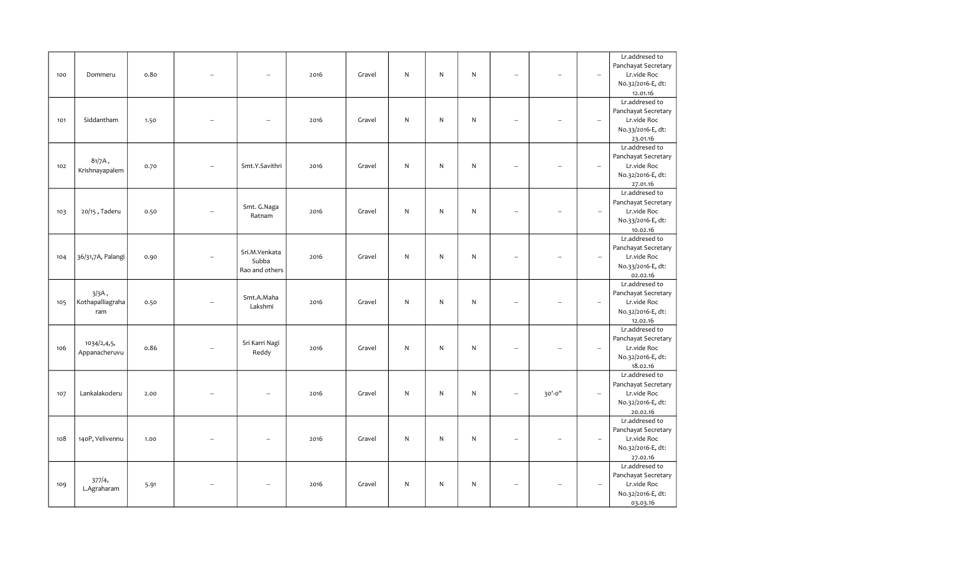|     |                   |      |                          |      |        |              |              |           |                          |                          |                          | Lr.addresed to      |
|-----|-------------------|------|--------------------------|------|--------|--------------|--------------|-----------|--------------------------|--------------------------|--------------------------|---------------------|
|     |                   |      |                          |      |        |              |              |           |                          |                          |                          | Panchayat Secretary |
| 100 | Dommeru           | 0.80 | Ξ.                       | 2016 | Gravel | N.           | N            | N         | $\overline{\phantom{a}}$ | ÷.                       | $\overline{\phantom{a}}$ | Lr.vide Roc         |
|     |                   |      |                          |      |        |              |              |           |                          |                          |                          | No.32/2016-E, dt:   |
|     |                   |      |                          |      |        |              |              |           |                          |                          |                          | 12.01.16            |
|     |                   |      |                          |      |        |              |              |           |                          |                          |                          | Lr.addresed to      |
|     |                   |      |                          |      |        |              |              |           |                          |                          |                          | Panchayat Secretary |
| 101 | Siddantham        | 1.50 | --                       | 2016 | Gravel | N            | ${\sf N}$    | N         | $\overline{\phantom{a}}$ | $\overline{\phantom{a}}$ | $\overline{\phantom{a}}$ | Lr.vide Roc         |
|     |                   |      |                          |      |        |              |              |           |                          |                          |                          | No.33/2016-E, dt:   |
|     |                   |      |                          |      |        |              |              |           |                          |                          |                          | 23.01.16            |
|     |                   |      |                          |      |        |              |              |           |                          |                          |                          | Lr.addresed to      |
|     |                   |      |                          |      |        |              |              |           |                          |                          |                          | Panchayat Secretary |
| 102 | $81/7A$ ,         | 0.70 | Smt.Y.Savithri           | 2016 | Gravel | N            | ${\sf N}$    | ${\sf N}$ | $\sim$                   | L.                       | $\sim$                   | Lr.vide Roc         |
|     | Krishnayapalem    |      |                          |      |        |              |              |           |                          |                          |                          | No.32/2016-E, dt:   |
|     |                   |      |                          |      |        |              |              |           |                          |                          |                          | 27.01.16            |
|     |                   |      |                          |      |        |              |              |           |                          |                          |                          | Lr.addresed to      |
|     |                   |      |                          |      |        |              |              |           |                          |                          |                          | Panchayat Secretary |
| 103 | 20/15, Taderu     | 0.50 | Smt. G.Naga              | 2016 | Gravel | N            | $\mathsf{N}$ | N         | ÷.                       |                          | $\overline{\phantom{a}}$ | Lr.vide Roc         |
|     |                   |      | Ratnam                   |      |        |              |              |           |                          |                          |                          | No.33/2016-E, dt:   |
|     |                   |      |                          |      |        |              |              |           |                          |                          |                          | 10.02.16            |
|     |                   |      |                          |      |        |              |              |           |                          |                          |                          | Lr.addresed to      |
|     |                   |      |                          |      |        |              |              |           |                          |                          |                          | Panchayat Secretary |
| 104 | 36/31,7A, Palangi | 0.90 | Sri.M.Venkata            | 2016 | Gravel | N            | ${\sf N}$    | N         | $\overline{\phantom{a}}$ | ÷.                       | $\overline{\phantom{a}}$ | Lr.vide Roc         |
|     |                   |      | Subba                    |      |        |              |              |           |                          |                          |                          | No.33/2016-E, dt:   |
|     |                   |      | Rao and others           |      |        |              |              |           |                          |                          |                          | 02.02.16            |
|     |                   |      |                          |      |        |              |              |           |                          |                          |                          | Lr.addresed to      |
|     | $3/3A$ ,          |      |                          |      |        |              |              |           |                          |                          |                          | Panchayat Secretary |
| 105 | Kothapalliagraha  | 0.50 | Smt.A.Maha               | 2016 | Gravel | N            | $\mathsf{N}$ | N         | $\overline{\phantom{a}}$ | ÷.                       | $\overline{\phantom{a}}$ | Lr.vide Roc         |
|     | ram               |      | Lakshmi                  |      |        |              |              |           |                          |                          |                          | No.32/2016-E, dt:   |
|     |                   |      |                          |      |        |              |              |           |                          |                          |                          | 12.02.16            |
|     |                   |      |                          |      |        |              |              |           |                          |                          |                          | Lr.addresed to      |
|     |                   |      |                          |      |        |              |              |           |                          |                          |                          | Panchayat Secretary |
| 106 | 1034/2,4,5,       | 0.86 | Sri Karri Nagi           | 2016 | Gravel | $\mathsf{N}$ | ${\sf N}$    | N         | $\overline{\phantom{a}}$ | $\overline{\phantom{a}}$ | $\overline{\phantom{a}}$ | Lr.vide Roc         |
|     | Appanacheruvu     |      | Reddy                    |      |        |              |              |           |                          |                          |                          | No.32/2016-E, dt:   |
|     |                   |      |                          |      |        |              |              |           |                          |                          |                          | 18.02.16            |
|     |                   |      |                          |      |        |              |              |           |                          |                          |                          | Lr.addresed to      |
|     |                   |      |                          |      |        |              |              |           |                          |                          |                          | Panchayat Secretary |
| 107 | Lankalakoderu     | 2.00 | L.                       | 2016 | Gravel | ${\sf N}$    | $\mathsf{N}$ | N         | $\sim$                   | 30'-0"                   | $\overline{\phantom{a}}$ | Lr.vide Roc         |
|     |                   |      |                          |      |        |              |              |           |                          |                          |                          | No.32/2016-E, dt:   |
|     |                   |      |                          |      |        |              |              |           |                          |                          |                          | 20.02.16            |
|     |                   |      |                          |      |        |              |              |           |                          |                          |                          | Lr.addresed to      |
|     |                   |      |                          |      |        |              |              |           |                          |                          |                          | Panchayat Secretary |
| 108 | 140P, Velivennu   | 1.00 | $\overline{\phantom{a}}$ | 2016 | Gravel | $\mathsf{N}$ | ${\sf N}$    | ${\sf N}$ | $\overline{\phantom{a}}$ | L.                       | $\overline{\phantom{a}}$ | Lr.vide Roc         |
|     |                   |      |                          |      |        |              |              |           |                          |                          |                          | No.32/2016-E, dt:   |
|     |                   |      |                          |      |        |              |              |           |                          |                          |                          | 27.02.16            |
|     |                   |      |                          |      |        |              |              |           |                          |                          |                          | Lr.addresed to      |
|     |                   |      |                          |      |        |              |              |           |                          |                          |                          | Panchayat Secretary |
| 109 | 377/4,            | 5.91 | $\overline{\phantom{a}}$ | 2016 | Gravel | N            | $\mathsf{N}$ | N         | $\sim$                   | $\overline{\phantom{a}}$ | $\overline{\phantom{a}}$ | Lr.vide Roc         |
|     | L.Agraharam       |      |                          |      |        |              |              |           |                          |                          |                          | No.32/2016-E, dt:   |
|     |                   |      |                          |      |        |              |              |           |                          |                          |                          | 03.03.16            |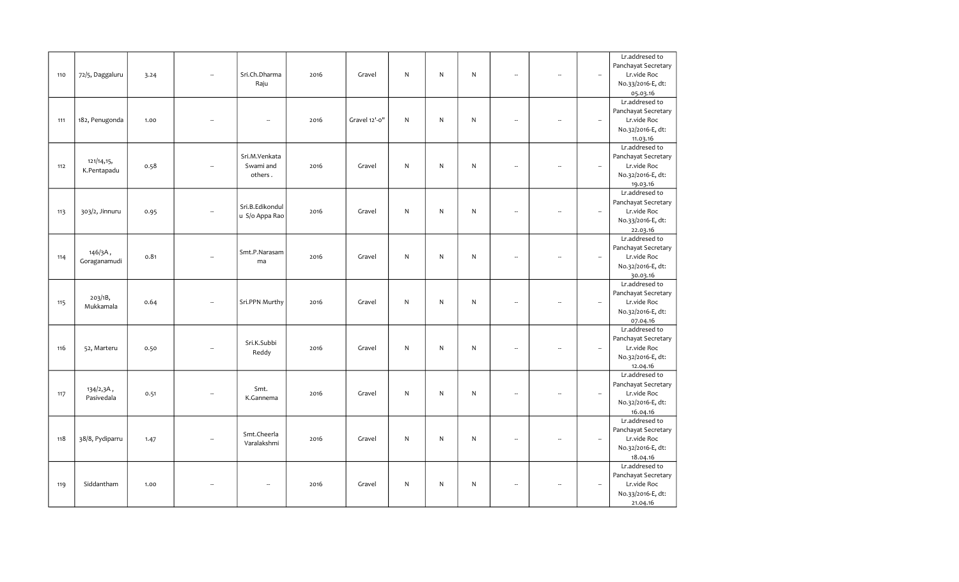| Panchayat Secretary<br>Sri.Ch.Dharma<br>Lr.vide Roc<br>72/5, Daggaluru<br>Gravel<br>N<br>N<br>N<br>110<br>2016<br>$\overline{\phantom{a}}$<br>3.24<br>$\overline{\phantom{a}}$<br>L.<br>ä,<br>Raju<br>No.33/2016-E, dt:<br>05.03.16<br>Lr.addresed to<br>Panchayat Secretary<br>Gravel 12'-0"<br>N.<br>Lr.vide Roc<br>182, Penugonda<br>2016<br>N<br>N<br>111<br>1.00<br>$\overline{\phantom{a}}$<br>$\overline{\phantom{a}}$<br>Ξ.<br>÷.<br>No.32/2016-E, dt:<br>11.03.16<br>Lr.addresed to<br>Panchayat Secretary<br>Sri.M.Venkata<br>121/14,15,<br>N<br>Swami and<br>N<br>N<br>112<br>0.58<br>Gravel<br>Lr.vide Roc<br>2016<br>$\overline{\phantom{a}}$<br>$\overline{\phantom{a}}$<br>÷.<br>K.Pentapadu<br>No.32/2016-E, dt:<br>others.<br>19.03.16<br>Lr.addresed to<br>Panchayat Secretary<br>Sri.B.Edikondul<br>303/2, Jinnuru<br>N<br>N<br>N<br>Lr.vide Roc<br>Gravel<br>113<br>0.95<br>2016<br>$\overline{\phantom{a}}$<br>$\overline{a}$<br>u S/o Appa Rao<br>No.33/2016-E, dt:<br>22.03.16<br>Lr.addresed to<br>Panchayat Secretary<br>146/3A,<br>Smt.P.Narasam<br>${\sf N}$<br>Lr.vide Roc<br>0.81<br>N<br>N<br>114<br>2016<br>Gravel<br>$\overline{\phantom{a}}$<br>÷.<br>$\overline{\phantom{a}}$<br>Goraganamudi<br>ma<br>No.32/2016-E, dt:<br>30.03.16<br>Lr.addresed to<br>Panchayat Secretary<br>203/1B,<br>Sri.PPN Murthy<br>N<br>$\mathsf{N}$<br>0.64<br>Gravel<br>N<br>Lr.vide Roc<br>115<br>2016<br>$\overline{\phantom{a}}$<br>$\sim$<br>÷.<br>Mukkamala<br>No.32/2016-E, dt:<br>07.04.16<br>Lr.addresed to<br>Panchayat Secretary<br>Sri.K.Subbi<br>$\mathsf{N}$<br>N<br>$\mathsf{N}$<br>Lr.vide Roc<br>116<br>52, Marteru<br>Gravel<br>0.50<br>2016<br>$\overline{\phantom{a}}$<br>$\overline{\phantom{a}}$<br>$\overline{\phantom{a}}$<br>÷.<br>Reddy<br>No.32/2016-E, dt:<br>12.04.16<br>Lr.addresed to<br>Panchayat Secretary<br>Smt.<br>134/2,3A,<br>Lr.vide Roc<br>${\sf N}$<br>N<br>$\mathsf{N}$<br>117<br>Gravel<br>2016<br>0.51<br>$\overline{\phantom{a}}$<br>÷.<br>Pasivedala<br>K.Gannema<br>No.32/2016-E, dt:<br>16.04.16<br>Lr.addresed to<br>Panchayat Secretary<br>Smt.Cheerla<br>118<br>${\sf N}$<br>${\sf N}$<br>${\sf N}$<br>Lr.vide Roc<br>38/8, Pydiparru<br>2016<br>Gravel<br>1.47<br>L.<br>$\overline{\phantom{a}}$<br>$\overline{\phantom{a}}$<br>$\overline{\phantom{a}}$<br>Varalakshmi<br>No.32/2016-E, dt:<br>18.04.16<br>Lr.addresed to<br>Panchayat Secretary<br>Siddantham<br>N<br>N<br>Lr.vide Roc<br>119<br>2016<br>Gravel<br>N<br>1.00<br>$\ddot{\phantom{a}}$<br>$\overline{\phantom{a}}$<br>$\overline{\phantom{a}}$<br>$\overline{a}$<br>No.33/2016-E, dt: |  |  |  |  |  |  | Lr.addresed to |
|-------------------------------------------------------------------------------------------------------------------------------------------------------------------------------------------------------------------------------------------------------------------------------------------------------------------------------------------------------------------------------------------------------------------------------------------------------------------------------------------------------------------------------------------------------------------------------------------------------------------------------------------------------------------------------------------------------------------------------------------------------------------------------------------------------------------------------------------------------------------------------------------------------------------------------------------------------------------------------------------------------------------------------------------------------------------------------------------------------------------------------------------------------------------------------------------------------------------------------------------------------------------------------------------------------------------------------------------------------------------------------------------------------------------------------------------------------------------------------------------------------------------------------------------------------------------------------------------------------------------------------------------------------------------------------------------------------------------------------------------------------------------------------------------------------------------------------------------------------------------------------------------------------------------------------------------------------------------------------------------------------------------------------------------------------------------------------------------------------------------------------------------------------------------------------------------------------------------------------------------------------------------------------------------------------------------------------------------------------------------------------------------------------------------------------------------------------------------------------------------------------------------------------------------------------------------------------------------------------------------------|--|--|--|--|--|--|----------------|
|                                                                                                                                                                                                                                                                                                                                                                                                                                                                                                                                                                                                                                                                                                                                                                                                                                                                                                                                                                                                                                                                                                                                                                                                                                                                                                                                                                                                                                                                                                                                                                                                                                                                                                                                                                                                                                                                                                                                                                                                                                                                                                                                                                                                                                                                                                                                                                                                                                                                                                                                                                                                                         |  |  |  |  |  |  |                |
|                                                                                                                                                                                                                                                                                                                                                                                                                                                                                                                                                                                                                                                                                                                                                                                                                                                                                                                                                                                                                                                                                                                                                                                                                                                                                                                                                                                                                                                                                                                                                                                                                                                                                                                                                                                                                                                                                                                                                                                                                                                                                                                                                                                                                                                                                                                                                                                                                                                                                                                                                                                                                         |  |  |  |  |  |  |                |
|                                                                                                                                                                                                                                                                                                                                                                                                                                                                                                                                                                                                                                                                                                                                                                                                                                                                                                                                                                                                                                                                                                                                                                                                                                                                                                                                                                                                                                                                                                                                                                                                                                                                                                                                                                                                                                                                                                                                                                                                                                                                                                                                                                                                                                                                                                                                                                                                                                                                                                                                                                                                                         |  |  |  |  |  |  |                |
|                                                                                                                                                                                                                                                                                                                                                                                                                                                                                                                                                                                                                                                                                                                                                                                                                                                                                                                                                                                                                                                                                                                                                                                                                                                                                                                                                                                                                                                                                                                                                                                                                                                                                                                                                                                                                                                                                                                                                                                                                                                                                                                                                                                                                                                                                                                                                                                                                                                                                                                                                                                                                         |  |  |  |  |  |  |                |
|                                                                                                                                                                                                                                                                                                                                                                                                                                                                                                                                                                                                                                                                                                                                                                                                                                                                                                                                                                                                                                                                                                                                                                                                                                                                                                                                                                                                                                                                                                                                                                                                                                                                                                                                                                                                                                                                                                                                                                                                                                                                                                                                                                                                                                                                                                                                                                                                                                                                                                                                                                                                                         |  |  |  |  |  |  |                |
|                                                                                                                                                                                                                                                                                                                                                                                                                                                                                                                                                                                                                                                                                                                                                                                                                                                                                                                                                                                                                                                                                                                                                                                                                                                                                                                                                                                                                                                                                                                                                                                                                                                                                                                                                                                                                                                                                                                                                                                                                                                                                                                                                                                                                                                                                                                                                                                                                                                                                                                                                                                                                         |  |  |  |  |  |  |                |
|                                                                                                                                                                                                                                                                                                                                                                                                                                                                                                                                                                                                                                                                                                                                                                                                                                                                                                                                                                                                                                                                                                                                                                                                                                                                                                                                                                                                                                                                                                                                                                                                                                                                                                                                                                                                                                                                                                                                                                                                                                                                                                                                                                                                                                                                                                                                                                                                                                                                                                                                                                                                                         |  |  |  |  |  |  |                |
|                                                                                                                                                                                                                                                                                                                                                                                                                                                                                                                                                                                                                                                                                                                                                                                                                                                                                                                                                                                                                                                                                                                                                                                                                                                                                                                                                                                                                                                                                                                                                                                                                                                                                                                                                                                                                                                                                                                                                                                                                                                                                                                                                                                                                                                                                                                                                                                                                                                                                                                                                                                                                         |  |  |  |  |  |  |                |
|                                                                                                                                                                                                                                                                                                                                                                                                                                                                                                                                                                                                                                                                                                                                                                                                                                                                                                                                                                                                                                                                                                                                                                                                                                                                                                                                                                                                                                                                                                                                                                                                                                                                                                                                                                                                                                                                                                                                                                                                                                                                                                                                                                                                                                                                                                                                                                                                                                                                                                                                                                                                                         |  |  |  |  |  |  |                |
|                                                                                                                                                                                                                                                                                                                                                                                                                                                                                                                                                                                                                                                                                                                                                                                                                                                                                                                                                                                                                                                                                                                                                                                                                                                                                                                                                                                                                                                                                                                                                                                                                                                                                                                                                                                                                                                                                                                                                                                                                                                                                                                                                                                                                                                                                                                                                                                                                                                                                                                                                                                                                         |  |  |  |  |  |  |                |
|                                                                                                                                                                                                                                                                                                                                                                                                                                                                                                                                                                                                                                                                                                                                                                                                                                                                                                                                                                                                                                                                                                                                                                                                                                                                                                                                                                                                                                                                                                                                                                                                                                                                                                                                                                                                                                                                                                                                                                                                                                                                                                                                                                                                                                                                                                                                                                                                                                                                                                                                                                                                                         |  |  |  |  |  |  |                |
|                                                                                                                                                                                                                                                                                                                                                                                                                                                                                                                                                                                                                                                                                                                                                                                                                                                                                                                                                                                                                                                                                                                                                                                                                                                                                                                                                                                                                                                                                                                                                                                                                                                                                                                                                                                                                                                                                                                                                                                                                                                                                                                                                                                                                                                                                                                                                                                                                                                                                                                                                                                                                         |  |  |  |  |  |  |                |
|                                                                                                                                                                                                                                                                                                                                                                                                                                                                                                                                                                                                                                                                                                                                                                                                                                                                                                                                                                                                                                                                                                                                                                                                                                                                                                                                                                                                                                                                                                                                                                                                                                                                                                                                                                                                                                                                                                                                                                                                                                                                                                                                                                                                                                                                                                                                                                                                                                                                                                                                                                                                                         |  |  |  |  |  |  |                |
|                                                                                                                                                                                                                                                                                                                                                                                                                                                                                                                                                                                                                                                                                                                                                                                                                                                                                                                                                                                                                                                                                                                                                                                                                                                                                                                                                                                                                                                                                                                                                                                                                                                                                                                                                                                                                                                                                                                                                                                                                                                                                                                                                                                                                                                                                                                                                                                                                                                                                                                                                                                                                         |  |  |  |  |  |  |                |
|                                                                                                                                                                                                                                                                                                                                                                                                                                                                                                                                                                                                                                                                                                                                                                                                                                                                                                                                                                                                                                                                                                                                                                                                                                                                                                                                                                                                                                                                                                                                                                                                                                                                                                                                                                                                                                                                                                                                                                                                                                                                                                                                                                                                                                                                                                                                                                                                                                                                                                                                                                                                                         |  |  |  |  |  |  |                |
|                                                                                                                                                                                                                                                                                                                                                                                                                                                                                                                                                                                                                                                                                                                                                                                                                                                                                                                                                                                                                                                                                                                                                                                                                                                                                                                                                                                                                                                                                                                                                                                                                                                                                                                                                                                                                                                                                                                                                                                                                                                                                                                                                                                                                                                                                                                                                                                                                                                                                                                                                                                                                         |  |  |  |  |  |  |                |
|                                                                                                                                                                                                                                                                                                                                                                                                                                                                                                                                                                                                                                                                                                                                                                                                                                                                                                                                                                                                                                                                                                                                                                                                                                                                                                                                                                                                                                                                                                                                                                                                                                                                                                                                                                                                                                                                                                                                                                                                                                                                                                                                                                                                                                                                                                                                                                                                                                                                                                                                                                                                                         |  |  |  |  |  |  |                |
|                                                                                                                                                                                                                                                                                                                                                                                                                                                                                                                                                                                                                                                                                                                                                                                                                                                                                                                                                                                                                                                                                                                                                                                                                                                                                                                                                                                                                                                                                                                                                                                                                                                                                                                                                                                                                                                                                                                                                                                                                                                                                                                                                                                                                                                                                                                                                                                                                                                                                                                                                                                                                         |  |  |  |  |  |  |                |
|                                                                                                                                                                                                                                                                                                                                                                                                                                                                                                                                                                                                                                                                                                                                                                                                                                                                                                                                                                                                                                                                                                                                                                                                                                                                                                                                                                                                                                                                                                                                                                                                                                                                                                                                                                                                                                                                                                                                                                                                                                                                                                                                                                                                                                                                                                                                                                                                                                                                                                                                                                                                                         |  |  |  |  |  |  |                |
|                                                                                                                                                                                                                                                                                                                                                                                                                                                                                                                                                                                                                                                                                                                                                                                                                                                                                                                                                                                                                                                                                                                                                                                                                                                                                                                                                                                                                                                                                                                                                                                                                                                                                                                                                                                                                                                                                                                                                                                                                                                                                                                                                                                                                                                                                                                                                                                                                                                                                                                                                                                                                         |  |  |  |  |  |  |                |
|                                                                                                                                                                                                                                                                                                                                                                                                                                                                                                                                                                                                                                                                                                                                                                                                                                                                                                                                                                                                                                                                                                                                                                                                                                                                                                                                                                                                                                                                                                                                                                                                                                                                                                                                                                                                                                                                                                                                                                                                                                                                                                                                                                                                                                                                                                                                                                                                                                                                                                                                                                                                                         |  |  |  |  |  |  |                |
|                                                                                                                                                                                                                                                                                                                                                                                                                                                                                                                                                                                                                                                                                                                                                                                                                                                                                                                                                                                                                                                                                                                                                                                                                                                                                                                                                                                                                                                                                                                                                                                                                                                                                                                                                                                                                                                                                                                                                                                                                                                                                                                                                                                                                                                                                                                                                                                                                                                                                                                                                                                                                         |  |  |  |  |  |  |                |
|                                                                                                                                                                                                                                                                                                                                                                                                                                                                                                                                                                                                                                                                                                                                                                                                                                                                                                                                                                                                                                                                                                                                                                                                                                                                                                                                                                                                                                                                                                                                                                                                                                                                                                                                                                                                                                                                                                                                                                                                                                                                                                                                                                                                                                                                                                                                                                                                                                                                                                                                                                                                                         |  |  |  |  |  |  |                |
|                                                                                                                                                                                                                                                                                                                                                                                                                                                                                                                                                                                                                                                                                                                                                                                                                                                                                                                                                                                                                                                                                                                                                                                                                                                                                                                                                                                                                                                                                                                                                                                                                                                                                                                                                                                                                                                                                                                                                                                                                                                                                                                                                                                                                                                                                                                                                                                                                                                                                                                                                                                                                         |  |  |  |  |  |  |                |
|                                                                                                                                                                                                                                                                                                                                                                                                                                                                                                                                                                                                                                                                                                                                                                                                                                                                                                                                                                                                                                                                                                                                                                                                                                                                                                                                                                                                                                                                                                                                                                                                                                                                                                                                                                                                                                                                                                                                                                                                                                                                                                                                                                                                                                                                                                                                                                                                                                                                                                                                                                                                                         |  |  |  |  |  |  |                |
|                                                                                                                                                                                                                                                                                                                                                                                                                                                                                                                                                                                                                                                                                                                                                                                                                                                                                                                                                                                                                                                                                                                                                                                                                                                                                                                                                                                                                                                                                                                                                                                                                                                                                                                                                                                                                                                                                                                                                                                                                                                                                                                                                                                                                                                                                                                                                                                                                                                                                                                                                                                                                         |  |  |  |  |  |  |                |
|                                                                                                                                                                                                                                                                                                                                                                                                                                                                                                                                                                                                                                                                                                                                                                                                                                                                                                                                                                                                                                                                                                                                                                                                                                                                                                                                                                                                                                                                                                                                                                                                                                                                                                                                                                                                                                                                                                                                                                                                                                                                                                                                                                                                                                                                                                                                                                                                                                                                                                                                                                                                                         |  |  |  |  |  |  |                |
|                                                                                                                                                                                                                                                                                                                                                                                                                                                                                                                                                                                                                                                                                                                                                                                                                                                                                                                                                                                                                                                                                                                                                                                                                                                                                                                                                                                                                                                                                                                                                                                                                                                                                                                                                                                                                                                                                                                                                                                                                                                                                                                                                                                                                                                                                                                                                                                                                                                                                                                                                                                                                         |  |  |  |  |  |  |                |
|                                                                                                                                                                                                                                                                                                                                                                                                                                                                                                                                                                                                                                                                                                                                                                                                                                                                                                                                                                                                                                                                                                                                                                                                                                                                                                                                                                                                                                                                                                                                                                                                                                                                                                                                                                                                                                                                                                                                                                                                                                                                                                                                                                                                                                                                                                                                                                                                                                                                                                                                                                                                                         |  |  |  |  |  |  |                |
|                                                                                                                                                                                                                                                                                                                                                                                                                                                                                                                                                                                                                                                                                                                                                                                                                                                                                                                                                                                                                                                                                                                                                                                                                                                                                                                                                                                                                                                                                                                                                                                                                                                                                                                                                                                                                                                                                                                                                                                                                                                                                                                                                                                                                                                                                                                                                                                                                                                                                                                                                                                                                         |  |  |  |  |  |  |                |
|                                                                                                                                                                                                                                                                                                                                                                                                                                                                                                                                                                                                                                                                                                                                                                                                                                                                                                                                                                                                                                                                                                                                                                                                                                                                                                                                                                                                                                                                                                                                                                                                                                                                                                                                                                                                                                                                                                                                                                                                                                                                                                                                                                                                                                                                                                                                                                                                                                                                                                                                                                                                                         |  |  |  |  |  |  |                |
|                                                                                                                                                                                                                                                                                                                                                                                                                                                                                                                                                                                                                                                                                                                                                                                                                                                                                                                                                                                                                                                                                                                                                                                                                                                                                                                                                                                                                                                                                                                                                                                                                                                                                                                                                                                                                                                                                                                                                                                                                                                                                                                                                                                                                                                                                                                                                                                                                                                                                                                                                                                                                         |  |  |  |  |  |  |                |
|                                                                                                                                                                                                                                                                                                                                                                                                                                                                                                                                                                                                                                                                                                                                                                                                                                                                                                                                                                                                                                                                                                                                                                                                                                                                                                                                                                                                                                                                                                                                                                                                                                                                                                                                                                                                                                                                                                                                                                                                                                                                                                                                                                                                                                                                                                                                                                                                                                                                                                                                                                                                                         |  |  |  |  |  |  |                |
|                                                                                                                                                                                                                                                                                                                                                                                                                                                                                                                                                                                                                                                                                                                                                                                                                                                                                                                                                                                                                                                                                                                                                                                                                                                                                                                                                                                                                                                                                                                                                                                                                                                                                                                                                                                                                                                                                                                                                                                                                                                                                                                                                                                                                                                                                                                                                                                                                                                                                                                                                                                                                         |  |  |  |  |  |  |                |
|                                                                                                                                                                                                                                                                                                                                                                                                                                                                                                                                                                                                                                                                                                                                                                                                                                                                                                                                                                                                                                                                                                                                                                                                                                                                                                                                                                                                                                                                                                                                                                                                                                                                                                                                                                                                                                                                                                                                                                                                                                                                                                                                                                                                                                                                                                                                                                                                                                                                                                                                                                                                                         |  |  |  |  |  |  |                |
|                                                                                                                                                                                                                                                                                                                                                                                                                                                                                                                                                                                                                                                                                                                                                                                                                                                                                                                                                                                                                                                                                                                                                                                                                                                                                                                                                                                                                                                                                                                                                                                                                                                                                                                                                                                                                                                                                                                                                                                                                                                                                                                                                                                                                                                                                                                                                                                                                                                                                                                                                                                                                         |  |  |  |  |  |  |                |
|                                                                                                                                                                                                                                                                                                                                                                                                                                                                                                                                                                                                                                                                                                                                                                                                                                                                                                                                                                                                                                                                                                                                                                                                                                                                                                                                                                                                                                                                                                                                                                                                                                                                                                                                                                                                                                                                                                                                                                                                                                                                                                                                                                                                                                                                                                                                                                                                                                                                                                                                                                                                                         |  |  |  |  |  |  |                |
|                                                                                                                                                                                                                                                                                                                                                                                                                                                                                                                                                                                                                                                                                                                                                                                                                                                                                                                                                                                                                                                                                                                                                                                                                                                                                                                                                                                                                                                                                                                                                                                                                                                                                                                                                                                                                                                                                                                                                                                                                                                                                                                                                                                                                                                                                                                                                                                                                                                                                                                                                                                                                         |  |  |  |  |  |  |                |
|                                                                                                                                                                                                                                                                                                                                                                                                                                                                                                                                                                                                                                                                                                                                                                                                                                                                                                                                                                                                                                                                                                                                                                                                                                                                                                                                                                                                                                                                                                                                                                                                                                                                                                                                                                                                                                                                                                                                                                                                                                                                                                                                                                                                                                                                                                                                                                                                                                                                                                                                                                                                                         |  |  |  |  |  |  |                |
|                                                                                                                                                                                                                                                                                                                                                                                                                                                                                                                                                                                                                                                                                                                                                                                                                                                                                                                                                                                                                                                                                                                                                                                                                                                                                                                                                                                                                                                                                                                                                                                                                                                                                                                                                                                                                                                                                                                                                                                                                                                                                                                                                                                                                                                                                                                                                                                                                                                                                                                                                                                                                         |  |  |  |  |  |  |                |
|                                                                                                                                                                                                                                                                                                                                                                                                                                                                                                                                                                                                                                                                                                                                                                                                                                                                                                                                                                                                                                                                                                                                                                                                                                                                                                                                                                                                                                                                                                                                                                                                                                                                                                                                                                                                                                                                                                                                                                                                                                                                                                                                                                                                                                                                                                                                                                                                                                                                                                                                                                                                                         |  |  |  |  |  |  |                |
|                                                                                                                                                                                                                                                                                                                                                                                                                                                                                                                                                                                                                                                                                                                                                                                                                                                                                                                                                                                                                                                                                                                                                                                                                                                                                                                                                                                                                                                                                                                                                                                                                                                                                                                                                                                                                                                                                                                                                                                                                                                                                                                                                                                                                                                                                                                                                                                                                                                                                                                                                                                                                         |  |  |  |  |  |  |                |
|                                                                                                                                                                                                                                                                                                                                                                                                                                                                                                                                                                                                                                                                                                                                                                                                                                                                                                                                                                                                                                                                                                                                                                                                                                                                                                                                                                                                                                                                                                                                                                                                                                                                                                                                                                                                                                                                                                                                                                                                                                                                                                                                                                                                                                                                                                                                                                                                                                                                                                                                                                                                                         |  |  |  |  |  |  |                |
|                                                                                                                                                                                                                                                                                                                                                                                                                                                                                                                                                                                                                                                                                                                                                                                                                                                                                                                                                                                                                                                                                                                                                                                                                                                                                                                                                                                                                                                                                                                                                                                                                                                                                                                                                                                                                                                                                                                                                                                                                                                                                                                                                                                                                                                                                                                                                                                                                                                                                                                                                                                                                         |  |  |  |  |  |  |                |
|                                                                                                                                                                                                                                                                                                                                                                                                                                                                                                                                                                                                                                                                                                                                                                                                                                                                                                                                                                                                                                                                                                                                                                                                                                                                                                                                                                                                                                                                                                                                                                                                                                                                                                                                                                                                                                                                                                                                                                                                                                                                                                                                                                                                                                                                                                                                                                                                                                                                                                                                                                                                                         |  |  |  |  |  |  |                |
|                                                                                                                                                                                                                                                                                                                                                                                                                                                                                                                                                                                                                                                                                                                                                                                                                                                                                                                                                                                                                                                                                                                                                                                                                                                                                                                                                                                                                                                                                                                                                                                                                                                                                                                                                                                                                                                                                                                                                                                                                                                                                                                                                                                                                                                                                                                                                                                                                                                                                                                                                                                                                         |  |  |  |  |  |  |                |
|                                                                                                                                                                                                                                                                                                                                                                                                                                                                                                                                                                                                                                                                                                                                                                                                                                                                                                                                                                                                                                                                                                                                                                                                                                                                                                                                                                                                                                                                                                                                                                                                                                                                                                                                                                                                                                                                                                                                                                                                                                                                                                                                                                                                                                                                                                                                                                                                                                                                                                                                                                                                                         |  |  |  |  |  |  |                |
|                                                                                                                                                                                                                                                                                                                                                                                                                                                                                                                                                                                                                                                                                                                                                                                                                                                                                                                                                                                                                                                                                                                                                                                                                                                                                                                                                                                                                                                                                                                                                                                                                                                                                                                                                                                                                                                                                                                                                                                                                                                                                                                                                                                                                                                                                                                                                                                                                                                                                                                                                                                                                         |  |  |  |  |  |  |                |
|                                                                                                                                                                                                                                                                                                                                                                                                                                                                                                                                                                                                                                                                                                                                                                                                                                                                                                                                                                                                                                                                                                                                                                                                                                                                                                                                                                                                                                                                                                                                                                                                                                                                                                                                                                                                                                                                                                                                                                                                                                                                                                                                                                                                                                                                                                                                                                                                                                                                                                                                                                                                                         |  |  |  |  |  |  |                |
|                                                                                                                                                                                                                                                                                                                                                                                                                                                                                                                                                                                                                                                                                                                                                                                                                                                                                                                                                                                                                                                                                                                                                                                                                                                                                                                                                                                                                                                                                                                                                                                                                                                                                                                                                                                                                                                                                                                                                                                                                                                                                                                                                                                                                                                                                                                                                                                                                                                                                                                                                                                                                         |  |  |  |  |  |  | 21.04.16       |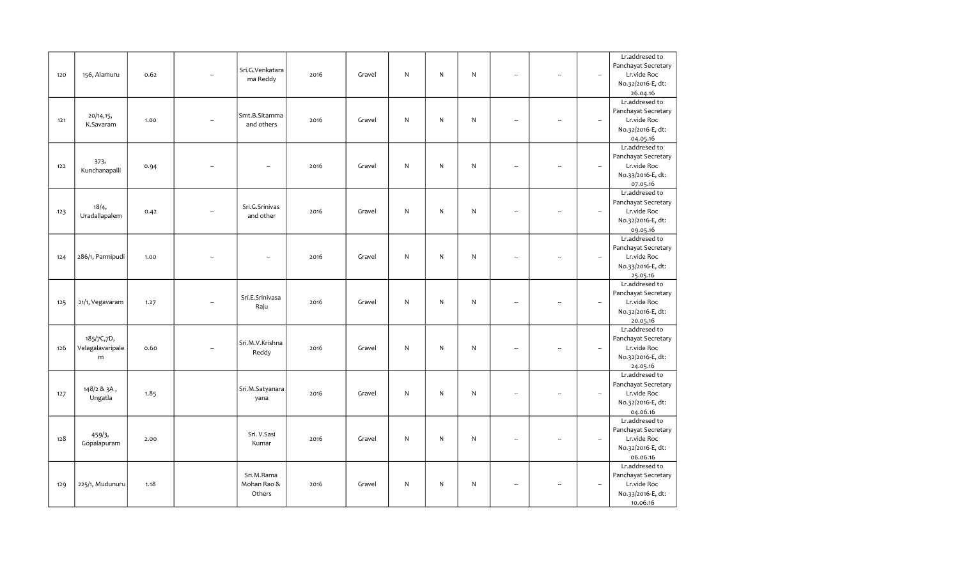|     |                  |      |                      |                          |      |        |              |           |              |                          |                          |                          | Lr.addresed to             |
|-----|------------------|------|----------------------|--------------------------|------|--------|--------------|-----------|--------------|--------------------------|--------------------------|--------------------------|----------------------------|
|     |                  |      |                      | Sri.G.Venkatara          |      |        |              |           |              |                          |                          |                          | Panchayat Secretary        |
| 120 | 156, Alamuru     | 0.62 |                      |                          | 2016 | Gravel | N            | ${\sf N}$ | N            | Ξ.                       | L.                       | $\overline{\phantom{a}}$ | Lr.vide Roc                |
|     |                  |      |                      | ma Reddy                 |      |        |              |           |              |                          |                          |                          | No.32/2016-E, dt:          |
|     |                  |      |                      |                          |      |        |              |           |              |                          |                          |                          | 26.04.16                   |
|     |                  |      |                      |                          |      |        |              |           |              |                          |                          |                          | Lr.addresed to             |
|     |                  |      |                      |                          |      |        |              |           |              |                          |                          |                          | Panchayat Secretary        |
| 121 | 20/14,15,        | 1.00 | $\sim$               | Smt.B.Sitamma            | 2016 | Gravel | $\mathsf{N}$ | ${\sf N}$ | N            | $\overline{\phantom{a}}$ | ÷.                       | $\overline{\phantom{a}}$ | Lr.vide Roc                |
|     | K.Savaram        |      |                      | and others               |      |        |              |           |              |                          |                          |                          | No.32/2016-E, dt:          |
|     |                  |      |                      |                          |      |        |              |           |              |                          |                          |                          | 04.05.16                   |
|     |                  |      |                      |                          |      |        |              |           |              |                          |                          |                          | Lr.addresed to             |
|     |                  |      |                      |                          |      |        |              |           |              |                          |                          |                          | Panchayat Secretary        |
| 122 | 373,             | 0.94 |                      |                          | 2016 | Gravel | ${\sf N}$    | N         | N            | $\overline{\phantom{a}}$ | ÷.                       | $\overline{\phantom{a}}$ | Lr.vide Roc                |
|     | Kunchanapalli    |      |                      |                          |      |        |              |           |              |                          |                          |                          | No.33/2016-E, dt:          |
|     |                  |      |                      |                          |      |        |              |           |              |                          |                          |                          | 07.05.16                   |
|     |                  |      |                      |                          |      |        |              |           |              |                          |                          |                          | Lr.addresed to             |
|     |                  |      |                      |                          |      |        |              |           |              |                          |                          |                          | Panchayat Secretary        |
| 123 | 18/4,            | 0.42 |                      | Sri.G.Srinivas           | 2016 | Gravel | N            | N         | N            | L.                       |                          | $\overline{\phantom{a}}$ | Lr.vide Roc                |
|     | Uradallapalem    |      |                      | and other                |      |        |              |           |              |                          |                          |                          | No.32/2016-E, dt:          |
|     |                  |      |                      |                          |      |        |              |           |              |                          |                          |                          | 09.05.16                   |
|     |                  |      |                      |                          |      |        |              |           |              |                          |                          |                          | Lr.addresed to             |
|     |                  |      |                      |                          |      |        |              |           |              |                          |                          |                          | Panchayat Secretary        |
| 124 | 286/1, Parmipudi | 1.00 |                      | $\overline{\phantom{a}}$ | 2016 | Gravel | N            | N         | $\mathsf{N}$ | $\overline{a}$           | $\overline{a}$           | $\overline{\phantom{a}}$ | Lr.vide Roc                |
|     |                  |      |                      |                          |      |        |              |           |              |                          |                          |                          | No.33/2016-E, dt:          |
|     |                  |      |                      |                          |      |        |              |           |              |                          |                          |                          | 25.05.16                   |
|     |                  |      |                      |                          |      |        |              |           |              |                          |                          |                          | Lr.addresed to             |
|     |                  |      |                      |                          |      |        |              |           |              |                          |                          |                          | Panchayat Secretary        |
| 125 | 21/1, Vegavaram  | 1.27 |                      | Sri.E.Srinivasa          | 2016 | Gravel | N            | ${\sf N}$ | N            | $\overline{\phantom{a}}$ | $\overline{\phantom{a}}$ | $\overline{\phantom{a}}$ | Lr.vide Roc                |
|     |                  |      |                      | Raju                     |      |        |              |           |              |                          |                          |                          |                            |
|     |                  |      |                      |                          |      |        |              |           |              |                          |                          |                          | No.32/2016-E, dt:          |
|     |                  |      |                      |                          |      |        |              |           |              |                          |                          |                          | 20.05.16<br>Lr.addresed to |
|     | 185/7C,7D,       |      |                      |                          |      |        |              |           |              |                          |                          |                          | Panchayat Secretary        |
| 126 | Velagalavaripale | 0.60 | $\ddot{\phantom{a}}$ | Sri.M.V.Krishna          | 2016 | Gravel | $\mathsf{N}$ | ${\sf N}$ | ${\sf N}$    | $\overline{\phantom{a}}$ | ÷.                       | $\overline{\phantom{a}}$ | Lr.vide Roc                |
|     |                  |      |                      | Reddy                    |      |        |              |           |              |                          |                          |                          |                            |
|     | m                |      |                      |                          |      |        |              |           |              |                          |                          |                          | No.32/2016-E, dt:          |
|     |                  |      |                      |                          |      |        |              |           |              |                          |                          |                          | 24.05.16<br>Lr.addresed to |
|     |                  |      |                      |                          |      |        |              |           |              |                          |                          |                          |                            |
|     | 148/2 & 3A,      |      |                      | Sri.M.Satyanara          |      |        |              |           |              |                          |                          |                          | Panchayat Secretary        |
| 127 | Ungatla          | 1.85 |                      | yana                     | 2016 | Gravel | $\mathsf{N}$ | N         | N            | ÷.                       |                          | $\overline{\phantom{a}}$ | Lr.vide Roc                |
|     |                  |      |                      |                          |      |        |              |           |              |                          |                          |                          | No.32/2016-E, dt:          |
|     |                  |      |                      |                          |      |        |              |           |              |                          |                          |                          | 04.06.16                   |
|     |                  |      |                      |                          |      |        |              |           |              |                          |                          |                          | Lr.addresed to             |
|     | 459/3,           |      |                      | Sri. V.Sasi              |      |        |              |           |              |                          |                          |                          | Panchayat Secretary        |
| 128 | Gopalapuram      | 2.00 |                      | Kumar                    | 2016 | Gravel | ${\sf N}$    | N         | $\mathsf{N}$ | ä,                       | $\sim$                   | $\overline{\phantom{a}}$ | Lr.vide Roc                |
|     |                  |      |                      |                          |      |        |              |           |              |                          |                          |                          | No.32/2016-E, dt:          |
|     |                  |      |                      |                          |      |        |              |           |              |                          |                          |                          | 06.06.16                   |
|     |                  |      |                      |                          |      |        |              |           |              |                          |                          |                          | Lr.addresed to             |
|     |                  |      |                      | Sri.M.Rama               |      |        |              |           |              |                          |                          |                          | Panchayat Secretary        |
| 129 | 225/1, Mudunuru  | 1.18 |                      | Mohan Rao &              | 2016 | Gravel | N            | N         | $\mathsf{N}$ | $\overline{\phantom{a}}$ |                          | $\ddot{\phantom{a}}$     | Lr.vide Roc                |
|     |                  |      |                      | Others                   |      |        |              |           |              |                          |                          |                          | No.33/2016-E, dt:          |
|     |                  |      |                      |                          |      |        |              |           |              |                          |                          |                          | 10.06.16                   |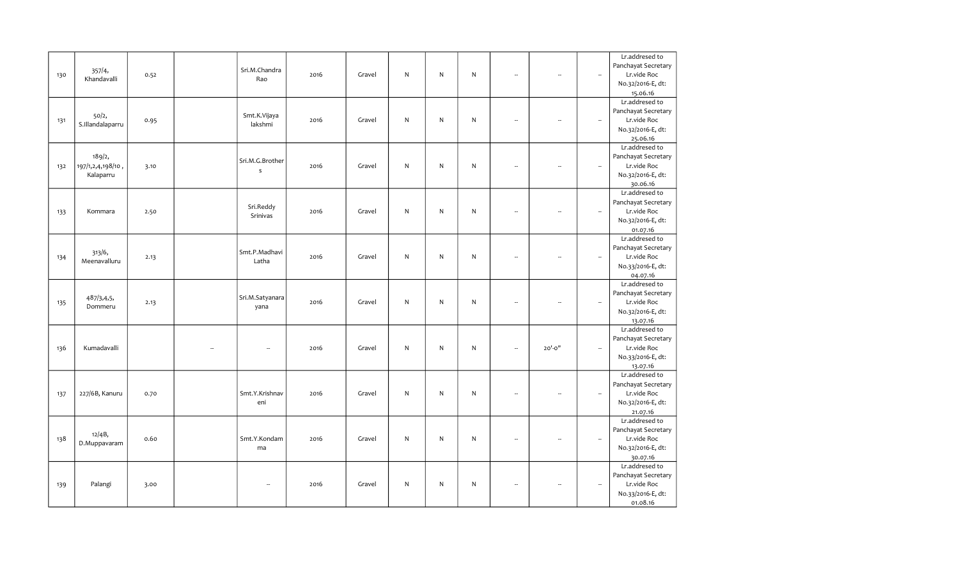|     |                   |      |                          |      |        |              |           |              |                          |                          |                          | Lr.addresed to      |
|-----|-------------------|------|--------------------------|------|--------|--------------|-----------|--------------|--------------------------|--------------------------|--------------------------|---------------------|
|     |                   |      | Sri.M.Chandra            |      |        |              |           |              |                          |                          |                          | Panchayat Secretary |
| 130 | 357/4,            | 0.52 |                          | 2016 | Gravel | N            | N         | N            | $\overline{\phantom{a}}$ | $\sim$                   | $\overline{\phantom{a}}$ | Lr.vide Roc         |
|     | Khandavalli       |      | Rao                      |      |        |              |           |              |                          |                          |                          | No.32/2016-E, dt:   |
|     |                   |      |                          |      |        |              |           |              |                          |                          |                          | 15.06.16            |
|     |                   |      |                          |      |        |              |           |              |                          |                          |                          | Lr.addresed to      |
|     |                   |      |                          |      |        |              |           |              |                          |                          |                          | Panchayat Secretary |
| 131 | 50/2,             | 0.95 | Smt.K.Vijaya             | 2016 | Gravel | $\mathsf{N}$ | N         | N            | $\overline{\phantom{a}}$ | ÷.                       | $\overline{\phantom{a}}$ | Lr.vide Roc         |
|     | S.Illandalaparru  |      | lakshmi                  |      |        |              |           |              |                          |                          |                          | No.32/2016-E, dt:   |
|     |                   |      |                          |      |        |              |           |              |                          |                          |                          | 25.06.16            |
|     |                   |      |                          |      |        |              |           |              |                          |                          |                          | Lr.addresed to      |
|     | 189/2,            |      |                          |      |        |              |           |              |                          |                          |                          | Panchayat Secretary |
| 132 | 197/1,2,4,198/10, | 3.10 | Sri.M.G.Brother          | 2016 | Gravel | ${\sf N}$    | N         | N            | ÷.                       | ÷.                       | $\overline{\phantom{a}}$ | Lr.vide Roc         |
|     | Kalaparru         |      | $\sf s$                  |      |        |              |           |              |                          |                          |                          | No.32/2016-E, dt:   |
|     |                   |      |                          |      |        |              |           |              |                          |                          |                          | 30.06.16            |
|     |                   |      |                          |      |        |              |           |              |                          |                          |                          | Lr.addresed to      |
|     |                   |      |                          |      |        |              |           |              |                          |                          |                          | Panchayat Secretary |
|     |                   |      | Sri.Reddy                |      |        |              |           |              | L.                       |                          |                          |                     |
| 133 | Kommara           | 2.50 | Srinivas                 | 2016 | Gravel | N            | N         | N            |                          |                          | $\overline{\phantom{a}}$ | Lr.vide Roc         |
|     |                   |      |                          |      |        |              |           |              |                          |                          |                          | No.32/2016-E, dt:   |
|     |                   |      |                          |      |        |              |           |              |                          |                          |                          | 01.07.16            |
|     |                   |      |                          |      |        |              |           |              |                          |                          |                          | Lr.addresed to      |
|     | 313/6,            |      | Smt.P.Madhavi            |      |        |              |           |              |                          |                          |                          | Panchayat Secretary |
| 134 | Meenavalluru      | 2.13 | Latha                    | 2016 | Gravel | $\mathsf{N}$ | ${\sf N}$ | $\mathsf{N}$ | $\overline{\phantom{a}}$ | $\overline{\phantom{a}}$ | $\overline{\phantom{a}}$ | Lr.vide Roc         |
|     |                   |      |                          |      |        |              |           |              |                          |                          |                          | No.33/2016-E, dt:   |
|     |                   |      |                          |      |        |              |           |              |                          |                          |                          | 04.07.16            |
|     |                   |      |                          |      |        |              |           |              |                          |                          |                          | Lr.addresed to      |
|     | 487/3,4,5,        |      | Sri.M.Satyanara          |      |        |              |           |              |                          |                          |                          | Panchayat Secretary |
| 135 | Dommeru           | 2.13 | yana                     | 2016 | Gravel | N            | ${\sf N}$ | ${\sf N}$    | ÷.                       | $\overline{\phantom{a}}$ | $\overline{\phantom{a}}$ | Lr.vide Roc         |
|     |                   |      |                          |      |        |              |           |              |                          |                          |                          | No.32/2016-E, dt:   |
|     |                   |      |                          |      |        |              |           |              |                          |                          |                          | 13.07.16            |
|     |                   |      |                          |      |        |              |           |              |                          |                          |                          | Lr.addresed to      |
|     |                   |      |                          |      |        |              |           |              |                          |                          |                          | Panchayat Secretary |
| 136 | Kumadavalli       |      | $\overline{\phantom{a}}$ | 2016 | Gravel | N            | N         | ${\sf N}$    | $\overline{\phantom{a}}$ | $20' - 0''$              | $\overline{\phantom{a}}$ | Lr.vide Roc         |
|     |                   |      |                          |      |        |              |           |              |                          |                          |                          | No.33/2016-E, dt:   |
|     |                   |      |                          |      |        |              |           |              |                          |                          |                          | 13.07.16            |
|     |                   |      |                          |      |        |              |           |              |                          |                          |                          | Lr.addresed to      |
|     |                   |      |                          |      |        |              |           |              |                          |                          |                          | Panchayat Secretary |
| 137 | 227/6B, Kanuru    | 0.70 | Smt.Y.Krishnav           | 2016 | Gravel | $\mathsf{N}$ | N         | ${\sf N}$    | ÷.                       |                          | $\overline{\phantom{a}}$ | Lr.vide Roc         |
|     |                   |      | eni                      |      |        |              |           |              |                          |                          |                          | No.32/2016-E, dt:   |
|     |                   |      |                          |      |        |              |           |              |                          |                          |                          | 21.07.16            |
|     |                   |      |                          |      |        |              |           |              |                          |                          |                          | Lr.addresed to      |
|     |                   |      |                          |      |        |              |           |              |                          |                          |                          | Panchayat Secretary |
| 138 | 12/4B,            | 0.60 | Smt.Y.Kondam             | 2016 | Gravel | ${\sf N}$    | N         | $\mathsf{N}$ | ÷.                       | $\sim$                   | $\overline{\phantom{a}}$ | Lr.vide Roc         |
|     | D.Muppavaram      |      | ma                       |      |        |              |           |              |                          |                          |                          | No.32/2016-E, dt:   |
|     |                   |      |                          |      |        |              |           |              |                          |                          |                          | 30.07.16            |
|     |                   |      |                          |      |        |              |           |              |                          |                          |                          | Lr.addresed to      |
|     |                   |      |                          |      |        |              |           |              |                          |                          |                          | Panchayat Secretary |
| 139 | Palangi           | 3.00 | --                       | 2016 | Gravel | N            | N         | $\mathsf{N}$ | $\overline{\phantom{a}}$ | ÷.                       | $\ddot{\phantom{a}}$     | Lr.vide Roc         |
|     |                   |      |                          |      |        |              |           |              |                          |                          |                          | No.33/2016-E, dt:   |
|     |                   |      |                          |      |        |              |           |              |                          |                          |                          | 01.08.16            |
|     |                   |      |                          |      |        |              |           |              |                          |                          |                          |                     |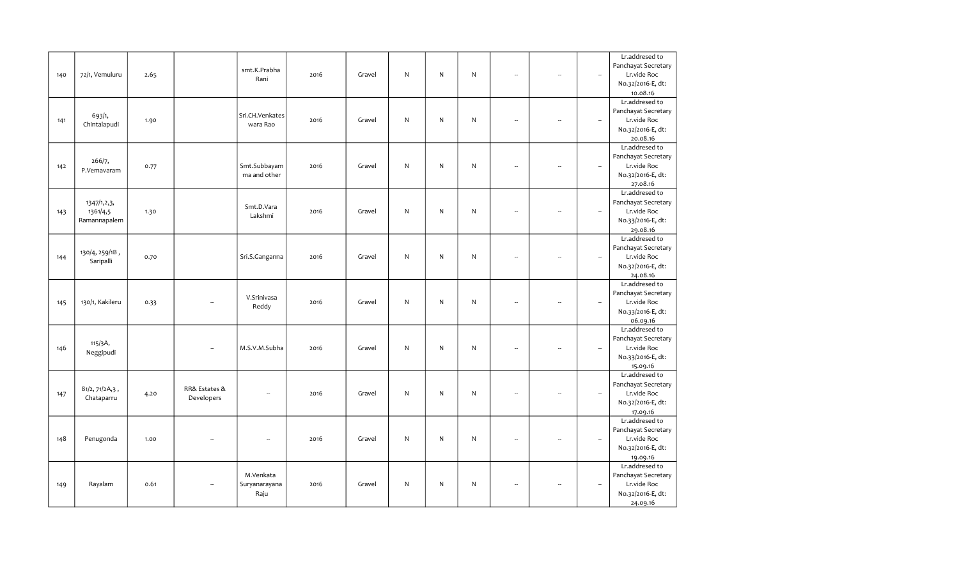|     |                 |      |                |                          |      |        |              |   |              |                          |                          |                          | Lr.addresed to      |
|-----|-----------------|------|----------------|--------------------------|------|--------|--------------|---|--------------|--------------------------|--------------------------|--------------------------|---------------------|
|     |                 |      |                | smt.K.Prabha             |      |        |              |   |              |                          |                          |                          | Panchayat Secretary |
| 140 | 72/1, Vemuluru  | 2.65 |                |                          | 2016 | Gravel | N            | N | N            | $\overline{\phantom{a}}$ | L.                       | $\overline{\phantom{a}}$ | Lr.vide Roc         |
|     |                 |      |                | Rani                     |      |        |              |   |              |                          |                          |                          | No.32/2016-E, dt:   |
|     |                 |      |                |                          |      |        |              |   |              |                          |                          |                          | 10.08.16            |
|     |                 |      |                |                          |      |        |              |   |              |                          |                          |                          | Lr.addresed to      |
|     |                 |      |                |                          |      |        |              |   |              |                          |                          |                          | Panchayat Secretary |
| 141 | 693/1,          | 1.90 |                | Sri.CH.Venkates          | 2016 | Gravel | N            | N | N            | $\overline{a}$           | ÷.                       | $\overline{\phantom{a}}$ | Lr.vide Roc         |
|     | Chintalapudi    |      |                | wara Rao                 |      |        |              |   |              |                          |                          |                          | No.32/2016-E, dt:   |
|     |                 |      |                |                          |      |        |              |   |              |                          |                          |                          | 20.08.16            |
|     |                 |      |                |                          |      |        |              |   |              |                          |                          |                          | Lr.addresed to      |
|     |                 |      |                |                          |      |        |              |   |              |                          |                          |                          | Panchayat Secretary |
| 142 | 266/7,          | 0.77 |                | Smt.Subbayam             | 2016 | Gravel | N            | N | N            | $\overline{\phantom{a}}$ | $\overline{\phantom{a}}$ | $\overline{\phantom{a}}$ | Lr.vide Roc         |
|     | P.Vemavaram     |      |                | ma and other             |      |        |              |   |              |                          |                          |                          | No.32/2016-E, dt:   |
|     |                 |      |                |                          |      |        |              |   |              |                          |                          |                          | 27.08.16            |
|     |                 |      |                |                          |      |        |              |   |              |                          |                          |                          | Lr.addresed to      |
|     |                 |      |                |                          |      |        |              |   |              |                          |                          |                          | Panchayat Secretary |
|     | 1347/1,2,3,     |      |                | Smt.D.Vara               |      |        |              |   |              | $\overline{a}$           |                          |                          | Lr.vide Roc         |
| 143 | 1361/4,5        | 1.30 |                | Lakshmi                  | 2016 | Gravel | N            | N | N            |                          |                          | $\overline{\phantom{a}}$ |                     |
|     | Ramannapalem    |      |                |                          |      |        |              |   |              |                          |                          |                          | No.33/2016-E, dt:   |
|     |                 |      |                |                          |      |        |              |   |              |                          |                          |                          | 29.08.16            |
|     |                 |      |                |                          |      |        |              |   |              |                          |                          |                          | Lr.addresed to      |
|     | 130/4, 259/1B,  |      |                |                          |      |        |              |   |              |                          |                          |                          | Panchayat Secretary |
| 144 | Saripalli       | 0.70 |                | Sri.S.Ganganna           | 2016 | Gravel | N            | N | N            | ÷.                       | $\overline{\phantom{a}}$ | $\overline{\phantom{a}}$ | Lr.vide Roc         |
|     |                 |      |                |                          |      |        |              |   |              |                          |                          |                          | No.32/2016-E, dt:   |
|     |                 |      |                |                          |      |        |              |   |              |                          |                          |                          | 24.08.16            |
|     |                 |      |                |                          |      |        |              |   |              |                          |                          |                          | Lr.addresed to      |
|     |                 |      |                | V.Srinivasa              |      |        |              |   |              |                          |                          |                          | Panchayat Secretary |
| 145 | 130/1, Kakileru | 0.33 |                | Reddy                    | 2016 | Gravel | N            | N | $\mathsf{N}$ | $\sim$                   | ÷.                       | $\overline{\phantom{a}}$ | Lr.vide Roc         |
|     |                 |      |                |                          |      |        |              |   |              |                          |                          |                          | No.33/2016-E, dt:   |
|     |                 |      |                |                          |      |        |              |   |              |                          |                          |                          | 06.09.16            |
|     |                 |      |                |                          |      |        |              |   |              |                          |                          |                          | Lr.addresed to      |
|     | 115/3A,         |      |                |                          |      |        |              |   |              |                          |                          |                          | Panchayat Secretary |
| 146 | Neggipudi       |      |                | M.S.V.M.Subha            | 2016 | Gravel | $\mathsf{N}$ | N | $\mathsf{N}$ | $\overline{\phantom{a}}$ | $\overline{\phantom{a}}$ | $\overline{\phantom{a}}$ | Lr.vide Roc         |
|     |                 |      |                |                          |      |        |              |   |              |                          |                          |                          | No.33/2016-E, dt:   |
|     |                 |      |                |                          |      |        |              |   |              |                          |                          |                          | 15.09.16            |
|     |                 |      |                |                          |      |        |              |   |              |                          |                          |                          | Lr.addresed to      |
|     | 81/2, 71/2A,3,  |      | RR& Estates &  |                          |      |        |              |   |              |                          |                          |                          | Panchayat Secretary |
| 147 | Chataparru      | 4.20 | Developers     | $\overline{\phantom{a}}$ | 2016 | Gravel | $\mathsf{N}$ | N | $\mathsf{N}$ | Ξ.                       | -                        | $\overline{\phantom{a}}$ | Lr.vide Roc         |
|     |                 |      |                |                          |      |        |              |   |              |                          |                          |                          | No.32/2016-E, dt:   |
|     |                 |      |                |                          |      |        |              |   |              |                          |                          |                          | 17.09.16            |
|     |                 |      |                |                          |      |        |              |   |              |                          |                          |                          | Lr.addresed to      |
|     |                 |      |                |                          |      |        |              |   |              |                          |                          |                          | Panchayat Secretary |
| 148 | Penugonda       | 1.00 | $\overline{a}$ | $\overline{\phantom{a}}$ | 2016 | Gravel | N            | N | N            | $\overline{\phantom{a}}$ | $\overline{\phantom{a}}$ | $\overline{\phantom{a}}$ | Lr.vide Roc         |
|     |                 |      |                |                          |      |        |              |   |              |                          |                          |                          | No.32/2016-E, dt:   |
|     |                 |      |                |                          |      |        |              |   |              |                          |                          |                          | 19.09.16            |
|     |                 |      |                |                          |      |        |              |   |              |                          |                          |                          | Lr.addresed to      |
|     |                 |      |                | M.Venkata                |      |        |              |   |              |                          |                          |                          | Panchayat Secretary |
| 149 | Rayalam         | 0.61 |                | Suryanarayana            | 2016 | Gravel | N            | N | N            | $\overline{\phantom{a}}$ | $\overline{\phantom{a}}$ | $\ddot{\phantom{a}}$     | Lr.vide Roc         |
|     |                 |      |                | Raju                     |      |        |              |   |              |                          |                          |                          | No.32/2016-E, dt:   |
|     |                 |      |                |                          |      |        |              |   |              |                          |                          |                          | 24.09.16            |
|     |                 |      |                |                          |      |        |              |   |              |                          |                          |                          |                     |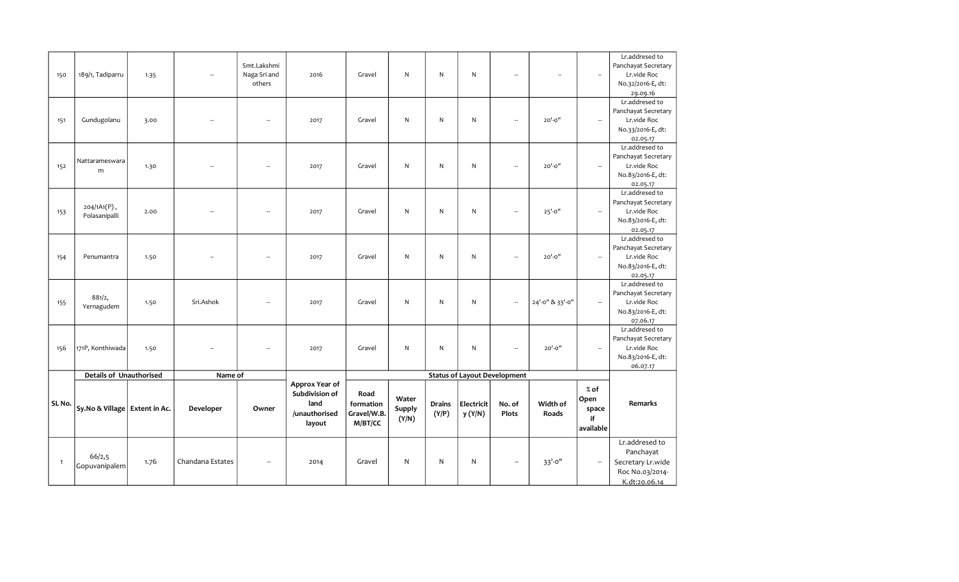| 150          | 189/1, Tadiparru                 | 1.35 |                  | Smt.Lakshmi<br>Naga Sri and<br>others | 2016                                                                | Gravel                                      | $\mathsf{N}$                    | N                      | N                     | $\overline{\phantom{a}}$            |                   | $\overline{\phantom{a}}$                   | Lr.addresed to<br>Panchayat Secretary<br>Lr.vide Roc<br>No.32/2016-E, dt:<br>29.09.16 |
|--------------|----------------------------------|------|------------------|---------------------------------------|---------------------------------------------------------------------|---------------------------------------------|---------------------------------|------------------------|-----------------------|-------------------------------------|-------------------|--------------------------------------------|---------------------------------------------------------------------------------------|
| 151          | Gundugolanu                      | 3.00 |                  | --                                    | 2017                                                                | Gravel                                      | N                               | N                      | N                     | --                                  | $20' - 0''$       | $\overline{\phantom{a}}$                   | Lr.addresed to<br>Panchayat Secretary<br>Lr.vide Roc<br>No.33/2016-E, dt:<br>02.05.17 |
| 152          | Nattarameswara<br>m              | 1.30 |                  | $\overline{a}$                        | 2017                                                                | Gravel                                      | $\mathsf{N}$                    | N                      | N                     | $\overline{\phantom{a}}$            | $20' - 0''$       | $\overline{\phantom{a}}$                   | Lr.addresed to<br>Panchayat Secretary<br>Lr.vide Roc<br>No.83/2016-E, dt:<br>02.05.17 |
| 153          | 204/1A1(P),<br>Polasanipalli     | 2.00 |                  | --                                    | 2017                                                                | Gravel                                      | $\mathsf{N}$                    | N                      | N                     | $\overline{\phantom{a}}$            | $25' - 0''$       | $\overline{\phantom{a}}$                   | Lr.addresed to<br>Panchayat Secretary<br>Lr.vide Roc<br>No.83/2016-E, dt:<br>02.05.17 |
| 154          | Penumantra                       | 1.50 |                  | --                                    | 2017                                                                | Gravel                                      | N                               | N                      | N                     | Ξ.                                  | $20' - 0''$       | $\overline{\phantom{a}}$                   | Lr.addresed to<br>Panchayat Secretary<br>Lr.vide Roc<br>No.83/2016-E, dt:<br>02.05.17 |
| 155          | 881/2,<br>Yernagudem             | 1.50 | Sri.Ashok        | $\overline{a}$                        | 2017                                                                | Gravel                                      | N                               | N                      | N                     | Ξ.                                  | 24'-0" & 33'-0"   | $\overline{\phantom{a}}$                   | Lr.addresed to<br>Panchayat Secretary<br>Lr.vide Roc<br>No.83/2016-E, dt:<br>07.06.17 |
| 156          | 171P, Konthiwada                 | 1.50 |                  |                                       | 2017                                                                | Gravel                                      | N                               | N                      | N                     | $\overline{\phantom{a}}$            | $20' - 0''$       | $\overline{\phantom{a}}$                   | Lr.addresed to<br>Panchayat Secretary<br>Lr.vide Roc<br>No.83/2016-E, dt:<br>06.07.17 |
|              | <b>Details of Unauthorised</b>   |      | Name of          |                                       |                                                                     |                                             |                                 |                        |                       | <b>Status of Layout Development</b> |                   |                                            |                                                                                       |
| SL No.       | Sy. No & Village   Extent in Ac. |      | Developer        | Owner                                 | Approx Year of<br>Subdivision of<br>land<br>/unauthorised<br>layout | Road<br>formation<br>Gravel/W.B.<br>M/BT/CC | Water<br><b>Supply</b><br>(Y/N) | <b>Drains</b><br>(Y/P) | Electricit<br>y (Y/N) | No. of<br>Plots                     | Width of<br>Roads | $%$ of<br>Open<br>space<br>if<br>available | Remarks                                                                               |
| $\mathbf{1}$ | 66/2,5<br>Gopuvanipalem          | 1.76 | Chandana Estates | ä.                                    | 2014                                                                | Gravel                                      | N                               | N                      | ${\sf N}$             | Ξ.                                  | 33'-0"            | ÷.                                         | Lr.addresed to<br>Panchayat<br>Secretary Lr.wide<br>Roc No.03/2014-<br>K.dt:20.06.14  |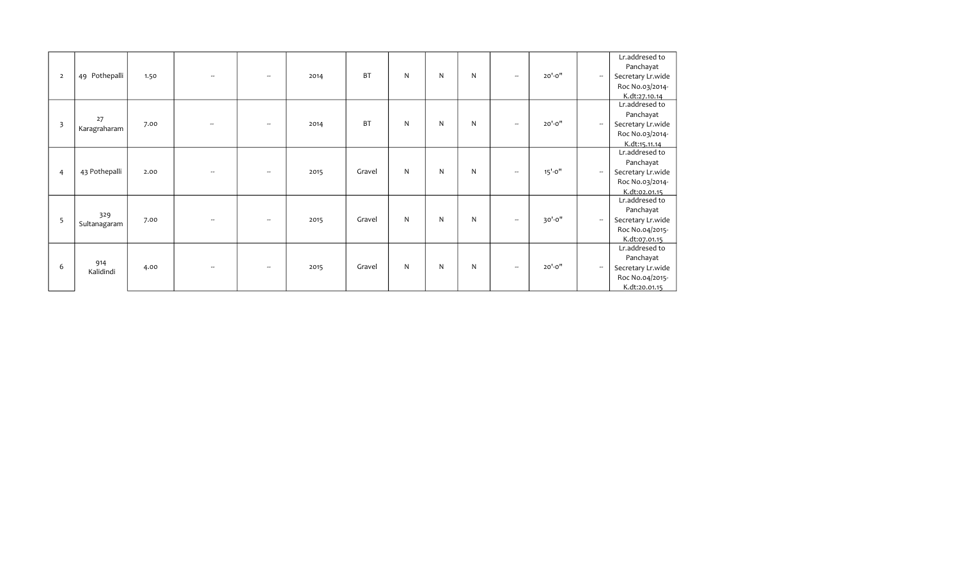|  | $\overline{2}$ | 49 Pothepalli                           | 1.50         |                          | $\overline{\phantom{a}}$           | 2014         | <b>BT</b>        | N      | N                      | N      | $\overline{\phantom{a}}$                             | $20' - 0''$           |                          | Lr.addresed to                   |
|--|----------------|-----------------------------------------|--------------|--------------------------|------------------------------------|--------------|------------------|--------|------------------------|--------|------------------------------------------------------|-----------------------|--------------------------|----------------------------------|
|  |                |                                         |              |                          |                                    |              |                  |        |                        |        |                                                      |                       | --                       | Panchayat<br>Secretary Lr.wide   |
|  |                |                                         |              |                          |                                    |              |                  |        |                        |        |                                                      |                       |                          | Roc No.03/2014-                  |
|  |                |                                         |              |                          |                                    |              |                  |        |                        |        |                                                      |                       |                          | K.dt:27.10.14                    |
|  | 3              | 27<br>Karagraharam                      | 7.00         |                          | $\overline{\phantom{a}}$           | 2014         | <b>BT</b>        | N      | N                      | N      | $\overline{\phantom{a}}$                             | $20' - 0''$           | $\overline{\phantom{a}}$ | Lr.addresed to                   |
|  |                |                                         |              |                          |                                    |              |                  |        |                        |        |                                                      |                       |                          | Panchayat                        |
|  |                |                                         |              |                          |                                    |              |                  |        |                        |        |                                                      |                       |                          | Secretary Lr.wide                |
|  |                |                                         |              |                          |                                    |              |                  |        |                        |        |                                                      |                       |                          | Roc No.03/2014-                  |
|  |                |                                         |              |                          |                                    |              |                  |        |                        |        |                                                      |                       |                          | K.dt:15.11.14                    |
|  |                | 43 Pothepalli                           | 2.00         |                          | $\overline{\phantom{a}}$           | 2015         | Gravel           | N      | N                      | N      | $\overline{\phantom{a}}$                             | $15' - 0''$           |                          | Lr.addresed to                   |
|  | 4              |                                         |              |                          |                                    |              |                  |        |                        |        |                                                      |                       |                          | Panchayat                        |
|  |                |                                         |              |                          |                                    |              |                  |        |                        |        |                                                      |                       | --                       | Secretary Lr.wide                |
|  |                |                                         |              |                          |                                    |              |                  |        |                        |        |                                                      |                       |                          | Roc No.03/2014-                  |
|  |                |                                         |              |                          |                                    |              |                  |        |                        |        |                                                      |                       |                          | K.dt:02.01.15                    |
|  | 5<br>6         | 329<br>Sultanagaram<br>914<br>Kalidindi | 7.00<br>4.00 | $\overline{\phantom{a}}$ | $\sim$<br>$\overline{\phantom{a}}$ | 2015<br>2015 | Gravel<br>Gravel | N<br>N | ${\sf N}$<br>${\sf N}$ | N<br>N | $\overline{\phantom{a}}$<br>$\overline{\phantom{a}}$ | 30'-0"<br>$20' - 0''$ |                          | Lr.addresed to                   |
|  |                |                                         |              |                          |                                    |              |                  |        |                        |        |                                                      |                       |                          | Panchayat                        |
|  |                |                                         |              |                          |                                    |              |                  |        |                        |        |                                                      |                       | $\overline{\phantom{a}}$ | Secretary Lr.wide                |
|  |                |                                         |              |                          |                                    |              |                  |        |                        |        |                                                      |                       |                          | Roc No.04/2015-                  |
|  |                |                                         |              |                          |                                    |              |                  |        |                        |        |                                                      |                       |                          | K.dt:07.01.15<br>Lr.addresed to  |
|  |                |                                         |              |                          |                                    |              |                  |        |                        |        |                                                      |                       | --                       |                                  |
|  |                |                                         |              |                          |                                    |              |                  |        |                        |        |                                                      |                       |                          | Panchayat                        |
|  |                |                                         |              |                          |                                    |              |                  |        |                        |        |                                                      |                       |                          | Secretary Lr.wide                |
|  |                |                                         |              |                          |                                    |              |                  |        |                        |        |                                                      |                       |                          | Roc No.04/2015-<br>K.dt:20.01.15 |
|  |                |                                         |              |                          |                                    |              |                  |        |                        |        |                                                      |                       |                          |                                  |